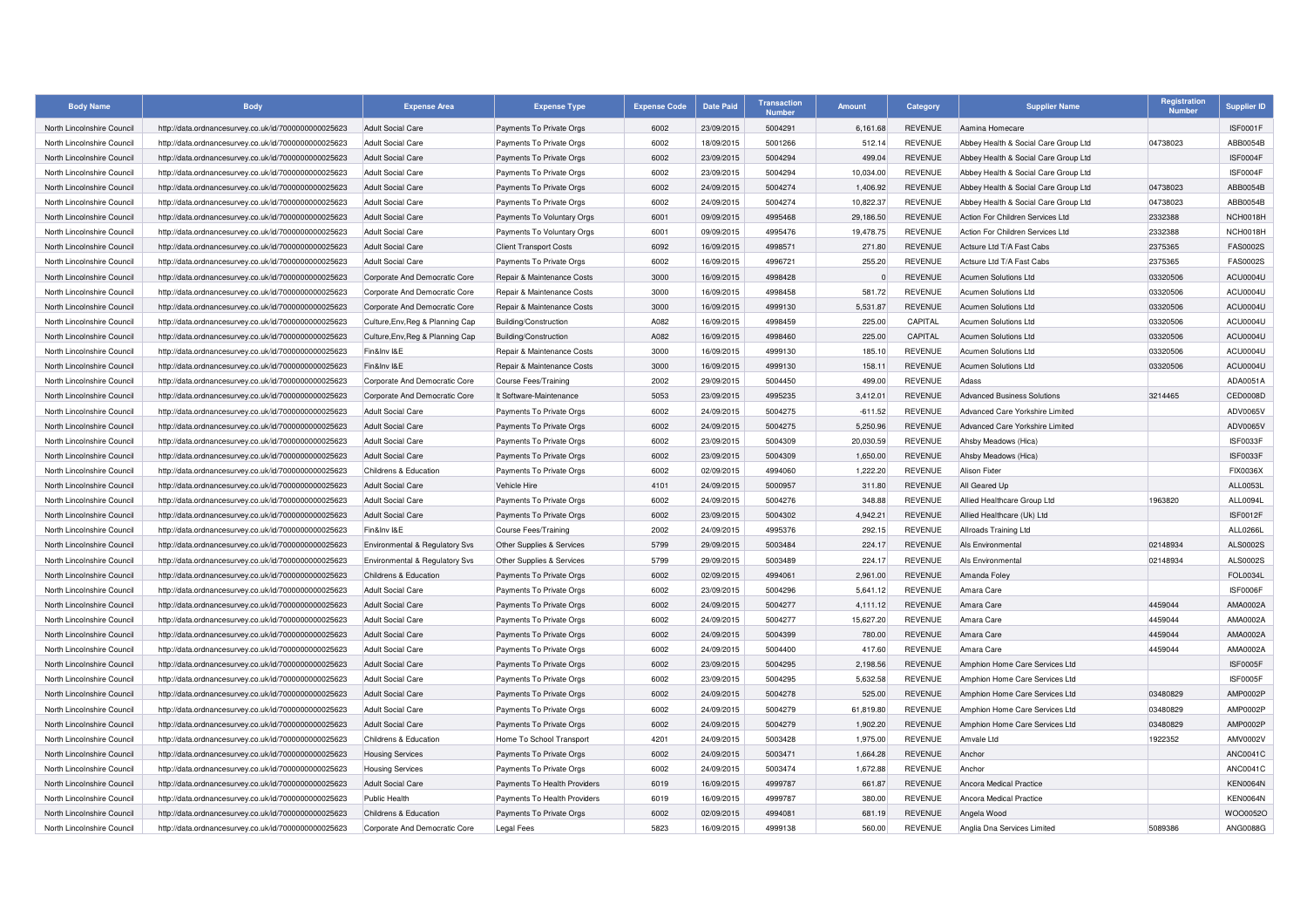| <b>Body Name</b>           | <b>Body</b>                                          | <b>Expense Area</b>              | <b>Expense Type</b>           | <b>Expense Code</b> | <b>Date Paid</b> | <b>Transaction</b><br><b>Numbe</b> | <b>Amount</b> | Category       | <b>Supplier Name</b>                 | Registration<br><b>Number</b> | Supplier ID     |
|----------------------------|------------------------------------------------------|----------------------------------|-------------------------------|---------------------|------------------|------------------------------------|---------------|----------------|--------------------------------------|-------------------------------|-----------------|
| North Lincolnshire Council | http://data.ordnancesurvey.co.uk/id/7000000000025623 | <b>Adult Social Care</b>         | Payments To Private Orgs      | 6002                | 23/09/2015       | 5004291                            | 6.161.68      | <b>REVENUE</b> | Aamina Homecare                      |                               | <b>ISF0001F</b> |
| North Lincolnshire Council | http://data.ordnancesurvey.co.uk/id/7000000000025623 | <b>Adult Social Care</b>         | Payments To Private Orgs      | 6002                | 18/09/2015       | 5001266                            | 512.14        | <b>REVENUE</b> | Abbey Health & Social Care Group Ltd | 04738023                      | ABB0054B        |
| North Lincolnshire Council | http://data.ordnancesurvey.co.uk/id/7000000000025623 | <b>Adult Social Care</b>         | Payments To Private Orgs      | 6002                | 23/09/2015       | 5004294                            | 499.04        | <b>REVENUE</b> | Abbey Health & Social Care Group Ltd |                               | ISF0004F        |
| North Lincolnshire Council | http://data.ordnancesurvey.co.uk/id/7000000000025623 | <b>Adult Social Care</b>         | Payments To Private Orgs      | 6002                | 23/09/2015       | 5004294                            | 10.034.00     | <b>REVENUE</b> | Abbey Health & Social Care Group Ltd |                               | ISF0004F        |
| North Lincolnshire Council | http://data.ordnancesurvey.co.uk/id/7000000000025623 | <b>Adult Social Care</b>         | Payments To Private Orgs      | 6002                | 24/09/2015       | 5004274                            | 1,406.92      | <b>REVENUE</b> | Abbey Health & Social Care Group Ltd | 04738023                      | ABB0054B        |
| North Lincolnshire Council | http://data.ordnancesurvey.co.uk/id/7000000000025623 | <b>Adult Social Care</b>         | Payments To Private Orgs      | 6002                | 24/09/2015       | 5004274                            | 10.822.37     | <b>REVENUE</b> | Abbey Health & Social Care Group Ltd | 04738023                      | ABB0054B        |
| North Lincolnshire Council | http://data.ordnancesurvey.co.uk/id/7000000000025623 | <b>Adult Social Care</b>         | Payments To Voluntary Orgs    | 6001                | 09/09/2015       | 4995468                            | 29,186.50     | <b>REVENUE</b> | Action For Children Services Ltd     | 2332388                       | NCH0018H        |
| North Lincolnshire Council | http://data.ordnancesurvey.co.uk/id/7000000000025623 | <b>Adult Social Care</b>         | Payments To Voluntary Orgs    | 6001                | 09/09/2015       | 4995476                            | 19.478.75     | <b>REVENUE</b> | Action For Children Services Ltd     | 2332388                       | NCH0018H        |
| North Lincolnshire Council | http://data.ordnancesurvey.co.uk/id/7000000000025623 | <b>Adult Social Care</b>         | <b>Client Transport Costs</b> | 6092                | 16/09/2015       | 4998571                            | 271.80        | <b>REVENUE</b> | Actsure Ltd T/A Fast Cabs            | 2375365                       | <b>FAS0002S</b> |
| North Lincolnshire Council | http://data.ordnancesurvey.co.uk/id/7000000000025623 | <b>Adult Social Care</b>         | Payments To Private Orgs      | 6002                | 16/09/2015       | 4996721                            | 255.20        | <b>REVENUE</b> | Actsure Ltd T/A Fast Cabs            | 2375365                       | <b>FAS0002S</b> |
| North Lincolnshire Council | http://data.ordnancesurvey.co.uk/id/7000000000025623 | Corporate And Democratic Core    | Repair & Maintenance Costs    | 3000                | 16/09/2015       | 4998428                            |               | <b>REVENUE</b> | Acumen Solutions Ltd                 | 03320506                      | ACU0004U        |
| North Lincolnshire Council | http://data.ordnancesurvey.co.uk/id/7000000000025623 | Corporate And Democratic Core    | Repair & Maintenance Costs    | 3000                | 16/09/2015       | 4998458                            | 581.72        | <b>REVENUE</b> | <b>Acumen Solutions Ltd</b>          | 03320506                      | ACU0004U        |
| North Lincolnshire Council | http://data.ordnancesurvey.co.uk/id/7000000000025623 | Corporate And Democratic Core    | Repair & Maintenance Costs    | 3000                | 16/09/2015       | 4999130                            | 5,531.87      | <b>REVENUE</b> | Acumen Solutions Ltd                 | 03320506                      | ACU0004U        |
| North Lincolnshire Council | http://data.ordnancesurvey.co.uk/id/7000000000025623 | Culture, Env, Reg & Planning Cap | Building/Construction         | A082                | 16/09/2015       | 4998459                            | 225.00        | CAPITAL        | <b>Acumen Solutions Ltd</b>          | 03320506                      | ACU0004U        |
| North Lincolnshire Council | http://data.ordnancesurvey.co.uk/id/7000000000025623 | Culture, Env, Reg & Planning Cap | Building/Construction         | A082                | 16/09/2015       | 4998460                            | 225.00        | CAPITAL        | <b>Acumen Solutions Ltd</b>          | 03320506                      | ACU0004U        |
| North Lincolnshire Council | http://data.ordnancesurvey.co.uk/id/7000000000025623 | Fin&Inv I&E                      | Repair & Maintenance Costs    | 3000                | 16/09/2015       | 4999130                            | 185.10        | <b>REVENUE</b> | Acumen Solutions Ltd                 | 03320506                      | ACU0004U        |
| North Lincolnshire Council | http://data.ordnancesurvey.co.uk/id/7000000000025623 | Fin&Inv I&E                      | Repair & Maintenance Costs    | 3000                | 16/09/2015       | 4999130                            | 158.11        | <b>REVENUE</b> | Acumen Solutions Ltd                 | 03320506                      | ACU0004U        |
| North Lincolnshire Council | http://data.ordnancesurvey.co.uk/id/7000000000025623 | Corporate And Democratic Core    | Course Fees/Training          | 2002                | 29/09/2015       | 5004450                            | 499.00        | <b>REVENUE</b> | Adass                                |                               | ADA0051A        |
| North Lincolnshire Council | http://data.ordnancesurvey.co.uk/id/7000000000025623 | Corporate And Democratic Core    | It Software-Maintenance       | 5053                | 23/09/2015       | 4995235                            | 3,412.01      | <b>REVENUE</b> | <b>Advanced Business Solutions</b>   | 3214465                       | CED0008D        |
| North Lincolnshire Council | http://data.ordnancesurvey.co.uk/id/7000000000025623 | <b>Adult Social Care</b>         | Payments To Private Orgs      | 6002                | 24/09/2015       | 5004275                            | $-611.52$     | <b>REVENUE</b> | Advanced Care Yorkshire Limited      |                               | ADV0065V        |
| North Lincolnshire Council | http://data.ordnancesurvey.co.uk/id/7000000000025623 | <b>Adult Social Care</b>         | Payments To Private Orgs      | 6002                | 24/09/2015       | 5004275                            | 5,250.96      | <b>REVENUE</b> | Advanced Care Yorkshire Limited      |                               | ADV0065V        |
| North Lincolnshire Council | http://data.ordnancesurvey.co.uk/id/7000000000025623 | <b>Adult Social Care</b>         | Payments To Private Orgs      | 6002                | 23/09/2015       | 5004309                            | 20,030.59     | <b>REVENUE</b> | Ahsby Meadows (Hica)                 |                               | ISF0033F        |
| North Lincolnshire Council | http://data.ordnancesurvey.co.uk/id/7000000000025623 | <b>Adult Social Care</b>         | Payments To Private Orgs      | 6002                | 23/09/2015       | 5004309                            | 1,650.00      | <b>REVENUE</b> | Ahsby Meadows (Hica)                 |                               | ISF0033F        |
| North Lincolnshire Council | http://data.ordnancesurvey.co.uk/id/7000000000025623 | Childrens & Education            | Payments To Private Orgs      | 6002                | 02/09/2015       | 4994060                            | 1,222.20      | <b>REVENUE</b> | <b>Alison Fixter</b>                 |                               | FIX0036X        |
| North Lincolnshire Council | http://data.ordnancesurvey.co.uk/id/7000000000025623 | <b>Adult Social Care</b>         | Vehicle Hire                  | 4101                | 24/09/2015       | 5000957                            | 311.80        | <b>REVENUE</b> | All Geared Up                        |                               | ALL0053L        |
| North Lincolnshire Council | http://data.ordnancesurvey.co.uk/id/7000000000025623 | <b>Adult Social Care</b>         | Payments To Private Orgs      | 6002                | 24/09/2015       | 5004276                            | 348.88        | <b>REVENUE</b> | Allied Healthcare Group Ltd          | 1963820                       | ALL0094L        |
| North Lincolnshire Council | http://data.ordnancesurvey.co.uk/id/7000000000025623 | <b>Adult Social Care</b>         | Payments To Private Orgs      | 6002                | 23/09/2015       | 5004302                            | 4,942.21      | <b>REVENUE</b> | Allied Healthcare (Uk) Ltd           |                               | <b>ISF0012F</b> |
| North Lincolnshire Council | http://data.ordnancesurvey.co.uk/id/7000000000025623 | Fin&Inv I&E                      | <b>Course Fees/Training</b>   | 2002                | 24/09/2015       | 4995376                            | 292.15        | <b>REVENUE</b> | Allroads Training Ltd                |                               | ALL0266L        |
| North Lincolnshire Council | http://data.ordnancesurvey.co.uk/id/7000000000025623 | Environmental & Regulatory Svs   | Other Supplies & Services     | 5799                | 29/09/2015       | 5003484                            | 224.17        | <b>REVENUE</b> | Als Environmental                    | 02148934                      | ALS0002S        |
| North Lincolnshire Council | http://data.ordnancesurvey.co.uk/id/7000000000025623 | Environmental & Regulatory Svs   | Other Supplies & Services     | 5799                | 29/09/2015       | 5003489                            | 224.17        | <b>REVENUE</b> | Als Environmental                    | 02148934                      | ALS0002S        |
| North Lincolnshire Council | http://data.ordnancesurvey.co.uk/id/7000000000025623 | Childrens & Education            | Payments To Private Orgs      | 6002                | 02/09/2015       | 4994061                            | 2,961.00      | <b>REVENUE</b> | Amanda Foley                         |                               | FOL0034L        |
| North Lincolnshire Council | http://data.ordnancesurvey.co.uk/id/7000000000025623 | <b>Adult Social Care</b>         | Payments To Private Orgs      | 6002                | 23/09/2015       | 5004296                            | 5,641.12      | <b>REVENUE</b> | Amara Care                           |                               | ISF0006F        |
| North Lincolnshire Council | http://data.ordnancesurvey.co.uk/id/7000000000025623 | <b>Adult Social Care</b>         | Payments To Private Orgs      | 6002                | 24/09/2015       | 5004277                            | 4,111.12      | <b>REVENUE</b> | Amara Care                           | 4459044                       | AMA0002A        |
| North Lincolnshire Council | http://data.ordnancesurvey.co.uk/id/7000000000025623 | <b>Adult Social Care</b>         | Payments To Private Orgs      | 6002                | 24/09/2015       | 5004277                            | 15,627.20     | <b>REVENUE</b> | Amara Care                           | 4459044                       | AMA0002A        |
| North Lincolnshire Council | http://data.ordnancesurvey.co.uk/id/7000000000025623 | <b>Adult Social Care</b>         | Payments To Private Orgs      | 6002                | 24/09/2015       | 5004399                            | 780.00        | <b>REVENUE</b> | Amara Care                           | 4459044                       | AMA0002A        |
| North Lincolnshire Council | http://data.ordnancesurvey.co.uk/id/7000000000025623 | <b>Adult Social Care</b>         | Payments To Private Orgs      | 6002                | 24/09/2015       | 5004400                            | 417.60        | <b>REVENUE</b> | Amara Care                           | 4459044                       | AMA0002A        |
| North Lincolnshire Council | http://data.ordnancesurvey.co.uk/id/7000000000025623 | <b>Adult Social Care</b>         | Payments To Private Orgs      | 6002                | 23/09/2015       | 5004295                            | 2,198.56      | <b>REVENUE</b> | Amphion Home Care Services Ltd       |                               | ISF0005F        |
| North Lincolnshire Council | http://data.ordnancesurvey.co.uk/id/7000000000025623 | <b>Adult Social Care</b>         | Payments To Private Orgs      | 6002                | 23/09/2015       | 5004295                            | 5,632.58      | <b>REVENUE</b> | Amphion Home Care Services Ltd       |                               | ISF0005F        |
| North Lincolnshire Council | http://data.ordnancesurvey.co.uk/id/7000000000025623 | <b>Adult Social Care</b>         | Payments To Private Orgs      | 6002                | 24/09/2015       | 5004278                            | 525.00        | <b>REVENUE</b> | Amphion Home Care Services Ltd       | 03480829                      | AMP0002P        |
| North Lincolnshire Council | http://data.ordnancesurvey.co.uk/id/7000000000025623 | <b>Adult Social Care</b>         | Payments To Private Orgs      | 6002                | 24/09/2015       | 5004279                            | 61,819.80     | <b>REVENUE</b> | Amphion Home Care Services Ltd       | 03480829                      | AMP0002P        |
| North Lincolnshire Council | http://data.ordnancesurvey.co.uk/id/7000000000025623 | <b>Adult Social Care</b>         | Payments To Private Orgs      | 6002                | 24/09/2015       | 5004279                            | 1.902.20      | <b>REVENUE</b> | Amphion Home Care Services Ltd       | 03480829                      | AMP0002P        |
| North Lincolnshire Council | http://data.ordnancesurvey.co.uk/id/7000000000025623 | Childrens & Education            | Home To School Transport      | 4201                | 24/09/2015       | 5003428                            | 1,975.00      | <b>REVENUE</b> | Amvale Ltd                           | 1922352                       | AMV0002V        |
| North Lincolnshire Council | http://data.ordnancesurvey.co.uk/id/7000000000025623 | <b>Housing Services</b>          | Payments To Private Orgs      | 6002                | 24/09/2015       | 5003471                            | 1.664.28      | <b>REVENUE</b> | Anchor                               |                               | <b>ANC0041C</b> |
| North Lincolnshire Council | http://data.ordnancesurvey.co.uk/id/7000000000025623 | <b>Housing Services</b>          | Payments To Private Orgs      | 6002                | 24/09/2015       | 5003474                            | 1,672.88      | <b>REVENUE</b> | Anchor                               |                               | <b>ANC0041C</b> |
| North Lincolnshire Council | http://data.ordnancesurvey.co.uk/id/7000000000025623 | <b>Adult Social Care</b>         | Payments To Health Providers  | 6019                | 16/09/2015       | 4999787                            | 661.87        | <b>REVENUE</b> | Ancora Medical Practice              |                               | <b>KEN0064N</b> |
| North Lincolnshire Council | http://data.ordnancesurvey.co.uk/id/7000000000025623 | Public Health                    | Payments To Health Providers  | 6019                | 16/09/2015       | 4999787                            | 380.00        | <b>REVENUE</b> | <b>Ancora Medical Practice</b>       |                               | <b>KEN0064N</b> |
| North Lincolnshire Council | http://data.ordnancesurvey.co.uk/id/7000000000025623 | Childrens & Education            | Payments To Private Orgs      | 6002                | 02/09/2015       | 4994081                            | 681.19        | <b>REVENUE</b> | Angela Wood                          |                               | WOO0052O        |
| North Lincolnshire Council | http://data.ordnancesurvey.co.uk/id/7000000000025623 | Corporate And Democratic Core    | <b>Legal Fees</b>             | 5823                | 16/09/2015       | 4999138                            | 560.00        | <b>REVENUE</b> | Anglia Dna Services Limited          | 5089386                       | ANG0088G        |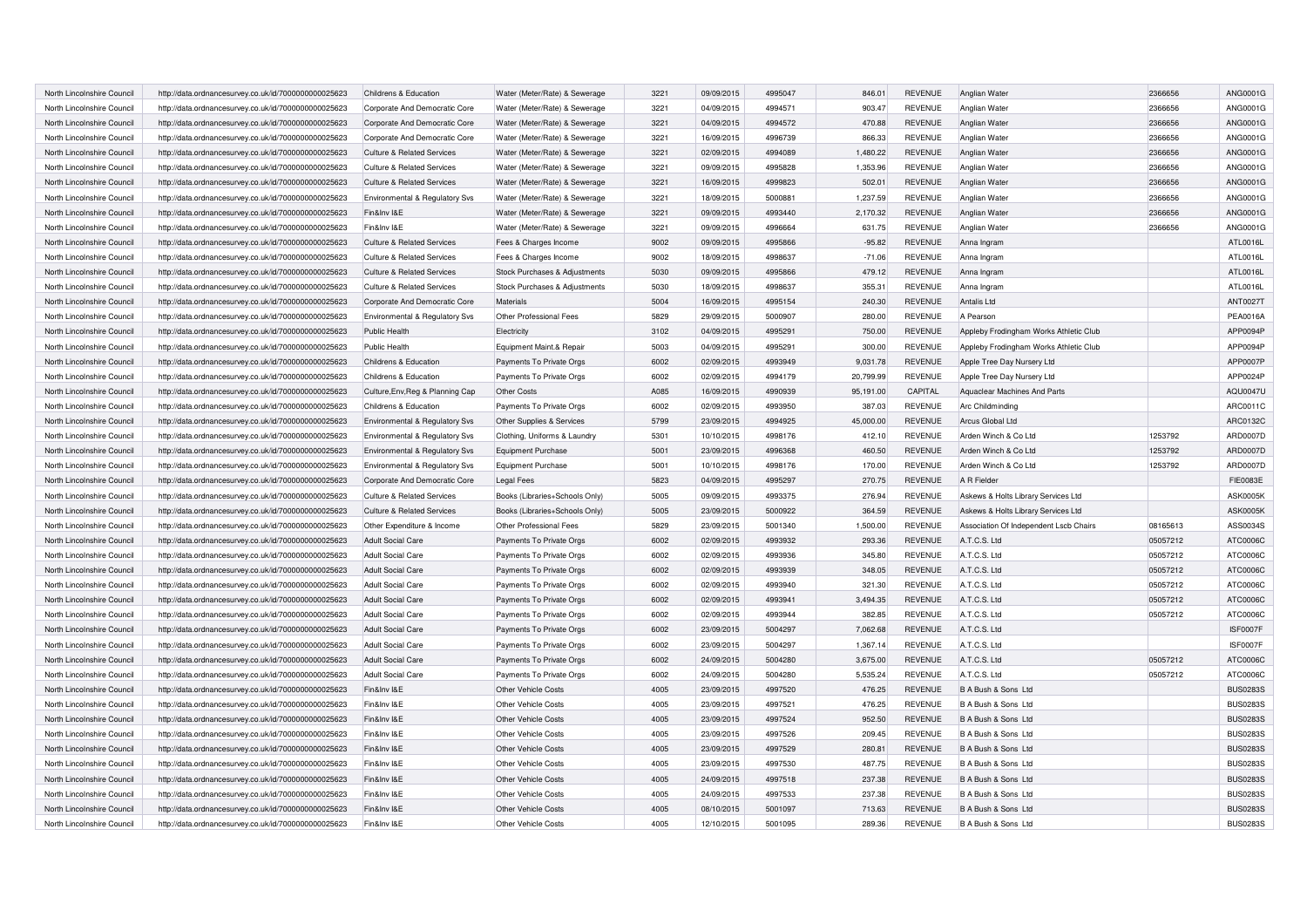| North Lincolnshire Council | http://data.ordnancesurvey.co.uk/id/7000000000025623                                                         | Childrens & Education                 | Water (Meter/Rate) & Sewerage  | 3221 | 09/09/2015 | 4995047 | 846.01    | <b>REVENUE</b> | Anglian Water                          | 2366656  | ANG0001G        |
|----------------------------|--------------------------------------------------------------------------------------------------------------|---------------------------------------|--------------------------------|------|------------|---------|-----------|----------------|----------------------------------------|----------|-----------------|
| North Lincolnshire Council | http://data.ordnancesurvey.co.uk/id/7000000000025623                                                         | Corporate And Democratic Core         | Water (Meter/Rate) & Sewerage  | 3221 | 04/09/2015 | 4994571 | 903.47    | <b>REVENUE</b> | Anglian Water                          | 2366656  | ANG0001G        |
| North Lincolnshire Council | http://data.ordnancesurvey.co.uk/id/7000000000025623                                                         | Corporate And Democratic Core         | Water (Meter/Rate) & Sewerage  | 3221 | 04/09/2015 | 4994572 | 470.88    | <b>REVENUE</b> | Anglian Water                          | 2366656  | ANG0001G        |
| North Lincolnshire Council | http://data.ordnancesurvey.co.uk/id/7000000000025623                                                         | Corporate And Democratic Core         | Water (Meter/Rate) & Sewerage  | 3221 | 16/09/2015 | 4996739 | 866.33    | <b>REVENUE</b> | Anglian Water                          | 2366656  | ANG0001G        |
| North Lincolnshire Council | http://data.ordnancesurvey.co.uk/id/7000000000025623                                                         | <b>Culture &amp; Related Services</b> | Water (Meter/Rate) & Sewerage  | 3221 | 02/09/2015 | 4994089 | 1,480.22  | <b>REVENUE</b> | Anglian Water                          | 2366656  | ANG0001G        |
| North Lincolnshire Council | http://data.ordnancesurvey.co.uk/id/7000000000025623                                                         | <b>Culture &amp; Related Services</b> | Water (Meter/Rate) & Sewerage  | 3221 | 09/09/2015 | 4995828 | 1,353.96  | <b>REVENUE</b> | Anglian Water                          | 2366656  | ANG0001G        |
| North Lincolnshire Council | http://data.ordnancesurvey.co.uk/id/7000000000025623                                                         | <b>Culture &amp; Related Services</b> | Water (Meter/Rate) & Sewerage  | 3221 | 16/09/2015 | 4999823 | 502.01    | <b>REVENUE</b> | Anglian Water                          | 2366656  | ANG0001G        |
| North Lincolnshire Council | http://data.ordnancesurvey.co.uk/id/7000000000025623                                                         | Environmental & Regulatory Svs        | Water (Meter/Rate) & Sewerage  | 3221 | 18/09/2015 | 5000881 | 1,237.59  | <b>REVENUE</b> | Anglian Water                          | 2366656  | ANG0001G        |
| North Lincolnshire Council | http://data.ordnancesurvey.co.uk/id/7000000000025623                                                         | Fin&Inv I&E                           | Water (Meter/Rate) & Sewerage  | 3221 | 09/09/2015 | 4993440 | 2,170.32  | <b>REVENUE</b> | Anglian Water                          | 2366656  | ANG0001G        |
| North Lincolnshire Council | http://data.ordnancesurvey.co.uk/id/7000000000025623                                                         | Fin&Inv I&E                           | Water (Meter/Rate) & Sewerage  | 3221 | 09/09/2015 | 4996664 | 631.75    | <b>REVENUE</b> | Anglian Water                          | 2366656  | ANG0001G        |
| North Lincolnshire Council | http://data.ordnancesurvey.co.uk/id/7000000000025623                                                         | <b>Culture &amp; Related Services</b> | Fees & Charges Income          | 9002 | 09/09/2015 | 4995866 | $-95.82$  | <b>REVENUE</b> | Anna Ingram                            |          | ATL0016L        |
| North Lincolnshire Council | http://data.ordnancesurvey.co.uk/id/7000000000025623                                                         | <b>Culture &amp; Related Services</b> | Fees & Charges Income          | 9002 | 18/09/2015 | 4998637 | $-71.06$  | <b>REVENUE</b> | Anna Ingram                            |          | ATL0016L        |
| North Lincolnshire Council | http://data.ordnancesurvey.co.uk/id/7000000000025623                                                         | <b>Culture &amp; Related Services</b> | Stock Purchases & Adjustments  | 5030 | 09/09/2015 | 4995866 | 479.12    | <b>REVENUE</b> | Anna Ingram                            |          | ATL0016L        |
| North Lincolnshire Council | http://data.ordnancesurvey.co.uk/id/7000000000025623                                                         | <b>Culture &amp; Related Services</b> | Stock Purchases & Adjustments  | 5030 | 18/09/2015 | 4998637 | 355.31    | <b>REVENUE</b> | Anna Ingram                            |          | ATL0016L        |
| North Lincolnshire Council | http://data.ordnancesurvey.co.uk/id/7000000000025623                                                         | Corporate And Democratic Core         | Materials                      | 5004 | 16/09/2015 | 4995154 | 240.30    | <b>REVENUE</b> | Antalis Ltd                            |          | <b>ANT0027T</b> |
| North Lincolnshire Council | http://data.ordnancesurvey.co.uk/id/7000000000025623                                                         | Environmental & Regulatory Svs        | Other Professional Fees        | 5829 | 29/09/2015 | 5000907 | 280.00    | <b>REVENUE</b> | A Pearson                              |          | <b>PEA0016A</b> |
| North Lincolnshire Council | http://data.ordnancesurvey.co.uk/id/7000000000025623                                                         | Public Health                         | Electricity                    | 3102 | 04/09/2015 | 4995291 | 750.00    | <b>REVENUE</b> | Appleby Frodingham Works Athletic Club |          | APP0094P        |
| North Lincolnshire Council | http://data.ordnancesurvey.co.uk/id/7000000000025623                                                         | Public Health                         | Equipment Maint.& Repair       | 5003 | 04/09/2015 | 499529  | 300.00    | <b>REVENUE</b> | Appleby Frodingham Works Athletic Club |          | APP0094P        |
| North Lincolnshire Council | http://data.ordnancesurvey.co.uk/id/7000000000025623                                                         | Childrens & Education                 | Payments To Private Orgs       | 6002 | 02/09/2015 | 4993949 | 9,031.78  | <b>REVENUE</b> | Apple Tree Day Nursery Ltd             |          | APP0007P        |
| North Lincolnshire Council | http://data.ordnancesurvey.co.uk/id/7000000000025623                                                         | Childrens & Education                 | Payments To Private Orgs       | 6002 | 02/09/2015 | 4994179 | 20,799.99 | <b>REVENUE</b> | Apple Tree Day Nursery Ltd             |          | APP0024P        |
| North Lincolnshire Council | http://data.ordnancesurvey.co.uk/id/7000000000025623                                                         | Culture, Env, Reg & Planning Cap      | <b>Other Costs</b>             | A085 | 16/09/2015 | 4990939 | 95,191.00 | CAPITAL        | Aquaclear Machines And Parts           |          | <b>AQU0047U</b> |
| North Lincolnshire Council | http://data.ordnancesurvey.co.uk/id/7000000000025623                                                         | Childrens & Education                 | Payments To Private Orgs       | 6002 | 02/09/2015 | 4993950 | 387.03    | <b>REVENUE</b> | Arc Childminding                       |          | ARC0011C        |
| North Lincolnshire Council | http://data.ordnancesurvey.co.uk/id/7000000000025623                                                         | Environmental & Regulatory Svs        | Other Supplies & Services      | 5799 | 23/09/2015 | 4994925 | 45,000.00 | <b>REVENUE</b> | Arcus Global Ltd                       |          | ARC0132C        |
| North Lincolnshire Council | http://data.ordnancesurvey.co.uk/id/7000000000025623                                                         | Environmental & Regulatory Svs        | Clothing, Uniforms & Laundry   | 5301 | 10/10/2015 | 4998176 | 412.10    | <b>REVENUE</b> | Arden Winch & Co Ltd                   | 1253792  | <b>ARD0007D</b> |
| North Lincolnshire Council | http://data.ordnancesurvey.co.uk/id/7000000000025623                                                         | Environmental & Regulatory Svs        | Equipment Purchase             | 5001 | 23/09/2015 | 4996368 | 460.50    | <b>REVENUE</b> | Arden Winch & Co Ltd                   | 1253792  | ARD0007D        |
| North Lincolnshire Council | http://data.ordnancesurvey.co.uk/id/7000000000025623                                                         | Environmental & Regulatory Svs        | <b>Equipment Purchase</b>      | 5001 | 10/10/2015 | 4998176 | 170.00    | <b>REVENUE</b> | Arden Winch & Co Ltd                   | 1253792  | ARD0007D        |
| North Lincolnshire Council | http://data.ordnancesurvey.co.uk/id/7000000000025623                                                         | Corporate And Democratic Core         | Legal Fees                     | 5823 | 04/09/2015 | 4995297 | 270.75    | <b>REVENUE</b> | A R Fielder                            |          | <b>FIE0083E</b> |
| North Lincolnshire Council | http://data.ordnancesurvey.co.uk/id/7000000000025623                                                         | <b>Culture &amp; Related Services</b> | Books (Libraries+Schools Only) | 5005 | 09/09/2015 | 4993375 | 276.94    | <b>REVENUE</b> | Askews & Holts Library Services Ltd    |          | <b>ASK0005K</b> |
| North Lincolnshire Council | http://data.ordnancesurvey.co.uk/id/7000000000025623                                                         | Culture & Related Services            | Books (Libraries+Schools Only) | 5005 | 23/09/2015 | 5000922 | 364.59    | <b>REVENUE</b> | Askews & Holts Library Services Ltd    |          | <b>ASK0005K</b> |
| North Lincolnshire Council |                                                                                                              | Other Expenditure & Income            | <b>Other Professional Fees</b> | 5829 | 23/09/2015 | 5001340 | 1,500.00  | <b>REVENUE</b> | Association Of Independent Lscb Chairs | 08165613 | ASS0034S        |
| North Lincolnshire Council | http://data.ordnancesurvey.co.uk/id/7000000000025623<br>http://data.ordnancesurvey.co.uk/id/7000000000025623 | <b>Adult Social Care</b>              | Payments To Private Orgs       | 6002 | 02/09/2015 | 4993932 | 293.36    | <b>REVENUE</b> | A.T.C.S. Ltd                           | 05057212 | ATC0006C        |
|                            |                                                                                                              |                                       |                                |      |            |         |           |                |                                        |          |                 |
| North Lincolnshire Council | http://data.ordnancesurvey.co.uk/id/7000000000025623                                                         | <b>Adult Social Care</b>              | Payments To Private Orgs       | 6002 | 02/09/2015 | 4993936 | 345.80    | <b>REVENUE</b> | A.T.C.S. Ltd                           | 05057212 | ATC0006C        |
| North Lincolnshire Council | http://data.ordnancesurvey.co.uk/id/7000000000025623                                                         | <b>Adult Social Care</b>              | Payments To Private Orgs       | 6002 | 02/09/2015 | 4993939 | 348.05    | <b>REVENUE</b> | A.T.C.S. Ltd                           | 05057212 | ATC0006C        |
| North Lincolnshire Council | http://data.ordnancesurvey.co.uk/id/7000000000025623                                                         | <b>Adult Social Care</b>              | Payments To Private Orgs       | 6002 | 02/09/2015 | 4993940 | 321.30    | <b>REVENUE</b> | A.T.C.S. Ltd                           | 05057212 | ATC0006C        |
| North Lincolnshire Council | http://data.ordnancesurvey.co.uk/id/7000000000025623                                                         | <b>Adult Social Care</b>              | Payments To Private Orgs       | 6002 | 02/09/2015 | 4993941 | 3,494.35  | <b>REVENUE</b> | A.T.C.S. Ltd                           | 05057212 | ATC0006C        |
| North Lincolnshire Council | http://data.ordnancesurvey.co.uk/id/7000000000025623                                                         | <b>Adult Social Care</b>              | Payments To Private Orgs       | 6002 | 02/09/2015 | 4993944 | 382.85    | <b>REVENUE</b> | A.T.C.S. Ltd                           | 05057212 | ATC0006C        |
| North Lincolnshire Council | http://data.ordnancesurvey.co.uk/id/7000000000025623                                                         | <b>Adult Social Care</b>              | Payments To Private Orgs       | 6002 | 23/09/2015 | 5004297 | 7,062.68  | <b>REVENUE</b> | A.T.C.S. Ltd                           |          | <b>ISF0007F</b> |
| North Lincolnshire Council | http://data.ordnancesurvey.co.uk/id/7000000000025623                                                         | <b>Adult Social Care</b>              | Payments To Private Orgs       | 6002 | 23/09/2015 | 5004297 | 1,367.14  | <b>REVENUE</b> | A.T.C.S. Ltd                           |          | ISF0007F        |
| North Lincolnshire Council | http://data.ordnancesurvey.co.uk/id/7000000000025623                                                         | <b>Adult Social Care</b>              | Payments To Private Orgs       | 6002 | 24/09/2015 | 5004280 | 3,675.00  | <b>REVENUE</b> | A.T.C.S. Ltd                           | 05057212 | ATC0006C        |
| North Lincolnshire Counci  | http://data.ordnancesurvey.co.uk/id/7000000000025623                                                         | <b>Adult Social Care</b>              | Payments To Private Orgs       | 6002 | 24/09/2015 | 5004280 | 5,535.24  | <b>REVENUE</b> | A.T.C.S. Ltd                           | 05057212 | ATC0006C        |
| North Lincolnshire Counci  | http://data.ordnancesurvey.co.uk/id/7000000000025623                                                         | Fin&Inv I&E                           | Other Vehicle Costs            | 4005 | 23/09/2015 | 4997520 | 476.25    | <b>REVENUE</b> | B A Bush & Sons Ltd                    |          | <b>BUS0283S</b> |
| North Lincolnshire Council | http://data.ordnancesurvey.co.uk/id/7000000000025623                                                         | Fin&Inv I&E                           | Other Vehicle Costs            | 4005 | 23/09/2015 | 4997521 | 476.25    | <b>REVENUE</b> | B A Bush & Sons Ltd                    |          | <b>BUS0283S</b> |
| North Lincolnshire Council | http://data.ordnancesurvey.co.uk/id/7000000000025623                                                         | Fin&Inv I&E                           | Other Vehicle Costs            | 4005 | 23/09/2015 | 4997524 | 952.50    | <b>REVENUE</b> | B A Bush & Sons Ltd                    |          | <b>BUS0283S</b> |
| North Lincolnshire Council | http://data.ordnancesurvey.co.uk/id/7000000000025623                                                         | Fin&Inv I&E                           | Other Vehicle Costs            | 4005 | 23/09/2015 | 4997526 | 209.45    | <b>REVENUE</b> | B A Bush & Sons Ltd                    |          | <b>BUS0283S</b> |
| North Lincolnshire Council | http://data.ordnancesurvey.co.uk/id/7000000000025623                                                         | Fin&Inv I&E                           | Other Vehicle Costs            | 4005 | 23/09/2015 | 4997529 | 280.81    | <b>REVENUE</b> | B A Bush & Sons Ltd                    |          | <b>BUS0283S</b> |
| North Lincolnshire Council | http://data.ordnancesurvey.co.uk/id/7000000000025623                                                         | Fin&Inv I&E                           | Other Vehicle Costs            | 4005 | 23/09/2015 | 4997530 | 487.75    | <b>REVENUE</b> | B A Bush & Sons Ltd                    |          | <b>BUS0283S</b> |
| North Lincolnshire Council | http://data.ordnancesurvey.co.uk/id/7000000000025623                                                         | Fin&Inv I&E                           | Other Vehicle Costs            | 4005 | 24/09/2015 | 4997518 | 237.38    | <b>REVENUE</b> | B A Bush & Sons Ltd                    |          | <b>BUS0283S</b> |
| North Lincolnshire Council | http://data.ordnancesurvey.co.uk/id/7000000000025623                                                         | Fin&Inv I&E                           | Other Vehicle Costs            | 4005 | 24/09/2015 | 4997533 | 237.38    | <b>REVENUE</b> | B A Bush & Sons Ltd                    |          | <b>BUS0283S</b> |
| North Lincolnshire Council | http://data.ordnancesurvey.co.uk/id/7000000000025623                                                         | Fin&Inv I&E                           | Other Vehicle Costs            | 4005 | 08/10/2015 | 5001097 | 713.63    | <b>REVENUE</b> | B A Bush & Sons Ltd                    |          | <b>BUS0283S</b> |
| North Lincolnshire Council | http://data.ordnancesurvey.co.uk/id/7000000000025623                                                         | Fin&Inv I&E                           | Other Vehicle Costs            | 4005 | 12/10/2015 | 5001095 | 289.36    | <b>REVENUE</b> | B A Bush & Sons Ltd                    |          | <b>BUS0283S</b> |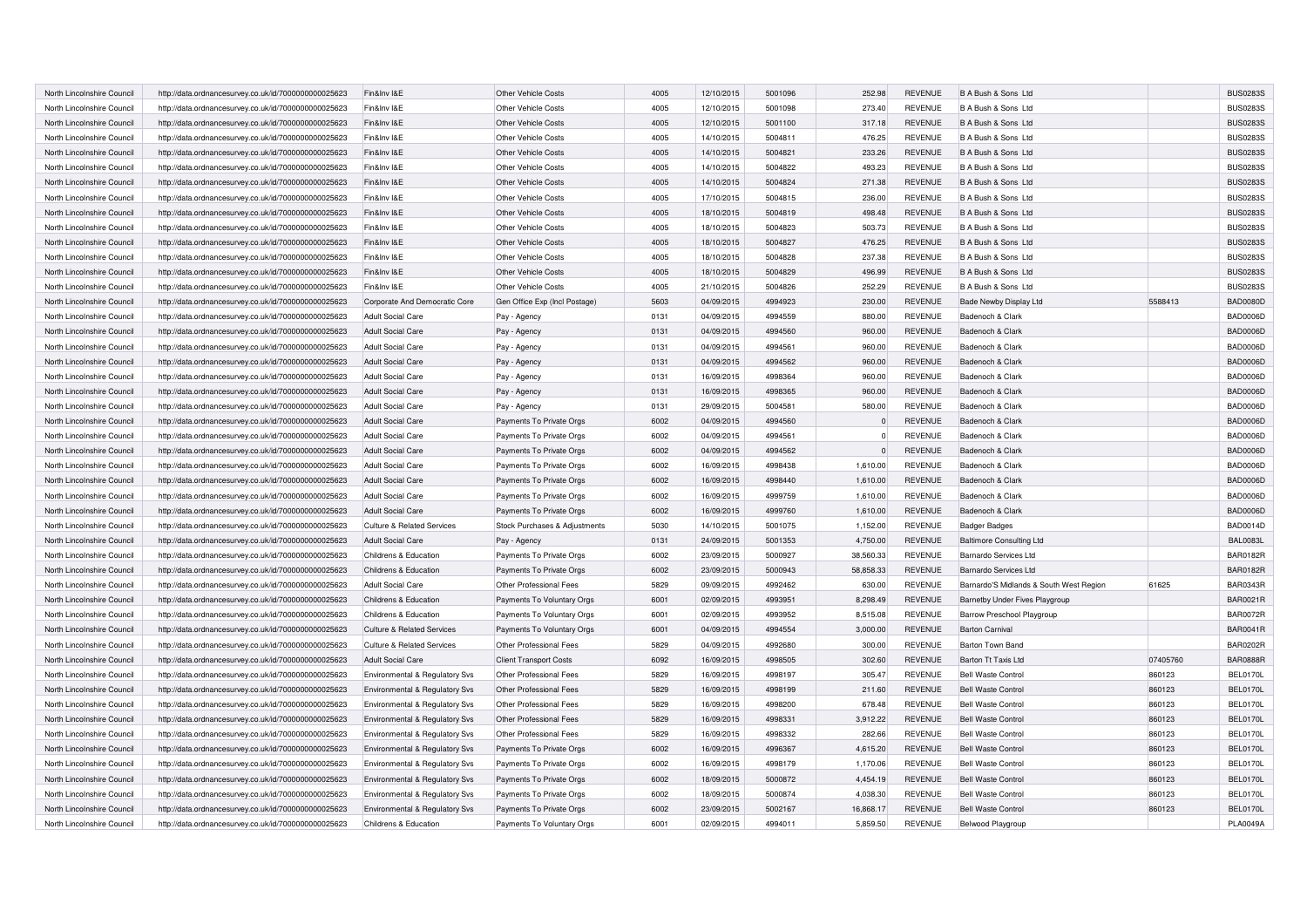| North Lincolnshire Council | http://data.ordnancesurvey.co.uk/id/7000000000025623 | Fin&Inv I&E                           | Other Vehicle Costs           | 4005 | 12/10/2015 | 5001096 | 252.98    | <b>REVENUE</b> | B A Bush & Sons Ltd                     |          | <b>BUS0283S</b> |
|----------------------------|------------------------------------------------------|---------------------------------------|-------------------------------|------|------------|---------|-----------|----------------|-----------------------------------------|----------|-----------------|
| North Lincolnshire Council | http://data.ordnancesurvey.co.uk/id/7000000000025623 | Fin&Inv I&E                           | Other Vehicle Costs           | 4005 | 12/10/2015 | 5001098 | 273.40    | <b>REVENUE</b> | B A Bush & Sons Ltd                     |          | <b>BUS0283S</b> |
| North Lincolnshire Council | http://data.ordnancesurvey.co.uk/id/7000000000025623 | Fin&Inv I&E                           | <b>Other Vehicle Costs</b>    | 4005 | 12/10/2015 | 5001100 | 317.18    | <b>REVENUE</b> | B A Bush & Sons Ltd                     |          | <b>BUS0283S</b> |
| North Lincolnshire Council | http://data.ordnancesurvey.co.uk/id/7000000000025623 | Fin&Inv I&E                           | Other Vehicle Costs           | 4005 | 14/10/2015 | 500481  | 476.25    | <b>REVENUE</b> | B A Bush & Sons Ltd                     |          | <b>BUS0283S</b> |
| North Lincolnshire Council | http://data.ordnancesurvey.co.uk/id/7000000000025623 | Fin&Inv I&E                           | Other Vehicle Costs           | 4005 | 14/10/2015 | 5004821 | 233.26    | <b>REVENUE</b> | B A Bush & Sons Ltd                     |          | <b>BUS0283S</b> |
| North Lincolnshire Council | http://data.ordnancesurvey.co.uk/id/7000000000025623 | Fin&Inv I&E                           | <b>Other Vehicle Costs</b>    | 4005 | 14/10/2015 | 5004822 | 493.23    | <b>REVENUE</b> | B A Bush & Sons Ltd                     |          | <b>BUS0283S</b> |
| North Lincolnshire Council | http://data.ordnancesurvey.co.uk/id/7000000000025623 | Fin&Inv I&E                           | Other Vehicle Costs           | 4005 | 14/10/2015 | 5004824 | 271.38    | <b>REVENUE</b> | B A Bush & Sons Ltd                     |          | <b>BUS0283S</b> |
| North Lincolnshire Council | http://data.ordnancesurvey.co.uk/id/7000000000025623 | Fin&Inv I&E                           | <b>Other Vehicle Costs</b>    | 4005 | 17/10/2015 | 5004815 | 236.00    | <b>REVENUE</b> | B A Bush & Sons Ltd                     |          | <b>BUS0283S</b> |
| North Lincolnshire Council | http://data.ordnancesurvey.co.uk/id/7000000000025623 | Fin&Inv I&E                           | <b>Other Vehicle Costs</b>    | 4005 | 18/10/2015 | 5004819 | 498.48    | <b>REVENUE</b> | B A Bush & Sons Ltd                     |          | <b>BUS0283S</b> |
| North Lincolnshire Council | http://data.ordnancesurvey.co.uk/id/7000000000025623 | Fin&Inv I&E                           | Other Vehicle Costs           | 4005 | 18/10/2015 | 5004823 | 503.73    | <b>REVENUE</b> | B A Bush & Sons Ltd                     |          | <b>BUS0283S</b> |
| North Lincolnshire Council | http://data.ordnancesurvey.co.uk/id/7000000000025623 | Fin&Inv I&E                           | <b>Other Vehicle Costs</b>    | 4005 | 18/10/2015 | 5004827 | 476.25    | <b>REVENUE</b> | B A Bush & Sons Ltd                     |          | <b>BUS0283S</b> |
| North Lincolnshire Council | http://data.ordnancesurvey.co.uk/id/7000000000025623 | Fin&Inv I&E                           | Other Vehicle Costs           | 4005 | 18/10/2015 | 5004828 | 237.38    | <b>REVENUE</b> | B A Bush & Sons Ltd                     |          | <b>BUS0283S</b> |
| North Lincolnshire Council | http://data.ordnancesurvey.co.uk/id/7000000000025623 | Fin&Inv I&E                           | <b>Other Vehicle Costs</b>    | 4005 | 18/10/2015 | 5004829 | 496.99    | <b>REVENUE</b> | B A Bush & Sons Ltd                     |          | <b>BUS0283S</b> |
| North Lincolnshire Council | http://data.ordnancesurvey.co.uk/id/7000000000025623 | Fin&Inv I&E                           | <b>Other Vehicle Costs</b>    | 4005 | 21/10/2015 | 5004826 | 252.29    | <b>REVENUE</b> | B A Bush & Sons Ltd                     |          | <b>BUS0283S</b> |
| North Lincolnshire Council | http://data.ordnancesurvey.co.uk/id/7000000000025623 | Corporate And Democratic Core         | Gen Office Exp (Incl Postage) | 5603 | 04/09/2015 | 4994923 | 230.00    | <b>REVENUE</b> | <b>Bade Newby Display Ltd</b>           | 5588413  | <b>BAD0080D</b> |
| North Lincolnshire Council | http://data.ordnancesurvey.co.uk/id/7000000000025623 | <b>Adult Social Care</b>              | Pay - Agency                  | 0131 | 04/09/2015 | 4994559 | 880.00    | <b>REVENUE</b> | Badenoch & Clark                        |          | <b>BAD0006D</b> |
| North Lincolnshire Council | http://data.ordnancesurvey.co.uk/id/7000000000025623 | <b>Adult Social Care</b>              | Pay - Agency                  | 0131 | 04/09/2015 | 4994560 | 960.00    | <b>REVENUE</b> | Badenoch & Clark                        |          | <b>BAD0006D</b> |
| North Lincolnshire Council | http://data.ordnancesurvey.co.uk/id/7000000000025623 | <b>Adult Social Care</b>              | Pay - Agency                  | 0131 | 04/09/2015 | 4994561 | 960.00    | <b>REVENUE</b> | Badenoch & Clark                        |          | BAD0006D        |
| North Lincolnshire Council | http://data.ordnancesurvey.co.uk/id/7000000000025623 | <b>Adult Social Care</b>              | Pay - Agency                  | 0131 | 04/09/2015 | 4994562 | 960.00    | <b>REVENUE</b> | Badenoch & Clark                        |          | <b>BAD0006D</b> |
| North Lincolnshire Council | http://data.ordnancesurvey.co.uk/id/7000000000025623 | <b>Adult Social Care</b>              | Pay - Agency                  | 0131 | 16/09/2015 | 4998364 | 960.00    | <b>REVENUE</b> | Badenoch & Clark                        |          | <b>BAD0006D</b> |
|                            |                                                      |                                       |                               | 0131 | 16/09/2015 | 4998365 | 960.00    | <b>REVENUE</b> | Badenoch & Clark                        |          | <b>BAD0006D</b> |
| North Lincolnshire Council | http://data.ordnancesurvey.co.uk/id/7000000000025623 | <b>Adult Social Care</b>              | Pay - Agency                  | 0131 | 29/09/2015 | 5004581 | 580.00    | <b>REVENUE</b> | Badenoch & Clark                        |          | <b>BAD0006D</b> |
| North Lincolnshire Council | http://data.ordnancesurvey.co.uk/id/7000000000025623 | <b>Adult Social Care</b>              | Pay - Agency                  | 6002 | 04/09/2015 | 4994560 |           | <b>REVENUE</b> |                                         |          | <b>BAD0006D</b> |
| North Lincolnshire Council | http://data.ordnancesurvey.co.uk/id/7000000000025623 | <b>Adult Social Care</b>              | Payments To Private Orgs      |      |            |         | $\Omega$  |                | Badenoch & Clark                        |          |                 |
| North Lincolnshire Council | http://data.ordnancesurvey.co.uk/id/7000000000025623 | <b>Adult Social Care</b>              | Payments To Private Orgs      | 6002 | 04/09/2015 | 4994561 |           | <b>REVENUE</b> | Badenoch & Clark                        |          | <b>BAD0006D</b> |
| North Lincolnshire Council | http://data.ordnancesurvey.co.uk/id/7000000000025623 | <b>Adult Social Care</b>              | Payments To Private Orgs      | 6002 | 04/09/2015 | 4994562 |           | <b>REVENUE</b> | Badenoch & Clark                        |          | BAD0006D        |
| North Lincolnshire Council | http://data.ordnancesurvey.co.uk/id/7000000000025623 | <b>Adult Social Care</b>              | Payments To Private Orgs      | 6002 | 16/09/2015 | 4998438 | 1,610.00  | <b>REVENUE</b> | Badenoch & Clark                        |          | <b>BAD0006D</b> |
| North Lincolnshire Council | http://data.ordnancesurvey.co.uk/id/7000000000025623 | <b>Adult Social Care</b>              | Payments To Private Orgs      | 6002 | 16/09/2015 | 4998440 | 1,610.00  | <b>REVENUE</b> | Badenoch & Clark                        |          | <b>BAD0006D</b> |
| North Lincolnshire Council | http://data.ordnancesurvey.co.uk/id/7000000000025623 | <b>Adult Social Care</b>              | Payments To Private Orgs      | 6002 | 16/09/2015 | 4999759 | 1,610.00  | <b>REVENUE</b> | Badenoch & Clark                        |          | <b>BAD0006D</b> |
| North Lincolnshire Council | http://data.ordnancesurvey.co.uk/id/7000000000025623 | <b>Adult Social Care</b>              | Payments To Private Orgs      | 6002 | 16/09/2015 | 4999760 | 1,610.00  | <b>REVENUE</b> | Badenoch & Clark                        |          | <b>BAD0006D</b> |
| North Lincolnshire Council | http://data.ordnancesurvey.co.uk/id/7000000000025623 | Culture & Related Services            | Stock Purchases & Adjustments | 5030 | 14/10/2015 | 5001075 | 1,152.00  | <b>REVENUE</b> | <b>Badger Badges</b>                    |          | <b>BAD0014D</b> |
| North Lincolnshire Council | http://data.ordnancesurvey.co.uk/id/7000000000025623 | <b>Adult Social Care</b>              | Pay - Agency                  | 0131 | 24/09/2015 | 5001353 | 4,750.00  | <b>REVENUE</b> | <b>Baltimore Consulting Ltd</b>         |          | <b>BAL0083L</b> |
| North Lincolnshire Council | http://data.ordnancesurvey.co.uk/id/7000000000025623 | Childrens & Education                 | Payments To Private Orgs      | 6002 | 23/09/2015 | 5000927 | 38,560.33 | <b>REVENUE</b> | <b>Barnardo Services Ltd</b>            |          | <b>BAR0182R</b> |
| North Lincolnshire Council | http://data.ordnancesurvey.co.uk/id/7000000000025623 | Childrens & Education                 | Payments To Private Orgs      | 6002 | 23/09/2015 | 5000943 | 58,858.33 | <b>REVENUE</b> | Barnardo Services Ltd                   |          | <b>BAR0182R</b> |
| North Lincolnshire Council | http://data.ordnancesurvey.co.uk/id/7000000000025623 | <b>Adult Social Care</b>              | Other Professional Fees       | 5829 | 09/09/2015 | 4992462 | 630.00    | <b>REVENUE</b> | Barnardo'S Midlands & South West Region | 61625    | <b>BAR0343R</b> |
| North Lincolnshire Council | http://data.ordnancesurvey.co.uk/id/7000000000025623 | Childrens & Education                 | Payments To Voluntary Orgs    | 6001 | 02/09/2015 | 4993951 | 8,298.49  | <b>REVENUE</b> | Barnetby Under Fives Playgroup          |          | BAR0021R        |
| North Lincolnshire Council | http://data.ordnancesurvey.co.uk/id/7000000000025623 | Childrens & Education                 | Payments To Voluntary Orgs    | 6001 | 02/09/2015 | 4993952 | 8,515.08  | <b>REVENUE</b> | Barrow Preschool Playgroup              |          | <b>BAR0072R</b> |
| North Lincolnshire Council | http://data.ordnancesurvey.co.uk/id/7000000000025623 | <b>Culture &amp; Related Services</b> | Payments To Voluntary Orgs    | 6001 | 04/09/2015 | 4994554 | 3,000.00  | <b>REVENUE</b> | <b>Barton Carnival</b>                  |          | <b>BAR0041R</b> |
| North Lincolnshire Council | http://data.ordnancesurvey.co.uk/id/7000000000025623 | <b>Culture &amp; Related Services</b> | Other Professional Fees       | 5829 | 04/09/2015 | 4992680 | 300.00    | <b>REVENUE</b> | Barton Town Band                        |          | <b>BAR0202R</b> |
| North Lincolnshire Council | http://data.ordnancesurvey.co.uk/id/7000000000025623 | <b>Adult Social Care</b>              | <b>Client Transport Costs</b> | 6092 | 16/09/2015 | 4998505 | 302.60    | <b>REVENUE</b> | Barton Tt Taxis Ltd                     | 07405760 | <b>BAR0888R</b> |
| North Lincolnshire Council | http://data.ordnancesurvey.co.uk/id/7000000000025623 | Environmental & Regulatory Svs        | Other Professional Fees       | 5829 | 16/09/2015 | 4998197 | 305.47    | <b>REVENUE</b> | <b>Bell Waste Control</b>               | 860123   | BEL0170L        |
| North Lincolnshire Council | http://data.ordnancesurvey.co.uk/id/7000000000025623 | Environmental & Regulatory Svs        | Other Professional Fees       | 5829 | 16/09/2015 | 4998199 | 211.60    | <b>REVENUE</b> | Bell Waste Control                      | 860123   | <b>BEL0170L</b> |
| North Lincolnshire Council | http://data.ordnancesurvey.co.uk/id/7000000000025623 | Environmental & Regulatory Svs        | Other Professional Fees       | 5829 | 16/09/2015 | 4998200 | 678.48    | <b>REVENUE</b> | <b>Bell Waste Control</b>               | 860123   | BEL0170L        |
| North Lincolnshire Council | http://data.ordnancesurvey.co.uk/id/7000000000025623 | Environmental & Regulatory Svs        | Other Professional Fees       | 5829 | 16/09/2015 | 4998331 | 3,912.22  | <b>REVENUE</b> | <b>Bell Waste Control</b>               | 860123   | <b>BEL0170L</b> |
| North Lincolnshire Council | http://data.ordnancesurvey.co.uk/id/7000000000025623 | Environmental & Regulatory Svs        | Other Professional Fees       | 5829 | 16/09/2015 | 4998332 | 282.66    | <b>REVENUE</b> | Bell Waste Control                      | 860123   | BEL0170L        |
| North Lincolnshire Council | http://data.ordnancesurvey.co.uk/id/7000000000025623 | Environmental & Regulatory Svs        | Payments To Private Orgs      | 6002 | 16/09/2015 | 4996367 | 4,615.20  | <b>REVENUE</b> | <b>Bell Waste Control</b>               | 860123   | <b>BEL0170L</b> |
| North Lincolnshire Council | http://data.ordnancesurvey.co.uk/id/7000000000025623 | Environmental & Regulatory Svs        | Payments To Private Orgs      | 6002 | 16/09/2015 | 4998179 | 1.170.06  | <b>REVENUE</b> | <b>Bell Waste Control</b>               | 860123   | BEL0170L        |
| North Lincolnshire Council | http://data.ordnancesurvey.co.uk/id/7000000000025623 | Environmental & Regulatory Svs        | Payments To Private Orgs      | 6002 | 18/09/2015 | 5000872 | 4.454.19  | <b>REVENUE</b> | <b>Bell Waste Control</b>               | 860123   | <b>BEL0170L</b> |
| North Lincolnshire Council | http://data.ordnancesurvey.co.uk/id/7000000000025623 | Environmental & Regulatory Svs        | Payments To Private Orgs      | 6002 | 18/09/2015 | 5000874 | 4,038.30  | <b>REVENUE</b> | <b>Bell Waste Control</b>               | 860123   | <b>BEL0170L</b> |
| North Lincolnshire Council | http://data.ordnancesurvey.co.uk/id/7000000000025623 | Environmental & Regulatory Svs        | Payments To Private Orgs      | 6002 | 23/09/2015 | 5002167 | 16.868.17 | <b>REVENUE</b> | <b>Bell Waste Control</b>               | 860123   | BEL0170L        |
| North Lincolnshire Council | http://data.ordnancesurvey.co.uk/id/7000000000025623 | Childrens & Education                 | Payments To Voluntary Orgs    | 6001 | 02/09/2015 | 4994011 | 5.859.50  | <b>REVENUE</b> | <b>Belwood Playgroup</b>                |          | <b>PLA0049A</b> |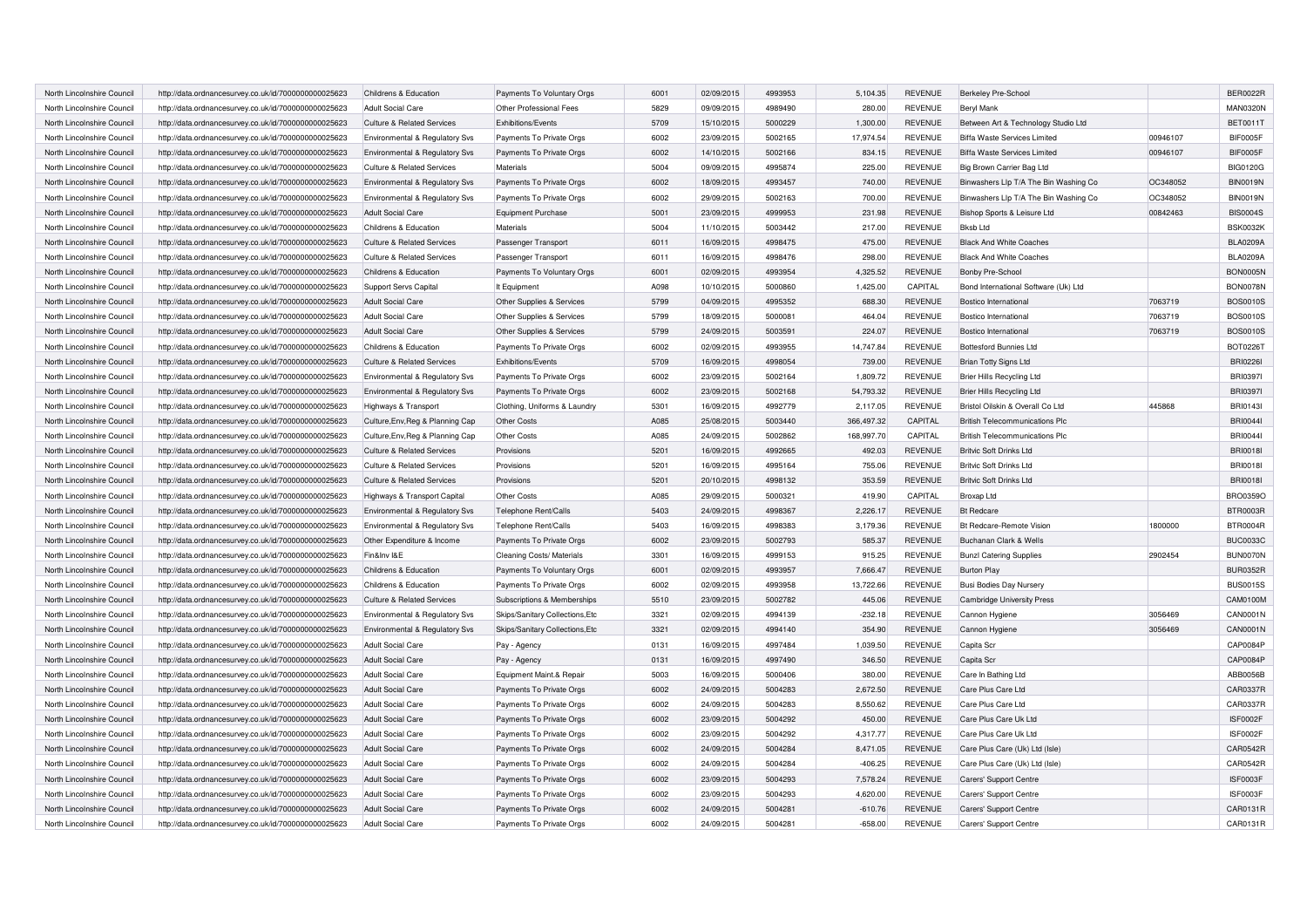| North Lincolnshire Council | http://data.ordnancesurvey.co.uk/id/7000000000025623 | Childrens & Education                 | Payments To Voluntary Orgs       | 6001 | 02/09/2015 | 4993953 | 5,104.35   | <b>REVENUE</b> | Berkeley Pre-School                   |          | <b>BER0022R</b> |
|----------------------------|------------------------------------------------------|---------------------------------------|----------------------------------|------|------------|---------|------------|----------------|---------------------------------------|----------|-----------------|
| North Lincolnshire Council | http://data.ordnancesurvey.co.uk/id/7000000000025623 | <b>Adult Social Care</b>              | Other Professional Fees          | 5829 | 09/09/2015 | 4989490 | 280.00     | <b>REVENUE</b> | Beryl Mank                            |          | <b>MAN0320N</b> |
| North Lincolnshire Council | http://data.ordnancesurvey.co.uk/id/7000000000025623 | <b>Culture &amp; Related Services</b> | Exhibitions/Events               | 5709 | 15/10/2015 | 5000229 | 1,300.00   | <b>REVENUE</b> | Between Art & Technology Studio Ltd   |          | <b>BET0011T</b> |
| North Lincolnshire Council | http://data.ordnancesurvey.co.uk/id/7000000000025623 | Environmental & Regulatory Svs        | Payments To Private Orgs         | 6002 | 23/09/2015 | 5002165 | 17,974.54  | <b>REVENUE</b> | Biffa Waste Services Limited          | 00946107 | BIF0005F        |
| North Lincolnshire Council | http://data.ordnancesurvey.co.uk/id/7000000000025623 | Environmental & Regulatory Svs        | Payments To Private Orgs         | 6002 | 14/10/2015 | 5002166 | 834.15     | <b>REVENUE</b> | Biffa Waste Services Limited          | 00946107 | BIF0005F        |
| North Lincolnshire Council | http://data.ordnancesurvey.co.uk/id/7000000000025623 | <b>Culture &amp; Related Services</b> | Materials                        | 5004 | 09/09/2015 | 4995874 | 225.00     | <b>REVENUE</b> | Big Brown Carrier Bag Ltd             |          | <b>BIG0120G</b> |
| North Lincolnshire Council | http://data.ordnancesurvey.co.uk/id/7000000000025623 | Environmental & Regulatory Svs        | Payments To Private Orgs         | 6002 | 18/09/2015 | 4993457 | 740.00     | <b>REVENUE</b> | Binwashers Llp T/A The Bin Washing Co | OC348052 | <b>BIN0019N</b> |
| North Lincolnshire Council | http://data.ordnancesurvey.co.uk/id/7000000000025623 | Environmental & Regulatory Svs        | Payments To Private Orgs         | 6002 | 29/09/2015 | 5002163 | 700.00     | <b>REVENUE</b> | Binwashers Llp T/A The Bin Washing Co | OC348052 | <b>BIN0019N</b> |
| North Lincolnshire Council | http://data.ordnancesurvey.co.uk/id/7000000000025623 | <b>Adult Social Care</b>              | <b>Equipment Purchase</b>        | 5001 | 23/09/2015 | 4999953 | 231.98     | <b>REVENUE</b> | Bishop Sports & Leisure Ltd           | 00842463 | <b>BIS0004S</b> |
| North Lincolnshire Council | http://data.ordnancesurvey.co.uk/id/7000000000025623 | Childrens & Education                 | <b>Materials</b>                 | 5004 | 11/10/2015 | 5003442 | 217.00     | <b>REVENUE</b> | <b>Bksb Ltd</b>                       |          | <b>BSK0032K</b> |
| North Lincolnshire Council | http://data.ordnancesurvey.co.uk/id/7000000000025623 | <b>Culture &amp; Related Services</b> | Passenger Transport              | 6011 | 16/09/2015 | 4998475 | 475.00     | <b>REVENUE</b> | <b>Black And White Coaches</b>        |          | <b>BLA0209A</b> |
| North Lincolnshire Council | http://data.ordnancesurvey.co.uk/id/7000000000025623 | <b>Culture &amp; Related Services</b> | Passenger Transport              | 6011 | 16/09/2015 | 4998476 | 298.00     | <b>REVENUE</b> | <b>Black And White Coaches</b>        |          | <b>BLA0209A</b> |
| North Lincolnshire Council | http://data.ordnancesurvey.co.uk/id/7000000000025623 | Childrens & Education                 | Payments To Voluntary Orgs       | 6001 | 02/09/2015 | 4993954 | 4,325.52   | <b>REVENUE</b> | Bonby Pre-School                      |          | <b>BON0005N</b> |
| North Lincolnshire Council | http://data.ordnancesurvey.co.uk/id/7000000000025623 | Support Servs Capital                 | It Equipment                     | A098 | 10/10/2015 | 5000860 | 1.425.00   | CAPITAL        | Bond International Software (Uk) Ltd  |          | BON0078N        |
| North Lincolnshire Council | http://data.ordnancesurvey.co.uk/id/7000000000025623 | <b>Adult Social Care</b>              | Other Supplies & Services        | 5799 | 04/09/2015 | 4995352 | 688.30     | <b>REVENUE</b> | Bostico International                 | 7063719  | <b>BOS0010S</b> |
| North Lincolnshire Council | http://data.ordnancesurvey.co.uk/id/7000000000025623 | <b>Adult Social Care</b>              | Other Supplies & Services        | 5799 | 18/09/2015 | 5000081 | 464.04     | <b>REVENUE</b> | Bostico International                 | 7063719  | <b>BOS0010S</b> |
| North Lincolnshire Council | http://data.ordnancesurvey.co.uk/id/7000000000025623 | <b>Adult Social Care</b>              | Other Supplies & Services        | 5799 | 24/09/2015 | 5003591 | 224.07     | <b>REVENUE</b> | Bostico International                 | 7063719  | <b>BOS0010S</b> |
| North Lincolnshire Council | http://data.ordnancesurvey.co.uk/id/7000000000025623 | Childrens & Education                 | Payments To Private Orgs         | 6002 | 02/09/2015 | 4993955 | 14,747.84  | <b>REVENUE</b> | <b>Bottesford Bunnies Ltd</b>         |          | <b>BOT0226T</b> |
| North Lincolnshire Council | http://data.ordnancesurvey.co.uk/id/7000000000025623 | <b>Culture &amp; Related Services</b> | Exhibitions/Events               | 5709 | 16/09/2015 | 4998054 | 739.00     | <b>REVENUE</b> | <b>Brian Totty Signs Ltd</b>          |          | <b>BRI02261</b> |
| North Lincolnshire Council | http://data.ordnancesurvey.co.uk/id/7000000000025623 | Environmental & Regulatory Svs        | Payments To Private Orgs         | 6002 | 23/09/2015 | 5002164 | 1,809.72   | <b>REVENUE</b> | Brier Hills Recycling Ltd             |          | <b>BRI0397I</b> |
| North Lincolnshire Council | http://data.ordnancesurvey.co.uk/id/7000000000025623 | Environmental & Regulatory Svs        | Payments To Private Orgs         | 6002 | 23/09/2015 | 5002168 | 54,793.32  | <b>REVENUE</b> | Brier Hills Recycling Ltd             |          | <b>BRI03971</b> |
| North Lincolnshire Council | http://data.ordnancesurvey.co.uk/id/7000000000025623 | Highways & Transport                  | Clothing, Uniforms & Laundry     | 5301 | 16/09/2015 | 4992779 | 2,117.05   | <b>REVENUE</b> | Bristol Oilskin & Overall Co Ltd      | 445868   | <b>BRI01431</b> |
| North Lincolnshire Council | http://data.ordnancesurvey.co.uk/id/7000000000025623 | Culture, Env, Reg & Planning Cap      | Other Costs                      | A085 | 25/08/2015 | 5003440 | 366,497.32 | CAPITAL        | <b>British Telecommunications Plc</b> |          | <b>BRI00441</b> |
| North Lincolnshire Council | http://data.ordnancesurvey.co.uk/id/7000000000025623 | Culture, Env, Reg & Planning Cap      | Other Costs                      | A085 | 24/09/2015 | 5002862 | 168,997.70 | CAPITAL        | <b>British Telecommunications Plc</b> |          | <b>BRI00441</b> |
| North Lincolnshire Council | http://data.ordnancesurvey.co.uk/id/7000000000025623 | <b>Culture &amp; Related Services</b> | Provisions                       | 5201 | 16/09/2015 | 4992665 | 492.03     | <b>REVENUE</b> | Britvic Soft Drinks Ltd               |          | <b>BRI0018I</b> |
| North Lincolnshire Council | http://data.ordnancesurvey.co.uk/id/7000000000025623 | <b>Culture &amp; Related Services</b> | Provisions                       | 5201 | 16/09/2015 | 4995164 | 755.06     | <b>REVENUE</b> | <b>Britvic Soft Drinks Ltd</b>        |          | <b>BRI0018I</b> |
| North Lincolnshire Council | http://data.ordnancesurvey.co.uk/id/7000000000025623 | <b>Culture &amp; Related Services</b> | Provisions                       | 5201 | 20/10/2015 | 4998132 | 353.59     | <b>REVENUE</b> | <b>Britvic Soft Drinks Ltd</b>        |          | <b>BRI0018I</b> |
| North Lincolnshire Council | http://data.ordnancesurvey.co.uk/id/7000000000025623 | Highways & Transport Capital          | <b>Other Costs</b>               | A085 | 29/09/2015 | 5000321 | 419.90     | CAPITAL        | <b>Broxap Ltd</b>                     |          | BRO0359O        |
| North Lincolnshire Council | http://data.ordnancesurvey.co.uk/id/7000000000025623 | Environmental & Regulatory Svs        | Telephone Rent/Calls             | 5403 | 24/09/2015 | 4998367 | 2,226.17   | <b>REVENUE</b> | <b>Bt Redcare</b>                     |          | <b>BTR0003R</b> |
| North Lincolnshire Council | http://data.ordnancesurvey.co.uk/id/7000000000025623 | Environmental & Regulatory Svs        | Telephone Rent/Calls             | 5403 | 16/09/2015 | 4998383 | 3,179.36   | <b>REVENUE</b> | Bt Redcare-Remote Vision              | 1800000  | <b>BTR0004R</b> |
| North Lincolnshire Council | http://data.ordnancesurvey.co.uk/id/7000000000025623 | Other Expenditure & Income            | Payments To Private Orgs         | 6002 | 23/09/2015 | 5002793 | 585.37     | <b>REVENUE</b> | Buchanan Clark & Wells                |          | <b>BUC0033C</b> |
| North Lincolnshire Council | http://data.ordnancesurvey.co.uk/id/7000000000025623 | Fin&Inv I&E                           | <b>Cleaning Costs/ Materials</b> | 3301 | 16/09/2015 | 4999153 | 915.25     | <b>REVENUE</b> | <b>Bunzl Catering Supplies</b>        | 2902454  | BUN0070N        |
| North Lincolnshire Council | http://data.ordnancesurvey.co.uk/id/7000000000025623 | Childrens & Education                 | Payments To Voluntary Orgs       | 6001 | 02/09/2015 | 4993957 | 7,666.47   | <b>REVENUE</b> | <b>Burton Play</b>                    |          | <b>BUR0352R</b> |
| North Lincolnshire Council | http://data.ordnancesurvey.co.uk/id/7000000000025623 | Childrens & Education                 | Payments To Private Orgs         | 6002 | 02/09/2015 | 4993958 | 13,722.66  | <b>REVENUE</b> | <b>Busi Bodies Day Nursery</b>        |          | <b>BUS0015S</b> |
| North Lincolnshire Council | http://data.ordnancesurvey.co.uk/id/7000000000025623 | <b>Culture &amp; Related Services</b> | Subscriptions & Memberships      | 5510 | 23/09/2015 | 5002782 | 445.06     | <b>REVENUE</b> | Cambridge University Press            |          | CAM0100M        |
| North Lincolnshire Council | http://data.ordnancesurvey.co.uk/id/7000000000025623 | Environmental & Regulatory Svs        | Skips/Sanitary Collections, Etc  | 3321 | 02/09/2015 | 4994139 | $-232.18$  | <b>REVENUE</b> | Cannon Hygiene                        | 3056469  | CAN0001N        |
| North Lincolnshire Council | http://data.ordnancesurvey.co.uk/id/7000000000025623 | Environmental & Regulatory Svs        | Skips/Sanitary Collections, Etc  | 3321 | 02/09/2015 | 4994140 | 354.90     | REVENUE        | Cannon Hygiene                        | 3056469  | CAN0001N        |
| North Lincolnshire Council | http://data.ordnancesurvey.co.uk/id/7000000000025623 | <b>Adult Social Care</b>              | Pay - Agency                     | 0131 | 16/09/2015 | 4997484 | 1,039.50   | <b>REVENUE</b> | Capita Scr                            |          | CAP0084P        |
| North Lincolnshire Council | http://data.ordnancesurvey.co.uk/id/7000000000025623 | <b>Adult Social Care</b>              | Pay - Agency                     | 0131 | 16/09/2015 | 4997490 | 346.50     | <b>REVENUE</b> | Capita Scr                            |          | CAP0084P        |
| North Lincolnshire Council | http://data.ordnancesurvey.co.uk/id/7000000000025623 | <b>Adult Social Care</b>              | Equipment Maint.& Repair         | 5003 | 16/09/2015 | 5000406 | 380.00     | <b>REVENUE</b> | Care In Bathing Ltd                   |          | ABB0056B        |
| North Lincolnshire Council | http://data.ordnancesurvey.co.uk/id/7000000000025623 | <b>Adult Social Care</b>              | Payments To Private Orgs         | 6002 | 24/09/2015 | 5004283 | 2,672.50   | <b>REVENUE</b> | Care Plus Care Ltd                    |          | CAR0337R        |
| North Lincolnshire Council | http://data.ordnancesurvey.co.uk/id/7000000000025623 | <b>Adult Social Care</b>              | Payments To Private Orgs         | 6002 | 24/09/2015 | 5004283 | 8,550.62   | <b>REVENUE</b> | Care Plus Care Ltd                    |          | CAR0337R        |
| North Lincolnshire Council | http://data.ordnancesurvey.co.uk/id/7000000000025623 | <b>Adult Social Care</b>              | Payments To Private Orgs         | 6002 | 23/09/2015 | 5004292 | 450.00     | <b>REVENUE</b> | Care Plus Care Uk Ltd                 |          | <b>ISF0002F</b> |
| North Lincolnshire Council | http://data.ordnancesurvey.co.uk/id/7000000000025623 | <b>Adult Social Care</b>              | Payments To Private Orgs         | 6002 | 23/09/2015 | 5004292 | 4,317.77   | <b>REVENUE</b> | Care Plus Care Uk Ltd                 |          | ISF0002F        |
| North Lincolnshire Council | http://data.ordnancesurvey.co.uk/id/7000000000025623 | <b>Adult Social Care</b>              | Payments To Private Orgs         | 6002 | 24/09/2015 | 5004284 | 8,471.05   | <b>REVENUE</b> | Care Plus Care (Uk) Ltd (Isle)        |          | CAR0542R        |
| North Lincolnshire Council | http://data.ordnancesurvey.co.uk/id/7000000000025623 | <b>Adult Social Care</b>              | Payments To Private Orgs         | 6002 | 24/09/2015 | 5004284 | $-406.25$  | <b>REVENUE</b> | Care Plus Care (Uk) Ltd (Isle)        |          | CAR0542R        |
| North Lincolnshire Council | http://data.ordnancesurvey.co.uk/id/7000000000025623 | <b>Adult Social Care</b>              | Payments To Private Orgs         | 6002 | 23/09/2015 | 5004293 | 7,578.24   | <b>REVENUE</b> | Carers' Support Centre                |          | ISF0003F        |
| North Lincolnshire Council | http://data.ordnancesurvey.co.uk/id/7000000000025623 | <b>Adult Social Care</b>              | Payments To Private Orgs         | 6002 | 23/09/2015 | 5004293 | 4,620.00   | <b>REVENUE</b> | Carers' Support Centre                |          | ISF0003F        |
| North Lincolnshire Council | http://data.ordnancesurvey.co.uk/id/7000000000025623 | <b>Adult Social Care</b>              | Payments To Private Orgs         | 6002 | 24/09/2015 | 5004281 | $-610.76$  | <b>REVENUE</b> | Carers' Support Centre                |          | CAR0131R        |
| North Lincolnshire Council | http://data.ordnancesurvey.co.uk/id/7000000000025623 | <b>Adult Social Care</b>              | Payments To Private Oras         | 6002 | 24/09/2015 | 5004281 | $-658.00$  | <b>REVENUE</b> | Carers' Support Centre                |          | CAR0131R        |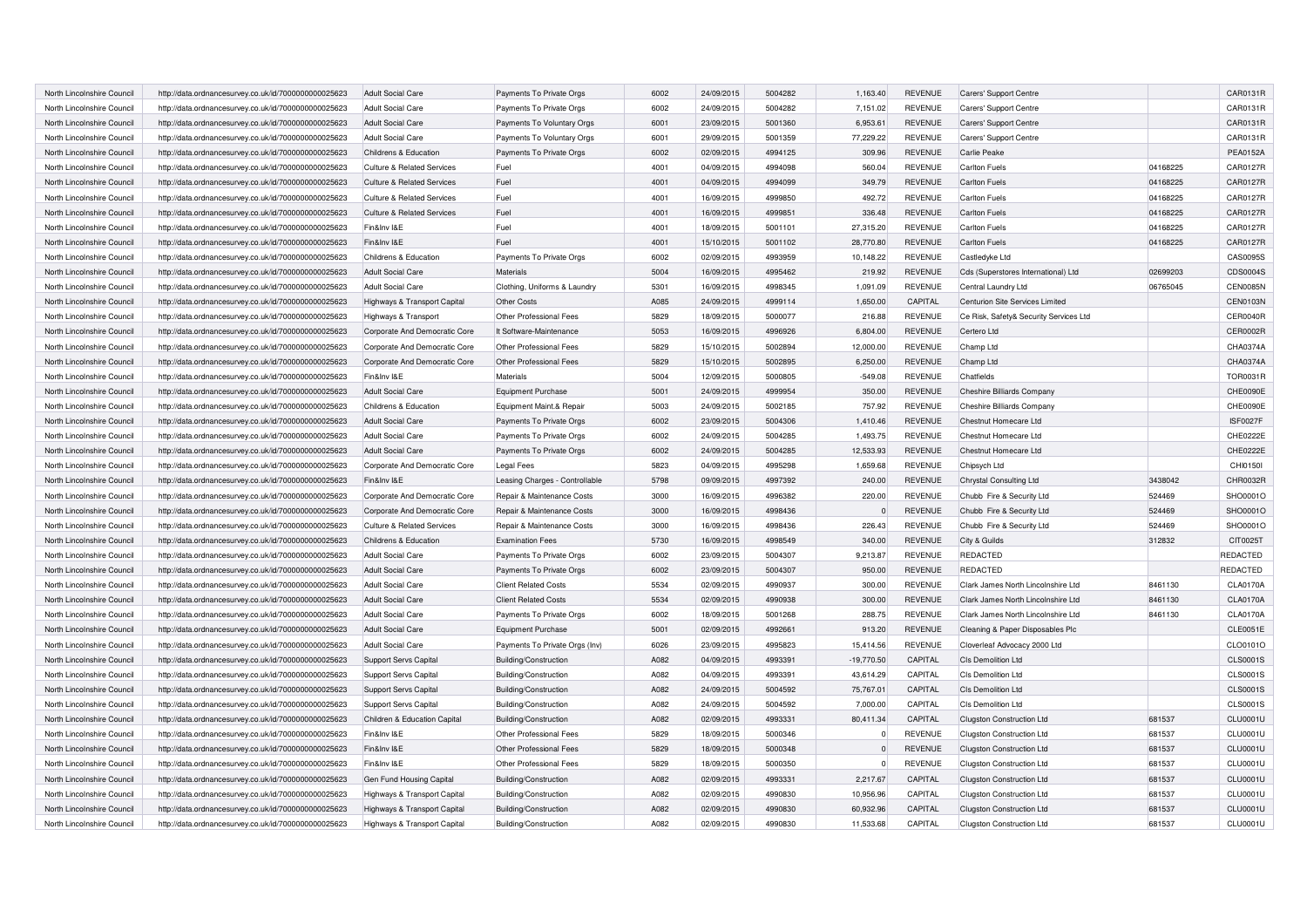| North Lincolnshire Council                               | http://data.ordnancesurvey.co.uk/id/7000000000025623                                                         | <b>Adult Social Care</b>                    | Payments To Private Orgs                         | 6002 | 24/09/2015               | 5004282 | 1,163.40              | <b>REVENUE</b> | Carers' Support Centre                 |                  | CAR0131R                    |
|----------------------------------------------------------|--------------------------------------------------------------------------------------------------------------|---------------------------------------------|--------------------------------------------------|------|--------------------------|---------|-----------------------|----------------|----------------------------------------|------------------|-----------------------------|
| North Lincolnshire Council                               | http://data.ordnancesurvey.co.uk/id/7000000000025623                                                         | <b>Adult Social Care</b>                    | Payments To Private Orgs                         | 6002 | 24/09/2015               | 5004282 | 7,151.02              | <b>REVENUE</b> | Carers' Support Centre                 |                  | CAR0131R                    |
| North Lincolnshire Counci                                | http://data.ordnancesurvey.co.uk/id/7000000000025623                                                         | <b>Adult Social Care</b>                    | Payments To Voluntary Orgs                       | 6001 | 23/09/2015               | 5001360 | 6,953.61              | <b>REVENUE</b> | Carers' Support Centre                 |                  | CAR0131R                    |
| North Lincolnshire Council                               | http://data.ordnancesurvey.co.uk/id/7000000000025623                                                         | <b>Adult Social Care</b>                    | Payments To Voluntary Orgs                       | 6001 | 29/09/2015               | 5001359 | 77,229.22             | <b>REVENUE</b> | Carers' Support Centre                 |                  | CAR0131R                    |
| North Lincolnshire Council                               | http://data.ordnancesurvey.co.uk/id/7000000000025623                                                         | Childrens & Education                       | Payments To Private Orgs                         | 6002 | 02/09/2015               | 4994125 | 309.96                | <b>REVENUE</b> | Carlie Peake                           |                  | <b>PEA0152A</b>             |
| North Lincolnshire Council                               | http://data.ordnancesurvey.co.uk/id/7000000000025623                                                         | <b>Culture &amp; Related Services</b>       | Fuel                                             | 4001 | 04/09/2015               | 4994098 | 560.04                | <b>REVENUE</b> | Carlton Fuels                          | 04168225         | CAR0127R                    |
| North Lincolnshire Council                               | http://data.ordnancesurvey.co.uk/id/7000000000025623                                                         | <b>Culture &amp; Related Services</b>       | Fuel                                             | 4001 | 04/09/2015               | 4994099 | 349.79                | <b>REVENUE</b> | Carlton Fuels                          | 04168225         | <b>CAR0127R</b>             |
| North Lincolnshire Council                               | http://data.ordnancesurvey.co.uk/id/7000000000025623                                                         | <b>Culture &amp; Related Services</b>       | Fuel                                             | 4001 | 16/09/2015               | 4999850 | 492.72                | <b>REVENUE</b> | Carlton Fuels                          | 04168225         | CAR0127R                    |
| North Lincolnshire Council                               | http://data.ordnancesurvey.co.uk/id/7000000000025623                                                         | <b>Culture &amp; Related Services</b>       | Fuel                                             | 4001 | 16/09/2015               | 4999851 | 336.48                | <b>REVENUE</b> | <b>Carlton Fuels</b>                   | 04168225         | CAR0127R                    |
| North Lincolnshire Council                               | http://data.ordnancesurvey.co.uk/id/7000000000025623                                                         | Fin&Inv I&E                                 | Fuel                                             | 4001 | 18/09/2015               | 5001101 | 27,315.20             | <b>REVENUE</b> | Carlton Fuels                          | 04168225         | <b>CAR0127R</b>             |
| North Lincolnshire Council                               | http://data.ordnancesurvey.co.uk/id/7000000000025623                                                         | Fin&Inv I&E                                 | Fuel                                             | 4001 | 15/10/2015               | 5001102 | 28,770.80             | <b>REVENUE</b> | Carlton Fuels                          | 04168225         | CAR0127R                    |
| North Lincolnshire Council                               | http://data.ordnancesurvey.co.uk/id/7000000000025623                                                         | Childrens & Education                       | Payments To Private Orgs                         | 6002 | 02/09/2015               | 4993959 | 10,148.22             | <b>REVENUE</b> | Castledyke Ltd                         |                  | CAS0095S                    |
| North Lincolnshire Council                               | http://data.ordnancesurvey.co.uk/id/7000000000025623                                                         | <b>Adult Social Care</b>                    | <b>Materials</b>                                 | 5004 | 16/09/2015               | 4995462 | 219.92                | <b>REVENUE</b> | Cds (Superstores International) Ltd    | 02699203         | CDS0004S                    |
| North Lincolnshire Council                               | http://data.ordnancesurvey.co.uk/id/7000000000025623                                                         | <b>Adult Social Care</b>                    | Clothing, Uniforms & Laundry                     | 5301 | 16/09/2015               | 4998345 | 1.091.09              | <b>REVENUE</b> | Central Laundry Ltd                    | 06765045         | CEN0085N                    |
| North Lincolnshire Council                               | http://data.ordnancesurvey.co.uk/id/7000000000025623                                                         | Highways & Transport Capital                | Other Costs                                      | A085 | 24/09/2015               | 4999114 | 1,650.00              | CAPITAL        | Centurion Site Services Limited        |                  | CEN0103N                    |
| North Lincolnshire Council                               | http://data.ordnancesurvey.co.uk/id/7000000000025623                                                         | Highways & Transport                        | Other Professional Fees                          | 5829 | 18/09/2015               | 5000077 | 216.88                | <b>REVENUE</b> | Ce Risk, Safety& Security Services Ltd |                  | CER0040R                    |
| North Lincolnshire Council                               | http://data.ordnancesurvey.co.uk/id/7000000000025623                                                         | Corporate And Democratic Core               | It Software-Maintenance                          | 5053 | 16/09/2015               | 4996926 | 6.804.00              | <b>REVENUE</b> | Certero Ltd                            |                  | CER0002R                    |
| North Lincolnshire Council                               | http://data.ordnancesurvey.co.uk/id/7000000000025623                                                         | Corporate And Democratic Core               | Other Professional Fees                          | 5829 | 15/10/2015               | 5002894 | 12,000.00             | <b>REVENUE</b> | Champ Ltd                              |                  | CHA0374A                    |
| North Lincolnshire Council                               | http://data.ordnancesurvey.co.uk/id/7000000000025623                                                         | Corporate And Democratic Core               | Other Professional Fees                          | 5829 | 15/10/2015               | 5002895 | 6,250.00              | <b>REVENUE</b> | Champ Ltd                              |                  | CHA0374A                    |
| North Lincolnshire Council                               | http://data.ordnancesurvey.co.uk/id/7000000000025623                                                         | Fin&Inv I&E                                 | <b>Materials</b>                                 | 5004 | 12/09/2015               | 5000805 | $-549.08$             | <b>REVENUE</b> | Chatfields                             |                  | TOR0031R                    |
| North Lincolnshire Council                               | http://data.ordnancesurvey.co.uk/id/7000000000025623                                                         | <b>Adult Social Care</b>                    | <b>Equipment Purchase</b>                        | 5001 | 24/09/2015               | 4999954 | 350.00                | <b>REVENUE</b> | Cheshire Billiards Company             |                  | CHE0090E                    |
| North Lincolnshire Council                               | http://data.ordnancesurvey.co.uk/id/7000000000025623                                                         | Childrens & Education                       | Equipment Maint.& Repair                         | 5003 | 24/09/2015               | 5002185 | 757.92                | <b>REVENUE</b> | Cheshire Billiards Company             |                  | CHE0090E                    |
| North Lincolnshire Council                               | http://data.ordnancesurvey.co.uk/id/7000000000025623                                                         | <b>Adult Social Care</b>                    | Payments To Private Orgs                         | 6002 | 23/09/2015               | 5004306 | 1,410.46              | <b>REVENUE</b> | Chestnut Homecare Ltd                  |                  | <b>ISF0027F</b>             |
| North Lincolnshire Council                               | http://data.ordnancesurvey.co.uk/id/7000000000025623                                                         | <b>Adult Social Care</b>                    | Payments To Private Orgs                         | 6002 | 24/09/2015               | 5004285 | 1,493.75              | <b>REVENUE</b> | Chestnut Homecare Ltd                  |                  | CHE0222E                    |
| North Lincolnshire Council                               | http://data.ordnancesurvey.co.uk/id/7000000000025623                                                         | <b>Adult Social Care</b>                    | Payments To Private Orgs                         | 6002 | 24/09/2015               | 5004285 | 12,533.93             | <b>REVENUE</b> | Chestnut Homecare Ltd                  |                  | CHE0222E                    |
| North Lincolnshire Council                               | http://data.ordnancesurvey.co.uk/id/7000000000025623                                                         | Corporate And Democratic Core               | Legal Fees                                       | 5823 | 04/09/2015               | 4995298 | 1,659.68              | <b>REVENUE</b> | Chipsych Ltd                           |                  | CHI01501                    |
| North Lincolnshire Council                               | http://data.ordnancesurvey.co.uk/id/7000000000025623                                                         | Fin&Inv I&E                                 | Leasing Charges - Controllable                   | 5798 | 09/09/2015               | 4997392 | 240.00                | <b>REVENUE</b> | Chrystal Consulting Ltd                | 3438042          | CHR0032R                    |
| North Lincolnshire Council                               | http://data.ordnancesurvey.co.uk/id/7000000000025623                                                         | Corporate And Democratic Core               | Repair & Maintenance Costs                       | 3000 | 16/09/2015               | 4996382 | 220.00                | <b>REVENUE</b> | Chubb Fire & Security Ltd              | 524469           | SHO0001C                    |
| North Lincolnshire Council                               | http://data.ordnancesurvey.co.uk/id/7000000000025623                                                         | Corporate And Democratic Core               | Repair & Maintenance Costs                       | 3000 | 16/09/2015               | 4998436 | $\mathbf 0$           | <b>REVENUE</b> | Chubb Fire & Security Ltd              | 524469           | SHO0001O                    |
| North Lincolnshire Council                               | http://data.ordnancesurvey.co.uk/id/7000000000025623                                                         | <b>Culture &amp; Related Services</b>       | Repair & Maintenance Costs                       | 3000 | 16/09/2015               | 4998436 | 226.43                | <b>REVENUE</b> | Chubb Fire & Security Ltd              | 524469           | SHO0001O                    |
| North Lincolnshire Council                               | http://data.ordnancesurvey.co.uk/id/7000000000025623                                                         | Childrens & Education                       | <b>Examination Fees</b>                          | 5730 | 16/09/2015               | 4998549 | 340.00                | <b>REVENUE</b> | City & Guilds                          | 312832           | CIT0025T                    |
| North Lincolnshire Council                               | http://data.ordnancesurvey.co.uk/id/7000000000025623                                                         | <b>Adult Social Care</b>                    | Payments To Private Orgs                         | 6002 | 23/09/2015               | 5004307 | 9,213.87              | <b>REVENUE</b> | <b>REDACTED</b>                        |                  | REDACTED                    |
| North Lincolnshire Council                               | http://data.ordnancesurvey.co.uk/id/7000000000025623                                                         | <b>Adult Social Care</b>                    | Payments To Private Orgs                         | 6002 | 23/09/2015               | 5004307 | 950.00                | <b>REVENUE</b> | <b>REDACTED</b>                        |                  | <b>REDACTED</b>             |
| North Lincolnshire Council                               | http://data.ordnancesurvey.co.uk/id/7000000000025623                                                         | <b>Adult Social Care</b>                    | <b>Client Related Costs</b>                      | 5534 | 02/09/2015               | 4990937 | 300.00                | <b>REVENUE</b> | Clark James North Lincolnshire Ltd     | 8461130          | <b>CLA0170A</b>             |
| North Lincolnshire Council                               | http://data.ordnancesurvey.co.uk/id/7000000000025623                                                         | <b>Adult Social Care</b>                    | <b>Client Related Costs</b>                      | 5534 | 02/09/2015               | 4990938 | 300.00                | <b>REVENUE</b> | Clark James North Lincolnshire Ltd     | 8461130          | <b>CLA0170A</b>             |
| North Lincolnshire Council                               | http://data.ordnancesurvey.co.uk/id/7000000000025623                                                         | <b>Adult Social Care</b>                    | Payments To Private Orgs                         | 6002 | 18/09/2015               | 5001268 | 288.75                | <b>REVENUE</b> | Clark James North Lincolnshire Ltd     | 8461130          | <b>CLA0170A</b>             |
| North Lincolnshire Council                               | http://data.ordnancesurvey.co.uk/id/7000000000025623                                                         | <b>Adult Social Care</b>                    | <b>Equipment Purchase</b>                        | 5001 | 02/09/2015               | 4992661 | 913.20                | <b>REVENUE</b> | Cleaning & Paper Disposables Plo       |                  | CLE0051E                    |
| North Lincolnshire Council                               | http://data.ordnancesurvey.co.uk/id/7000000000025623                                                         | <b>Adult Social Care</b>                    | Payments To Private Orgs (Inv)                   | 6026 | 23/09/2015               | 4995823 | 15,414.56             | <b>REVENUE</b> | Cloverleaf Advocacy 2000 Ltd           |                  | CLO0101O                    |
| North Lincolnshire Council                               | http://data.ordnancesurvey.co.uk/id/7000000000025623                                                         | Support Servs Capital                       | Building/Construction                            | A082 | 04/09/2015               | 4993391 | $-19,770.50$          | CAPITAL        | CIs Demolition Ltd                     |                  | <b>CLS0001S</b>             |
| North Lincolnshire Council                               | http://data.ordnancesurvey.co.uk/id/7000000000025623                                                         | <b>Support Servs Capital</b>                | Building/Construction                            | A082 | 04/09/2015               | 499339  | 43,614.29             | CAPITAL        | CIs Demolition Ltd                     |                  | <b>CLS0001S</b>             |
| North Lincolnshire Council                               | http://data.ordnancesurvey.co.uk/id/7000000000025623                                                         | Support Servs Capital                       | Building/Construction                            | A082 | 24/09/2015               | 5004592 | 75,767.01             | CAPITAL        | Cls Demolition Ltd                     |                  | <b>CLS0001S</b>             |
| North Lincolnshire Council                               | http://data.ordnancesurvey.co.uk/id/7000000000025623                                                         | <b>Support Servs Capital</b>                | Building/Construction                            | A082 | 24/09/2015               | 5004592 | 7,000.00              | CAPITAL        | CIs Demolition Ltd                     |                  | <b>CLS0001S</b>             |
|                                                          |                                                                                                              |                                             |                                                  | A082 |                          | 4993331 |                       | CAPITAL        |                                        |                  | <b>CLU0001U</b>             |
| North Lincolnshire Council<br>North Lincolnshire Council | http://data.ordnancesurvey.co.uk/id/7000000000025623<br>http://data.ordnancesurvey.co.uk/id/7000000000025623 | Children & Education Capital<br>Fin&Inv I&E | Building/Construction<br>Other Professional Fees | 5829 | 02/09/2015<br>18/09/2015 | 5000346 | 80,411.34<br>$\Omega$ | <b>REVENUE</b> | <b>Clugston Construction Ltd</b>       | 681537<br>681537 | <b>CLU0001U</b>             |
|                                                          |                                                                                                              |                                             |                                                  | 5829 |                          | 5000348 | $\Omega$              |                | Clugston Construction Ltd              |                  |                             |
| North Lincolnshire Council                               | http://data.ordnancesurvey.co.uk/id/7000000000025623                                                         | Fin&Inv I&E                                 | Other Professional Fees                          | 5829 | 18/09/2015               | 5000350 | $\Omega$              | REVENUE        | Clugston Construction Ltd              | 681537<br>681537 | <b>CLU0001U</b><br>CLU0001U |
| North Lincolnshire Council                               | http://data.ordnancesurvey.co.uk/id/7000000000025623                                                         | Fin&Inv I&E                                 | Other Professional Fees                          |      | 18/09/2015               |         |                       | <b>REVENUE</b> | Clugston Construction Ltd              |                  |                             |
| North Lincolnshire Council                               | http://data.ordnancesurvey.co.uk/id/7000000000025623                                                         | Gen Fund Housing Capital                    | Building/Construction                            | A082 | 02/09/2015               | 4993331 | 2,217.67              | CAPITAL        | Clugston Construction Ltd              | 681537           | <b>CLU0001U</b>             |
| North Lincolnshire Council                               | http://data.ordnancesurvey.co.uk/id/7000000000025623                                                         | Highways & Transport Capital                | Building/Construction                            | A082 | 02/09/2015               | 4990830 | 10,956.96             | CAPITAL        | Clugston Construction Ltd              | 681537           | CLU0001U                    |
| North Lincolnshire Council                               | http://data.ordnancesurvey.co.uk/id/7000000000025623                                                         | Highways & Transport Capital                | Building/Construction                            | A082 | 02/09/2015               | 4990830 | 60.932.96             | CAPITAL        | Clugston Construction Ltd              | 681537           | <b>CLU0001U</b>             |
| North Lincolnshire Council                               | http://data.ordnancesurvey.co.uk/id/7000000000025623                                                         | Highways & Transport Capital                | Building/Construction                            | A082 | 02/09/2015               | 4990830 | 11.533.68             | CAPITAL        | Clugston Construction Ltd              | 681537           | <b>CLU0001U</b>             |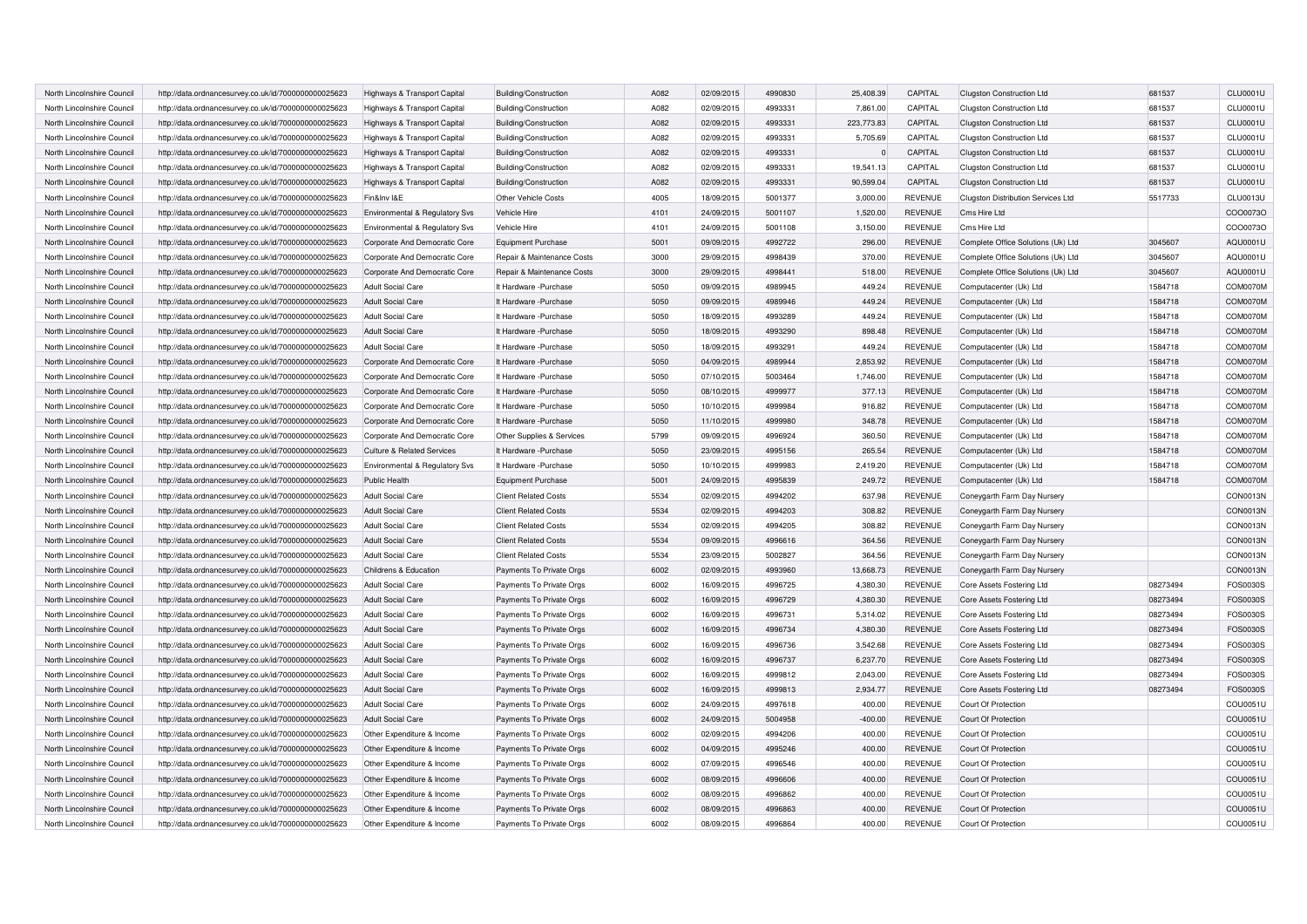| North Lincolnshire Council | http://data.ordnancesurvey.co.uk/id/7000000000025623 | Highways & Transport Capital          | Building/Construction       | A082 | 02/09/2015 | 4990830 | 25.408.39  | CAPITAL        | Clugston Construction Ltd          | 681537   | <b>CLU0001U</b> |
|----------------------------|------------------------------------------------------|---------------------------------------|-----------------------------|------|------------|---------|------------|----------------|------------------------------------|----------|-----------------|
| North Lincolnshire Council | http://data.ordnancesurvey.co.uk/id/7000000000025623 | Highways & Transport Capital          | Building/Construction       | A082 | 02/09/2015 | 4993331 | 7,861.00   | CAPITAL        | Clugston Construction Ltd          | 681537   | CLU0001U        |
| North Lincolnshire Council | http://data.ordnancesurvey.co.uk/id/7000000000025623 | Highways & Transport Capital          | Building/Construction       | A082 | 02/09/2015 | 4993331 | 223,773.83 | CAPITAL        | Clugston Construction Ltd          | 681537   | <b>CLU0001U</b> |
| North Lincolnshire Council | http://data.ordnancesurvey.co.uk/id/7000000000025623 | Highways & Transport Capital          | Building/Construction       | A082 | 02/09/2015 | 4993331 | 5,705.69   | CAPITAL        | Clugston Construction Ltd          | 681537   | CLU0001U        |
| North Lincolnshire Council | http://data.ordnancesurvey.co.uk/id/7000000000025623 | Highways & Transport Capital          | Building/Construction       | A082 | 02/09/2015 | 4993331 | $\Omega$   | CAPITAL        | Clugston Construction Ltd          | 681537   | CLU0001U        |
| North Lincolnshire Council | http://data.ordnancesurvey.co.uk/id/7000000000025623 | Highways & Transport Capital          | Building/Construction       | A082 | 02/09/2015 | 4993331 | 19,541.13  | CAPITAL        | Clugston Construction Ltd          | 681537   | CLU0001U        |
| North Lincolnshire Council | http://data.ordnancesurvey.co.uk/id/7000000000025623 | Highways & Transport Capital          | Building/Construction       | A082 | 02/09/2015 | 4993331 | 90.599.04  | CAPITAL        | <b>Clugston Construction Ltd</b>   | 681537   | <b>CLU0001U</b> |
| North Lincolnshire Council | http://data.ordnancesurvey.co.uk/id/7000000000025623 | Fin&Inv I&E                           | Other Vehicle Costs         | 4005 | 18/09/2015 | 5001377 | 3,000.00   | <b>REVENUE</b> | Clugston Distribution Services Ltd | 5517733  | CLU0013U        |
| North Lincolnshire Council | http://data.ordnancesurvey.co.uk/id/7000000000025623 | Environmental & Regulatory Svs        | Vehicle Hire                | 4101 | 24/09/2015 | 5001107 | 1,520.00   | <b>REVENUE</b> | Cms Hire Ltd                       |          | COO0073O        |
| North Lincolnshire Council | http://data.ordnancesurvey.co.uk/id/7000000000025623 | Environmental & Regulatory Svs        | Vehicle Hire                | 4101 | 24/09/2015 | 5001108 | 3.150.00   | <b>REVENUE</b> | Cms Hire Ltd                       |          | COO0073O        |
| North Lincolnshire Council | http://data.ordnancesurvey.co.uk/id/7000000000025623 | Corporate And Democratic Core         | <b>Equipment Purchase</b>   | 5001 | 09/09/2015 | 4992722 | 296.00     | <b>REVENUE</b> | Complete Office Solutions (Uk) Ltd | 3045607  | AQU0001U        |
| North Lincolnshire Council | http://data.ordnancesurvey.co.uk/id/7000000000025623 | Corporate And Democratic Core         | Repair & Maintenance Costs  | 3000 | 29/09/2015 | 4998439 | 370.00     | <b>REVENUE</b> | Complete Office Solutions (Uk) Ltd | 3045607  | AQU0001U        |
| North Lincolnshire Council | http://data.ordnancesurvey.co.uk/id/7000000000025623 | Corporate And Democratic Core         | Repair & Maintenance Costs  | 3000 | 29/09/2015 | 4998441 | 518.00     | <b>REVENUE</b> | Complete Office Solutions (Uk) Ltd | 3045607  | AQU0001U        |
| North Lincolnshire Council | http://data.ordnancesurvey.co.uk/id/7000000000025623 | <b>Adult Social Care</b>              | It Hardware -Purchase       | 5050 | 09/09/2015 | 4989945 | 449.24     | <b>REVENUE</b> | Computacenter (Uk) Ltd             | 1584718  | COM0070M        |
| North Lincolnshire Council | http://data.ordnancesurvey.co.uk/id/7000000000025623 | <b>Adult Social Care</b>              | It Hardware - Purchase      | 5050 | 09/09/2015 | 4989946 | 449.24     | <b>REVENUE</b> | Computacenter (Uk) Ltd             | 1584718  | COM0070M        |
| North Lincolnshire Council | http://data.ordnancesurvey.co.uk/id/7000000000025623 | <b>Adult Social Care</b>              | It Hardware -Purchase       | 5050 | 18/09/2015 | 4993289 | 449.24     | <b>REVENUE</b> | Computacenter (Uk) Ltd             | 1584718  | COM0070M        |
| North Lincolnshire Council | http://data.ordnancesurvey.co.uk/id/7000000000025623 | <b>Adult Social Care</b>              | It Hardware -Purchase       | 5050 | 18/09/2015 | 4993290 | 898.48     | <b>REVENUE</b> | Computacenter (Uk) Ltd             | 1584718  | COM0070M        |
| North Lincolnshire Council | http://data.ordnancesurvey.co.uk/id/7000000000025623 | <b>Adult Social Care</b>              | It Hardware -Purchase       | 5050 | 18/09/2015 | 4993291 | 449.24     | <b>REVENUE</b> | Computacenter (Uk) Ltd             | 1584718  | COM0070M        |
| North Lincolnshire Council | http://data.ordnancesurvey.co.uk/id/7000000000025623 | Corporate And Democratic Core         | It Hardware - Purchase      | 5050 | 04/09/2015 | 4989944 | 2,853.92   | <b>REVENUE</b> | Computacenter (Uk) Ltd             | 1584718  | COM0070M        |
| North Lincolnshire Council | http://data.ordnancesurvey.co.uk/id/7000000000025623 | Corporate And Democratic Core         | It Hardware -Purchase       | 5050 | 07/10/2015 | 5003464 | 1,746.00   | <b>REVENUE</b> | Computacenter (Uk) Ltd             | 1584718  | COM0070M        |
| North Lincolnshire Council | http://data.ordnancesurvey.co.uk/id/7000000000025623 | Corporate And Democratic Core         | It Hardware - Purchase      | 5050 | 08/10/2015 | 4999977 | 377.13     | <b>REVENUE</b> | Computacenter (Uk) Ltd             | 1584718  | COM0070M        |
| North Lincolnshire Council | http://data.ordnancesurvey.co.uk/id/7000000000025623 | Corporate And Democratic Core         | It Hardware -Purchase       | 5050 | 10/10/2015 | 4999984 | 916.82     | <b>REVENUE</b> | Computacenter (Uk) Ltd             | 1584718  | COM0070M        |
| North Lincolnshire Council | http://data.ordnancesurvey.co.uk/id/7000000000025623 | Corporate And Democratic Core         | It Hardware - Purchase      | 5050 | 11/10/2015 | 4999980 | 348.78     | <b>REVENUE</b> | Computacenter (Uk) Ltd             | 1584718  | COM0070M        |
| North Lincolnshire Council | http://data.ordnancesurvey.co.uk/id/7000000000025623 | Corporate And Democratic Core         | Other Supplies & Services   | 5799 | 09/09/2015 | 4996924 | 360.50     | <b>REVENUE</b> | Computacenter (Uk) Ltd             | 1584718  | COM0070M        |
| North Lincolnshire Council | http://data.ordnancesurvey.co.uk/id/7000000000025623 | <b>Culture &amp; Related Services</b> | It Hardware - Purchase      | 5050 | 23/09/2015 | 4995156 | 265.54     | <b>REVENUE</b> | Computacenter (Uk) Ltd             | 1584718  | COM0070M        |
| North Lincolnshire Council | http://data.ordnancesurvey.co.uk/id/7000000000025623 | Environmental & Regulatory Svs        | It Hardware - Purchase      | 5050 | 10/10/2015 | 4999983 | 2,419.20   | <b>REVENUE</b> | Computacenter (Uk) Ltd             | 1584718  | COM0070M        |
| North Lincolnshire Council | http://data.ordnancesurvey.co.uk/id/7000000000025623 | <b>Public Health</b>                  | <b>Equipment Purchase</b>   | 5001 | 24/09/2015 | 4995839 | 249.72     | <b>REVENUE</b> | Computacenter (Uk) Ltd             | 1584718  | COM0070M        |
| North Lincolnshire Council | http://data.ordnancesurvey.co.uk/id/7000000000025623 | <b>Adult Social Care</b>              | <b>Client Related Costs</b> | 5534 | 02/09/2015 | 4994202 | 637.98     | <b>REVENUE</b> | Coneygarth Farm Day Nursery        |          | CON0013N        |
| North Lincolnshire Council | http://data.ordnancesurvey.co.uk/id/7000000000025623 | <b>Adult Social Care</b>              | <b>Client Related Costs</b> | 5534 | 02/09/2015 | 4994203 | 308.82     | <b>REVENUE</b> | Coneygarth Farm Day Nursery        |          | CON0013N        |
| North Lincolnshire Council | http://data.ordnancesurvey.co.uk/id/7000000000025623 | <b>Adult Social Care</b>              | <b>Client Related Costs</b> | 5534 | 02/09/2015 | 4994205 | 308.82     | <b>REVENUE</b> | Coneygarth Farm Day Nursery        |          | CON0013N        |
| North Lincolnshire Council | http://data.ordnancesurvey.co.uk/id/7000000000025623 | <b>Adult Social Care</b>              | <b>Client Related Costs</b> | 5534 | 09/09/2015 | 4996616 | 364.56     | <b>REVENUE</b> | Coneygarth Farm Day Nursery        |          | CON0013N        |
| North Lincolnshire Council | http://data.ordnancesurvey.co.uk/id/7000000000025623 | <b>Adult Social Care</b>              | <b>Client Related Costs</b> | 5534 | 23/09/2015 | 5002827 | 364.56     | <b>REVENUE</b> | Coneygarth Farm Day Nursery        |          | CON0013N        |
| North Lincolnshire Council | http://data.ordnancesurvey.co.uk/id/7000000000025623 | Childrens & Education                 | Payments To Private Orgs    | 6002 | 02/09/2015 | 4993960 | 13,668.73  | <b>REVENUE</b> | Coneygarth Farm Day Nurser         |          | CON0013N        |
| North Lincolnshire Council | http://data.ordnancesurvey.co.uk/id/7000000000025623 | <b>Adult Social Care</b>              | Payments To Private Orgs    | 6002 | 16/09/2015 | 4996725 | 4,380.30   | <b>REVENUE</b> | Core Assets Fostering Ltd          | 08273494 | FOS0030S        |
| North Lincolnshire Council | http://data.ordnancesurvey.co.uk/id/7000000000025623 | <b>Adult Social Care</b>              | Payments To Private Orgs    | 6002 | 16/09/2015 | 4996729 | 4,380.30   | <b>REVENUE</b> | Core Assets Fostering Ltd          | 08273494 | FOS0030S        |
| North Lincolnshire Council | http://data.ordnancesurvey.co.uk/id/7000000000025623 | <b>Adult Social Care</b>              | Payments To Private Orgs    | 6002 | 16/09/2015 | 4996731 | 5,314.02   | <b>REVENUE</b> | Core Assets Fostering Ltd          | 08273494 | FOS0030S        |
| North Lincolnshire Council | http://data.ordnancesurvey.co.uk/id/7000000000025623 | <b>Adult Social Care</b>              | Payments To Private Orgs    | 6002 | 16/09/2015 | 4996734 | 4,380.30   | <b>REVENUE</b> | Core Assets Fostering Ltd          | 08273494 | FOS0030S        |
| North Lincolnshire Council | http://data.ordnancesurvey.co.uk/id/7000000000025623 | <b>Adult Social Care</b>              | Payments To Private Orgs    | 6002 | 16/09/2015 | 4996736 | 3,542.68   | <b>REVENUE</b> | Core Assets Fostering Ltd          | 08273494 | FOS0030S        |
| North Lincolnshire Council | http://data.ordnancesurvey.co.uk/id/7000000000025623 | <b>Adult Social Care</b>              | Payments To Private Orgs    | 6002 | 16/09/2015 | 4996737 | 6,237.70   | <b>REVENUE</b> | Core Assets Fostering Ltd          | 08273494 | FOS0030S        |
| North Lincolnshire Council | http://data.ordnancesurvey.co.uk/id/7000000000025623 | <b>Adult Social Care</b>              | Payments To Private Orgs    | 6002 | 16/09/2015 | 4999812 | 2,043.00   | <b>REVENUE</b> | Core Assets Fostering Ltd          | 08273494 | FOS0030S        |
| North Lincolnshire Council | http://data.ordnancesurvey.co.uk/id/7000000000025623 | <b>Adult Social Care</b>              | Payments To Private Orgs    | 6002 | 16/09/2015 | 4999813 | 2,934.77   | <b>REVENUE</b> | Core Assets Fostering Ltd          | 08273494 | FOS0030S        |
| North Lincolnshire Council | http://data.ordnancesurvey.co.uk/id/7000000000025623 | <b>Adult Social Care</b>              | Payments To Private Orgs    | 6002 | 24/09/2015 | 4997618 | 400.00     | <b>REVENUE</b> | Court Of Protection                |          | COU0051U        |
| North Lincolnshire Council | http://data.ordnancesurvey.co.uk/id/7000000000025623 | <b>Adult Social Care</b>              | Payments To Private Orgs    | 6002 | 24/09/2015 | 5004958 | $-400.00$  | <b>REVENUE</b> | Court Of Protection                |          | COU0051U        |
| North Lincolnshire Council | http://data.ordnancesurvey.co.uk/id/7000000000025623 | Other Expenditure & Income            | Payments To Private Orgs    | 6002 | 02/09/2015 | 4994206 | 400.00     | <b>REVENUE</b> | Court Of Protection                |          | COU0051U        |
| North Lincolnshire Council | http://data.ordnancesurvey.co.uk/id/7000000000025623 | Other Expenditure & Income            | Payments To Private Orgs    | 6002 | 04/09/2015 | 4995246 | 400.00     | <b>REVENUE</b> | Court Of Protection                |          | COU0051U        |
| North Lincolnshire Council | http://data.ordnancesurvey.co.uk/id/7000000000025623 | Other Expenditure & Income            | Payments To Private Orgs    | 6002 | 07/09/2015 | 4996546 | 400.00     | <b>REVENUE</b> | Court Of Protection                |          | COU0051U        |
| North Lincolnshire Council | http://data.ordnancesurvey.co.uk/id/7000000000025623 | Other Expenditure & Income            | Payments To Private Orgs    | 6002 | 08/09/2015 | 4996606 | 400.00     | <b>REVENUE</b> | Court Of Protection                |          | COU0051U        |
| North Lincolnshire Council | http://data.ordnancesurvey.co.uk/id/7000000000025623 | Other Expenditure & Income            | Payments To Private Orgs    | 6002 | 08/09/2015 | 4996862 | 400.00     | <b>REVENUE</b> | Court Of Protection                |          | COU0051U        |
| North Lincolnshire Council | http://data.ordnancesurvey.co.uk/id/7000000000025623 | Other Expenditure & Income            | Payments To Private Orgs    | 6002 | 08/09/2015 | 4996863 | 400.00     | <b>REVENUE</b> | Court Of Protection                |          | COU0051U        |
| North Lincolnshire Council | http://data.ordnancesurvey.co.uk/id/7000000000025623 | Other Expenditure & Income            | Payments To Private Oras    | 6002 | 08/09/2015 | 4996864 | 400.00     | <b>REVENUE</b> | Court Of Protection                |          | COU0051U        |
|                            |                                                      |                                       |                             |      |            |         |            |                |                                    |          |                 |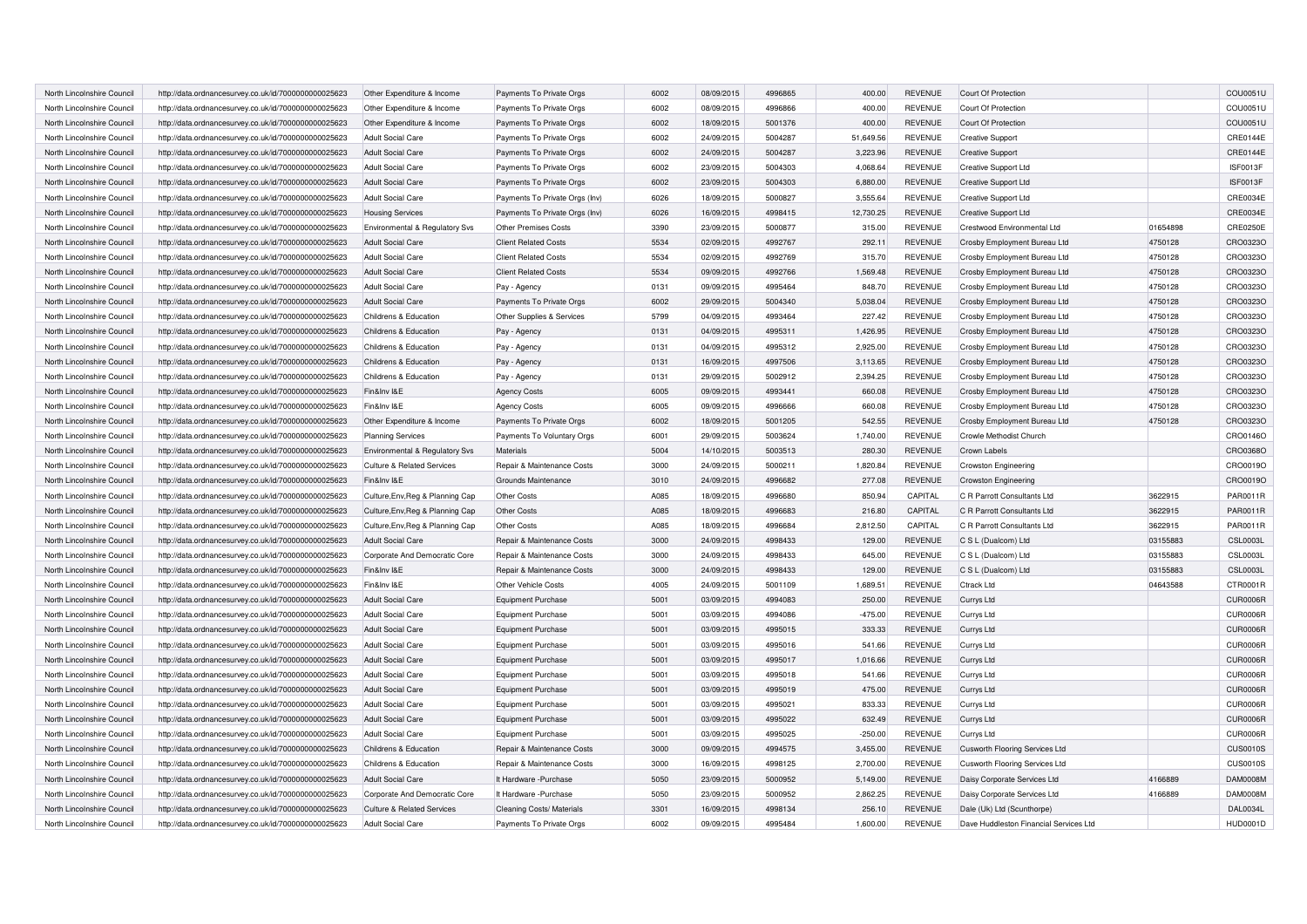| North Lincolnshire Council | http://data.ordnancesurvey.co.uk/id/7000000000025623 | Other Expenditure & Income                | Payments To Private Orgs       | 6002 | 08/09/2015 | 4996865 | 400.00    | <b>REVENUE</b> | Court Of Protection                    |          | COU0051U        |
|----------------------------|------------------------------------------------------|-------------------------------------------|--------------------------------|------|------------|---------|-----------|----------------|----------------------------------------|----------|-----------------|
| North Lincolnshire Council | http://data.ordnancesurvey.co.uk/id/7000000000025623 | Other Expenditure & Income                | Payments To Private Orgs       | 6002 | 08/09/2015 | 4996866 | 400.00    | <b>REVENUE</b> | Court Of Protection                    |          | COU0051U        |
| North Lincolnshire Council | http://data.ordnancesurvey.co.uk/id/7000000000025623 | Other Expenditure & Income                | Payments To Private Orgs       | 6002 | 18/09/2015 | 5001376 | 400.00    | <b>REVENUE</b> | Court Of Protection                    |          | COU0051U        |
| North Lincolnshire Council | http://data.ordnancesurvey.co.uk/id/7000000000025623 | <b>Adult Social Care</b>                  | Payments To Private Orgs       | 6002 | 24/09/2015 | 5004287 | 51,649.56 | <b>REVENUE</b> | <b>Creative Support</b>                |          | CRE0144E        |
| North Lincolnshire Council | http://data.ordnancesurvey.co.uk/id/7000000000025623 | <b>Adult Social Care</b>                  | Payments To Private Orgs       | 6002 | 24/09/2015 | 5004287 | 3,223.96  | <b>REVENUE</b> | <b>Creative Support</b>                |          | CRE0144E        |
| North Lincolnshire Council | http://data.ordnancesurvey.co.uk/id/7000000000025623 | <b>Adult Social Care</b>                  | Payments To Private Orgs       | 6002 | 23/09/2015 | 5004303 | 4,068.64  | <b>REVENUE</b> | <b>Creative Support Ltd</b>            |          | ISF0013F        |
| North Lincolnshire Council | http://data.ordnancesurvey.co.uk/id/7000000000025623 | <b>Adult Social Care</b>                  | Payments To Private Orgs       | 6002 | 23/09/2015 | 5004303 | 6,880.00  | <b>REVENUE</b> | <b>Creative Support Ltd</b>            |          | ISF0013F        |
| North Lincolnshire Council | http://data.ordnancesurvey.co.uk/id/7000000000025623 | <b>Adult Social Care</b>                  | Payments To Private Orgs (Inv) | 6026 | 18/09/2015 | 5000827 | 3,555.64  | <b>REVENUE</b> | Creative Support Ltd                   |          | CRE0034E        |
| North Lincolnshire Council | http://data.ordnancesurvey.co.uk/id/7000000000025623 | <b>Housing Services</b>                   | Payments To Private Orgs (Inv) | 6026 | 16/09/2015 | 4998415 | 12,730.25 | <b>REVENUE</b> | <b>Creative Support Ltd</b>            |          | CRE0034E        |
| North Lincolnshire Council | http://data.ordnancesurvey.co.uk/id/7000000000025623 | Environmental & Regulatory Svs            | Other Premises Costs           | 3390 | 23/09/2015 | 5000877 | 315.00    | <b>REVENUE</b> | Crestwood Environmental Ltd            | 01654898 | <b>CRE0250E</b> |
| North Lincolnshire Council | http://data.ordnancesurvey.co.uk/id/7000000000025623 | <b>Adult Social Care</b>                  | <b>Client Related Costs</b>    | 5534 | 02/09/2015 | 4992767 | 292.11    | <b>REVENUE</b> | Crosby Employment Bureau Ltd           | 4750128  | CRO0323O        |
| North Lincolnshire Council | http://data.ordnancesurvey.co.uk/id/7000000000025623 | <b>Adult Social Care</b>                  | <b>Client Related Costs</b>    | 5534 | 02/09/2015 | 4992769 | 315.70    | <b>REVENUE</b> | Crosby Employment Bureau Ltd           | 4750128  | CRO0323C        |
| North Lincolnshire Council | http://data.ordnancesurvey.co.uk/id/7000000000025623 | <b>Adult Social Care</b>                  | <b>Client Related Costs</b>    | 5534 | 09/09/2015 | 4992766 | 1,569.48  | <b>REVENUE</b> | Crosby Employment Bureau Ltd           | 4750128  | CRO0323C        |
| North Lincolnshire Council | http://data.ordnancesurvey.co.uk/id/7000000000025623 | <b>Adult Social Care</b>                  | Pay - Agency                   | 0131 | 09/09/2015 | 4995464 | 848.70    | <b>REVENUE</b> | Crosby Employment Bureau Ltd           | 4750128  | CRO0323O        |
| North Lincolnshire Council | http://data.ordnancesurvey.co.uk/id/7000000000025623 | <b>Adult Social Care</b>                  | Payments To Private Orgs       | 6002 | 29/09/2015 | 5004340 | 5,038.04  | <b>REVENUE</b> | Crosby Employment Bureau Ltd           | 4750128  | CRO0323O        |
| North Lincolnshire Council | http://data.ordnancesurvey.co.uk/id/7000000000025623 | Childrens & Education                     | Other Supplies & Services      | 5799 | 04/09/2015 | 4993464 | 227.42    | <b>REVENUE</b> | Crosby Employment Bureau Ltd           | 4750128  | CRO0323O        |
| North Lincolnshire Council | http://data.ordnancesurvey.co.uk/id/7000000000025623 | Childrens & Education                     | Pay - Agency                   | 0131 | 04/09/2015 | 4995311 | 1,426.95  | <b>REVENUE</b> | Crosby Employment Bureau Ltd           | 4750128  | CRO0323O        |
| North Lincolnshire Council | http://data.ordnancesurvey.co.uk/id/7000000000025623 | Childrens & Education                     | Pay - Agency                   | 0131 | 04/09/2015 | 4995312 | 2,925.00  | <b>REVENUE</b> | Crosby Employment Bureau Ltd           | 4750128  | CRO0323O        |
| North Lincolnshire Council | http://data.ordnancesurvey.co.uk/id/7000000000025623 | Childrens & Education                     | Pay - Agency                   | 0131 | 16/09/2015 | 4997506 | 3,113.65  | <b>REVENUE</b> | Crosby Employment Bureau Ltd           | 4750128  | CRO0323O        |
| North Lincolnshire Council | http://data.ordnancesurvey.co.uk/id/7000000000025623 | Childrens & Education                     | Pay - Agency                   | 0131 | 29/09/2015 | 5002912 | 2,394.25  | <b>REVENUE</b> | Crosby Employment Bureau Ltd           | 4750128  | CRO0323O        |
| North Lincolnshire Council | http://data.ordnancesurvey.co.uk/id/7000000000025623 | Fin&Inv I&E                               | <b>Agency Costs</b>            | 6005 | 09/09/2015 | 4993441 | 660.08    | REVENUE        | Crosby Employment Bureau Ltd           | 4750128  | CRO0323O        |
| North Lincolnshire Council | http://data.ordnancesurvey.co.uk/id/7000000000025623 | Fin&Inv I&E                               | <b>Agency Costs</b>            | 6005 | 09/09/2015 | 4996666 | 660.08    | <b>REVENUE</b> | Crosby Employment Bureau Ltd           | 4750128  | CRO0323O        |
| North Lincolnshire Council | http://data.ordnancesurvey.co.uk/id/7000000000025623 | Other Expenditure & Income                | Payments To Private Orgs       | 6002 | 18/09/2015 | 5001205 | 542.55    | <b>REVENUE</b> | Crosby Employment Bureau Ltd           | 4750128  | CRO0323O        |
|                            |                                                      |                                           |                                | 6001 |            | 5003624 |           |                |                                        |          |                 |
| North Lincolnshire Council | http://data.ordnancesurvey.co.uk/id/7000000000025623 | <b>Planning Services</b>                  | Payments To Voluntary Orgs     | 5004 | 29/09/2015 |         | 1,740.00  | REVENUE        | Crowle Methodist Church                |          | CRO0146O        |
| North Lincolnshire Council | http://data.ordnancesurvey.co.uk/id/7000000000025623 | <b>Environmental &amp; Regulatory Svs</b> | Materials                      |      | 14/10/2015 | 5003513 | 280.30    | <b>REVENUE</b> | <b>Crown Labels</b>                    |          | CRO0368C        |
| North Lincolnshire Council | http://data.ordnancesurvey.co.uk/id/7000000000025623 | <b>Culture &amp; Related Services</b>     | Repair & Maintenance Costs     | 3000 | 24/09/2015 | 5000211 | 1,820.84  | <b>REVENUE</b> | <b>Crowston Engineering</b>            |          | CRO0019O        |
| North Lincolnshire Council | http://data.ordnancesurvey.co.uk/id/7000000000025623 | Fin&Inv I&E                               | Grounds Maintenance            | 3010 | 24/09/2015 | 4996682 | 277.08    | <b>REVENUE</b> | <b>Crowston Engineering</b>            |          | CRO0019O        |
| North Lincolnshire Council | http://data.ordnancesurvey.co.uk/id/7000000000025623 | Culture, Env, Reg & Planning Cap          | Other Costs                    | A085 | 18/09/2015 | 4996680 | 850.94    | CAPITAL        | C R Parrott Consultants Ltd            | 3622915  | PAR0011R        |
| North Lincolnshire Council | http://data.ordnancesurvey.co.uk/id/7000000000025623 | Culture, Env, Reg & Planning Cap          | Other Costs                    | A085 | 18/09/2015 | 4996683 | 216.80    | CAPITAL        | C R Parrott Consultants Ltd            | 3622915  | PAR0011R        |
| North Lincolnshire Council | http://data.ordnancesurvey.co.uk/id/7000000000025623 | Culture, Env, Reg & Planning Cap          | <b>Other Costs</b>             | A085 | 18/09/2015 | 4996684 | 2,812.50  | CAPITAL        | C R Parrott Consultants Ltd            | 3622915  | PAR0011R        |
| North Lincolnshire Council | http://data.ordnancesurvey.co.uk/id/7000000000025623 | <b>Adult Social Care</b>                  | Repair & Maintenance Costs     | 3000 | 24/09/2015 | 4998433 | 129.00    | <b>REVENUE</b> | C S L (Dualcom) Ltd                    | 03155883 | <b>CSL0003L</b> |
| North Lincolnshire Council | http://data.ordnancesurvey.co.uk/id/7000000000025623 | Corporate And Democratic Core             | Repair & Maintenance Costs     | 3000 | 24/09/2015 | 4998433 | 645.00    | <b>REVENUE</b> | C S L (Dualcom) Ltd                    | 03155883 | CSL0003L        |
| North Lincolnshire Council | http://data.ordnancesurvey.co.uk/id/7000000000025623 | Fin&Inv I&E                               | Repair & Maintenance Costs     | 3000 | 24/09/2015 | 4998433 | 129.00    | <b>REVENUE</b> | C S L (Dualcom) Ltd                    | 03155883 | CSL0003L        |
| North Lincolnshire Council | http://data.ordnancesurvey.co.uk/id/7000000000025623 | Fin&Inv I&E                               | Other Vehicle Costs            | 4005 | 24/09/2015 | 5001109 | 1,689.51  | <b>REVENUE</b> | <b>Ctrack Ltd</b>                      | 04643588 | CTR0001R        |
| North Lincolnshire Council | http://data.ordnancesurvey.co.uk/id/7000000000025623 | <b>Adult Social Care</b>                  | <b>Equipment Purchase</b>      | 5001 | 03/09/2015 | 4994083 | 250.00    | <b>REVENUE</b> | Currys Ltd                             |          | <b>CUR0006R</b> |
| North Lincolnshire Council | http://data.ordnancesurvey.co.uk/id/7000000000025623 | <b>Adult Social Care</b>                  | <b>Equipment Purchase</b>      | 5001 | 03/09/2015 | 4994086 | $-475.00$ | <b>REVENUE</b> | Currys Ltd                             |          | <b>CUR0006R</b> |
| North Lincolnshire Council | http://data.ordnancesurvey.co.uk/id/7000000000025623 | <b>Adult Social Care</b>                  | <b>Equipment Purchase</b>      | 5001 | 03/09/2015 | 4995015 | 333.33    | <b>REVENUE</b> | <b>Currys Ltd</b>                      |          | CUR0006R        |
| North Lincolnshire Council | http://data.ordnancesurvey.co.uk/id/7000000000025623 | <b>Adult Social Care</b>                  | Equipment Purchase             | 5001 | 03/09/2015 | 4995016 | 541.66    | <b>REVENUE</b> | Currys Ltd                             |          | CUR0006R        |
| North Lincolnshire Council | http://data.ordnancesurvey.co.uk/id/7000000000025623 | <b>Adult Social Care</b>                  | <b>Equipment Purchase</b>      | 5001 | 03/09/2015 | 4995017 | 1,016.66  | <b>REVENUE</b> | Currys Ltd                             |          | <b>CUR0006R</b> |
| North Lincolnshire Council | http://data.ordnancesurvey.co.uk/id/7000000000025623 | <b>Adult Social Care</b>                  | <b>Equipment Purchase</b>      | 5001 | 03/09/2015 | 4995018 | 541.66    | <b>REVENUE</b> | Currys Ltd                             |          | <b>CUR0006R</b> |
| North Lincolnshire Council | http://data.ordnancesurvey.co.uk/id/7000000000025623 | <b>Adult Social Care</b>                  | <b>Equipment Purchase</b>      | 5001 | 03/09/2015 | 4995019 | 475.00    | <b>REVENUE</b> | Currys Ltd                             |          | CUR0006R        |
| North Lincolnshire Council | http://data.ordnancesurvey.co.uk/id/7000000000025623 | <b>Adult Social Care</b>                  | <b>Equipment Purchase</b>      | 5001 | 03/09/2015 | 4995021 | 833.33    | <b>REVENUE</b> | Currys Ltd                             |          | <b>CUR0006R</b> |
| North Lincolnshire Council | http://data.ordnancesurvey.co.uk/id/7000000000025623 | <b>Adult Social Care</b>                  | <b>Equipment Purchase</b>      | 5001 | 03/09/2015 | 4995022 | 632.49    | <b>REVENUE</b> | Currys Ltd                             |          | CUR0006R        |
| North Lincolnshire Council | http://data.ordnancesurvey.co.uk/id/7000000000025623 | <b>Adult Social Care</b>                  | <b>Equipment Purchase</b>      | 5001 | 03/09/2015 | 4995025 | $-250.00$ | <b>REVENUE</b> | Currys Ltd                             |          | CUR0006R        |
| North Lincolnshire Council | http://data.ordnancesurvey.co.uk/id/7000000000025623 | Childrens & Education                     | Repair & Maintenance Costs     | 3000 | 09/09/2015 | 4994575 | 3,455.00  | <b>REVENUE</b> | Cusworth Flooring Services Ltd         |          | <b>CUS0010S</b> |
| North Lincolnshire Council | http://data.ordnancesurvey.co.uk/id/7000000000025623 | Childrens & Education                     | Repair & Maintenance Costs     | 3000 | 16/09/2015 | 4998125 | 2.700.00  | <b>REVENUE</b> | Cusworth Flooring Services Ltd         |          | <b>CUS0010S</b> |
| North Lincolnshire Council | http://data.ordnancesurvey.co.uk/id/7000000000025623 | <b>Adult Social Care</b>                  | It Hardware - Purchase         | 5050 | 23/09/2015 | 5000952 | 5,149.00  | <b>REVENUE</b> | Daisy Corporate Services Ltd           | 4166889  | <b>DAM0008M</b> |
| North Lincolnshire Council | http://data.ordnancesurvey.co.uk/id/7000000000025623 | Corporate And Democratic Core             | It Hardware - Purchase         | 5050 | 23/09/2015 | 5000952 | 2,862.25  | <b>REVENUE</b> | Daisy Corporate Services Ltd           | 4166889  | <b>DAM0008M</b> |
| North Lincolnshire Council | http://data.ordnancesurvey.co.uk/id/7000000000025623 | <b>Culture &amp; Related Services</b>     | Cleaning Costs/ Materials      | 3301 | 16/09/2015 | 4998134 | 256.10    | <b>REVENUE</b> | Dale (Uk) Ltd (Scunthorpe)             |          | DAL0034L        |
| North Lincolnshire Council | http://data.ordnancesurvey.co.uk/id/7000000000025623 | Adult Social Care                         | Payments To Private Orgs       | 6002 | 09/09/2015 | 4995484 | 1.600.00  | <b>REVENUE</b> | Dave Huddleston Financial Services Ltd |          | <b>HUD0001D</b> |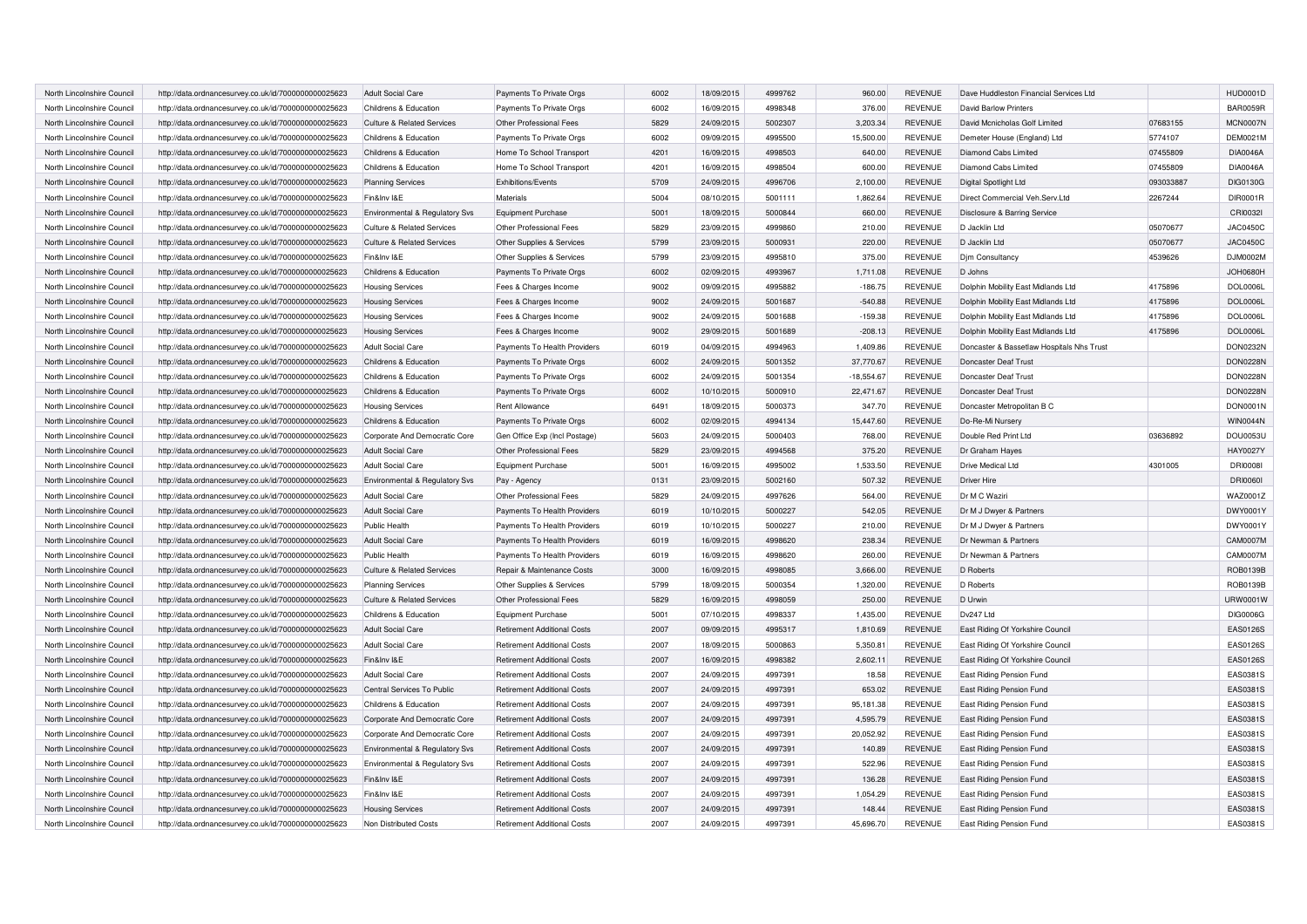| North Lincolnshire Council | http://data.ordnancesurvey.co.uk/id/7000000000025623 | <b>Adult Social Care</b>              | Payments To Private Orgs           | 6002 | 18/09/2015 | 4999762 | 960.00       | <b>REVENUE</b> | Dave Huddleston Financial Services Ltd    |           | <b>HUD0001D</b> |
|----------------------------|------------------------------------------------------|---------------------------------------|------------------------------------|------|------------|---------|--------------|----------------|-------------------------------------------|-----------|-----------------|
| North Lincolnshire Council | http://data.ordnancesurvey.co.uk/id/7000000000025623 | Childrens & Education                 | Payments To Private Orgs           | 6002 | 16/09/2015 | 4998348 | 376.00       | <b>REVENUE</b> | David Barlow Printers                     |           | <b>BAR0059R</b> |
| North Lincolnshire Council | http://data.ordnancesurvey.co.uk/id/7000000000025623 | <b>Culture &amp; Related Services</b> | Other Professional Fees            | 5829 | 24/09/2015 | 5002307 | 3,203.34     | <b>REVENUE</b> | David Mcnicholas Golf Limited             | 07683155  | MCN0007N        |
| North Lincolnshire Council | http://data.ordnancesurvey.co.uk/id/7000000000025623 | Childrens & Education                 | Payments To Private Orgs           | 6002 | 09/09/2015 | 4995500 | 15,500.00    | <b>REVENUE</b> | Demeter House (England) Ltd               | 5774107   | <b>DEM0021M</b> |
| North Lincolnshire Council | http://data.ordnancesurvey.co.uk/id/7000000000025623 | Childrens & Education                 | Home To School Transport           | 4201 | 16/09/2015 | 4998503 | 640.00       | <b>REVENUE</b> | Diamond Cabs Limited                      | 07455809  | <b>DIA0046A</b> |
| North Lincolnshire Council | http://data.ordnancesurvey.co.uk/id/7000000000025623 | Childrens & Education                 | Home To School Transport           | 4201 | 16/09/2015 | 4998504 | 600.00       | <b>REVENUE</b> | Diamond Cabs Limited                      | 07455809  | <b>DIA0046A</b> |
| North Lincolnshire Council | http://data.ordnancesurvey.co.uk/id/7000000000025623 | <b>Planning Services</b>              | Exhibitions/Events                 | 5709 | 24/09/2015 | 4996706 | 2,100.00     | <b>REVENUE</b> | Digital Spotlight Ltd                     | 093033887 | DIG0130G        |
| North Lincolnshire Council | http://data.ordnancesurvey.co.uk/id/7000000000025623 | Fin&Inv I&E                           | Materials                          | 5004 | 08/10/2015 | 5001111 | 1,862.64     | <b>REVENUE</b> | Direct Commercial Veh.Serv.Ltd            | 2267244   | DIR0001R        |
|                            |                                                      |                                       |                                    | 5001 |            |         |              |                |                                           |           |                 |
| North Lincolnshire Council | http://data.ordnancesurvey.co.uk/id/7000000000025623 | Environmental & Regulatory Svs        | <b>Equipment Purchase</b>          |      | 18/09/2015 | 5000844 | 660.00       | <b>REVENUE</b> | Disclosure & Barring Service              |           | CRI0032I        |
| North Lincolnshire Council | http://data.ordnancesurvey.co.uk/id/7000000000025623 | <b>Culture &amp; Related Services</b> | Other Professional Fees            | 5829 | 23/09/2015 | 4999860 | 210.00       | <b>REVENUE</b> | D Jacklin Ltd                             | 05070677  | <b>JAC0450C</b> |
| North Lincolnshire Council | http://data.ordnancesurvey.co.uk/id/7000000000025623 | <b>Culture &amp; Related Services</b> | Other Supplies & Services          | 5799 | 23/09/2015 | 5000931 | 220.00       | <b>REVENUE</b> | D Jacklin Ltd                             | 05070677  | <b>JAC0450C</b> |
| North Lincolnshire Council | http://data.ordnancesurvey.co.uk/id/7000000000025623 | Fin&Inv I&E                           | Other Supplies & Services          | 5799 | 23/09/2015 | 4995810 | 375.00       | <b>REVENUE</b> | Djm Consultancy                           | 4539626   | DJM0002M        |
| North Lincolnshire Council | http://data.ordnancesurvey.co.uk/id/7000000000025623 | Childrens & Education                 | Payments To Private Orgs           | 6002 | 02/09/2015 | 4993967 | 1,711.08     | <b>REVENUE</b> | D Johns                                   |           | <b>JOH0680H</b> |
| North Lincolnshire Council | http://data.ordnancesurvey.co.uk/id/7000000000025623 | <b>Housing Services</b>               | Fees & Charges Income              | 9002 | 09/09/2015 | 4995882 | $-186.75$    | <b>REVENUE</b> | Dolphin Mobility East Midlands Ltd        | 4175896   | <b>DOL0006L</b> |
| North Lincolnshire Council | http://data.ordnancesurvey.co.uk/id/7000000000025623 | <b>Housing Services</b>               | Fees & Charges Income              | 9002 | 24/09/2015 | 5001687 | $-540.88$    | <b>REVENUE</b> | Dolphin Mobility East Midlands Ltd        | 4175896   | <b>DOL0006L</b> |
| North Lincolnshire Council | http://data.ordnancesurvey.co.uk/id/7000000000025623 | <b>Housing Services</b>               | Fees & Charges Income              | 9002 | 24/09/2015 | 5001688 | $-159.38$    | <b>REVENUE</b> | Dolphin Mobility East Midlands Ltd        | 4175896   | <b>DOL0006L</b> |
| North Lincolnshire Council | http://data.ordnancesurvey.co.uk/id/7000000000025623 | <b>Housing Services</b>               | Fees & Charges Income              | 9002 | 29/09/2015 | 5001689 | $-208.13$    | <b>REVENUE</b> | Dolphin Mobility East Midlands Ltd        | 4175896   | <b>DOL0006L</b> |
| North Lincolnshire Council | http://data.ordnancesurvey.co.uk/id/7000000000025623 | <b>Adult Social Care</b>              | Payments To Health Providers       | 6019 | 04/09/2015 | 4994963 | 1,409.86     | <b>REVENUE</b> | Doncaster & Bassetlaw Hospitals Nhs Trust |           | DON0232N        |
| North Lincolnshire Council | http://data.ordnancesurvey.co.uk/id/7000000000025623 | Childrens & Education                 | Payments To Private Orgs           | 6002 | 24/09/2015 | 5001352 | 37,770.67    | <b>REVENUE</b> | Doncaster Deaf Trust                      |           | <b>DON0228N</b> |
| North Lincolnshire Council | http://data.ordnancesurvey.co.uk/id/7000000000025623 | Childrens & Education                 | Payments To Private Orgs           | 6002 | 24/09/2015 | 5001354 | $-18,554.67$ | <b>REVENUE</b> | Doncaster Deaf Trust                      |           | <b>DON0228N</b> |
| North Lincolnshire Council | http://data.ordnancesurvey.co.uk/id/7000000000025623 | Childrens & Education                 | Payments To Private Orgs           | 6002 | 10/10/2015 | 5000910 | 22,471.67    | <b>REVENUE</b> | Doncaster Deaf Trust                      |           | <b>DON0228N</b> |
| North Lincolnshire Council | http://data.ordnancesurvey.co.uk/id/7000000000025623 | <b>Housing Services</b>               | Rent Allowance                     | 6491 | 18/09/2015 | 5000373 | 347.70       | <b>REVENUE</b> | Doncaster Metropolitan B C                |           | DON0001N        |
| North Lincolnshire Council | http://data.ordnancesurvey.co.uk/id/7000000000025623 | Childrens & Education                 | Payments To Private Orgs           | 6002 | 02/09/2015 | 4994134 | 15,447.60    | <b>REVENUE</b> | Do-Re-Mi Nursery                          |           | <b>WIN0044N</b> |
| North Lincolnshire Council | http://data.ordnancesurvey.co.uk/id/7000000000025623 | Corporate And Democratic Core         | Gen Office Exp (Incl Postage)      | 5603 | 24/09/2015 | 5000403 | 768.00       | REVENUE        | Double Red Print Ltd                      | 03636892  | DOU0053U        |
| North Lincolnshire Council | http://data.ordnancesurvey.co.uk/id/7000000000025623 | <b>Adult Social Care</b>              | Other Professional Fees            | 5829 | 23/09/2015 | 4994568 | 375.20       | <b>REVENUE</b> | Dr Graham Hayes                           |           | <b>HAY0027Y</b> |
| North Lincolnshire Council | http://data.ordnancesurvey.co.uk/id/7000000000025623 | <b>Adult Social Care</b>              | Equipment Purchase                 | 5001 | 16/09/2015 | 4995002 | 1,533.50     | <b>REVENUE</b> | <b>Drive Medical Ltd</b>                  | 4301005   | <b>DRI00081</b> |
| North Lincolnshire Council | http://data.ordnancesurvey.co.uk/id/7000000000025623 | Environmental & Regulatory Svs        | Pay - Agency                       | 0131 | 23/09/2015 | 5002160 | 507.32       | <b>REVENUE</b> | <b>Driver Hire</b>                        |           | <b>DRI00601</b> |
| North Lincolnshire Council | http://data.ordnancesurvey.co.uk/id/7000000000025623 | <b>Adult Social Care</b>              | Other Professional Fees            | 5829 | 24/09/2015 | 4997626 | 564.00       | <b>REVENUE</b> | Dr M C Waziri                             |           | WAZ0001Z        |
| North Lincolnshire Council | http://data.ordnancesurvey.co.uk/id/7000000000025623 | <b>Adult Social Care</b>              | Payments To Health Providers       | 6019 | 10/10/2015 | 5000227 | 542.05       | <b>REVENUE</b> | Dr M J Dwyer & Partners                   |           | DWY0001Y        |
| North Lincolnshire Council | http://data.ordnancesurvey.co.uk/id/7000000000025623 | Public Health                         | Payments To Health Providers       | 6019 | 10/10/2015 | 5000227 | 210.00       | REVENUE        | Dr M J Dwyer & Partners                   |           | DWY0001Y        |
| North Lincolnshire Council | http://data.ordnancesurvey.co.uk/id/7000000000025623 | <b>Adult Social Care</b>              | Payments To Health Providers       | 6019 | 16/09/2015 | 4998620 | 238.34       | <b>REVENUE</b> | Dr Newman & Partners                      |           | CAM0007M        |
| North Lincolnshire Council | http://data.ordnancesurvey.co.uk/id/7000000000025623 | Public Health                         | Payments To Health Providers       | 6019 | 16/09/2015 | 4998620 | 260.00       | <b>REVENUE</b> | Dr Newman & Partners                      |           | CAM0007M        |
| North Lincolnshire Council | http://data.ordnancesurvey.co.uk/id/7000000000025623 | Culture & Related Services            | Repair & Maintenance Costs         | 3000 | 16/09/2015 | 4998085 | 3,666.00     | <b>REVENUE</b> | D Roberts                                 |           | ROB0139B        |
| North Lincolnshire Council | http://data.ordnancesurvey.co.uk/id/7000000000025623 | <b>Planning Services</b>              | Other Supplies & Services          | 5799 | 18/09/2015 | 5000354 | 1,320.00     | <b>REVENUE</b> | D Roberts                                 |           | ROB0139B        |
| North Lincolnshire Council | http://data.ordnancesurvey.co.uk/id/7000000000025623 | <b>Culture &amp; Related Services</b> | Other Professional Fees            | 5829 | 16/09/2015 | 4998059 | 250.00       | <b>REVENUE</b> | D Urwin                                   |           | URW0001W        |
| North Lincolnshire Council | http://data.ordnancesurvey.co.uk/id/7000000000025623 | Childrens & Education                 | Equipment Purchase                 | 5001 | 07/10/2015 | 4998337 | 1,435.00     | <b>REVENUE</b> | Dv247 Ltd                                 |           | DIG0006G        |
|                            |                                                      |                                       |                                    | 2007 | 09/09/2015 | 4995317 | 1,810.69     | <b>REVENUE</b> |                                           |           | <b>EAS0126S</b> |
| North Lincolnshire Council | http://data.ordnancesurvey.co.uk/id/7000000000025623 | <b>Adult Social Care</b>              | <b>Retirement Additional Costs</b> |      |            |         |              |                | East Riding Of Yorkshire Council          |           |                 |
| North Lincolnshire Council | http://data.ordnancesurvey.co.uk/id/7000000000025623 | <b>Adult Social Care</b>              | <b>Retirement Additional Costs</b> | 2007 | 18/09/2015 | 5000863 | 5,350.81     | <b>REVENUE</b> | East Riding Of Yorkshire Council          |           | <b>EAS0126S</b> |
| North Lincolnshire Council | http://data.ordnancesurvey.co.uk/id/7000000000025623 | Fin&Inv I&E                           | <b>Retirement Additional Costs</b> | 2007 | 16/09/2015 | 4998382 | 2,602.11     | <b>REVENUE</b> | East Riding Of Yorkshire Council          |           | <b>EAS0126S</b> |
| North Lincolnshire Council | http://data.ordnancesurvey.co.uk/id/7000000000025623 | <b>Adult Social Care</b>              | <b>Retirement Additional Costs</b> | 2007 | 24/09/2015 | 4997391 | 18.58        | REVENUE        | East Riding Pension Fund                  |           | EAS0381S        |
| North Lincolnshire Council | http://data.ordnancesurvey.co.uk/id/7000000000025623 | Central Services To Public            | <b>Retirement Additional Costs</b> | 2007 | 24/09/2015 | 4997391 | 653.02       | <b>REVENUE</b> | East Riding Pension Fund                  |           | EAS0381S        |
| North Lincolnshire Council | http://data.ordnancesurvey.co.uk/id/7000000000025623 | Childrens & Education                 | <b>Retirement Additional Costs</b> | 2007 | 24/09/2015 | 4997391 | 95,181.38    | <b>REVENUE</b> | East Riding Pension Fund                  |           | EAS0381S        |
| North Lincolnshire Council | http://data.ordnancesurvey.co.uk/id/7000000000025623 | Corporate And Democratic Core         | <b>Retirement Additional Costs</b> | 2007 | 24/09/2015 | 4997391 | 4,595.79     | REVENUE        | East Riding Pension Fund                  |           | EAS0381S        |
| North Lincolnshire Council | http://data.ordnancesurvey.co.uk/id/7000000000025623 | Corporate And Democratic Core         | <b>Retirement Additional Costs</b> | 2007 | 24/09/2015 | 4997391 | 20,052.92    | <b>REVENUE</b> | East Riding Pension Fund                  |           | EAS0381S        |
| North Lincolnshire Council | http://data.ordnancesurvey.co.uk/id/7000000000025623 | Environmental & Regulatory Svs        | <b>Retirement Additional Costs</b> | 2007 | 24/09/2015 | 4997391 | 140.89       | <b>REVENUE</b> | East Riding Pension Fund                  |           | EAS0381S        |
| North Lincolnshire Council | http://data.ordnancesurvey.co.uk/id/7000000000025623 | Environmental & Regulatory Svs        | <b>Retirement Additional Costs</b> | 2007 | 24/09/2015 | 4997391 | 522.96       | <b>REVENUE</b> | East Riding Pension Fund                  |           | EAS0381S        |
| North Lincolnshire Council | http://data.ordnancesurvey.co.uk/id/7000000000025623 | Fin&Inv I&E                           | <b>Retirement Additional Costs</b> | 2007 | 24/09/2015 | 4997391 | 136.28       | <b>REVENUE</b> | East Riding Pension Fund                  |           | EAS0381S        |
| North Lincolnshire Council | http://data.ordnancesurvey.co.uk/id/7000000000025623 | Fin&Inv I&E                           | <b>Retirement Additional Costs</b> | 2007 | 24/09/2015 | 4997391 | 1,054.29     | <b>REVENUE</b> | East Riding Pension Fund                  |           | EAS0381S        |
| North Lincolnshire Council | http://data.ordnancesurvey.co.uk/id/7000000000025623 | <b>Housing Services</b>               | <b>Retirement Additional Costs</b> | 2007 | 24/09/2015 | 4997391 | 148.44       | <b>REVENUE</b> | East Riding Pension Fund                  |           | EAS0381S        |
| North Lincolnshire Council | http://data.ordnancesurvey.co.uk/id/7000000000025623 | Non Distributed Costs                 | <b>Retirement Additional Costs</b> | 2007 | 24/09/2015 | 4997391 | 45.696.70    | <b>REVENUE</b> | East Riding Pension Fund                  |           | EAS0381S        |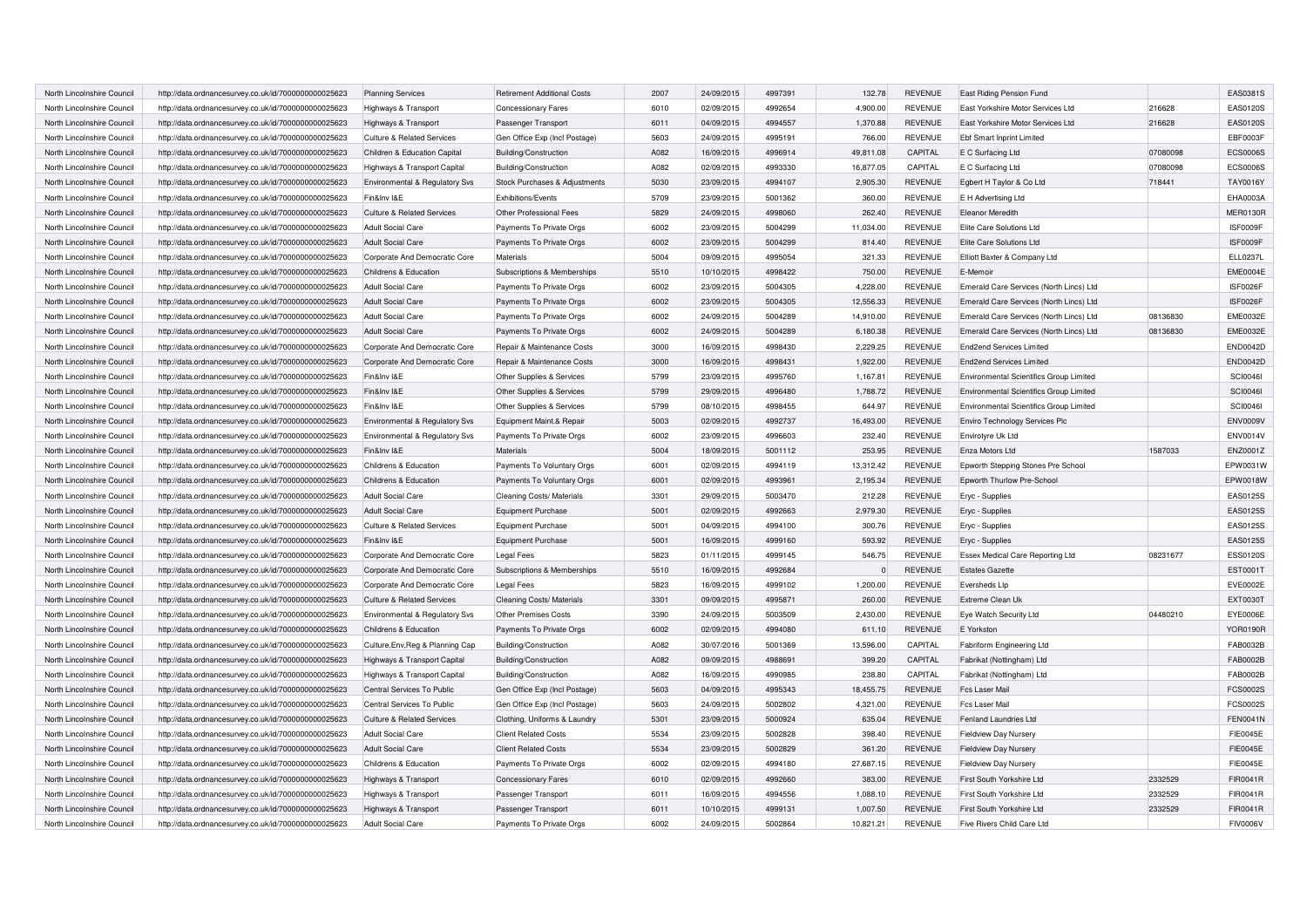| North Lincolnshire Council | http://data.ordnancesurvey.co.uk/id/7000000000025623                                                         | <b>Planning Services</b>                          | <b>Retirement Additional Costs</b>                          | 2007         | 24/09/2015 | 4997391 | 132.78    | <b>REVENUE</b> | East Riding Pension Fund                                     |          | EAS0381S        |
|----------------------------|--------------------------------------------------------------------------------------------------------------|---------------------------------------------------|-------------------------------------------------------------|--------------|------------|---------|-----------|----------------|--------------------------------------------------------------|----------|-----------------|
| North Lincolnshire Council | http://data.ordnancesurvey.co.uk/id/7000000000025623                                                         | Highways & Transport                              | <b>Concessionary Fares</b>                                  | 6010         | 02/09/2015 | 4992654 | 4,900.00  | <b>REVENUE</b> | East Yorkshire Motor Services Ltd                            | 216628   | EAS0120S        |
| North Lincolnshire Council | http://data.ordnancesurvey.co.uk/id/7000000000025623                                                         | Highways & Transport                              | Passenger Transport                                         | 6011         | 04/09/2015 | 4994557 | 1,370.88  | <b>REVENUE</b> | East Yorkshire Motor Services Ltd                            | 216628   | <b>EAS0120S</b> |
| North Lincolnshire Council | http://data.ordnancesurvey.co.uk/id/7000000000025623                                                         | <b>Culture &amp; Related Services</b>             | Gen Office Exp (Incl Postage)                               | 5603         | 24/09/2015 | 4995191 | 766.00    | <b>REVENUE</b> | <b>Ebf Smart Inprint Limited</b>                             |          | EBF0003F        |
| North Lincolnshire Council | http://data.ordnancesurvey.co.uk/id/7000000000025623                                                         | Children & Education Capital                      | Building/Construction                                       | A082         | 16/09/2015 | 4996914 | 49,811.08 | CAPITAL        | E C Surfacing Ltd                                            | 07080098 | <b>ECS0006S</b> |
| North Lincolnshire Council | http://data.ordnancesurvey.co.uk/id/7000000000025623                                                         | Highways & Transport Capital                      | Building/Construction                                       | A082         | 02/09/2015 | 4993330 | 16,877.05 | CAPITAL        | E C Surfacing Ltd                                            | 07080098 | <b>ECS0006S</b> |
| North Lincolnshire Council | http://data.ordnancesurvey.co.uk/id/7000000000025623                                                         | Environmental & Regulatory Svs                    | Stock Purchases & Adjustments                               | 5030         | 23/09/2015 | 4994107 | 2,905.30  | <b>REVENUE</b> | Egbert H Taylor & Co Ltd                                     | 718441   | <b>TAY0016Y</b> |
| North Lincolnshire Council | http://data.ordnancesurvey.co.uk/id/7000000000025623                                                         | Fin&Inv I&E                                       | Exhibitions/Events                                          | 5709         | 23/09/2015 | 5001362 | 360.00    | <b>REVENUE</b> | E H Advertising Ltd                                          |          | EHA0003A        |
| North Lincolnshire Council | http://data.ordnancesurvey.co.uk/id/7000000000025623                                                         | <b>Culture &amp; Related Services</b>             | Other Professional Fees                                     | 5829         | 24/09/2015 | 4998060 | 262.40    | <b>REVENUE</b> | Eleanor Meredith                                             |          | MER0130R        |
| North Lincolnshire Council | http://data.ordnancesurvey.co.uk/id/7000000000025623                                                         | <b>Adult Social Care</b>                          | Payments To Private Orgs                                    | 6002         | 23/09/2015 | 5004299 | 11,034.00 | <b>REVENUE</b> | Elite Care Solutions Ltd                                     |          | ISF0009F        |
| North Lincolnshire Council | http://data.ordnancesurvey.co.uk/id/7000000000025623                                                         | <b>Adult Social Care</b>                          | Payments To Private Orgs                                    | 6002         | 23/09/2015 | 5004299 | 814.40    | <b>REVENUE</b> | Elite Care Solutions Ltd                                     |          | ISF0009F        |
| North Lincolnshire Council | http://data.ordnancesurvey.co.uk/id/7000000000025623                                                         | Corporate And Democratic Core                     | Materials                                                   | 5004         | 09/09/2015 | 4995054 | 321.33    | <b>REVENUE</b> | Elliott Baxter & Company Ltd                                 |          | <b>ELL0237L</b> |
| North Lincolnshire Council | http://data.ordnancesurvey.co.uk/id/7000000000025623                                                         | Childrens & Education                             | Subscriptions & Memberships                                 | 5510         | 10/10/2015 | 4998422 | 750.00    | <b>REVENUE</b> | E-Memoir                                                     |          | <b>EME0004E</b> |
| North Lincolnshire Council | http://data.ordnancesurvey.co.uk/id/7000000000025623                                                         | <b>Adult Social Care</b>                          | Payments To Private Orgs                                    | 6002         | 23/09/2015 | 5004305 | 4.228.00  | <b>REVENUE</b> | Emerald Care Services (North Lincs) Ltd                      |          | ISF0026F        |
| North Lincolnshire Council | http://data.ordnancesurvey.co.uk/id/7000000000025623                                                         | <b>Adult Social Care</b>                          | Payments To Private Orgs                                    | 6002         | 23/09/2015 | 5004305 | 12.556.33 | <b>REVENUE</b> | Emerald Care Services (North Lincs) Ltd                      |          | ISF0026F        |
| North Lincolnshire Council | http://data.ordnancesurvey.co.uk/id/7000000000025623                                                         | <b>Adult Social Care</b>                          | Payments To Private Orgs                                    | 6002         | 24/09/2015 | 5004289 | 14,910.00 | <b>REVENUE</b> | Emerald Care Services (North Lincs) Ltd                      | 08136830 | <b>EME0032E</b> |
| North Lincolnshire Council | http://data.ordnancesurvey.co.uk/id/7000000000025623                                                         | <b>Adult Social Care</b>                          | Payments To Private Orgs                                    | 6002         | 24/09/2015 | 5004289 | 6,180.38  | <b>REVENUE</b> | Emerald Care Services (North Lincs) Ltd                      | 08136830 | <b>EME0032E</b> |
| North Lincolnshire Council | http://data.ordnancesurvey.co.uk/id/7000000000025623                                                         | Corporate And Democratic Core                     | Repair & Maintenance Costs                                  | 3000         | 16/09/2015 | 4998430 | 2,229.25  | <b>REVENUE</b> | End2end Services Limited                                     |          | <b>END0042D</b> |
| North Lincolnshire Council | http://data.ordnancesurvey.co.uk/id/7000000000025623                                                         | Corporate And Democratic Core                     | Repair & Maintenance Costs                                  | 3000         | 16/09/2015 | 4998431 | 1,922.00  | <b>REVENUE</b> | <b>End2end Services Limited</b>                              |          | <b>END0042D</b> |
| North Lincolnshire Council | http://data.ordnancesurvey.co.uk/id/7000000000025623                                                         | Fin&Inv I&E                                       | Other Supplies & Services                                   | 5799         | 23/09/2015 | 4995760 | 1,167.81  | <b>REVENUE</b> | Environmental Scientifics Group Limited                      |          | <b>SCI00461</b> |
| North Lincolnshire Council | http://data.ordnancesurvey.co.uk/id/7000000000025623                                                         | Fin&Inv I&E                                       | Other Supplies & Services                                   | 5799         | 29/09/2015 | 4996480 | 1,788.72  | <b>REVENUE</b> | Environmental Scientifics Group Limited                      |          | <b>SCI0046I</b> |
| North Lincolnshire Council | http://data.ordnancesurvey.co.uk/id/7000000000025623                                                         | Fin&Inv I&E                                       | Other Supplies & Services                                   | 5799         | 08/10/2015 | 4998455 | 644.97    | <b>REVENUE</b> | Environmental Scientifics Group Limited                      |          | <b>SCI00461</b> |
| North Lincolnshire Council | http://data.ordnancesurvey.co.uk/id/7000000000025623                                                         | Environmental & Regulatory Svs                    | Equipment Maint.& Repair                                    | 5003         | 02/09/2015 | 4992737 | 16,493.00 | <b>REVENUE</b> | Enviro Technology Services Plc                               |          | <b>ENV0009V</b> |
| North Lincolnshire Council | http://data.ordnancesurvey.co.uk/id/7000000000025623                                                         | Environmental & Regulatory Svs                    | Payments To Private Orgs                                    | 6002         | 23/09/2015 | 4996603 | 232.40    | <b>REVENUE</b> | Envirotyre Uk Ltd                                            |          | <b>ENV0014V</b> |
| North Lincolnshire Council | http://data.ordnancesurvey.co.uk/id/7000000000025623                                                         | Fin&Inv I&E                                       | <b>Materials</b>                                            | 5004         | 18/09/2015 | 5001112 | 253.95    | <b>REVENUE</b> | Enza Motors Ltd                                              | 1587033  | ENZ0001Z        |
| North Lincolnshire Council | http://data.ordnancesurvey.co.uk/id/7000000000025623                                                         | Childrens & Education                             | Payments To Voluntary Orgs                                  | 6001         | 02/09/2015 | 4994119 | 13,312.42 | <b>REVENUE</b> | Epworth Stepping Stones Pre School                           |          | EPW0031W        |
| North Lincolnshire Council | http://data.ordnancesurvey.co.uk/id/7000000000025623                                                         | Childrens & Education                             | Payments To Voluntary Orgs                                  | 6001         | 02/09/2015 | 4993961 | 2,195.34  | <b>REVENUE</b> | Epworth Thurlow Pre-School                                   |          | EPW0018W        |
| North Lincolnshire Council | http://data.ordnancesurvey.co.uk/id/7000000000025623                                                         | <b>Adult Social Care</b>                          | Cleaning Costs/ Materials                                   | 3301         | 29/09/2015 | 5003470 | 212.28    | <b>REVENUE</b> | Eryc - Supplies                                              |          | EAS0125S        |
| North Lincolnshire Council | http://data.ordnancesurvey.co.uk/id/7000000000025623                                                         | <b>Adult Social Care</b>                          | <b>Equipment Purchase</b>                                   | 5001         | 02/09/2015 | 4992663 | 2,979.30  | <b>REVENUE</b> | Eryc - Supplies                                              |          | EAS0125S        |
| North Lincolnshire Council | http://data.ordnancesurvey.co.uk/id/7000000000025623                                                         | <b>Culture &amp; Related Services</b>             | Equipment Purchase                                          | 5001         | 04/09/2015 | 4994100 | 300.76    | <b>REVENUE</b> | Eryc - Supplies                                              |          | EAS0125S        |
| North Lincolnshire Council | http://data.ordnancesurvey.co.uk/id/7000000000025623                                                         | Fin&Inv I&E                                       | <b>Equipment Purchase</b>                                   | 5001         | 16/09/2015 | 4999160 | 593.92    | <b>REVENUE</b> | Eryc - Supplies                                              |          | EAS0125S        |
| North Lincolnshire Council | http://data.ordnancesurvey.co.uk/id/7000000000025623                                                         | Corporate And Democratic Core                     | <b>Legal Fees</b>                                           | 5823         | 01/11/2015 | 4999145 | 546.75    | <b>REVENUE</b> | Essex Medical Care Reporting Ltd                             | 08231677 | <b>ESS0120S</b> |
| North Lincolnshire Council | http://data.ordnancesurvey.co.uk/id/7000000000025623                                                         | Corporate And Democratic Core                     | Subscriptions & Memberships                                 | 5510         | 16/09/2015 | 4992684 | $\Omega$  | <b>REVENUE</b> | <b>Estates Gazette</b>                                       |          | EST0001T        |
| North Lincolnshire Council | http://data.ordnancesurvey.co.uk/id/7000000000025623                                                         | Corporate And Democratic Core                     | Legal Fees                                                  | 5823         | 16/09/2015 | 4999102 | 1,200.00  | <b>REVENUE</b> | Eversheds Llp                                                |          | <b>EVE0002E</b> |
| North Lincolnshire Council | http://data.ordnancesurvey.co.uk/id/7000000000025623                                                         | <b>Culture &amp; Related Services</b>             | Cleaning Costs/ Materials                                   | 3301         | 09/09/2015 | 4995871 | 260.00    | <b>REVENUE</b> | Extreme Clean Uk                                             |          | <b>EXT0030T</b> |
| North Lincolnshire Council | http://data.ordnancesurvey.co.uk/id/7000000000025623                                                         | Environmental & Regulatory Svs                    | <b>Other Premises Costs</b>                                 | 3390         | 24/09/2015 | 5003509 | 2,430.00  | <b>REVENUE</b> | Eye Watch Security Ltd                                       | 04480210 | EYE0006E        |
| North Lincolnshire Council | http://data.ordnancesurvey.co.uk/id/7000000000025623                                                         | Childrens & Education                             | Payments To Private Orgs                                    | 6002         | 02/09/2015 | 4994080 | 611.10    | <b>REVENUE</b> | E Yorkston                                                   |          | <b>YOR0190R</b> |
| North Lincolnshire Council | http://data.ordnancesurvey.co.uk/id/7000000000025623                                                         | Culture, Env, Reg & Planning Cap                  | Building/Construction                                       | A082         | 30/07/2016 | 5001369 | 13,596.00 | CAPITAL        | Fabriform Engineering Ltd                                    |          | FAB0032B        |
| North Lincolnshire Council | http://data.ordnancesurvey.co.uk/id/7000000000025623                                                         | Highways & Transport Capital                      | Building/Construction                                       | A082         | 09/09/2015 | 498869  | 399.20    | CAPITAL        | Fabrikat (Nottingham) Ltd                                    |          | FAB0002B        |
| North Lincolnshire Council | http://data.ordnancesurvey.co.uk/id/7000000000025623                                                         | Highways & Transport Capital                      | Building/Construction                                       | A082         | 16/09/2015 | 4990985 | 238.80    | CAPITAL        | Fabrikat (Nottingham) Ltd                                    |          | FAB0002B        |
| North Lincolnshire Council | http://data.ordnancesurvey.co.uk/id/7000000000025623                                                         | Central Services To Public                        | Gen Office Exp (Incl Postage)                               | 5603         | 04/09/2015 | 4995343 | 18,455.75 | <b>REVENUE</b> | <b>Fcs Laser Mail</b>                                        |          | <b>FCS0002S</b> |
| North Lincolnshire Council | http://data.ordnancesurvey.co.uk/id/7000000000025623                                                         | Central Services To Public                        | Gen Office Exp (Incl Postage)                               | 5603         | 24/09/2015 | 5002802 | 4,321.00  | <b>REVENUE</b> | <b>Fcs Laser Mail</b>                                        |          | <b>FCS0002S</b> |
| North Lincolnshire Council |                                                                                                              | <b>Culture &amp; Related Services</b>             |                                                             | 5301         | 23/09/2015 | 5000924 | 635.04    | <b>REVENUE</b> | Fenland Laundries Ltd                                        |          | <b>FEN0041N</b> |
| North Lincolnshire Council | http://data.ordnancesurvey.co.uk/id/7000000000025623<br>http://data.ordnancesurvey.co.uk/id/7000000000025623 | <b>Adult Social Care</b>                          | Clothing, Uniforms & Laundry<br><b>Client Related Costs</b> | 5534         | 23/09/2015 | 5002828 | 398.40    | <b>REVENUE</b> | Fieldview Day Nursery                                        |          | FIE0045E        |
| North Lincolnshire Council |                                                                                                              |                                                   | <b>Client Related Costs</b>                                 | 5534         | 23/09/2015 | 5002829 | 361.20    | <b>REVENUE</b> |                                                              |          | <b>FIE0045E</b> |
| North Lincolnshire Council | http://data.ordnancesurvey.co.uk/id/7000000000025623<br>http://data.ordnancesurvey.co.uk/id/7000000000025623 | <b>Adult Social Care</b><br>Childrens & Education | Payments To Private Orgs                                    | 6002         | 02/09/2015 | 4994180 | 27.687.15 | <b>REVENUE</b> | <b>Fieldview Day Nursery</b><br><b>Fieldview Day Nursery</b> |          | <b>FIE0045E</b> |
| North Lincolnshire Council |                                                                                                              |                                                   |                                                             | 6010         | 02/09/2015 | 4992660 | 383.00    | <b>REVENUE</b> | First South Yorkshire Ltd                                    | 2332529  | FIR0041R        |
|                            | http://data.ordnancesurvey.co.uk/id/7000000000025623                                                         | Highways & Transport                              | <b>Concessionary Fares</b>                                  |              |            |         |           |                |                                                              |          |                 |
| North Lincolnshire Council | http://data.ordnancesurvey.co.uk/id/7000000000025623                                                         | Highways & Transport                              | Passenger Transport                                         | 6011<br>6011 | 16/09/2015 | 4994556 | 1,088.10  | <b>REVENUE</b> | First South Yorkshire Ltd                                    | 2332529  | FIR0041R        |
| North Lincolnshire Council | http://data.ordnancesurvey.co.uk/id/7000000000025623                                                         | Highways & Transport                              | Passenger Transport                                         |              | 10/10/2015 | 4999131 | 1.007.50  | <b>REVENUE</b> | First South Yorkshire Ltd                                    | 2332529  | <b>FIR0041R</b> |
| North Lincolnshire Council | http://data.ordnancesurvey.co.uk/id/7000000000025623                                                         | <b>Adult Social Care</b>                          | Payments To Private Oras                                    | 6002         | 24/09/2015 | 5002864 | 10.821.21 | <b>REVENUE</b> | Five Rivers Child Care Ltd                                   |          | <b>FIV0006V</b> |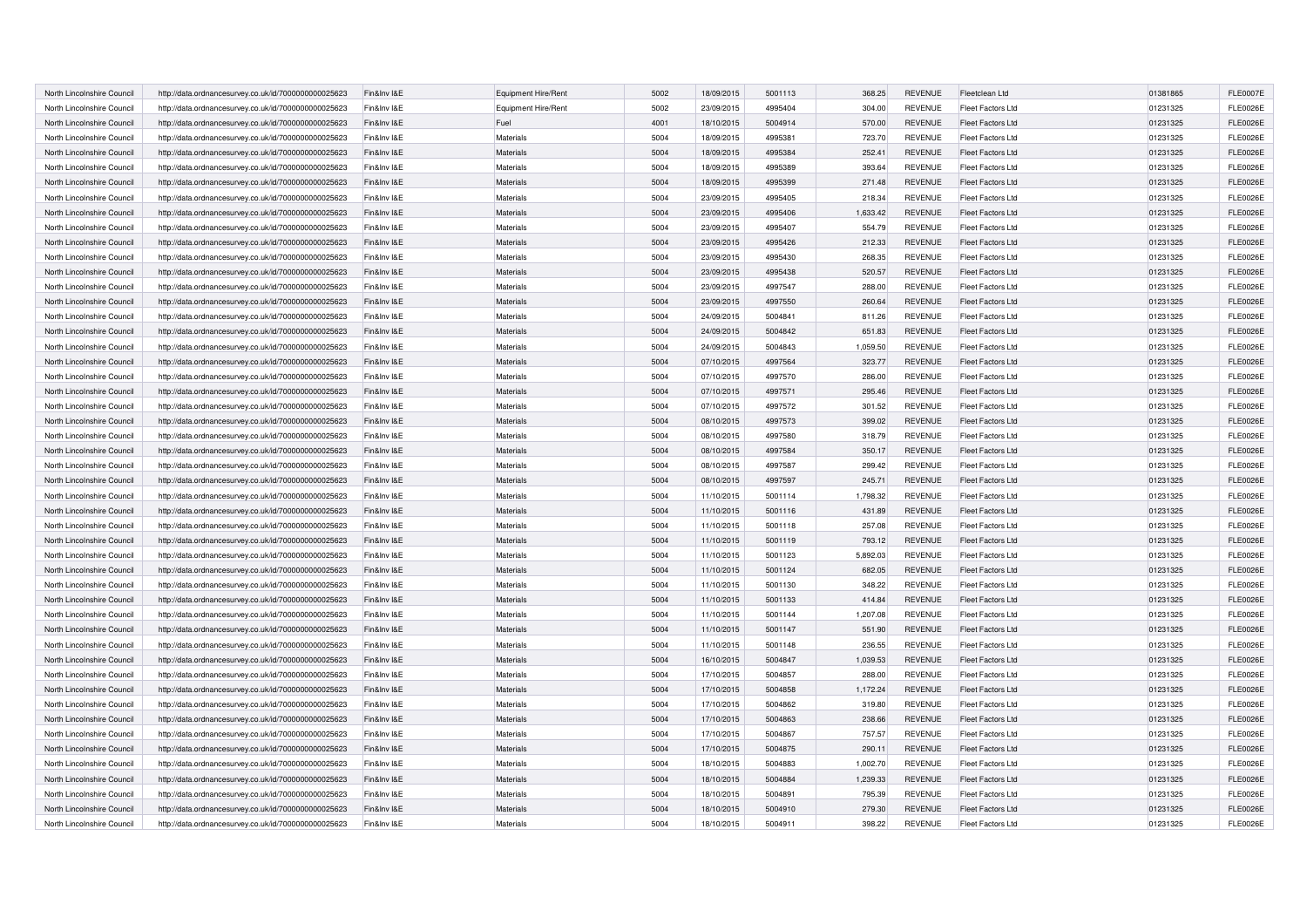| North Lincolnshire Council | http://data.ordnancesurvey.co.uk/id/7000000000025623 | Fin&Inv I&E | Equipment Hire/Rent | 5002 | 18/09/2015 | 5001113 | 368.25   | <b>REVENUE</b> | Fleetclean Ltd           | 01381865 | <b>FLE0007E</b> |
|----------------------------|------------------------------------------------------|-------------|---------------------|------|------------|---------|----------|----------------|--------------------------|----------|-----------------|
| North Lincolnshire Council | http://data.ordnancesurvey.co.uk/id/7000000000025623 | Fin&Inv I&E | Equipment Hire/Rent | 5002 | 23/09/2015 | 4995404 | 304.00   | <b>REVENUE</b> | Fleet Factors Ltd        | 01231325 | <b>FLE0026E</b> |
| North Lincolnshire Council | http://data.ordnancesurvey.co.uk/id/7000000000025623 | Fin&Inv I&E | Fuel                | 4001 | 18/10/2015 | 5004914 | 570.00   | <b>REVENUE</b> | Fleet Factors Ltd        | 01231325 | <b>FLE0026E</b> |
| North Lincolnshire Council | http://data.ordnancesurvey.co.uk/id/7000000000025623 | Fin&Inv I&E | Materials           | 5004 | 18/09/2015 | 4995381 | 723.70   | <b>REVENUE</b> | Fleet Factors Ltd        | 01231325 | <b>FLE0026E</b> |
|                            |                                                      |             | <b>Materials</b>    |      |            |         |          |                |                          |          |                 |
| North Lincolnshire Council | http://data.ordnancesurvey.co.uk/id/7000000000025623 | Fin&Inv I&E |                     | 5004 | 18/09/2015 | 4995384 | 252.41   | <b>REVENUE</b> | Fleet Factors Ltd        | 01231325 | <b>FLE0026E</b> |
| North Lincolnshire Council | http://data.ordnancesurvey.co.uk/id/7000000000025623 | Fin&Inv I&E | <b>Materials</b>    | 5004 | 18/09/2015 | 4995389 | 393.64   | <b>REVENUE</b> | Fleet Factors Ltd        | 01231325 | <b>FLE0026E</b> |
| North Lincolnshire Council | http://data.ordnancesurvey.co.uk/id/7000000000025623 | Fin&Inv I&E | <b>Materials</b>    | 5004 | 18/09/2015 | 4995399 | 271.48   | <b>REVENUE</b> | Fleet Factors Ltd        | 01231325 | <b>FLE0026E</b> |
| North Lincolnshire Council | http://data.ordnancesurvey.co.uk/id/7000000000025623 | Fin&Inv I&E | Materials           | 5004 | 23/09/2015 | 4995405 | 218.34   | <b>REVENUE</b> | Fleet Factors Ltd        | 01231325 | <b>FLE0026E</b> |
| North Lincolnshire Council | http://data.ordnancesurvey.co.uk/id/7000000000025623 | Fin&Inv I&E | <b>Materials</b>    | 5004 | 23/09/2015 | 4995406 | 1,633.42 | <b>REVENUE</b> | <b>Fleet Factors Ltd</b> | 01231325 | <b>FLE0026E</b> |
| North Lincolnshire Council | http://data.ordnancesurvey.co.uk/id/7000000000025623 | Fin&Inv I&E | Materials           | 5004 | 23/09/2015 | 4995407 | 554.79   | <b>REVENUE</b> | Fleet Factors Ltd        | 01231325 | <b>FLE0026E</b> |
| North Lincolnshire Council | http://data.ordnancesurvey.co.uk/id/7000000000025623 | Fin&Inv I&E | Materials           | 5004 | 23/09/2015 | 4995426 | 212.33   | <b>REVENUE</b> | <b>Fleet Factors Ltd</b> | 01231325 | <b>FLE0026E</b> |
| North Lincolnshire Council | http://data.ordnancesurvey.co.uk/id/7000000000025623 | Fin&Inv I&E | <b>Materials</b>    | 5004 | 23/09/2015 | 4995430 | 268.35   | <b>REVENUE</b> | Fleet Factors Ltd        | 01231325 | <b>FLE0026E</b> |
| North Lincolnshire Council | http://data.ordnancesurvey.co.uk/id/7000000000025623 | Fin&Inv I&E | Materials           | 5004 | 23/09/2015 | 4995438 | 520.57   | <b>REVENUE</b> | <b>Fleet Factors Ltd</b> | 01231325 | <b>FLE0026E</b> |
| North Lincolnshire Council | http://data.ordnancesurvey.co.uk/id/7000000000025623 | Fin&Inv I&E | Materials           | 5004 | 23/09/2015 | 4997547 | 288.00   | <b>REVENUE</b> | Fleet Factors Ltd        | 01231325 | <b>FLE0026E</b> |
| North Lincolnshire Council | http://data.ordnancesurvey.co.uk/id/7000000000025623 | Fin&Inv I&E | <b>Materials</b>    | 5004 | 23/09/2015 | 4997550 | 260.64   | <b>REVENUE</b> | <b>Fleet Factors Ltd</b> | 01231325 | <b>FLE0026E</b> |
| North Lincolnshire Council | http://data.ordnancesurvey.co.uk/id/7000000000025623 | Fin&Inv I&E | Materials           | 5004 | 24/09/2015 | 5004841 | 811.26   | <b>REVENUE</b> | <b>Fleet Factors Ltd</b> | 01231325 | <b>FLE0026E</b> |
| North Lincolnshire Council | http://data.ordnancesurvey.co.uk/id/7000000000025623 | Fin&Inv I&E | Materials           | 5004 | 24/09/2015 | 5004842 | 651.83   | <b>REVENUE</b> | <b>Fleet Factors Ltd</b> | 01231325 | <b>FLE0026E</b> |
| North Lincolnshire Council | http://data.ordnancesurvey.co.uk/id/7000000000025623 | Fin&Inv I&E | Materials           | 5004 | 24/09/2015 | 5004843 | 1,059.50 | <b>REVENUE</b> | <b>Fleet Factors Ltd</b> | 01231325 | FLE0026E        |
| North Lincolnshire Council | http://data.ordnancesurvey.co.uk/id/7000000000025623 | Fin&Inv I&E | Materials           | 5004 | 07/10/2015 | 4997564 | 323.77   | <b>REVENUE</b> | <b>Fleet Factors Ltd</b> | 01231325 | <b>FLE0026E</b> |
| North Lincolnshire Council | http://data.ordnancesurvey.co.uk/id/7000000000025623 | Fin&Inv I&E | Materials           | 5004 | 07/10/2015 | 4997570 | 286.00   | <b>REVENUE</b> | Fleet Factors Ltd        | 01231325 | <b>FLE0026E</b> |
| North Lincolnshire Council | http://data.ordnancesurvey.co.uk/id/7000000000025623 | Fin&Inv I&E | Materials           | 5004 | 07/10/2015 | 4997571 | 295.46   | <b>REVENUE</b> | <b>Fleet Factors Ltd</b> | 01231325 | <b>FLE0026E</b> |
| North Lincolnshire Council | http://data.ordnancesurvey.co.uk/id/7000000000025623 | Fin&Inv I&E | Materials           | 5004 | 07/10/2015 | 4997572 | 301.52   | <b>REVENUE</b> | <b>Fleet Factors Ltd</b> | 01231325 | <b>FLE0026E</b> |
| North Lincolnshire Council | http://data.ordnancesurvey.co.uk/id/7000000000025623 | Fin&Inv I&E | Materials           | 5004 | 08/10/2015 | 4997573 | 399.02   | <b>REVENUE</b> | <b>Fleet Factors Ltd</b> | 01231325 | FLE0026E        |
| North Lincolnshire Council | http://data.ordnancesurvey.co.uk/id/7000000000025623 | Fin&Inv I&E | Materials           | 5004 | 08/10/2015 | 4997580 | 318.79   | <b>REVENUE</b> | <b>Fleet Factors Ltd</b> | 01231325 | <b>FLE0026E</b> |
| North Lincolnshire Council | http://data.ordnancesurvey.co.uk/id/7000000000025623 | Fin&Inv I&E | Materials           | 5004 | 08/10/2015 | 4997584 | 350.17   | <b>REVENUE</b> | <b>Fleet Factors Ltd</b> | 01231325 | <b>FLE0026E</b> |
| North Lincolnshire Council |                                                      | Fin&Inv I&E | Materials           | 5004 |            | 4997587 | 299.42   | <b>REVENUE</b> | <b>Fleet Factors Ltd</b> |          | <b>FLE0026E</b> |
|                            | http://data.ordnancesurvey.co.uk/id/7000000000025623 |             |                     |      | 08/10/2015 |         |          |                |                          | 01231325 |                 |
| North Lincolnshire Council | http://data.ordnancesurvey.co.uk/id/7000000000025623 | Fin&Inv I&E | Materials           | 5004 | 08/10/2015 | 4997597 | 245.71   | <b>REVENUE</b> | <b>Fleet Factors Ltd</b> | 01231325 | <b>FLE0026E</b> |
| North Lincolnshire Council | http://data.ordnancesurvey.co.uk/id/7000000000025623 | Fin&Inv I&E | Materials           | 5004 | 11/10/2015 | 5001114 | 1,798.32 | <b>REVENUE</b> | <b>Fleet Factors Ltd</b> | 01231325 | <b>FLE0026E</b> |
| North Lincolnshire Council | http://data.ordnancesurvey.co.uk/id/7000000000025623 | Fin&Inv I&E | <b>Materials</b>    | 5004 | 11/10/2015 | 5001116 | 431.89   | <b>REVENUE</b> | <b>Fleet Factors Ltd</b> | 01231325 | <b>FLE0026E</b> |
| North Lincolnshire Council | http://data.ordnancesurvey.co.uk/id/7000000000025623 | Fin&Inv I&E | Materials           | 5004 | 11/10/2015 | 5001118 | 257.08   | <b>REVENUE</b> | <b>Fleet Factors Ltd</b> | 01231325 | <b>FLE0026E</b> |
| North Lincolnshire Council | http://data.ordnancesurvey.co.uk/id/7000000000025623 | Fin&Inv I&E | <b>Materials</b>    | 5004 | 11/10/2015 | 5001119 | 793.12   | <b>REVENUE</b> | <b>Fleet Factors Ltd</b> | 01231325 | <b>FLE0026E</b> |
| North Lincolnshire Council | http://data.ordnancesurvey.co.uk/id/7000000000025623 | Fin&Inv I&E | Materials           | 5004 | 11/10/2015 | 5001123 | 5,892.03 | <b>REVENUE</b> | <b>Fleet Factors Ltd</b> | 01231325 | <b>FLE0026E</b> |
| North Lincolnshire Council | http://data.ordnancesurvey.co.uk/id/7000000000025623 | Fin&Inv I&E | <b>Materials</b>    | 5004 | 11/10/2015 | 5001124 | 682.05   | <b>REVENUE</b> | <b>Fleet Factors Ltd</b> | 01231325 | <b>FLE0026E</b> |
| North Lincolnshire Council | http://data.ordnancesurvey.co.uk/id/7000000000025623 | Fin&Inv I&E | <b>Materials</b>    | 5004 | 11/10/2015 | 5001130 | 348.22   | <b>REVENUE</b> | <b>Fleet Factors Ltd</b> | 01231325 | <b>FLE0026E</b> |
| North Lincolnshire Council | http://data.ordnancesurvey.co.uk/id/7000000000025623 | Fin&Inv I&E | Materials           | 5004 | 11/10/2015 | 5001133 | 414.84   | <b>REVENUE</b> | <b>Fleet Factors Ltd</b> | 01231325 | <b>FLE0026E</b> |
| North Lincolnshire Council | http://data.ordnancesurvey.co.uk/id/7000000000025623 | Fin&Inv I&E | Materials           | 5004 | 11/10/2015 | 5001144 | 1,207.08 | <b>REVENUE</b> | <b>Fleet Factors Ltd</b> | 01231325 | <b>FLE0026E</b> |
| North Lincolnshire Council | http://data.ordnancesurvey.co.uk/id/7000000000025623 | Fin&Inv I&E | <b>Materials</b>    | 5004 | 11/10/2015 | 5001147 | 551.90   | <b>REVENUE</b> | <b>Fleet Factors Ltd</b> | 01231325 | <b>FLE0026E</b> |
| North Lincolnshire Council | http://data.ordnancesurvey.co.uk/id/7000000000025623 | Fin&Inv I&E | Materials           | 5004 | 11/10/2015 | 5001148 | 236.55   | <b>REVENUE</b> | <b>Fleet Factors Ltd</b> | 01231325 | <b>FLE0026E</b> |
| North Lincolnshire Council | http://data.ordnancesurvey.co.uk/id/7000000000025623 | Fin&Inv I&E | Materials           | 5004 | 16/10/2015 | 5004847 | 1,039.53 | <b>REVENUE</b> | <b>Fleet Factors Ltd</b> | 01231325 | <b>FLE0026E</b> |
| North Lincolnshire Council | http://data.ordnancesurvey.co.uk/id/7000000000025623 | Fin&Inv I&E | Materials           | 5004 | 17/10/2015 | 5004857 | 288.00   | <b>REVENUE</b> | <b>Fleet Factors Ltd</b> | 01231325 | <b>FLE0026E</b> |
| North Lincolnshire Council | http://data.ordnancesurvey.co.uk/id/7000000000025623 | Fin&Inv I&E | Materials           | 5004 | 17/10/2015 | 5004858 | 1,172.24 | <b>REVENUE</b> | <b>Fleet Factors Ltd</b> | 01231325 | <b>FLE0026E</b> |
| North Lincolnshire Council | http://data.ordnancesurvey.co.uk/id/7000000000025623 | Fin&Inv I&E | Materials           | 5004 | 17/10/2015 | 5004862 | 319.80   | <b>REVENUE</b> | <b>Fleet Factors Ltd</b> | 01231325 | <b>FLE0026E</b> |
| North Lincolnshire Council | http://data.ordnancesurvey.co.uk/id/7000000000025623 | Fin&Inv I&E | Materials           | 5004 | 17/10/2015 | 5004863 | 238.66   | <b>REVENUE</b> | <b>Fleet Factors Ltd</b> | 01231325 | <b>FLE0026E</b> |
| North Lincolnshire Council | http://data.ordnancesurvey.co.uk/id/7000000000025623 | Fin&Inv I&E | Materials           | 5004 | 17/10/2015 | 5004867 | 757.57   | <b>REVENUE</b> | <b>Fleet Factors Ltd</b> | 01231325 | <b>FLE0026E</b> |
| North Lincolnshire Council | http://data.ordnancesurvey.co.uk/id/7000000000025623 | Fin&Inv I&E | Materials           | 5004 | 17/10/2015 | 5004875 | 290.11   | <b>REVENUE</b> | <b>Fleet Factors Ltd</b> | 01231325 | <b>FLE0026E</b> |
| North Lincolnshire Council | http://data.ordnancesurvey.co.uk/id/7000000000025623 | Fin&Inv I&E | <b>Materials</b>    | 5004 | 18/10/2015 | 5004883 | 1.002.70 | <b>REVENUE</b> | <b>Fleet Factors Ltd</b> | 01231325 | <b>FLE0026E</b> |
| North Lincolnshire Council | http://data.ordnancesurvey.co.uk/id/7000000000025623 | Fin&Inv I&E | Materials           | 5004 | 18/10/2015 | 5004884 | 1,239.33 | <b>REVENUE</b> | <b>Fleet Factors Ltd</b> | 01231325 | <b>FLE0026E</b> |
| North Lincolnshire Council |                                                      | Fin&Inv I&E | Materials           | 5004 | 18/10/2015 | 5004891 |          | <b>REVENUE</b> |                          |          | <b>FLE0026E</b> |
|                            | http://data.ordnancesurvey.co.uk/id/7000000000025623 |             |                     | 5004 |            |         | 795.39   |                | Fleet Factors Ltd        | 01231325 | <b>FLE0026E</b> |
| North Lincolnshire Council | http://data.ordnancesurvey.co.uk/id/7000000000025623 | Fin&Inv I&E | Materials           |      | 18/10/2015 | 5004910 | 279.30   | <b>REVENUE</b> | <b>Fleet Factors Ltd</b> | 01231325 |                 |
| North Lincolnshire Council | http://data.ordnancesurvey.co.uk/id/7000000000025623 | Fin&Inv I&E | Materials           | 5004 | 18/10/2015 | 5004911 | 398.22   | <b>REVENUE</b> | <b>Fleet Factors Ltd</b> | 01231325 | <b>FLE0026E</b> |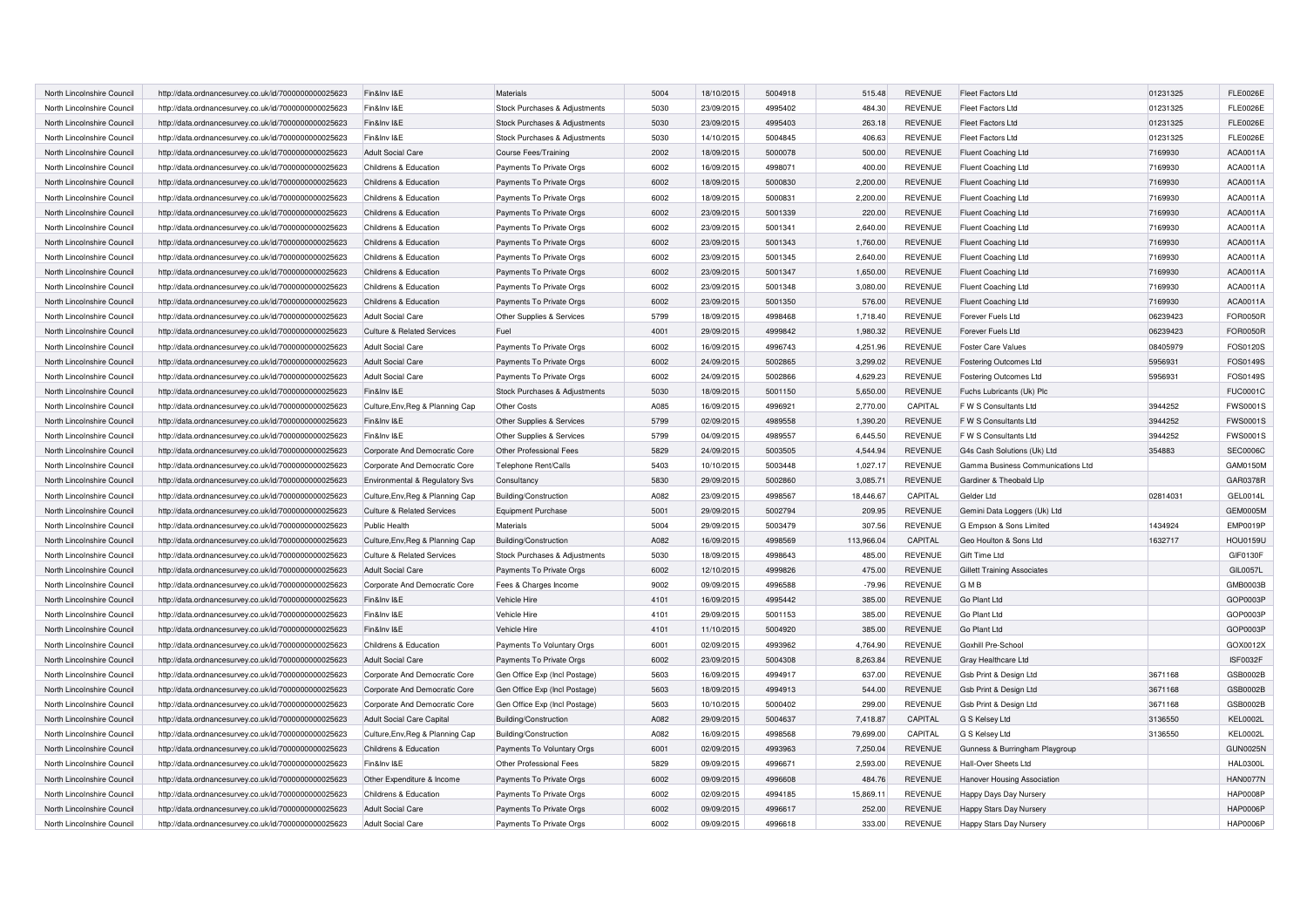| North Lincolnshire Council | http://data.ordnancesurvey.co.uk/id/7000000000025623 | Fin&Inv I&E                           | Materials                     | 5004 | 18/10/2015 | 5004918 | 515.48     | <b>REVENUE</b> | Fleet Factors Ltd                  | 01231325 | <b>FLE0026E</b> |
|----------------------------|------------------------------------------------------|---------------------------------------|-------------------------------|------|------------|---------|------------|----------------|------------------------------------|----------|-----------------|
| North Lincolnshire Council | http://data.ordnancesurvey.co.uk/id/7000000000025623 | Fin&Inv I&E                           | Stock Purchases & Adjustments | 5030 | 23/09/2015 | 4995402 | 484.30     | <b>REVENUE</b> | Fleet Factors Ltd                  | 01231325 | <b>FLE0026E</b> |
| North Lincolnshire Council | http://data.ordnancesurvey.co.uk/id/7000000000025623 | Fin&Inv I&E                           | Stock Purchases & Adjustments | 5030 | 23/09/2015 | 4995403 | 263.18     | <b>REVENUE</b> | <b>Fleet Factors Ltd</b>           | 01231325 | <b>FLE0026E</b> |
| North Lincolnshire Council | http://data.ordnancesurvey.co.uk/id/7000000000025623 | Fin&Inv I&E                           | Stock Purchases & Adjustments | 5030 | 14/10/2015 | 5004845 | 406.63     | <b>REVENUE</b> | Fleet Factors Ltd                  | 01231325 | <b>FLE0026E</b> |
| North Lincolnshire Council | http://data.ordnancesurvey.co.uk/id/7000000000025623 | <b>Adult Social Care</b>              | <b>Course Fees/Training</b>   | 2002 | 18/09/2015 | 5000078 | 500.00     | <b>REVENUE</b> | <b>Fluent Coaching Ltd</b>         | 7169930  | ACA0011A        |
| North Lincolnshire Council | http://data.ordnancesurvey.co.uk/id/7000000000025623 | Childrens & Education                 | Payments To Private Orgs      | 6002 | 16/09/2015 | 499807  | 400.00     | <b>REVENUE</b> | Fluent Coaching Ltd                | 7169930  | ACA0011A        |
| North Lincolnshire Council | http://data.ordnancesurvey.co.uk/id/7000000000025623 | Childrens & Education                 | Payments To Private Orgs      | 6002 | 18/09/2015 | 5000830 | 2,200.00   | <b>REVENUE</b> | <b>Fluent Coaching Ltd</b>         | 7169930  | ACA0011A        |
| North Lincolnshire Council | http://data.ordnancesurvey.co.uk/id/7000000000025623 | Childrens & Education                 | Payments To Private Orgs      | 6002 | 18/09/2015 | 500083  | 2,200.00   | <b>REVENUE</b> | Fluent Coaching Ltd                | 7169930  | ACA0011A        |
| North Lincolnshire Council | http://data.ordnancesurvey.co.uk/id/7000000000025623 | Childrens & Education                 | Payments To Private Orgs      | 6002 | 23/09/2015 | 5001339 | 220.00     | <b>REVENUE</b> | Fluent Coaching Ltd                | 7169930  | ACA0011A        |
| North Lincolnshire Council | http://data.ordnancesurvey.co.uk/id/7000000000025623 | Childrens & Education                 | Payments To Private Orgs      | 6002 | 23/09/2015 | 5001341 | 2,640.00   | <b>REVENUE</b> | Fluent Coaching Ltd                | 7169930  | ACA0011A        |
| North Lincolnshire Council | http://data.ordnancesurvey.co.uk/id/7000000000025623 | Childrens & Education                 | Payments To Private Orgs      | 6002 | 23/09/2015 | 5001343 | 1,760.00   | <b>REVENUE</b> | Fluent Coaching Ltd                | 7169930  | ACA0011A        |
| North Lincolnshire Council | http://data.ordnancesurvey.co.uk/id/7000000000025623 | Childrens & Education                 | Payments To Private Orgs      | 6002 | 23/09/2015 | 5001345 | 2,640.00   | <b>REVENUE</b> | Fluent Coaching Ltd                | 7169930  | ACA0011A        |
| North Lincolnshire Council | http://data.ordnancesurvey.co.uk/id/7000000000025623 | Childrens & Education                 | Payments To Private Orgs      | 6002 | 23/09/2015 | 5001347 | 1,650.00   | <b>REVENUE</b> | <b>Fluent Coaching Ltd</b>         | 7169930  | ACA0011A        |
| North Lincolnshire Council | http://data.ordnancesurvey.co.uk/id/7000000000025623 | Childrens & Education                 | Payments To Private Orgs      | 6002 | 23/09/2015 | 5001348 | 3,080.00   | <b>REVENUE</b> | <b>Fluent Coaching Ltd</b>         | 7169930  | ACA0011A        |
| North Lincolnshire Council | http://data.ordnancesurvey.co.uk/id/7000000000025623 | Childrens & Education                 | Payments To Private Orgs      | 6002 | 23/09/2015 | 5001350 | 576.00     | <b>REVENUE</b> | <b>Fluent Coaching Ltd</b>         | 7169930  | ACA0011A        |
| North Lincolnshire Council | http://data.ordnancesurvey.co.uk/id/7000000000025623 | <b>Adult Social Care</b>              | Other Supplies & Services     | 5799 | 18/09/2015 | 4998468 | 1,718.40   | <b>REVENUE</b> | Forever Fuels Ltd                  | 06239423 | <b>FOR0050R</b> |
| North Lincolnshire Council |                                                      |                                       | Fuel                          | 4001 |            | 4999842 |            | <b>REVENUE</b> | Forever Fuels Ltd                  |          | FOR0050R        |
|                            | http://data.ordnancesurvey.co.uk/id/7000000000025623 | Culture & Related Services            |                               | 6002 | 29/09/2015 | 4996743 | 1,980.32   |                |                                    | 06239423 |                 |
| North Lincolnshire Council | http://data.ordnancesurvey.co.uk/id/7000000000025623 | <b>Adult Social Care</b>              | Payments To Private Orgs      |      | 16/09/2015 |         | 4,251.96   | <b>REVENUE</b> | <b>Foster Care Values</b>          | 08405979 | FOS0120S        |
| North Lincolnshire Council | http://data.ordnancesurvey.co.uk/id/7000000000025623 | <b>Adult Social Care</b>              | Payments To Private Orgs      | 6002 | 24/09/2015 | 5002865 | 3,299.02   | <b>REVENUE</b> | <b>Fostering Outcomes Ltd</b>      | 5956931  | FOS0149S        |
| North Lincolnshire Council | http://data.ordnancesurvey.co.uk/id/7000000000025623 | <b>Adult Social Care</b>              | Payments To Private Orgs      | 6002 | 24/09/2015 | 5002866 | 4,629.23   | <b>REVENUE</b> | <b>Fostering Outcomes Ltd</b>      | 5956931  | FOS0149S        |
| North Lincolnshire Council | http://data.ordnancesurvey.co.uk/id/7000000000025623 | Fin&Inv I&E                           | Stock Purchases & Adjustments | 5030 | 18/09/2015 | 5001150 | 5,650.00   | <b>REVENUE</b> | Fuchs Lubricants (Uk) Plc          |          | <b>FUC0001C</b> |
| North Lincolnshire Council | http://data.ordnancesurvey.co.uk/id/7000000000025623 | Culture, Env, Reg & Planning Cap      | Other Costs                   | A085 | 16/09/2015 | 4996921 | 2,770.00   | CAPITAL        | F W S Consultants Ltd              | 3944252  | <b>FWS0001S</b> |
| North Lincolnshire Council | http://data.ordnancesurvey.co.uk/id/7000000000025623 | Fin&Inv I&E                           | Other Supplies & Services     | 5799 | 02/09/2015 | 4989558 | 1,390.20   | <b>REVENUE</b> | F W S Consultants Ltd              | 3944252  | <b>FWS0001S</b> |
| North Lincolnshire Council | http://data.ordnancesurvey.co.uk/id/7000000000025623 | Fin&Inv I&E                           | Other Supplies & Services     | 5799 | 04/09/2015 | 4989557 | 6,445.50   | <b>REVENUE</b> | F W S Consultants Ltd              | 3944252  | <b>FWS0001S</b> |
| North Lincolnshire Council | http://data.ordnancesurvey.co.uk/id/7000000000025623 | Corporate And Democratic Core         | Other Professional Fees       | 5829 | 24/09/2015 | 5003505 | 4,544.94   | <b>REVENUE</b> | G4s Cash Solutions (Uk) Ltd        | 354883   | <b>SEC0006C</b> |
| North Lincolnshire Council | http://data.ordnancesurvey.co.uk/id/7000000000025623 | Corporate And Democratic Core         | Telephone Rent/Calls          | 5403 | 10/10/2015 | 5003448 | 1,027.17   | <b>REVENUE</b> | Gamma Business Communications Ltd  |          | GAM0150M        |
| North Lincolnshire Council | http://data.ordnancesurvey.co.uk/id/7000000000025623 | Environmental & Regulatory Svs        | Consultancy                   | 5830 | 29/09/2015 | 5002860 | 3,085.71   | <b>REVENUE</b> | Gardiner & Theobald Llp            |          | GAR0378R        |
| North Lincolnshire Council | http://data.ordnancesurvey.co.uk/id/7000000000025623 | Culture, Env, Reg & Planning Cap      | Building/Construction         | A082 | 23/09/2015 | 4998567 | 18.446.67  | CAPITAL        | Gelder Ltd                         | 02814031 | GEL0014L        |
| North Lincolnshire Council | http://data.ordnancesurvey.co.uk/id/7000000000025623 | <b>Culture &amp; Related Services</b> | <b>Equipment Purchase</b>     | 5001 | 29/09/2015 | 5002794 | 209.95     | <b>REVENUE</b> | Gemini Data Loggers (Uk) Ltd       |          | <b>GEM0005M</b> |
| North Lincolnshire Council | http://data.ordnancesurvey.co.uk/id/7000000000025623 | Public Health                         | Materials                     | 5004 | 29/09/2015 | 5003479 | 307.56     | <b>REVENUE</b> | G Empson & Sons Limited            | 1434924  | <b>EMP0019P</b> |
| North Lincolnshire Council | http://data.ordnancesurvey.co.uk/id/7000000000025623 | Culture, Env, Reg & Planning Cap      | Building/Construction         | A082 | 16/09/2015 | 4998569 | 113.966.04 | CAPITAL        | Geo Houlton & Sons Ltd             | 1632717  | <b>HOU0159U</b> |
| North Lincolnshire Council | http://data.ordnancesurvey.co.uk/id/7000000000025623 | <b>Culture &amp; Related Services</b> | Stock Purchases & Adjustments | 5030 | 18/09/2015 | 4998643 | 485.00     | <b>REVENUE</b> | Gift Time Ltd                      |          | <b>GIF0130F</b> |
| North Lincolnshire Council | http://data.ordnancesurvey.co.uk/id/7000000000025623 | <b>Adult Social Care</b>              | Payments To Private Orgs      | 6002 | 12/10/2015 | 4999826 | 475.00     | <b>REVENUE</b> | <b>Gillett Training Associates</b> |          | <b>GIL0057L</b> |
| North Lincolnshire Council | http://data.ordnancesurvey.co.uk/id/7000000000025623 | Corporate And Democratic Core         | Fees & Charges Income         | 9002 | 09/09/2015 | 4996588 | $-79.96$   | <b>REVENUE</b> | GMB                                |          | GMB0003B        |
| North Lincolnshire Council | http://data.ordnancesurvey.co.uk/id/7000000000025623 | Fin&Inv I&E                           | Vehicle Hire                  | 4101 | 16/09/2015 | 4995442 | 385.00     | <b>REVENUE</b> | Go Plant Ltd                       |          | GOP0003P        |
| North Lincolnshire Council | http://data.ordnancesurvey.co.uk/id/7000000000025623 | Fin&Inv I&E                           | Vehicle Hire                  | 4101 | 29/09/2015 | 5001153 | 385.00     | <b>REVENUE</b> | Go Plant Ltd                       |          | GOP0003P        |
| North Lincolnshire Council | http://data.ordnancesurvey.co.uk/id/7000000000025623 | Fin&Inv I&E                           | Vehicle Hire                  | 4101 | 11/10/2015 | 5004920 | 385.00     | <b>REVENUE</b> | Go Plant Ltd                       |          | GOP0003P        |
| North Lincolnshire Council | http://data.ordnancesurvey.co.uk/id/7000000000025623 | Childrens & Education                 | Payments To Voluntary Orgs    | 6001 | 02/09/2015 | 4993962 | 4.764.90   | <b>REVENUE</b> | Goxhill Pre-School                 |          | GOX0012X        |
| North Lincolnshire Council | http://data.ordnancesurvey.co.uk/id/7000000000025623 | <b>Adult Social Care</b>              | Payments To Private Orgs      | 6002 | 23/09/2015 | 5004308 | 8,263.84   | <b>REVENUE</b> | Gray Healthcare Ltd                |          | ISF0032F        |
| North Lincolnshire Council | http://data.ordnancesurvey.co.uk/id/7000000000025623 | Corporate And Democratic Core         | Gen Office Exp (Incl Postage) | 5603 | 16/09/2015 | 4994917 | 637.00     | <b>REVENUE</b> | Gsb Print & Design Ltd             | 3671168  | GSB0002B        |
| North Lincolnshire Council | http://data.ordnancesurvey.co.uk/id/7000000000025623 | Corporate And Democratic Core         | Gen Office Exp (Incl Postage) | 5603 | 18/09/2015 | 4994913 | 544.00     | <b>REVENUE</b> | Gsb Print & Design Ltd             | 3671168  | GSB0002B        |
| North Lincolnshire Council | http://data.ordnancesurvey.co.uk/id/7000000000025623 | Corporate And Democratic Core         | Gen Office Exp (Incl Postage) | 5603 | 10/10/2015 | 5000402 | 299.00     | <b>REVENUE</b> | Gsb Print & Design Ltd             | 3671168  | GSB0002B        |
| North Lincolnshire Council | http://data.ordnancesurvey.co.uk/id/7000000000025623 | <b>Adult Social Care Capital</b>      | Building/Construction         | A082 | 29/09/2015 | 5004637 | 7,418.87   | CAPITAL        | G S Kelsey Ltd                     | 3136550  | <b>KEL0002L</b> |
| North Lincolnshire Council | http://data.ordnancesurvey.co.uk/id/7000000000025623 | Culture, Env, Reg & Planning Cap      | Building/Construction         | A082 | 16/09/2015 | 4998568 | 79,699.00  | CAPITAL        | G S Kelsey Ltd                     | 3136550  | <b>KEL0002L</b> |
| North Lincolnshire Council | http://data.ordnancesurvey.co.uk/id/7000000000025623 | Childrens & Education                 | Payments To Voluntary Orgs    | 6001 | 02/09/2015 | 4993963 | 7.250.04   | <b>REVENUE</b> | Gunness & Burringham Playgroup     |          | <b>GUN0025N</b> |
| North Lincolnshire Council | http://data.ordnancesurvey.co.uk/id/7000000000025623 | Fin&Inv I&E                           | Other Professional Fees       | 5829 | 09/09/2015 | 4996671 | 2,593.00   | <b>REVENUE</b> | Hall-Over Sheets Ltd               |          | <b>HAL0300L</b> |
| North Lincolnshire Council | http://data.ordnancesurvey.co.uk/id/7000000000025623 | Other Expenditure & Income            | Payments To Private Orgs      | 6002 | 09/09/2015 | 4996608 | 484.76     | <b>REVENUE</b> | Hanover Housing Association        |          | <b>HAN0077N</b> |
| North Lincolnshire Council | http://data.ordnancesurvey.co.uk/id/7000000000025623 | Childrens & Education                 | Payments To Private Orgs      | 6002 | 02/09/2015 | 4994185 | 15,869.11  | <b>REVENUE</b> | Happy Days Day Nursery             |          | <b>HAP0008F</b> |
| North Lincolnshire Council | http://data.ordnancesurvey.co.uk/id/7000000000025623 | <b>Adult Social Care</b>              | Payments To Private Orgs      | 6002 | 09/09/2015 | 4996617 | 252.00     | <b>REVENUE</b> | Happy Stars Day Nursery            |          | <b>HAP0006P</b> |
| North Lincolnshire Council | http://data.ordnancesurvey.co.uk/id/7000000000025623 | <b>Adult Social Care</b>              | Payments To Private Orgs      | 6002 | 09/09/2015 | 4996618 | 333.00     | <b>REVENUE</b> | Happy Stars Day Nursery            |          | <b>HAP0006P</b> |
|                            |                                                      |                                       |                               |      |            |         |            |                |                                    |          |                 |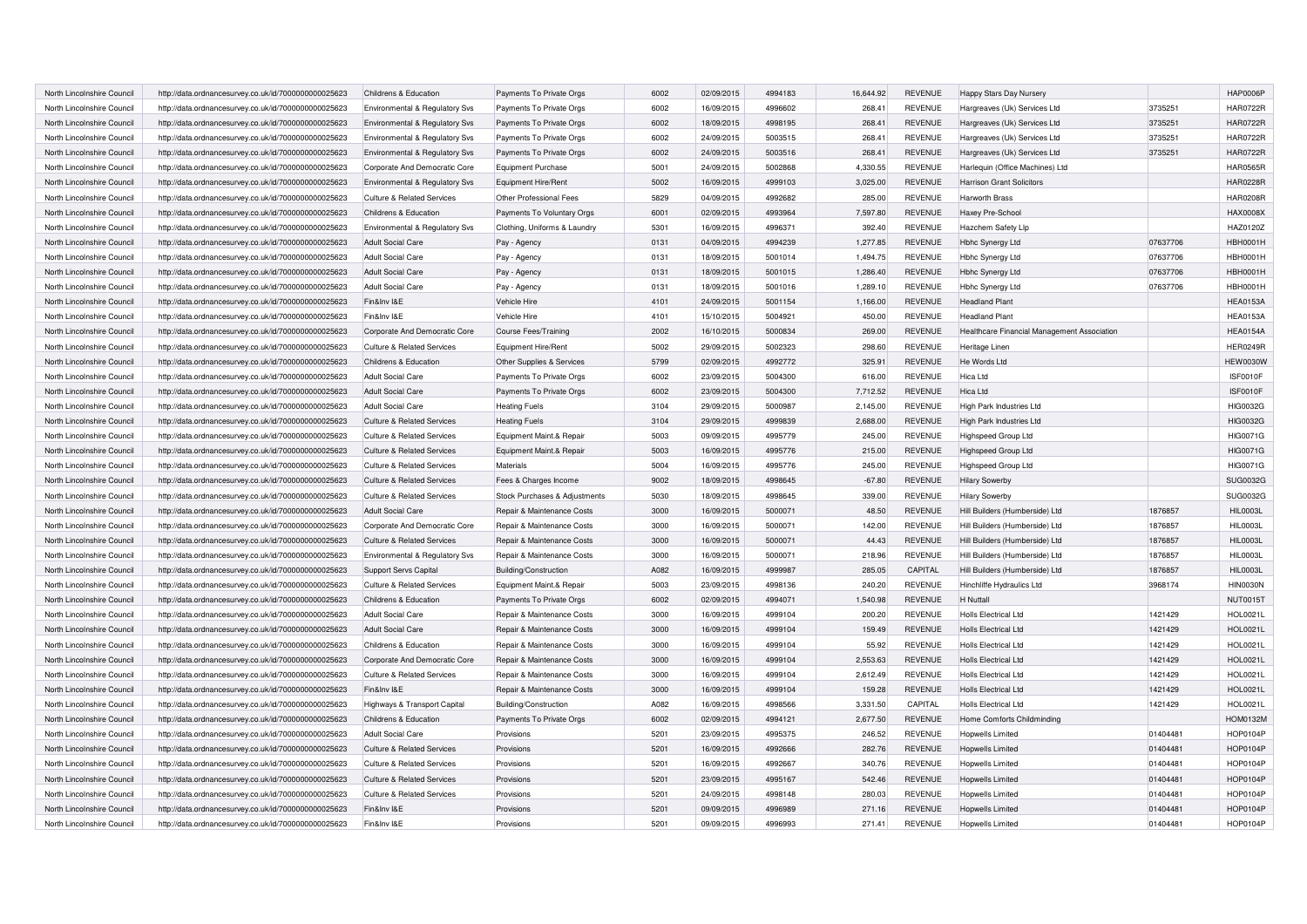| North Lincolnshire Council | http://data.ordnancesurvey.co.uk/id/7000000000025623 | Childrens & Education                 | Payments To Private Orgs      | 6002 | 02/09/2015 | 4994183 | 16,644.92 | <b>REVENUE</b> | Happy Stars Day Nursery                     |          | <b>HAP0006P</b> |
|----------------------------|------------------------------------------------------|---------------------------------------|-------------------------------|------|------------|---------|-----------|----------------|---------------------------------------------|----------|-----------------|
| North Lincolnshire Council | http://data.ordnancesurvey.co.uk/id/7000000000025623 | Environmental & Regulatory Svs        | Payments To Private Orgs      | 6002 | 16/09/2015 | 4996602 | 268.41    | <b>REVENUE</b> | Hargreaves (Uk) Services Ltd                | 3735251  | <b>HAR0722R</b> |
| North Lincolnshire Council | http://data.ordnancesurvey.co.uk/id/7000000000025623 | Environmental & Regulatory Svs        | Payments To Private Orgs      | 6002 | 18/09/2015 | 4998195 | 268.41    | <b>REVENUE</b> | Hargreaves (Uk) Services Ltd                | 3735251  | <b>HAR0722R</b> |
| North Lincolnshire Council | http://data.ordnancesurvey.co.uk/id/7000000000025623 | Environmental & Regulatory Svs        | Payments To Private Orgs      | 6002 | 24/09/2015 | 5003515 | 268.41    | <b>REVENUE</b> | Hargreaves (Uk) Services Ltd                | 3735251  | <b>HAR0722R</b> |
| North Lincolnshire Council | http://data.ordnancesurvey.co.uk/id/7000000000025623 | Environmental & Regulatory Svs        | Payments To Private Orgs      | 6002 | 24/09/2015 | 5003516 | 268.41    | <b>REVENUE</b> | Hargreaves (Uk) Services Ltd                | 3735251  | <b>HAR0722R</b> |
| North Lincolnshire Council | http://data.ordnancesurvey.co.uk/id/7000000000025623 | Corporate And Democratic Core         | <b>Equipment Purchase</b>     | 5001 | 24/09/2015 | 5002868 | 4,330.55  | <b>REVENUE</b> | Harlequin (Office Machines) Ltd             |          | <b>HAR0565R</b> |
| North Lincolnshire Council | http://data.ordnancesurvey.co.uk/id/7000000000025623 | Environmental & Regulatory Svs        | Equipment Hire/Rent           | 5002 | 16/09/2015 | 4999103 | 3.025.00  | <b>REVENUE</b> | <b>Harrison Grant Solicitors</b>            |          | <b>HAR0228R</b> |
| North Lincolnshire Council | http://data.ordnancesurvey.co.uk/id/7000000000025623 | <b>Culture &amp; Related Services</b> | Other Professional Fees       | 5829 | 04/09/2015 | 4992682 | 285.00    | <b>REVENUE</b> | Harworth Brass                              |          | <b>HAR0208R</b> |
| North Lincolnshire Council | http://data.ordnancesurvey.co.uk/id/7000000000025623 | Childrens & Education                 | Payments To Voluntary Orgs    | 6001 | 02/09/2015 | 4993964 | 7,597.80  | <b>REVENUE</b> | Haxey Pre-School                            |          | <b>HAX0008X</b> |
| North Lincolnshire Council | http://data.ordnancesurvey.co.uk/id/7000000000025623 | Environmental & Regulatory Svs        | Clothing, Uniforms & Laundry  | 5301 | 16/09/2015 | 4996371 | 392.40    | <b>REVENUE</b> | Hazchem Safety Lip                          |          | HAZ0120Z        |
| North Lincolnshire Council | http://data.ordnancesurvey.co.uk/id/7000000000025623 | <b>Adult Social Care</b>              | Pay - Agency                  | 0131 | 04/09/2015 | 4994239 | 1,277.85  | <b>REVENUE</b> | <b>Hbhc Synergy Ltd</b>                     | 07637706 | <b>HBH0001H</b> |
| North Lincolnshire Council | http://data.ordnancesurvey.co.uk/id/7000000000025623 | <b>Adult Social Care</b>              | Pay - Agency                  | 0131 | 18/09/2015 | 5001014 | 1,494.75  | <b>REVENUE</b> | Hbhc Synergy Ltd                            | 07637706 | <b>HBH0001H</b> |
| North Lincolnshire Council | http://data.ordnancesurvey.co.uk/id/7000000000025623 | <b>Adult Social Care</b>              | Pay - Agency                  | 0131 | 18/09/2015 | 5001015 | 1,286.40  | <b>REVENUE</b> | Hbhc Synergy Ltd                            | 07637706 | <b>HBH0001H</b> |
| North Lincolnshire Council | http://data.ordnancesurvey.co.uk/id/7000000000025623 | <b>Adult Social Care</b>              | Pay - Agency                  | 0131 | 18/09/2015 | 5001016 | 1,289.10  | <b>REVENUE</b> | Hbhc Synergy Ltd                            | 07637706 | <b>HBH0001H</b> |
| North Lincolnshire Council | http://data.ordnancesurvey.co.uk/id/7000000000025623 | Fin&Inv I&E                           | Vehicle Hire                  | 4101 | 24/09/2015 | 5001154 | 1,166.00  | <b>REVENUE</b> | <b>Headland Plant</b>                       |          | <b>HEA0153A</b> |
| North Lincolnshire Council | http://data.ordnancesurvey.co.uk/id/7000000000025623 | Fin&Inv I&E                           | Vehicle Hire                  | 4101 | 15/10/2015 | 5004921 | 450.00    | <b>REVENUE</b> | <b>Headland Plant</b>                       |          | <b>HEA0153A</b> |
| North Lincolnshire Council | http://data.ordnancesurvey.co.uk/id/7000000000025623 | Corporate And Democratic Core         | <b>Course Fees/Training</b>   | 2002 | 16/10/2015 | 5000834 | 269.00    | <b>REVENUE</b> | Healthcare Financial Management Association |          | <b>HEA0154A</b> |
| North Lincolnshire Council | http://data.ordnancesurvey.co.uk/id/7000000000025623 | <b>Culture &amp; Related Services</b> | Equipment Hire/Rent           | 5002 | 29/09/2015 | 5002323 | 298.60    | <b>REVENUE</b> | Heritage Linen                              |          | <b>HER0249R</b> |
| North Lincolnshire Council | http://data.ordnancesurvey.co.uk/id/7000000000025623 | Childrens & Education                 | Other Supplies & Services     | 5799 | 02/09/2015 | 4992772 | 325.91    | <b>REVENUE</b> | He Words Ltd                                |          | <b>HEW0030W</b> |
| North Lincolnshire Council | http://data.ordnancesurvey.co.uk/id/7000000000025623 | <b>Adult Social Care</b>              | Payments To Private Orgs      | 6002 | 23/09/2015 | 5004300 | 616.00    | <b>REVENUE</b> | <b>Hica Ltd</b>                             |          | ISF0010F        |
| North Lincolnshire Council | http://data.ordnancesurvey.co.uk/id/7000000000025623 | <b>Adult Social Care</b>              | Payments To Private Orgs      | 6002 | 23/09/2015 | 5004300 | 7,712.52  | <b>REVENUE</b> | Hica Ltd                                    |          | ISF0010F        |
| North Lincolnshire Council | http://data.ordnancesurvey.co.uk/id/7000000000025623 | <b>Adult Social Care</b>              | <b>Heating Fuels</b>          | 3104 | 29/09/2015 | 5000987 | 2,145.00  | <b>REVENUE</b> | High Park Industries Ltd                    |          | <b>HIG0032G</b> |
| North Lincolnshire Council | http://data.ordnancesurvey.co.uk/id/7000000000025623 | <b>Culture &amp; Related Services</b> | <b>Heating Fuels</b>          | 3104 | 29/09/2015 | 4999839 | 2,688.00  | <b>REVENUE</b> | High Park Industries Ltd                    |          | <b>HIG0032G</b> |
| North Lincolnshire Council | http://data.ordnancesurvey.co.uk/id/7000000000025623 | <b>Culture &amp; Related Services</b> | Equipment Maint.& Repair      | 5003 | 09/09/2015 | 4995779 | 245.00    | <b>REVENUE</b> | Highspeed Group Ltd                         |          | HIG0071G        |
| North Lincolnshire Council | http://data.ordnancesurvey.co.uk/id/7000000000025623 | <b>Culture &amp; Related Services</b> | Equipment Maint.& Repair      | 5003 | 16/09/2015 | 4995776 | 215.00    | <b>REVENUE</b> | Highspeed Group Ltd                         |          | <b>HIG0071G</b> |
| North Lincolnshire Council | http://data.ordnancesurvey.co.uk/id/7000000000025623 | <b>Culture &amp; Related Services</b> | <b>Materials</b>              | 5004 | 16/09/2015 | 4995776 | 245.00    | <b>REVENUE</b> | Highspeed Group Ltd                         |          | <b>HIG0071G</b> |
| North Lincolnshire Council | http://data.ordnancesurvey.co.uk/id/7000000000025623 | <b>Culture &amp; Related Services</b> | Fees & Charges Income         | 9002 | 18/09/2015 | 4998645 | $-67.80$  | <b>REVENUE</b> | <b>Hilary Sowerby</b>                       |          | SUG0032G        |
| North Lincolnshire Council | http://data.ordnancesurvey.co.uk/id/7000000000025623 | <b>Culture &amp; Related Services</b> | Stock Purchases & Adjustments | 5030 | 18/09/2015 | 4998645 | 339.00    | <b>REVENUE</b> | <b>Hilary Sowerby</b>                       |          | SUG0032G        |
| North Lincolnshire Council | http://data.ordnancesurvey.co.uk/id/7000000000025623 | <b>Adult Social Care</b>              | Repair & Maintenance Costs    | 3000 | 16/09/2015 | 5000071 | 48.50     | <b>REVENUE</b> | Hill Builders (Humberside) Ltd              | 1876857  | <b>HIL0003L</b> |
| North Lincolnshire Council | http://data.ordnancesurvey.co.uk/id/7000000000025623 | Corporate And Democratic Core         | Repair & Maintenance Costs    | 3000 | 16/09/2015 | 5000071 | 142.00    | <b>REVENUE</b> | Hill Builders (Humberside) Ltd              | 1876857  | HIL0003L        |
| North Lincolnshire Council | http://data.ordnancesurvey.co.uk/id/7000000000025623 | <b>Culture &amp; Related Services</b> | Repair & Maintenance Costs    | 3000 | 16/09/2015 | 5000071 | 44.43     | <b>REVENUE</b> | Hill Builders (Humberside) Ltd              | 1876857  | <b>HIL0003L</b> |
| North Lincolnshire Council | http://data.ordnancesurvey.co.uk/id/7000000000025623 | Environmental & Regulatory Svs        | Repair & Maintenance Costs    | 3000 | 16/09/2015 | 5000071 | 218.96    | REVENUE        | Hill Builders (Humberside) Ltd              | 1876857  | <b>HIL0003L</b> |
| North Lincolnshire Council | http://data.ordnancesurvey.co.uk/id/7000000000025623 | Support Servs Capital                 | Building/Construction         | A082 | 16/09/2015 | 4999987 | 285.05    | CAPITAL        | Hill Builders (Humberside) Ltd              | 1876857  | <b>HIL0003L</b> |
| North Lincolnshire Council | http://data.ordnancesurvey.co.uk/id/7000000000025623 | <b>Culture &amp; Related Services</b> | Equipment Maint.& Repair      | 5003 | 23/09/2015 | 4998136 | 240.20    | <b>REVENUE</b> | Hinchliffe Hydraulics Ltd                   | 3968174  | <b>HIN0030N</b> |
| North Lincolnshire Council | http://data.ordnancesurvey.co.uk/id/7000000000025623 | Childrens & Education                 | Payments To Private Orgs      | 6002 | 02/09/2015 | 4994071 | 1,540.98  | <b>REVENUE</b> | H Nuttall                                   |          | <b>NUT0015T</b> |
| North Lincolnshire Council | http://data.ordnancesurvey.co.uk/id/7000000000025623 | <b>Adult Social Care</b>              | Repair & Maintenance Costs    | 3000 | 16/09/2015 | 4999104 | 200.20    | <b>REVENUE</b> | <b>Holls Electrical Ltd</b>                 | 1421429  | HOL0021L        |
| North Lincolnshire Council | http://data.ordnancesurvey.co.uk/id/7000000000025623 | <b>Adult Social Care</b>              | Repair & Maintenance Costs    | 3000 | 16/09/2015 | 4999104 | 159.49    | <b>REVENUE</b> | <b>Holls Electrical Ltd</b>                 | 1421429  | <b>HOL0021L</b> |
| North Lincolnshire Council | http://data.ordnancesurvey.co.uk/id/7000000000025623 | Childrens & Education                 | Repair & Maintenance Costs    | 3000 | 16/09/2015 | 4999104 | 55.92     | <b>REVENUE</b> | <b>Holls Electrical Ltd</b>                 | 1421429  | <b>HOL0021L</b> |
| North Lincolnshire Council | http://data.ordnancesurvey.co.uk/id/7000000000025623 | Corporate And Democratic Core         | Repair & Maintenance Costs    | 3000 | 16/09/2015 | 4999104 | 2,553.63  | <b>REVENUE</b> | <b>Holls Electrical Ltd</b>                 | 1421429  | <b>HOL0021L</b> |
| North Lincolnshire Council | http://data.ordnancesurvey.co.uk/id/7000000000025623 | <b>Culture &amp; Related Services</b> | Repair & Maintenance Costs    | 3000 | 16/09/2015 | 4999104 | 2,612.49  | <b>REVENUE</b> | <b>Holls Electrical Ltd</b>                 | 1421429  | <b>HOL0021L</b> |
| North Lincolnshire Council | http://data.ordnancesurvey.co.uk/id/7000000000025623 | Fin&Inv I&E                           | Repair & Maintenance Costs    | 3000 | 16/09/2015 | 4999104 | 159.28    | <b>REVENUE</b> | Holls Electrical Ltd                        | 1421429  | <b>HOL0021L</b> |
| North Lincolnshire Council | http://data.ordnancesurvey.co.uk/id/7000000000025623 | Highways & Transport Capital          | Building/Construction         | A082 | 16/09/2015 | 4998566 | 3,331.50  | CAPITAL        | <b>Holls Electrical Ltd</b>                 | 1421429  | <b>HOL0021L</b> |
| North Lincolnshire Council | http://data.ordnancesurvey.co.uk/id/7000000000025623 | Childrens & Education                 | Payments To Private Orgs      | 6002 | 02/09/2015 | 4994121 | 2,677.50  | <b>REVENUE</b> | Home Comforts Childminding                  |          | <b>HOM0132M</b> |
| North Lincolnshire Council | http://data.ordnancesurvey.co.uk/id/7000000000025623 | <b>Adult Social Care</b>              | Provisions                    | 5201 | 23/09/2015 | 4995375 | 246.52    | <b>REVENUE</b> | <b>Hopwells Limited</b>                     | 01404481 | HOP0104P        |
| North Lincolnshire Council | http://data.ordnancesurvey.co.uk/id/7000000000025623 | <b>Culture &amp; Related Services</b> | Provisions                    | 5201 | 16/09/2015 | 4992666 | 282.76    | <b>REVENUE</b> | <b>Hopwells Limited</b>                     | 01404481 | HOP0104P        |
| North Lincolnshire Council | http://data.ordnancesurvey.co.uk/id/7000000000025623 | <b>Culture &amp; Related Services</b> | Provisions                    | 5201 | 16/09/2015 | 4992667 | 340.76    | <b>REVENUE</b> | Hopwells Limited                            | 01404481 | <b>HOP0104P</b> |
| North Lincolnshire Council | http://data.ordnancesurvey.co.uk/id/7000000000025623 | <b>Culture &amp; Related Services</b> | Provisions                    | 5201 | 23/09/2015 | 4995167 | 542.46    | <b>REVENUE</b> | Hopwells Limited                            | 01404481 | HOP0104P        |
| North Lincolnshire Council | http://data.ordnancesurvey.co.uk/id/7000000000025623 | <b>Culture &amp; Related Services</b> | Provisions                    | 5201 | 24/09/2015 | 4998148 | 280.03    | <b>REVENUE</b> | <b>Hopwells Limited</b>                     | 01404481 | HOP0104P        |
| North Lincolnshire Council | http://data.ordnancesurvey.co.uk/id/7000000000025623 | Fin&Inv I&E                           | Provisions                    | 5201 | 09/09/2015 | 4996989 | 271.16    | <b>REVENUE</b> | <b>Hopwells Limited</b>                     | 01404481 | <b>HOP0104P</b> |
| North Lincolnshire Council | http://data.ordnancesurvey.co.uk/id/7000000000025623 | Fin&Inv I&E                           | Provisions                    | 5201 | 09/09/2015 | 4996993 | 271.41    | <b>REVENUE</b> | Hopwells Limited                            | 01404481 | <b>HOP0104P</b> |
|                            |                                                      |                                       |                               |      |            |         |           |                |                                             |          |                 |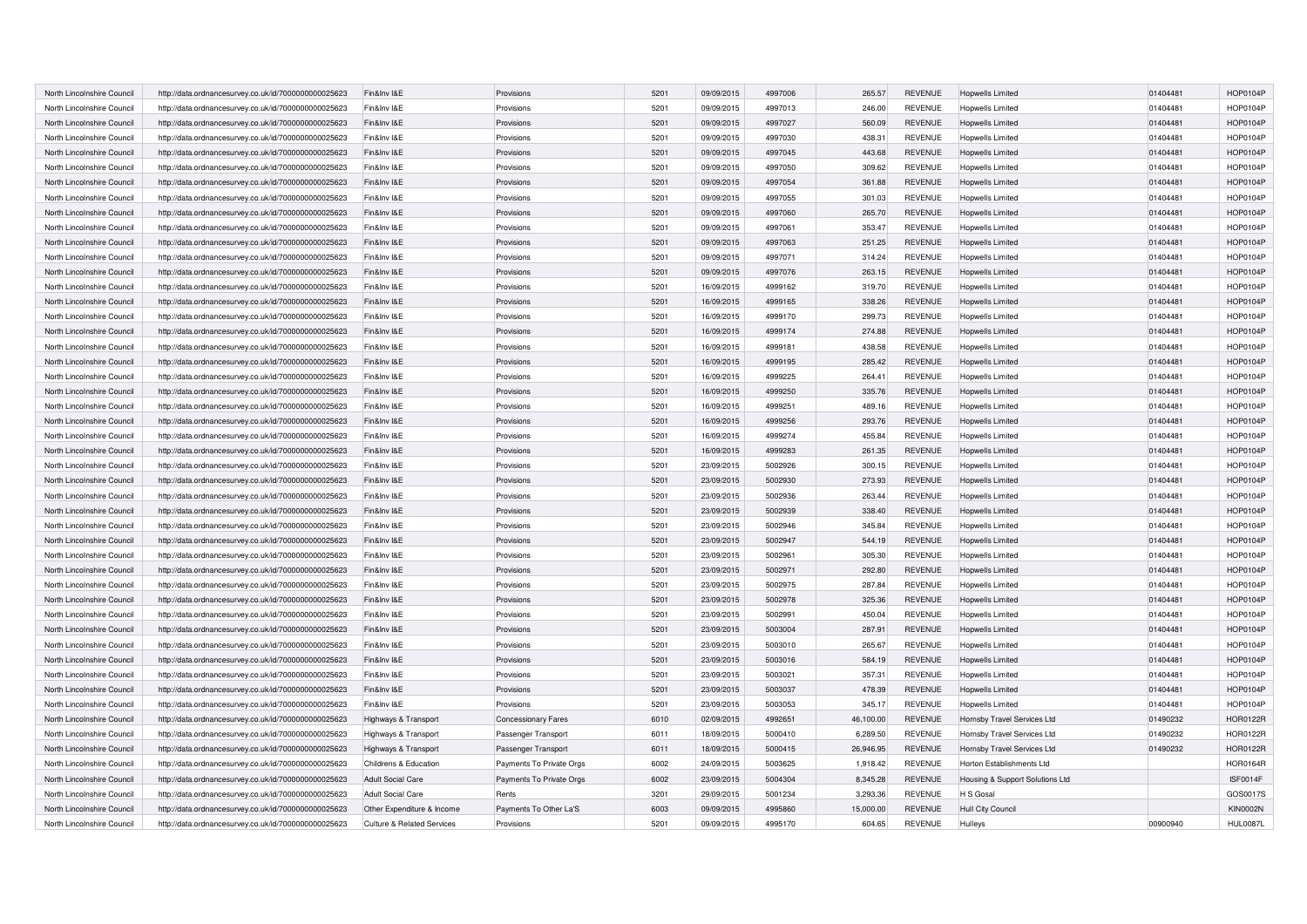| North Lincolnshire Council | http://data.ordnancesurvey.co.uk/id/7000000000025623 | Fin&Inv I&E                           | Provisions               | 5201 | 09/09/2015 | 4997006 | 265.57    | <b>REVENUE</b> | <b>Hopwells Limited</b>         | 01404481 | HOP0104P        |
|----------------------------|------------------------------------------------------|---------------------------------------|--------------------------|------|------------|---------|-----------|----------------|---------------------------------|----------|-----------------|
| North Lincolnshire Council | http://data.ordnancesurvey.co.uk/id/7000000000025623 | Fin&Inv I&E                           | Provisions               | 5201 | 09/09/2015 | 4997013 | 246.00    | <b>REVENUE</b> | Hopwells Limited                | 01404481 | HOP0104P        |
| North Lincolnshire Council | http://data.ordnancesurvey.co.uk/id/7000000000025623 | Fin&Inv I&E                           | Provisions               | 5201 | 09/09/2015 | 4997027 | 560.09    | <b>REVENUE</b> | Hopwells Limited                | 01404481 | <b>HOP0104F</b> |
| North Lincolnshire Council | http://data.ordnancesurvey.co.uk/id/7000000000025623 | Fin&Inv I&E                           | Provisions               | 5201 | 09/09/2015 | 4997030 | 438.31    | <b>REVENUE</b> | Hopwells Limited                | 01404481 | HOP0104P        |
| North Lincolnshire Council | http://data.ordnancesurvey.co.uk/id/7000000000025623 | Fin&Inv I&E                           | Provisions               | 5201 | 09/09/2015 | 4997045 | 443.68    | <b>REVENUE</b> | <b>Hopwells Limited</b>         | 01404481 | HOP0104P        |
| North Lincolnshire Council | http://data.ordnancesurvey.co.uk/id/7000000000025623 | Fin&Inv I&E                           | Provisions               | 5201 | 09/09/2015 | 4997050 | 309.62    | <b>REVENUE</b> | Hopwells Limited                | 01404481 | <b>HOP0104F</b> |
| North Lincolnshire Council | http://data.ordnancesurvey.co.uk/id/7000000000025623 | Fin&Inv I&E                           | Provisions               | 5201 | 09/09/2015 | 4997054 | 361.88    | <b>REVENUE</b> | <b>Hopwells Limited</b>         | 01404481 | <b>HOP0104F</b> |
| North Lincolnshire Council | http://data.ordnancesurvey.co.uk/id/7000000000025623 | Fin&Inv I&E                           | Provisions               | 5201 | 09/09/2015 | 4997055 | 301.03    | <b>REVENUE</b> | <b>Hopwells Limited</b>         | 01404481 | <b>HOP0104F</b> |
| North Lincolnshire Council | http://data.ordnancesurvey.co.uk/id/7000000000025623 | Fin&Inv I&E                           | Provisions               | 5201 | 09/09/2015 | 4997060 | 265.70    | <b>REVENUE</b> | Hopwells Limited                | 01404481 | <b>HOP0104F</b> |
| North Lincolnshire Council | http://data.ordnancesurvey.co.uk/id/7000000000025623 | Fin&Inv I&E                           | Provisions               | 5201 | 09/09/2015 | 4997061 | 353.47    | <b>REVENUE</b> | Hopwells Limited                | 01404481 | <b>HOP0104F</b> |
| North Lincolnshire Council | http://data.ordnancesurvey.co.uk/id/7000000000025623 | Fin&Inv I&E                           | Provisions               | 5201 | 09/09/2015 | 4997063 | 251.25    | <b>REVENUE</b> | <b>Hopwells Limited</b>         | 01404481 | <b>HOP0104F</b> |
| North Lincolnshire Council | http://data.ordnancesurvey.co.uk/id/7000000000025623 | Fin&Inv I&E                           | Provisions               | 5201 | 09/09/2015 | 4997071 | 314.24    | <b>REVENUE</b> | Hopwells Limited                | 01404481 | HOP0104P        |
| North Lincolnshire Council | http://data.ordnancesurvey.co.uk/id/7000000000025623 | Fin&Inv I&E                           | Provisions               | 5201 | 09/09/2015 | 4997076 | 263.15    | <b>REVENUE</b> | Hopwells Limited                | 01404481 | <b>HOP0104F</b> |
| North Lincolnshire Council | http://data.ordnancesurvey.co.uk/id/7000000000025623 | Fin&Inv I&E                           | Provisions               | 5201 | 16/09/2015 | 4999162 | 319.70    | <b>REVENUE</b> | Hopwells Limited                | 01404481 | HOP0104P        |
| North Lincolnshire Council | http://data.ordnancesurvey.co.uk/id/7000000000025623 | Fin&Inv I&E                           | Provisions               | 5201 | 16/09/2015 | 4999165 | 338.26    | <b>REVENUE</b> | Hopwells Limited                | 01404481 | <b>HOP0104P</b> |
| North Lincolnshire Council | http://data.ordnancesurvey.co.uk/id/7000000000025623 | Fin&Inv I&E                           | Provisions               | 5201 | 16/09/2015 | 4999170 | 299.73    | <b>REVENUE</b> | Hopwells Limited                | 01404481 | <b>HOP0104P</b> |
| North Lincolnshire Council | http://data.ordnancesurvey.co.uk/id/7000000000025623 | Fin&Inv I&E                           | Provisions               | 5201 | 16/09/2015 | 4999174 | 274.88    | <b>REVENUE</b> | Hopwells Limited                | 01404481 | <b>HOP0104P</b> |
| North Lincolnshire Council | http://data.ordnancesurvey.co.uk/id/7000000000025623 | Fin&Inv I&E                           | Provisions               | 5201 | 16/09/2015 | 4999181 | 438.58    | <b>REVENUE</b> | Hopwells Limited                | 01404481 | <b>HOP0104P</b> |
| North Lincolnshire Council | http://data.ordnancesurvey.co.uk/id/7000000000025623 | Fin&Inv I&E                           | Provisions               | 5201 | 16/09/2015 | 4999195 | 285.42    | <b>REVENUE</b> | <b>Hopwells Limited</b>         | 01404481 | <b>HOP0104P</b> |
| North Lincolnshire Council | http://data.ordnancesurvey.co.uk/id/7000000000025623 | Fin&Inv I&E                           | Provisions               | 5201 | 16/09/2015 | 4999225 | 264.41    | <b>REVENUE</b> | Hopwells Limited                | 01404481 | <b>HOP0104P</b> |
| North Lincolnshire Council | http://data.ordnancesurvey.co.uk/id/7000000000025623 | Fin&Inv I&E                           | Provisions               | 5201 | 16/09/2015 | 4999250 | 335.76    | <b>REVENUE</b> | Hopwells Limited                | 01404481 | <b>HOP0104P</b> |
| North Lincolnshire Council | http://data.ordnancesurvey.co.uk/id/7000000000025623 | Fin&Inv I&E                           | Provisions               | 5201 | 16/09/2015 | 4999251 | 489.16    | <b>REVENUE</b> | <b>Hopwells Limited</b>         | 01404481 | <b>HOP0104P</b> |
| North Lincolnshire Council | http://data.ordnancesurvey.co.uk/id/7000000000025623 | Fin&Inv I&E                           | Provisions               | 5201 | 16/09/2015 | 4999256 | 293.76    | <b>REVENUE</b> | <b>Hopwells Limited</b>         | 01404481 | <b>HOP0104P</b> |
| North Lincolnshire Council | http://data.ordnancesurvey.co.uk/id/7000000000025623 | Fin&Inv I&E                           | Provisions               | 5201 | 16/09/2015 | 4999274 | 455.84    | <b>REVENUE</b> | Hopwells Limited                | 01404481 | <b>HOP0104P</b> |
| North Lincolnshire Council | http://data.ordnancesurvey.co.uk/id/7000000000025623 | Fin&Inv I&E                           | Provisions               | 5201 | 16/09/2015 | 4999283 | 261.35    | <b>REVENUE</b> | <b>Hopwells Limited</b>         | 01404481 | <b>HOP0104P</b> |
| North Lincolnshire Council | http://data.ordnancesurvey.co.uk/id/7000000000025623 | Fin&Inv I&E                           | Provisions               | 5201 | 23/09/2015 | 5002926 | 300.15    | <b>REVENUE</b> | Hopwells Limited                | 01404481 | <b>HOP0104P</b> |
| North Lincolnshire Council | http://data.ordnancesurvey.co.uk/id/7000000000025623 | Fin&Inv I&E                           | Provisions               | 5201 | 23/09/2015 | 5002930 | 273.93    | <b>REVENUE</b> | <b>Hopwells Limited</b>         | 01404481 | <b>HOP0104P</b> |
| North Lincolnshire Council | http://data.ordnancesurvey.co.uk/id/7000000000025623 | Fin&Inv I&E                           | Provisions               | 5201 | 23/09/2015 | 5002936 | 263.44    | <b>REVENUE</b> | <b>Hopwells Limited</b>         | 01404481 | HOP0104P        |
| North Lincolnshire Council | http://data.ordnancesurvey.co.uk/id/7000000000025623 | Fin&Inv I&E                           | Provisions               | 5201 | 23/09/2015 | 5002939 | 338.40    | <b>REVENUE</b> | <b>Hopwells Limited</b>         | 01404481 | <b>HOP0104P</b> |
| North Lincolnshire Council | http://data.ordnancesurvey.co.uk/id/7000000000025623 | Fin&Inv I&E                           | Provisions               | 5201 | 23/09/2015 | 5002946 | 345.84    | <b>REVENUE</b> | Hopwells Limited                | 01404481 | <b>HOP0104P</b> |
| North Lincolnshire Council | http://data.ordnancesurvey.co.uk/id/7000000000025623 | Fin&Inv I&E                           | Provisions               | 5201 | 23/09/2015 | 5002947 | 544.19    | <b>REVENUE</b> | <b>Hopwells Limited</b>         | 01404481 | <b>HOP0104P</b> |
| North Lincolnshire Council | http://data.ordnancesurvey.co.uk/id/7000000000025623 | Fin&Inv I&E                           | Provisions               | 5201 | 23/09/2015 | 5002961 | 305.30    | <b>REVENUE</b> | Hopwells Limited                | 01404481 | <b>HOP0104P</b> |
| North Lincolnshire Council | http://data.ordnancesurvey.co.uk/id/7000000000025623 | Fin&Inv I&E                           | Provisions               | 5201 | 23/09/2015 | 5002971 | 292.80    | <b>REVENUE</b> | <b>Hopwells Limited</b>         | 01404481 | <b>HOP0104P</b> |
| North Lincolnshire Council | http://data.ordnancesurvey.co.uk/id/7000000000025623 | Fin&Inv I&E                           | Provisions               | 5201 | 23/09/2015 | 5002975 | 287.84    | <b>REVENUE</b> | Hopwells Limited                | 01404481 | <b>HOP0104P</b> |
| North Lincolnshire Council | http://data.ordnancesurvey.co.uk/id/7000000000025623 | Fin&Inv I&E                           | Provisions               | 5201 | 23/09/2015 | 5002978 | 325.36    | <b>REVENUE</b> | <b>Hopwells Limited</b>         | 01404481 | <b>HOP0104P</b> |
| North Lincolnshire Council | http://data.ordnancesurvey.co.uk/id/7000000000025623 | Fin&Inv I&E                           | Provisions               | 5201 | 23/09/2015 | 5002991 | 450.04    | <b>REVENUE</b> | Hopwells Limited                | 01404481 | HOP0104P        |
| North Lincolnshire Council | http://data.ordnancesurvey.co.uk/id/7000000000025623 | Fin&Inv I&E                           | Provisions               | 5201 | 23/09/2015 | 5003004 | 287.91    | <b>REVENUE</b> | <b>Hopwells Limited</b>         | 01404481 | <b>HOP0104P</b> |
| North Lincolnshire Council | http://data.ordnancesurvey.co.uk/id/7000000000025623 | Fin&Inv I&E                           | Provisions               | 5201 | 23/09/2015 | 5003010 | 265.67    | <b>REVENUE</b> | <b>Hopwells Limited</b>         | 01404481 | <b>HOP0104P</b> |
| North Lincolnshire Council | http://data.ordnancesurvey.co.uk/id/7000000000025623 | Fin&Inv I&E                           | Provisions               | 5201 | 23/09/2015 | 5003016 | 584.19    | <b>REVENUE</b> | <b>Hopwells Limited</b>         | 01404481 | <b>HOP0104P</b> |
| North Lincolnshire Council | http://data.ordnancesurvey.co.uk/id/7000000000025623 | Fin&Inv I&E                           | Provisions               | 5201 | 23/09/2015 | 5003021 | 357.31    | <b>REVENUE</b> | Hopwells Limited                | 01404481 | <b>HOP0104P</b> |
| North Lincolnshire Council | http://data.ordnancesurvey.co.uk/id/7000000000025623 | Fin&Inv I&E                           | Provisions               | 5201 | 23/09/2015 | 5003037 | 478.39    | <b>REVENUE</b> | <b>Hopwells Limited</b>         | 01404481 | <b>HOP0104P</b> |
| North Lincolnshire Council | http://data.ordnancesurvey.co.uk/id/7000000000025623 | Fin&Inv I&E                           | Provisions               | 5201 | 23/09/2015 | 5003053 | 345.17    | <b>REVENUE</b> | <b>Hopwells Limited</b>         | 01404481 | HOP0104P        |
| North Lincolnshire Council | http://data.ordnancesurvey.co.uk/id/7000000000025623 | Highways & Transport                  | Concessionary Fares      | 6010 | 02/09/2015 | 4992651 | 46,100.00 | <b>REVENUE</b> | Hornsby Travel Services Ltd     | 01490232 | <b>HOR0122R</b> |
| North Lincolnshire Council | http://data.ordnancesurvey.co.uk/id/7000000000025623 | Highways & Transport                  | Passenger Transport      | 6011 | 18/09/2015 | 5000410 | 6,289.50  | <b>REVENUE</b> | Hornsby Travel Services Ltd     | 01490232 | <b>HOR0122R</b> |
| North Lincolnshire Council | http://data.ordnancesurvey.co.uk/id/7000000000025623 | Highways & Transport                  | Passenger Transport      | 6011 | 18/09/2015 | 5000415 | 26,946.95 | <b>REVENUE</b> | Hornsby Travel Services Ltd     | 01490232 | <b>HOR0122R</b> |
| North Lincolnshire Council | http://data.ordnancesurvey.co.uk/id/7000000000025623 | Childrens & Education                 | Payments To Private Orgs | 6002 | 24/09/2015 | 5003625 | 1.918.42  | <b>REVENUE</b> | Horton Establishments Ltd       |          | <b>HOR0164R</b> |
| North Lincolnshire Council | http://data.ordnancesurvey.co.uk/id/7000000000025623 | <b>Adult Social Care</b>              | Payments To Private Orgs | 6002 | 23/09/2015 | 5004304 | 8,345.28  | <b>REVENUE</b> | Housing & Support Solutions Ltd |          | ISF0014F        |
| North Lincolnshire Council | http://data.ordnancesurvey.co.uk/id/7000000000025623 | <b>Adult Social Care</b>              | Rents                    | 3201 | 29/09/2015 | 5001234 | 3,293.36  | <b>REVENUE</b> | H S Gosal                       |          | GOS0017S        |
| North Lincolnshire Council | http://data.ordnancesurvey.co.uk/id/7000000000025623 | Other Expenditure & Income            | Payments To Other La'S   | 6003 | 09/09/2015 | 4995860 | 15,000.00 | <b>REVENUE</b> | <b>Hull City Council</b>        |          | <b>KIN0002N</b> |
| North Lincolnshire Council | http://data.ordnancesurvey.co.uk/id/7000000000025623 | <b>Culture &amp; Related Services</b> | Provisions               | 5201 | 09/09/2015 | 4995170 | 604.65    | <b>REVENUE</b> | Hullevs                         | 00900940 | <b>HUL0087L</b> |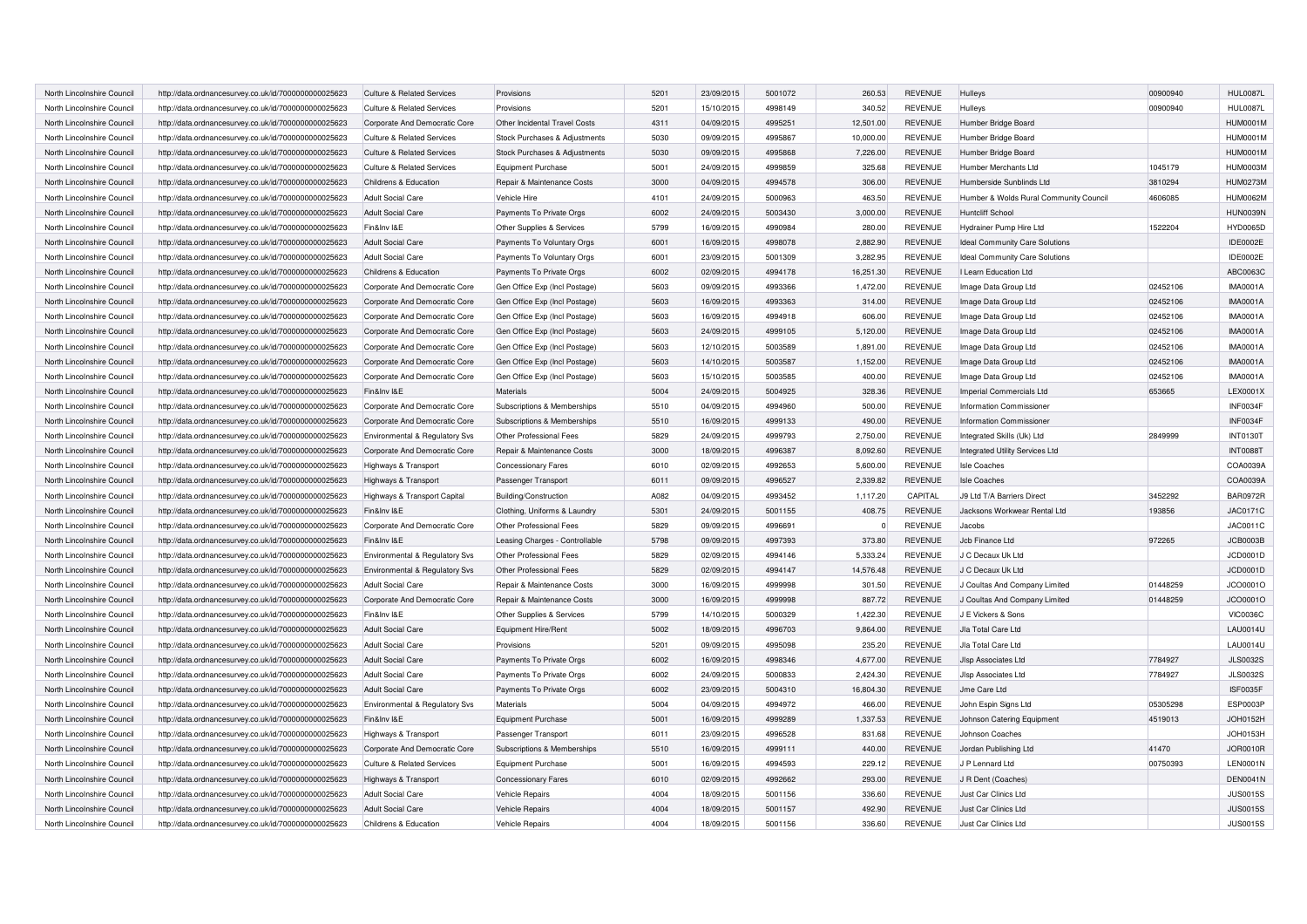| North Lincolnshire Council | http://data.ordnancesurvey.co.uk/id/7000000000025623 | Culture & Related Services            | Provisions                     | 5201 | 23/09/2015 | 5001072 | 260.53    | <b>REVENUE</b> | Hulleys                                | 00900940 | <b>HUL0087L</b> |
|----------------------------|------------------------------------------------------|---------------------------------------|--------------------------------|------|------------|---------|-----------|----------------|----------------------------------------|----------|-----------------|
| North Lincolnshire Council | http://data.ordnancesurvey.co.uk/id/7000000000025623 | Culture & Related Services            | Provisions                     | 5201 | 15/10/2015 | 4998149 | 340.52    | <b>REVENUE</b> | Hulleys                                | 00900940 | <b>HUL0087L</b> |
| North Lincolnshire Council | http://data.ordnancesurvey.co.uk/id/7000000000025623 | Corporate And Democratic Core         | Other Incidental Travel Costs  | 4311 | 04/09/2015 | 4995251 | 12,501.00 | <b>REVENUE</b> | Humber Bridge Board                    |          | <b>HUM0001M</b> |
| North Lincolnshire Council | http://data.ordnancesurvey.co.uk/id/7000000000025623 | <b>Culture &amp; Related Services</b> | Stock Purchases & Adjustments  | 5030 | 09/09/2015 | 4995867 | 10.000.00 | <b>REVENUE</b> | Humber Bridge Board                    |          | <b>HUM0001M</b> |
| North Lincolnshire Council | http://data.ordnancesurvey.co.uk/id/7000000000025623 | <b>Culture &amp; Related Services</b> | Stock Purchases & Adjustments  | 5030 | 09/09/2015 | 4995868 | 7,226.00  | <b>REVENUE</b> | Humber Bridge Board                    |          | <b>HUM0001M</b> |
| North Lincolnshire Council | http://data.ordnancesurvey.co.uk/id/7000000000025623 | <b>Culture &amp; Related Services</b> | Equipment Purchase             | 5001 | 24/09/2015 | 4999859 | 325.68    | <b>REVENUE</b> | Humber Merchants Ltd                   | 1045179  | HUM0003M        |
| North Lincolnshire Council | http://data.ordnancesurvey.co.uk/id/7000000000025623 | Childrens & Education                 | Repair & Maintenance Costs     | 3000 | 04/09/2015 | 4994578 | 306.00    | <b>REVENUE</b> | Humberside Sunblinds Ltd               | 3810294  | <b>HUM0273M</b> |
| North Lincolnshire Council | http://data.ordnancesurvey.co.uk/id/7000000000025623 | <b>Adult Social Care</b>              | Vehicle Hire                   | 4101 | 24/09/2015 | 5000963 | 463.50    | <b>REVENUE</b> | Humber & Wolds Rural Community Council | 4606085  | <b>HUM0062M</b> |
| North Lincolnshire Council | http://data.ordnancesurvey.co.uk/id/7000000000025623 | <b>Adult Social Care</b>              | Payments To Private Orgs       | 6002 | 24/09/2015 | 5003430 | 3,000.00  | <b>REVENUE</b> | Huntcliff School                       |          | <b>HUN0039N</b> |
| North Lincolnshire Council | http://data.ordnancesurvey.co.uk/id/7000000000025623 | Fin&Inv I&E                           | Other Supplies & Services      | 5799 | 16/09/2015 | 4990984 | 280.00    | <b>REVENUE</b> | Hydrainer Pump Hire Ltd                | 1522204  | <b>HYD0065D</b> |
| North Lincolnshire Council | http://data.ordnancesurvey.co.uk/id/7000000000025623 | Adult Social Care                     | Payments To Voluntary Orgs     | 6001 | 16/09/2015 | 4998078 | 2.882.90  | <b>REVENUE</b> | <b>Ideal Community Care Solutions</b>  |          | IDE0002E        |
| North Lincolnshire Council | http://data.ordnancesurvey.co.uk/id/7000000000025623 | Adult Social Care                     | Payments To Voluntary Orgs     | 6001 | 23/09/2015 | 5001309 | 3.282.95  | <b>REVENUE</b> | Ideal Community Care Solutions         |          | IDE0002E        |
| North Lincolnshire Council | http://data.ordnancesurvey.co.uk/id/7000000000025623 | Childrens & Education                 | Payments To Private Orgs       | 6002 | 02/09/2015 | 4994178 | 16,251.30 | <b>REVENUE</b> | I Learn Education Ltd                  |          | ABC0063C        |
| North Lincolnshire Council | http://data.ordnancesurvey.co.uk/id/7000000000025623 | Corporate And Democratic Core         | Gen Office Exp (Incl Postage)  | 5603 | 09/09/2015 | 4993366 | 1.472.00  | <b>REVENUE</b> | Image Data Group Ltd                   | 02452106 | <b>IMA0001A</b> |
| North Lincolnshire Council | http://data.ordnancesurvey.co.uk/id/7000000000025623 | Corporate And Democratic Core         | Gen Office Exp (Incl Postage)  | 5603 | 16/09/2015 | 4993363 | 314.00    | <b>REVENUE</b> | Image Data Group Ltd                   | 02452106 | <b>IMA0001A</b> |
| North Lincolnshire Council | http://data.ordnancesurvey.co.uk/id/7000000000025623 | Corporate And Democratic Core         | Gen Office Exp (Incl Postage)  | 5603 | 16/09/2015 | 4994918 | 606.00    | <b>REVENUE</b> | Image Data Group Ltd                   | 02452106 | <b>IMA0001A</b> |
| North Lincolnshire Council | http://data.ordnancesurvey.co.uk/id/7000000000025623 | Corporate And Democratic Core         | Gen Office Exp (Incl Postage)  | 5603 | 24/09/2015 | 4999105 | 5,120.00  | <b>REVENUE</b> | Image Data Group Ltd                   | 02452106 | <b>IMA0001A</b> |
| North Lincolnshire Council | http://data.ordnancesurvey.co.uk/id/7000000000025623 | Corporate And Democratic Core         | Gen Office Exp (Incl Postage)  | 5603 | 12/10/2015 | 5003589 | 1,891.00  | <b>REVENUE</b> | Image Data Group Ltd                   | 02452106 | <b>IMA0001A</b> |
| North Lincolnshire Council | http://data.ordnancesurvey.co.uk/id/7000000000025623 | Corporate And Democratic Core         | Gen Office Exp (Incl Postage)  | 5603 | 14/10/2015 | 5003587 | 1,152.00  | <b>REVENUE</b> | Image Data Group Ltd                   | 02452106 | <b>IMA0001A</b> |
| North Lincolnshire Council | http://data.ordnancesurvey.co.uk/id/7000000000025623 | Corporate And Democratic Core         | Gen Office Exp (Incl Postage)  | 5603 | 15/10/2015 | 5003585 | 400.00    | <b>REVENUE</b> | Image Data Group Ltd                   | 02452106 | <b>IMA0001A</b> |
| North Lincolnshire Council | http://data.ordnancesurvey.co.uk/id/7000000000025623 | Fin&Inv I&E                           | <b>Materials</b>               | 5004 | 24/09/2015 | 5004925 | 328.36    | <b>REVENUE</b> | Imperial Commercials Ltd               | 653665   | LEX0001X        |
| North Lincolnshire Council | http://data.ordnancesurvey.co.uk/id/7000000000025623 | Corporate And Democratic Core         | Subscriptions & Memberships    | 5510 | 04/09/2015 | 4994960 | 500.00    | <b>REVENUE</b> | Information Commissioner               |          | INF0034F        |
| North Lincolnshire Council | http://data.ordnancesurvey.co.uk/id/7000000000025623 | Corporate And Democratic Core         | Subscriptions & Memberships    | 5510 | 16/09/2015 | 4999133 | 490.00    | <b>REVENUE</b> | Information Commissioner               |          | INF0034F        |
| North Lincolnshire Council | http://data.ordnancesurvey.co.uk/id/7000000000025623 | Environmental & Regulatory Svs        | <b>Other Professional Fees</b> | 5829 | 24/09/2015 | 4999793 | 2,750.00  | <b>REVENUE</b> | Integrated Skills (Uk) Ltd             | 2849999  | <b>INT0130T</b> |
| North Lincolnshire Council | http://data.ordnancesurvey.co.uk/id/7000000000025623 | Corporate And Democratic Core         | Repair & Maintenance Costs     | 3000 | 18/09/2015 | 4996387 | 8,092.60  | <b>REVENUE</b> | <b>Integrated Utility Services Ltd</b> |          | <b>INT0088T</b> |
| North Lincolnshire Council | http://data.ordnancesurvey.co.uk/id/7000000000025623 | Highways & Transport                  | <b>Concessionary Fares</b>     | 6010 | 02/09/2015 | 4992653 | 5,600.00  | <b>REVENUE</b> | <b>Isle Coaches</b>                    |          | COA0039A        |
| North Lincolnshire Council | http://data.ordnancesurvey.co.uk/id/7000000000025623 | Highways & Transport                  | Passenger Transport            | 6011 | 09/09/2015 | 4996527 | 2,339.82  | <b>REVENUE</b> | <b>Isle Coaches</b>                    |          | COA0039A        |
| North Lincolnshire Council | http://data.ordnancesurvey.co.uk/id/7000000000025623 | Highways & Transport Capital          | Building/Construction          | A082 | 04/09/2015 | 4993452 | 1,117.20  | CAPITAL        | J9 Ltd T/A Barriers Direct             | 3452292  | <b>BAR0972R</b> |
| North Lincolnshire Council | http://data.ordnancesurvey.co.uk/id/7000000000025623 | Fin&Inv I&E                           | Clothing, Uniforms & Laundry   | 5301 | 24/09/2015 | 5001155 | 408.75    | <b>REVENUE</b> | Jacksons Workwear Rental Ltd           | 193856   | JAC0171C        |
| North Lincolnshire Council | http://data.ordnancesurvey.co.uk/id/7000000000025623 | Corporate And Democratic Core         | Other Professional Fees        | 5829 | 09/09/2015 | 4996691 |           | <b>REVENUE</b> | Jacobs                                 |          | JAC0011C        |
| North Lincolnshire Council | http://data.ordnancesurvey.co.uk/id/7000000000025623 | Fin&Inv I&E                           | Leasing Charges - Controllable | 5798 | 09/09/2015 | 4997393 | 373.80    | <b>REVENUE</b> | Jcb Finance Ltd                        | 972265   | <b>JCB0003B</b> |
| North Lincolnshire Council | http://data.ordnancesurvey.co.uk/id/7000000000025623 | Environmental & Regulatory Svs        | Other Professional Fees        | 5829 | 02/09/2015 | 4994146 | 5,333.24  | <b>REVENUE</b> | J C Decaux Uk Ltd                      |          | JCD0001D        |
| North Lincolnshire Council | http://data.ordnancesurvey.co.uk/id/7000000000025623 | Environmental & Regulatory Svs        | Other Professional Fees        | 5829 | 02/09/2015 | 4994147 | 14,576.48 | <b>REVENUE</b> | J C Decaux Uk Ltd                      |          | JCD0001D        |
| North Lincolnshire Council | http://data.ordnancesurvey.co.uk/id/7000000000025623 | <b>Adult Social Care</b>              | Repair & Maintenance Costs     | 3000 | 16/09/2015 | 4999998 | 301.50    | <b>REVENUE</b> | J Coultas And Company Limited          | 01448259 | JCO0001O        |
| North Lincolnshire Council | http://data.ordnancesurvey.co.uk/id/7000000000025623 | Corporate And Democratic Core         | Repair & Maintenance Costs     | 3000 | 16/09/2015 | 4999998 | 887.72    | <b>REVENUE</b> | J Coultas And Company Limited          | 01448259 | JCO0001O        |
| North Lincolnshire Council | http://data.ordnancesurvey.co.uk/id/7000000000025623 | Fin&Inv I&E                           | Other Supplies & Services      | 5799 | 14/10/2015 | 5000329 | 1,422.30  | <b>REVENUE</b> | J E Vickers & Sons                     |          | <b>VIC0036C</b> |
| North Lincolnshire Council | http://data.ordnancesurvey.co.uk/id/7000000000025623 | Adult Social Care                     | Equipment Hire/Rent            | 5002 | 18/09/2015 | 4996703 | 9,864.00  | <b>REVENUE</b> | Jla Total Care Ltd                     |          | <b>LAU0014U</b> |
| North Lincolnshire Council | http://data.ordnancesurvey.co.uk/id/7000000000025623 | <b>Adult Social Care</b>              | Provisions                     | 5201 | 09/09/2015 | 4995098 | 235.20    | <b>REVENUE</b> | Jla Total Care Ltd                     |          | <b>LAU0014U</b> |
| North Lincolnshire Council | http://data.ordnancesurvey.co.uk/id/7000000000025623 | <b>Adult Social Care</b>              | Payments To Private Orgs       | 6002 | 16/09/2015 | 4998346 | 4,677.00  | <b>REVENUE</b> | Jisp Associates Ltd                    | 7784927  | <b>JLS0032S</b> |
| North Lincolnshire Council | http://data.ordnancesurvey.co.uk/id/7000000000025623 | <b>Adult Social Care</b>              | Payments To Private Orgs       | 6002 | 24/09/2015 | 5000833 | 2,424.30  | <b>REVENUE</b> | Jisp Associates Ltd                    | 7784927  | <b>JLS0032S</b> |
| North Lincolnshire Council | http://data.ordnancesurvey.co.uk/id/7000000000025623 | <b>Adult Social Care</b>              | Payments To Private Orgs       | 6002 | 23/09/2015 | 5004310 | 16,804.30 | <b>REVENUE</b> | Jme Care Ltd                           |          | ISF0035F        |
| North Lincolnshire Council | http://data.ordnancesurvey.co.uk/id/7000000000025623 | Environmental & Regulatory Svs        | Materials                      | 5004 | 04/09/2015 | 4994972 | 466.00    | <b>REVENUE</b> | John Espin Signs Ltd                   | 05305298 | <b>ESP0003P</b> |
| North Lincolnshire Council | http://data.ordnancesurvey.co.uk/id/7000000000025623 | Fin&Inv I&E                           | <b>Equipment Purchase</b>      | 5001 | 16/09/2015 | 4999289 | 1,337.53  | <b>REVENUE</b> | Johnson Catering Equipment             | 4519013  | JOH0152H        |
| North Lincolnshire Council | http://data.ordnancesurvey.co.uk/id/7000000000025623 | Highways & Transport                  | Passenger Transport            | 6011 | 23/09/2015 | 4996528 | 831.68    | <b>REVENUE</b> | Johnson Coaches                        |          | JOH0153H        |
| North Lincolnshire Council | http://data.ordnancesurvey.co.uk/id/7000000000025623 | Corporate And Democratic Core         | Subscriptions & Memberships    | 5510 | 16/09/2015 | 4999111 | 440.00    | <b>REVENUE</b> | Jordan Publishing Ltd                  | 41470    | <b>JOR0010R</b> |
| North Lincolnshire Council | http://data.ordnancesurvey.co.uk/id/7000000000025623 | <b>Culture &amp; Related Services</b> | Equipment Purchase             | 5001 | 16/09/2015 | 4994593 | 229.12    | <b>REVENUE</b> | J P Lennard Ltd                        | 00750393 | <b>LEN0001N</b> |
| North Lincolnshire Council | http://data.ordnancesurvey.co.uk/id/7000000000025623 | Highways & Transport                  | <b>Concessionary Fares</b>     | 6010 | 02/09/2015 | 4992662 | 293.00    | <b>REVENUE</b> | J R Dent (Coaches)                     |          | <b>DEN0041N</b> |
| North Lincolnshire Council | http://data.ordnancesurvey.co.uk/id/7000000000025623 | <b>Adult Social Care</b>              | Vehicle Repairs                | 4004 | 18/09/2015 | 5001156 | 336.60    | <b>REVENUE</b> | Just Car Clinics Ltd                   |          | <b>JUS0015S</b> |
| North Lincolnshire Council | http://data.ordnancesurvey.co.uk/id/7000000000025623 | <b>Adult Social Care</b>              | <b>Vehicle Repairs</b>         | 4004 | 18/09/2015 | 5001157 | 492.90    | <b>REVENUE</b> | Just Car Clinics Ltd                   |          | <b>JUS0015S</b> |
| North Lincolnshire Council | http://data.ordnancesurvey.co.uk/id/7000000000025623 | Childrens & Education                 | <b>Vehicle Repairs</b>         | 4004 | 18/09/2015 | 5001156 | 336.60    | <b>REVENUE</b> | Just Car Clinics Ltd                   |          | <b>JUS0015S</b> |
|                            |                                                      |                                       |                                |      |            |         |           |                |                                        |          |                 |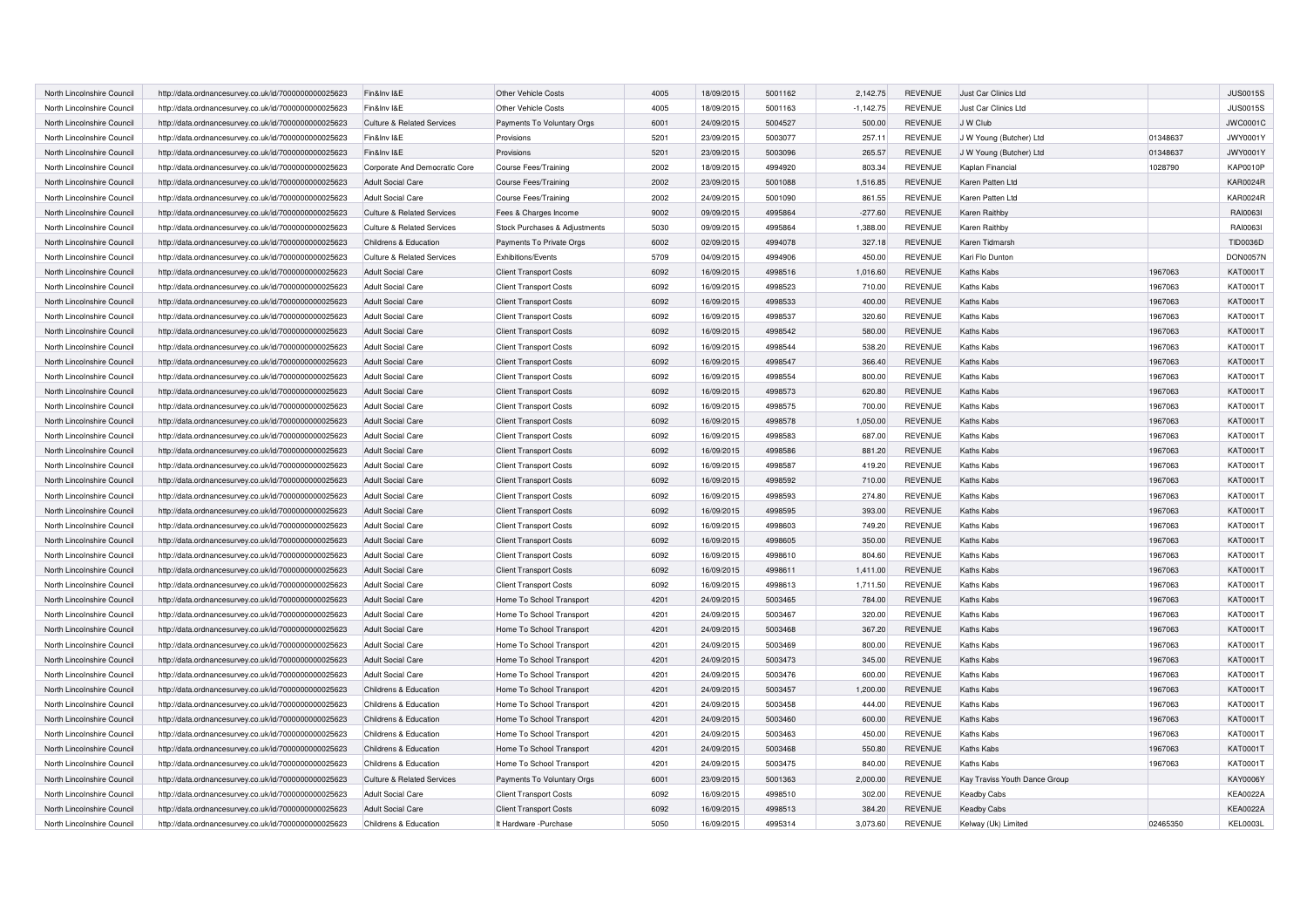| North Lincolnshire Council | http://data.ordnancesurvey.co.uk/id/7000000000025623 | Fin&Inv I&E                           | Other Vehicle Costs           | 4005 | 18/09/2015 | 5001162 | 2,142.75    | <b>REVENUE</b> | Just Car Clinics Ltd          |          | <b>JUS0015S</b> |
|----------------------------|------------------------------------------------------|---------------------------------------|-------------------------------|------|------------|---------|-------------|----------------|-------------------------------|----------|-----------------|
| North Lincolnshire Council | http://data.ordnancesurvey.co.uk/id/7000000000025623 | Fin&Inv I&E                           | Other Vehicle Costs           | 4005 | 18/09/2015 | 5001163 | $-1,142.75$ | <b>REVENUE</b> | Just Car Clinics Ltd          |          | <b>JUS0015S</b> |
| North Lincolnshire Council | http://data.ordnancesurvey.co.uk/id/7000000000025623 | <b>Culture &amp; Related Services</b> | Payments To Voluntary Orgs    | 6001 | 24/09/2015 | 5004527 | 500.00      | <b>REVENUE</b> | J W Club                      |          | <b>JWC0001C</b> |
| North Lincolnshire Council | http://data.ordnancesurvey.co.uk/id/7000000000025623 | Fin&Inv I&E                           | Provisions                    | 5201 | 23/09/2015 | 5003077 | 257.11      | <b>REVENUE</b> | J W Young (Butcher) Ltd       | 01348637 | <b>JWY0001Y</b> |
| North Lincolnshire Council | http://data.ordnancesurvey.co.uk/id/7000000000025623 | Fin&Inv I&E                           | Provisions                    | 5201 | 23/09/2015 | 5003096 | 265.57      | <b>REVENUE</b> | J W Young (Butcher) Ltd       | 01348637 | <b>JWY0001Y</b> |
| North Lincolnshire Council | http://data.ordnancesurvey.co.uk/id/7000000000025623 | Corporate And Democratic Core         | <b>Course Fees/Training</b>   | 2002 | 18/09/2015 | 4994920 | 803.34      | <b>REVENUE</b> | Kaplan Financial              | 1028790  | <b>KAP0010P</b> |
| North Lincolnshire Council | http://data.ordnancesurvey.co.uk/id/7000000000025623 | Adult Social Care                     | <b>Course Fees/Training</b>   | 2002 | 23/09/2015 | 5001088 | 1,516.85    | <b>REVENUE</b> | Karen Patten Ltd              |          | <b>KAR0024R</b> |
| North Lincolnshire Council | http://data.ordnancesurvey.co.uk/id/7000000000025623 | <b>Adult Social Care</b>              | <b>Course Fees/Training</b>   | 2002 | 24/09/2015 | 5001090 | 861.55      | <b>REVENUE</b> | Karen Patten Ltd              |          | <b>KAR0024R</b> |
| North Lincolnshire Council | http://data.ordnancesurvey.co.uk/id/7000000000025623 | <b>Culture &amp; Related Services</b> | Fees & Charges Income         | 9002 | 09/09/2015 | 4995864 | $-277.60$   | <b>REVENUE</b> | Karen Raithby                 |          | RAI00631        |
| North Lincolnshire Council | http://data.ordnancesurvey.co.uk/id/7000000000025623 | <b>Culture &amp; Related Services</b> | Stock Purchases & Adjustments | 5030 | 09/09/2015 | 4995864 | 1,388.00    | <b>REVENUE</b> | Karen Raithby                 |          | RAI00631        |
| North Lincolnshire Council | http://data.ordnancesurvey.co.uk/id/7000000000025623 | Childrens & Education                 | Payments To Private Orgs      | 6002 | 02/09/2015 | 4994078 | 327.18      | <b>REVENUE</b> | Karen Tidmarsh                |          | TID0036D        |
| North Lincolnshire Council | http://data.ordnancesurvey.co.uk/id/7000000000025623 | <b>Culture &amp; Related Services</b> | Exhibitions/Events            | 5709 | 04/09/2015 | 4994906 | 450.00      | <b>REVENUE</b> | Kari Flo Dunton               |          | <b>DON0057N</b> |
| North Lincolnshire Council | http://data.ordnancesurvey.co.uk/id/7000000000025623 | <b>Adult Social Care</b>              | <b>Client Transport Costs</b> | 6092 | 16/09/2015 | 4998516 | 1,016.60    | <b>REVENUE</b> | <b>Kaths Kabs</b>             | 1967063  | KAT0001T        |
| North Lincolnshire Council | http://data.ordnancesurvey.co.uk/id/7000000000025623 | <b>Adult Social Care</b>              | <b>Client Transport Costs</b> | 6092 | 16/09/2015 | 4998523 | 710.00      | <b>REVENUE</b> | <b>Kaths Kabs</b>             | 1967063  | <b>KAT0001T</b> |
| North Lincolnshire Council | http://data.ordnancesurvey.co.uk/id/7000000000025623 | <b>Adult Social Care</b>              | <b>Client Transport Costs</b> | 6092 | 16/09/2015 | 4998533 | 400.00      | <b>REVENUE</b> | <b>Kaths Kabs</b>             | 1967063  | KAT0001T        |
| North Lincolnshire Council | http://data.ordnancesurvey.co.uk/id/7000000000025623 | <b>Adult Social Care</b>              | <b>Client Transport Costs</b> | 6092 | 16/09/2015 | 4998537 | 320.60      | <b>REVENUE</b> | Kaths Kabs                    | 1967063  | KAT0001T        |
| North Lincolnshire Council | http://data.ordnancesurvey.co.uk/id/7000000000025623 | <b>Adult Social Care</b>              | <b>Client Transport Costs</b> | 6092 | 16/09/2015 | 4998542 | 580.00      | <b>REVENUE</b> | <b>Kaths Kabs</b>             | 1967063  | KAT0001T        |
| North Lincolnshire Council | http://data.ordnancesurvey.co.uk/id/7000000000025623 | <b>Adult Social Care</b>              | <b>Client Transport Costs</b> | 6092 | 16/09/2015 | 4998544 | 538.20      | <b>REVENUE</b> | Kaths Kabs                    | 1967063  | KAT0001T        |
| North Lincolnshire Council | http://data.ordnancesurvey.co.uk/id/7000000000025623 | <b>Adult Social Care</b>              | <b>Client Transport Costs</b> | 6092 | 16/09/2015 | 4998547 | 366.40      | <b>REVENUE</b> | <b>Kaths Kabs</b>             | 1967063  | KAT0001T        |
| North Lincolnshire Council | http://data.ordnancesurvey.co.uk/id/7000000000025623 | <b>Adult Social Care</b>              | <b>Client Transport Costs</b> | 6092 | 16/09/2015 | 4998554 | 800.00      | <b>REVENUE</b> | Kaths Kabs                    | 1967063  | KAT0001T        |
| North Lincolnshire Council | http://data.ordnancesurvey.co.uk/id/7000000000025623 | <b>Adult Social Care</b>              | <b>Client Transport Costs</b> | 6092 | 16/09/2015 | 4998573 | 620.80      | <b>REVENUE</b> | Kaths Kabs                    | 1967063  | <b>KAT0001T</b> |
| North Lincolnshire Council | http://data.ordnancesurvey.co.uk/id/7000000000025623 | <b>Adult Social Care</b>              | <b>Client Transport Costs</b> | 6092 | 16/09/2015 | 4998575 | 700.00      | <b>REVENUE</b> | Kaths Kabs                    | 1967063  | KAT0001T        |
| North Lincolnshire Council | http://data.ordnancesurvey.co.uk/id/7000000000025623 | <b>Adult Social Care</b>              | <b>Client Transport Costs</b> | 6092 | 16/09/2015 | 4998578 | 1,050.00    | <b>REVENUE</b> | <b>Kaths Kabs</b>             | 1967063  | <b>KAT0001T</b> |
| North Lincolnshire Council | http://data.ordnancesurvey.co.uk/id/7000000000025623 | Adult Social Care                     | <b>Client Transport Costs</b> | 6092 | 16/09/2015 | 4998583 | 687.00      | <b>REVENUE</b> | Kaths Kabs                    | 1967063  | KAT0001T        |
| North Lincolnshire Council | http://data.ordnancesurvey.co.uk/id/7000000000025623 | <b>Adult Social Care</b>              | <b>Client Transport Costs</b> | 6092 | 16/09/2015 | 4998586 | 881.20      | <b>REVENUE</b> | Kaths Kabs                    | 1967063  | KAT0001T        |
| North Lincolnshire Council | http://data.ordnancesurvey.co.uk/id/7000000000025623 | <b>Adult Social Care</b>              | <b>Client Transport Costs</b> | 6092 | 16/09/2015 | 4998587 | 419.20      | <b>REVENUE</b> | <b>Kaths Kabs</b>             | 1967063  | KAT0001T        |
| North Lincolnshire Council | http://data.ordnancesurvey.co.uk/id/7000000000025623 | <b>Adult Social Care</b>              | <b>Client Transport Costs</b> | 6092 | 16/09/2015 | 4998592 | 710.00      | <b>REVENUE</b> | <b>Kaths Kabs</b>             | 1967063  | <b>KAT0001T</b> |
| North Lincolnshire Council | http://data.ordnancesurvey.co.uk/id/7000000000025623 | <b>Adult Social Care</b>              | <b>Client Transport Costs</b> | 6092 | 16/09/2015 | 4998593 | 274.80      | <b>REVENUE</b> | <b>Kaths Kabs</b>             | 1967063  | KAT0001T        |
| North Lincolnshire Council | http://data.ordnancesurvey.co.uk/id/7000000000025623 | <b>Adult Social Care</b>              | <b>Client Transport Costs</b> | 6092 | 16/09/2015 | 4998595 | 393.00      | <b>REVENUE</b> | <b>Kaths Kabs</b>             | 1967063  | KAT0001T        |
| North Lincolnshire Council | http://data.ordnancesurvey.co.uk/id/7000000000025623 | <b>Adult Social Care</b>              | <b>Client Transport Costs</b> | 6092 | 16/09/2015 | 4998603 | 749.20      | <b>REVENUE</b> | <b>Kaths Kabs</b>             | 1967063  | KAT0001T        |
| North Lincolnshire Council | http://data.ordnancesurvey.co.uk/id/7000000000025623 | <b>Adult Social Care</b>              | <b>Client Transport Costs</b> | 6092 | 16/09/2015 | 4998605 | 350.00      | <b>REVENUE</b> | Kaths Kabs                    | 1967063  | KAT0001T        |
| North Lincolnshire Council | http://data.ordnancesurvey.co.uk/id/7000000000025623 | <b>Adult Social Care</b>              | <b>Client Transport Costs</b> | 6092 | 16/09/2015 | 4998610 | 804.60      | <b>REVENUE</b> | <b>Kaths Kabs</b>             | 1967063  | KAT0001T        |
| North Lincolnshire Council | http://data.ordnancesurvey.co.uk/id/7000000000025623 | <b>Adult Social Care</b>              | <b>Client Transport Costs</b> | 6092 | 16/09/2015 | 4998611 | 1,411.00    | <b>REVENUE</b> | <b>Kaths Kabs</b>             | 1967063  | KAT0001T        |
| North Lincolnshire Council | http://data.ordnancesurvey.co.uk/id/7000000000025623 | <b>Adult Social Care</b>              | <b>Client Transport Costs</b> | 6092 | 16/09/2015 | 4998613 | 1,711.50    | <b>REVENUE</b> | <b>Kaths Kabs</b>             | 1967063  | KAT0001T        |
| North Lincolnshire Council | http://data.ordnancesurvey.co.uk/id/7000000000025623 | <b>Adult Social Care</b>              | Home To School Transport      | 4201 | 24/09/2015 | 5003465 | 784.00      | <b>REVENUE</b> | <b>Kaths Kabs</b>             | 1967063  | KAT0001T        |
| North Lincolnshire Council | http://data.ordnancesurvey.co.uk/id/7000000000025623 | <b>Adult Social Care</b>              | Home To School Transport      | 4201 | 24/09/2015 | 5003467 | 320.00      | <b>REVENUE</b> | <b>Kaths Kabs</b>             | 1967063  | KAT0001T        |
| North Lincolnshire Council | http://data.ordnancesurvey.co.uk/id/7000000000025623 | <b>Adult Social Care</b>              | Home To School Transport      | 4201 | 24/09/2015 | 5003468 | 367.20      | <b>REVENUE</b> | <b>Kaths Kabs</b>             | 1967063  | KAT0001T        |
| North Lincolnshire Council | http://data.ordnancesurvey.co.uk/id/7000000000025623 | <b>Adult Social Care</b>              | Home To School Transport      | 4201 | 24/09/2015 | 5003469 | 800.00      | <b>REVENUE</b> | <b>Kaths Kabs</b>             | 1967063  | KAT0001T        |
| North Lincolnshire Council | http://data.ordnancesurvey.co.uk/id/7000000000025623 | <b>Adult Social Care</b>              | Home To School Transport      | 4201 | 24/09/2015 | 5003473 | 345.00      | <b>REVENUE</b> | Kaths Kabs                    | 1967063  | KAT0001T        |
| North Lincolnshire Council | http://data.ordnancesurvey.co.uk/id/7000000000025623 | <b>Adult Social Care</b>              | Home To School Transport      | 4201 | 24/09/2015 | 5003476 | 600.00      | <b>REVENUE</b> | <b>Kaths Kabs</b>             | 1967063  | KAT0001T        |
| North Lincolnshire Council | http://data.ordnancesurvey.co.uk/id/7000000000025623 | Childrens & Education                 | Home To School Transport      | 4201 | 24/09/2015 | 5003457 | 1,200.00    | <b>REVENUE</b> | <b>Kaths Kabs</b>             | 1967063  | KAT0001T        |
| North Lincolnshire Council | http://data.ordnancesurvey.co.uk/id/7000000000025623 | Childrens & Education                 | Home To School Transport      | 4201 | 24/09/2015 | 5003458 | 444.00      | <b>REVENUE</b> | <b>Kaths Kabs</b>             | 1967063  | KAT0001T        |
| North Lincolnshire Council | http://data.ordnancesurvey.co.uk/id/7000000000025623 | Childrens & Education                 | Home To School Transport      | 4201 | 24/09/2015 | 5003460 | 600.00      | <b>REVENUE</b> | <b>Kaths Kabs</b>             | 1967063  | KAT0001T        |
| North Lincolnshire Council | http://data.ordnancesurvey.co.uk/id/7000000000025623 | Childrens & Education                 | Home To School Transport      | 4201 | 24/09/2015 | 5003463 | 450.00      | <b>REVENUE</b> | <b>Kaths Kabs</b>             | 1967063  | KAT0001T        |
| North Lincolnshire Council | http://data.ordnancesurvey.co.uk/id/7000000000025623 | Childrens & Education                 | Home To School Transport      | 4201 | 24/09/2015 | 5003468 | 550.80      | <b>REVENUE</b> | <b>Kaths Kabs</b>             | 1967063  | KAT0001T        |
| North Lincolnshire Council | http://data.ordnancesurvey.co.uk/id/7000000000025623 | Childrens & Education                 | Home To School Transport      | 4201 | 24/09/2015 | 5003475 | 840.00      | <b>REVENUE</b> | <b>Kaths Kabs</b>             | 1967063  | KAT0001T        |
| North Lincolnshire Council | http://data.ordnancesurvey.co.uk/id/7000000000025623 | <b>Culture &amp; Related Services</b> | Payments To Voluntary Orgs    | 6001 | 23/09/2015 | 5001363 | 2.000.00    | <b>REVENUE</b> | Kay Traviss Youth Dance Group |          | KAY0006Y        |
| North Lincolnshire Council | http://data.ordnancesurvey.co.uk/id/7000000000025623 | <b>Adult Social Care</b>              | <b>Client Transport Costs</b> | 6092 | 16/09/2015 | 4998510 | 302.00      | <b>REVENUE</b> | <b>Keadby Cabs</b>            |          | <b>KEA0022A</b> |
| North Lincolnshire Council | http://data.ordnancesurvey.co.uk/id/7000000000025623 | <b>Adult Social Care</b>              | <b>Client Transport Costs</b> | 6092 | 16/09/2015 | 4998513 | 384.20      | <b>REVENUE</b> | <b>Keadby Cabs</b>            |          | <b>KEA0022A</b> |
| North Lincolnshire Council | http://data.ordnancesurvey.co.uk/id/7000000000025623 | Childrens & Education                 | It Hardware -Purchase         | 5050 | 16/09/2015 | 4995314 | 3.073.60    | <b>REVENUE</b> | Kelway (Uk) Limited           | 02465350 | KEL0003L        |
|                            |                                                      |                                       |                               |      |            |         |             |                |                               |          |                 |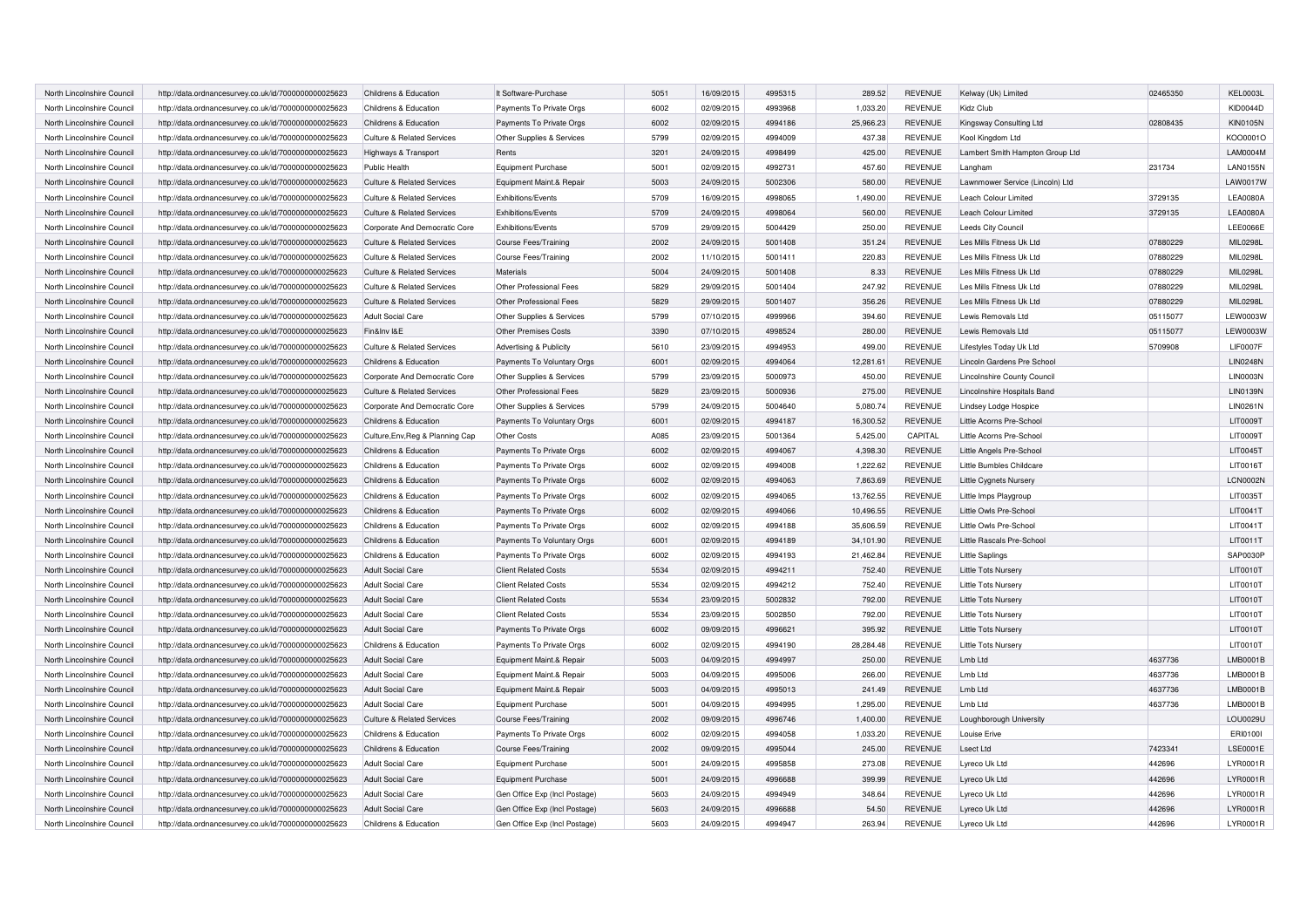| North Lincolnshire Council | http://data.ordnancesurvey.co.uk/id/7000000000025623 | Childrens & Education                 | It Software-Purchase           | 5051 | 16/09/2015 | 4995315 | 289.52    | <b>REVENUE</b> | Kelway (Uk) Limited             | 02465350 | KEL0003L        |
|----------------------------|------------------------------------------------------|---------------------------------------|--------------------------------|------|------------|---------|-----------|----------------|---------------------------------|----------|-----------------|
| North Lincolnshire Council | http://data.ordnancesurvey.co.uk/id/7000000000025623 | Childrens & Education                 | Payments To Private Orgs       | 6002 | 02/09/2015 | 4993968 | 1,033.20  | <b>REVENUE</b> | Kidz Club                       |          | <b>KID0044D</b> |
| North Lincolnshire Council | http://data.ordnancesurvey.co.uk/id/7000000000025623 | Childrens & Education                 | Payments To Private Orgs       | 6002 | 02/09/2015 | 4994186 | 25,966.23 | <b>REVENUE</b> | Kingsway Consulting Ltd         | 02808435 | <b>KIN0105N</b> |
| North Lincolnshire Council | http://data.ordnancesurvey.co.uk/id/7000000000025623 | <b>Culture &amp; Related Services</b> | Other Supplies & Services      | 5799 | 02/09/2015 | 4994009 | 437.38    | <b>REVENUE</b> | Kool Kingdom Ltd                |          | KO00001O        |
| North Lincolnshire Council | http://data.ordnancesurvey.co.uk/id/7000000000025623 | Highways & Transport                  | Rents                          | 3201 | 24/09/2015 | 4998499 | 425.00    | <b>REVENUE</b> | Lambert Smith Hampton Group Ltd |          | LAM0004M        |
| North Lincolnshire Council | http://data.ordnancesurvey.co.uk/id/7000000000025623 | Public Health                         | Equipment Purchase             | 5001 | 02/09/2015 | 4992731 | 457.60    | <b>REVENUE</b> | Langham                         | 231734   | <b>LAN0155N</b> |
| North Lincolnshire Council | http://data.ordnancesurvey.co.uk/id/7000000000025623 | Culture & Related Services            | Equipment Maint.& Repair       | 5003 | 24/09/2015 | 5002306 | 580.00    | <b>REVENUE</b> | Lawnmower Service (Lincoln) Ltd |          | LAW0017W        |
| North Lincolnshire Council | http://data.ordnancesurvey.co.uk/id/7000000000025623 | <b>Culture &amp; Related Services</b> | Exhibitions/Events             | 5709 | 16/09/2015 | 4998065 | 1.490.00  | <b>REVENUE</b> | Leach Colour Limited            | 3729135  | <b>LEA0080A</b> |
| North Lincolnshire Council | http://data.ordnancesurvey.co.uk/id/7000000000025623 | <b>Culture &amp; Related Services</b> | Exhibitions/Events             | 5709 | 24/09/2015 | 4998064 | 560.00    | <b>REVENUE</b> | Leach Colour Limited            | 3729135  | <b>LEA0080A</b> |
| North Lincolnshire Council | http://data.ordnancesurvey.co.uk/id/7000000000025623 | Corporate And Democratic Core         | Exhibitions/Events             | 5709 | 29/09/2015 | 5004429 | 250.00    | <b>REVENUE</b> | Leeds City Council              |          | LEE0066E        |
| North Lincolnshire Council | http://data.ordnancesurvey.co.uk/id/7000000000025623 | <b>Culture &amp; Related Services</b> | <b>Course Fees/Training</b>    | 2002 | 24/09/2015 | 5001408 | 351.24    | <b>REVENUE</b> | Les Mills Fitness Uk Ltd        | 07880229 | MIL0298L        |
| North Lincolnshire Council | http://data.ordnancesurvey.co.uk/id/7000000000025623 | <b>Culture &amp; Related Services</b> | <b>Course Fees/Training</b>    | 2002 | 11/10/2015 | 5001411 | 220.83    | <b>REVENUE</b> | Les Mills Fitness Uk Ltd        | 07880229 | MIL0298L        |
| North Lincolnshire Council | http://data.ordnancesurvey.co.uk/id/7000000000025623 | <b>Culture &amp; Related Services</b> | Materials                      | 5004 | 24/09/2015 | 5001408 | 8.33      | <b>REVENUE</b> | Les Mills Fitness Uk Ltd        | 07880229 | MIL0298L        |
| North Lincolnshire Council | http://data.ordnancesurvey.co.uk/id/7000000000025623 | <b>Culture &amp; Related Services</b> | Other Professional Fees        | 5829 | 29/09/2015 | 5001404 | 247.92    | <b>REVENUE</b> | Les Mills Fitness Uk Ltd        | 07880229 | MIL0298L        |
| North Lincolnshire Council | http://data.ordnancesurvey.co.uk/id/7000000000025623 | <b>Culture &amp; Related Services</b> | <b>Other Professional Fees</b> | 5829 | 29/09/2015 | 5001407 | 356.26    | <b>REVENUE</b> | Les Mills Fitness Uk Ltd        | 07880229 | MIL0298L        |
| North Lincolnshire Council | http://data.ordnancesurvey.co.uk/id/7000000000025623 | <b>Adult Social Care</b>              | Other Supplies & Services      | 5799 | 07/10/2015 | 4999966 | 394.60    | <b>REVENUE</b> | Lewis Removals Ltd              | 05115077 | LEW0003W        |
| North Lincolnshire Council | http://data.ordnancesurvey.co.uk/id/7000000000025623 | Fin&Inv I&E                           | <b>Other Premises Costs</b>    | 3390 | 07/10/2015 | 4998524 | 280.00    | <b>REVENUE</b> | Lewis Removals Ltd              | 05115077 | LEW0003W        |
| North Lincolnshire Council | http://data.ordnancesurvey.co.uk/id/7000000000025623 | <b>Culture &amp; Related Services</b> | Advertising & Publicity        | 5610 | 23/09/2015 | 4994953 | 499.00    | <b>REVENUE</b> | Lifestyles Today Uk Ltd         | 5709908  | <b>LIF0007F</b> |
| North Lincolnshire Council | http://data.ordnancesurvey.co.uk/id/7000000000025623 | Childrens & Education                 | Payments To Voluntary Orgs     | 6001 | 02/09/2015 | 4994064 | 12,281.61 | <b>REVENUE</b> | Lincoln Gardens Pre School      |          | <b>LIN0248N</b> |
| North Lincolnshire Council | http://data.ordnancesurvey.co.uk/id/7000000000025623 | Corporate And Democratic Core         | Other Supplies & Services      | 5799 | 23/09/2015 | 5000973 | 450.00    | <b>REVENUE</b> | Lincolnshire County Council     |          | <b>LIN0003N</b> |
| North Lincolnshire Council | http://data.ordnancesurvey.co.uk/id/7000000000025623 | <b>Culture &amp; Related Services</b> | <b>Other Professional Fees</b> | 5829 | 23/09/2015 | 5000936 | 275.00    | <b>REVENUE</b> | Lincolnshire Hospitals Band     |          | <b>LIN0139N</b> |
| North Lincolnshire Council | http://data.ordnancesurvey.co.uk/id/7000000000025623 | Corporate And Democratic Core         | Other Supplies & Services      | 5799 | 24/09/2015 | 5004640 | 5,080.74  | <b>REVENUE</b> | Lindsey Lodge Hospice           |          | <b>LIN0261N</b> |
| North Lincolnshire Council | http://data.ordnancesurvey.co.uk/id/7000000000025623 | Childrens & Education                 | Payments To Voluntary Orgs     | 6001 | 02/09/2015 | 4994187 | 16,300.52 | <b>REVENUE</b> | Little Acorns Pre-School        |          | <b>LIT0009T</b> |
| North Lincolnshire Council | http://data.ordnancesurvey.co.uk/id/7000000000025623 | Culture, Env, Reg & Planning Cap      | Other Costs                    | A085 | 23/09/2015 | 5001364 | 5,425.00  | CAPITAL        | Little Acorns Pre-School        |          | LIT0009T        |
| North Lincolnshire Council | http://data.ordnancesurvey.co.uk/id/7000000000025623 | Childrens & Education                 | Payments To Private Orgs       | 6002 | 02/09/2015 | 4994067 | 4,398.30  | <b>REVENUE</b> | Little Angels Pre-School        |          | LIT0045T        |
| North Lincolnshire Council | http://data.ordnancesurvey.co.uk/id/7000000000025623 | Childrens & Education                 | Payments To Private Orgs       | 6002 | 02/09/2015 | 4994008 | 1,222.62  | <b>REVENUE</b> | Little Bumbles Childcare        |          | LIT0016T        |
| North Lincolnshire Council | http://data.ordnancesurvey.co.uk/id/7000000000025623 | Childrens & Education                 | Payments To Private Orgs       | 6002 | 02/09/2015 | 4994063 | 7,863.69  | <b>REVENUE</b> | Little Cygnets Nursery          |          | LCN0002N        |
| North Lincolnshire Council | http://data.ordnancesurvey.co.uk/id/7000000000025623 | Childrens & Education                 | Payments To Private Orgs       | 6002 | 02/09/2015 | 4994065 | 13,762.55 | <b>REVENUE</b> | Little Imps Playgroup           |          | LIT0035T        |
| North Lincolnshire Council | http://data.ordnancesurvey.co.uk/id/7000000000025623 | Childrens & Education                 | Payments To Private Orgs       | 6002 | 02/09/2015 | 4994066 | 10,496.55 | <b>REVENUE</b> | Little Owls Pre-School          |          | LIT0041T        |
| North Lincolnshire Council | http://data.ordnancesurvey.co.uk/id/7000000000025623 | Childrens & Education                 | Payments To Private Orgs       | 6002 | 02/09/2015 | 4994188 | 35,606.59 | <b>REVENUE</b> | Little Owls Pre-School          |          | LIT0041T        |
| North Lincolnshire Council | http://data.ordnancesurvey.co.uk/id/7000000000025623 | Childrens & Education                 | Payments To Voluntary Orgs     | 6001 | 02/09/2015 | 4994189 | 34,101.90 | <b>REVENUE</b> | Little Rascals Pre-School       |          | LIT0011T        |
| North Lincolnshire Council | http://data.ordnancesurvey.co.uk/id/7000000000025623 | Childrens & Education                 | Payments To Private Orgs       | 6002 | 02/09/2015 | 4994193 | 21,462.84 | <b>REVENUE</b> | <b>Little Saplings</b>          |          | <b>SAP0030P</b> |
| North Lincolnshire Council | http://data.ordnancesurvey.co.uk/id/7000000000025623 | <b>Adult Social Care</b>              | <b>Client Related Costs</b>    | 5534 | 02/09/2015 | 4994211 | 752.40    | <b>REVENUE</b> | Little Tots Nursery             |          | LIT0010T        |
| North Lincolnshire Council | http://data.ordnancesurvey.co.uk/id/7000000000025623 | Adult Social Care                     | <b>Client Related Costs</b>    | 5534 | 02/09/2015 | 4994212 | 752.40    | <b>REVENUE</b> | Little Tots Nursery             |          | LIT0010T        |
| North Lincolnshire Council | http://data.ordnancesurvey.co.uk/id/7000000000025623 | <b>Adult Social Care</b>              | <b>Client Related Costs</b>    | 5534 | 23/09/2015 | 5002832 | 792.00    | <b>REVENUE</b> | Little Tots Nursery             |          | LIT0010T        |
| North Lincolnshire Council | http://data.ordnancesurvey.co.uk/id/7000000000025623 | <b>Adult Social Care</b>              | <b>Client Related Costs</b>    | 5534 | 23/09/2015 | 5002850 | 792.00    | <b>REVENUE</b> | Little Tots Nursery             |          | LIT0010T        |
| North Lincolnshire Council | http://data.ordnancesurvey.co.uk/id/7000000000025623 | <b>Adult Social Care</b>              | Payments To Private Orgs       | 6002 | 09/09/2015 | 4996621 | 395.92    | <b>REVENUE</b> | Little Tots Nursery             |          | LIT0010T        |
| North Lincolnshire Council | http://data.ordnancesurvey.co.uk/id/7000000000025623 | Childrens & Education                 | Payments To Private Orgs       | 6002 | 02/09/2015 | 4994190 | 28,284.48 | <b>REVENUE</b> | Little Tots Nursery             |          | LIT0010T        |
| North Lincolnshire Council | http://data.ordnancesurvey.co.uk/id/7000000000025623 | <b>Adult Social Care</b>              | Equipment Maint.& Repair       | 5003 | 04/09/2015 | 4994997 | 250.00    | <b>REVENUE</b> | Lmb Ltd                         | 4637736  | LMB0001E        |
| North Lincolnshire Council | http://data.ordnancesurvey.co.uk/id/7000000000025623 | <b>Adult Social Care</b>              | Equipment Maint.& Repair       | 5003 | 04/09/2015 | 4995006 | 266.00    | <b>REVENUE</b> | Lmb Ltd                         | 4637736  | LMB0001E        |
| North Lincolnshire Council | http://data.ordnancesurvey.co.uk/id/7000000000025623 | <b>Adult Social Care</b>              | Equipment Maint.& Repair       | 5003 | 04/09/2015 | 4995013 | 241.49    | <b>REVENUE</b> | Lmb Ltd                         | 4637736  | LMB0001E        |
| North Lincolnshire Council | http://data.ordnancesurvey.co.uk/id/7000000000025623 | <b>Adult Social Care</b>              | Equipment Purchase             | 5001 | 04/09/2015 | 4994995 | 1,295.00  | <b>REVENUE</b> | Lmb Ltd                         | 4637736  | LMB0001B        |
| North Lincolnshire Council | http://data.ordnancesurvey.co.uk/id/7000000000025623 | <b>Culture &amp; Related Services</b> | <b>Course Fees/Training</b>    | 2002 | 09/09/2015 | 4996746 | 1,400.00  | <b>REVENUE</b> | Loughborough University         |          | LOU0029L        |
| North Lincolnshire Council | http://data.ordnancesurvey.co.uk/id/7000000000025623 | Childrens & Education                 | Payments To Private Orgs       | 6002 | 02/09/2015 | 4994058 | 1,033.20  | <b>REVENUE</b> | Louise Erive                    |          | ERI01001        |
| North Lincolnshire Council | http://data.ordnancesurvey.co.uk/id/7000000000025623 | Childrens & Education                 | <b>Course Fees/Training</b>    | 2002 | 09/09/2015 | 4995044 | 245.00    | <b>REVENUE</b> | Lsect Ltd                       | 7423341  | <b>LSE0001E</b> |
| North Lincolnshire Council | http://data.ordnancesurvey.co.uk/id/7000000000025623 | Adult Social Care                     | <b>Equipment Purchase</b>      | 5001 | 24/09/2015 | 4995858 | 273.08    | <b>REVENUE</b> | Lyreco Uk Ltd                   | 442696   | LYR0001R        |
| North Lincolnshire Council | http://data.ordnancesurvey.co.uk/id/7000000000025623 | <b>Adult Social Care</b>              | <b>Equipment Purchase</b>      | 5001 | 24/09/2015 | 4996688 | 399.99    | <b>REVENUE</b> | Lyreco Uk Ltd                   | 442696   | LYR0001R        |
| North Lincolnshire Council | http://data.ordnancesurvey.co.uk/id/7000000000025623 | <b>Adult Social Care</b>              | Gen Office Exp (Incl Postage)  | 5603 | 24/09/2015 | 4994949 | 348.64    | <b>REVENUE</b> | Lyreco Uk Ltd                   | 442696   | LYR0001R        |
| North Lincolnshire Council | http://data.ordnancesurvey.co.uk/id/7000000000025623 | <b>Adult Social Care</b>              | Gen Office Exp (Incl Postage)  | 5603 | 24/09/2015 | 4996688 | 54.50     | <b>REVENUE</b> | Lyreco Uk Ltd                   | 442696   | LYR0001R        |
| North Lincolnshire Council | http://data.ordnancesurvey.co.uk/id/7000000000025623 | Childrens & Education                 | Gen Office Exp (Incl Postage)  | 5603 | 24/09/2015 | 4994947 | 263.94    | <b>REVENUE</b> | Lyreco Uk Ltd                   | 442696   | LYR0001R        |
|                            |                                                      |                                       |                                |      |            |         |           |                |                                 |          |                 |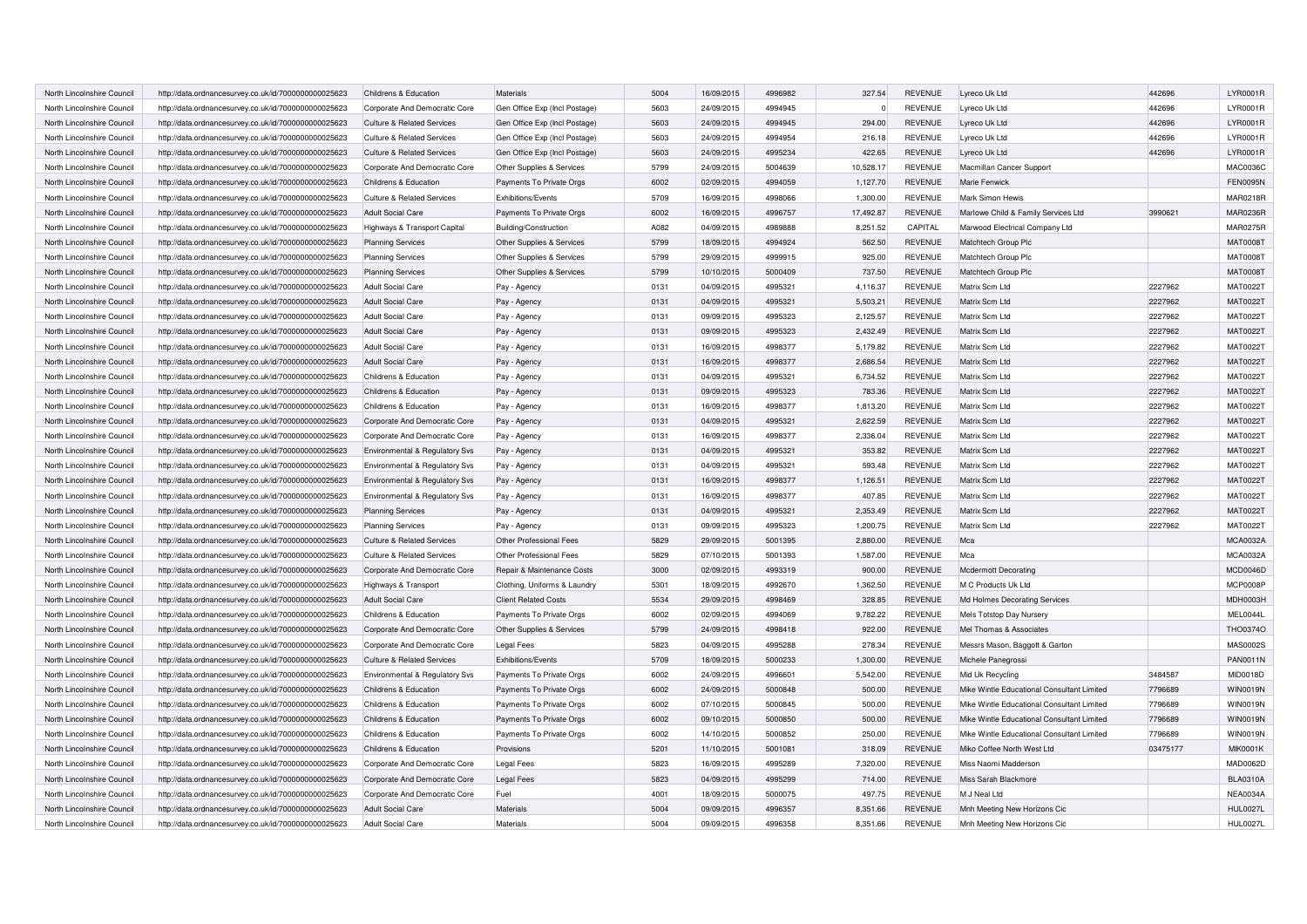| North Lincolnshire Council | http://data.ordnancesurvey.co.uk/id/7000000000025623 | Childrens & Education                 | Materials                     | 5004 | 16/09/2015 | 4996982 | 327.54    | <b>REVENUE</b> | Lyreco Uk Ltd                              | 442696   | LYR0001R        |
|----------------------------|------------------------------------------------------|---------------------------------------|-------------------------------|------|------------|---------|-----------|----------------|--------------------------------------------|----------|-----------------|
| North Lincolnshire Council | http://data.ordnancesurvey.co.uk/id/7000000000025623 | Corporate And Democratic Core         | Gen Office Exp (Incl Postage) | 5603 | 24/09/2015 | 4994945 | $\Omega$  | <b>REVENUE</b> | Lyreco Uk Ltd                              | 442696   | LYR0001R        |
| North Lincolnshire Council | http://data.ordnancesurvey.co.uk/id/7000000000025623 | <b>Culture &amp; Related Services</b> | Gen Office Exp (Incl Postage) | 5603 | 24/09/2015 | 4994945 | 294.00    | <b>REVENUE</b> | Lyreco Uk Ltd                              | 442696   | LYR0001R        |
| North Lincolnshire Council | http://data.ordnancesurvey.co.uk/id/7000000000025623 | <b>Culture &amp; Related Services</b> | Gen Office Exp (Incl Postage) | 5603 | 24/09/2015 | 4994954 | 216.18    | <b>REVENUE</b> | Lyreco Uk Ltd                              | 442696   | LYR0001R        |
| North Lincolnshire Council | http://data.ordnancesurvey.co.uk/id/7000000000025623 | <b>Culture &amp; Related Services</b> | Gen Office Exp (Incl Postage) | 5603 | 24/09/2015 | 4995234 | 422.65    | <b>REVENUE</b> | Lyreco Uk Ltd                              | 442696   | LYR0001R        |
| North Lincolnshire Council | http://data.ordnancesurvey.co.uk/id/7000000000025623 | Corporate And Democratic Core         | Other Supplies & Services     | 5799 | 24/09/2015 | 5004639 | 10,528.17 | <b>REVENUE</b> | Macmillan Cancer Support                   |          | MAC0036C        |
| North Lincolnshire Council | http://data.ordnancesurvey.co.uk/id/7000000000025623 | Childrens & Education                 | Payments To Private Orgs      | 6002 | 02/09/2015 | 4994059 | 1.127.70  | <b>REVENUE</b> | Marie Fenwick                              |          | <b>FEN0095N</b> |
| North Lincolnshire Council | http://data.ordnancesurvey.co.uk/id/7000000000025623 | <b>Culture &amp; Related Services</b> | Exhibitions/Events            | 5709 | 16/09/2015 | 4998066 | 1,300.00  | <b>REVENUE</b> | Mark Simon Hewis                           |          | <b>MAR0218R</b> |
| North Lincolnshire Council | http://data.ordnancesurvey.co.uk/id/7000000000025623 | <b>Adult Social Care</b>              | Payments To Private Orgs      | 6002 | 16/09/2015 | 4996757 | 17,492.87 | <b>REVENUE</b> | Marlowe Child & Family Services Ltd        | 3990621  | <b>MAR0236R</b> |
| North Lincolnshire Council | http://data.ordnancesurvey.co.uk/id/7000000000025623 | Highways & Transport Capital          | Building/Construction         | A082 | 04/09/2015 | 4989888 | 8.251.52  | CAPITAL        | Marwood Electrical Company Ltd             |          | <b>MAR0275R</b> |
| North Lincolnshire Council | http://data.ordnancesurvey.co.uk/id/7000000000025623 | <b>Planning Services</b>              | Other Supplies & Services     | 5799 | 18/09/2015 | 4994924 | 562.50    | <b>REVENUE</b> | Matchtech Group Plc                        |          | <b>MAT0008T</b> |
| North Lincolnshire Council | http://data.ordnancesurvey.co.uk/id/7000000000025623 | <b>Planning Services</b>              | Other Supplies & Services     | 5799 | 29/09/2015 | 4999915 | 925.00    | <b>REVENUE</b> | Matchtech Group Plc                        |          | <b>MAT0008T</b> |
| North Lincolnshire Council | http://data.ordnancesurvey.co.uk/id/7000000000025623 | <b>Planning Services</b>              | Other Supplies & Services     | 5799 | 10/10/2015 | 5000409 | 737.50    | <b>REVENUE</b> | Matchtech Group Plc                        |          | <b>MAT0008T</b> |
| North Lincolnshire Council | http://data.ordnancesurvey.co.uk/id/7000000000025623 | <b>Adult Social Care</b>              | Pay - Agency                  | 0131 | 04/09/2015 | 4995321 | 4,116.37  | <b>REVENUE</b> | Matrix Scm Ltd                             | 2227962  | MAT0022T        |
| North Lincolnshire Council | http://data.ordnancesurvey.co.uk/id/7000000000025623 | <b>Adult Social Care</b>              | Pay - Agency                  | 0131 | 04/09/2015 | 4995321 | 5,503.21  | <b>REVENUE</b> | Matrix Scm Ltd                             | 2227962  | MAT0022T        |
| North Lincolnshire Council | http://data.ordnancesurvey.co.uk/id/7000000000025623 | <b>Adult Social Care</b>              | Pay - Agency                  | 0131 | 09/09/2015 | 4995323 | 2,125.57  | <b>REVENUE</b> | Matrix Scm Ltd                             | 2227962  | <b>MAT0022T</b> |
| North Lincolnshire Council | http://data.ordnancesurvey.co.uk/id/7000000000025623 | <b>Adult Social Care</b>              | Pay - Agency                  | 0131 | 09/09/2015 | 4995323 | 2,432.49  | <b>REVENUE</b> | Matrix Scm Ltd                             | 2227962  | MAT0022T        |
| North Lincolnshire Council | http://data.ordnancesurvey.co.uk/id/7000000000025623 | <b>Adult Social Care</b>              | Pay - Agency                  | 0131 | 16/09/2015 | 4998377 | 5,179.82  | <b>REVENUE</b> | Matrix Scm Ltd                             | 2227962  | MAT0022T        |
| North Lincolnshire Council | http://data.ordnancesurvey.co.uk/id/7000000000025623 | <b>Adult Social Care</b>              | Pay - Agency                  | 0131 | 16/09/2015 | 4998377 | 2,686.54  | <b>REVENUE</b> | Matrix Scm Ltd                             | 2227962  | <b>MAT0022T</b> |
| North Lincolnshire Council | http://data.ordnancesurvey.co.uk/id/7000000000025623 | Childrens & Education                 | Pay - Agency                  | 0131 | 04/09/2015 | 4995321 | 6,734.52  | <b>REVENUE</b> | Matrix Scm Ltd                             | 2227962  | <b>MAT0022T</b> |
| North Lincolnshire Council | http://data.ordnancesurvey.co.uk/id/7000000000025623 | Childrens & Education                 | Pay - Agency                  | 0131 | 09/09/2015 | 4995323 | 783.36    | <b>REVENUE</b> | Matrix Scm Ltd                             | 2227962  | MAT0022T        |
| North Lincolnshire Council | http://data.ordnancesurvey.co.uk/id/7000000000025623 | Childrens & Education                 | Pay - Agency                  | 0131 | 16/09/2015 | 4998377 | 1,813.20  | <b>REVENUE</b> | Matrix Scm Ltd                             | 2227962  | MAT0022T        |
| North Lincolnshire Council | http://data.ordnancesurvey.co.uk/id/7000000000025623 | Corporate And Democratic Core         | Pay - Agency                  | 0131 | 04/09/2015 | 4995321 | 2,622.59  | <b>REVENUE</b> | Matrix Scm Ltd                             | 2227962  | MAT0022T        |
| North Lincolnshire Council | http://data.ordnancesurvey.co.uk/id/7000000000025623 | Corporate And Democratic Core         | Pay - Agency                  | 0131 | 16/09/2015 | 4998377 | 2,336.04  | <b>REVENUE</b> | Matrix Scm Ltd                             | 2227962  | MAT0022T        |
| North Lincolnshire Council | http://data.ordnancesurvey.co.uk/id/7000000000025623 | Environmental & Regulatory Svs        | Pay - Agency                  | 0131 | 04/09/2015 | 4995321 | 353.82    | <b>REVENUE</b> | Matrix Scm Ltd                             | 2227962  | MAT0022T        |
| North Lincolnshire Council | http://data.ordnancesurvey.co.uk/id/7000000000025623 | Environmental & Regulatory Svs        | Pay - Agency                  | 0131 | 04/09/2015 | 4995321 | 593.48    | <b>REVENUE</b> | Matrix Scm Ltd                             | 2227962  | MAT0022T        |
| North Lincolnshire Council | http://data.ordnancesurvey.co.uk/id/7000000000025623 | Environmental & Regulatory Svs        | Pay - Agency                  | 0131 | 16/09/2015 | 4998377 | 1,126.51  | <b>REVENUE</b> | Matrix Scm Ltd                             | 2227962  | MAT0022T        |
| North Lincolnshire Council | http://data.ordnancesurvey.co.uk/id/7000000000025623 | Environmental & Regulatory Svs        | Pay - Agency                  | 0131 | 16/09/2015 | 4998377 | 407.85    | <b>REVENUE</b> | Matrix Scm Ltd                             | 2227962  | MAT0022T        |
| North Lincolnshire Council | http://data.ordnancesurvey.co.uk/id/7000000000025623 | <b>Planning Services</b>              | Pay - Agency                  | 0131 | 04/09/2015 | 4995321 | 2,353.49  | <b>REVENUE</b> | Matrix Scm Ltd                             | 2227962  | <b>MAT0022T</b> |
| North Lincolnshire Council | http://data.ordnancesurvey.co.uk/id/7000000000025623 | <b>Planning Services</b>              | Pay - Agency                  | 0131 | 09/09/2015 | 4995323 | 1,200.75  | <b>REVENUE</b> | Matrix Scm Ltd                             | 2227962  | MAT0022T        |
| North Lincolnshire Council | http://data.ordnancesurvey.co.uk/id/7000000000025623 | <b>Culture &amp; Related Services</b> | Other Professional Fees       | 5829 | 29/09/2015 | 5001395 | 2,880.00  | <b>REVENUE</b> | Mca                                        |          | <b>MCA0032A</b> |
| North Lincolnshire Council | http://data.ordnancesurvey.co.uk/id/7000000000025623 | <b>Culture &amp; Related Services</b> | Other Professional Fees       | 5829 | 07/10/2015 | 5001393 | 1,587.00  | <b>REVENUE</b> | Mca                                        |          | MCA0032A        |
| North Lincolnshire Council | http://data.ordnancesurvey.co.uk/id/7000000000025623 | Corporate And Democratic Core         | Repair & Maintenance Costs    | 3000 | 02/09/2015 | 4993319 | 900.00    | <b>REVENUE</b> | Mcdermott Decorating                       |          | MCD0046D        |
| North Lincolnshire Council | http://data.ordnancesurvey.co.uk/id/7000000000025623 | Highways & Transport                  | Clothing, Uniforms & Laundry  | 5301 | 18/09/2015 | 4992670 | 1,362.50  | <b>REVENUE</b> | M C Products Uk Ltd                        |          | MCP0008P        |
| North Lincolnshire Council | http://data.ordnancesurvey.co.uk/id/7000000000025623 | <b>Adult Social Care</b>              | <b>Client Related Costs</b>   | 5534 | 29/09/2015 | 4998469 | 328.85    | <b>REVENUE</b> | Md Holmes Decorating Services              |          | <b>MDH0003H</b> |
| North Lincolnshire Council | http://data.ordnancesurvey.co.uk/id/7000000000025623 | Childrens & Education                 | Payments To Private Orgs      | 6002 | 02/09/2015 | 4994069 | 9,782.22  | <b>REVENUE</b> | Mels Totstop Day Nursery                   |          | MEL0044L        |
| North Lincolnshire Council | http://data.ordnancesurvey.co.uk/id/7000000000025623 | Corporate And Democratic Core         | Other Supplies & Services     | 5799 | 24/09/2015 | 4998418 | 922.00    | <b>REVENUE</b> | Mel Thomas & Associates                    |          | THO0374C        |
| North Lincolnshire Council | http://data.ordnancesurvey.co.uk/id/7000000000025623 | Corporate And Democratic Core         | <b>Legal Fees</b>             | 5823 | 04/09/2015 | 4995288 | 278.34    | <b>REVENUE</b> | Messrs Mason, Baggott & Garton             |          | MAS0002S        |
| North Lincolnshire Council | http://data.ordnancesurvey.co.uk/id/7000000000025623 | <b>Culture &amp; Related Services</b> | Exhibitions/Events            | 5709 | 18/09/2015 | 5000233 | 1,300.00  | <b>REVENUE</b> | Michele Panegrossi                         |          | <b>PAN0011N</b> |
| North Lincolnshire Council | http://data.ordnancesurvey.co.uk/id/7000000000025623 | Environmental & Regulatory Svs        | Payments To Private Orgs      | 6002 | 24/09/2015 | 4996601 | 5,542.00  | <b>REVENUE</b> | Mid Uk Recycling                           | 3484587  | MID0018D        |
| North Lincolnshire Council | http://data.ordnancesurvey.co.uk/id/7000000000025623 | Childrens & Education                 | Payments To Private Orgs      | 6002 | 24/09/2015 | 5000848 | 500.00    | <b>REVENUE</b> | Mike Wintle Educational Consultant Limited | 7796689  | <b>WIN0019N</b> |
|                            |                                                      |                                       |                               | 6002 |            | 5000845 | 500.00    | <b>REVENUE</b> |                                            |          | <b>WIN0019N</b> |
| North Lincolnshire Council | http://data.ordnancesurvey.co.uk/id/7000000000025623 | Childrens & Education                 | Payments To Private Orgs      | 6002 | 07/10/2015 | 5000850 |           |                | Mike Wintle Educational Consultant Limited | 7796689  |                 |
| North Lincolnshire Council | http://data.ordnancesurvey.co.uk/id/7000000000025623 | Childrens & Education                 | Payments To Private Orgs      |      | 09/10/2015 |         | 500.00    | <b>REVENUE</b> | Mike Wintle Educational Consultant Limited | 7796689  | <b>WIN0019N</b> |
| North Lincolnshire Council | http://data.ordnancesurvey.co.uk/id/7000000000025623 | Childrens & Education                 | Payments To Private Orgs      | 6002 | 14/10/2015 | 5000852 | 250.00    | <b>REVENUE</b> | Mike Wintle Educational Consultant Limited | 7796689  | <b>WIN0019N</b> |
| North Lincolnshire Council | http://data.ordnancesurvey.co.uk/id/7000000000025623 | Childrens & Education                 | Provisions                    | 5201 | 11/10/2015 | 5001081 | 318.09    | <b>REVENUE</b> | Miko Coffee North West Ltd                 | 03475177 | <b>MIK0001K</b> |
| North Lincolnshire Council | http://data.ordnancesurvey.co.uk/id/7000000000025623 | Corporate And Democratic Core         | <b>Legal Fees</b>             | 5823 | 16/09/2015 | 4995289 | 7.320.00  | <b>REVENUE</b> | Miss Naomi Madderson                       |          | MAD0062D        |
| North Lincolnshire Council | http://data.ordnancesurvey.co.uk/id/7000000000025623 | Corporate And Democratic Core         | <b>Legal Fees</b>             | 5823 | 04/09/2015 | 4995299 | 714.00    | <b>REVENUE</b> | Miss Sarah Blackmore                       |          | <b>BLA0310A</b> |
| North Lincolnshire Council | http://data.ordnancesurvey.co.uk/id/7000000000025623 | Corporate And Democratic Core         | Fuel                          | 4001 | 18/09/2015 | 5000075 | 497.75    | <b>REVENUE</b> | M J Neal Ltd                               |          | <b>NEA0034A</b> |
| North Lincolnshire Council | http://data.ordnancesurvey.co.uk/id/7000000000025623 | <b>Adult Social Care</b>              | Materials                     | 5004 | 09/09/2015 | 4996357 | 8.351.66  | <b>REVENUE</b> | Mnh Meeting New Horizons Cic               |          | <b>HUL0027L</b> |
| North Lincolnshire Council | http://data.ordnancesurvey.co.uk/id/7000000000025623 | <b>Adult Social Care</b>              | Materials                     | 5004 | 09/09/2015 | 4996358 | 8.351.66  | <b>REVENUE</b> | Mnh Meeting New Horizons Cic               |          | <b>HUL0027L</b> |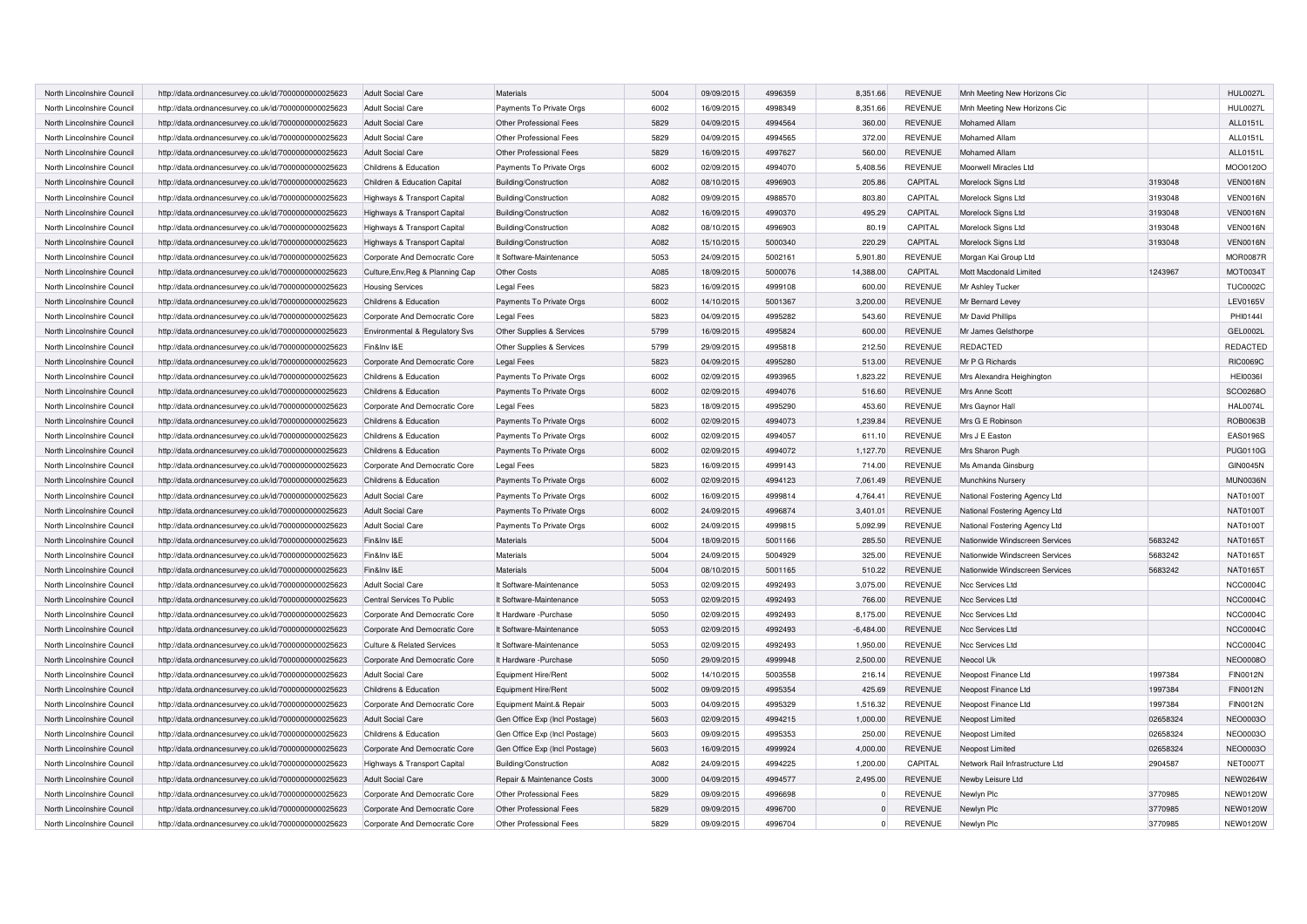| North Lincolnshire Council | http://data.ordnancesurvey.co.uk/id/7000000000025623 | <b>Adult Social Care</b>              | <b>Materials</b>              | 5004 | 09/09/2015 | 4996359 | 8,351.66    | <b>REVENUE</b> | Mnh Meeting New Horizons Cic    |          | <b>HUL0027L</b> |
|----------------------------|------------------------------------------------------|---------------------------------------|-------------------------------|------|------------|---------|-------------|----------------|---------------------------------|----------|-----------------|
| North Lincolnshire Council | http://data.ordnancesurvey.co.uk/id/7000000000025623 | Adult Social Care                     | Payments To Private Orgs      | 6002 | 16/09/2015 | 4998349 | 8,351.66    | <b>REVENUE</b> | Mnh Meeting New Horizons Cic    |          | <b>HUL0027L</b> |
| North Lincolnshire Council | http://data.ordnancesurvey.co.uk/id/7000000000025623 | <b>Adult Social Care</b>              | Other Professional Fees       | 5829 | 04/09/2015 | 4994564 | 360.00      | <b>REVENUE</b> | Mohamed Allam                   |          | ALL0151L        |
| North Lincolnshire Council | http://data.ordnancesurvey.co.uk/id/7000000000025623 | Adult Social Care                     | Other Professional Fees       | 5829 | 04/09/2015 | 4994565 | 372.00      | <b>REVENUE</b> | Mohamed Allam                   |          | ALL0151L        |
| North Lincolnshire Council | http://data.ordnancesurvey.co.uk/id/7000000000025623 | <b>Adult Social Care</b>              | Other Professional Fees       | 5829 | 16/09/2015 | 4997627 | 560.00      | <b>REVENUE</b> | Mohamed Allam                   |          | ALL0151L        |
| North Lincolnshire Council | http://data.ordnancesurvey.co.uk/id/7000000000025623 | Childrens & Education                 | Payments To Private Orgs      | 6002 | 02/09/2015 | 4994070 | 5,408.56    | <b>REVENUE</b> | Moorwell Miracles Ltd           |          | MOO0120O        |
| North Lincolnshire Council | http://data.ordnancesurvey.co.uk/id/7000000000025623 | Children & Education Capital          | Building/Construction         | A082 | 08/10/2015 | 4996903 | 205.86      | CAPITAL        | Morelock Signs Ltd              | 3193048  | <b>VEN0016N</b> |
| North Lincolnshire Council | http://data.ordnancesurvey.co.uk/id/7000000000025623 | Highways & Transport Capital          | Building/Construction         | A082 | 09/09/2015 | 4988570 | 803.80      | CAPITAL        | Morelock Signs Ltd              | 3193048  | <b>VEN0016N</b> |
| North Lincolnshire Council | http://data.ordnancesurvey.co.uk/id/7000000000025623 | Highways & Transport Capital          | Building/Construction         | A082 | 16/09/2015 | 4990370 | 495.29      | CAPITAL        | Morelock Signs Ltd              | 3193048  | <b>VEN0016N</b> |
| North Lincolnshire Council | http://data.ordnancesurvey.co.uk/id/7000000000025623 | Highways & Transport Capital          | Building/Construction         | A082 | 08/10/2015 | 4996903 | 80.19       | CAPITAL        | Morelock Signs Ltd              | 3193048  | VEN0016N        |
| North Lincolnshire Council | http://data.ordnancesurvey.co.uk/id/7000000000025623 | Highways & Transport Capital          | Building/Construction         | A082 | 15/10/2015 | 5000340 | 220.29      | CAPITAL        | Morelock Signs Ltd              | 3193048  | <b>VEN0016N</b> |
| North Lincolnshire Council | http://data.ordnancesurvey.co.uk/id/7000000000025623 | Corporate And Democratic Core         | It Software-Maintenance       | 5053 | 24/09/2015 | 5002161 | 5,901.80    | <b>REVENUE</b> | Morgan Kai Group Ltd            |          | <b>MOR0087R</b> |
| North Lincolnshire Council | http://data.ordnancesurvey.co.uk/id/7000000000025623 | Culture, Env, Reg & Planning Cap      | <b>Other Costs</b>            | A085 | 18/09/2015 | 5000076 | 14,388.00   | CAPITAL        | Mott Macdonald Limited          | 1243967  | MOT0034T        |
| North Lincolnshire Council | http://data.ordnancesurvey.co.uk/id/7000000000025623 | <b>Housing Services</b>               | <b>Legal Fees</b>             | 5823 | 16/09/2015 | 4999108 | 600.00      | <b>REVENUE</b> | Mr Ashley Tucker                |          | <b>TUC0002C</b> |
| North Lincolnshire Council | http://data.ordnancesurvey.co.uk/id/7000000000025623 | Childrens & Education                 | Payments To Private Orgs      | 6002 | 14/10/2015 | 5001367 | 3,200.00    | <b>REVENUE</b> | Mr Bernard Levey                |          | <b>LEV0165V</b> |
| North Lincolnshire Council | http://data.ordnancesurvey.co.uk/id/7000000000025623 | Corporate And Democratic Core         | Legal Fees                    | 5823 | 04/09/2015 | 4995282 | 543.60      | <b>REVENUE</b> | Mr David Phillips               |          | PHI01441        |
| North Lincolnshire Council | http://data.ordnancesurvey.co.uk/id/7000000000025623 | Environmental & Regulatory Svs        | Other Supplies & Services     | 5799 | 16/09/2015 | 4995824 | 600.00      | <b>REVENUE</b> | Mr James Gelsthorpe             |          | <b>GEL0002L</b> |
| North Lincolnshire Council | http://data.ordnancesurvey.co.uk/id/7000000000025623 | Fin&Inv I&E                           | Other Supplies & Services     | 5799 | 29/09/2015 | 4995818 | 212.50      | <b>REVENUE</b> | <b>REDACTED</b>                 |          | REDACTED        |
| North Lincolnshire Council | http://data.ordnancesurvey.co.uk/id/7000000000025623 | Corporate And Democratic Core         | <b>Legal Fees</b>             | 5823 | 04/09/2015 | 4995280 | 513.00      | <b>REVENUE</b> | Mr P G Richards                 |          | <b>RIC0069C</b> |
| North Lincolnshire Council | http://data.ordnancesurvey.co.uk/id/7000000000025623 | Childrens & Education                 | Payments To Private Orgs      | 6002 | 02/09/2015 | 4993965 | 1,823.22    | <b>REVENUE</b> | Mrs Alexandra Heighington       |          | <b>HEI0036I</b> |
| North Lincolnshire Council | http://data.ordnancesurvey.co.uk/id/7000000000025623 | Childrens & Education                 | Payments To Private Orgs      | 6002 | 02/09/2015 | 4994076 | 516.60      | <b>REVENUE</b> | Mrs Anne Scott                  |          | SCO0268O        |
| North Lincolnshire Council | http://data.ordnancesurvey.co.uk/id/7000000000025623 | Corporate And Democratic Core         | <b>Legal Fees</b>             | 5823 | 18/09/2015 | 4995290 | 453.60      | <b>REVENUE</b> | Mrs Gaynor Hall                 |          | <b>HAL0074L</b> |
| North Lincolnshire Council | http://data.ordnancesurvey.co.uk/id/7000000000025623 | Childrens & Education                 | Payments To Private Orgs      | 6002 | 02/09/2015 | 4994073 | 1,239.84    | <b>REVENUE</b> | Mrs G E Robinson                |          | <b>ROB0063B</b> |
| North Lincolnshire Council | http://data.ordnancesurvey.co.uk/id/7000000000025623 | Childrens & Education                 | Payments To Private Orgs      | 6002 | 02/09/2015 | 4994057 | 611.10      | <b>REVENUE</b> | Mrs J E Easton                  |          | <b>EAS0196S</b> |
| North Lincolnshire Council | http://data.ordnancesurvey.co.uk/id/7000000000025623 | Childrens & Education                 | Payments To Private Orgs      | 6002 | 02/09/2015 | 4994072 | 1,127.70    | <b>REVENUE</b> | Mrs Sharon Pugh                 |          | <b>PUG0110G</b> |
| North Lincolnshire Council | http://data.ordnancesurvey.co.uk/id/7000000000025623 | Corporate And Democratic Core         | <b>Legal Fees</b>             | 5823 | 16/09/2015 | 4999143 | 714.00      | <b>REVENUE</b> | Ms Amanda Ginsburg              |          | <b>GIN0045N</b> |
| North Lincolnshire Council | http://data.ordnancesurvey.co.uk/id/7000000000025623 | Childrens & Education                 | Payments To Private Orgs      | 6002 | 02/09/2015 | 4994123 | 7,061.49    | <b>REVENUE</b> | Munchkins Nursery               |          | <b>MUN0036N</b> |
| North Lincolnshire Council | http://data.ordnancesurvey.co.uk/id/7000000000025623 | <b>Adult Social Care</b>              | Payments To Private Orgs      | 6002 | 16/09/2015 | 4999814 | 4,764.41    | REVENUE        | National Fostering Agency Ltd   |          | <b>NAT0100T</b> |
| North Lincolnshire Council | http://data.ordnancesurvey.co.uk/id/7000000000025623 | <b>Adult Social Care</b>              | Payments To Private Orgs      | 6002 | 24/09/2015 | 4996874 | 3,401.01    | REVENUE        | National Fostering Agency Ltd   |          | <b>NAT0100T</b> |
| North Lincolnshire Council | http://data.ordnancesurvey.co.uk/id/7000000000025623 | <b>Adult Social Care</b>              | Payments To Private Orgs      | 6002 | 24/09/2015 | 4999815 | 5,092.99    | <b>REVENUE</b> | National Fostering Agency Ltd   |          | <b>NAT0100T</b> |
| North Lincolnshire Council | http://data.ordnancesurvey.co.uk/id/7000000000025623 | Fin&Inv I&E                           | Materials                     | 5004 | 18/09/2015 | 5001166 | 285.50      | <b>REVENUE</b> | Nationwide Windscreen Services  | 5683242  | NAT0165T        |
| North Lincolnshire Council | http://data.ordnancesurvey.co.uk/id/7000000000025623 | Fin&Inv I&E                           | Materials                     | 5004 | 24/09/2015 | 5004929 | 325.00      | REVENUE        | Nationwide Windscreen Services  | 5683242  | NAT0165T        |
| North Lincolnshire Council | http://data.ordnancesurvey.co.uk/id/7000000000025623 | Fin&Inv I&E                           | <b>Materials</b>              | 5004 | 08/10/2015 | 5001165 | 510.22      | <b>REVENUE</b> | Nationwide Windscreen Services  | 5683242  | <b>NAT0165T</b> |
| North Lincolnshire Council | http://data.ordnancesurvey.co.uk/id/7000000000025623 | <b>Adult Social Care</b>              | It Software-Maintenance       | 5053 | 02/09/2015 | 4992493 | 3,075.00    | <b>REVENUE</b> | Ncc Services Ltd                |          | <b>NCC0004C</b> |
| North Lincolnshire Council | http://data.ordnancesurvey.co.uk/id/7000000000025623 | Central Services To Public            | It Software-Maintenance       | 5053 | 02/09/2015 | 4992493 | 766.00      | <b>REVENUE</b> | Ncc Services Ltd                |          | <b>NCC0004C</b> |
| North Lincolnshire Council | http://data.ordnancesurvey.co.uk/id/7000000000025623 | Corporate And Democratic Core         | It Hardware - Purchase        | 5050 | 02/09/2015 | 4992493 | 8,175.00    | <b>REVENUE</b> | Ncc Services Ltd                |          | <b>NCC0004C</b> |
| North Lincolnshire Council | http://data.ordnancesurvey.co.uk/id/7000000000025623 | Corporate And Democratic Core         | It Software-Maintenance       | 5053 | 02/09/2015 | 4992493 | $-6,484.00$ | <b>REVENUE</b> | Ncc Services Ltd                |          | <b>NCC0004C</b> |
| North Lincolnshire Council | http://data.ordnancesurvey.co.uk/id/7000000000025623 | <b>Culture &amp; Related Services</b> | It Software-Maintenance       | 5053 | 02/09/2015 | 4992493 | 1,950.00    | <b>REVENUE</b> | Ncc Services Ltd                |          | <b>NCC0004C</b> |
| North Lincolnshire Council | http://data.ordnancesurvey.co.uk/id/7000000000025623 | Corporate And Democratic Core         | It Hardware - Purchase        | 5050 | 29/09/2015 | 4999948 | 2,500.00    | <b>REVENUE</b> | Neocol Uk                       |          | <b>NEO0008O</b> |
| North Lincolnshire Council | http://data.ordnancesurvey.co.uk/id/7000000000025623 | <b>Adult Social Care</b>              | <b>Equipment Hire/Rent</b>    | 5002 | 14/10/2015 | 5003558 | 216.14      | <b>REVENUE</b> | Neopost Finance Ltd             | 1997384  | <b>FIN0012N</b> |
| North Lincolnshire Council | http://data.ordnancesurvey.co.uk/id/7000000000025623 | Childrens & Education                 | Equipment Hire/Rent           | 5002 | 09/09/2015 | 4995354 | 425.69      | <b>REVENUE</b> | Neopost Finance Ltd             | 1997384  | <b>FIN0012N</b> |
| North Lincolnshire Council | http://data.ordnancesurvey.co.uk/id/7000000000025623 | Corporate And Democratic Core         | Equipment Maint.& Repair      | 5003 | 04/09/2015 | 4995329 | 1,516.32    | <b>REVENUE</b> | Neopost Finance Ltd             | 1997384  | <b>FIN0012N</b> |
| North Lincolnshire Council | http://data.ordnancesurvey.co.uk/id/7000000000025623 | <b>Adult Social Care</b>              | Gen Office Exp (Incl Postage) | 5603 | 02/09/2015 | 4994215 | 1,000.00    | <b>REVENUE</b> | Neopost Limited                 | 02658324 | <b>NEO0003O</b> |
| North Lincolnshire Council | http://data.ordnancesurvey.co.uk/id/7000000000025623 | Childrens & Education                 | Gen Office Exp (Incl Postage) | 5603 | 09/09/2015 | 4995353 | 250.00      | <b>REVENUE</b> | Neopost Limited                 | 02658324 | <b>NEO0003O</b> |
| North Lincolnshire Council | http://data.ordnancesurvey.co.uk/id/7000000000025623 | Corporate And Democratic Core         | Gen Office Exp (Incl Postage) | 5603 | 16/09/2015 | 4999924 | 4,000.00    | <b>REVENUE</b> | Neopost Limited                 | 02658324 | <b>NEO0003O</b> |
| North Lincolnshire Council | http://data.ordnancesurvey.co.uk/id/7000000000025623 | Highways & Transport Capital          | Building/Construction         | A082 | 24/09/2015 | 4994225 | 1,200.00    | CAPITAL        | Network Rail Infrastructure Ltd | 2904587  | <b>NET0007T</b> |
| North Lincolnshire Council | http://data.ordnancesurvey.co.uk/id/7000000000025623 | <b>Adult Social Care</b>              | Repair & Maintenance Costs    | 3000 | 04/09/2015 | 4994577 | 2,495.00    | <b>REVENUE</b> | Newby Leisure Ltd               |          | <b>NEW0264W</b> |
| North Lincolnshire Council | http://data.ordnancesurvey.co.uk/id/7000000000025623 | Corporate And Democratic Core         | Other Professional Fees       | 5829 | 09/09/2015 | 4996698 | $\Omega$    | <b>REVENUE</b> | Newlyn Plc                      | 3770985  | <b>NEW0120W</b> |
| North Lincolnshire Council | http://data.ordnancesurvey.co.uk/id/7000000000025623 | Corporate And Democratic Core         | Other Professional Fees       | 5829 | 09/09/2015 | 4996700 | $\Omega$    | <b>REVENUE</b> | Newlyn Plc                      | 3770985  | <b>NEW0120W</b> |
| North Lincolnshire Council | http://data.ordnancesurvey.co.uk/id/7000000000025623 | Corporate And Democratic Core         | Other Professional Fees       | 5829 | 09/09/2015 | 4996704 | $\Omega$    | <b>REVENUE</b> | Newlyn Plc                      | 3770985  | <b>NEW0120W</b> |
|                            |                                                      |                                       |                               |      |            |         |             |                |                                 |          |                 |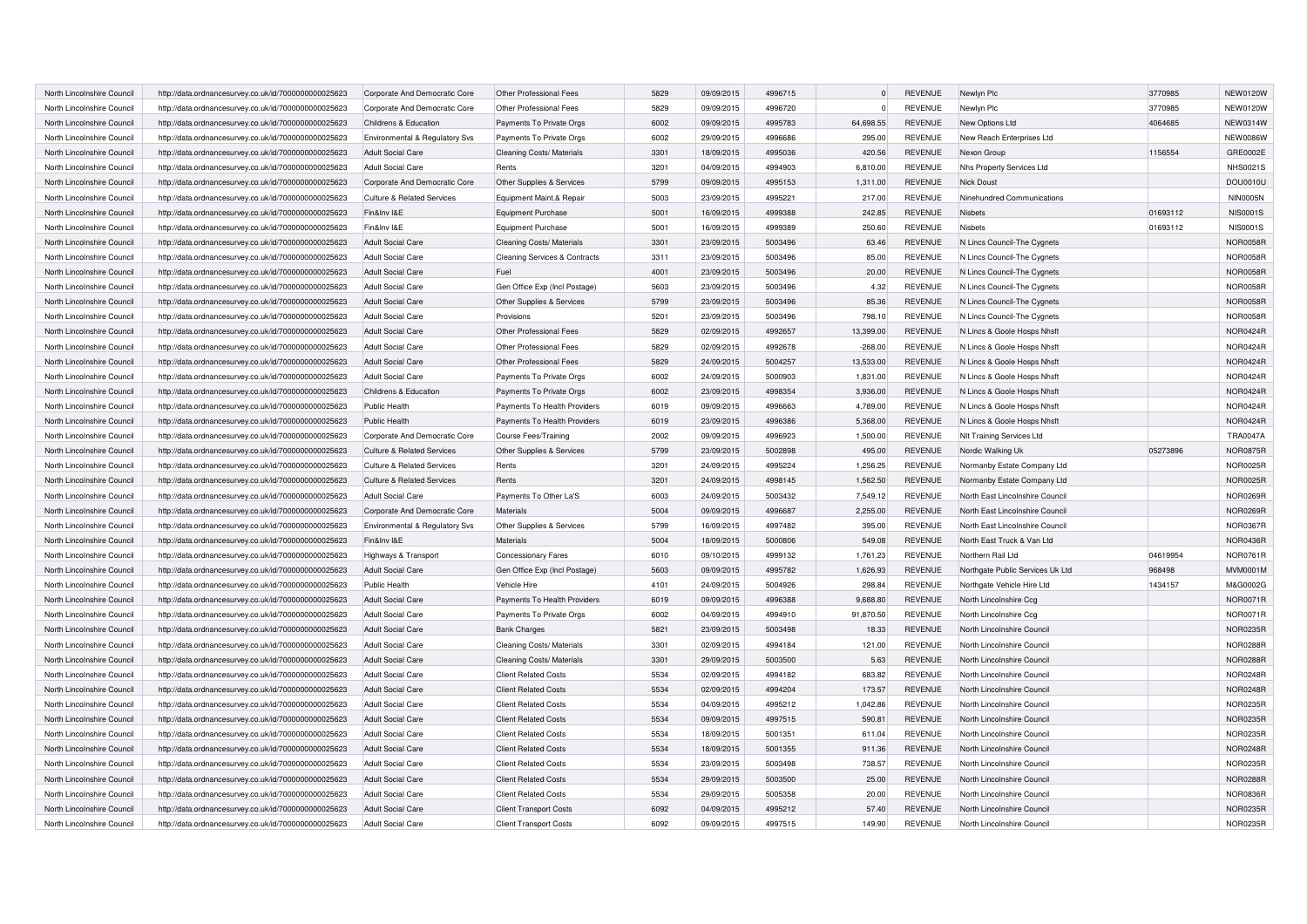| North Lincolnshire Council | http://data.ordnancesurvey.co.uk/id/7000000000025623 | Corporate And Democratic Core         | Other Professional Fees       | 5829 | 09/09/2015 | 4996715 | $\Omega$  | <b>REVENUE</b> | Newlyn Plc                       | 3770985  | <b>NEW0120W</b> |
|----------------------------|------------------------------------------------------|---------------------------------------|-------------------------------|------|------------|---------|-----------|----------------|----------------------------------|----------|-----------------|
| North Lincolnshire Council | http://data.ordnancesurvey.co.uk/id/7000000000025623 | Corporate And Democratic Core         | Other Professional Fees       | 5829 | 09/09/2015 | 4996720 | $\Omega$  | <b>REVENUE</b> | Newlyn Plc                       | 3770985  | <b>NEW0120W</b> |
| North Lincolnshire Council | http://data.ordnancesurvey.co.uk/id/7000000000025623 | Childrens & Education                 | Payments To Private Orgs      | 6002 | 09/09/2015 | 4995783 | 64,698.55 | <b>REVENUE</b> | New Options Ltd                  | 4064685  | NEW0314W        |
| North Lincolnshire Council | http://data.ordnancesurvey.co.uk/id/7000000000025623 | Environmental & Regulatory Svs        | Payments To Private Orgs      | 6002 | 29/09/2015 | 4996686 | 295.00    | <b>REVENUE</b> | New Reach Enterprises Ltd        |          | <b>NEW0086W</b> |
| North Lincolnshire Council | http://data.ordnancesurvey.co.uk/id/7000000000025623 | <b>Adult Social Care</b>              | Cleaning Costs/ Materials     | 3301 | 18/09/2015 | 4995036 | 420.56    | <b>REVENUE</b> | Nexon Group                      | 1156554  | GRE0002E        |
| North Lincolnshire Council | http://data.ordnancesurvey.co.uk/id/7000000000025623 | <b>Adult Social Care</b>              | Rents                         | 3201 | 04/09/2015 | 4994903 | 6,810.00  | <b>REVENUE</b> | Nhs Property Services Ltd        |          | <b>NHS0021S</b> |
| North Lincolnshire Council | http://data.ordnancesurvey.co.uk/id/7000000000025623 | Corporate And Democratic Core         | Other Supplies & Services     | 5799 | 09/09/2015 | 4995153 | 1,311.00  | <b>REVENUE</b> | <b>Nick Doust</b>                |          | DOU0010U        |
| North Lincolnshire Council | http://data.ordnancesurvey.co.uk/id/7000000000025623 | Culture & Related Services            | Equipment Maint.& Repair      | 5003 | 23/09/2015 | 4995221 | 217.00    | <b>REVENUE</b> | Ninehundred Communications       |          | <b>NIN0005N</b> |
| North Lincolnshire Council | http://data.ordnancesurvey.co.uk/id/7000000000025623 | Fin&Inv I&E                           | Equipment Purchase            | 5001 | 16/09/2015 | 4999388 | 242.85    | <b>REVENUE</b> | Nishets                          | 01693112 | <b>NIS0001S</b> |
| North Lincolnshire Council | http://data.ordnancesurvey.co.uk/id/7000000000025623 | Fin&Inv I&E                           | Equipment Purchase            | 5001 | 16/09/2015 | 4999389 | 250.60    | <b>REVENUE</b> | Nisbets                          | 01693112 | <b>NIS0001S</b> |
| North Lincolnshire Council | http://data.ordnancesurvey.co.uk/id/7000000000025623 | <b>Adult Social Care</b>              | Cleaning Costs/ Materials     | 3301 | 23/09/2015 | 5003496 | 63.46     | <b>REVENUE</b> | N Lincs Council-The Cygnets      |          | <b>NOR0058R</b> |
| North Lincolnshire Council | http://data.ordnancesurvey.co.uk/id/7000000000025623 | <b>Adult Social Care</b>              | Cleaning Services & Contracts | 3311 | 23/09/2015 | 5003496 | 85.00     | <b>REVENUE</b> | N Lincs Council-The Cygnets      |          | <b>NOR0058R</b> |
| North Lincolnshire Council | http://data.ordnancesurvey.co.uk/id/7000000000025623 | Adult Social Care                     | Fuel                          | 4001 | 23/09/2015 | 5003496 | 20.00     | <b>REVENUE</b> | N Lincs Council-The Cygnets      |          | <b>NOR0058R</b> |
| North Lincolnshire Council | http://data.ordnancesurvey.co.uk/id/7000000000025623 | <b>Adult Social Care</b>              | Gen Office Exp (Incl Postage) | 5603 | 23/09/2015 | 5003496 | 4.32      | <b>REVENUE</b> | N Lincs Council-The Cygnets      |          | <b>NOR0058R</b> |
| North Lincolnshire Council | http://data.ordnancesurvey.co.uk/id/7000000000025623 | <b>Adult Social Care</b>              | Other Supplies & Services     | 5799 | 23/09/2015 | 5003496 | 85.36     | <b>REVENUE</b> | N Lincs Council-The Cygnets      |          | <b>NOR0058R</b> |
| North Lincolnshire Council | http://data.ordnancesurvey.co.uk/id/7000000000025623 | <b>Adult Social Care</b>              | Provisions                    | 5201 | 23/09/2015 | 5003496 | 798.10    | REVENUE        | N Lincs Council-The Cygnets      |          | <b>NOR0058R</b> |
| North Lincolnshire Council | http://data.ordnancesurvey.co.uk/id/7000000000025623 | <b>Adult Social Care</b>              | Other Professional Fees       | 5829 | 02/09/2015 | 4992657 | 13.399.00 | <b>REVENUE</b> | N Lincs & Goole Hosps Nhsft      |          | <b>NOR0424R</b> |
| North Lincolnshire Council | http://data.ordnancesurvey.co.uk/id/7000000000025623 | <b>Adult Social Care</b>              | Other Professional Fees       | 5829 | 02/09/2015 | 4992678 | $-268.00$ | REVENUE        | N Lincs & Goole Hosps Nhsft      |          | <b>NOR0424R</b> |
| North Lincolnshire Council | http://data.ordnancesurvey.co.uk/id/7000000000025623 | <b>Adult Social Care</b>              | Other Professional Fees       | 5829 | 24/09/2015 | 5004257 | 13,533.00 | <b>REVENUE</b> | N Lincs & Goole Hosps Nhsft      |          | <b>NOR0424R</b> |
| North Lincolnshire Council | http://data.ordnancesurvey.co.uk/id/7000000000025623 | <b>Adult Social Care</b>              | Payments To Private Orgs      | 6002 | 24/09/2015 | 5000903 | 1.831.00  | <b>REVENUE</b> | N Lincs & Goole Hosps Nhsft      |          | <b>NOR0424R</b> |
| North Lincolnshire Council | http://data.ordnancesurvey.co.uk/id/7000000000025623 | Childrens & Education                 | Payments To Private Orgs      | 6002 | 23/09/2015 | 4998354 | 3,936.00  | <b>REVENUE</b> | N Lincs & Goole Hosps Nhsft      |          | <b>NOR0424R</b> |
| North Lincolnshire Council | http://data.ordnancesurvey.co.uk/id/7000000000025623 | Public Health                         | Payments To Health Providers  | 6019 | 09/09/2015 | 4996663 | 4,789.00  | REVENUE        | N Lincs & Goole Hosps Nhsft      |          | <b>NOR0424R</b> |
| North Lincolnshire Council | http://data.ordnancesurvey.co.uk/id/7000000000025623 | Public Health                         | Payments To Health Providers  | 6019 | 23/09/2015 | 4996386 | 5,368.00  | <b>REVENUE</b> | N Lincs & Goole Hosps Nhsft      |          | <b>NOR0424R</b> |
| North Lincolnshire Council | http://data.ordnancesurvey.co.uk/id/7000000000025623 | Corporate And Democratic Core         | Course Fees/Training          | 2002 | 09/09/2015 | 4996923 | 1,500.00  | REVENUE        | NIt Training Services Ltd        |          | <b>TRA0047A</b> |
| North Lincolnshire Council | http://data.ordnancesurvey.co.uk/id/7000000000025623 | <b>Culture &amp; Related Services</b> | Other Supplies & Services     | 5799 | 23/09/2015 | 5002898 | 495.00    | <b>REVENUE</b> | Nordic Walking Uk                | 05273896 | <b>NOR0875R</b> |
| North Lincolnshire Council | http://data.ordnancesurvey.co.uk/id/7000000000025623 | <b>Culture &amp; Related Services</b> | Rents                         | 3201 | 24/09/2015 | 4995224 | 1,256.25  | <b>REVENUE</b> | Normanby Estate Company Ltd      |          | <b>NOR0025R</b> |
| North Lincolnshire Council | http://data.ordnancesurvey.co.uk/id/7000000000025623 | <b>Culture &amp; Related Services</b> | Rents                         | 3201 | 24/09/2015 | 4998145 | 1,562.50  | <b>REVENUE</b> | Normanby Estate Company Ltd      |          | <b>NOR0025R</b> |
| North Lincolnshire Council | http://data.ordnancesurvey.co.uk/id/7000000000025623 | <b>Adult Social Care</b>              | Payments To Other La'S        | 6003 | 24/09/2015 | 5003432 | 7,549.12  | <b>REVENUE</b> | North East Lincolnshire Council  |          | NOR0269R        |
| North Lincolnshire Council | http://data.ordnancesurvey.co.uk/id/7000000000025623 | Corporate And Democratic Core         | Materials                     | 5004 | 09/09/2015 | 4996687 | 2,255.00  | <b>REVENUE</b> | North East Lincolnshire Council  |          | NOR0269R        |
| North Lincolnshire Council | http://data.ordnancesurvey.co.uk/id/7000000000025623 | Environmental & Regulatory Svs        | Other Supplies & Services     | 5799 | 16/09/2015 | 4997482 | 395.00    | <b>REVENUE</b> | North East Lincolnshire Council  |          | <b>NOR0367R</b> |
| North Lincolnshire Council | http://data.ordnancesurvey.co.uk/id/7000000000025623 | Fin&Inv I&E                           | Materials                     | 5004 | 18/09/2015 | 5000806 | 549.08    | <b>REVENUE</b> | North East Truck & Van Ltd       |          | NOR0436R        |
| North Lincolnshire Council | http://data.ordnancesurvey.co.uk/id/7000000000025623 | Highways & Transport                  | <b>Concessionary Fares</b>    | 6010 | 09/10/2015 | 4999132 | 1,761.23  | <b>REVENUE</b> | Northern Rail Ltd                | 04619954 | <b>NOR0761R</b> |
| North Lincolnshire Council | http://data.ordnancesurvey.co.uk/id/7000000000025623 | <b>Adult Social Care</b>              | Gen Office Exp (Incl Postage) | 5603 | 09/09/2015 | 4995782 | 1,626.93  | <b>REVENUE</b> | Northgate Public Services Uk Ltd | 968498   | <b>MVM0001M</b> |
| North Lincolnshire Council | http://data.ordnancesurvey.co.uk/id/7000000000025623 | Public Health                         | Vehicle Hire                  | 4101 | 24/09/2015 | 5004926 | 298.84    | <b>REVENUE</b> | Northgate Vehicle Hire Ltd       | 1434157  | M&G0002G        |
| North Lincolnshire Council | http://data.ordnancesurvey.co.uk/id/7000000000025623 | <b>Adult Social Care</b>              | Payments To Health Providers  | 6019 | 09/09/2015 | 4996388 | 9,688.80  | <b>REVENUE</b> | North Lincolnshire Ccg           |          | <b>NOR0071R</b> |
| North Lincolnshire Council | http://data.ordnancesurvey.co.uk/id/7000000000025623 | <b>Adult Social Care</b>              | Payments To Private Orgs      | 6002 | 04/09/2015 | 4994910 | 91,870.50 | <b>REVENUE</b> | North Lincolnshire Ccg           |          | <b>NOR0071R</b> |
| North Lincolnshire Council | http://data.ordnancesurvey.co.uk/id/7000000000025623 | <b>Adult Social Care</b>              | <b>Bank Charges</b>           | 5821 | 23/09/2015 | 5003498 | 18.33     | <b>REVENUE</b> | North Lincolnshire Council       |          | <b>NOR0235R</b> |
| North Lincolnshire Council | http://data.ordnancesurvey.co.uk/id/7000000000025623 | <b>Adult Social Care</b>              | Cleaning Costs/ Materials     | 3301 | 02/09/2015 | 4994184 | 121.00    | <b>REVENUE</b> | North Lincolnshire Council       |          | <b>NOR0288R</b> |
| North Lincolnshire Council | http://data.ordnancesurvey.co.uk/id/7000000000025623 | <b>Adult Social Care</b>              | Cleaning Costs/ Materials     | 3301 | 29/09/2015 | 5003500 | 5.63      | <b>REVENUE</b> | North Lincolnshire Council       |          | <b>NOR0288R</b> |
| North Lincolnshire Council | http://data.ordnancesurvey.co.uk/id/7000000000025623 | <b>Adult Social Care</b>              | <b>Client Related Costs</b>   | 5534 | 02/09/2015 | 4994182 | 683.82    | <b>REVENUE</b> | North Lincolnshire Council       |          | <b>NOR0248R</b> |
| North Lincolnshire Council | http://data.ordnancesurvey.co.uk/id/7000000000025623 | <b>Adult Social Care</b>              | <b>Client Related Costs</b>   | 5534 | 02/09/2015 | 4994204 | 173.57    | <b>REVENUE</b> | North Lincolnshire Council       |          | <b>NOR0248R</b> |
| North Lincolnshire Council | http://data.ordnancesurvey.co.uk/id/7000000000025623 | <b>Adult Social Care</b>              | <b>Client Related Costs</b>   | 5534 | 04/09/2015 | 4995212 | 1,042.86  | <b>REVENUE</b> | North Lincolnshire Council       |          | <b>NOR0235R</b> |
| North Lincolnshire Council | http://data.ordnancesurvey.co.uk/id/7000000000025623 | <b>Adult Social Care</b>              | <b>Client Related Costs</b>   | 5534 | 09/09/2015 | 4997515 | 590.81    | <b>REVENUE</b> | North Lincolnshire Council       |          | <b>NOR0235R</b> |
| North Lincolnshire Council | http://data.ordnancesurvey.co.uk/id/7000000000025623 | <b>Adult Social Care</b>              | <b>Client Related Costs</b>   | 5534 | 18/09/2015 | 5001351 | 611.04    | <b>REVENUE</b> | North Lincolnshire Council       |          | <b>NOR0235R</b> |
| North Lincolnshire Council | http://data.ordnancesurvey.co.uk/id/7000000000025623 | <b>Adult Social Care</b>              | <b>Client Related Costs</b>   | 5534 | 18/09/2015 | 5001355 | 911.36    | <b>REVENUE</b> | North Lincolnshire Council       |          | <b>NOR0248R</b> |
| North Lincolnshire Council | http://data.ordnancesurvey.co.uk/id/7000000000025623 | <b>Adult Social Care</b>              | <b>Client Related Costs</b>   | 5534 | 23/09/2015 | 5003498 | 738.57    | <b>REVENUE</b> | North Lincolnshire Council       |          | <b>NOR0235R</b> |
| North Lincolnshire Council | http://data.ordnancesurvey.co.uk/id/7000000000025623 | <b>Adult Social Care</b>              | <b>Client Related Costs</b>   | 5534 | 29/09/2015 | 5003500 | 25.00     | <b>REVENUE</b> | North Lincolnshire Council       |          | <b>NOR0288R</b> |
| North Lincolnshire Council | http://data.ordnancesurvey.co.uk/id/7000000000025623 | <b>Adult Social Care</b>              | <b>Client Related Costs</b>   | 5534 | 29/09/2015 | 5005358 | 20.00     | <b>REVENUE</b> | North Lincolnshire Council       |          | <b>NOR0836R</b> |
| North Lincolnshire Council | http://data.ordnancesurvey.co.uk/id/7000000000025623 | <b>Adult Social Care</b>              | <b>Client Transport Costs</b> | 6092 | 04/09/2015 | 4995212 | 57.40     | <b>REVENUE</b> | North Lincolnshire Council       |          | <b>NOR0235R</b> |
| North Lincolnshire Council | http://data.ordnancesurvey.co.uk/id/7000000000025623 | <b>Adult Social Care</b>              | <b>Client Transport Costs</b> | 6092 | 09/09/2015 | 4997515 | 149.90    | <b>REVENUE</b> | North Lincolnshire Council       |          | <b>NOR0235R</b> |
|                            |                                                      |                                       |                               |      |            |         |           |                |                                  |          |                 |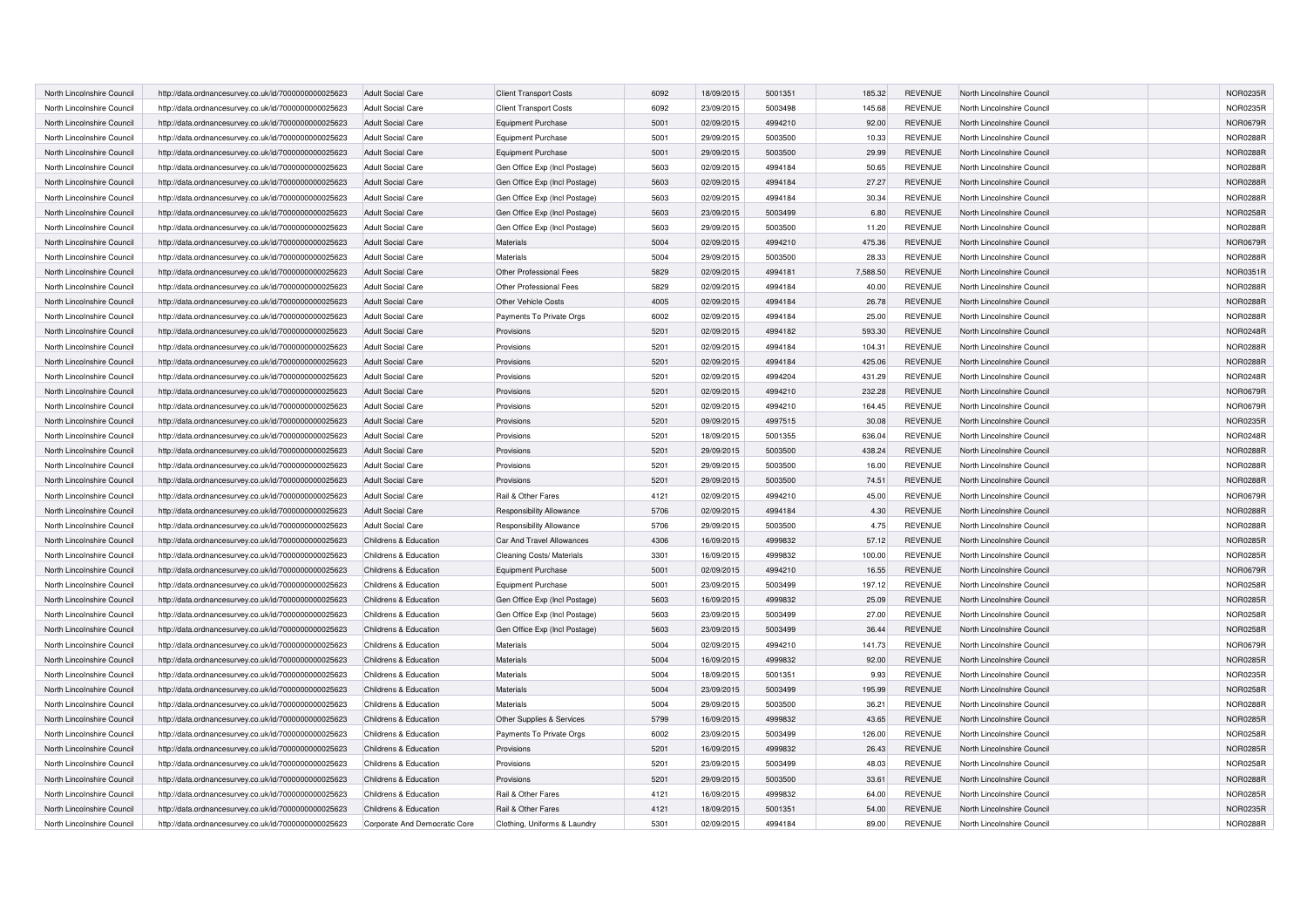| North Lincolnshire Council | http://data.ordnancesurvey.co.uk/id/7000000000025623 | <b>Adult Social Care</b>      | <b>Client Transport Costs</b> | 6092 | 18/09/2015 | 5001351 | 185.32   | <b>REVENUE</b> | North Lincolnshire Council | <b>NOR0235R</b> |
|----------------------------|------------------------------------------------------|-------------------------------|-------------------------------|------|------------|---------|----------|----------------|----------------------------|-----------------|
| North Lincolnshire Council | http://data.ordnancesurvey.co.uk/id/7000000000025623 | <b>Adult Social Care</b>      | <b>Client Transport Costs</b> | 6092 | 23/09/2015 | 5003498 | 145.68   | <b>REVENUE</b> | North Lincolnshire Council | NOR0235R        |
| North Lincolnshire Council | http://data.ordnancesurvey.co.uk/id/7000000000025623 | <b>Adult Social Care</b>      | <b>Equipment Purchase</b>     | 5001 | 02/09/2015 | 4994210 | 92.00    | <b>REVENUE</b> | North Lincolnshire Council | <b>NOR0679R</b> |
| North Lincolnshire Council |                                                      | <b>Adult Social Care</b>      | Equipment Purchase            | 5001 | 29/09/2015 | 5003500 | 10.33    | <b>REVENUE</b> | North Lincolnshire Council | <b>NOR0288R</b> |
|                            | http://data.ordnancesurvey.co.uk/id/7000000000025623 |                               |                               |      |            |         |          |                |                            |                 |
| North Lincolnshire Council | http://data.ordnancesurvey.co.uk/id/7000000000025623 | <b>Adult Social Care</b>      | <b>Equipment Purchase</b>     | 5001 | 29/09/2015 | 5003500 | 29.99    | <b>REVENUE</b> | North Lincolnshire Council | <b>NOR0288R</b> |
| North Lincolnshire Council | http://data.ordnancesurvey.co.uk/id/7000000000025623 | <b>Adult Social Care</b>      | Gen Office Exp (Incl Postage) | 5603 | 02/09/2015 | 4994184 | 50.65    | <b>REVENUE</b> | North Lincolnshire Council | <b>NOR0288R</b> |
| North Lincolnshire Council | http://data.ordnancesurvey.co.uk/id/7000000000025623 | <b>Adult Social Care</b>      | Gen Office Exp (Incl Postage) | 5603 | 02/09/2015 | 4994184 | 27.27    | <b>REVENUE</b> | North Lincolnshire Council | <b>NOR0288R</b> |
| North Lincolnshire Council | http://data.ordnancesurvey.co.uk/id/7000000000025623 | Adult Social Care             | Gen Office Exp (Incl Postage) | 5603 | 02/09/2015 | 4994184 | 30.34    | REVENUE        | North Lincolnshire Council | <b>NOR0288R</b> |
| North Lincolnshire Council | http://data.ordnancesurvey.co.uk/id/7000000000025623 | <b>Adult Social Care</b>      | Gen Office Exp (Incl Postage) | 5603 | 23/09/2015 | 5003499 | 6.80     | <b>REVENUE</b> | North Lincolnshire Council | <b>NOR0258R</b> |
| North Lincolnshire Council | http://data.ordnancesurvey.co.uk/id/7000000000025623 | <b>Adult Social Care</b>      | Gen Office Exp (Incl Postage) | 5603 | 29/09/2015 | 5003500 | 11.20    | <b>REVENUE</b> | North Lincolnshire Council | <b>NOR0288R</b> |
| North Lincolnshire Council | http://data.ordnancesurvey.co.uk/id/7000000000025623 | <b>Adult Social Care</b>      | Materials                     | 5004 | 02/09/2015 | 4994210 | 475.36   | <b>REVENUE</b> | North Lincolnshire Council | <b>NOR0679R</b> |
| North Lincolnshire Council | http://data.ordnancesurvey.co.uk/id/7000000000025623 | <b>Adult Social Care</b>      | Materials                     | 5004 | 29/09/2015 | 5003500 | 28.33    | <b>REVENUE</b> | North Lincolnshire Council | <b>NOR0288R</b> |
| North Lincolnshire Council | http://data.ordnancesurvey.co.uk/id/7000000000025623 | <b>Adult Social Care</b>      | Other Professional Fees       | 5829 | 02/09/2015 | 4994181 | 7,588.50 | <b>REVENUE</b> | North Lincolnshire Council | NOR0351R        |
| North Lincolnshire Council | http://data.ordnancesurvey.co.uk/id/7000000000025623 | <b>Adult Social Care</b>      | Other Professional Fees       | 5829 | 02/09/2015 | 4994184 | 40.00    | <b>REVENUE</b> | North Lincolnshire Council | <b>NOR0288R</b> |
| North Lincolnshire Council | http://data.ordnancesurvey.co.uk/id/7000000000025623 | <b>Adult Social Care</b>      | Other Vehicle Costs           | 4005 | 02/09/2015 | 4994184 | 26.78    | <b>REVENUE</b> | North Lincolnshire Council | <b>NOR0288R</b> |
| North Lincolnshire Council | http://data.ordnancesurvey.co.uk/id/7000000000025623 | <b>Adult Social Care</b>      | Payments To Private Orgs      | 6002 | 02/09/2015 | 4994184 | 25.00    | <b>REVENUE</b> | North Lincolnshire Council | <b>NOR0288R</b> |
| North Lincolnshire Council | http://data.ordnancesurvey.co.uk/id/7000000000025623 | <b>Adult Social Care</b>      | Provisions                    | 5201 | 02/09/2015 | 4994182 | 593.30   | <b>REVENUE</b> | North Lincolnshire Council | NOR0248R        |
| North Lincolnshire Council | http://data.ordnancesurvey.co.uk/id/7000000000025623 | <b>Adult Social Care</b>      | Provisions                    | 5201 | 02/09/2015 | 4994184 | 104.31   | <b>REVENUE</b> | North Lincolnshire Council | <b>NOR0288R</b> |
| North Lincolnshire Council | http://data.ordnancesurvey.co.uk/id/7000000000025623 | <b>Adult Social Care</b>      | Provisions                    | 5201 | 02/09/2015 | 4994184 | 425.06   | <b>REVENUE</b> | North Lincolnshire Council | <b>NOR0288R</b> |
| North Lincolnshire Council | http://data.ordnancesurvey.co.uk/id/7000000000025623 | Adult Social Care             | Provisions                    | 5201 | 02/09/2015 | 4994204 | 431.29   | <b>REVENUE</b> | North Lincolnshire Council | <b>NOR0248R</b> |
| North Lincolnshire Council | http://data.ordnancesurvey.co.uk/id/7000000000025623 | <b>Adult Social Care</b>      | Provisions                    | 5201 | 02/09/2015 | 4994210 | 232.28   | <b>REVENUE</b> | North Lincolnshire Council | <b>NOR0679R</b> |
| North Lincolnshire Council | http://data.ordnancesurvey.co.uk/id/7000000000025623 | <b>Adult Social Care</b>      | Provisions                    | 5201 | 02/09/2015 | 4994210 | 164.45   | <b>REVENUE</b> | North Lincolnshire Council | <b>NOR0679R</b> |
| North Lincolnshire Council | http://data.ordnancesurvey.co.uk/id/7000000000025623 | <b>Adult Social Care</b>      | Provisions                    | 5201 | 09/09/2015 | 4997515 | 30.08    | <b>REVENUE</b> | North Lincolnshire Council | <b>NOR0235R</b> |
| North Lincolnshire Council | http://data.ordnancesurvey.co.uk/id/7000000000025623 | <b>Adult Social Care</b>      | Provisions                    | 5201 | 18/09/2015 | 5001355 | 636.04   | <b>REVENUE</b> | North Lincolnshire Council | <b>NOR0248R</b> |
| North Lincolnshire Council | http://data.ordnancesurvey.co.uk/id/7000000000025623 | <b>Adult Social Care</b>      | Provisions                    | 5201 | 29/09/2015 | 5003500 | 438.24   | <b>REVENUE</b> | North Lincolnshire Council | <b>NOR0288R</b> |
| North Lincolnshire Council | http://data.ordnancesurvey.co.uk/id/7000000000025623 | <b>Adult Social Care</b>      | Provisions                    | 5201 | 29/09/2015 | 5003500 | 16.00    | <b>REVENUE</b> | North Lincolnshire Council | <b>NOR0288R</b> |
|                            |                                                      |                               |                               | 5201 |            | 5003500 |          |                |                            |                 |
| North Lincolnshire Council | http://data.ordnancesurvey.co.uk/id/7000000000025623 | <b>Adult Social Care</b>      | Provisions                    |      | 29/09/2015 |         | 74.51    | <b>REVENUE</b> | North Lincolnshire Council | <b>NOR0288R</b> |
| North Lincolnshire Council | http://data.ordnancesurvey.co.uk/id/7000000000025623 | <b>Adult Social Care</b>      | Rail & Other Fares            | 4121 | 02/09/2015 | 4994210 | 45.00    | REVENUE        | North Lincolnshire Council | <b>NOR0679R</b> |
| North Lincolnshire Council | http://data.ordnancesurvey.co.uk/id/7000000000025623 | <b>Adult Social Care</b>      | Responsibility Allowance      | 5706 | 02/09/2015 | 4994184 | 4.30     | <b>REVENUE</b> | North Lincolnshire Council | <b>NOR0288R</b> |
| North Lincolnshire Council | http://data.ordnancesurvey.co.uk/id/7000000000025623 | <b>Adult Social Care</b>      | Responsibility Allowance      | 5706 | 29/09/2015 | 5003500 | 4.75     | <b>REVENUE</b> | North Lincolnshire Council | <b>NOR0288R</b> |
| North Lincolnshire Council | http://data.ordnancesurvey.co.uk/id/7000000000025623 | Childrens & Education         | Car And Travel Allowances     | 4306 | 16/09/2015 | 4999832 | 57.12    | <b>REVENUE</b> | North Lincolnshire Council | <b>NOR0285R</b> |
| North Lincolnshire Council | http://data.ordnancesurvey.co.uk/id/7000000000025623 | Childrens & Education         | Cleaning Costs/ Materials     | 3301 | 16/09/2015 | 4999832 | 100.00   | <b>REVENUE</b> | North Lincolnshire Council | <b>NOR0285R</b> |
| North Lincolnshire Council | http://data.ordnancesurvey.co.uk/id/7000000000025623 | Childrens & Education         | <b>Equipment Purchase</b>     | 5001 | 02/09/2015 | 4994210 | 16.55    | <b>REVENUE</b> | North Lincolnshire Council | NOR0679R        |
| North Lincolnshire Council | http://data.ordnancesurvey.co.uk/id/7000000000025623 | Childrens & Education         | <b>Equipment Purchase</b>     | 5001 | 23/09/2015 | 5003499 | 197.12   | REVENUE        | North Lincolnshire Council | <b>NOR0258R</b> |
| North Lincolnshire Council | http://data.ordnancesurvey.co.uk/id/7000000000025623 | Childrens & Education         | Gen Office Exp (Incl Postage) | 5603 | 16/09/2015 | 4999832 | 25.09    | <b>REVENUE</b> | North Lincolnshire Council | <b>NOR0285R</b> |
| North Lincolnshire Council | http://data.ordnancesurvey.co.uk/id/7000000000025623 | Childrens & Education         | Gen Office Exp (Incl Postage) | 5603 | 23/09/2015 | 5003499 | 27.00    | <b>REVENUE</b> | North Lincolnshire Council | <b>NOR0258R</b> |
| North Lincolnshire Council | http://data.ordnancesurvey.co.uk/id/7000000000025623 | Childrens & Education         | Gen Office Exp (Incl Postage) | 5603 | 23/09/2015 | 5003499 | 36.44    | <b>REVENUE</b> | North Lincolnshire Council | <b>NOR0258R</b> |
| North Lincolnshire Council | http://data.ordnancesurvey.co.uk/id/7000000000025623 | Childrens & Education         | <b>Materials</b>              | 5004 | 02/09/2015 | 4994210 | 141.73   | <b>REVENUE</b> | North Lincolnshire Council | <b>NOR0679R</b> |
| North Lincolnshire Council | http://data.ordnancesurvey.co.uk/id/7000000000025623 | Childrens & Education         | Materials                     | 5004 | 16/09/2015 | 4999832 | 92.00    | <b>REVENUE</b> | North Lincolnshire Council | <b>NOR0285R</b> |
| North Lincolnshire Council | http://data.ordnancesurvey.co.uk/id/7000000000025623 | Childrens & Education         | Materials                     | 5004 | 18/09/2015 | 5001351 | 9.93     | <b>REVENUE</b> | North Lincolnshire Council | <b>NOR0235R</b> |
| North Lincolnshire Council | http://data.ordnancesurvey.co.uk/id/7000000000025623 | Childrens & Education         | Materials                     | 5004 | 23/09/2015 | 5003499 | 195.99   | <b>REVENUE</b> | North Lincolnshire Council | <b>NOR0258R</b> |
| North Lincolnshire Council | http://data.ordnancesurvey.co.uk/id/7000000000025623 | Childrens & Education         | Materials                     | 5004 | 29/09/2015 | 5003500 | 36.21    | <b>REVENUE</b> | North Lincolnshire Council | <b>NOR0288R</b> |
| North Lincolnshire Council | http://data.ordnancesurvey.co.uk/id/7000000000025623 | Childrens & Education         | Other Supplies & Services     | 5799 | 16/09/2015 | 4999832 | 43.65    | <b>REVENUE</b> | North Lincolnshire Council | <b>NOR0285R</b> |
| North Lincolnshire Council | http://data.ordnancesurvey.co.uk/id/7000000000025623 | Childrens & Education         | Payments To Private Orgs      | 6002 | 23/09/2015 | 5003499 | 126.00   | <b>REVENUE</b> | North Lincolnshire Council | NOR0258R        |
| North Lincolnshire Council | http://data.ordnancesurvey.co.uk/id/7000000000025623 | Childrens & Education         | Provisions                    | 5201 | 16/09/2015 | 4999832 | 26.43    | <b>REVENUE</b> | North Lincolnshire Council | <b>NOR0285R</b> |
| North Lincolnshire Council | http://data.ordnancesurvey.co.uk/id/7000000000025623 | Childrens & Education         | Provisions                    | 5201 | 23/09/2015 | 5003499 | 48.03    | REVENUE        | North Lincolnshire Council | <b>NOR0258R</b> |
| North Lincolnshire Council | http://data.ordnancesurvey.co.uk/id/7000000000025623 | Childrens & Education         | Provisions                    | 5201 | 29/09/2015 | 5003500 | 33.61    | <b>REVENUE</b> | North Lincolnshire Council | <b>NOR0288R</b> |
| North Lincolnshire Council | http://data.ordnancesurvey.co.uk/id/7000000000025623 | Childrens & Education         | Rail & Other Fares            | 4121 | 16/09/2015 | 4999832 | 64.00    | <b>REVENUE</b> | North Lincolnshire Council | <b>NOR0285R</b> |
| North Lincolnshire Council | http://data.ordnancesurvey.co.uk/id/7000000000025623 | Childrens & Education         | Rail & Other Fares            | 4121 | 18/09/2015 | 5001351 | 54.00    | <b>REVENUE</b> | North Lincolnshire Council | <b>NOR0235R</b> |
| North Lincolnshire Council | http://data.ordnancesurvey.co.uk/id/7000000000025623 | Corporate And Democratic Core | Clothing, Uniforms & Laundry  | 5301 | 02/09/2015 | 4994184 | 89.00    | <b>REVENUE</b> | North Lincolnshire Council | <b>NOR0288R</b> |
|                            |                                                      |                               |                               |      |            |         |          |                |                            |                 |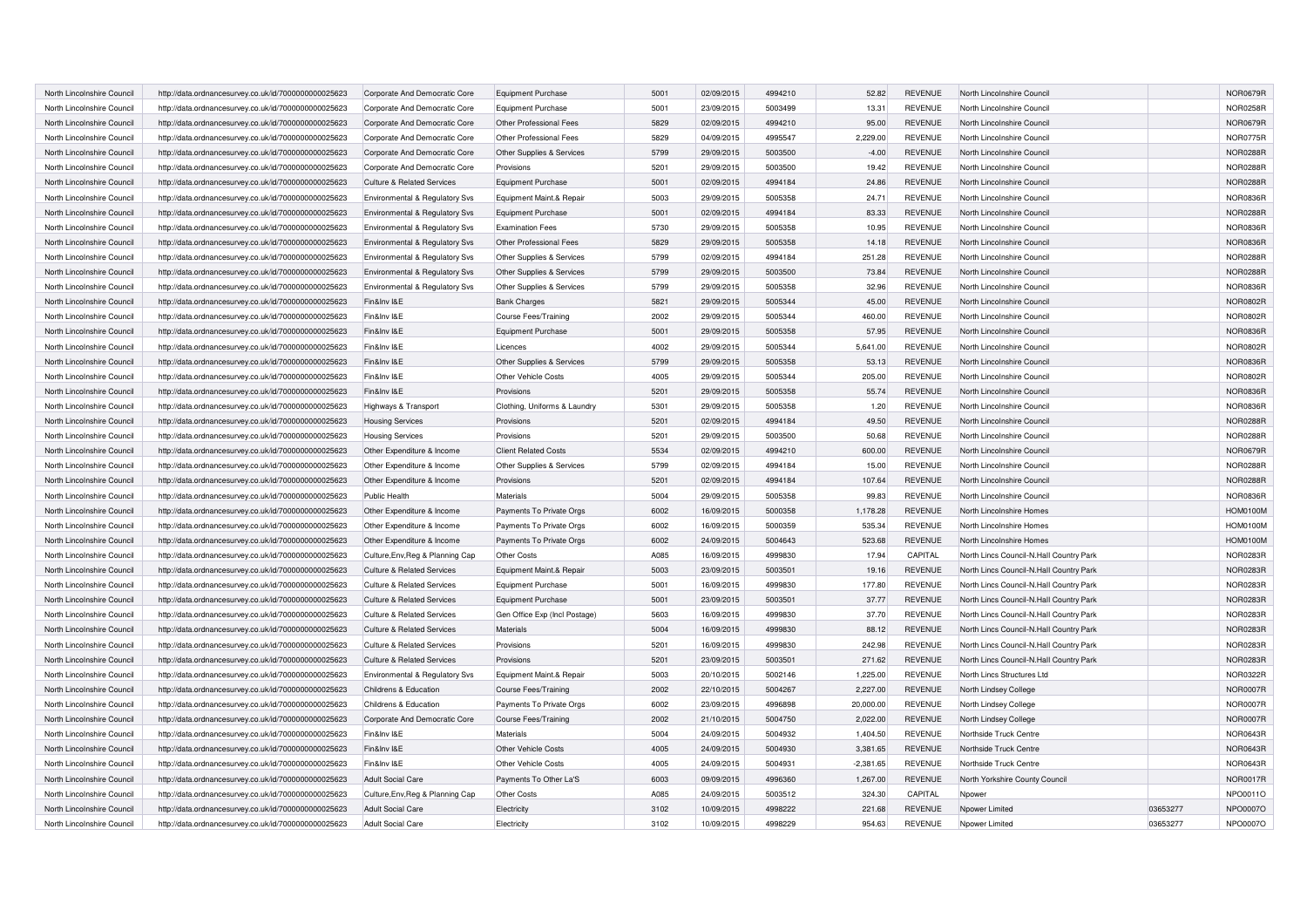| North Lincolnshire Council | http://data.ordnancesurvey.co.uk/id/7000000000025623 | Corporate And Democratic Core         | <b>Equipment Purchase</b>     | 5001 | 02/09/2015 | 4994210 | 52.82       | <b>REVENUE</b> | North Lincolnshire Council              |          | <b>NOR0679R</b> |
|----------------------------|------------------------------------------------------|---------------------------------------|-------------------------------|------|------------|---------|-------------|----------------|-----------------------------------------|----------|-----------------|
| North Lincolnshire Council | http://data.ordnancesurvey.co.uk/id/7000000000025623 | Corporate And Democratic Core         | Equipment Purchase            | 5001 | 23/09/2015 | 5003499 | 13.31       | <b>REVENUE</b> | North Lincolnshire Council              |          | <b>NOR0258R</b> |
| North Lincolnshire Council | http://data.ordnancesurvey.co.uk/id/7000000000025623 | Corporate And Democratic Core         | Other Professional Fees       | 5829 | 02/09/2015 | 4994210 | 95.00       | <b>REVENUE</b> | North Lincolnshire Council              |          | <b>NOR0679R</b> |
| North Lincolnshire Council | http://data.ordnancesurvey.co.uk/id/7000000000025623 | Corporate And Democratic Core         | Other Professional Fees       | 5829 | 04/09/2015 | 4995547 | 2,229.00    | <b>REVENUE</b> | North Lincolnshire Council              |          | NOR0775R        |
| North Lincolnshire Council | http://data.ordnancesurvey.co.uk/id/7000000000025623 | Corporate And Democratic Core         | Other Supplies & Services     | 5799 | 29/09/2015 | 5003500 | $-4.00$     | <b>REVENUE</b> | North Lincolnshire Council              |          | <b>NOR0288R</b> |
| North Lincolnshire Council | http://data.ordnancesurvey.co.uk/id/7000000000025623 | Corporate And Democratic Core         | Provisions                    | 5201 | 29/09/2015 | 5003500 | 19.42       | <b>REVENUE</b> | North Lincolnshire Council              |          | NOR0288R        |
| North Lincolnshire Council | http://data.ordnancesurvey.co.uk/id/7000000000025623 | <b>Culture &amp; Related Services</b> | <b>Equipment Purchase</b>     | 5001 | 02/09/2015 | 4994184 | 24.86       | <b>REVENUE</b> | North Lincolnshire Council              |          | <b>NOR0288R</b> |
| North Lincolnshire Council | http://data.ordnancesurvey.co.uk/id/7000000000025623 | Environmental & Regulatory Svs        | Equipment Maint.& Repair      | 5003 | 29/09/2015 | 5005358 | 24.71       | <b>REVENUE</b> | North Lincolnshire Council              |          | <b>NOR0836R</b> |
| North Lincolnshire Council | http://data.ordnancesurvey.co.uk/id/7000000000025623 | Environmental & Regulatory Svs        | <b>Equipment Purchase</b>     | 5001 | 02/09/2015 | 4994184 | 83.33       | <b>REVENUE</b> | North Lincolnshire Council              |          | <b>NOR0288R</b> |
| North Lincolnshire Council | http://data.ordnancesurvey.co.uk/id/7000000000025623 | Environmental & Regulatory Svs        | <b>Examination Fees</b>       | 5730 | 29/09/2015 | 5005358 | 10.95       | <b>REVENUE</b> | North Lincolnshire Council              |          | <b>NOR0836F</b> |
| North Lincolnshire Council | http://data.ordnancesurvey.co.uk/id/7000000000025623 | Environmental & Regulatory Svs        | Other Professional Fees       | 5829 | 29/09/2015 | 5005358 | 14.18       | <b>REVENUE</b> | North Lincolnshire Council              |          | <b>NOR0836R</b> |
| North Lincolnshire Council | http://data.ordnancesurvey.co.uk/id/7000000000025623 | Environmental & Regulatory Svs        | Other Supplies & Services     | 5799 | 02/09/2015 | 4994184 | 251.28      | <b>REVENUE</b> | North Lincolnshire Council              |          | NOR0288R        |
| North Lincolnshire Council | http://data.ordnancesurvey.co.uk/id/7000000000025623 | Environmental & Regulatory Svs        | Other Supplies & Services     | 5799 | 29/09/2015 | 5003500 | 73.84       | <b>REVENUE</b> | North Lincolnshire Council              |          | NOR0288R        |
| North Lincolnshire Council | http://data.ordnancesurvey.co.uk/id/7000000000025623 | Environmental & Regulatory Svs        | Other Supplies & Services     | 5799 | 29/09/2015 | 5005358 | 32.96       | <b>REVENUE</b> | North Lincolnshire Council              |          | <b>NOR0836R</b> |
| North Lincolnshire Council | http://data.ordnancesurvey.co.uk/id/7000000000025623 | Fin&Inv I&E                           | <b>Bank Charges</b>           | 5821 | 29/09/2015 | 5005344 | 45.00       | <b>REVENUE</b> | North Lincolnshire Council              |          | <b>NOR0802R</b> |
| North Lincolnshire Council | http://data.ordnancesurvey.co.uk/id/7000000000025623 | Fin&Inv I&E                           | <b>Course Fees/Training</b>   | 2002 | 29/09/2015 | 5005344 | 460.00      | <b>REVENUE</b> | North Lincolnshire Council              |          | <b>NOR0802R</b> |
| North Lincolnshire Council | http://data.ordnancesurvey.co.uk/id/7000000000025623 | Fin&Inv I&E                           | Equipment Purchase            | 5001 | 29/09/2015 | 5005358 | 57.95       | <b>REVENUE</b> | North Lincolnshire Council              |          | <b>NOR0836R</b> |
| North Lincolnshire Council | http://data.ordnancesurvey.co.uk/id/7000000000025623 | Fin&Inv I&E                           | Licences                      | 4002 | 29/09/2015 | 5005344 | 5,641.00    | <b>REVENUE</b> | North Lincolnshire Council              |          | <b>NOR0802R</b> |
| North Lincolnshire Council | http://data.ordnancesurvey.co.uk/id/7000000000025623 | Fin&Inv I&E                           | Other Supplies & Services     | 5799 | 29/09/2015 | 5005358 | 53.13       | <b>REVENUE</b> | North Lincolnshire Council              |          | NOR0836R        |
| North Lincolnshire Council | http://data.ordnancesurvey.co.uk/id/7000000000025623 | Fin&Inv I&E                           | Other Vehicle Costs           | 4005 | 29/09/2015 | 5005344 | 205.00      | <b>REVENUE</b> | North Lincolnshire Council              |          | <b>NOR0802R</b> |
| North Lincolnshire Council | http://data.ordnancesurvey.co.uk/id/7000000000025623 | Fin&Inv I&E                           | Provisions                    | 5201 | 29/09/2015 | 5005358 | 55.74       | <b>REVENUE</b> | North Lincolnshire Council              |          | <b>NOR0836R</b> |
| North Lincolnshire Council | http://data.ordnancesurvey.co.uk/id/7000000000025623 | Highways & Transport                  | Clothing, Uniforms & Laundry  | 5301 | 29/09/2015 | 5005358 | 1.20        | <b>REVENUE</b> | North Lincolnshire Council              |          | NOR0836R        |
| North Lincolnshire Council | http://data.ordnancesurvey.co.uk/id/7000000000025623 | <b>Housing Services</b>               | Provisions                    | 5201 | 02/09/2015 | 4994184 | 49.50       | <b>REVENUE</b> | North Lincolnshire Council              |          | NOR0288R        |
| North Lincolnshire Council | http://data.ordnancesurvey.co.uk/id/7000000000025623 | <b>Housing Services</b>               | Provisions                    | 5201 | 29/09/2015 | 5003500 | 50.68       | <b>REVENUE</b> | North Lincolnshire Council              |          | <b>NOR0288R</b> |
| North Lincolnshire Council | http://data.ordnancesurvey.co.uk/id/7000000000025623 | Other Expenditure & Income            | <b>Client Related Costs</b>   | 5534 | 02/09/2015 | 4994210 | 600.00      | <b>REVENUE</b> | North Lincolnshire Council              |          | <b>NOR0679R</b> |
| North Lincolnshire Council | http://data.ordnancesurvey.co.uk/id/7000000000025623 | Other Expenditure & Income            | Other Supplies & Services     | 5799 | 02/09/2015 | 4994184 | 15.00       | <b>REVENUE</b> | North Lincolnshire Council              |          | <b>NOR0288R</b> |
| North Lincolnshire Council | http://data.ordnancesurvey.co.uk/id/7000000000025623 | Other Expenditure & Income            | Provisions                    | 5201 | 02/09/2015 | 4994184 | 107.64      | <b>REVENUE</b> | North Lincolnshire Council              |          | <b>NOR0288F</b> |
| North Lincolnshire Council | http://data.ordnancesurvey.co.uk/id/7000000000025623 | <b>Public Health</b>                  | Materials                     | 5004 | 29/09/2015 | 5005358 | 99.83       | <b>REVENUE</b> | North Lincolnshire Council              |          | NOR0836R        |
| North Lincolnshire Council | http://data.ordnancesurvey.co.uk/id/7000000000025623 | Other Expenditure & Income            | Payments To Private Orgs      | 6002 | 16/09/2015 | 5000358 | 1,178.28    | <b>REVENUE</b> | North Lincolnshire Homes                |          | <b>HOM0100M</b> |
| North Lincolnshire Council | http://data.ordnancesurvey.co.uk/id/7000000000025623 | Other Expenditure & Income            | Payments To Private Orgs      | 6002 | 16/09/2015 | 5000359 | 535.34      | <b>REVENUE</b> | North Lincolnshire Homes                |          | <b>HOM0100M</b> |
| North Lincolnshire Council | http://data.ordnancesurvey.co.uk/id/7000000000025623 | Other Expenditure & Income            | Payments To Private Orgs      | 6002 | 24/09/2015 | 5004643 | 523.68      | <b>REVENUE</b> | North Lincolnshire Homes                |          | <b>HOM0100M</b> |
| North Lincolnshire Council | http://data.ordnancesurvey.co.uk/id/7000000000025623 | Culture, Env, Reg & Planning Cap      | Other Costs                   | A085 | 16/09/2015 | 4999830 | 17.94       | CAPITAL        | North Lincs Council-N.Hall Country Park |          | NOR0283R        |
| North Lincolnshire Council | http://data.ordnancesurvey.co.uk/id/7000000000025623 | <b>Culture &amp; Related Services</b> | Equipment Maint.& Repair      | 5003 | 23/09/2015 | 5003501 | 19.16       | <b>REVENUE</b> | North Lincs Council-N.Hall Country Park |          | NOR0283R        |
| North Lincolnshire Council | http://data.ordnancesurvey.co.uk/id/7000000000025623 | <b>Culture &amp; Related Services</b> | <b>Equipment Purchase</b>     | 5001 | 16/09/2015 | 4999830 | 177.80      | <b>REVENUE</b> | North Lincs Council-N.Hall Country Park |          | NOR0283R        |
| North Lincolnshire Council | http://data.ordnancesurvey.co.uk/id/7000000000025623 | <b>Culture &amp; Related Services</b> | <b>Equipment Purchase</b>     | 5001 | 23/09/2015 | 5003501 | 37.77       | <b>REVENUE</b> | North Lincs Council-N.Hall Country Park |          | NOR0283R        |
| North Lincolnshire Council | http://data.ordnancesurvey.co.uk/id/7000000000025623 | <b>Culture &amp; Related Services</b> | Gen Office Exp (Incl Postage) | 5603 | 16/09/2015 | 4999830 | 37.70       | <b>REVENUE</b> | North Lincs Council-N.Hall Country Park |          | <b>NOR0283R</b> |
| North Lincolnshire Council | http://data.ordnancesurvey.co.uk/id/7000000000025623 | <b>Culture &amp; Related Services</b> | Materials                     | 5004 | 16/09/2015 | 4999830 | 88.12       | <b>REVENUE</b> | North Lincs Council-N.Hall Country Park |          | NOR0283R        |
| North Lincolnshire Council | http://data.ordnancesurvey.co.uk/id/7000000000025623 | <b>Culture &amp; Related Services</b> | Provisions                    | 5201 | 16/09/2015 | 4999830 | 242.98      | <b>REVENUE</b> | North Lincs Council-N.Hall Country Park |          | NOR0283R        |
| North Lincolnshire Council | http://data.ordnancesurvey.co.uk/id/7000000000025623 | <b>Culture &amp; Related Services</b> | Provisions                    | 5201 | 23/09/2015 | 5003501 | 271.62      | <b>REVENUE</b> | North Lincs Council-N.Hall Country Park |          | NOR0283R        |
| North Lincolnshire Council | http://data.ordnancesurvey.co.uk/id/7000000000025623 | Environmental & Regulatory Svs        | Equipment Maint.& Repair      | 5003 | 20/10/2015 | 5002146 | 1,225.00    | <b>REVENUE</b> | North Lincs Structures Ltd              |          | <b>NOR0322R</b> |
| North Lincolnshire Council | http://data.ordnancesurvey.co.uk/id/7000000000025623 | Childrens & Education                 | Course Fees/Training          | 2002 | 22/10/2015 | 5004267 | 2,227.00    | <b>REVENUE</b> | North Lindsey College                   |          | <b>NOR0007R</b> |
| North Lincolnshire Council | http://data.ordnancesurvey.co.uk/id/7000000000025623 | Childrens & Education                 | Payments To Private Orgs      | 6002 | 23/09/2015 | 4996898 | 20,000.00   | <b>REVENUE</b> | North Lindsey College                   |          | <b>NOR0007R</b> |
| North Lincolnshire Council | http://data.ordnancesurvey.co.uk/id/7000000000025623 | Corporate And Democratic Core         | Course Fees/Training          | 2002 | 21/10/2015 | 5004750 | 2,022.00    | <b>REVENUE</b> | North Lindsey College                   |          | <b>NOR0007R</b> |
| North Lincolnshire Council | http://data.ordnancesurvey.co.uk/id/7000000000025623 | Fin&Inv I&E                           | Materials                     | 5004 | 24/09/2015 | 5004932 | 1,404.50    | <b>REVENUE</b> | Northside Truck Centre                  |          | <b>NOR0643R</b> |
| North Lincolnshire Council | http://data.ordnancesurvey.co.uk/id/7000000000025623 | Fin&Inv I&E                           | Other Vehicle Costs           | 4005 | 24/09/2015 | 5004930 | 3,381.65    | <b>REVENUE</b> | Northside Truck Centre                  |          | NOR0643R        |
| North Lincolnshire Council | http://data.ordnancesurvey.co.uk/id/7000000000025623 | Fin&Inv I&E                           | Other Vehicle Costs           | 4005 | 24/09/2015 | 5004931 | $-2.381.65$ | <b>REVENUE</b> | Northside Truck Centre                  |          | NOR0643R        |
| North Lincolnshire Council | http://data.ordnancesurvey.co.uk/id/7000000000025623 | <b>Adult Social Care</b>              | Payments To Other La'S        | 6003 | 09/09/2015 | 4996360 | 1,267.00    | <b>REVENUE</b> | North Yorkshire County Council          |          | <b>NOR0017R</b> |
| North Lincolnshire Council | http://data.ordnancesurvey.co.uk/id/7000000000025623 | Culture, Env, Reg & Planning Cap      | Other Costs                   | A085 | 24/09/2015 | 5003512 | 324.30      | CAPITAL        | <b>Npower</b>                           |          | NPO0011O        |
| North Lincolnshire Council | http://data.ordnancesurvey.co.uk/id/7000000000025623 | <b>Adult Social Care</b>              | Electricity                   | 3102 | 10/09/2015 | 4998222 | 221.68      | <b>REVENUE</b> | Noower Limited                          | 03653277 | NPO0007O        |
| North Lincolnshire Council | http://data.ordnancesurvey.co.uk/id/7000000000025623 | Adult Social Care                     | Electricity                   | 3102 | 10/09/2015 | 4998229 | 954.63      | <b>REVENUE</b> | Noower Limited                          | 03653277 | NPO0007O        |
|                            |                                                      |                                       |                               |      |            |         |             |                |                                         |          |                 |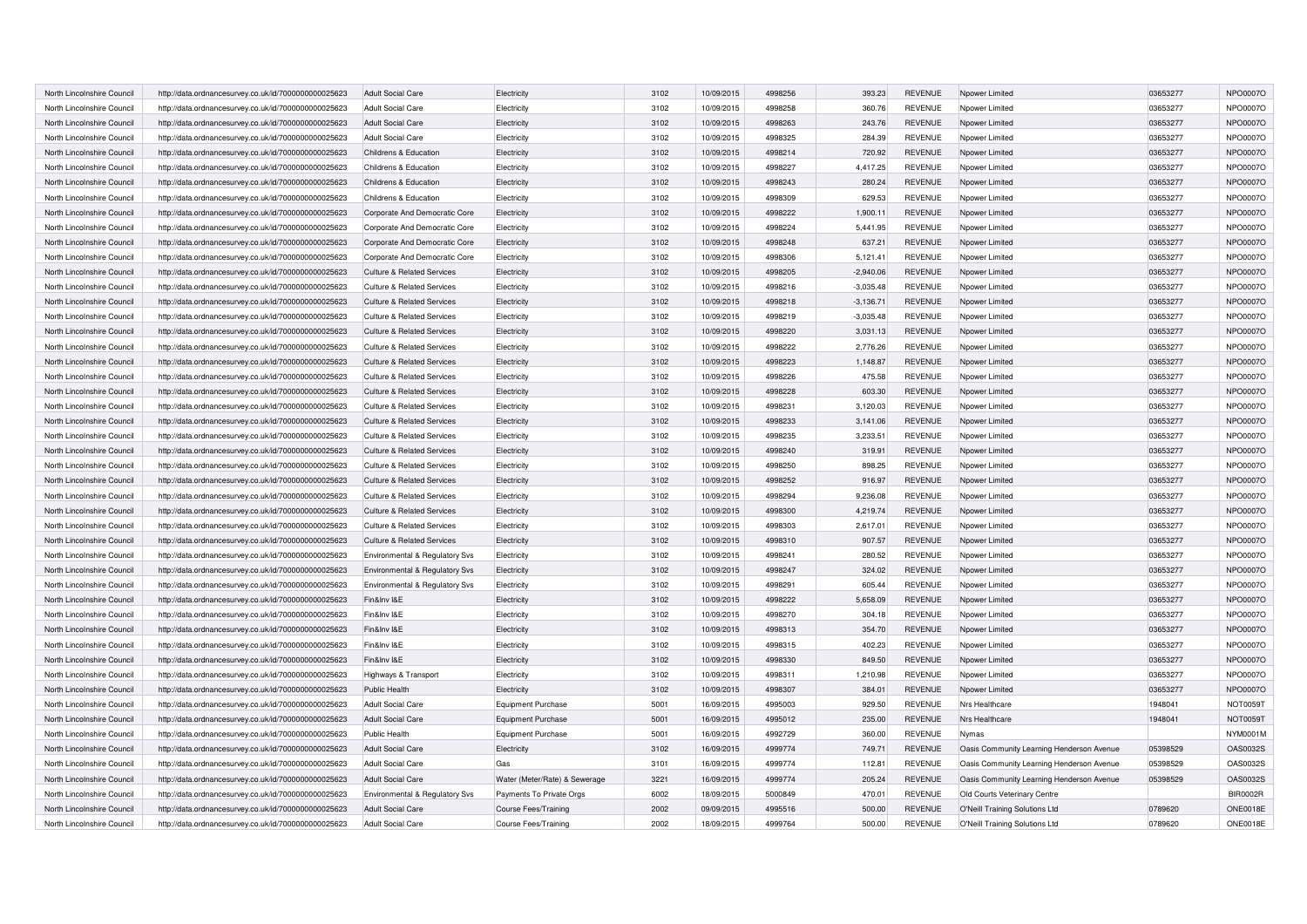| North Lincolnshire Council | http://data.ordnancesurvey.co.uk/id/7000000000025623 | <b>Adult Social Care</b>              | Electricity                   | 3102 | 10/09/2015 | 4998256            | 393.23           | <b>REVENUE</b>                   | Npower Limited                            | 03653277 | NPO0007O             |
|----------------------------|------------------------------------------------------|---------------------------------------|-------------------------------|------|------------|--------------------|------------------|----------------------------------|-------------------------------------------|----------|----------------------|
| North Lincolnshire Council | http://data.ordnancesurvey.co.uk/id/7000000000025623 | <b>Adult Social Care</b>              | Electricity                   | 3102 | 10/09/2015 | 4998258            | 360.76           | <b>REVENUE</b>                   | Npower Limited                            | 03653277 | NPO0007O             |
| North Lincolnshire Council | http://data.ordnancesurvey.co.uk/id/7000000000025623 | <b>Adult Social Care</b>              | Electricity                   | 3102 | 10/09/2015 | 4998263            | 243.76           | <b>REVENUE</b>                   | Npower Limited                            | 03653277 | NPO0007O             |
| North Lincolnshire Council | http://data.ordnancesurvey.co.uk/id/7000000000025623 | Adult Social Care                     | Electricity                   | 3102 | 10/09/2015 | 4998325            | 284.39           | <b>REVENUE</b>                   | Npower Limited                            | 03653277 | NPO0007O             |
| North Lincolnshire Council | http://data.ordnancesurvey.co.uk/id/7000000000025623 | Childrens & Education                 | Electricity                   | 3102 | 10/09/2015 | 4998214            | 720.92           | <b>REVENUE</b>                   | Npower Limited                            | 03653277 | NPO0007O             |
| North Lincolnshire Council | http://data.ordnancesurvey.co.uk/id/7000000000025623 | Childrens & Education                 | Electricity                   | 3102 | 10/09/2015 | 4998227            | 4.417.25         | <b>REVENUE</b>                   | Npower Limited                            | 03653277 | NPO0007O             |
| North Lincolnshire Council | http://data.ordnancesurvey.co.uk/id/7000000000025623 | Childrens & Education                 | Electricity                   | 3102 | 10/09/2015 | 4998243            | 280.24           | <b>REVENUE</b>                   | Npower Limited                            | 03653277 | NPO0007O             |
| North Lincolnshire Council | http://data.ordnancesurvey.co.uk/id/7000000000025623 | Childrens & Education                 | Electricity                   | 3102 | 10/09/2015 | 4998309            | 629.53           | <b>REVENUE</b>                   | Npower Limited                            | 03653277 | NPO0007O             |
| North Lincolnshire Council | http://data.ordnancesurvey.co.uk/id/7000000000025623 | Corporate And Democratic Core         | Electricity                   | 3102 | 10/09/2015 | 4998222            | 1,900.11         | <b>REVENUE</b>                   | Nnower Limited                            | 03653277 | NPO0007O             |
| North Lincolnshire Council | http://data.ordnancesurvey.co.uk/id/7000000000025623 | Corporate And Democratic Core         | Electricity                   | 3102 | 10/09/2015 | 4998224            | 5,441.95         | <b>REVENUE</b>                   | Npower Limited                            | 03653277 | NPO0007O             |
| North Lincolnshire Council | http://data.ordnancesurvey.co.uk/id/7000000000025623 | Corporate And Democratic Core         | Electricity                   | 3102 | 10/09/2015 | 4998248            | 637.21           | <b>REVENUE</b>                   | Npower Limited                            | 03653277 | NPO0007O             |
| North Lincolnshire Council | http://data.ordnancesurvey.co.uk/id/7000000000025623 | Corporate And Democratic Core         | Electricity                   | 3102 | 10/09/2015 | 4998306            | 5,121.41         | <b>REVENUE</b>                   | Npower Limited                            | 03653277 | NPO0007O             |
| North Lincolnshire Council | http://data.ordnancesurvey.co.uk/id/7000000000025623 | <b>Culture &amp; Related Services</b> | Electricity                   | 3102 | 10/09/2015 | 4998205            | $-2,940.06$      | <b>REVENUE</b>                   | Npower Limited                            | 03653277 | NPO0007O             |
| North Lincolnshire Council | http://data.ordnancesurvey.co.uk/id/7000000000025623 | <b>Culture &amp; Related Services</b> | Electricity                   | 3102 | 10/09/2015 | 4998216            | $-3,035.48$      | <b>REVENUE</b>                   | Npower Limited                            | 03653277 | NPO0007O             |
| North Lincolnshire Council | http://data.ordnancesurvey.co.uk/id/7000000000025623 | <b>Culture &amp; Related Services</b> | Electricity                   | 3102 | 10/09/2015 | 4998218            | $-3,136.71$      | <b>REVENUE</b>                   | Nnower Limited                            | 03653277 | NPO0007O             |
| North Lincolnshire Council | http://data.ordnancesurvey.co.uk/id/7000000000025623 | <b>Culture &amp; Related Services</b> | Electricity                   | 3102 | 10/09/2015 | 4998219            | $-3,035.48$      | <b>REVENUE</b>                   | Npower Limited                            | 03653277 | NPO0007O             |
| North Lincolnshire Council | http://data.ordnancesurvey.co.uk/id/7000000000025623 | <b>Culture &amp; Related Services</b> | Electricity                   | 3102 | 10/09/2015 | 4998220            | 3,031.13         | <b>REVENUE</b>                   | Npower Limited                            | 03653277 | NPO0007O             |
| North Lincolnshire Council | http://data.ordnancesurvey.co.uk/id/7000000000025623 | <b>Culture &amp; Related Services</b> | Electricity                   | 3102 | 10/09/2015 | 4998222            | 2,776.26         | <b>REVENUE</b>                   | Npower Limited                            | 03653277 | NPO0007O             |
| North Lincolnshire Council | http://data.ordnancesurvey.co.uk/id/7000000000025623 | <b>Culture &amp; Related Services</b> | Electricity                   | 3102 | 10/09/2015 | 4998223            | 1,148.87         | <b>REVENUE</b>                   | Npower Limited                            | 03653277 | NPO0007O             |
| North Lincolnshire Council | http://data.ordnancesurvey.co.uk/id/7000000000025623 | <b>Culture &amp; Related Services</b> | Electricity                   | 3102 | 10/09/2015 | 4998226            | 475.58           | <b>REVENUE</b>                   | Npower Limited                            | 03653277 | NPO0007O             |
| North Lincolnshire Council | http://data.ordnancesurvey.co.uk/id/7000000000025623 | Culture & Related Services            | Electricity                   | 3102 | 10/09/2015 | 4998228            | 603.30           | <b>REVENUE</b>                   | Npower Limited                            | 03653277 | NPO0007O             |
| North Lincolnshire Council | http://data.ordnancesurvey.co.uk/id/7000000000025623 | <b>Culture &amp; Related Services</b> | Electricity                   | 3102 | 10/09/2015 | 4998231            | 3,120.03         | <b>REVENUE</b>                   | Npower Limited                            | 03653277 | NPO0007O             |
| North Lincolnshire Council | http://data.ordnancesurvey.co.uk/id/7000000000025623 | <b>Culture &amp; Related Services</b> | Electricity                   | 3102 | 10/09/2015 | 4998233            | 3,141.06         | <b>REVENUE</b>                   | Noower Limited                            | 03653277 | NPO0007O             |
| North Lincolnshire Council | http://data.ordnancesurvey.co.uk/id/7000000000025623 | Culture & Related Services            | Electricity                   | 3102 | 10/09/2015 | 4998235            | 3,233.51         | <b>REVENUE</b>                   | Npower Limited                            | 03653277 | NPO0007O             |
| North Lincolnshire Council | http://data.ordnancesurvey.co.uk/id/7000000000025623 | <b>Culture &amp; Related Services</b> | Electricity                   | 3102 | 10/09/2015 | 4998240            | 319.91           | <b>REVENUE</b>                   | Npower Limited                            | 03653277 | NPO0007O             |
| North Lincolnshire Council | http://data.ordnancesurvey.co.uk/id/7000000000025623 | <b>Culture &amp; Related Services</b> | Electricity                   | 3102 | 10/09/2015 | 4998250            | 898.25           | <b>REVENUE</b>                   | Npower Limited                            | 03653277 | NPO0007O             |
| North Lincolnshire Council | http://data.ordnancesurvey.co.uk/id/7000000000025623 | <b>Culture &amp; Related Services</b> | Electricity                   | 3102 | 10/09/2015 | 4998252            | 916.97           | <b>REVENUE</b>                   | Npower Limited                            | 03653277 | NPO0007O             |
| North Lincolnshire Council | http://data.ordnancesurvey.co.uk/id/7000000000025623 | <b>Culture &amp; Related Services</b> | Electricity                   | 3102 | 10/09/2015 | 4998294            | 9,236.08         | <b>REVENUE</b>                   | Npower Limited                            | 03653277 | NPO0007O             |
| North Lincolnshire Council | http://data.ordnancesurvey.co.uk/id/7000000000025623 | <b>Culture &amp; Related Services</b> | Electricity                   | 3102 | 10/09/2015 | 4998300            | 4,219.74         | <b>REVENUE</b>                   | Noower Limited                            | 03653277 | NPO0007O             |
| North Lincolnshire Council | http://data.ordnancesurvey.co.uk/id/7000000000025623 | Culture & Related Services            | Electricity                   | 3102 | 10/09/2015 | 4998303            | 2,617.01         | <b>REVENUE</b>                   |                                           | 03653277 | NPO0007O             |
| North Lincolnshire Council | http://data.ordnancesurvey.co.uk/id/7000000000025623 | <b>Culture &amp; Related Services</b> | Electricity                   | 3102 | 10/09/2015 | 4998310            | 907.57           | <b>REVENUE</b>                   | Npower Limited<br>Npower Limited          | 03653277 | NPO0007O             |
| North Lincolnshire Council |                                                      |                                       |                               | 3102 | 10/09/2015 | 4998241            | 280.52           | <b>REVENUE</b>                   | Noower Limited                            | 03653277 | NPO0007O             |
|                            | http://data.ordnancesurvey.co.uk/id/7000000000025623 | Environmental & Regulatory Svs        | Electricity                   |      |            |                    |                  |                                  |                                           |          |                      |
| North Lincolnshire Council | http://data.ordnancesurvey.co.uk/id/7000000000025623 | Environmental & Regulatory Svs        | Electricity                   | 3102 | 10/09/2015 | 4998247<br>4998291 | 324.02<br>605.44 | <b>REVENUE</b><br><b>REVENUE</b> | Npower Limited                            | 03653277 | NPO0007O<br>NPO0007O |
| North Lincolnshire Council | http://data.ordnancesurvey.co.uk/id/7000000000025623 | Environmental & Regulatory Svs        | Electricity                   | 3102 | 10/09/2015 |                    |                  |                                  | Npower Limited                            | 03653277 |                      |
| North Lincolnshire Council | http://data.ordnancesurvey.co.uk/id/7000000000025623 | Fin&Inv I&E                           | Electricity                   | 3102 | 10/09/2015 | 4998222            | 5,658.09         | <b>REVENUE</b>                   | Noower Limited                            | 03653277 | NPO0007O             |
| North Lincolnshire Council | http://data.ordnancesurvey.co.uk/id/7000000000025623 | Fin&Inv I&E                           | Electricity                   | 3102 | 10/09/2015 | 4998270            | 304.18           | <b>REVENUE</b>                   | Noower Limited                            | 03653277 | NPO0007O             |
| North Lincolnshire Council | http://data.ordnancesurvey.co.uk/id/7000000000025623 | Fin&Inv I&E                           | Electricity                   | 3102 | 10/09/2015 | 4998313            | 354.70           | <b>REVENUE</b>                   | Npower Limited                            | 03653277 | NPO0007O             |
| North Lincolnshire Council | http://data.ordnancesurvey.co.uk/id/7000000000025623 | Fin&Inv I&E                           | Electricity                   | 3102 | 10/09/2015 | 4998315            | 402.23           | <b>REVENUE</b>                   | Noower Limited                            | 03653277 | NPO0007O             |
| North Lincolnshire Council | http://data.ordnancesurvey.co.uk/id/7000000000025623 | Fin&Inv I&E                           | Electricity                   | 3102 | 10/09/2015 | 4998330            | 849.50           | <b>REVENUE</b>                   | Noower Limited                            | 03653277 | NPO0007O             |
| North Lincolnshire Council | http://data.ordnancesurvey.co.uk/id/7000000000025623 | Highways & Transport                  | Electricity                   | 3102 | 10/09/2015 | 4998311            | 1,210.98         | <b>REVENUE</b>                   | Npower Limited                            | 03653277 | NPO0007O             |
| North Lincolnshire Council | http://data.ordnancesurvey.co.uk/id/7000000000025623 | Public Health                         | Electricity                   | 3102 | 10/09/2015 | 4998307            | 384.01           | <b>REVENUE</b>                   | Nnower Limited                            | 03653277 | NPO0007O             |
| North Lincolnshire Council | http://data.ordnancesurvey.co.uk/id/7000000000025623 | <b>Adult Social Care</b>              | <b>Equipment Purchase</b>     | 5001 | 16/09/2015 | 4995003            | 929.50           | <b>REVENUE</b>                   | Nrs Healthcare                            | 1948041  | <b>NOT0059T</b>      |
| North Lincolnshire Council | http://data.ordnancesurvey.co.uk/id/7000000000025623 | <b>Adult Social Care</b>              | <b>Equipment Purchase</b>     | 5001 | 16/09/2015 | 4995012            | 235.00           | <b>REVENUE</b>                   | Nrs Healthcare                            | 1948041  | <b>NOT0059T</b>      |
| North Lincolnshire Council | http://data.ordnancesurvey.co.uk/id/7000000000025623 | Public Health                         | <b>Equipment Purchase</b>     | 5001 | 16/09/2015 | 4992729            | 360.00           | <b>REVENUE</b>                   | Nymas                                     |          | NYM0001M             |
| North Lincolnshire Council | http://data.ordnancesurvey.co.uk/id/7000000000025623 | <b>Adult Social Care</b>              | Electricity                   | 3102 | 16/09/2015 | 4999774            | 749.71           | <b>REVENUE</b>                   | Oasis Community Learning Henderson Avenue | 05398529 | OAS0032S             |
| North Lincolnshire Council | http://data.ordnancesurvey.co.uk/id/7000000000025623 | <b>Adult Social Care</b>              | Gas                           | 3101 | 16/09/2015 | 4999774            | 112.81           | <b>REVENUE</b>                   | Oasis Community Learning Henderson Avenue | 05398529 | OAS0032S             |
| North Lincolnshire Council | http://data.ordnancesurvey.co.uk/id/7000000000025623 | <b>Adult Social Care</b>              | Water (Meter/Rate) & Sewerage | 3221 | 16/09/2015 | 4999774            | 205.24           | <b>REVENUE</b>                   | Oasis Community Learning Henderson Avenue | 05398529 | OAS0032S             |
| North Lincolnshire Council | http://data.ordnancesurvey.co.uk/id/7000000000025623 | Environmental & Regulatory Svs        | Payments To Private Orgs      | 6002 | 18/09/2015 | 5000849            | 470.01           | <b>REVENUE</b>                   | Old Courts Veterinary Centre              |          | <b>BIR0002R</b>      |
| North Lincolnshire Council | http://data.ordnancesurvey.co.uk/id/7000000000025623 | <b>Adult Social Care</b>              | Course Fees/Training          | 2002 | 09/09/2015 | 4995516            | 500.00           | <b>REVENUE</b>                   | O'Neill Training Solutions Ltd            | 0789620  | <b>ONE0018E</b>      |
| North Lincolnshire Council | http://data.ordnancesurvey.co.uk/id/7000000000025623 | <b>Adult Social Care</b>              | Course Fees/Training          | 2002 | 18/09/2015 | 4999764            | 500.00           | <b>REVENUE</b>                   | O'Neill Training Solutions Ltd            | 0789620  | <b>ONE0018E</b>      |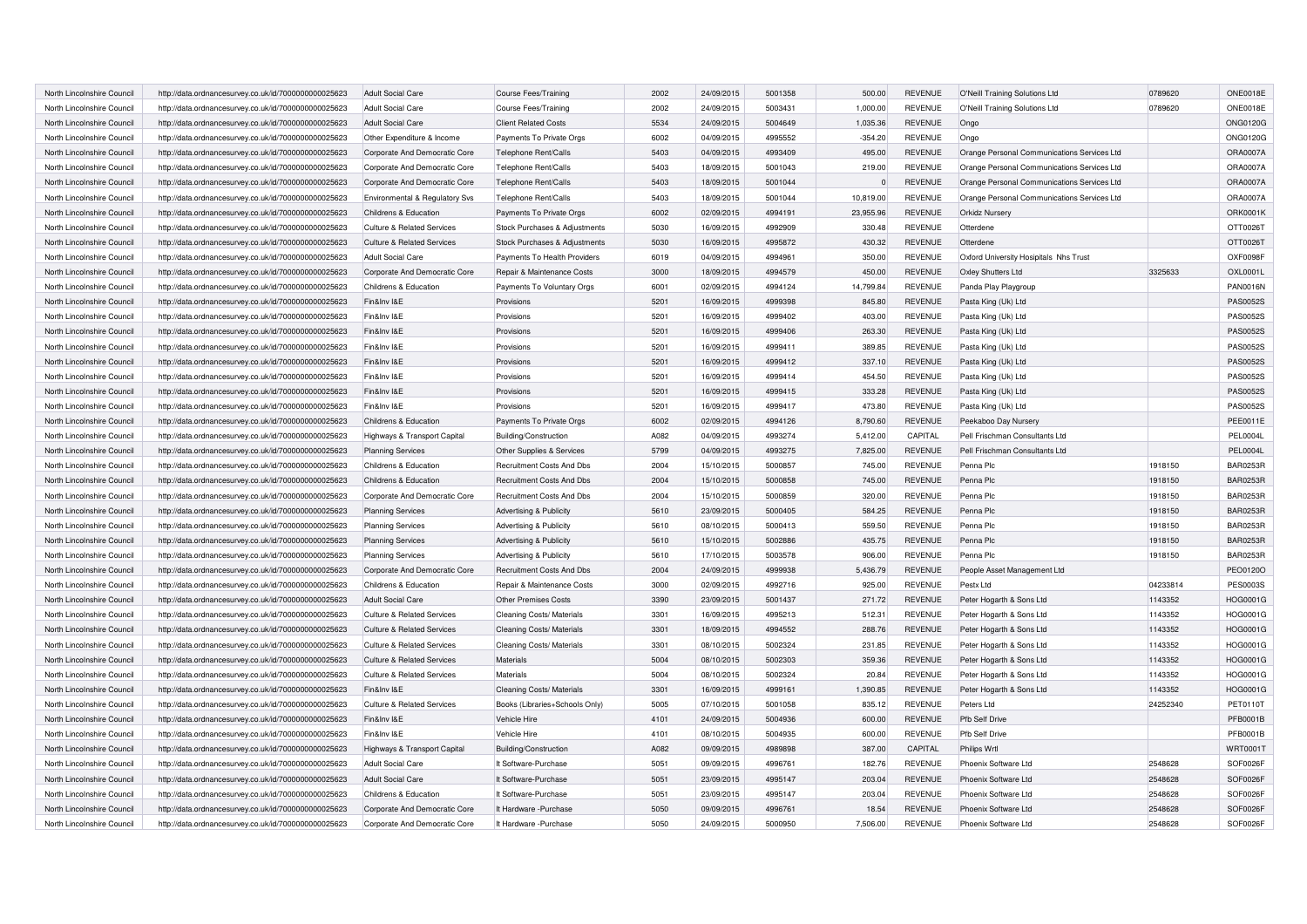| North Lincolnshire Council | http://data.ordnancesurvey.co.uk/id/7000000000025623 | <b>Adult Social Care</b>              | <b>Course Fees/Training</b>    | 2002 | 24/09/2015 | 5001358 | 500.00    | <b>REVENUE</b> | O'Neill Training Solutions Ltd              | 0789620  | <b>ONE0018E</b> |
|----------------------------|------------------------------------------------------|---------------------------------------|--------------------------------|------|------------|---------|-----------|----------------|---------------------------------------------|----------|-----------------|
| North Lincolnshire Council | http://data.ordnancesurvey.co.uk/id/7000000000025623 | Adult Social Care                     | Course Fees/Training           | 2002 | 24/09/2015 | 5003431 | 1,000.00  | <b>REVENUE</b> | O'Neill Training Solutions Ltd              | 0789620  | ONE0018E        |
| North Lincolnshire Council | http://data.ordnancesurvey.co.uk/id/7000000000025623 | <b>Adult Social Care</b>              | <b>Client Related Costs</b>    | 5534 | 24/09/2015 | 5004649 | 1.035.36  | <b>REVENUE</b> | Ongo                                        |          | <b>ONG0120G</b> |
| North Lincolnshire Council | http://data.ordnancesurvey.co.uk/id/7000000000025623 | Other Expenditure & Income            | Payments To Private Orgs       | 6002 | 04/09/2015 | 4995552 | $-354.20$ | <b>REVENUE</b> | Ongo                                        |          | <b>ONG0120G</b> |
| North Lincolnshire Council | http://data.ordnancesurvey.co.uk/id/7000000000025623 | Corporate And Democratic Core         | Telephone Rent/Calls           | 5403 | 04/09/2015 | 4993409 | 495.00    | <b>REVENUE</b> | Orange Personal Communications Services Ltd |          | <b>ORA0007A</b> |
| North Lincolnshire Council | http://data.ordnancesurvey.co.uk/id/7000000000025623 | Corporate And Democratic Core         | Telephone Rent/Calls           | 5403 | 18/09/2015 | 5001043 | 219.00    | <b>REVENUE</b> | Orange Personal Communications Services Ltd |          | ORA0007A        |
| North Lincolnshire Council | http://data.ordnancesurvey.co.uk/id/7000000000025623 | Corporate And Democratic Core         | Telephone Rent/Calls           | 5403 | 18/09/2015 | 5001044 | $\Omega$  | <b>REVENUE</b> | Orange Personal Communications Services Ltd |          | <b>ORA0007A</b> |
| North Lincolnshire Council | http://data.ordnancesurvey.co.uk/id/7000000000025623 | Environmental & Regulatory Svs        | Telephone Rent/Calls           | 5403 | 18/09/2015 | 5001044 | 10,819.00 | <b>REVENUE</b> | Orange Personal Communications Services Ltd |          | ORA0007A        |
| North Lincolnshire Council | http://data.ordnancesurvey.co.uk/id/7000000000025623 | Childrens & Education                 | Payments To Private Orgs       | 6002 | 02/09/2015 | 4994191 | 23,955.96 | <b>REVENUE</b> | Orkidz Nursery                              |          | ORK0001K        |
| North Lincolnshire Council | http://data.ordnancesurvey.co.uk/id/7000000000025623 | <b>Culture &amp; Related Services</b> | Stock Purchases & Adjustments  | 5030 | 16/09/2015 | 4992909 | 330.48    | <b>REVENUE</b> | Otterdene                                   |          | OTT0026T        |
| North Lincolnshire Council | http://data.ordnancesurvey.co.uk/id/7000000000025623 | <b>Culture &amp; Related Services</b> | Stock Purchases & Adjustments  | 5030 | 16/09/2015 | 4995872 | 430.32    | <b>REVENUE</b> | Otterdene                                   |          | OTT0026T        |
| North Lincolnshire Council | http://data.ordnancesurvey.co.uk/id/7000000000025623 | <b>Adult Social Care</b>              | Payments To Health Providers   | 6019 | 04/09/2015 | 4994961 | 350.00    | <b>REVENUE</b> | Oxford University Hosipitals Nhs Trust      |          | OXF0098F        |
| North Lincolnshire Council | http://data.ordnancesurvey.co.uk/id/7000000000025623 | Corporate And Democratic Core         | Repair & Maintenance Costs     | 3000 | 18/09/2015 | 4994579 | 450.00    | <b>REVENUE</b> | Oxley Shutters Ltd                          | 3325633  | <b>OXL0001L</b> |
| North Lincolnshire Council | http://data.ordnancesurvey.co.uk/id/7000000000025623 | Childrens & Education                 | Payments To Voluntary Orgs     | 6001 | 02/09/2015 | 4994124 | 14,799.84 | <b>REVENUE</b> | Panda Play Playgroup                        |          | <b>PAN0016N</b> |
| North Lincolnshire Council | http://data.ordnancesurvey.co.uk/id/7000000000025623 | Fin&Inv I&E                           | Provisions                     | 5201 | 16/09/2015 | 4999398 | 845.80    | <b>REVENUE</b> | Pasta King (Uk) Ltd                         |          | <b>PAS0052S</b> |
| North Lincolnshire Council | http://data.ordnancesurvey.co.uk/id/7000000000025623 | Fin&Inv I&E                           | Provisions                     | 5201 | 16/09/2015 | 4999402 | 403.00    | <b>REVENUE</b> | Pasta King (Uk) Ltd                         |          | <b>PAS0052S</b> |
| North Lincolnshire Council | http://data.ordnancesurvey.co.uk/id/7000000000025623 | Fin&Inv I&E                           | Provisions                     | 5201 | 16/09/2015 | 4999406 | 263.30    | <b>REVENUE</b> | Pasta King (Uk) Ltd                         |          | <b>PAS0052S</b> |
| North Lincolnshire Council | http://data.ordnancesurvey.co.uk/id/7000000000025623 | Fin&Inv I&E                           | Provisions                     | 5201 | 16/09/2015 | 4999411 | 389.85    | <b>REVENUE</b> | Pasta King (Uk) Ltd                         |          | <b>PAS0052S</b> |
| North Lincolnshire Council | http://data.ordnancesurvey.co.uk/id/7000000000025623 | Fin&Inv I&E                           | Provisions                     | 5201 | 16/09/2015 | 4999412 | 337.10    | <b>REVENUE</b> | Pasta King (Uk) Ltd                         |          | <b>PAS0052S</b> |
| North Lincolnshire Council | http://data.ordnancesurvey.co.uk/id/7000000000025623 | Fin&Inv I&E                           | Provisions                     | 5201 | 16/09/2015 | 4999414 | 454.50    | <b>REVENUE</b> | Pasta King (Uk) Ltd                         |          | <b>PAS0052S</b> |
| North Lincolnshire Council | http://data.ordnancesurvey.co.uk/id/7000000000025623 | Fin&Inv I&E                           | Provisions                     | 5201 | 16/09/2015 | 4999415 | 333.28    | <b>REVENUE</b> | Pasta King (Uk) Ltd                         |          | <b>PAS0052S</b> |
| North Lincolnshire Council | http://data.ordnancesurvey.co.uk/id/7000000000025623 | Fin&Inv I&E                           | Provisions                     | 5201 | 16/09/2015 | 4999417 | 473.80    | <b>REVENUE</b> | Pasta King (Uk) Ltd                         |          | <b>PAS0052S</b> |
| North Lincolnshire Council | http://data.ordnancesurvey.co.uk/id/7000000000025623 | Childrens & Education                 | Payments To Private Orgs       | 6002 | 02/09/2015 | 4994126 | 8,790.60  | <b>REVENUE</b> | Peekaboo Day Nursery                        |          | PEE0011E        |
| North Lincolnshire Council | http://data.ordnancesurvey.co.uk/id/7000000000025623 | Highways & Transport Capital          | Building/Construction          | A082 | 04/09/2015 | 4993274 | 5,412.00  | CAPITAL        | Pell Frischman Consultants Ltd              |          | <b>PEL0004L</b> |
| North Lincolnshire Council | http://data.ordnancesurvey.co.uk/id/7000000000025623 | <b>Planning Services</b>              | Other Supplies & Services      | 5799 | 04/09/2015 | 4993275 | 7,825.00  | <b>REVENUE</b> | Pell Frischman Consultants Ltd              |          | <b>PEL0004L</b> |
| North Lincolnshire Council | http://data.ordnancesurvey.co.uk/id/7000000000025623 | Childrens & Education                 | Recruitment Costs And Dbs      | 2004 | 15/10/2015 | 5000857 | 745.00    | <b>REVENUE</b> | Penna Plc                                   | 1918150  | <b>BAR0253R</b> |
| North Lincolnshire Council | http://data.ordnancesurvey.co.uk/id/7000000000025623 | Childrens & Education                 | Recruitment Costs And Dbs      | 2004 | 15/10/2015 | 5000858 | 745.00    | <b>REVENUE</b> | Penna Plc                                   | 1918150  | <b>BAR0253R</b> |
| North Lincolnshire Council | http://data.ordnancesurvey.co.uk/id/7000000000025623 | Corporate And Democratic Core         | Recruitment Costs And Dbs      | 2004 | 15/10/2015 | 5000859 | 320.00    | <b>REVENUE</b> | Penna Plc                                   | 1918150  | <b>BAR0253R</b> |
| North Lincolnshire Council | http://data.ordnancesurvey.co.uk/id/7000000000025623 | <b>Planning Services</b>              | Advertising & Publicity        | 5610 | 23/09/2015 | 5000405 | 584.25    | <b>REVENUE</b> | Penna Plc                                   | 1918150  | <b>BAR0253R</b> |
| North Lincolnshire Council | http://data.ordnancesurvey.co.uk/id/7000000000025623 | <b>Planning Services</b>              | Advertising & Publicity        | 5610 | 08/10/2015 | 5000413 | 559.50    | <b>REVENUE</b> | Penna Plc                                   | 1918150  | <b>BAR0253R</b> |
| North Lincolnshire Council | http://data.ordnancesurvey.co.uk/id/7000000000025623 | <b>Planning Services</b>              | Advertising & Publicity        | 5610 | 15/10/2015 | 5002886 | 435.75    | <b>REVENUE</b> | Penna Plc                                   | 1918150  | <b>BAR0253R</b> |
| North Lincolnshire Council | http://data.ordnancesurvey.co.uk/id/7000000000025623 | <b>Planning Services</b>              | Advertising & Publicity        | 5610 | 17/10/2015 | 5003578 | 906.00    | REVENUE        | Penna Plc                                   | 1918150  | <b>BAR0253R</b> |
| North Lincolnshire Council | http://data.ordnancesurvey.co.uk/id/7000000000025623 | Corporate And Democratic Core         | Recruitment Costs And Dbs      | 2004 | 24/09/2015 | 4999938 | 5,436.79  | <b>REVENUE</b> | People Asset Management Ltd                 |          | PEO0120O        |
| North Lincolnshire Council | http://data.ordnancesurvey.co.uk/id/7000000000025623 | Childrens & Education                 | Repair & Maintenance Costs     | 3000 | 02/09/2015 | 4992716 | 925.00    | <b>REVENUE</b> | Pestx Ltd                                   | 04233814 | <b>PES0003S</b> |
| North Lincolnshire Council | http://data.ordnancesurvey.co.uk/id/7000000000025623 | <b>Adult Social Care</b>              | <b>Other Premises Costs</b>    | 3390 | 23/09/2015 | 5001437 | 271.72    | <b>REVENUE</b> | Peter Hogarth & Sons Ltd                    | 1143352  | HOG0001G        |
| North Lincolnshire Council | http://data.ordnancesurvey.co.uk/id/7000000000025623 | <b>Culture &amp; Related Services</b> | Cleaning Costs/ Materials      | 3301 | 16/09/2015 | 4995213 | 512.31    | <b>REVENUE</b> | Peter Hogarth & Sons Ltd                    | 1143352  | HOG0001G        |
| North Lincolnshire Council | http://data.ordnancesurvey.co.uk/id/7000000000025623 | <b>Culture &amp; Related Services</b> | Cleaning Costs/ Materials      | 3301 | 18/09/2015 | 4994552 | 288.76    | <b>REVENUE</b> | Peter Hogarth & Sons Ltd                    | 1143352  | HOG0001G        |
| North Lincolnshire Council | http://data.ordnancesurvey.co.uk/id/7000000000025623 | <b>Culture &amp; Related Services</b> | Cleaning Costs/ Materials      | 3301 | 08/10/2015 | 5002324 | 231.85    | <b>REVENUE</b> | Peter Hogarth & Sons Ltd                    | 1143352  | HOG0001G        |
| North Lincolnshire Council | http://data.ordnancesurvey.co.uk/id/7000000000025623 | <b>Culture &amp; Related Services</b> | <b>Materials</b>               | 5004 | 08/10/2015 | 5002303 | 359.36    | REVENUE        | Peter Hogarth & Sons Ltd                    | 1143352  | HOG0001G        |
| North Lincolnshire Council | http://data.ordnancesurvey.co.uk/id/7000000000025623 | <b>Culture &amp; Related Services</b> | Materials                      | 5004 | 08/10/2015 | 5002324 | 20.84     | <b>REVENUE</b> | Peter Hogarth & Sons Ltd                    | 1143352  | HOG0001G        |
| North Lincolnshire Council | http://data.ordnancesurvey.co.uk/id/7000000000025623 | Fin&Inv I&E                           | Cleaning Costs/ Materials      | 3301 | 16/09/2015 | 4999161 | 1,390.85  | <b>REVENUE</b> | Peter Hogarth & Sons Ltd                    | 1143352  | HOG0001G        |
| North Lincolnshire Council | http://data.ordnancesurvey.co.uk/id/7000000000025623 | Culture & Related Services            | Books (Libraries+Schools Only) | 5005 | 07/10/2015 | 5001058 | 835.12    | <b>REVENUE</b> | Peters Ltd                                  | 24252340 | PET0110T        |
| North Lincolnshire Council | http://data.ordnancesurvey.co.uk/id/7000000000025623 | Fin&Inv I&E                           | Vehicle Hire                   | 4101 | 24/09/2015 | 5004936 | 600.00    | <b>REVENUE</b> | <b>Pfb Self Drive</b>                       |          | PFB0001B        |
| North Lincolnshire Council | http://data.ordnancesurvey.co.uk/id/7000000000025623 | Fin&Inv I&E                           | Vehicle Hire                   | 4101 | 08/10/2015 | 5004935 | 600.00    | <b>REVENUE</b> | Pfb Self Drive                              |          | PFB0001B        |
| North Lincolnshire Council | http://data.ordnancesurvey.co.uk/id/7000000000025623 | Highways & Transport Capital          | Building/Construction          | A082 | 09/09/2015 | 4989898 | 387.00    | CAPITAL        | Philips Wrtl                                |          | <b>WRT0001T</b> |
| North Lincolnshire Council | http://data.ordnancesurvey.co.uk/id/7000000000025623 | <b>Adult Social Care</b>              | It Software-Purchase           | 5051 | 09/09/2015 | 4996761 | 182.76    | <b>REVENUE</b> | Phoenix Software Ltd                        | 2548628  | SOF0026F        |
| North Lincolnshire Council | http://data.ordnancesurvey.co.uk/id/7000000000025623 | <b>Adult Social Care</b>              | It Software-Purchase           | 5051 | 23/09/2015 | 4995147 | 203.04    | <b>REVENUE</b> | Phoenix Software Ltd                        | 2548628  | SOF0026F        |
| North Lincolnshire Council | http://data.ordnancesurvey.co.uk/id/7000000000025623 | Childrens & Education                 | It Software-Purchase           | 5051 | 23/09/2015 | 4995147 | 203.04    | <b>REVENUE</b> | Phoenix Software Ltd                        | 2548628  | SOF0026F        |
| North Lincolnshire Council | http://data.ordnancesurvey.co.uk/id/7000000000025623 | Corporate And Democratic Core         | It Hardware - Purchase         | 5050 | 09/09/2015 | 4996761 | 18.54     | <b>REVENUE</b> | Phoenix Software Ltd                        | 2548628  | SOF0026F        |
| North Lincolnshire Council | http://data.ordnancesurvey.co.uk/id/7000000000025623 | Corporate And Democratic Core         | It Hardware -Purchase          | 5050 | 24/09/2015 | 5000950 | 7.506.00  | <b>REVENUE</b> | Phoenix Software Ltd                        | 2548628  | SOF0026F        |
|                            |                                                      |                                       |                                |      |            |         |           |                |                                             |          |                 |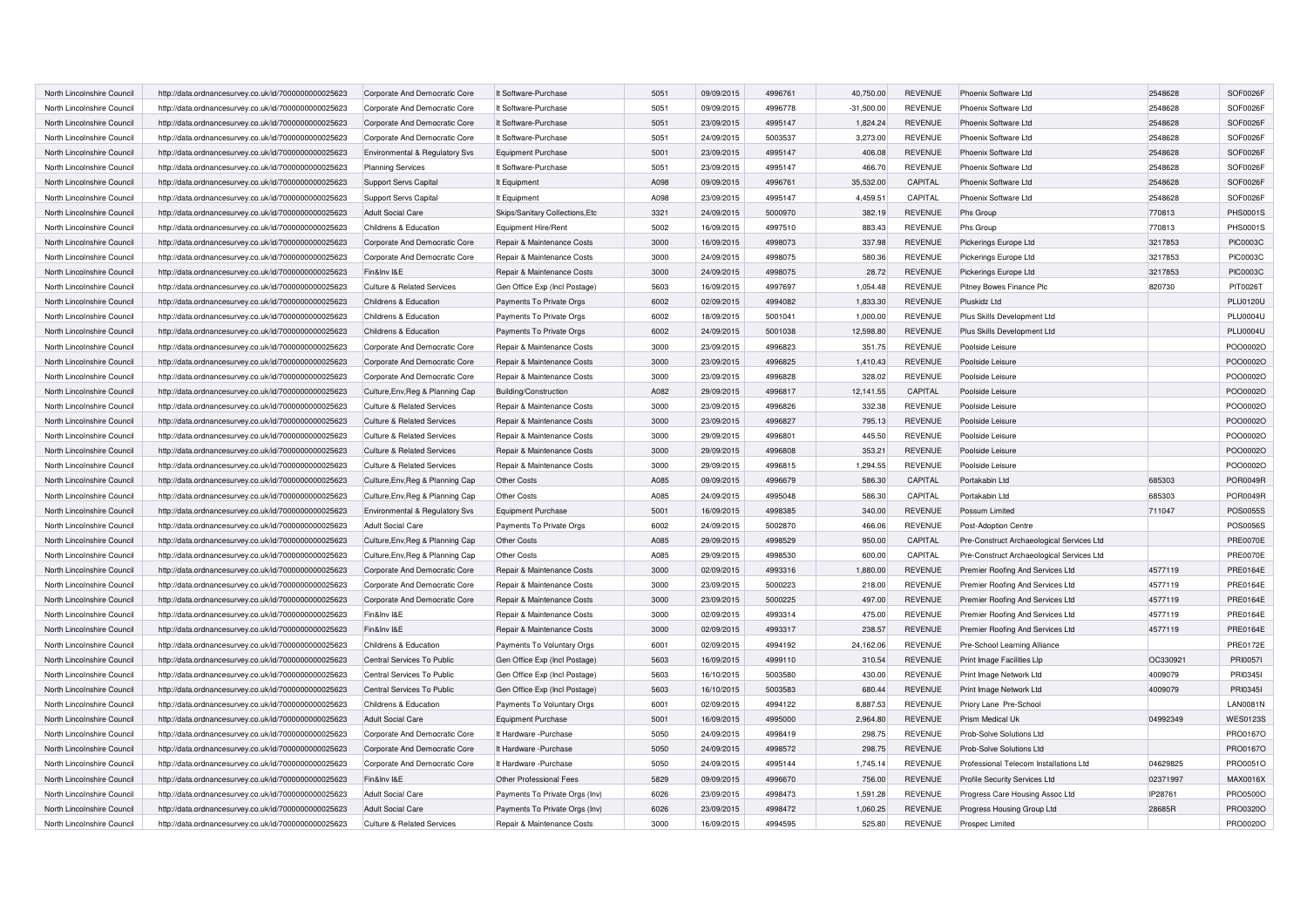| North Lincolnshire Council | http://data.ordnancesurvey.co.uk/id/7000000000025623 | Corporate And Democratic Core         | It Software-Purchase            | 5051 | 09/09/2015 | 4996761 | 40,750.00    | <b>REVENUE</b> | Phoenix Software Ltd                      | 2548628  | SOF0026F        |
|----------------------------|------------------------------------------------------|---------------------------------------|---------------------------------|------|------------|---------|--------------|----------------|-------------------------------------------|----------|-----------------|
| North Lincolnshire Council | http://data.ordnancesurvey.co.uk/id/7000000000025623 | Corporate And Democratic Core         | It Software-Purchase            | 5051 | 09/09/2015 | 4996778 | $-31,500.00$ | <b>REVENUE</b> | Phoenix Software Ltd                      | 2548628  | SOF0026F        |
| North Lincolnshire Council | http://data.ordnancesurvey.co.uk/id/7000000000025623 | Corporate And Democratic Core         | It Software-Purchase            | 5051 | 23/09/2015 | 4995147 | 1.824.24     | <b>REVENUE</b> | Phoenix Software Ltd                      | 2548628  | SOF0026F        |
| North Lincolnshire Council | http://data.ordnancesurvey.co.uk/id/7000000000025623 | Corporate And Democratic Core         | It Software-Purchase            | 5051 | 24/09/2015 | 5003537 | 3,273.00     | <b>REVENUE</b> | Phoenix Software Ltd                      | 2548628  | SOF0026F        |
| North Lincolnshire Council | http://data.ordnancesurvey.co.uk/id/7000000000025623 | Environmental & Regulatory Svs        | Equipment Purchase              | 5001 | 23/09/2015 | 4995147 | 406.08       | <b>REVENUE</b> | Phoenix Software Ltd                      | 2548628  | SOF0026F        |
| North Lincolnshire Council | http://data.ordnancesurvey.co.uk/id/7000000000025623 | <b>Planning Services</b>              | It Software-Purchase            | 5051 | 23/09/2015 | 4995147 | 466.70       | <b>REVENUE</b> | Phoenix Software Ltd                      | 2548628  | SOF0026F        |
| North Lincolnshire Council | http://data.ordnancesurvey.co.uk/id/7000000000025623 | <b>Support Servs Capital</b>          | It Equipment                    | A098 | 09/09/2015 | 4996761 | 35.532.00    | CAPITAL        | Phoenix Software Ltd                      | 2548628  | SOF0026F        |
| North Lincolnshire Council | http://data.ordnancesurvey.co.uk/id/7000000000025623 | Support Servs Capital                 | It Equipment                    | A098 | 23/09/2015 | 4995147 | 4,459.51     | CAPITAL        | Phoenix Software Ltd                      | 2548628  | SOF0026F        |
| North Lincolnshire Council | http://data.ordnancesurvey.co.uk/id/7000000000025623 | <b>Adult Social Care</b>              | Skips/Sanitary Collections, Etc | 3321 | 24/09/2015 | 5000970 | 382.19       | <b>REVENUE</b> | Phs Group                                 | 770813   | <b>PHS0001S</b> |
| North Lincolnshire Council | http://data.ordnancesurvey.co.uk/id/7000000000025623 | Childrens & Education                 | Equipment Hire/Rent             | 5002 | 16/09/2015 | 4997510 | 883.43       | <b>REVENUE</b> | Phs Group                                 | 770813   | <b>PHS0001S</b> |
| North Lincolnshire Council | http://data.ordnancesurvey.co.uk/id/7000000000025623 | Corporate And Democratic Core         | Repair & Maintenance Costs      | 3000 | 16/09/2015 | 4998073 | 337.98       | <b>REVENUE</b> | Pickerings Europe Ltd                     | 3217853  | <b>PIC0003C</b> |
| North Lincolnshire Council | http://data.ordnancesurvey.co.uk/id/7000000000025623 | Corporate And Democratic Core         | Repair & Maintenance Costs      | 3000 | 24/09/2015 | 4998075 | 580.36       | <b>REVENUE</b> | Pickerings Europe Ltd                     | 3217853  | <b>PIC0003C</b> |
| North Lincolnshire Council | http://data.ordnancesurvey.co.uk/id/7000000000025623 | Fin&Inv I&E                           | Repair & Maintenance Costs      | 3000 | 24/09/2015 | 4998075 | 28.72        | <b>REVENUE</b> | Pickerings Europe Ltd                     | 3217853  | <b>PIC0003C</b> |
| North Lincolnshire Council | http://data.ordnancesurvey.co.uk/id/7000000000025623 | <b>Culture &amp; Related Services</b> | Gen Office Exp (Incl Postage)   | 5603 | 16/09/2015 | 4997697 | 1,054.48     | <b>REVENUE</b> | Pitney Bowes Finance Plc                  | 820730   | PIT0026T        |
| North Lincolnshire Council | http://data.ordnancesurvey.co.uk/id/7000000000025623 | Childrens & Education                 | Payments To Private Orgs        | 6002 | 02/09/2015 | 4994082 | 1,833.30     | <b>REVENUE</b> | Pluskidz Ltd                              |          | PLU0120U        |
| North Lincolnshire Council | http://data.ordnancesurvey.co.uk/id/7000000000025623 | Childrens & Education                 | Payments To Private Orgs        | 6002 | 18/09/2015 | 5001041 | 1,000.00     | <b>REVENUE</b> | Plus Skills Development Ltd               |          | <b>PLU0004U</b> |
| North Lincolnshire Council | http://data.ordnancesurvey.co.uk/id/7000000000025623 | Childrens & Education                 | Payments To Private Orgs        | 6002 | 24/09/2015 | 5001038 | 12,598.80    | <b>REVENUE</b> | Plus Skills Development Ltd               |          | <b>PLU0004U</b> |
| North Lincolnshire Council | http://data.ordnancesurvey.co.uk/id/7000000000025623 | Corporate And Democratic Core         | Repair & Maintenance Costs      | 3000 | 23/09/2015 | 4996823 | 351.75       | <b>REVENUE</b> | Poolside Leisure                          |          | POO0002O        |
| North Lincolnshire Council | http://data.ordnancesurvey.co.uk/id/7000000000025623 | Corporate And Democratic Core         | Repair & Maintenance Costs      | 3000 | 23/09/2015 | 4996825 | 1,410.43     | <b>REVENUE</b> | Poolside Leisure                          |          | POO0002O        |
| North Lincolnshire Council | http://data.ordnancesurvey.co.uk/id/7000000000025623 | Corporate And Democratic Core         | Repair & Maintenance Costs      | 3000 | 23/09/2015 | 4996828 | 328.02       | <b>REVENUE</b> | Poolside Leisure                          |          | POO0002O        |
| North Lincolnshire Council | http://data.ordnancesurvey.co.uk/id/7000000000025623 | Culture, Env, Reg & Planning Cap      | Building/Construction           | A082 | 29/09/2015 | 4996817 | 12,141.55    | CAPITAL        | Poolside Leisure                          |          | POO0002O        |
| North Lincolnshire Council | http://data.ordnancesurvey.co.uk/id/7000000000025623 | <b>Culture &amp; Related Services</b> | Repair & Maintenance Costs      | 3000 | 23/09/2015 | 4996826 | 332.38       | <b>REVENUE</b> | Poolside Leisure                          |          | POO0002O        |
| North Lincolnshire Council | http://data.ordnancesurvey.co.uk/id/7000000000025623 | Culture & Related Services            | Repair & Maintenance Costs      | 3000 | 23/09/2015 | 4996827 | 795.13       | <b>REVENUE</b> | Poolside Leisure                          |          | POO0002O        |
| North Lincolnshire Council | http://data.ordnancesurvey.co.uk/id/7000000000025623 | <b>Culture &amp; Related Services</b> | Repair & Maintenance Costs      | 3000 | 29/09/2015 | 499680  | 445.50       | <b>REVENUE</b> | Poolside Leisure                          |          | PO000020        |
| North Lincolnshire Council | http://data.ordnancesurvey.co.uk/id/7000000000025623 | <b>Culture &amp; Related Services</b> | Repair & Maintenance Costs      | 3000 | 29/09/2015 | 4996808 | 353.21       | <b>REVENUE</b> | Poolside Leisure                          |          | POO0002O        |
| North Lincolnshire Council | http://data.ordnancesurvey.co.uk/id/7000000000025623 | <b>Culture &amp; Related Services</b> | Repair & Maintenance Costs      | 3000 | 29/09/2015 | 4996815 | 1,294.55     | <b>REVENUE</b> | Poolside Leisure                          |          | POO0002O        |
| North Lincolnshire Council | http://data.ordnancesurvey.co.uk/id/7000000000025623 | Culture, Env, Reg & Planning Cap      | Other Costs                     | A085 | 09/09/2015 | 4996679 | 586.30       | CAPITAL        | Portakabin Ltd                            | 685303   | POR0049F        |
| North Lincolnshire Council | http://data.ordnancesurvey.co.uk/id/7000000000025623 | Culture, Env, Reg & Planning Cap      | Other Costs                     | A085 | 24/09/2015 | 4995048 | 586.30       | CAPITAL        | Portakabin Ltd                            | 685303   | POR0049R        |
| North Lincolnshire Council | http://data.ordnancesurvey.co.uk/id/7000000000025623 | Environmental & Regulatory Svs        | Equipment Purchase              | 5001 | 16/09/2015 | 4998385 | 340.00       | <b>REVENUE</b> | Possum Limited                            | 711047   | <b>POS0055S</b> |
| North Lincolnshire Council | http://data.ordnancesurvey.co.uk/id/7000000000025623 | <b>Adult Social Care</b>              | Payments To Private Orgs        | 6002 | 24/09/2015 | 5002870 | 466.06       | <b>REVENUE</b> | Post-Adoption Centre                      |          | <b>POS0056S</b> |
| North Lincolnshire Council | http://data.ordnancesurvey.co.uk/id/7000000000025623 | Culture, Env, Reg & Planning Cap      | Other Costs                     | A085 | 29/09/2015 | 4998529 | 950.00       | CAPITAL        | Pre-Construct Archaeological Services Ltd |          | <b>PRE0070E</b> |
| North Lincolnshire Council | http://data.ordnancesurvey.co.uk/id/7000000000025623 | Culture, Env, Reg & Planning Cap      | Other Costs                     | A085 | 29/09/2015 | 4998530 | 600.00       | CAPITAL        | Pre-Construct Archaeological Services Ltd |          | <b>PRE0070E</b> |
| North Lincolnshire Council | http://data.ordnancesurvey.co.uk/id/7000000000025623 | Corporate And Democratic Core         | Repair & Maintenance Costs      | 3000 | 02/09/2015 | 4993316 | 1,880.00     | <b>REVENUE</b> | Premier Roofing And Services Ltd          | 4577119  | <b>PRE0164E</b> |
| North Lincolnshire Council | http://data.ordnancesurvey.co.uk/id/7000000000025623 | Corporate And Democratic Core         | Repair & Maintenance Costs      | 3000 | 23/09/2015 | 5000223 | 218.00       | <b>REVENUE</b> | Premier Roofing And Services Ltd          | 4577119  | <b>PRE0164E</b> |
| North Lincolnshire Council | http://data.ordnancesurvey.co.uk/id/7000000000025623 | Corporate And Democratic Core         | Repair & Maintenance Costs      | 3000 | 23/09/2015 | 5000225 | 497.00       | <b>REVENUE</b> | Premier Roofing And Services Ltd          | 4577119  | <b>PRE0164E</b> |
| North Lincolnshire Council | http://data.ordnancesurvey.co.uk/id/7000000000025623 | Fin&Inv I&E                           | Repair & Maintenance Costs      | 3000 | 02/09/2015 | 4993314 | 475.00       | <b>REVENUE</b> | Premier Roofing And Services Ltd          | 4577119  | <b>PRE0164E</b> |
| North Lincolnshire Council | http://data.ordnancesurvey.co.uk/id/7000000000025623 | Fin&Inv I&E                           | Repair & Maintenance Costs      | 3000 | 02/09/2015 | 4993317 | 238.57       | <b>REVENUE</b> | Premier Roofing And Services Ltd          | 4577119  | <b>PRE0164E</b> |
| North Lincolnshire Council | http://data.ordnancesurvey.co.uk/id/7000000000025623 | Childrens & Education                 | Payments To Voluntary Orgs      | 6001 | 02/09/2015 | 4994192 | 24,162.06    | <b>REVENUE</b> | Pre-School Learning Alliance              |          | <b>PRE0172E</b> |
| North Lincolnshire Council | http://data.ordnancesurvey.co.uk/id/7000000000025623 | Central Services To Public            | Gen Office Exp (Incl Postage)   | 5603 | 16/09/2015 | 4999110 | 310.54       | <b>REVENUE</b> | Print Image Facilities Llp                | OC330921 | PRI00571        |
| North Lincolnshire Council | http://data.ordnancesurvey.co.uk/id/7000000000025623 | Central Services To Public            | Gen Office Exp (Incl Postage)   | 5603 | 16/10/2015 | 5003580 | 430.00       | <b>REVENUE</b> | Print Image Network Ltd                   | 4009079  | PRI03451        |
| North Lincolnshire Council | http://data.ordnancesurvey.co.uk/id/7000000000025623 | Central Services To Public            | Gen Office Exp (Incl Postage)   | 5603 | 16/10/2015 | 5003583 | 680.44       | <b>REVENUE</b> | Print Image Network Ltd                   | 4009079  | PRI03451        |
| North Lincolnshire Council | http://data.ordnancesurvey.co.uk/id/7000000000025623 | Childrens & Education                 | Payments To Voluntary Orgs      | 6001 | 02/09/2015 | 4994122 | 8,887.53     | <b>REVENUE</b> | Priory Lane Pre-School                    |          | <b>LAN0081N</b> |
| North Lincolnshire Council | http://data.ordnancesurvey.co.uk/id/7000000000025623 | <b>Adult Social Care</b>              | <b>Equipment Purchase</b>       | 5001 | 16/09/2015 | 4995000 | 2,964.80     | <b>REVENUE</b> | Prism Medical Uk                          | 04992349 | <b>WES0123S</b> |
| North Lincolnshire Council | http://data.ordnancesurvey.co.uk/id/7000000000025623 | Corporate And Democratic Core         | It Hardware - Purchase          | 5050 | 24/09/2015 | 4998419 | 298.75       | <b>REVENUE</b> | Prob-Solve Solutions Ltd                  |          | PRO0167O        |
| North Lincolnshire Council | http://data.ordnancesurvey.co.uk/id/7000000000025623 | Corporate And Democratic Core         | It Hardware - Purchase          | 5050 | 24/09/2015 | 4998572 | 298.75       | <b>REVENUE</b> | Prob-Solve Solutions Ltd                  |          | PRO0167O        |
| North Lincolnshire Council | http://data.ordnancesurvey.co.uk/id/7000000000025623 | Corporate And Democratic Core         | It Hardware -Purchase           | 5050 | 24/09/2015 | 4995144 | 1.745.14     | <b>REVENUE</b> | Professional Telecom Installations Ltd    | 04629825 | PRO0051O        |
| North Lincolnshire Council | http://data.ordnancesurvey.co.uk/id/7000000000025623 | Fin&Inv I&E                           | Other Professional Fees         | 5829 | 09/09/2015 | 4996670 | 756.00       | <b>REVENUE</b> | Profile Security Services Ltd             | 02371997 | MAX0016X        |
| North Lincolnshire Council | http://data.ordnancesurvey.co.uk/id/7000000000025623 | <b>Adult Social Care</b>              | Payments To Private Orgs (Inv)  | 6026 | 23/09/2015 | 4998473 | 1,591.28     | <b>REVENUE</b> | Progress Care Housing Assoc Ltd           | IP28761  | PRO0500O        |
| North Lincolnshire Council | http://data.ordnancesurvey.co.uk/id/7000000000025623 | <b>Adult Social Care</b>              | Payments To Private Orgs (Inv)  | 6026 | 23/09/2015 | 4998472 | 1.060.25     | <b>REVENUE</b> | Progress Housing Group Ltd                | 28685R   | PRO0320O        |
| North Lincolnshire Council | http://data.ordnancesurvey.co.uk/id/7000000000025623 | <b>Culture &amp; Related Services</b> | Repair & Maintenance Costs      | 3000 | 16/09/2015 | 4994595 | 525.80       | <b>REVENUE</b> | Prospec Limited                           |          | PRO0020O        |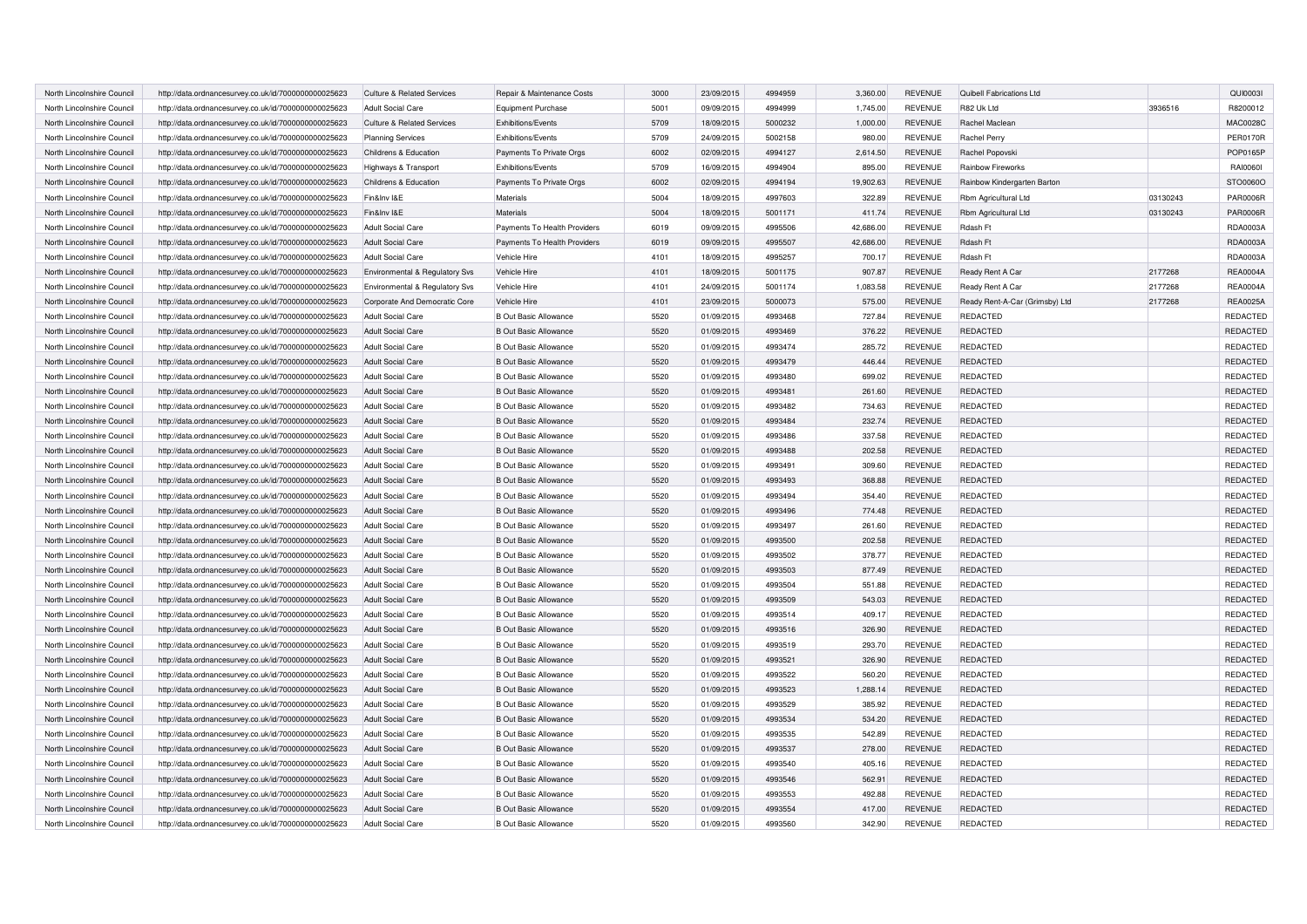| North Lincolnshire Council | http://data.ordnancesurvey.co.uk/id/7000000000025623 | <b>Culture &amp; Related Services</b> | Repair & Maintenance Costs   | 3000 | 23/09/2015 | 4994959 | 3,360.00  | <b>REVENUE</b> | Quibell Fabrications Ltd       |          | QUI00031        |
|----------------------------|------------------------------------------------------|---------------------------------------|------------------------------|------|------------|---------|-----------|----------------|--------------------------------|----------|-----------------|
| North Lincolnshire Council | http://data.ordnancesurvey.co.uk/id/7000000000025623 | <b>Adult Social Care</b>              | <b>Equipment Purchase</b>    | 5001 | 09/09/2015 | 4994999 | 1,745.00  | REVENUE        | R82 Uk Ltd                     | 3936516  | R8200012        |
| North Lincolnshire Council | http://data.ordnancesurvey.co.uk/id/7000000000025623 | <b>Culture &amp; Related Services</b> | Exhibitions/Events           | 5709 | 18/09/2015 | 5000232 | 1,000.00  | <b>REVENUE</b> | Rachel Maclean                 |          | <b>MAC0028C</b> |
| North Lincolnshire Council | http://data.ordnancesurvey.co.uk/id/7000000000025623 | <b>Planning Services</b>              | Exhibitions/Events           | 5709 | 24/09/2015 | 5002158 | 980.00    | <b>REVENUE</b> | Rachel Perry                   |          | <b>PER0170R</b> |
| North Lincolnshire Council | http://data.ordnancesurvey.co.uk/id/7000000000025623 | Childrens & Education                 | Payments To Private Orgs     | 6002 | 02/09/2015 | 4994127 | 2,614.50  | <b>REVENUE</b> | Rachel Popovski                |          | POP0165P        |
| North Lincolnshire Council | http://data.ordnancesurvey.co.uk/id/7000000000025623 | Highways & Transport                  | Exhibitions/Events           | 5709 | 16/09/2015 | 4994904 | 895.00    | <b>REVENUE</b> | Rainbow Fireworks              |          | RAI00601        |
| North Lincolnshire Council | http://data.ordnancesurvey.co.uk/id/7000000000025623 | Childrens & Education                 | Payments To Private Orgs     | 6002 | 02/09/2015 | 4994194 | 19,902.63 | <b>REVENUE</b> | Rainbow Kindergarten Barton    |          | STO0060O        |
| North Lincolnshire Council | http://data.ordnancesurvey.co.uk/id/7000000000025623 | Fin&Inv I&E                           | Materials                    | 5004 | 18/09/2015 | 4997603 | 322.89    | <b>REVENUE</b> | Rbm Agricultural Ltd           | 03130243 | <b>PAR0006R</b> |
| North Lincolnshire Council | http://data.ordnancesurvey.co.uk/id/7000000000025623 | Fin&Inv I&E                           | Materials                    | 5004 | 18/09/2015 | 5001171 | 411.74    | <b>REVENUE</b> | Rbm Agricultural Ltd           | 03130243 | <b>PAR0006R</b> |
| North Lincolnshire Council | http://data.ordnancesurvey.co.uk/id/7000000000025623 | <b>Adult Social Care</b>              | Payments To Health Providers | 6019 | 09/09/2015 | 4995506 | 42,686.00 | REVENUE        | Rdash Ft                       |          | RDA0003A        |
| North Lincolnshire Council | http://data.ordnancesurvey.co.uk/id/7000000000025623 | <b>Adult Social Care</b>              | Payments To Health Providers | 6019 | 09/09/2015 | 4995507 | 42,686.00 | <b>REVENUE</b> | Rdash Ft                       |          | RDA0003A        |
| North Lincolnshire Council | http://data.ordnancesurvey.co.uk/id/7000000000025623 | <b>Adult Social Care</b>              | Vehicle Hire                 | 4101 | 18/09/2015 | 4995257 | 700.17    | <b>REVENUE</b> | Rdash Ft                       |          | RDA0003A        |
| North Lincolnshire Council | http://data.ordnancesurvey.co.uk/id/7000000000025623 | Environmental & Regulatory Svs        | Vehicle Hire                 | 4101 | 18/09/2015 | 5001175 | 907.87    | <b>REVENUE</b> | Ready Rent A Car               | 2177268  | <b>REA0004A</b> |
| North Lincolnshire Council | http://data.ordnancesurvey.co.uk/id/7000000000025623 | Environmental & Regulatory Svs        | Vehicle Hire                 | 4101 | 24/09/2015 | 5001174 | 1,083.58  | <b>REVENUE</b> | Ready Rent A Car               | 2177268  | <b>REA0004A</b> |
| North Lincolnshire Council | http://data.ordnancesurvey.co.uk/id/7000000000025623 | Corporate And Democratic Core         | Vehicle Hire                 | 4101 | 23/09/2015 | 5000073 | 575.00    | <b>REVENUE</b> | Ready Rent-A-Car (Grimsby) Ltd | 2177268  | <b>REA0025A</b> |
| North Lincolnshire Council | http://data.ordnancesurvey.co.uk/id/7000000000025623 | <b>Adult Social Care</b>              | <b>B Out Basic Allowance</b> | 5520 | 01/09/2015 | 4993468 | 727.84    | <b>REVENUE</b> | REDACTED                       |          | REDACTED        |
| North Lincolnshire Council | http://data.ordnancesurvey.co.uk/id/7000000000025623 | <b>Adult Social Care</b>              | <b>B Out Basic Allowance</b> | 5520 | 01/09/2015 | 4993469 | 376.22    | <b>REVENUE</b> | <b>REDACTED</b>                |          | REDACTED        |
| North Lincolnshire Council | http://data.ordnancesurvey.co.uk/id/7000000000025623 | <b>Adult Social Care</b>              | <b>B Out Basic Allowance</b> | 5520 | 01/09/2015 | 4993474 | 285.72    | <b>REVENUE</b> | REDACTED                       |          | REDACTED        |
| North Lincolnshire Council | http://data.ordnancesurvey.co.uk/id/7000000000025623 | <b>Adult Social Care</b>              | <b>B Out Basic Allowance</b> | 5520 | 01/09/2015 | 4993479 | 446.44    | <b>REVENUE</b> | REDACTED                       |          | REDACTED        |
| North Lincolnshire Council | http://data.ordnancesurvey.co.uk/id/7000000000025623 | <b>Adult Social Care</b>              | <b>B Out Basic Allowance</b> | 5520 | 01/09/2015 | 4993480 | 699.02    | <b>REVENUE</b> | <b>REDACTED</b>                |          | REDACTED        |
| North Lincolnshire Council | http://data.ordnancesurvey.co.uk/id/7000000000025623 | <b>Adult Social Care</b>              | <b>B Out Basic Allowance</b> | 5520 | 01/09/2015 | 4993481 | 261.60    | <b>REVENUE</b> | <b>REDACTED</b>                |          | REDACTED        |
| North Lincolnshire Council | http://data.ordnancesurvey.co.uk/id/7000000000025623 | <b>Adult Social Care</b>              | <b>B Out Basic Allowance</b> | 5520 | 01/09/2015 | 4993482 | 734.63    | <b>REVENUE</b> | REDACTED                       |          | REDACTED        |
| North Lincolnshire Council | http://data.ordnancesurvey.co.uk/id/7000000000025623 | Adult Social Care                     | <b>B Out Basic Allowance</b> | 5520 | 01/09/2015 | 4993484 | 232.74    | <b>REVENUE</b> | REDACTED                       |          | REDACTED        |
| North Lincolnshire Council | http://data.ordnancesurvey.co.uk/id/7000000000025623 | <b>Adult Social Care</b>              | <b>B Out Basic Allowance</b> | 5520 | 01/09/2015 | 4993486 | 337.58    | <b>REVENUE</b> | <b>REDACTED</b>                |          | REDACTED        |
| North Lincolnshire Council | http://data.ordnancesurvey.co.uk/id/7000000000025623 | <b>Adult Social Care</b>              | <b>B Out Basic Allowance</b> | 5520 | 01/09/2015 | 4993488 | 202.58    | <b>REVENUE</b> | REDACTED                       |          | REDACTED        |
| North Lincolnshire Council | http://data.ordnancesurvey.co.uk/id/7000000000025623 | <b>Adult Social Care</b>              | <b>B Out Basic Allowance</b> | 5520 | 01/09/2015 | 4993491 | 309.60    | <b>REVENUE</b> | REDACTED                       |          | REDACTED        |
| North Lincolnshire Council | http://data.ordnancesurvey.co.uk/id/7000000000025623 | <b>Adult Social Care</b>              | <b>B Out Basic Allowance</b> | 5520 | 01/09/2015 | 4993493 | 368.88    | <b>REVENUE</b> | REDACTED                       |          | REDACTED        |
| North Lincolnshire Council | http://data.ordnancesurvey.co.uk/id/7000000000025623 | <b>Adult Social Care</b>              | <b>B Out Basic Allowance</b> | 5520 | 01/09/2015 | 4993494 | 354.40    | <b>REVENUE</b> | REDACTED                       |          | REDACTED        |
| North Lincolnshire Council | http://data.ordnancesurvey.co.uk/id/7000000000025623 | <b>Adult Social Care</b>              | <b>B Out Basic Allowance</b> | 5520 | 01/09/2015 | 4993496 | 774.48    | <b>REVENUE</b> | <b>REDACTED</b>                |          | REDACTED        |
| North Lincolnshire Council | http://data.ordnancesurvey.co.uk/id/7000000000025623 | <b>Adult Social Care</b>              | <b>B Out Basic Allowance</b> | 5520 | 01/09/2015 | 4993497 | 261.60    | <b>REVENUE</b> | REDACTED                       |          | REDACTED        |
| North Lincolnshire Council | http://data.ordnancesurvey.co.uk/id/7000000000025623 | <b>Adult Social Care</b>              | <b>B Out Basic Allowance</b> | 5520 | 01/09/2015 | 4993500 | 202.58    | <b>REVENUE</b> | <b>REDACTED</b>                |          | <b>REDACTED</b> |
| North Lincolnshire Council | http://data.ordnancesurvey.co.uk/id/7000000000025623 | <b>Adult Social Care</b>              | <b>B Out Basic Allowance</b> | 5520 | 01/09/2015 | 4993502 | 378.77    | <b>REVENUE</b> | <b>REDACTED</b>                |          | REDACTED        |
| North Lincolnshire Council | http://data.ordnancesurvey.co.uk/id/7000000000025623 | <b>Adult Social Care</b>              | <b>B Out Basic Allowance</b> | 5520 | 01/09/2015 | 4993503 | 877.49    | <b>REVENUE</b> | <b>REDACTED</b>                |          | REDACTED        |
| North Lincolnshire Council | http://data.ordnancesurvey.co.uk/id/7000000000025623 | <b>Adult Social Care</b>              | <b>B Out Basic Allowance</b> | 5520 | 01/09/2015 | 4993504 | 551.88    | <b>REVENUE</b> | <b>REDACTED</b>                |          | REDACTED        |
| North Lincolnshire Council | http://data.ordnancesurvey.co.uk/id/7000000000025623 | <b>Adult Social Care</b>              | <b>B Out Basic Allowance</b> | 5520 | 01/09/2015 | 4993509 | 543.03    | <b>REVENUE</b> | <b>REDACTED</b>                |          | <b>REDACTED</b> |
| North Lincolnshire Council | http://data.ordnancesurvey.co.uk/id/7000000000025623 | <b>Adult Social Care</b>              | <b>B Out Basic Allowance</b> | 5520 | 01/09/2015 | 4993514 | 409.17    | REVENUE        | REDACTED                       |          | REDACTED        |
| North Lincolnshire Council | http://data.ordnancesurvey.co.uk/id/7000000000025623 | <b>Adult Social Care</b>              | <b>B Out Basic Allowance</b> | 5520 | 01/09/2015 | 4993516 | 326.90    | <b>REVENUE</b> | <b>REDACTED</b>                |          | REDACTED        |
| North Lincolnshire Council | http://data.ordnancesurvey.co.uk/id/7000000000025623 | <b>Adult Social Care</b>              | <b>B Out Basic Allowance</b> | 5520 | 01/09/2015 | 4993519 | 293.70    | <b>REVENUE</b> | <b>REDACTED</b>                |          | REDACTED        |
| North Lincolnshire Council | http://data.ordnancesurvey.co.uk/id/7000000000025623 | <b>Adult Social Care</b>              | <b>B Out Basic Allowance</b> | 5520 | 01/09/2015 | 4993521 | 326.90    | <b>REVENUE</b> | <b>REDACTED</b>                |          | REDACTED        |
| North Lincolnshire Council | http://data.ordnancesurvey.co.uk/id/7000000000025623 | <b>Adult Social Care</b>              | <b>B Out Basic Allowance</b> | 5520 | 01/09/2015 | 4993522 | 560.20    | REVENUE        | REDACTED                       |          | REDACTED        |
| North Lincolnshire Council | http://data.ordnancesurvey.co.uk/id/7000000000025623 | <b>Adult Social Care</b>              | <b>B Out Basic Allowance</b> | 5520 | 01/09/2015 | 4993523 | 1,288.14  | <b>REVENUE</b> | <b>REDACTED</b>                |          | REDACTED        |
| North Lincolnshire Council | http://data.ordnancesurvey.co.uk/id/7000000000025623 | <b>Adult Social Care</b>              | <b>B Out Basic Allowance</b> | 5520 | 01/09/2015 | 4993529 | 385.92    | <b>REVENUE</b> | REDACTED                       |          | REDACTED        |
| North Lincolnshire Council | http://data.ordnancesurvey.co.uk/id/7000000000025623 | <b>Adult Social Care</b>              | <b>B Out Basic Allowance</b> | 5520 | 01/09/2015 | 4993534 | 534.20    | <b>REVENUE</b> | REDACTED                       |          | REDACTED        |
| North Lincolnshire Council | http://data.ordnancesurvey.co.uk/id/7000000000025623 | <b>Adult Social Care</b>              | <b>B Out Basic Allowance</b> | 5520 | 01/09/2015 | 4993535 | 542.89    | REVENUE        | <b>REDACTED</b>                |          | REDACTED        |
| North Lincolnshire Council | http://data.ordnancesurvey.co.uk/id/7000000000025623 | <b>Adult Social Care</b>              | <b>B Out Basic Allowance</b> | 5520 | 01/09/2015 | 4993537 | 278.00    | <b>REVENUE</b> | <b>REDACTED</b>                |          | <b>REDACTED</b> |
| North Lincolnshire Council | http://data.ordnancesurvey.co.uk/id/7000000000025623 | <b>Adult Social Care</b>              | <b>B Out Basic Allowance</b> | 5520 | 01/09/2015 | 4993540 | 405.16    | <b>REVENUE</b> | <b>REDACTED</b>                |          | REDACTED        |
| North Lincolnshire Council | http://data.ordnancesurvey.co.uk/id/7000000000025623 | <b>Adult Social Care</b>              | <b>B Out Basic Allowance</b> | 5520 | 01/09/2015 | 4993546 | 562.91    | <b>REVENUE</b> | <b>REDACTED</b>                |          | REDACTED        |
| North Lincolnshire Council | http://data.ordnancesurvey.co.uk/id/7000000000025623 | <b>Adult Social Care</b>              | <b>B Out Basic Allowance</b> | 5520 | 01/09/2015 | 4993553 | 492.88    | REVENUE        | <b>REDACTED</b>                |          | <b>REDACTED</b> |
| North Lincolnshire Council | http://data.ordnancesurvey.co.uk/id/7000000000025623 | <b>Adult Social Care</b>              | <b>B Out Basic Allowance</b> | 5520 | 01/09/2015 | 4993554 | 417.00    | <b>REVENUE</b> | <b>REDACTED</b>                |          | REDACTED        |
| North Lincolnshire Council | http://data.ordnancesurvey.co.uk/id/7000000000025623 | <b>Adult Social Care</b>              | <b>B Out Basic Allowance</b> | 5520 | 01/09/2015 | 4993560 | 342.90    | <b>REVENUE</b> | <b>REDACTED</b>                |          | REDACTED        |
|                            |                                                      |                                       |                              |      |            |         |           |                |                                |          |                 |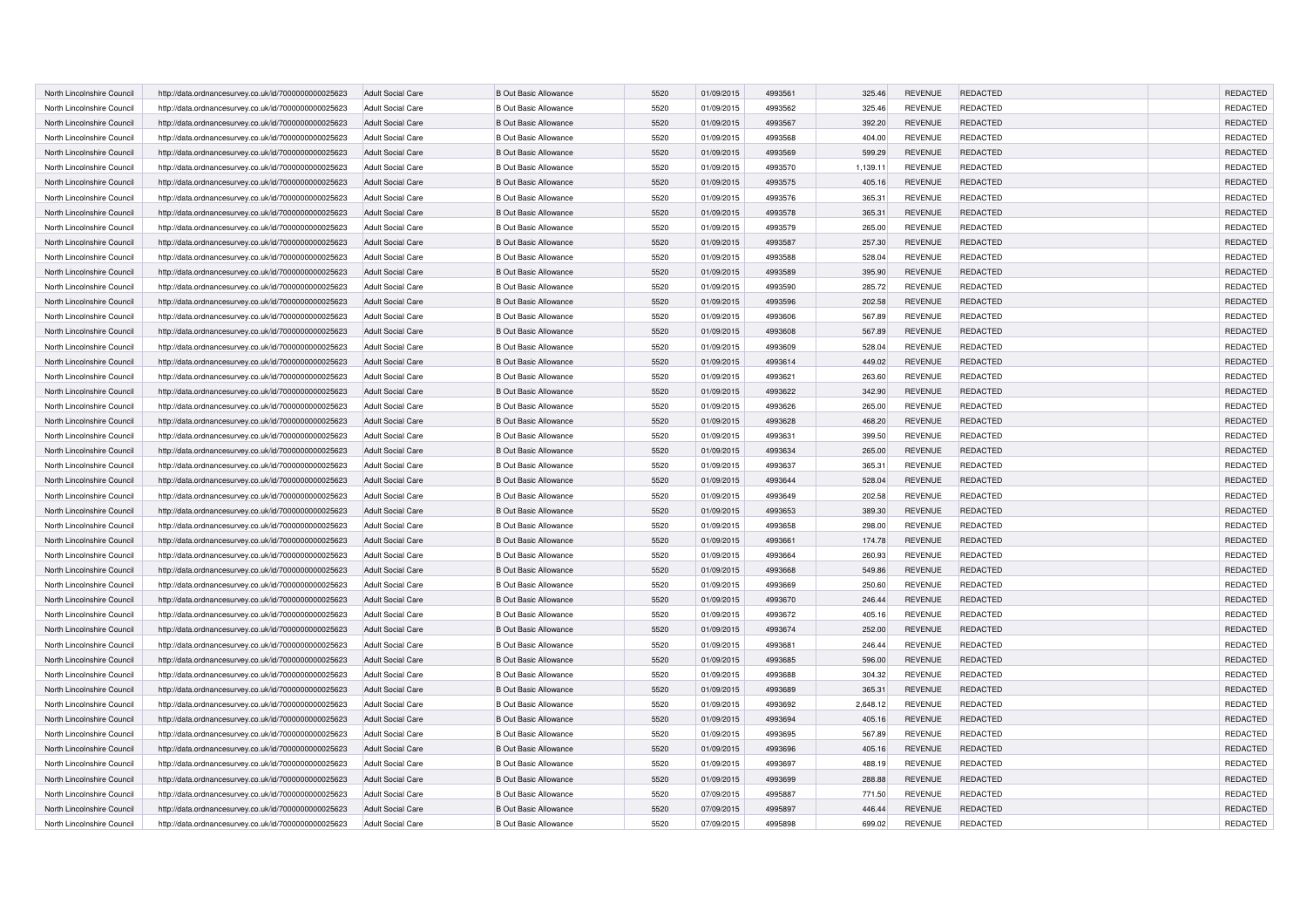| North Lincolnshire Council | http://data.ordnancesurvey.co.uk/id/7000000000025623 | <b>Adult Social Care</b> | <b>B Out Basic Allowance</b> | 5520 | 01/09/2015 | 4993561 | 325.46   | <b>REVENUE</b> | REDACTED        | REDACTED        |
|----------------------------|------------------------------------------------------|--------------------------|------------------------------|------|------------|---------|----------|----------------|-----------------|-----------------|
| North Lincolnshire Council | http://data.ordnancesurvey.co.uk/id/7000000000025623 | <b>Adult Social Care</b> | <b>B Out Basic Allowance</b> | 5520 | 01/09/2015 | 4993562 | 325.46   | <b>REVENUE</b> | <b>REDACTED</b> | REDACTED        |
| North Lincolnshire Council | http://data.ordnancesurvey.co.uk/id/7000000000025623 | <b>Adult Social Care</b> | <b>B Out Basic Allowance</b> | 5520 | 01/09/2015 | 4993567 | 392.20   | <b>REVENUE</b> | <b>REDACTED</b> | REDACTED        |
| North Lincolnshire Council | http://data.ordnancesurvey.co.uk/id/7000000000025623 | <b>Adult Social Care</b> | <b>B Out Basic Allowance</b> | 5520 | 01/09/2015 | 4993568 | 404.00   | <b>REVENUE</b> | <b>REDACTED</b> | REDACTED        |
| North Lincolnshire Council | http://data.ordnancesurvey.co.uk/id/7000000000025623 | <b>Adult Social Care</b> | <b>B Out Basic Allowance</b> | 5520 | 01/09/2015 | 4993569 | 599.29   | <b>REVENUE</b> | REDACTED        | REDACTED        |
| North Lincolnshire Council | http://data.ordnancesurvey.co.uk/id/7000000000025623 | <b>Adult Social Care</b> | <b>B Out Basic Allowance</b> | 5520 | 01/09/2015 | 4993570 | 1,139.11 | <b>REVENUE</b> | <b>REDACTED</b> | REDACTED        |
| North Lincolnshire Council | http://data.ordnancesurvey.co.uk/id/7000000000025623 | <b>Adult Social Care</b> | <b>B Out Basic Allowance</b> | 5520 | 01/09/2015 | 4993575 | 405.16   | <b>REVENUE</b> | <b>REDACTED</b> | <b>REDACTED</b> |
| North Lincolnshire Council | http://data.ordnancesurvey.co.uk/id/7000000000025623 | <b>Adult Social Care</b> | <b>B Out Basic Allowance</b> | 5520 | 01/09/2015 | 4993576 | 365.31   | <b>REVENUE</b> | <b>REDACTED</b> | REDACTED        |
| North Lincolnshire Council | http://data.ordnancesurvey.co.uk/id/7000000000025623 | <b>Adult Social Care</b> | <b>B Out Basic Allowance</b> | 5520 | 01/09/2015 | 4993578 | 365.31   | <b>REVENUE</b> | <b>REDACTED</b> | REDACTED        |
| North Lincolnshire Council | http://data.ordnancesurvey.co.uk/id/7000000000025623 | <b>Adult Social Care</b> | <b>B Out Basic Allowance</b> | 5520 | 01/09/2015 | 4993579 | 265.00   | <b>REVENUE</b> | <b>REDACTED</b> | REDACTED        |
| North Lincolnshire Council | http://data.ordnancesurvey.co.uk/id/7000000000025623 | <b>Adult Social Care</b> | <b>B Out Basic Allowance</b> | 5520 | 01/09/2015 | 4993587 | 257.30   | <b>REVENUE</b> | REDACTED        | REDACTED        |
| North Lincolnshire Council | http://data.ordnancesurvey.co.uk/id/7000000000025623 | <b>Adult Social Care</b> | <b>B Out Basic Allowance</b> | 5520 | 01/09/2015 | 4993588 | 528.04   | <b>REVENUE</b> | <b>REDACTED</b> | REDACTED        |
| North Lincolnshire Council | http://data.ordnancesurvey.co.uk/id/7000000000025623 | Adult Social Care        | <b>B Out Basic Allowance</b> | 5520 | 01/09/2015 | 4993589 | 395.90   | <b>REVENUE</b> | <b>REDACTED</b> | REDACTED        |
| North Lincolnshire Council | http://data.ordnancesurvey.co.uk/id/7000000000025623 | <b>Adult Social Care</b> | <b>B Out Basic Allowance</b> | 5520 | 01/09/2015 | 4993590 | 285.72   | <b>REVENUE</b> | <b>REDACTED</b> | REDACTED        |
| North Lincolnshire Council | http://data.ordnancesurvey.co.uk/id/7000000000025623 | <b>Adult Social Care</b> | <b>B Out Basic Allowance</b> | 5520 | 01/09/2015 | 4993596 | 202.58   | <b>REVENUE</b> | REDACTED        | REDACTED        |
| North Lincolnshire Council | http://data.ordnancesurvey.co.uk/id/7000000000025623 | <b>Adult Social Care</b> | <b>B Out Basic Allowance</b> | 5520 | 01/09/2015 | 4993606 | 567.89   | <b>REVENUE</b> | REDACTED        | REDACTED        |
| North Lincolnshire Council | http://data.ordnancesurvey.co.uk/id/7000000000025623 | Adult Social Care        | <b>B Out Basic Allowance</b> | 5520 | 01/09/2015 | 4993608 | 567.89   | <b>REVENUE</b> | <b>REDACTED</b> | REDACTED        |
| North Lincolnshire Council | http://data.ordnancesurvey.co.uk/id/7000000000025623 | <b>Adult Social Care</b> | <b>B Out Basic Allowance</b> | 5520 | 01/09/2015 | 4993609 | 528.04   | <b>REVENUE</b> | REDACTED        | REDACTED        |
| North Lincolnshire Council | http://data.ordnancesurvey.co.uk/id/7000000000025623 | Adult Social Care        | <b>B Out Basic Allowance</b> | 5520 | 01/09/2015 | 4993614 | 449.02   | <b>REVENUE</b> | REDACTED        | REDACTED        |
| North Lincolnshire Council | http://data.ordnancesurvey.co.uk/id/7000000000025623 | <b>Adult Social Care</b> | <b>B Out Basic Allowance</b> | 5520 | 01/09/2015 | 4993621 | 263.60   | <b>REVENUE</b> | REDACTED        | REDACTED        |
| North Lincolnshire Council | http://data.ordnancesurvey.co.uk/id/7000000000025623 | <b>Adult Social Care</b> | <b>B Out Basic Allowance</b> | 5520 | 01/09/2015 | 4993622 | 342.90   | <b>REVENUE</b> | REDACTED        | REDACTED        |
| North Lincolnshire Council | http://data.ordnancesurvey.co.uk/id/7000000000025623 | <b>Adult Social Care</b> | <b>B Out Basic Allowance</b> | 5520 | 01/09/2015 | 4993626 | 265.00   | <b>REVENUE</b> | REDACTED        | REDACTED        |
| North Lincolnshire Council | http://data.ordnancesurvey.co.uk/id/7000000000025623 | Adult Social Care        | <b>B Out Basic Allowance</b> | 5520 | 01/09/2015 | 4993628 | 468.20   | <b>REVENUE</b> | REDACTED        | REDACTED        |
| North Lincolnshire Council | http://data.ordnancesurvey.co.uk/id/7000000000025623 | <b>Adult Social Care</b> | <b>B Out Basic Allowance</b> | 5520 | 01/09/2015 | 4993631 | 399.50   | <b>REVENUE</b> | REDACTED        | REDACTED        |
| North Lincolnshire Council | http://data.ordnancesurvey.co.uk/id/7000000000025623 | <b>Adult Social Care</b> | <b>B Out Basic Allowance</b> | 5520 | 01/09/2015 | 4993634 | 265.00   | <b>REVENUE</b> | REDACTED        | REDACTED        |
| North Lincolnshire Council | http://data.ordnancesurvey.co.uk/id/7000000000025623 | <b>Adult Social Care</b> | <b>B Out Basic Allowance</b> | 5520 | 01/09/2015 | 4993637 | 365.31   | <b>REVENUE</b> | REDACTED        | REDACTED        |
| North Lincolnshire Council | http://data.ordnancesurvey.co.uk/id/7000000000025623 | <b>Adult Social Care</b> | <b>B Out Basic Allowance</b> | 5520 | 01/09/2015 | 4993644 | 528.04   | <b>REVENUE</b> | REDACTED        | REDACTED        |
| North Lincolnshire Council | http://data.ordnancesurvey.co.uk/id/7000000000025623 | Adult Social Care        | <b>B Out Basic Allowance</b> | 5520 | 01/09/2015 | 4993649 | 202.58   | <b>REVENUE</b> | REDACTED        | REDACTED        |
| North Lincolnshire Council | http://data.ordnancesurvey.co.uk/id/7000000000025623 | <b>Adult Social Care</b> | <b>B Out Basic Allowance</b> | 5520 | 01/09/2015 | 4993653 | 389.30   | <b>REVENUE</b> | REDACTED        | REDACTED        |
| North Lincolnshire Council | http://data.ordnancesurvey.co.uk/id/7000000000025623 | <b>Adult Social Care</b> | <b>B Out Basic Allowance</b> | 5520 | 01/09/2015 | 4993658 | 298.00   | <b>REVENUE</b> | REDACTED        | REDACTED        |
| North Lincolnshire Council | http://data.ordnancesurvey.co.uk/id/7000000000025623 | <b>Adult Social Care</b> | <b>B Out Basic Allowance</b> | 5520 | 01/09/2015 | 4993661 | 174.78   | <b>REVENUE</b> | <b>REDACTED</b> | REDACTED        |
| North Lincolnshire Council | http://data.ordnancesurvey.co.uk/id/7000000000025623 | <b>Adult Social Care</b> | <b>B Out Basic Allowance</b> | 5520 | 01/09/2015 | 4993664 | 260.93   | <b>REVENUE</b> | REDACTED        | REDACTED        |
| North Lincolnshire Council | http://data.ordnancesurvey.co.uk/id/7000000000025623 | <b>Adult Social Care</b> | <b>B Out Basic Allowance</b> | 5520 | 01/09/2015 | 4993668 | 549.86   | <b>REVENUE</b> | <b>REDACTED</b> | REDACTED        |
| North Lincolnshire Council | http://data.ordnancesurvey.co.uk/id/7000000000025623 | <b>Adult Social Care</b> | <b>B Out Basic Allowance</b> | 5520 | 01/09/2015 | 4993669 | 250.60   | <b>REVENUE</b> | <b>REDACTED</b> | REDACTED        |
| North Lincolnshire Council | http://data.ordnancesurvey.co.uk/id/7000000000025623 | <b>Adult Social Care</b> | <b>B Out Basic Allowance</b> | 5520 | 01/09/2015 | 4993670 | 246.44   | <b>REVENUE</b> | <b>REDACTED</b> | REDACTED        |
| North Lincolnshire Council | http://data.ordnancesurvey.co.uk/id/7000000000025623 | <b>Adult Social Care</b> | <b>B Out Basic Allowance</b> | 5520 | 01/09/2015 | 4993672 | 405.16   | <b>REVENUE</b> | <b>REDACTED</b> | REDACTED        |
| North Lincolnshire Council | http://data.ordnancesurvey.co.uk/id/7000000000025623 | <b>Adult Social Care</b> | <b>B Out Basic Allowance</b> | 5520 | 01/09/2015 | 4993674 | 252.00   | <b>REVENUE</b> | <b>REDACTED</b> | REDACTED        |
| North Lincolnshire Council | http://data.ordnancesurvey.co.uk/id/7000000000025623 | <b>Adult Social Care</b> | <b>B Out Basic Allowance</b> | 5520 | 01/09/2015 | 4993681 | 246.44   | <b>REVENUE</b> | <b>REDACTED</b> | REDACTED        |
| North Lincolnshire Council | http://data.ordnancesurvey.co.uk/id/7000000000025623 | <b>Adult Social Care</b> | <b>B Out Basic Allowance</b> | 5520 | 01/09/2015 | 4993685 | 596.00   | <b>REVENUE</b> | <b>REDACTED</b> | REDACTED        |
| North Lincolnshire Council | http://data.ordnancesurvey.co.uk/id/7000000000025623 | <b>Adult Social Care</b> | <b>B Out Basic Allowance</b> | 5520 | 01/09/2015 | 4993688 | 304.32   | <b>REVENUE</b> | <b>REDACTED</b> | REDACTED        |
| North Lincolnshire Council | http://data.ordnancesurvey.co.uk/id/7000000000025623 | <b>Adult Social Care</b> | <b>B Out Basic Allowance</b> | 5520 | 01/09/2015 | 4993689 | 365.31   | <b>REVENUE</b> | <b>REDACTED</b> | REDACTED        |
| North Lincolnshire Council | http://data.ordnancesurvey.co.uk/id/7000000000025623 | <b>Adult Social Care</b> | <b>B Out Basic Allowance</b> | 5520 | 01/09/2015 | 4993692 | 2,648.12 | <b>REVENUE</b> | REDACTED        | REDACTED        |
| North Lincolnshire Council | http://data.ordnancesurvey.co.uk/id/7000000000025623 | <b>Adult Social Care</b> | <b>B Out Basic Allowance</b> | 5520 | 01/09/2015 | 4993694 | 405.16   | <b>REVENUE</b> | <b>REDACTED</b> | REDACTED        |
| North Lincolnshire Council | http://data.ordnancesurvey.co.uk/id/7000000000025623 | <b>Adult Social Care</b> | <b>B Out Basic Allowance</b> | 5520 | 01/09/2015 | 4993695 | 567.89   | <b>REVENUE</b> | <b>REDACTED</b> | REDACTED        |
| North Lincolnshire Council | http://data.ordnancesurvey.co.uk/id/7000000000025623 | <b>Adult Social Care</b> | <b>B Out Basic Allowance</b> | 5520 | 01/09/2015 | 4993696 | 405.16   | <b>REVENUE</b> | <b>REDACTED</b> | <b>REDACTED</b> |
| North Lincolnshire Council | http://data.ordnancesurvey.co.uk/id/7000000000025623 | <b>Adult Social Care</b> | <b>B Out Basic Allowance</b> | 5520 | 01/09/2015 | 4993697 | 488.19   | <b>REVENUE</b> | <b>REDACTED</b> | REDACTED        |
| North Lincolnshire Council | http://data.ordnancesurvey.co.uk/id/7000000000025623 | <b>Adult Social Care</b> | <b>B Out Basic Allowance</b> | 5520 | 01/09/2015 | 4993699 | 288.88   | <b>REVENUE</b> | <b>REDACTED</b> | REDACTED        |
| North Lincolnshire Council | http://data.ordnancesurvey.co.uk/id/7000000000025623 | <b>Adult Social Care</b> | <b>B Out Basic Allowance</b> | 5520 | 07/09/2015 | 4995887 | 771.50   | <b>REVENUE</b> | <b>REDACTED</b> | REDACTED        |
| North Lincolnshire Council | http://data.ordnancesurvey.co.uk/id/7000000000025623 | <b>Adult Social Care</b> | <b>B Out Basic Allowance</b> | 5520 | 07/09/2015 | 4995897 | 446.44   | <b>REVENUE</b> | <b>REDACTED</b> | REDACTED        |
| North Lincolnshire Council | http://data.ordnancesurvey.co.uk/id/7000000000025623 | <b>Adult Social Care</b> | <b>B Out Basic Allowance</b> | 5520 | 07/09/2015 | 4995898 | 699.02   | <b>REVENUE</b> | REDACTED        | REDACTED        |
|                            |                                                      |                          |                              |      |            |         |          |                |                 |                 |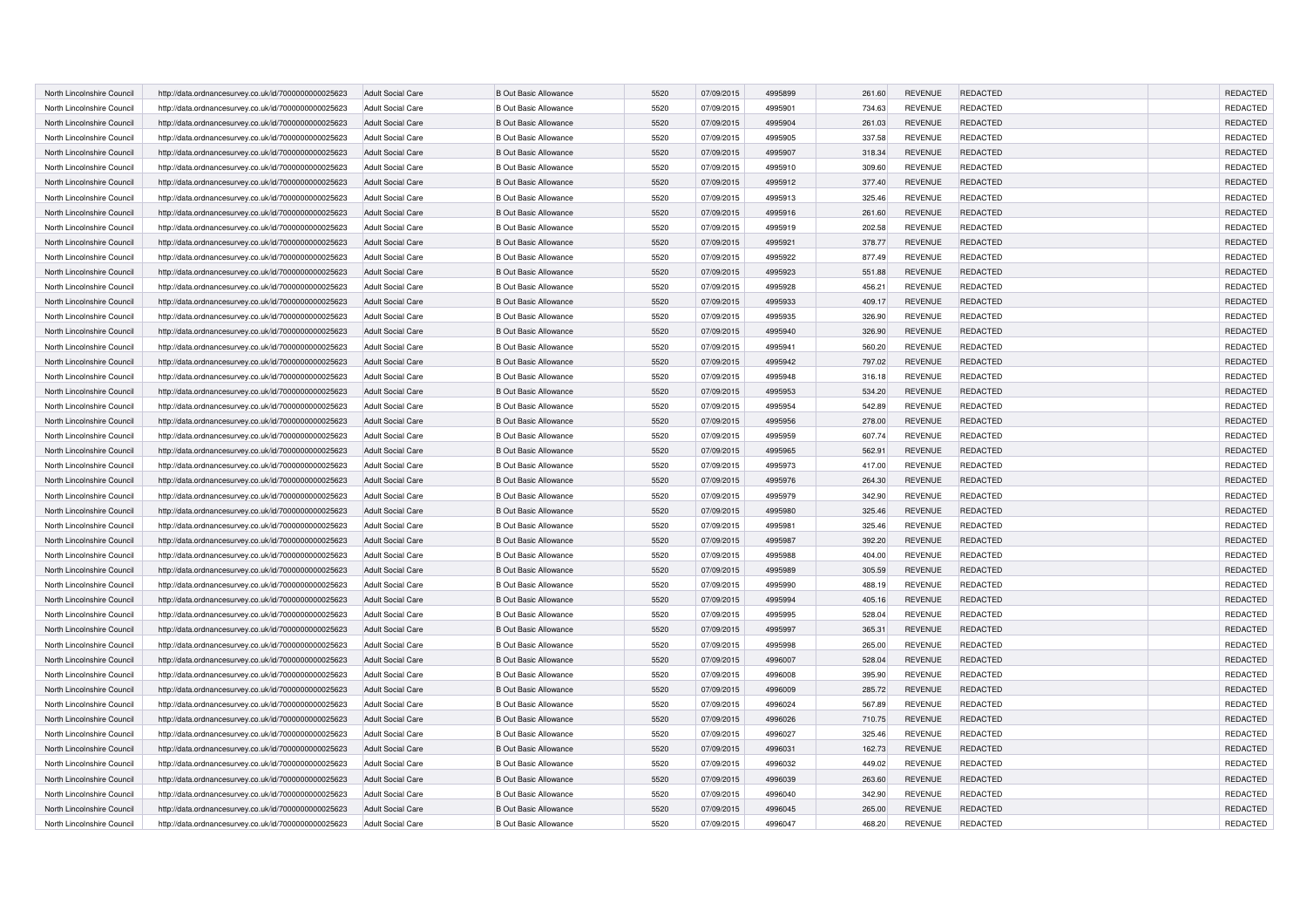| North Lincolnshire Council | http://data.ordnancesurvey.co.uk/id/7000000000025623 | <b>Adult Social Care</b> | <b>B Out Basic Allowance</b> | 5520 | 07/09/2015 | 4995899 | 261.60 | <b>REVENUE</b> | <b>REDACTED</b> | REDACTED        |
|----------------------------|------------------------------------------------------|--------------------------|------------------------------|------|------------|---------|--------|----------------|-----------------|-----------------|
| North Lincolnshire Council | http://data.ordnancesurvey.co.uk/id/7000000000025623 | <b>Adult Social Care</b> | <b>B Out Basic Allowance</b> | 5520 | 07/09/2015 | 4995901 | 734.63 | <b>REVENUE</b> | <b>REDACTED</b> | REDACTED        |
| North Lincolnshire Council | http://data.ordnancesurvey.co.uk/id/7000000000025623 | <b>Adult Social Care</b> | <b>B Out Basic Allowance</b> | 5520 | 07/09/2015 | 4995904 | 261.03 | <b>REVENUE</b> | <b>REDACTED</b> | REDACTED        |
| North Lincolnshire Council | http://data.ordnancesurvey.co.uk/id/7000000000025623 | <b>Adult Social Care</b> | <b>B Out Basic Allowance</b> | 5520 | 07/09/2015 | 4995905 | 337.58 | <b>REVENUE</b> | <b>REDACTED</b> | REDACTED        |
| North Lincolnshire Council | http://data.ordnancesurvey.co.uk/id/7000000000025623 | <b>Adult Social Care</b> | <b>B Out Basic Allowance</b> | 5520 | 07/09/2015 | 4995907 | 318.34 | <b>REVENUE</b> | <b>REDACTED</b> | REDACTED        |
| North Lincolnshire Council | http://data.ordnancesurvey.co.uk/id/7000000000025623 | <b>Adult Social Care</b> | <b>B Out Basic Allowance</b> | 5520 | 07/09/2015 | 4995910 | 309.60 | <b>REVENUE</b> | <b>REDACTED</b> | REDACTED        |
| North Lincolnshire Council | http://data.ordnancesurvey.co.uk/id/7000000000025623 | <b>Adult Social Care</b> | <b>B Out Basic Allowance</b> | 5520 | 07/09/2015 | 4995912 | 377.40 | <b>REVENUE</b> | <b>REDACTED</b> | <b>REDACTED</b> |
| North Lincolnshire Council | http://data.ordnancesurvey.co.uk/id/7000000000025623 | <b>Adult Social Care</b> | <b>B Out Basic Allowance</b> | 5520 | 07/09/2015 | 4995913 | 325.46 | <b>REVENUE</b> | <b>REDACTED</b> | REDACTED        |
| North Lincolnshire Council | http://data.ordnancesurvey.co.uk/id/7000000000025623 | <b>Adult Social Care</b> | <b>B Out Basic Allowance</b> | 5520 | 07/09/2015 | 4995916 | 261.60 | <b>REVENUE</b> | <b>REDACTED</b> | REDACTED        |
| North Lincolnshire Council | http://data.ordnancesurvey.co.uk/id/7000000000025623 | <b>Adult Social Care</b> | <b>B Out Basic Allowance</b> | 5520 | 07/09/2015 | 4995919 | 202.58 | <b>REVENUE</b> | <b>REDACTED</b> | REDACTED        |
| North Lincolnshire Council | http://data.ordnancesurvey.co.uk/id/7000000000025623 | <b>Adult Social Care</b> | <b>B Out Basic Allowance</b> | 5520 | 07/09/2015 | 4995921 | 378.77 | <b>REVENUE</b> | <b>REDACTED</b> | REDACTED        |
| North Lincolnshire Council | http://data.ordnancesurvey.co.uk/id/7000000000025623 | <b>Adult Social Care</b> | <b>B Out Basic Allowance</b> | 5520 | 07/09/2015 | 4995922 | 877.49 | <b>REVENUE</b> | <b>REDACTED</b> | REDACTED        |
| North Lincolnshire Council | http://data.ordnancesurvey.co.uk/id/7000000000025623 | Adult Social Care        | <b>B Out Basic Allowance</b> | 5520 | 07/09/2015 | 4995923 | 551.88 | <b>REVENUE</b> | <b>REDACTED</b> | REDACTED        |
| North Lincolnshire Council | http://data.ordnancesurvey.co.uk/id/7000000000025623 | <b>Adult Social Care</b> | <b>B Out Basic Allowance</b> | 5520 | 07/09/2015 | 4995928 | 456.21 | <b>REVENUE</b> | <b>REDACTED</b> | REDACTED        |
| North Lincolnshire Council | http://data.ordnancesurvey.co.uk/id/7000000000025623 | <b>Adult Social Care</b> | <b>B Out Basic Allowance</b> | 5520 | 07/09/2015 | 4995933 | 409.17 | <b>REVENUE</b> | <b>REDACTED</b> | REDACTED        |
| North Lincolnshire Council | http://data.ordnancesurvey.co.uk/id/7000000000025623 | <b>Adult Social Care</b> | <b>B Out Basic Allowance</b> | 5520 | 07/09/2015 | 4995935 | 326.90 | <b>REVENUE</b> | REDACTED        | REDACTED        |
| North Lincolnshire Council | http://data.ordnancesurvey.co.uk/id/7000000000025623 | Adult Social Care        | <b>B Out Basic Allowance</b> | 5520 | 07/09/2015 | 4995940 | 326.90 | <b>REVENUE</b> | <b>REDACTED</b> | REDACTED        |
| North Lincolnshire Council | http://data.ordnancesurvey.co.uk/id/7000000000025623 | <b>Adult Social Care</b> | <b>B Out Basic Allowance</b> | 5520 | 07/09/2015 | 4995941 | 560.20 | <b>REVENUE</b> | REDACTED        | REDACTED        |
| North Lincolnshire Council | http://data.ordnancesurvey.co.uk/id/7000000000025623 | Adult Social Care        | <b>B Out Basic Allowance</b> | 5520 | 07/09/2015 | 4995942 | 797.02 | <b>REVENUE</b> | <b>REDACTED</b> | REDACTED        |
| North Lincolnshire Council | http://data.ordnancesurvey.co.uk/id/7000000000025623 | <b>Adult Social Care</b> | <b>B Out Basic Allowance</b> | 5520 | 07/09/2015 | 4995948 | 316.18 | <b>REVENUE</b> | REDACTED        | REDACTED        |
| North Lincolnshire Council | http://data.ordnancesurvey.co.uk/id/7000000000025623 | <b>Adult Social Care</b> | <b>B Out Basic Allowance</b> | 5520 | 07/09/2015 | 4995953 | 534.20 | <b>REVENUE</b> | REDACTED        | REDACTED        |
| North Lincolnshire Council | http://data.ordnancesurvey.co.uk/id/7000000000025623 | <b>Adult Social Care</b> | <b>B Out Basic Allowance</b> | 5520 | 07/09/2015 | 4995954 | 542.89 | <b>REVENUE</b> | REDACTED        | REDACTED        |
| North Lincolnshire Council | http://data.ordnancesurvey.co.uk/id/7000000000025623 | Adult Social Care        | <b>B Out Basic Allowance</b> | 5520 | 07/09/2015 | 4995956 | 278.00 | <b>REVENUE</b> | <b>REDACTED</b> | REDACTED        |
| North Lincolnshire Council | http://data.ordnancesurvey.co.uk/id/7000000000025623 | <b>Adult Social Care</b> | <b>B Out Basic Allowance</b> | 5520 | 07/09/2015 | 4995959 | 607.74 | <b>REVENUE</b> | REDACTED        | REDACTED        |
| North Lincolnshire Council | http://data.ordnancesurvey.co.uk/id/7000000000025623 | <b>Adult Social Care</b> | <b>B Out Basic Allowance</b> | 5520 | 07/09/2015 | 4995965 | 562.91 | <b>REVENUE</b> | REDACTED        | REDACTED        |
| North Lincolnshire Council | http://data.ordnancesurvey.co.uk/id/7000000000025623 | <b>Adult Social Care</b> | <b>B Out Basic Allowance</b> | 5520 | 07/09/2015 | 4995973 | 417.00 | <b>REVENUE</b> | REDACTED        | REDACTED        |
| North Lincolnshire Council | http://data.ordnancesurvey.co.uk/id/7000000000025623 | <b>Adult Social Care</b> | <b>B Out Basic Allowance</b> | 5520 | 07/09/2015 | 4995976 | 264.30 | <b>REVENUE</b> | <b>REDACTED</b> | REDACTED        |
| North Lincolnshire Council | http://data.ordnancesurvey.co.uk/id/7000000000025623 | Adult Social Care        | <b>B Out Basic Allowance</b> | 5520 | 07/09/2015 | 4995979 | 342.90 | <b>REVENUE</b> | REDACTED        | REDACTED        |
| North Lincolnshire Council | http://data.ordnancesurvey.co.uk/id/7000000000025623 | <b>Adult Social Care</b> | <b>B Out Basic Allowance</b> | 5520 | 07/09/2015 | 4995980 | 325.46 | <b>REVENUE</b> | <b>REDACTED</b> | REDACTED        |
| North Lincolnshire Council | http://data.ordnancesurvey.co.uk/id/7000000000025623 | <b>Adult Social Care</b> | <b>B Out Basic Allowance</b> | 5520 | 07/09/2015 | 4995981 | 325.46 | <b>REVENUE</b> | REDACTED        | REDACTED        |
| North Lincolnshire Council | http://data.ordnancesurvey.co.uk/id/7000000000025623 | <b>Adult Social Care</b> | <b>B Out Basic Allowance</b> | 5520 | 07/09/2015 | 4995987 | 392.20 | <b>REVENUE</b> | <b>REDACTED</b> | REDACTED        |
| North Lincolnshire Council | http://data.ordnancesurvey.co.uk/id/7000000000025623 | <b>Adult Social Care</b> | <b>B Out Basic Allowance</b> | 5520 | 07/09/2015 | 4995988 | 404.00 | <b>REVENUE</b> | REDACTED        | REDACTED        |
| North Lincolnshire Council | http://data.ordnancesurvey.co.uk/id/7000000000025623 | <b>Adult Social Care</b> | <b>B Out Basic Allowance</b> | 5520 | 07/09/2015 | 4995989 | 305.59 | <b>REVENUE</b> | <b>REDACTED</b> | REDACTED        |
| North Lincolnshire Council | http://data.ordnancesurvey.co.uk/id/7000000000025623 | <b>Adult Social Care</b> | <b>B Out Basic Allowance</b> | 5520 | 07/09/2015 | 4995990 | 488.19 | <b>REVENUE</b> | <b>REDACTED</b> | REDACTED        |
| North Lincolnshire Council | http://data.ordnancesurvey.co.uk/id/7000000000025623 | <b>Adult Social Care</b> | <b>B Out Basic Allowance</b> | 5520 | 07/09/2015 | 4995994 | 405.16 | <b>REVENUE</b> | <b>REDACTED</b> | REDACTED        |
| North Lincolnshire Council | http://data.ordnancesurvey.co.uk/id/7000000000025623 | <b>Adult Social Care</b> | <b>B Out Basic Allowance</b> | 5520 | 07/09/2015 | 4995995 | 528.04 | <b>REVENUE</b> | <b>REDACTED</b> | REDACTED        |
| North Lincolnshire Council | http://data.ordnancesurvey.co.uk/id/7000000000025623 | <b>Adult Social Care</b> | <b>B Out Basic Allowance</b> | 5520 | 07/09/2015 | 4995997 | 365.31 | <b>REVENUE</b> | <b>REDACTED</b> | REDACTED        |
| North Lincolnshire Council | http://data.ordnancesurvey.co.uk/id/7000000000025623 | <b>Adult Social Care</b> | <b>B Out Basic Allowance</b> | 5520 | 07/09/2015 | 4995998 | 265.00 | <b>REVENUE</b> | <b>REDACTED</b> | REDACTED        |
| North Lincolnshire Council | http://data.ordnancesurvey.co.uk/id/7000000000025623 | <b>Adult Social Care</b> | <b>B Out Basic Allowance</b> | 5520 | 07/09/2015 | 4996007 | 528.04 | <b>REVENUE</b> | <b>REDACTED</b> | REDACTED        |
| North Lincolnshire Council | http://data.ordnancesurvey.co.uk/id/7000000000025623 | <b>Adult Social Care</b> | <b>B Out Basic Allowance</b> | 5520 | 07/09/2015 | 4996008 | 395.90 | <b>REVENUE</b> | <b>REDACTED</b> | REDACTED        |
| North Lincolnshire Council | http://data.ordnancesurvey.co.uk/id/7000000000025623 | <b>Adult Social Care</b> | <b>B Out Basic Allowance</b> | 5520 | 07/09/2015 | 4996009 | 285.72 | <b>REVENUE</b> | <b>REDACTED</b> | REDACTED        |
| North Lincolnshire Council | http://data.ordnancesurvey.co.uk/id/7000000000025623 | <b>Adult Social Care</b> | <b>B Out Basic Allowance</b> | 5520 | 07/09/2015 | 4996024 | 567.89 | <b>REVENUE</b> | REDACTED        | REDACTED        |
| North Lincolnshire Council | http://data.ordnancesurvey.co.uk/id/7000000000025623 | <b>Adult Social Care</b> | <b>B Out Basic Allowance</b> | 5520 | 07/09/2015 | 4996026 | 710.75 | <b>REVENUE</b> | <b>REDACTED</b> | REDACTED        |
| North Lincolnshire Council | http://data.ordnancesurvey.co.uk/id/7000000000025623 | <b>Adult Social Care</b> | <b>B Out Basic Allowance</b> | 5520 | 07/09/2015 | 4996027 | 325.46 | <b>REVENUE</b> | <b>REDACTED</b> | REDACTED        |
| North Lincolnshire Council | http://data.ordnancesurvey.co.uk/id/7000000000025623 | <b>Adult Social Care</b> | <b>B Out Basic Allowance</b> | 5520 | 07/09/2015 | 4996031 | 162.73 | <b>REVENUE</b> | <b>REDACTED</b> | <b>REDACTED</b> |
| North Lincolnshire Council | http://data.ordnancesurvey.co.uk/id/7000000000025623 | <b>Adult Social Care</b> | <b>B Out Basic Allowance</b> | 5520 | 07/09/2015 | 4996032 | 449.02 | <b>REVENUE</b> | <b>REDACTED</b> | REDACTED        |
| North Lincolnshire Council | http://data.ordnancesurvey.co.uk/id/7000000000025623 | <b>Adult Social Care</b> | <b>B Out Basic Allowance</b> | 5520 | 07/09/2015 | 4996039 | 263.60 | <b>REVENUE</b> | <b>REDACTED</b> | REDACTED        |
| North Lincolnshire Council | http://data.ordnancesurvey.co.uk/id/7000000000025623 | <b>Adult Social Care</b> | <b>B Out Basic Allowance</b> | 5520 | 07/09/2015 | 4996040 | 342.90 | <b>REVENUE</b> | <b>REDACTED</b> | REDACTED        |
| North Lincolnshire Council | http://data.ordnancesurvey.co.uk/id/7000000000025623 | <b>Adult Social Care</b> | <b>B Out Basic Allowance</b> | 5520 | 07/09/2015 | 4996045 | 265.00 | <b>REVENUE</b> | <b>REDACTED</b> | REDACTED        |
| North Lincolnshire Council | http://data.ordnancesurvey.co.uk/id/7000000000025623 | <b>Adult Social Care</b> | <b>B Out Basic Allowance</b> | 5520 | 07/09/2015 | 4996047 | 468.20 | <b>REVENUE</b> | REDACTED        | REDACTED        |
|                            |                                                      |                          |                              |      |            |         |        |                |                 |                 |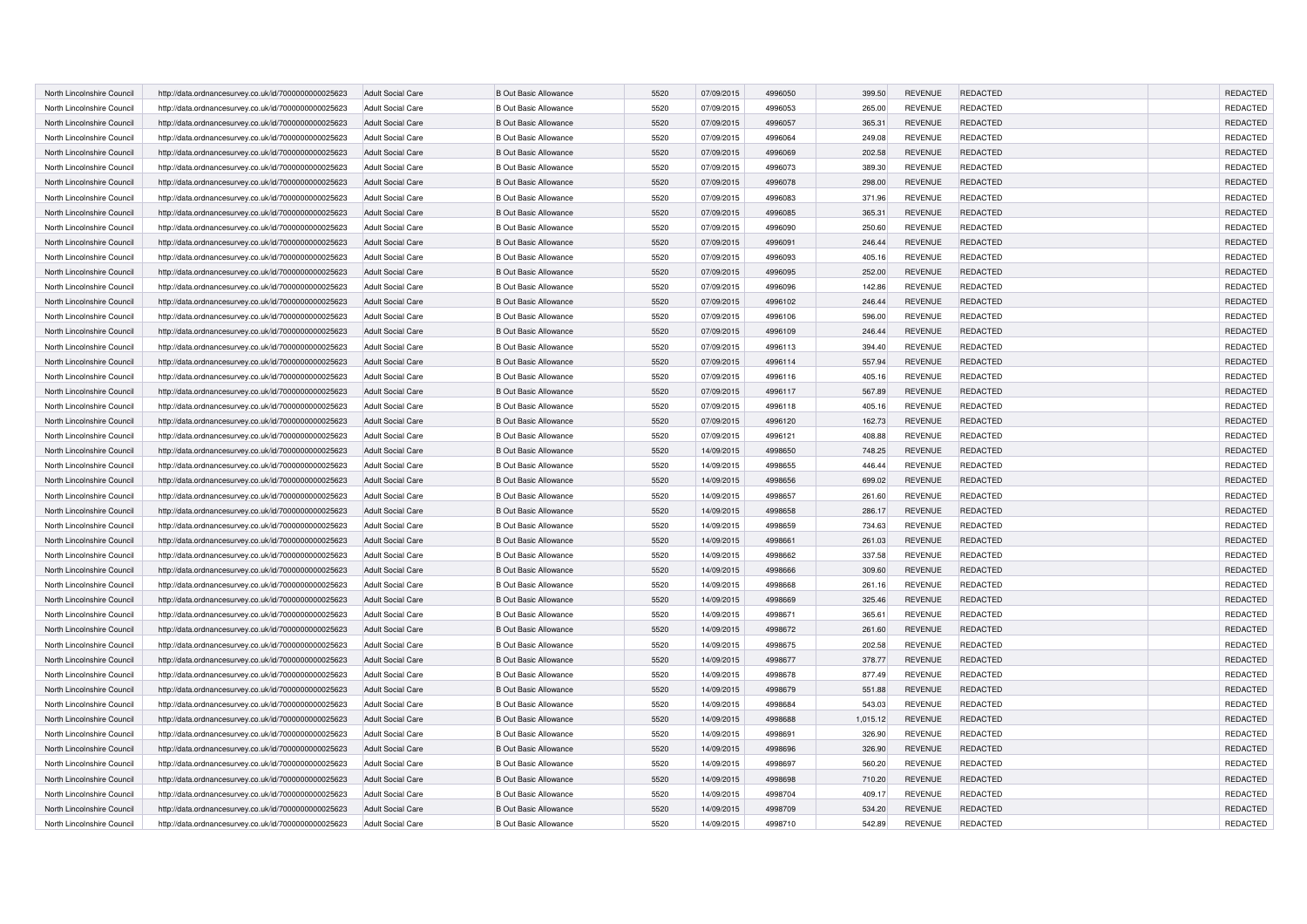| North Lincolnshire Council | http://data.ordnancesurvey.co.uk/id/7000000000025623 | <b>Adult Social Care</b> | <b>B Out Basic Allowance</b> | 5520 | 07/09/2015 | 4996050 | 399.50   | <b>REVENUE</b> | <b>REDACTED</b> | REDACTED        |
|----------------------------|------------------------------------------------------|--------------------------|------------------------------|------|------------|---------|----------|----------------|-----------------|-----------------|
| North Lincolnshire Council | http://data.ordnancesurvey.co.uk/id/7000000000025623 | <b>Adult Social Care</b> | <b>B Out Basic Allowance</b> | 5520 | 07/09/2015 | 4996053 | 265.00   | <b>REVENUE</b> | <b>REDACTED</b> | REDACTED        |
| North Lincolnshire Council | http://data.ordnancesurvey.co.uk/id/7000000000025623 | <b>Adult Social Care</b> | <b>B Out Basic Allowance</b> | 5520 | 07/09/2015 | 4996057 | 365.31   | <b>REVENUE</b> | <b>REDACTED</b> | REDACTED        |
| North Lincolnshire Council | http://data.ordnancesurvey.co.uk/id/7000000000025623 | <b>Adult Social Care</b> | <b>B Out Basic Allowance</b> | 5520 | 07/09/2015 | 4996064 | 249.08   | <b>REVENUE</b> | <b>REDACTED</b> | REDACTED        |
| North Lincolnshire Council | http://data.ordnancesurvey.co.uk/id/7000000000025623 | <b>Adult Social Care</b> | <b>B Out Basic Allowance</b> | 5520 | 07/09/2015 | 4996069 | 202.58   | <b>REVENUE</b> | <b>REDACTED</b> | REDACTED        |
| North Lincolnshire Council | http://data.ordnancesurvey.co.uk/id/7000000000025623 | <b>Adult Social Care</b> | <b>B Out Basic Allowance</b> | 5520 | 07/09/2015 | 4996073 | 389.30   | <b>REVENUE</b> | <b>REDACTED</b> | REDACTED        |
| North Lincolnshire Council | http://data.ordnancesurvey.co.uk/id/7000000000025623 | <b>Adult Social Care</b> | <b>B Out Basic Allowance</b> | 5520 | 07/09/2015 | 4996078 | 298.00   | <b>REVENUE</b> | <b>REDACTED</b> | <b>REDACTED</b> |
| North Lincolnshire Council | http://data.ordnancesurvey.co.uk/id/7000000000025623 | <b>Adult Social Care</b> | <b>B Out Basic Allowance</b> | 5520 | 07/09/2015 | 4996083 | 371.96   | <b>REVENUE</b> | <b>REDACTED</b> | REDACTED        |
| North Lincolnshire Council | http://data.ordnancesurvey.co.uk/id/7000000000025623 | <b>Adult Social Care</b> | <b>B Out Basic Allowance</b> | 5520 | 07/09/2015 | 4996085 | 365.31   | <b>REVENUE</b> | <b>REDACTED</b> | REDACTED        |
| North Lincolnshire Council | http://data.ordnancesurvey.co.uk/id/7000000000025623 | <b>Adult Social Care</b> | <b>B Out Basic Allowance</b> | 5520 | 07/09/2015 | 4996090 | 250.60   | <b>REVENUE</b> | <b>REDACTED</b> | REDACTED        |
| North Lincolnshire Council | http://data.ordnancesurvey.co.uk/id/7000000000025623 | <b>Adult Social Care</b> | <b>B Out Basic Allowance</b> | 5520 | 07/09/2015 | 4996091 | 246.44   | <b>REVENUE</b> | <b>REDACTED</b> | REDACTED        |
| North Lincolnshire Council | http://data.ordnancesurvey.co.uk/id/7000000000025623 | <b>Adult Social Care</b> | <b>B Out Basic Allowance</b> | 5520 | 07/09/2015 | 4996093 | 405.16   | <b>REVENUE</b> | <b>REDACTED</b> | REDACTED        |
| North Lincolnshire Council | http://data.ordnancesurvey.co.uk/id/7000000000025623 | Adult Social Care        | <b>B Out Basic Allowance</b> | 5520 | 07/09/2015 | 4996095 | 252.00   | <b>REVENUE</b> | <b>REDACTED</b> | REDACTED        |
| North Lincolnshire Council | http://data.ordnancesurvey.co.uk/id/7000000000025623 | <b>Adult Social Care</b> | <b>B Out Basic Allowance</b> | 5520 | 07/09/2015 | 4996096 | 142.86   | <b>REVENUE</b> | <b>REDACTED</b> | REDACTED        |
| North Lincolnshire Council | http://data.ordnancesurvey.co.uk/id/7000000000025623 | <b>Adult Social Care</b> | <b>B Out Basic Allowance</b> | 5520 | 07/09/2015 | 4996102 | 246.44   | <b>REVENUE</b> | <b>REDACTED</b> | REDACTED        |
| North Lincolnshire Council | http://data.ordnancesurvey.co.uk/id/7000000000025623 | <b>Adult Social Care</b> | <b>B Out Basic Allowance</b> | 5520 | 07/09/2015 | 4996106 | 596.00   | <b>REVENUE</b> | REDACTED        | REDACTED        |
| North Lincolnshire Council | http://data.ordnancesurvey.co.uk/id/7000000000025623 | Adult Social Care        | <b>B Out Basic Allowance</b> | 5520 | 07/09/2015 | 4996109 | 246.44   | <b>REVENUE</b> | <b>REDACTED</b> | REDACTED        |
| North Lincolnshire Council | http://data.ordnancesurvey.co.uk/id/7000000000025623 | <b>Adult Social Care</b> | <b>B Out Basic Allowance</b> | 5520 | 07/09/2015 | 4996113 | 394.40   | <b>REVENUE</b> | REDACTED        | REDACTED        |
| North Lincolnshire Council | http://data.ordnancesurvey.co.uk/id/7000000000025623 | Adult Social Care        | <b>B Out Basic Allowance</b> | 5520 | 07/09/2015 | 4996114 | 557.94   | <b>REVENUE</b> | <b>REDACTED</b> | REDACTED        |
| North Lincolnshire Council | http://data.ordnancesurvey.co.uk/id/7000000000025623 | <b>Adult Social Care</b> | <b>B Out Basic Allowance</b> | 5520 | 07/09/2015 | 4996116 | 405.16   | <b>REVENUE</b> | REDACTED        | REDACTED        |
| North Lincolnshire Council | http://data.ordnancesurvey.co.uk/id/7000000000025623 | <b>Adult Social Care</b> | <b>B Out Basic Allowance</b> | 5520 | 07/09/2015 | 4996117 | 567.89   | <b>REVENUE</b> | REDACTED        | REDACTED        |
| North Lincolnshire Council | http://data.ordnancesurvey.co.uk/id/7000000000025623 | <b>Adult Social Care</b> | <b>B Out Basic Allowance</b> | 5520 | 07/09/2015 | 4996118 | 405.16   | <b>REVENUE</b> | REDACTED        | REDACTED        |
| North Lincolnshire Council | http://data.ordnancesurvey.co.uk/id/7000000000025623 | Adult Social Care        | <b>B Out Basic Allowance</b> | 5520 | 07/09/2015 | 4996120 | 162.73   | <b>REVENUE</b> | <b>REDACTED</b> | REDACTED        |
| North Lincolnshire Council | http://data.ordnancesurvey.co.uk/id/7000000000025623 | <b>Adult Social Care</b> | <b>B Out Basic Allowance</b> | 5520 | 07/09/2015 | 4996121 | 408.88   | <b>REVENUE</b> | REDACTED        | REDACTED        |
| North Lincolnshire Council | http://data.ordnancesurvey.co.uk/id/7000000000025623 | <b>Adult Social Care</b> | <b>B Out Basic Allowance</b> | 5520 | 14/09/2015 | 4998650 | 748.25   | <b>REVENUE</b> | REDACTED        | REDACTED        |
| North Lincolnshire Council | http://data.ordnancesurvey.co.uk/id/7000000000025623 | <b>Adult Social Care</b> | <b>B Out Basic Allowance</b> | 5520 | 14/09/2015 | 4998655 | 446.44   | <b>REVENUE</b> | REDACTED        | REDACTED        |
| North Lincolnshire Council | http://data.ordnancesurvey.co.uk/id/7000000000025623 | <b>Adult Social Care</b> | <b>B Out Basic Allowance</b> | 5520 | 14/09/2015 | 4998656 | 699.02   | <b>REVENUE</b> | REDACTED        | REDACTED        |
| North Lincolnshire Council | http://data.ordnancesurvey.co.uk/id/7000000000025623 | Adult Social Care        | <b>B Out Basic Allowance</b> | 5520 | 14/09/2015 | 4998657 | 261.60   | <b>REVENUE</b> | REDACTED        | REDACTED        |
| North Lincolnshire Council | http://data.ordnancesurvey.co.uk/id/7000000000025623 | <b>Adult Social Care</b> | <b>B Out Basic Allowance</b> | 5520 | 14/09/2015 | 4998658 | 286.17   | <b>REVENUE</b> | REDACTED        | REDACTED        |
| North Lincolnshire Council | http://data.ordnancesurvey.co.uk/id/7000000000025623 | <b>Adult Social Care</b> | <b>B Out Basic Allowance</b> | 5520 | 14/09/2015 | 4998659 | 734.63   | <b>REVENUE</b> | REDACTED        | REDACTED        |
| North Lincolnshire Council | http://data.ordnancesurvey.co.uk/id/7000000000025623 | <b>Adult Social Care</b> | <b>B Out Basic Allowance</b> | 5520 | 14/09/2015 | 4998661 | 261.03   | <b>REVENUE</b> | <b>REDACTED</b> | REDACTED        |
| North Lincolnshire Council | http://data.ordnancesurvey.co.uk/id/7000000000025623 | <b>Adult Social Care</b> | <b>B Out Basic Allowance</b> | 5520 | 14/09/2015 | 4998662 | 337.58   | <b>REVENUE</b> | REDACTED        | REDACTED        |
| North Lincolnshire Council | http://data.ordnancesurvey.co.uk/id/7000000000025623 | <b>Adult Social Care</b> | <b>B Out Basic Allowance</b> | 5520 | 14/09/2015 | 4998666 | 309.60   | <b>REVENUE</b> | REDACTED        | REDACTED        |
| North Lincolnshire Council | http://data.ordnancesurvey.co.uk/id/7000000000025623 | <b>Adult Social Care</b> | <b>B Out Basic Allowance</b> | 5520 | 14/09/2015 | 4998668 | 261.16   | <b>REVENUE</b> | <b>REDACTED</b> | REDACTED        |
| North Lincolnshire Council | http://data.ordnancesurvey.co.uk/id/7000000000025623 | <b>Adult Social Care</b> | <b>B Out Basic Allowance</b> | 5520 | 14/09/2015 | 4998669 | 325.46   | <b>REVENUE</b> | <b>REDACTED</b> | REDACTED        |
| North Lincolnshire Council | http://data.ordnancesurvey.co.uk/id/7000000000025623 | <b>Adult Social Care</b> | <b>B Out Basic Allowance</b> | 5520 | 14/09/2015 | 4998671 | 365.61   | <b>REVENUE</b> | <b>REDACTED</b> | REDACTED        |
| North Lincolnshire Council | http://data.ordnancesurvey.co.uk/id/7000000000025623 | <b>Adult Social Care</b> | <b>B Out Basic Allowance</b> | 5520 | 14/09/2015 | 4998672 | 261.60   | <b>REVENUE</b> | REDACTED        | REDACTED        |
| North Lincolnshire Council | http://data.ordnancesurvey.co.uk/id/7000000000025623 | <b>Adult Social Care</b> | <b>B Out Basic Allowance</b> | 5520 | 14/09/2015 | 4998675 | 202.58   | <b>REVENUE</b> | <b>REDACTED</b> | REDACTED        |
| North Lincolnshire Council | http://data.ordnancesurvey.co.uk/id/7000000000025623 | <b>Adult Social Care</b> | <b>B Out Basic Allowance</b> | 5520 | 14/09/2015 | 4998677 | 378.77   | <b>REVENUE</b> | REDACTED        | REDACTED        |
| North Lincolnshire Council | http://data.ordnancesurvey.co.uk/id/7000000000025623 | <b>Adult Social Care</b> | <b>B Out Basic Allowance</b> | 5520 | 14/09/2015 | 4998678 | 877.49   | <b>REVENUE</b> | <b>REDACTED</b> | REDACTED        |
| North Lincolnshire Council | http://data.ordnancesurvey.co.uk/id/7000000000025623 | <b>Adult Social Care</b> | <b>B Out Basic Allowance</b> | 5520 | 14/09/2015 | 4998679 | 551.88   | <b>REVENUE</b> | <b>REDACTED</b> | REDACTED        |
| North Lincolnshire Council | http://data.ordnancesurvey.co.uk/id/7000000000025623 | <b>Adult Social Care</b> | <b>B Out Basic Allowance</b> | 5520 | 14/09/2015 | 4998684 | 543.03   | <b>REVENUE</b> | REDACTED        | REDACTED        |
| North Lincolnshire Council | http://data.ordnancesurvey.co.uk/id/7000000000025623 | <b>Adult Social Care</b> | <b>B Out Basic Allowance</b> | 5520 | 14/09/2015 | 4998688 | 1,015.12 | <b>REVENUE</b> | REDACTED        | REDACTED        |
| North Lincolnshire Council | http://data.ordnancesurvey.co.uk/id/7000000000025623 | <b>Adult Social Care</b> | <b>B Out Basic Allowance</b> | 5520 | 14/09/2015 | 4998691 | 326.90   | <b>REVENUE</b> | <b>REDACTED</b> | <b>REDACTED</b> |
| North Lincolnshire Council | http://data.ordnancesurvey.co.uk/id/7000000000025623 | <b>Adult Social Care</b> | <b>B Out Basic Allowance</b> | 5520 | 14/09/2015 | 4998696 | 326.90   | <b>REVENUE</b> | <b>REDACTED</b> | <b>REDACTED</b> |
| North Lincolnshire Council | http://data.ordnancesurvey.co.uk/id/7000000000025623 | <b>Adult Social Care</b> | <b>B Out Basic Allowance</b> | 5520 | 14/09/2015 | 4998697 | 560.20   | <b>REVENUE</b> | <b>REDACTED</b> | REDACTED        |
| North Lincolnshire Council | http://data.ordnancesurvey.co.uk/id/7000000000025623 | <b>Adult Social Care</b> | <b>B Out Basic Allowance</b> | 5520 | 14/09/2015 | 4998698 | 710.20   | <b>REVENUE</b> | <b>REDACTED</b> | REDACTED        |
| North Lincolnshire Council | http://data.ordnancesurvey.co.uk/id/7000000000025623 | <b>Adult Social Care</b> | <b>B Out Basic Allowance</b> | 5520 | 14/09/2015 | 4998704 | 409.17   | <b>REVENUE</b> | <b>REDACTED</b> | <b>REDACTED</b> |
| North Lincolnshire Council | http://data.ordnancesurvey.co.uk/id/7000000000025623 | <b>Adult Social Care</b> | <b>B Out Basic Allowance</b> | 5520 | 14/09/2015 | 4998709 | 534.20   | <b>REVENUE</b> | <b>REDACTED</b> | REDACTED        |
| North Lincolnshire Council | http://data.ordnancesurvey.co.uk/id/7000000000025623 | <b>Adult Social Care</b> | <b>B Out Basic Allowance</b> | 5520 | 14/09/2015 | 4998710 | 542.89   | <b>REVENUE</b> | REDACTED        | REDACTED        |
|                            |                                                      |                          |                              |      |            |         |          |                |                 |                 |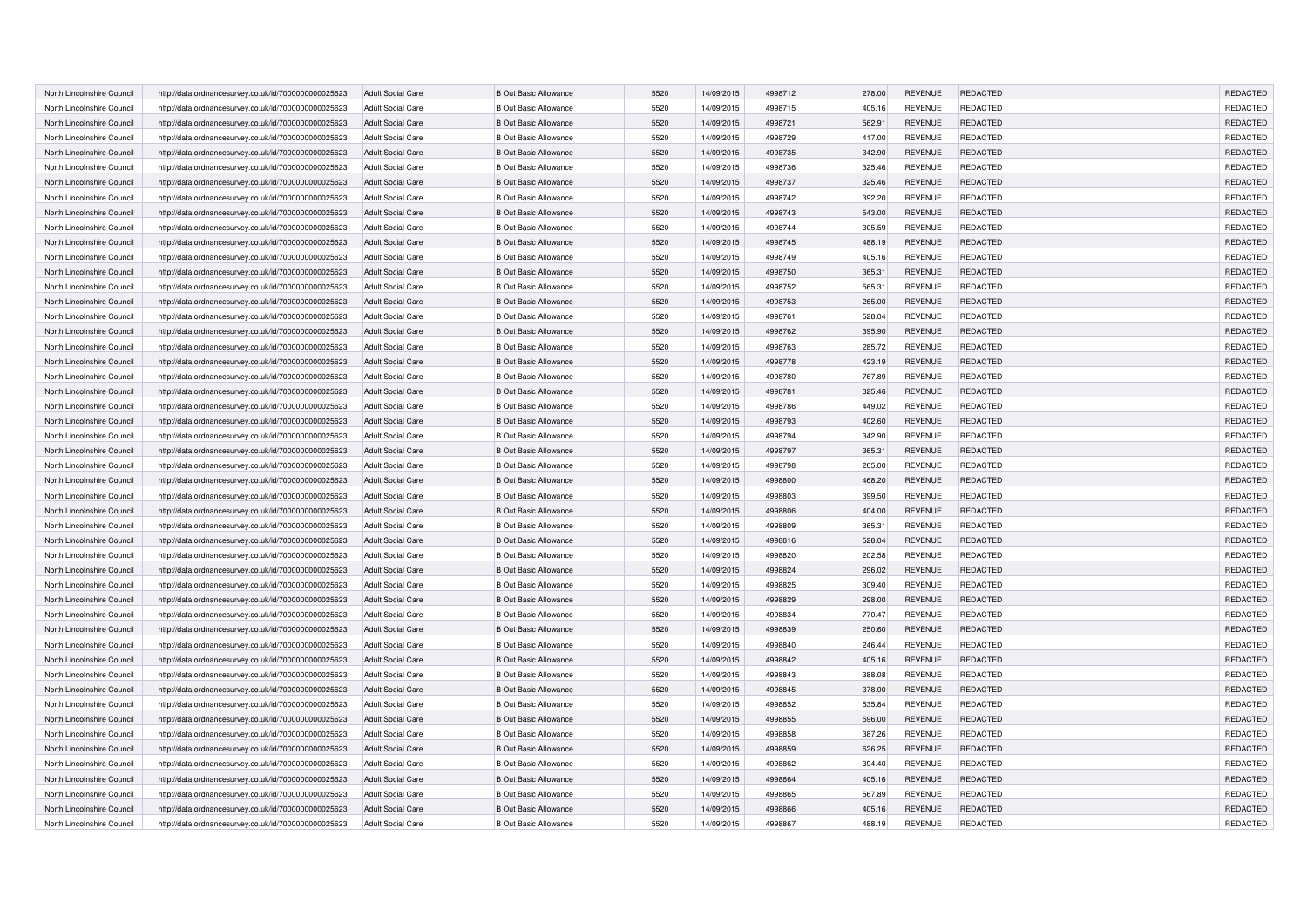| North Lincolnshire Council | http://data.ordnancesurvey.co.uk/id/7000000000025623 | <b>Adult Social Care</b> | <b>B Out Basic Allowance</b> | 5520 | 14/09/2015 | 4998712 | 278.00 | <b>REVENUE</b> | <b>REDACTED</b> | REDACTED        |
|----------------------------|------------------------------------------------------|--------------------------|------------------------------|------|------------|---------|--------|----------------|-----------------|-----------------|
| North Lincolnshire Council | http://data.ordnancesurvey.co.uk/id/7000000000025623 | <b>Adult Social Care</b> | <b>B Out Basic Allowance</b> | 5520 | 14/09/2015 | 4998715 | 405.16 | <b>REVENUE</b> | <b>REDACTED</b> | REDACTED        |
| North Lincolnshire Council | http://data.ordnancesurvey.co.uk/id/7000000000025623 | Adult Social Care        | <b>B Out Basic Allowance</b> | 5520 | 14/09/2015 | 4998721 | 562.91 | <b>REVENUE</b> | <b>REDACTED</b> | REDACTED        |
| North Lincolnshire Council | http://data.ordnancesurvey.co.uk/id/7000000000025623 | <b>Adult Social Care</b> | <b>B Out Basic Allowance</b> | 5520 | 14/09/2015 | 4998729 | 417.00 | <b>REVENUE</b> | <b>REDACTED</b> | REDACTED        |
| North Lincolnshire Council | http://data.ordnancesurvey.co.uk/id/7000000000025623 | <b>Adult Social Care</b> | <b>B Out Basic Allowance</b> | 5520 | 14/09/2015 | 4998735 | 342.90 | <b>REVENUE</b> | <b>REDACTED</b> | REDACTED        |
| North Lincolnshire Council | http://data.ordnancesurvey.co.uk/id/7000000000025623 | Adult Social Care        | <b>B Out Basic Allowance</b> | 5520 | 14/09/2015 | 4998736 | 325.46 | <b>REVENUE</b> | <b>REDACTED</b> | REDACTED        |
| North Lincolnshire Council | http://data.ordnancesurvey.co.uk/id/7000000000025623 | <b>Adult Social Care</b> | <b>B Out Basic Allowance</b> | 5520 | 14/09/2015 | 4998737 | 325.46 | <b>REVENUE</b> | <b>REDACTED</b> | <b>REDACTED</b> |
| North Lincolnshire Council | http://data.ordnancesurvey.co.uk/id/7000000000025623 | <b>Adult Social Care</b> | <b>B Out Basic Allowance</b> | 5520 | 14/09/2015 | 4998742 | 392.20 | <b>REVENUE</b> | <b>REDACTED</b> | REDACTED        |
| North Lincolnshire Council | http://data.ordnancesurvey.co.uk/id/7000000000025623 | <b>Adult Social Care</b> | <b>B Out Basic Allowance</b> | 5520 | 14/09/2015 | 4998743 | 543.00 | <b>REVENUE</b> | <b>REDACTED</b> | REDACTED        |
| North Lincolnshire Council | http://data.ordnancesurvey.co.uk/id/7000000000025623 | Adult Social Care        | <b>B Out Basic Allowance</b> | 5520 | 14/09/2015 | 4998744 | 305.59 | <b>REVENUE</b> | <b>REDACTED</b> | REDACTED        |
| North Lincolnshire Council | http://data.ordnancesurvey.co.uk/id/7000000000025623 | <b>Adult Social Care</b> | <b>B Out Basic Allowance</b> | 5520 | 14/09/2015 | 4998745 | 488.19 | <b>REVENUE</b> | <b>REDACTED</b> | REDACTED        |
| North Lincolnshire Council | http://data.ordnancesurvey.co.uk/id/7000000000025623 | <b>Adult Social Care</b> | <b>B Out Basic Allowance</b> | 5520 | 14/09/2015 | 4998749 | 405.16 | <b>REVENUE</b> | <b>REDACTED</b> | REDACTED        |
| North Lincolnshire Council | http://data.ordnancesurvey.co.uk/id/7000000000025623 | <b>Adult Social Care</b> | <b>B Out Basic Allowance</b> | 5520 | 14/09/2015 | 4998750 | 365.31 | <b>REVENUE</b> | <b>REDACTED</b> | REDACTED        |
| North Lincolnshire Council | http://data.ordnancesurvey.co.uk/id/7000000000025623 | <b>Adult Social Care</b> | <b>B Out Basic Allowance</b> | 5520 | 14/09/2015 | 4998752 | 565.31 | <b>REVENUE</b> | <b>REDACTED</b> | REDACTED        |
| North Lincolnshire Council | http://data.ordnancesurvey.co.uk/id/7000000000025623 | <b>Adult Social Care</b> | <b>B Out Basic Allowance</b> | 5520 | 14/09/2015 | 4998753 | 265.00 | <b>REVENUE</b> | REDACTED        | REDACTED        |
| North Lincolnshire Council | http://data.ordnancesurvey.co.uk/id/7000000000025623 | Adult Social Care        | <b>B Out Basic Allowance</b> | 5520 | 14/09/2015 | 4998761 | 528.04 | <b>REVENUE</b> | <b>REDACTED</b> | REDACTED        |
| North Lincolnshire Council | http://data.ordnancesurvey.co.uk/id/7000000000025623 | <b>Adult Social Care</b> | <b>B Out Basic Allowance</b> | 5520 | 14/09/2015 | 4998762 | 395.90 | <b>REVENUE</b> | <b>REDACTED</b> | REDACTED        |
| North Lincolnshire Council | http://data.ordnancesurvey.co.uk/id/7000000000025623 | <b>Adult Social Care</b> | <b>B Out Basic Allowance</b> | 5520 | 14/09/2015 | 4998763 | 285.72 | <b>REVENUE</b> | <b>REDACTED</b> | REDACTED        |
| North Lincolnshire Council | http://data.ordnancesurvey.co.uk/id/7000000000025623 | Adult Social Care        | <b>B Out Basic Allowance</b> | 5520 | 14/09/2015 | 4998778 | 423.19 | <b>REVENUE</b> | REDACTED        | REDACTED        |
| North Lincolnshire Council | http://data.ordnancesurvey.co.uk/id/7000000000025623 | Adult Social Care        | <b>B Out Basic Allowance</b> | 5520 | 14/09/2015 | 4998780 | 767.89 | <b>REVENUE</b> | <b>REDACTED</b> | REDACTED        |
| North Lincolnshire Council | http://data.ordnancesurvey.co.uk/id/7000000000025623 | <b>Adult Social Care</b> | <b>B Out Basic Allowance</b> | 5520 | 14/09/2015 | 4998781 | 325.46 | <b>REVENUE</b> | REDACTED        | REDACTED        |
| North Lincolnshire Council | http://data.ordnancesurvey.co.uk/id/7000000000025623 | <b>Adult Social Care</b> | <b>B Out Basic Allowance</b> | 5520 | 14/09/2015 | 4998786 | 449.02 | <b>REVENUE</b> | <b>REDACTED</b> | REDACTED        |
| North Lincolnshire Council | http://data.ordnancesurvey.co.uk/id/7000000000025623 | Adult Social Care        | <b>B Out Basic Allowance</b> | 5520 | 14/09/2015 | 4998793 | 402.60 | <b>REVENUE</b> | REDACTED        | REDACTED        |
| North Lincolnshire Council | http://data.ordnancesurvey.co.uk/id/7000000000025623 | <b>Adult Social Care</b> | <b>B Out Basic Allowance</b> | 5520 | 14/09/2015 | 4998794 | 342.90 | <b>REVENUE</b> | <b>REDACTED</b> | REDACTED        |
| North Lincolnshire Council | http://data.ordnancesurvey.co.uk/id/7000000000025623 | <b>Adult Social Care</b> | <b>B Out Basic Allowance</b> | 5520 | 14/09/2015 | 4998797 | 365.31 | <b>REVENUE</b> | REDACTED        | REDACTED        |
| North Lincolnshire Council | http://data.ordnancesurvey.co.uk/id/7000000000025623 | <b>Adult Social Care</b> | <b>B Out Basic Allowance</b> | 5520 | 14/09/2015 | 4998798 | 265.00 | <b>REVENUE</b> | <b>REDACTED</b> | REDACTED        |
| North Lincolnshire Council | http://data.ordnancesurvey.co.uk/id/7000000000025623 | <b>Adult Social Care</b> | <b>B Out Basic Allowance</b> | 5520 | 14/09/2015 | 4998800 | 468.20 | <b>REVENUE</b> | REDACTED        | REDACTED        |
| North Lincolnshire Council | http://data.ordnancesurvey.co.uk/id/7000000000025623 | Adult Social Care        | <b>B Out Basic Allowance</b> | 5520 | 14/09/2015 | 4998803 | 399.50 | <b>REVENUE</b> | <b>REDACTED</b> | REDACTED        |
| North Lincolnshire Council | http://data.ordnancesurvey.co.uk/id/7000000000025623 | <b>Adult Social Care</b> | <b>B Out Basic Allowance</b> | 5520 | 14/09/2015 | 4998806 | 404.00 | <b>REVENUE</b> | REDACTED        | REDACTED        |
| North Lincolnshire Council | http://data.ordnancesurvey.co.uk/id/7000000000025623 | Adult Social Care        | <b>B Out Basic Allowance</b> | 5520 | 14/09/2015 | 4998809 | 365.31 | <b>REVENUE</b> | <b>REDACTED</b> | REDACTED        |
| North Lincolnshire Council | http://data.ordnancesurvey.co.uk/id/7000000000025623 | <b>Adult Social Care</b> | <b>B Out Basic Allowance</b> | 5520 | 14/09/2015 | 4998816 | 528.04 | <b>REVENUE</b> | REDACTED        | REDACTED        |
| North Lincolnshire Council | http://data.ordnancesurvey.co.uk/id/7000000000025623 | <b>Adult Social Care</b> | <b>B Out Basic Allowance</b> | 5520 | 14/09/2015 | 4998820 | 202.58 | <b>REVENUE</b> | <b>REDACTED</b> | REDACTED        |
| North Lincolnshire Council | http://data.ordnancesurvey.co.uk/id/7000000000025623 | <b>Adult Social Care</b> | <b>B Out Basic Allowance</b> | 5520 | 14/09/2015 | 4998824 | 296.02 | <b>REVENUE</b> | REDACTED        | REDACTED        |
| North Lincolnshire Council | http://data.ordnancesurvey.co.uk/id/7000000000025623 | <b>Adult Social Care</b> | <b>B Out Basic Allowance</b> | 5520 | 14/09/2015 | 4998825 | 309.40 | <b>REVENUE</b> | <b>REDACTED</b> | REDACTED        |
| North Lincolnshire Council | http://data.ordnancesurvey.co.uk/id/7000000000025623 | <b>Adult Social Care</b> | <b>B Out Basic Allowance</b> | 5520 | 14/09/2015 | 4998829 | 298.00 | <b>REVENUE</b> | REDACTED        | REDACTED        |
| North Lincolnshire Council | http://data.ordnancesurvey.co.uk/id/7000000000025623 | <b>Adult Social Care</b> | <b>B Out Basic Allowance</b> | 5520 | 14/09/2015 | 4998834 | 770.47 | <b>REVENUE</b> | <b>REDACTED</b> | REDACTED        |
| North Lincolnshire Council | http://data.ordnancesurvey.co.uk/id/7000000000025623 | <b>Adult Social Care</b> | <b>B Out Basic Allowance</b> | 5520 | 14/09/2015 | 4998839 | 250.60 | <b>REVENUE</b> | REDACTED        | REDACTED        |
| North Lincolnshire Council | http://data.ordnancesurvey.co.uk/id/7000000000025623 | <b>Adult Social Care</b> | <b>B Out Basic Allowance</b> | 5520 | 14/09/2015 | 4998840 | 246.44 | <b>REVENUE</b> | <b>REDACTED</b> | REDACTED        |
| North Lincolnshire Council | http://data.ordnancesurvey.co.uk/id/7000000000025623 | <b>Adult Social Care</b> | <b>B Out Basic Allowance</b> | 5520 | 14/09/2015 | 4998842 | 405.16 | <b>REVENUE</b> | <b>REDACTED</b> | REDACTED        |
| North Lincolnshire Council | http://data.ordnancesurvey.co.uk/id/7000000000025623 | <b>Adult Social Care</b> | <b>B Out Basic Allowance</b> | 5520 | 14/09/2015 | 4998843 | 388.08 | <b>REVENUE</b> | <b>REDACTED</b> | REDACTED        |
| North Lincolnshire Council | http://data.ordnancesurvey.co.uk/id/7000000000025623 | <b>Adult Social Care</b> | <b>B Out Basic Allowance</b> | 5520 | 14/09/2015 | 4998845 | 378.00 | <b>REVENUE</b> | <b>REDACTED</b> | REDACTED        |
| North Lincolnshire Council | http://data.ordnancesurvey.co.uk/id/7000000000025623 | <b>Adult Social Care</b> | <b>B Out Basic Allowance</b> | 5520 | 14/09/2015 | 4998852 | 535.84 | <b>REVENUE</b> | <b>REDACTED</b> | REDACTED        |
| North Lincolnshire Council | http://data.ordnancesurvey.co.uk/id/7000000000025623 | <b>Adult Social Care</b> | <b>B Out Basic Allowance</b> | 5520 | 14/09/2015 | 4998855 | 596.00 | <b>REVENUE</b> | <b>REDACTED</b> | REDACTED        |
| North Lincolnshire Council | http://data.ordnancesurvey.co.uk/id/7000000000025623 | Adult Social Care        | <b>B Out Basic Allowance</b> | 5520 | 14/09/2015 | 4998858 | 387.26 | <b>REVENUE</b> | <b>REDACTED</b> | REDACTED        |
| North Lincolnshire Council | http://data.ordnancesurvey.co.uk/id/7000000000025623 | <b>Adult Social Care</b> | <b>B Out Basic Allowance</b> | 5520 | 14/09/2015 | 4998859 | 626.25 | <b>REVENUE</b> | <b>REDACTED</b> | <b>REDACTED</b> |
| North Lincolnshire Council | http://data.ordnancesurvey.co.uk/id/7000000000025623 | <b>Adult Social Care</b> | <b>B Out Basic Allowance</b> | 5520 | 14/09/2015 | 4998862 | 394.40 | <b>REVENUE</b> | <b>REDACTED</b> | REDACTED        |
| North Lincolnshire Council | http://data.ordnancesurvey.co.uk/id/7000000000025623 | <b>Adult Social Care</b> | <b>B Out Basic Allowance</b> | 5520 | 14/09/2015 | 4998864 | 405.16 | <b>REVENUE</b> | <b>REDACTED</b> | REDACTED        |
| North Lincolnshire Council | http://data.ordnancesurvey.co.uk/id/7000000000025623 | <b>Adult Social Care</b> | <b>B Out Basic Allowance</b> | 5520 | 14/09/2015 | 4998865 | 567.89 | <b>REVENUE</b> | <b>REDACTED</b> | REDACTED        |
| North Lincolnshire Council | http://data.ordnancesurvey.co.uk/id/7000000000025623 | <b>Adult Social Care</b> | <b>B Out Basic Allowance</b> | 5520 | 14/09/2015 | 4998866 | 405.16 | <b>REVENUE</b> | <b>REDACTED</b> | REDACTED        |
| North Lincolnshire Council | http://data.ordnancesurvey.co.uk/id/7000000000025623 | <b>Adult Social Care</b> | <b>B Out Basic Allowance</b> | 5520 | 14/09/2015 | 4998867 | 488.19 | <b>REVENUE</b> | <b>REDACTED</b> | REDACTED        |
|                            |                                                      |                          |                              |      |            |         |        |                |                 |                 |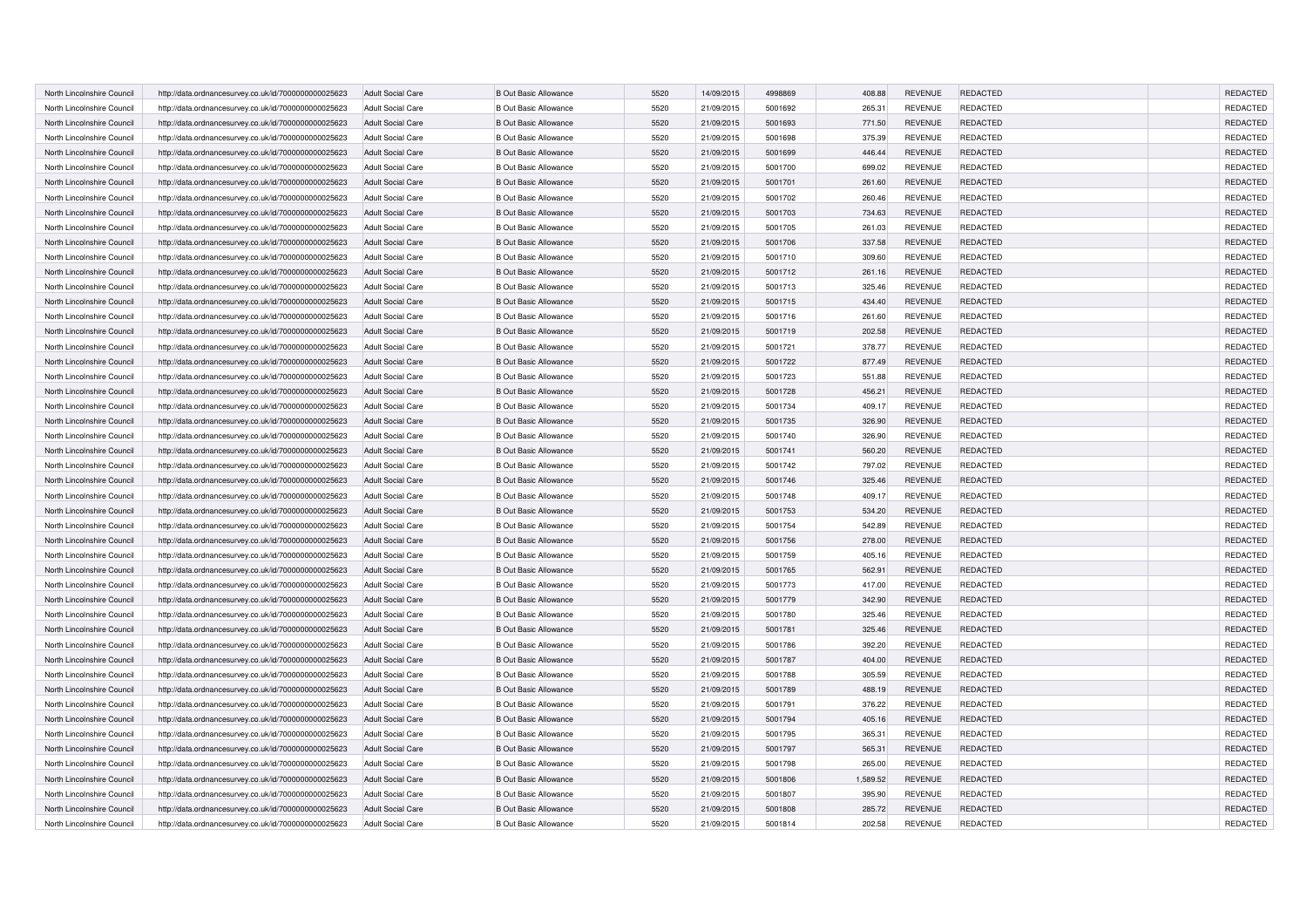| North Lincolnshire Council | http://data.ordnancesurvey.co.uk/id/7000000000025623 | <b>Adult Social Care</b> | <b>B Out Basic Allowance</b> | 5520 | 14/09/2015 | 4998869 | 408.88   | <b>REVENUE</b> | <b>REDACTED</b> | REDACTED        |
|----------------------------|------------------------------------------------------|--------------------------|------------------------------|------|------------|---------|----------|----------------|-----------------|-----------------|
| North Lincolnshire Council | http://data.ordnancesurvey.co.uk/id/7000000000025623 | <b>Adult Social Care</b> | <b>B Out Basic Allowance</b> | 5520 | 21/09/2015 | 5001692 | 265.31   | <b>REVENUE</b> | <b>REDACTED</b> | REDACTED        |
| North Lincolnshire Council | http://data.ordnancesurvey.co.uk/id/7000000000025623 | <b>Adult Social Care</b> | <b>B Out Basic Allowance</b> | 5520 | 21/09/2015 | 5001693 | 771.50   | <b>REVENUE</b> | <b>REDACTED</b> | REDACTED        |
| North Lincolnshire Council | http://data.ordnancesurvey.co.uk/id/7000000000025623 | <b>Adult Social Care</b> | <b>B Out Basic Allowance</b> | 5520 | 21/09/2015 | 5001698 | 375.39   | <b>REVENUE</b> | <b>REDACTED</b> | REDACTED        |
| North Lincolnshire Council | http://data.ordnancesurvey.co.uk/id/7000000000025623 | <b>Adult Social Care</b> | <b>B Out Basic Allowance</b> | 5520 | 21/09/2015 | 5001699 | 446.44   | <b>REVENUE</b> | <b>REDACTED</b> | REDACTED        |
| North Lincolnshire Council | http://data.ordnancesurvey.co.uk/id/7000000000025623 | <b>Adult Social Care</b> | <b>B Out Basic Allowance</b> | 5520 | 21/09/2015 | 5001700 | 699.02   | <b>REVENUE</b> | <b>REDACTED</b> | REDACTED        |
| North Lincolnshire Council | http://data.ordnancesurvey.co.uk/id/7000000000025623 | <b>Adult Social Care</b> | <b>B Out Basic Allowance</b> | 5520 | 21/09/2015 | 5001701 | 261.60   | <b>REVENUE</b> | <b>REDACTED</b> | <b>REDACTED</b> |
| North Lincolnshire Council | http://data.ordnancesurvey.co.uk/id/7000000000025623 | <b>Adult Social Care</b> | <b>B Out Basic Allowance</b> | 5520 | 21/09/2015 | 5001702 | 260.46   | <b>REVENUE</b> | <b>REDACTED</b> | REDACTED        |
| North Lincolnshire Council | http://data.ordnancesurvey.co.uk/id/7000000000025623 | <b>Adult Social Care</b> | <b>B Out Basic Allowance</b> | 5520 | 21/09/2015 | 5001703 | 734.63   | <b>REVENUE</b> | <b>REDACTED</b> | REDACTED        |
| North Lincolnshire Council | http://data.ordnancesurvey.co.uk/id/7000000000025623 | <b>Adult Social Care</b> | <b>B Out Basic Allowance</b> | 5520 | 21/09/2015 | 5001705 | 261.03   | <b>REVENUE</b> | <b>REDACTED</b> | REDACTED        |
| North Lincolnshire Council | http://data.ordnancesurvey.co.uk/id/7000000000025623 | <b>Adult Social Care</b> | <b>B Out Basic Allowance</b> | 5520 | 21/09/2015 | 5001706 | 337.58   | <b>REVENUE</b> | <b>REDACTED</b> | REDACTED        |
| North Lincolnshire Council | http://data.ordnancesurvey.co.uk/id/7000000000025623 | <b>Adult Social Care</b> | <b>B Out Basic Allowance</b> | 5520 | 21/09/2015 | 5001710 | 309.60   | <b>REVENUE</b> | <b>REDACTED</b> | REDACTED        |
| North Lincolnshire Council | http://data.ordnancesurvey.co.uk/id/7000000000025623 | Adult Social Care        | <b>B Out Basic Allowance</b> | 5520 | 21/09/2015 | 5001712 | 261.16   | <b>REVENUE</b> | <b>REDACTED</b> | REDACTED        |
| North Lincolnshire Council | http://data.ordnancesurvey.co.uk/id/7000000000025623 | <b>Adult Social Care</b> | <b>B Out Basic Allowance</b> | 5520 | 21/09/2015 | 5001713 | 325.46   | <b>REVENUE</b> | <b>REDACTED</b> | REDACTED        |
| North Lincolnshire Council | http://data.ordnancesurvey.co.uk/id/7000000000025623 | <b>Adult Social Care</b> | <b>B Out Basic Allowance</b> | 5520 | 21/09/2015 | 5001715 | 434.40   | <b>REVENUE</b> | <b>REDACTED</b> | REDACTED        |
| North Lincolnshire Council | http://data.ordnancesurvey.co.uk/id/7000000000025623 | <b>Adult Social Care</b> | <b>B Out Basic Allowance</b> | 5520 | 21/09/2015 | 5001716 | 261.60   | <b>REVENUE</b> | REDACTED        | REDACTED        |
| North Lincolnshire Council | http://data.ordnancesurvey.co.uk/id/7000000000025623 | Adult Social Care        | <b>B Out Basic Allowance</b> | 5520 | 21/09/2015 | 5001719 | 202.58   | <b>REVENUE</b> | <b>REDACTED</b> | REDACTED        |
| North Lincolnshire Council | http://data.ordnancesurvey.co.uk/id/7000000000025623 | <b>Adult Social Care</b> | <b>B Out Basic Allowance</b> | 5520 | 21/09/2015 | 5001721 | 378.77   | <b>REVENUE</b> | REDACTED        | REDACTED        |
| North Lincolnshire Council | http://data.ordnancesurvey.co.uk/id/7000000000025623 | Adult Social Care        | <b>B Out Basic Allowance</b> | 5520 | 21/09/2015 | 5001722 | 877.49   | <b>REVENUE</b> | <b>REDACTED</b> | REDACTED        |
| North Lincolnshire Council | http://data.ordnancesurvey.co.uk/id/7000000000025623 | <b>Adult Social Care</b> | <b>B Out Basic Allowance</b> | 5520 | 21/09/2015 | 5001723 | 551.88   | <b>REVENUE</b> | REDACTED        | REDACTED        |
| North Lincolnshire Council | http://data.ordnancesurvey.co.uk/id/7000000000025623 | <b>Adult Social Care</b> | <b>B Out Basic Allowance</b> | 5520 | 21/09/2015 | 5001728 | 456.21   | <b>REVENUE</b> | REDACTED        | REDACTED        |
| North Lincolnshire Council | http://data.ordnancesurvey.co.uk/id/7000000000025623 | <b>Adult Social Care</b> | <b>B Out Basic Allowance</b> | 5520 | 21/09/2015 | 5001734 | 409.17   | <b>REVENUE</b> | REDACTED        | REDACTED        |
| North Lincolnshire Council | http://data.ordnancesurvey.co.uk/id/7000000000025623 | Adult Social Care        | <b>B Out Basic Allowance</b> | 5520 | 21/09/2015 | 5001735 | 326.90   | <b>REVENUE</b> | <b>REDACTED</b> | REDACTED        |
| North Lincolnshire Council | http://data.ordnancesurvey.co.uk/id/7000000000025623 | <b>Adult Social Care</b> | <b>B Out Basic Allowance</b> | 5520 | 21/09/2015 | 5001740 | 326.90   | <b>REVENUE</b> | REDACTED        | REDACTED        |
| North Lincolnshire Council | http://data.ordnancesurvey.co.uk/id/7000000000025623 | <b>Adult Social Care</b> | <b>B Out Basic Allowance</b> | 5520 | 21/09/2015 | 5001741 | 560.20   | <b>REVENUE</b> | REDACTED        | REDACTED        |
| North Lincolnshire Council | http://data.ordnancesurvey.co.uk/id/7000000000025623 | <b>Adult Social Care</b> | <b>B Out Basic Allowance</b> | 5520 | 21/09/2015 | 5001742 | 797.02   | <b>REVENUE</b> | REDACTED        | REDACTED        |
| North Lincolnshire Council | http://data.ordnancesurvey.co.uk/id/7000000000025623 | <b>Adult Social Care</b> | <b>B Out Basic Allowance</b> | 5520 | 21/09/2015 | 5001746 | 325.46   | <b>REVENUE</b> | <b>REDACTED</b> | REDACTED        |
| North Lincolnshire Council | http://data.ordnancesurvey.co.uk/id/7000000000025623 | Adult Social Care        | <b>B Out Basic Allowance</b> | 5520 | 21/09/2015 | 5001748 | 409.17   | <b>REVENUE</b> | REDACTED        | REDACTED        |
| North Lincolnshire Council | http://data.ordnancesurvey.co.uk/id/7000000000025623 | <b>Adult Social Care</b> | <b>B Out Basic Allowance</b> | 5520 | 21/09/2015 | 5001753 | 534.20   | <b>REVENUE</b> | <b>REDACTED</b> | REDACTED        |
| North Lincolnshire Council | http://data.ordnancesurvey.co.uk/id/7000000000025623 | <b>Adult Social Care</b> | <b>B Out Basic Allowance</b> | 5520 | 21/09/2015 | 5001754 | 542.89   | <b>REVENUE</b> | REDACTED        | REDACTED        |
| North Lincolnshire Council | http://data.ordnancesurvey.co.uk/id/7000000000025623 | <b>Adult Social Care</b> | <b>B Out Basic Allowance</b> | 5520 | 21/09/2015 | 5001756 | 278.00   | <b>REVENUE</b> | <b>REDACTED</b> | REDACTED        |
| North Lincolnshire Council | http://data.ordnancesurvey.co.uk/id/7000000000025623 | <b>Adult Social Care</b> | <b>B Out Basic Allowance</b> | 5520 | 21/09/2015 | 5001759 | 405.16   | <b>REVENUE</b> | REDACTED        | REDACTED        |
| North Lincolnshire Council | http://data.ordnancesurvey.co.uk/id/7000000000025623 | <b>Adult Social Care</b> | <b>B Out Basic Allowance</b> | 5520 | 21/09/2015 | 5001765 | 562.91   | <b>REVENUE</b> | <b>REDACTED</b> | REDACTED        |
| North Lincolnshire Council | http://data.ordnancesurvey.co.uk/id/7000000000025623 | <b>Adult Social Care</b> | <b>B Out Basic Allowance</b> | 5520 | 21/09/2015 | 5001773 | 417.00   | <b>REVENUE</b> | <b>REDACTED</b> | REDACTED        |
| North Lincolnshire Council | http://data.ordnancesurvey.co.uk/id/7000000000025623 | <b>Adult Social Care</b> | <b>B Out Basic Allowance</b> | 5520 | 21/09/2015 | 5001779 | 342.90   | <b>REVENUE</b> | <b>REDACTED</b> | REDACTED        |
| North Lincolnshire Council | http://data.ordnancesurvey.co.uk/id/7000000000025623 | <b>Adult Social Care</b> | <b>B Out Basic Allowance</b> | 5520 | 21/09/2015 | 5001780 | 325.46   | <b>REVENUE</b> | <b>REDACTED</b> | REDACTED        |
| North Lincolnshire Council | http://data.ordnancesurvey.co.uk/id/7000000000025623 | <b>Adult Social Care</b> | <b>B Out Basic Allowance</b> | 5520 | 21/09/2015 | 5001781 | 325.46   | <b>REVENUE</b> | <b>REDACTED</b> | REDACTED        |
| North Lincolnshire Council | http://data.ordnancesurvey.co.uk/id/7000000000025623 | <b>Adult Social Care</b> | <b>B Out Basic Allowance</b> | 5520 | 21/09/2015 | 5001786 | 392.20   | <b>REVENUE</b> | <b>REDACTED</b> | REDACTED        |
| North Lincolnshire Council | http://data.ordnancesurvey.co.uk/id/7000000000025623 | <b>Adult Social Care</b> | <b>B Out Basic Allowance</b> | 5520 | 21/09/2015 | 5001787 | 404.00   | <b>REVENUE</b> | <b>REDACTED</b> | REDACTED        |
| North Lincolnshire Council | http://data.ordnancesurvey.co.uk/id/7000000000025623 | <b>Adult Social Care</b> | <b>B Out Basic Allowance</b> | 5520 | 21/09/2015 | 5001788 | 305.59   | <b>REVENUE</b> | <b>REDACTED</b> | REDACTED        |
| North Lincolnshire Council | http://data.ordnancesurvey.co.uk/id/7000000000025623 | <b>Adult Social Care</b> | <b>B Out Basic Allowance</b> | 5520 | 21/09/2015 | 5001789 | 488.19   | <b>REVENUE</b> | <b>REDACTED</b> | REDACTED        |
| North Lincolnshire Council | http://data.ordnancesurvey.co.uk/id/7000000000025623 | <b>Adult Social Care</b> | <b>B Out Basic Allowance</b> | 5520 | 21/09/2015 | 5001791 | 376.22   | <b>REVENUE</b> | REDACTED        | REDACTED        |
| North Lincolnshire Council | http://data.ordnancesurvey.co.uk/id/7000000000025623 | <b>Adult Social Care</b> | <b>B Out Basic Allowance</b> | 5520 | 21/09/2015 | 5001794 | 405.16   | <b>REVENUE</b> | <b>REDACTED</b> | REDACTED        |
| North Lincolnshire Council | http://data.ordnancesurvey.co.uk/id/7000000000025623 | <b>Adult Social Care</b> | <b>B Out Basic Allowance</b> | 5520 | 21/09/2015 | 5001795 | 365.31   | <b>REVENUE</b> | <b>REDACTED</b> | REDACTED        |
| North Lincolnshire Council | http://data.ordnancesurvey.co.uk/id/7000000000025623 | <b>Adult Social Care</b> | <b>B Out Basic Allowance</b> | 5520 | 21/09/2015 | 5001797 | 565.31   | <b>REVENUE</b> | <b>REDACTED</b> | <b>REDACTED</b> |
| North Lincolnshire Council | http://data.ordnancesurvey.co.uk/id/7000000000025623 | <b>Adult Social Care</b> | <b>B Out Basic Allowance</b> | 5520 | 21/09/2015 | 5001798 | 265.00   | <b>REVENUE</b> | <b>REDACTED</b> | REDACTED        |
| North Lincolnshire Council | http://data.ordnancesurvey.co.uk/id/7000000000025623 | <b>Adult Social Care</b> | <b>B Out Basic Allowance</b> | 5520 | 21/09/2015 | 5001806 | 1,589.52 | <b>REVENUE</b> | <b>REDACTED</b> | REDACTED        |
| North Lincolnshire Council | http://data.ordnancesurvey.co.uk/id/7000000000025623 | <b>Adult Social Care</b> | <b>B Out Basic Allowance</b> | 5520 | 21/09/2015 | 5001807 | 395.90   | <b>REVENUE</b> | <b>REDACTED</b> | REDACTED        |
| North Lincolnshire Council | http://data.ordnancesurvey.co.uk/id/7000000000025623 | <b>Adult Social Care</b> | <b>B Out Basic Allowance</b> | 5520 | 21/09/2015 | 5001808 | 285.72   | <b>REVENUE</b> | <b>REDACTED</b> | REDACTED        |
| North Lincolnshire Council | http://data.ordnancesurvey.co.uk/id/7000000000025623 | <b>Adult Social Care</b> | <b>B Out Basic Allowance</b> | 5520 | 21/09/2015 | 5001814 | 202.58   | <b>REVENUE</b> | REDACTED        | REDACTED        |
|                            |                                                      |                          |                              |      |            |         |          |                |                 |                 |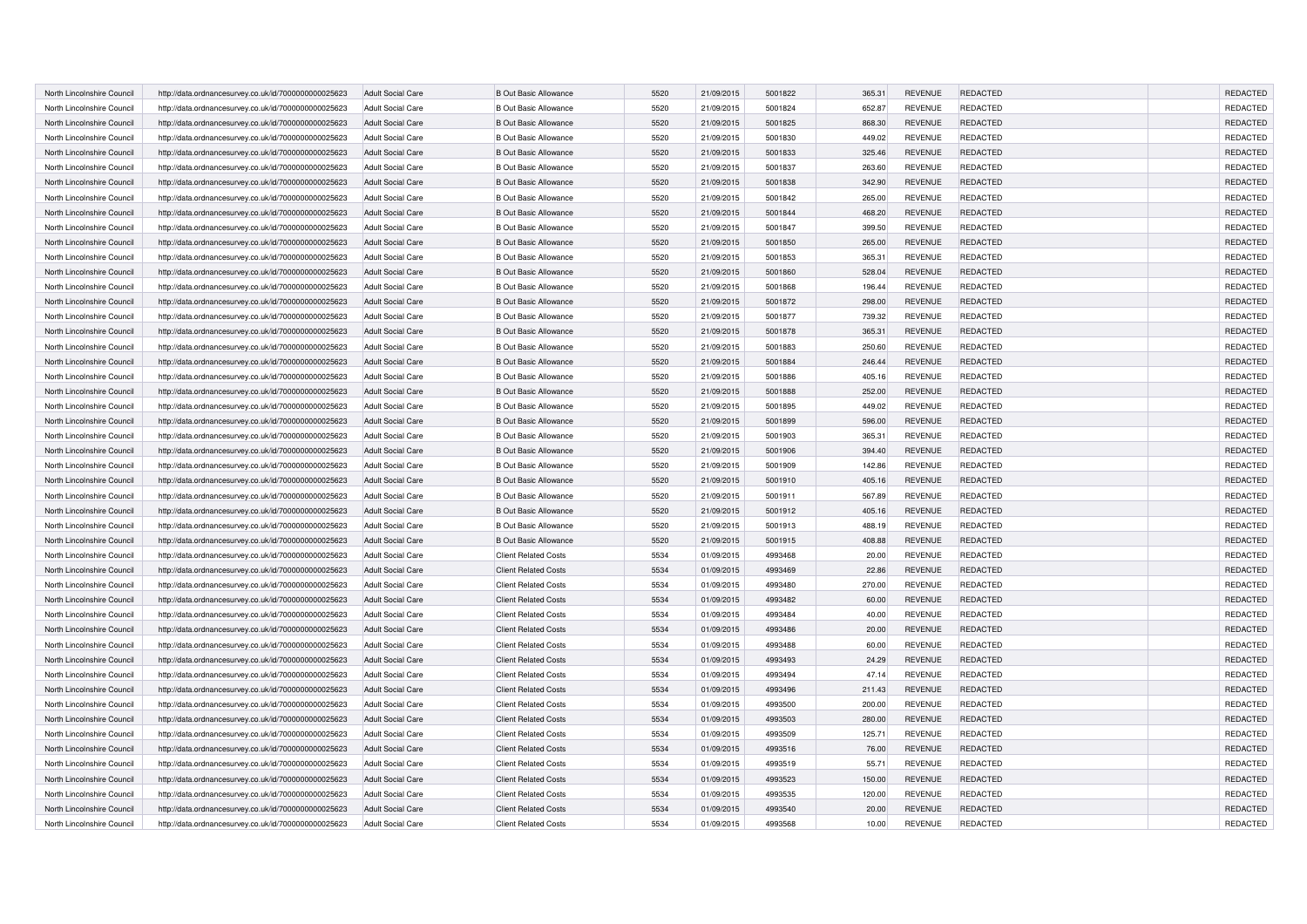| North Lincolnshire Council | http://data.ordnancesurvey.co.uk/id/7000000000025623 | <b>Adult Social Care</b> | <b>B Out Basic Allowance</b> | 5520 | 21/09/2015 | 5001822 | 365.31 | <b>REVENUE</b> | <b>REDACTED</b> | REDACTED        |
|----------------------------|------------------------------------------------------|--------------------------|------------------------------|------|------------|---------|--------|----------------|-----------------|-----------------|
| North Lincolnshire Council | http://data.ordnancesurvey.co.uk/id/7000000000025623 | <b>Adult Social Care</b> | <b>B Out Basic Allowance</b> | 5520 | 21/09/2015 | 5001824 | 652.87 | <b>REVENUE</b> | <b>REDACTED</b> | REDACTED        |
| North Lincolnshire Council | http://data.ordnancesurvey.co.uk/id/7000000000025623 | <b>Adult Social Care</b> | <b>B Out Basic Allowance</b> | 5520 | 21/09/2015 | 5001825 | 868.30 | <b>REVENUE</b> | <b>REDACTED</b> | REDACTED        |
| North Lincolnshire Council | http://data.ordnancesurvey.co.uk/id/7000000000025623 | <b>Adult Social Care</b> | <b>B Out Basic Allowance</b> | 5520 | 21/09/2015 | 5001830 | 449.02 | <b>REVENUE</b> | <b>REDACTED</b> | REDACTED        |
| North Lincolnshire Council | http://data.ordnancesurvey.co.uk/id/7000000000025623 | <b>Adult Social Care</b> | <b>B Out Basic Allowance</b> | 5520 | 21/09/2015 | 5001833 | 325.46 | <b>REVENUE</b> | <b>REDACTED</b> | REDACTED        |
| North Lincolnshire Council | http://data.ordnancesurvey.co.uk/id/7000000000025623 | <b>Adult Social Care</b> | <b>B Out Basic Allowance</b> | 5520 | 21/09/2015 | 5001837 | 263.60 | <b>REVENUE</b> | <b>REDACTED</b> | REDACTED        |
| North Lincolnshire Council | http://data.ordnancesurvey.co.uk/id/7000000000025623 | <b>Adult Social Care</b> | <b>B Out Basic Allowance</b> | 5520 | 21/09/2015 | 5001838 | 342.90 | <b>REVENUE</b> | <b>REDACTED</b> | <b>REDACTED</b> |
| North Lincolnshire Council | http://data.ordnancesurvey.co.uk/id/7000000000025623 | <b>Adult Social Care</b> | <b>B Out Basic Allowance</b> | 5520 | 21/09/2015 | 5001842 | 265.00 | <b>REVENUE</b> | <b>REDACTED</b> | REDACTED        |
| North Lincolnshire Council | http://data.ordnancesurvey.co.uk/id/7000000000025623 | <b>Adult Social Care</b> | <b>B Out Basic Allowance</b> | 5520 | 21/09/2015 | 5001844 | 468.20 | <b>REVENUE</b> | <b>REDACTED</b> | REDACTED        |
| North Lincolnshire Council | http://data.ordnancesurvey.co.uk/id/7000000000025623 | <b>Adult Social Care</b> | <b>B Out Basic Allowance</b> | 5520 | 21/09/2015 | 5001847 | 399.50 | <b>REVENUE</b> | <b>REDACTED</b> | REDACTED        |
| North Lincolnshire Council | http://data.ordnancesurvey.co.uk/id/7000000000025623 | <b>Adult Social Care</b> | <b>B Out Basic Allowance</b> | 5520 | 21/09/2015 | 5001850 | 265.00 | <b>REVENUE</b> | <b>REDACTED</b> | REDACTED        |
| North Lincolnshire Council | http://data.ordnancesurvey.co.uk/id/7000000000025623 | <b>Adult Social Care</b> | <b>B Out Basic Allowance</b> | 5520 | 21/09/2015 | 5001853 | 365.31 | <b>REVENUE</b> | <b>REDACTED</b> | REDACTED        |
| North Lincolnshire Council | http://data.ordnancesurvey.co.uk/id/7000000000025623 | Adult Social Care        | <b>B Out Basic Allowance</b> | 5520 | 21/09/2015 | 5001860 | 528.04 | <b>REVENUE</b> | <b>REDACTED</b> | REDACTED        |
| North Lincolnshire Council | http://data.ordnancesurvey.co.uk/id/7000000000025623 | <b>Adult Social Care</b> | <b>B Out Basic Allowance</b> | 5520 | 21/09/2015 | 5001868 | 196.44 | <b>REVENUE</b> | <b>REDACTED</b> | REDACTED        |
| North Lincolnshire Council | http://data.ordnancesurvey.co.uk/id/7000000000025623 | <b>Adult Social Care</b> | <b>B Out Basic Allowance</b> | 5520 | 21/09/2015 | 5001872 | 298.00 | <b>REVENUE</b> | <b>REDACTED</b> | REDACTED        |
| North Lincolnshire Council | http://data.ordnancesurvey.co.uk/id/7000000000025623 | <b>Adult Social Care</b> | <b>B Out Basic Allowance</b> | 5520 | 21/09/2015 | 5001877 | 739.32 | <b>REVENUE</b> | REDACTED        | REDACTED        |
| North Lincolnshire Council | http://data.ordnancesurvey.co.uk/id/7000000000025623 | Adult Social Care        | <b>B Out Basic Allowance</b> | 5520 | 21/09/2015 | 5001878 | 365.31 | <b>REVENUE</b> | <b>REDACTED</b> | REDACTED        |
| North Lincolnshire Council | http://data.ordnancesurvey.co.uk/id/7000000000025623 | <b>Adult Social Care</b> | <b>B Out Basic Allowance</b> | 5520 | 21/09/2015 | 5001883 | 250.60 | <b>REVENUE</b> | REDACTED        | REDACTED        |
| North Lincolnshire Council | http://data.ordnancesurvey.co.uk/id/7000000000025623 | Adult Social Care        | <b>B Out Basic Allowance</b> | 5520 | 21/09/2015 | 5001884 | 246.44 | <b>REVENUE</b> | <b>REDACTED</b> | REDACTED        |
| North Lincolnshire Council | http://data.ordnancesurvey.co.uk/id/7000000000025623 | <b>Adult Social Care</b> | <b>B Out Basic Allowance</b> | 5520 | 21/09/2015 | 5001886 | 405.16 | <b>REVENUE</b> | REDACTED        | REDACTED        |
| North Lincolnshire Council | http://data.ordnancesurvey.co.uk/id/7000000000025623 | <b>Adult Social Care</b> | <b>B Out Basic Allowance</b> | 5520 | 21/09/2015 | 5001888 | 252.00 | <b>REVENUE</b> | REDACTED        | REDACTED        |
| North Lincolnshire Council | http://data.ordnancesurvey.co.uk/id/7000000000025623 | <b>Adult Social Care</b> | <b>B Out Basic Allowance</b> | 5520 | 21/09/2015 | 5001895 | 449.02 | <b>REVENUE</b> | REDACTED        | REDACTED        |
| North Lincolnshire Council | http://data.ordnancesurvey.co.uk/id/7000000000025623 | <b>Adult Social Care</b> | <b>B Out Basic Allowance</b> | 5520 | 21/09/2015 | 5001899 | 596.00 | <b>REVENUE</b> | REDACTED        | REDACTED        |
| North Lincolnshire Council | http://data.ordnancesurvey.co.uk/id/7000000000025623 | <b>Adult Social Care</b> | <b>B Out Basic Allowance</b> | 5520 | 21/09/2015 | 5001903 | 365.31 | <b>REVENUE</b> | REDACTED        | REDACTED        |
| North Lincolnshire Council | http://data.ordnancesurvey.co.uk/id/7000000000025623 | <b>Adult Social Care</b> | <b>B Out Basic Allowance</b> | 5520 | 21/09/2015 | 5001906 | 394.40 | <b>REVENUE</b> | REDACTED        | REDACTED        |
| North Lincolnshire Council | http://data.ordnancesurvey.co.uk/id/7000000000025623 | <b>Adult Social Care</b> | <b>B Out Basic Allowance</b> | 5520 | 21/09/2015 | 5001909 | 142.86 | <b>REVENUE</b> | REDACTED        | REDACTED        |
| North Lincolnshire Council | http://data.ordnancesurvey.co.uk/id/7000000000025623 | <b>Adult Social Care</b> | <b>B Out Basic Allowance</b> | 5520 | 21/09/2015 | 5001910 | 405.16 | <b>REVENUE</b> | REDACTED        | REDACTED        |
| North Lincolnshire Council | http://data.ordnancesurvey.co.uk/id/7000000000025623 | <b>Adult Social Care</b> | <b>B Out Basic Allowance</b> | 5520 | 21/09/2015 | 5001911 | 567.89 | <b>REVENUE</b> | REDACTED        | REDACTED        |
| North Lincolnshire Council | http://data.ordnancesurvey.co.uk/id/7000000000025623 | <b>Adult Social Care</b> | <b>B Out Basic Allowance</b> | 5520 | 21/09/2015 | 5001912 | 405.16 | <b>REVENUE</b> | REDACTED        | REDACTED        |
| North Lincolnshire Council | http://data.ordnancesurvey.co.uk/id/7000000000025623 | <b>Adult Social Care</b> | <b>B Out Basic Allowance</b> | 5520 | 21/09/2015 | 5001913 | 488.19 | <b>REVENUE</b> | REDACTED        | REDACTED        |
| North Lincolnshire Council | http://data.ordnancesurvey.co.uk/id/7000000000025623 | <b>Adult Social Care</b> | <b>B Out Basic Allowance</b> | 5520 | 21/09/2015 | 5001915 | 408.88 | <b>REVENUE</b> | <b>REDACTED</b> | REDACTED        |
| North Lincolnshire Council | http://data.ordnancesurvey.co.uk/id/7000000000025623 | <b>Adult Social Care</b> | <b>Client Related Costs</b>  | 5534 | 01/09/2015 | 4993468 | 20.00  | <b>REVENUE</b> | REDACTED        | REDACTED        |
| North Lincolnshire Council | http://data.ordnancesurvey.co.uk/id/7000000000025623 | <b>Adult Social Care</b> | <b>Client Related Costs</b>  | 5534 | 01/09/2015 | 4993469 | 22.86  | <b>REVENUE</b> | REDACTED        | REDACTED        |
| North Lincolnshire Council | http://data.ordnancesurvey.co.uk/id/7000000000025623 | <b>Adult Social Care</b> | <b>Client Related Costs</b>  | 5534 | 01/09/2015 | 4993480 | 270.00 | <b>REVENUE</b> | <b>REDACTED</b> | REDACTED        |
| North Lincolnshire Council | http://data.ordnancesurvey.co.uk/id/7000000000025623 | <b>Adult Social Care</b> | <b>Client Related Costs</b>  | 5534 | 01/09/2015 | 4993482 | 60.00  | <b>REVENUE</b> | <b>REDACTED</b> | REDACTED        |
| North Lincolnshire Council | http://data.ordnancesurvey.co.uk/id/7000000000025623 | <b>Adult Social Care</b> | <b>Client Related Costs</b>  | 5534 | 01/09/2015 | 4993484 | 40.00  | <b>REVENUE</b> | <b>REDACTED</b> | REDACTED        |
| North Lincolnshire Council | http://data.ordnancesurvey.co.uk/id/7000000000025623 | <b>Adult Social Care</b> | <b>Client Related Costs</b>  | 5534 | 01/09/2015 | 4993486 | 20.00  | <b>REVENUE</b> | REDACTED        | REDACTED        |
| North Lincolnshire Council | http://data.ordnancesurvey.co.uk/id/7000000000025623 | <b>Adult Social Care</b> | <b>Client Related Costs</b>  | 5534 | 01/09/2015 | 4993488 | 60.00  | <b>REVENUE</b> | <b>REDACTED</b> | REDACTED        |
| North Lincolnshire Council | http://data.ordnancesurvey.co.uk/id/7000000000025623 | <b>Adult Social Care</b> | <b>Client Related Costs</b>  | 5534 | 01/09/2015 | 4993493 | 24.29  | <b>REVENUE</b> | REDACTED        | REDACTED        |
| North Lincolnshire Council | http://data.ordnancesurvey.co.uk/id/7000000000025623 | <b>Adult Social Care</b> | <b>Client Related Costs</b>  | 5534 | 01/09/2015 | 4993494 | 47.14  | <b>REVENUE</b> | <b>REDACTED</b> | REDACTED        |
| North Lincolnshire Council | http://data.ordnancesurvey.co.uk/id/7000000000025623 | <b>Adult Social Care</b> | <b>Client Related Costs</b>  | 5534 | 01/09/2015 | 4993496 | 211.43 | <b>REVENUE</b> | <b>REDACTED</b> | REDACTED        |
| North Lincolnshire Council | http://data.ordnancesurvey.co.uk/id/7000000000025623 | <b>Adult Social Care</b> | <b>Client Related Costs</b>  | 5534 | 01/09/2015 | 4993500 | 200.00 | <b>REVENUE</b> | REDACTED        | REDACTED        |
| North Lincolnshire Council | http://data.ordnancesurvey.co.uk/id/7000000000025623 | <b>Adult Social Care</b> | <b>Client Related Costs</b>  | 5534 | 01/09/2015 | 4993503 | 280.00 | <b>REVENUE</b> | REDACTED        | REDACTED        |
| North Lincolnshire Council | http://data.ordnancesurvey.co.uk/id/7000000000025623 | <b>Adult Social Care</b> | <b>Client Related Costs</b>  | 5534 | 01/09/2015 | 4993509 | 125.71 | <b>REVENUE</b> | <b>REDACTED</b> | REDACTED        |
| North Lincolnshire Council | http://data.ordnancesurvey.co.uk/id/7000000000025623 | <b>Adult Social Care</b> | <b>Client Related Costs</b>  | 5534 | 01/09/2015 | 4993516 | 76.00  | <b>REVENUE</b> | <b>REDACTED</b> | <b>REDACTED</b> |
| North Lincolnshire Council | http://data.ordnancesurvey.co.uk/id/7000000000025623 | <b>Adult Social Care</b> | <b>Client Related Costs</b>  | 5534 | 01/09/2015 | 4993519 | 55.71  | <b>REVENUE</b> | <b>REDACTED</b> | REDACTED        |
| North Lincolnshire Council | http://data.ordnancesurvey.co.uk/id/7000000000025623 | <b>Adult Social Care</b> | <b>Client Related Costs</b>  | 5534 | 01/09/2015 | 4993523 | 150.00 | <b>REVENUE</b> | <b>REDACTED</b> | REDACTED        |
| North Lincolnshire Council | http://data.ordnancesurvey.co.uk/id/7000000000025623 | <b>Adult Social Care</b> | <b>Client Related Costs</b>  | 5534 | 01/09/2015 | 4993535 | 120.00 | <b>REVENUE</b> | <b>REDACTED</b> | <b>REDACTED</b> |
| North Lincolnshire Council | http://data.ordnancesurvey.co.uk/id/7000000000025623 | <b>Adult Social Care</b> | <b>Client Related Costs</b>  | 5534 | 01/09/2015 | 4993540 | 20.00  | <b>REVENUE</b> | <b>REDACTED</b> | REDACTED        |
| North Lincolnshire Council | http://data.ordnancesurvey.co.uk/id/7000000000025623 | <b>Adult Social Care</b> | <b>Client Related Costs</b>  | 5534 | 01/09/2015 | 4993568 | 10.00  | <b>REVENUE</b> | REDACTED        | REDACTED        |
|                            |                                                      |                          |                              |      |            |         |        |                |                 |                 |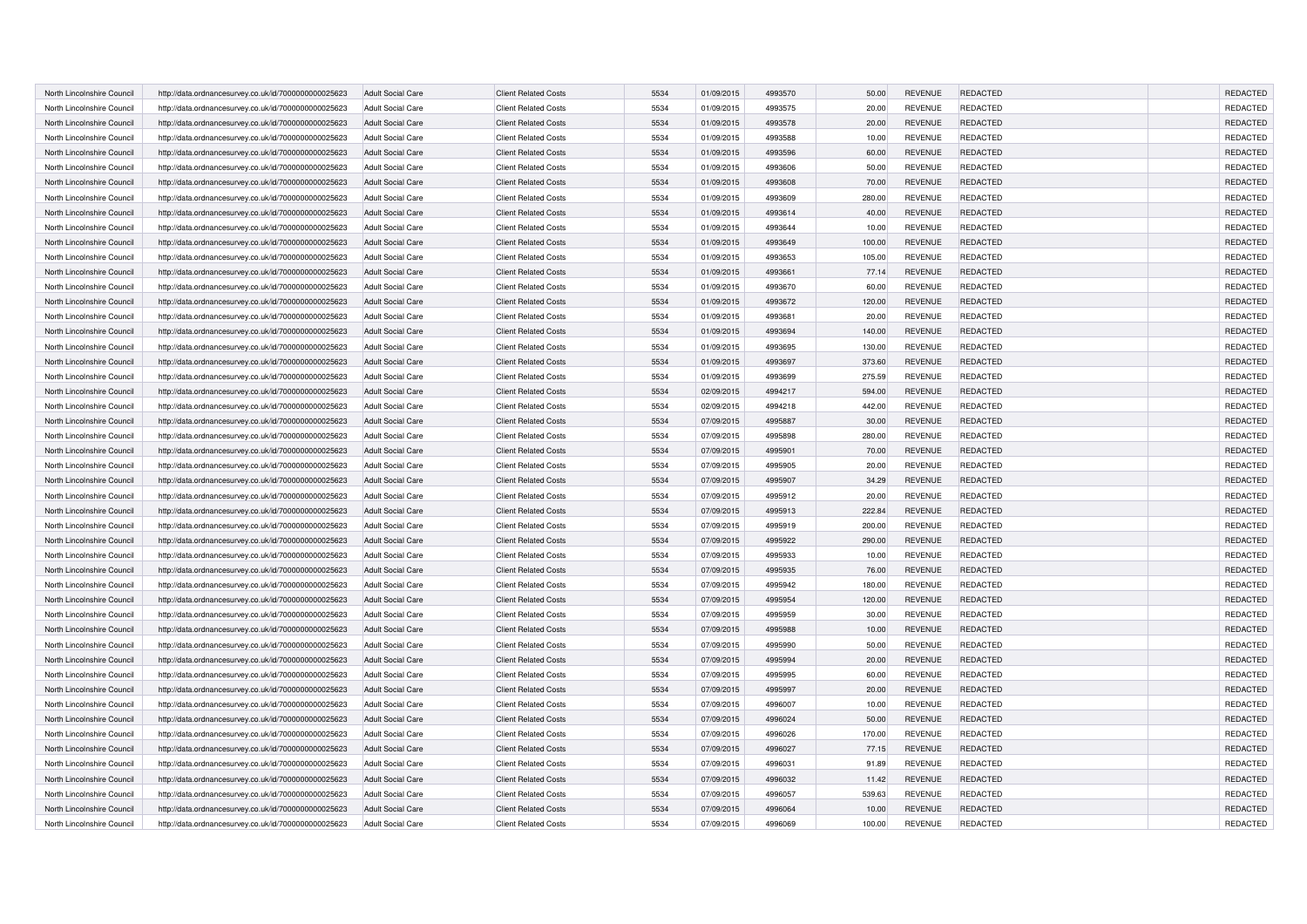| North Lincolnshire Council | http://data.ordnancesurvey.co.uk/id/7000000000025623 | <b>Adult Social Care</b> | <b>Client Related Costs</b> | 5534 | 01/09/2015 | 4993570 | 50.00  | <b>REVENUE</b> | REDACTED        | REDACTED             |
|----------------------------|------------------------------------------------------|--------------------------|-----------------------------|------|------------|---------|--------|----------------|-----------------|----------------------|
| North Lincolnshire Council | http://data.ordnancesurvey.co.uk/id/7000000000025623 | <b>Adult Social Care</b> | <b>Client Related Costs</b> | 5534 | 01/09/2015 | 4993575 | 20.00  | <b>REVENUE</b> | <b>REDACTED</b> | REDACTED             |
| North Lincolnshire Council | http://data.ordnancesurvey.co.uk/id/7000000000025623 | <b>Adult Social Care</b> | <b>Client Related Costs</b> | 5534 | 01/09/2015 | 4993578 | 20.00  | <b>REVENUE</b> | <b>REDACTED</b> | REDACTED             |
| North Lincolnshire Council | http://data.ordnancesurvey.co.uk/id/7000000000025623 | <b>Adult Social Care</b> | <b>Client Related Costs</b> | 5534 | 01/09/2015 | 4993588 | 10.00  | <b>REVENUE</b> | <b>REDACTED</b> | REDACTED             |
| North Lincolnshire Council | http://data.ordnancesurvey.co.uk/id/7000000000025623 | <b>Adult Social Care</b> | <b>Client Related Costs</b> | 5534 | 01/09/2015 | 4993596 | 60.00  | <b>REVENUE</b> | REDACTED        | REDACTED             |
| North Lincolnshire Council | http://data.ordnancesurvey.co.uk/id/7000000000025623 | <b>Adult Social Care</b> | <b>Client Related Costs</b> | 5534 | 01/09/2015 | 4993606 | 50.00  | <b>REVENUE</b> | <b>REDACTED</b> | REDACTED             |
| North Lincolnshire Council | http://data.ordnancesurvey.co.uk/id/7000000000025623 | <b>Adult Social Care</b> | <b>Client Related Costs</b> | 5534 | 01/09/2015 | 4993608 | 70.00  | <b>REVENUE</b> | <b>REDACTED</b> | <b>REDACTED</b>      |
| North Lincolnshire Council | http://data.ordnancesurvey.co.uk/id/7000000000025623 | <b>Adult Social Care</b> | <b>Client Related Costs</b> | 5534 | 01/09/2015 | 4993609 | 280.00 | <b>REVENUE</b> | <b>REDACTED</b> | REDACTED             |
| North Lincolnshire Council | http://data.ordnancesurvey.co.uk/id/7000000000025623 | <b>Adult Social Care</b> | <b>Client Related Costs</b> | 5534 | 01/09/2015 | 4993614 | 40.00  | <b>REVENUE</b> | <b>REDACTED</b> | REDACTED             |
| North Lincolnshire Council | http://data.ordnancesurvey.co.uk/id/7000000000025623 | <b>Adult Social Care</b> | <b>Client Related Costs</b> | 5534 | 01/09/2015 | 4993644 | 10.00  | <b>REVENUE</b> | <b>REDACTED</b> | REDACTED             |
| North Lincolnshire Council | http://data.ordnancesurvey.co.uk/id/7000000000025623 | <b>Adult Social Care</b> | <b>Client Related Costs</b> | 5534 | 01/09/2015 | 4993649 | 100.00 | <b>REVENUE</b> | REDACTED        | REDACTED             |
| North Lincolnshire Council | http://data.ordnancesurvey.co.uk/id/7000000000025623 | <b>Adult Social Care</b> | <b>Client Related Costs</b> | 5534 | 01/09/2015 | 4993653 | 105.00 | <b>REVENUE</b> | <b>REDACTED</b> | REDACTED             |
| North Lincolnshire Council | http://data.ordnancesurvey.co.uk/id/7000000000025623 | Adult Social Care        | <b>Client Related Costs</b> | 5534 | 01/09/2015 | 4993661 | 77.14  | <b>REVENUE</b> | <b>REDACTED</b> | REDACTED             |
| North Lincolnshire Council | http://data.ordnancesurvey.co.uk/id/7000000000025623 | <b>Adult Social Care</b> | <b>Client Related Costs</b> | 5534 | 01/09/2015 | 4993670 | 60.00  | <b>REVENUE</b> | <b>REDACTED</b> | REDACTED             |
| North Lincolnshire Council | http://data.ordnancesurvey.co.uk/id/7000000000025623 | <b>Adult Social Care</b> | <b>Client Related Costs</b> | 5534 | 01/09/2015 | 4993672 | 120.00 | <b>REVENUE</b> | REDACTED        | REDACTED             |
| North Lincolnshire Council | http://data.ordnancesurvey.co.uk/id/7000000000025623 | <b>Adult Social Care</b> | <b>Client Related Costs</b> | 5534 | 01/09/2015 | 4993681 | 20.00  | <b>REVENUE</b> | REDACTED        | REDACTED             |
| North Lincolnshire Council | http://data.ordnancesurvey.co.uk/id/7000000000025623 | Adult Social Care        | <b>Client Related Costs</b> | 5534 | 01/09/2015 | 4993694 | 140.00 | <b>REVENUE</b> | <b>REDACTED</b> | REDACTED             |
| North Lincolnshire Council | http://data.ordnancesurvey.co.uk/id/7000000000025623 | <b>Adult Social Care</b> | <b>Client Related Costs</b> | 5534 | 01/09/2015 | 4993695 | 130.00 | <b>REVENUE</b> | REDACTED        | REDACTED             |
| North Lincolnshire Council | http://data.ordnancesurvey.co.uk/id/7000000000025623 | <b>Adult Social Care</b> | <b>Client Related Costs</b> | 5534 | 01/09/2015 | 4993697 | 373.60 | <b>REVENUE</b> | REDACTED        | REDACTED             |
| North Lincolnshire Council | http://data.ordnancesurvey.co.uk/id/7000000000025623 | <b>Adult Social Care</b> | <b>Client Related Costs</b> | 5534 | 01/09/2015 | 4993699 | 275.59 | <b>REVENUE</b> | REDACTED        | REDACTED             |
| North Lincolnshire Council | http://data.ordnancesurvey.co.uk/id/7000000000025623 | <b>Adult Social Care</b> | <b>Client Related Costs</b> | 5534 | 02/09/2015 | 4994217 | 594.00 | <b>REVENUE</b> | REDACTED        | REDACTED             |
| North Lincolnshire Council | http://data.ordnancesurvey.co.uk/id/7000000000025623 | <b>Adult Social Care</b> | <b>Client Related Costs</b> | 5534 | 02/09/2015 | 4994218 | 442.00 | <b>REVENUE</b> | REDACTED        | REDACTED             |
| North Lincolnshire Council | http://data.ordnancesurvey.co.uk/id/7000000000025623 | <b>Adult Social Care</b> | <b>Client Related Costs</b> | 5534 | 07/09/2015 | 4995887 | 30.00  | <b>REVENUE</b> | REDACTED        | REDACTED             |
| North Lincolnshire Council |                                                      | <b>Adult Social Care</b> | <b>Client Related Costs</b> | 5534 | 07/09/2015 | 4995898 | 280.00 | <b>REVENUE</b> | REDACTED        | REDACTED             |
|                            | http://data.ordnancesurvey.co.uk/id/7000000000025623 |                          | <b>Client Related Costs</b> | 5534 | 07/09/2015 | 4995901 | 70.00  | <b>REVENUE</b> | REDACTED        | REDACTED             |
| North Lincolnshire Council | http://data.ordnancesurvey.co.uk/id/7000000000025623 | <b>Adult Social Care</b> | <b>Client Related Costs</b> | 5534 | 07/09/2015 | 4995905 | 20.00  | <b>REVENUE</b> | REDACTED        | REDACTED             |
| North Lincolnshire Council | http://data.ordnancesurvey.co.uk/id/7000000000025623 | <b>Adult Social Care</b> |                             |      |            |         |        |                |                 |                      |
| North Lincolnshire Council | http://data.ordnancesurvey.co.uk/id/7000000000025623 | <b>Adult Social Care</b> | <b>Client Related Costs</b> | 5534 | 07/09/2015 | 4995907 | 34.29  | <b>REVENUE</b> | REDACTED        | REDACTED<br>REDACTED |
| North Lincolnshire Council | http://data.ordnancesurvey.co.uk/id/7000000000025623 | Adult Social Care        | <b>Client Related Costs</b> | 5534 | 07/09/2015 | 4995912 | 20.00  | <b>REVENUE</b> | REDACTED        |                      |
| North Lincolnshire Council | http://data.ordnancesurvey.co.uk/id/7000000000025623 | <b>Adult Social Care</b> | <b>Client Related Costs</b> | 5534 | 07/09/2015 | 4995913 | 222.84 | <b>REVENUE</b> | REDACTED        | REDACTED             |
| North Lincolnshire Council | http://data.ordnancesurvey.co.uk/id/7000000000025623 | <b>Adult Social Care</b> | <b>Client Related Costs</b> | 5534 | 07/09/2015 | 4995919 | 200.00 | <b>REVENUE</b> | REDACTED        | REDACTED             |
| North Lincolnshire Council | http://data.ordnancesurvey.co.uk/id/7000000000025623 | <b>Adult Social Care</b> | <b>Client Related Costs</b> | 5534 | 07/09/2015 | 4995922 | 290.00 | <b>REVENUE</b> | <b>REDACTED</b> | REDACTED             |
| North Lincolnshire Council | http://data.ordnancesurvey.co.uk/id/7000000000025623 | Adult Social Care        | <b>Client Related Costs</b> | 5534 | 07/09/2015 | 4995933 | 10.00  | <b>REVENUE</b> | REDACTED        | REDACTED             |
| North Lincolnshire Council | http://data.ordnancesurvey.co.uk/id/7000000000025623 | <b>Adult Social Care</b> | <b>Client Related Costs</b> | 5534 | 07/09/2015 | 4995935 | 76.00  | <b>REVENUE</b> | REDACTED        | REDACTED             |
| North Lincolnshire Council | http://data.ordnancesurvey.co.uk/id/7000000000025623 | <b>Adult Social Care</b> | <b>Client Related Costs</b> | 5534 | 07/09/2015 | 4995942 | 180.00 | <b>REVENUE</b> | <b>REDACTED</b> | REDACTED             |
| North Lincolnshire Council | http://data.ordnancesurvey.co.uk/id/7000000000025623 | <b>Adult Social Care</b> | <b>Client Related Costs</b> | 5534 | 07/09/2015 | 4995954 | 120.00 | <b>REVENUE</b> | <b>REDACTED</b> | REDACTED             |
| North Lincolnshire Council | http://data.ordnancesurvey.co.uk/id/7000000000025623 | <b>Adult Social Care</b> | <b>Client Related Costs</b> | 5534 | 07/09/2015 | 4995959 | 30.00  | <b>REVENUE</b> | <b>REDACTED</b> | REDACTED             |
| North Lincolnshire Council | http://data.ordnancesurvey.co.uk/id/7000000000025623 | <b>Adult Social Care</b> | <b>Client Related Costs</b> | 5534 | 07/09/2015 | 4995988 | 10.00  | <b>REVENUE</b> | REDACTED        | REDACTED             |
| North Lincolnshire Council | http://data.ordnancesurvey.co.uk/id/7000000000025623 | <b>Adult Social Care</b> | <b>Client Related Costs</b> | 5534 | 07/09/2015 | 4995990 | 50.00  | <b>REVENUE</b> | <b>REDACTED</b> | REDACTED             |
| North Lincolnshire Council | http://data.ordnancesurvey.co.uk/id/7000000000025623 | <b>Adult Social Care</b> | <b>Client Related Costs</b> | 5534 | 07/09/2015 | 4995994 | 20.00  | <b>REVENUE</b> | REDACTED        | REDACTED             |
| North Lincolnshire Council | http://data.ordnancesurvey.co.uk/id/7000000000025623 | <b>Adult Social Care</b> | <b>Client Related Costs</b> | 5534 | 07/09/2015 | 4995995 | 60.00  | <b>REVENUE</b> | <b>REDACTED</b> | REDACTED             |
| North Lincolnshire Council | http://data.ordnancesurvey.co.uk/id/7000000000025623 | <b>Adult Social Care</b> | <b>Client Related Costs</b> | 5534 | 07/09/2015 | 4995997 | 20.00  | <b>REVENUE</b> | <b>REDACTED</b> | REDACTED             |
| North Lincolnshire Council | http://data.ordnancesurvey.co.uk/id/7000000000025623 | <b>Adult Social Care</b> | <b>Client Related Costs</b> | 5534 | 07/09/2015 | 4996007 | 10.00  | <b>REVENUE</b> | REDACTED        | REDACTED             |
| North Lincolnshire Council | http://data.ordnancesurvey.co.uk/id/7000000000025623 | <b>Adult Social Care</b> | <b>Client Related Costs</b> | 5534 | 07/09/2015 | 4996024 | 50.00  | <b>REVENUE</b> | REDACTED        | REDACTED             |
| North Lincolnshire Council | http://data.ordnancesurvey.co.uk/id/7000000000025623 | <b>Adult Social Care</b> | <b>Client Related Costs</b> | 5534 | 07/09/2015 | 4996026 | 170.00 | <b>REVENUE</b> | <b>REDACTED</b> | REDACTED             |
| North Lincolnshire Council | http://data.ordnancesurvey.co.uk/id/7000000000025623 | <b>Adult Social Care</b> | <b>Client Related Costs</b> | 5534 | 07/09/2015 | 4996027 | 77.15  | <b>REVENUE</b> | <b>REDACTED</b> | REDACTED             |
| North Lincolnshire Council | http://data.ordnancesurvey.co.uk/id/7000000000025623 | <b>Adult Social Care</b> | <b>Client Related Costs</b> | 5534 | 07/09/2015 | 4996031 | 91.89  | <b>REVENUE</b> | <b>REDACTED</b> | REDACTED             |
| North Lincolnshire Council | http://data.ordnancesurvey.co.uk/id/7000000000025623 | <b>Adult Social Care</b> | <b>Client Related Costs</b> | 5534 | 07/09/2015 | 4996032 | 11.42  | <b>REVENUE</b> | <b>REDACTED</b> | REDACTED             |
| North Lincolnshire Council | http://data.ordnancesurvey.co.uk/id/7000000000025623 | <b>Adult Social Care</b> | <b>Client Related Costs</b> | 5534 | 07/09/2015 | 4996057 | 539.63 | <b>REVENUE</b> | <b>REDACTED</b> | REDACTED             |
| North Lincolnshire Council | http://data.ordnancesurvey.co.uk/id/7000000000025623 | <b>Adult Social Care</b> | <b>Client Related Costs</b> | 5534 | 07/09/2015 | 4996064 | 10.00  | <b>REVENUE</b> | <b>REDACTED</b> | REDACTED             |
| North Lincolnshire Council | http://data.ordnancesurvey.co.uk/id/7000000000025623 | <b>Adult Social Care</b> | <b>Client Related Costs</b> | 5534 | 07/09/2015 | 4996069 | 100.00 | <b>REVENUE</b> | REDACTED        | REDACTED             |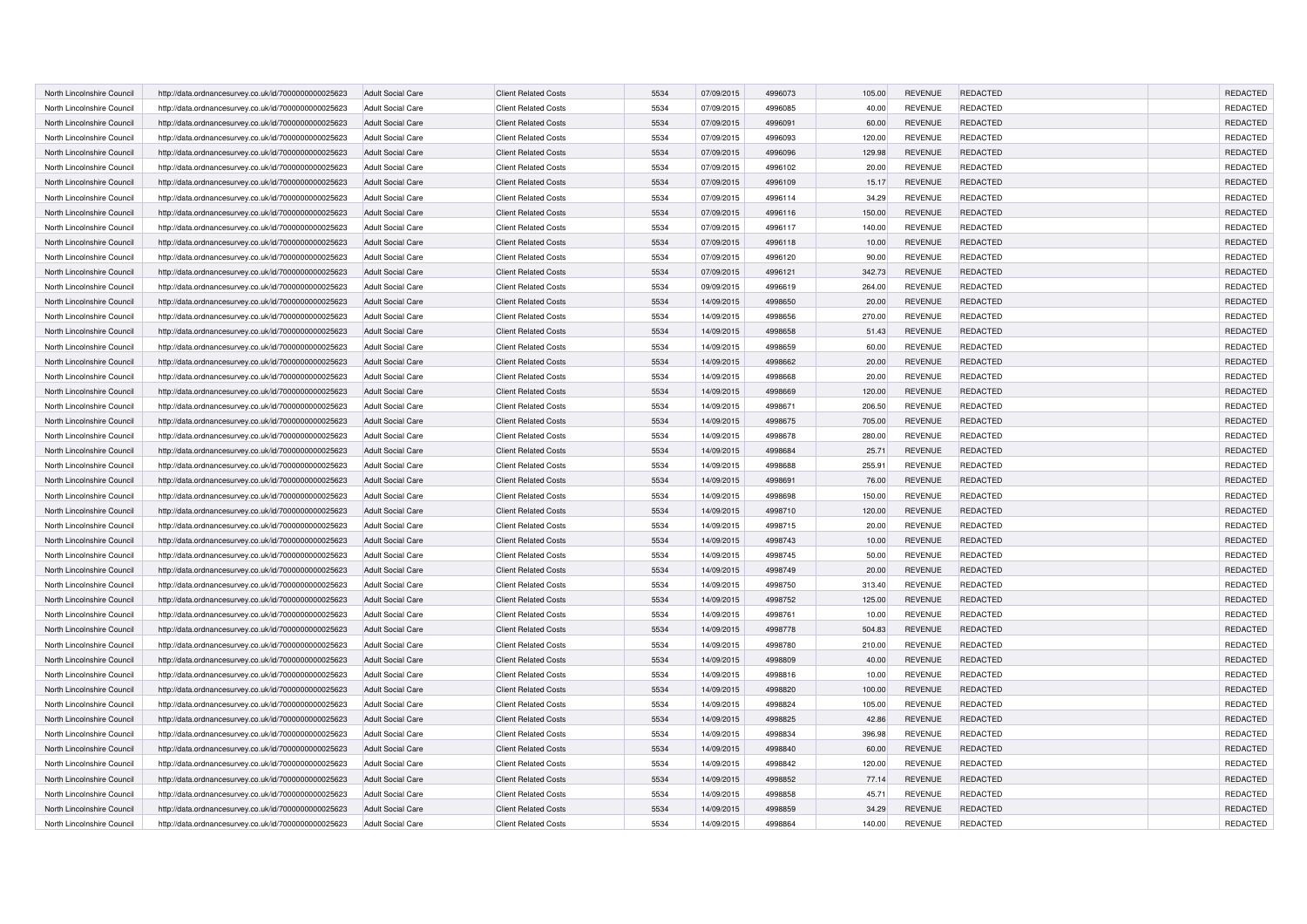| North Lincolnshire Council | http://data.ordnancesurvey.co.uk/id/7000000000025623 | <b>Adult Social Care</b> | <b>Client Related Costs</b> | 5534 | 07/09/2015 | 4996073 | 105.00 | <b>REVENUE</b> | REDACTED        | REDACTED        |
|----------------------------|------------------------------------------------------|--------------------------|-----------------------------|------|------------|---------|--------|----------------|-----------------|-----------------|
| North Lincolnshire Council | http://data.ordnancesurvey.co.uk/id/7000000000025623 | <b>Adult Social Care</b> | <b>Client Related Costs</b> | 5534 | 07/09/2015 | 4996085 | 40.00  | <b>REVENUE</b> | <b>REDACTED</b> | REDACTED        |
| North Lincolnshire Council | http://data.ordnancesurvey.co.uk/id/7000000000025623 | <b>Adult Social Care</b> | <b>Client Related Costs</b> | 5534 | 07/09/2015 | 4996091 | 60.00  | <b>REVENUE</b> | <b>REDACTED</b> | REDACTED        |
| North Lincolnshire Council | http://data.ordnancesurvey.co.uk/id/7000000000025623 | <b>Adult Social Care</b> | <b>Client Related Costs</b> | 5534 | 07/09/2015 | 4996093 | 120.00 | <b>REVENUE</b> | <b>REDACTED</b> | REDACTED        |
| North Lincolnshire Council | http://data.ordnancesurvey.co.uk/id/7000000000025623 | <b>Adult Social Care</b> | <b>Client Related Costs</b> | 5534 | 07/09/2015 | 4996096 | 129.98 | <b>REVENUE</b> | REDACTED        | REDACTED        |
| North Lincolnshire Council | http://data.ordnancesurvey.co.uk/id/7000000000025623 | <b>Adult Social Care</b> | <b>Client Related Costs</b> | 5534 | 07/09/2015 | 4996102 | 20.00  | <b>REVENUE</b> | <b>REDACTED</b> | REDACTED        |
| North Lincolnshire Council | http://data.ordnancesurvey.co.uk/id/7000000000025623 | <b>Adult Social Care</b> | <b>Client Related Costs</b> | 5534 | 07/09/2015 | 4996109 | 15.17  | <b>REVENUE</b> | <b>REDACTED</b> | <b>REDACTED</b> |
| North Lincolnshire Council | http://data.ordnancesurvey.co.uk/id/7000000000025623 | <b>Adult Social Care</b> | <b>Client Related Costs</b> | 5534 | 07/09/2015 | 4996114 | 34.29  | <b>REVENUE</b> | <b>REDACTED</b> | REDACTED        |
| North Lincolnshire Council | http://data.ordnancesurvey.co.uk/id/7000000000025623 | <b>Adult Social Care</b> | <b>Client Related Costs</b> | 5534 | 07/09/2015 | 4996116 | 150.00 | <b>REVENUE</b> | <b>REDACTED</b> | REDACTED        |
| North Lincolnshire Council | http://data.ordnancesurvey.co.uk/id/7000000000025623 | <b>Adult Social Care</b> | <b>Client Related Costs</b> | 5534 | 07/09/2015 | 4996117 | 140.00 | <b>REVENUE</b> | <b>REDACTED</b> | REDACTED        |
| North Lincolnshire Council | http://data.ordnancesurvey.co.uk/id/7000000000025623 | <b>Adult Social Care</b> | <b>Client Related Costs</b> | 5534 | 07/09/2015 | 4996118 | 10.00  | <b>REVENUE</b> | REDACTED        | REDACTED        |
| North Lincolnshire Council | http://data.ordnancesurvey.co.uk/id/7000000000025623 | <b>Adult Social Care</b> | <b>Client Related Costs</b> | 5534 | 07/09/2015 | 4996120 | 90.00  | <b>REVENUE</b> | <b>REDACTED</b> | REDACTED        |
| North Lincolnshire Council | http://data.ordnancesurvey.co.uk/id/7000000000025623 | Adult Social Care        | <b>Client Related Costs</b> | 5534 | 07/09/2015 | 4996121 | 342.73 | <b>REVENUE</b> | <b>REDACTED</b> | REDACTED        |
| North Lincolnshire Council | http://data.ordnancesurvey.co.uk/id/7000000000025623 | <b>Adult Social Care</b> | <b>Client Related Costs</b> | 5534 | 09/09/2015 | 4996619 | 264.00 | <b>REVENUE</b> | <b>REDACTED</b> | REDACTED        |
| North Lincolnshire Council | http://data.ordnancesurvey.co.uk/id/7000000000025623 | <b>Adult Social Care</b> | <b>Client Related Costs</b> | 5534 | 14/09/2015 | 4998650 | 20.00  | <b>REVENUE</b> | REDACTED        | REDACTED        |
| North Lincolnshire Council | http://data.ordnancesurvey.co.uk/id/7000000000025623 | <b>Adult Social Care</b> | <b>Client Related Costs</b> | 5534 | 14/09/2015 | 4998656 | 270.00 | <b>REVENUE</b> | REDACTED        | REDACTED        |
| North Lincolnshire Council | http://data.ordnancesurvey.co.uk/id/7000000000025623 | Adult Social Care        | <b>Client Related Costs</b> | 5534 | 14/09/2015 | 4998658 | 51.43  | <b>REVENUE</b> | <b>REDACTED</b> | REDACTED        |
| North Lincolnshire Council | http://data.ordnancesurvey.co.uk/id/7000000000025623 | <b>Adult Social Care</b> | <b>Client Related Costs</b> | 5534 | 14/09/2015 | 4998659 | 60.00  | <b>REVENUE</b> | REDACTED        | REDACTED        |
| North Lincolnshire Council | http://data.ordnancesurvey.co.uk/id/7000000000025623 | <b>Adult Social Care</b> | <b>Client Related Costs</b> | 5534 | 14/09/2015 | 4998662 | 20.00  | <b>REVENUE</b> | REDACTED        | REDACTED        |
| North Lincolnshire Council | http://data.ordnancesurvey.co.uk/id/7000000000025623 | <b>Adult Social Care</b> | <b>Client Related Costs</b> | 5534 | 14/09/2015 | 4998668 | 20.00  | <b>REVENUE</b> | REDACTED        | REDACTED        |
| North Lincolnshire Council | http://data.ordnancesurvey.co.uk/id/7000000000025623 | <b>Adult Social Care</b> | <b>Client Related Costs</b> | 5534 | 14/09/2015 | 4998669 | 120.00 | <b>REVENUE</b> | REDACTED        | REDACTED        |
| North Lincolnshire Council |                                                      | <b>Adult Social Care</b> | <b>Client Related Costs</b> | 5534 | 14/09/2015 | 4998671 | 206.50 | <b>REVENUE</b> | REDACTED        | REDACTED        |
| North Lincolnshire Council | http://data.ordnancesurvey.co.uk/id/7000000000025623 | <b>Adult Social Care</b> | <b>Client Related Costs</b> | 5534 | 14/09/2015 | 4998675 | 705.00 | <b>REVENUE</b> | REDACTED        | REDACTED        |
|                            | http://data.ordnancesurvey.co.uk/id/7000000000025623 |                          |                             |      |            |         |        |                |                 |                 |
| North Lincolnshire Council | http://data.ordnancesurvey.co.uk/id/7000000000025623 | <b>Adult Social Care</b> | <b>Client Related Costs</b> | 5534 | 14/09/2015 | 4998678 | 280.00 | <b>REVENUE</b> | REDACTED        | REDACTED        |
| North Lincolnshire Council | http://data.ordnancesurvey.co.uk/id/7000000000025623 | <b>Adult Social Care</b> | <b>Client Related Costs</b> | 5534 | 14/09/2015 | 4998684 | 25.71  | <b>REVENUE</b> | REDACTED        | REDACTED        |
| North Lincolnshire Council | http://data.ordnancesurvey.co.uk/id/7000000000025623 | <b>Adult Social Care</b> | <b>Client Related Costs</b> | 5534 | 14/09/2015 | 4998688 | 255.91 | <b>REVENUE</b> | REDACTED        | REDACTED        |
| North Lincolnshire Council | http://data.ordnancesurvey.co.uk/id/7000000000025623 | <b>Adult Social Care</b> | <b>Client Related Costs</b> | 5534 | 14/09/2015 | 4998691 | 76.00  | <b>REVENUE</b> | REDACTED        | REDACTED        |
| North Lincolnshire Council | http://data.ordnancesurvey.co.uk/id/7000000000025623 | Adult Social Care        | <b>Client Related Costs</b> | 5534 | 14/09/2015 | 4998698 | 150.00 | <b>REVENUE</b> | REDACTED        | REDACTED        |
| North Lincolnshire Council | http://data.ordnancesurvey.co.uk/id/7000000000025623 | <b>Adult Social Care</b> | <b>Client Related Costs</b> | 5534 | 14/09/2015 | 4998710 | 120.00 | <b>REVENUE</b> | REDACTED        | REDACTED        |
| North Lincolnshire Council | http://data.ordnancesurvey.co.uk/id/7000000000025623 | <b>Adult Social Care</b> | <b>Client Related Costs</b> | 5534 | 14/09/2015 | 4998715 | 20.00  | <b>REVENUE</b> | REDACTED        | REDACTED        |
| North Lincolnshire Council | http://data.ordnancesurvey.co.uk/id/7000000000025623 | <b>Adult Social Care</b> | <b>Client Related Costs</b> | 5534 | 14/09/2015 | 4998743 | 10.00  | <b>REVENUE</b> | <b>REDACTED</b> | REDACTED        |
| North Lincolnshire Council | http://data.ordnancesurvey.co.uk/id/7000000000025623 | Adult Social Care        | <b>Client Related Costs</b> | 5534 | 14/09/2015 | 4998745 | 50.00  | <b>REVENUE</b> | REDACTED        | REDACTED        |
| North Lincolnshire Council | http://data.ordnancesurvey.co.uk/id/7000000000025623 | <b>Adult Social Care</b> | <b>Client Related Costs</b> | 5534 | 14/09/2015 | 4998749 | 20.00  | <b>REVENUE</b> | REDACTED        | REDACTED        |
| North Lincolnshire Council | http://data.ordnancesurvey.co.uk/id/7000000000025623 | <b>Adult Social Care</b> | <b>Client Related Costs</b> | 5534 | 14/09/2015 | 4998750 | 313.40 | <b>REVENUE</b> | <b>REDACTED</b> | REDACTED        |
| North Lincolnshire Council | http://data.ordnancesurvey.co.uk/id/7000000000025623 | <b>Adult Social Care</b> | <b>Client Related Costs</b> | 5534 | 14/09/2015 | 4998752 | 125.00 | <b>REVENUE</b> | <b>REDACTED</b> | REDACTED        |
| North Lincolnshire Council | http://data.ordnancesurvey.co.uk/id/7000000000025623 | <b>Adult Social Care</b> | <b>Client Related Costs</b> | 5534 | 14/09/2015 | 4998761 | 10.00  | <b>REVENUE</b> | <b>REDACTED</b> | REDACTED        |
| North Lincolnshire Council | http://data.ordnancesurvey.co.uk/id/7000000000025623 | <b>Adult Social Care</b> | <b>Client Related Costs</b> | 5534 | 14/09/2015 | 4998778 | 504.83 | <b>REVENUE</b> | REDACTED        | REDACTED        |
| North Lincolnshire Council | http://data.ordnancesurvey.co.uk/id/7000000000025623 | <b>Adult Social Care</b> | <b>Client Related Costs</b> | 5534 | 14/09/2015 | 4998780 | 210.00 | <b>REVENUE</b> | <b>REDACTED</b> | REDACTED        |
| North Lincolnshire Council | http://data.ordnancesurvey.co.uk/id/7000000000025623 | <b>Adult Social Care</b> | <b>Client Related Costs</b> | 5534 | 14/09/2015 | 4998809 | 40.00  | <b>REVENUE</b> | REDACTED        | REDACTED        |
| North Lincolnshire Council | http://data.ordnancesurvey.co.uk/id/7000000000025623 | <b>Adult Social Care</b> | <b>Client Related Costs</b> | 5534 | 14/09/2015 | 4998816 | 10.00  | <b>REVENUE</b> | <b>REDACTED</b> | REDACTED        |
| North Lincolnshire Council | http://data.ordnancesurvey.co.uk/id/7000000000025623 | <b>Adult Social Care</b> | <b>Client Related Costs</b> | 5534 | 14/09/2015 | 4998820 | 100.00 | <b>REVENUE</b> | <b>REDACTED</b> | REDACTED        |
| North Lincolnshire Council | http://data.ordnancesurvey.co.uk/id/7000000000025623 | <b>Adult Social Care</b> | <b>Client Related Costs</b> | 5534 | 14/09/2015 | 4998824 | 105.00 | <b>REVENUE</b> | REDACTED        | REDACTED        |
| North Lincolnshire Council | http://data.ordnancesurvey.co.uk/id/7000000000025623 | <b>Adult Social Care</b> | <b>Client Related Costs</b> | 5534 | 14/09/2015 | 4998825 | 42.86  | <b>REVENUE</b> | REDACTED        | REDACTED        |
| North Lincolnshire Council | http://data.ordnancesurvey.co.uk/id/7000000000025623 | <b>Adult Social Care</b> | <b>Client Related Costs</b> | 5534 | 14/09/2015 | 4998834 | 396.98 | <b>REVENUE</b> | <b>REDACTED</b> | REDACTED        |
| North Lincolnshire Council | http://data.ordnancesurvey.co.uk/id/7000000000025623 | <b>Adult Social Care</b> | <b>Client Related Costs</b> | 5534 | 14/09/2015 | 4998840 | 60.00  | <b>REVENUE</b> | <b>REDACTED</b> | REDACTED        |
| North Lincolnshire Council | http://data.ordnancesurvey.co.uk/id/7000000000025623 | <b>Adult Social Care</b> | <b>Client Related Costs</b> | 5534 | 14/09/2015 | 4998842 | 120.00 | <b>REVENUE</b> | <b>REDACTED</b> | REDACTED        |
| North Lincolnshire Council | http://data.ordnancesurvey.co.uk/id/7000000000025623 | <b>Adult Social Care</b> | <b>Client Related Costs</b> | 5534 | 14/09/2015 | 4998852 | 77.14  | <b>REVENUE</b> | <b>REDACTED</b> | REDACTED        |
| North Lincolnshire Council | http://data.ordnancesurvey.co.uk/id/7000000000025623 | <b>Adult Social Care</b> | <b>Client Related Costs</b> | 5534 | 14/09/2015 | 4998858 | 45.71  | <b>REVENUE</b> | <b>REDACTED</b> | REDACTED        |
| North Lincolnshire Council | http://data.ordnancesurvey.co.uk/id/7000000000025623 | <b>Adult Social Care</b> | <b>Client Related Costs</b> | 5534 | 14/09/2015 | 4998859 | 34.29  | <b>REVENUE</b> | <b>REDACTED</b> | REDACTED        |
| North Lincolnshire Council | http://data.ordnancesurvey.co.uk/id/7000000000025623 | <b>Adult Social Care</b> | <b>Client Related Costs</b> | 5534 | 14/09/2015 | 4998864 | 140.00 | <b>REVENUE</b> | REDACTED        | REDACTED        |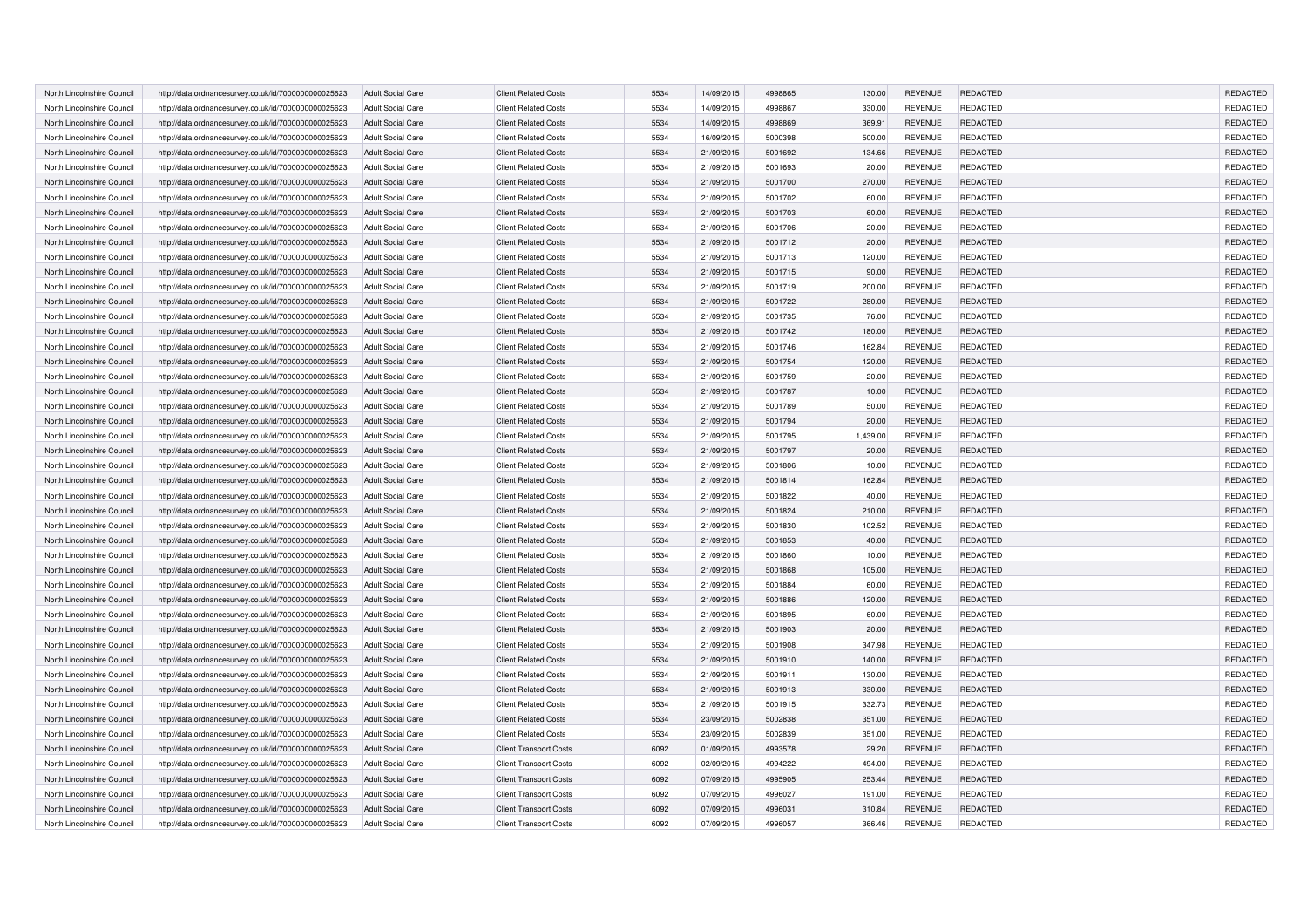| North Lincolnshire Council | http://data.ordnancesurvey.co.uk/id/7000000000025623 | <b>Adult Social Care</b> | <b>Client Related Costs</b>   | 5534 | 14/09/2015 | 4998865 | 130.00   | <b>REVENUE</b> | REDACTED        | REDACTED        |
|----------------------------|------------------------------------------------------|--------------------------|-------------------------------|------|------------|---------|----------|----------------|-----------------|-----------------|
| North Lincolnshire Council | http://data.ordnancesurvey.co.uk/id/7000000000025623 | <b>Adult Social Care</b> | <b>Client Related Costs</b>   | 5534 | 14/09/2015 | 4998867 | 330.00   | <b>REVENUE</b> | <b>REDACTED</b> | REDACTED        |
| North Lincolnshire Council | http://data.ordnancesurvey.co.uk/id/7000000000025623 | <b>Adult Social Care</b> | <b>Client Related Costs</b>   | 5534 | 14/09/2015 | 4998869 | 369.91   | <b>REVENUE</b> | <b>REDACTED</b> | REDACTED        |
| North Lincolnshire Council | http://data.ordnancesurvey.co.uk/id/7000000000025623 | <b>Adult Social Care</b> | <b>Client Related Costs</b>   | 5534 | 16/09/2015 | 5000398 | 500.00   | <b>REVENUE</b> | <b>REDACTED</b> | REDACTED        |
| North Lincolnshire Council | http://data.ordnancesurvey.co.uk/id/7000000000025623 | <b>Adult Social Care</b> | <b>Client Related Costs</b>   | 5534 | 21/09/2015 | 5001692 | 134.66   | <b>REVENUE</b> | REDACTED        | REDACTED        |
| North Lincolnshire Council | http://data.ordnancesurvey.co.uk/id/7000000000025623 | <b>Adult Social Care</b> | <b>Client Related Costs</b>   | 5534 | 21/09/2015 | 5001693 | 20.00    | <b>REVENUE</b> | <b>REDACTED</b> | REDACTED        |
| North Lincolnshire Council | http://data.ordnancesurvey.co.uk/id/7000000000025623 | <b>Adult Social Care</b> | <b>Client Related Costs</b>   | 5534 | 21/09/2015 | 5001700 | 270.00   | <b>REVENUE</b> | <b>REDACTED</b> | <b>REDACTED</b> |
| North Lincolnshire Council | http://data.ordnancesurvey.co.uk/id/7000000000025623 | <b>Adult Social Care</b> | <b>Client Related Costs</b>   | 5534 | 21/09/2015 | 5001702 | 60.00    | <b>REVENUE</b> | <b>REDACTED</b> | REDACTED        |
| North Lincolnshire Council | http://data.ordnancesurvey.co.uk/id/7000000000025623 | <b>Adult Social Care</b> | <b>Client Related Costs</b>   | 5534 | 21/09/2015 | 5001703 | 60.00    | <b>REVENUE</b> | <b>REDACTED</b> | REDACTED        |
| North Lincolnshire Council | http://data.ordnancesurvey.co.uk/id/7000000000025623 | <b>Adult Social Care</b> | <b>Client Related Costs</b>   | 5534 | 21/09/2015 | 5001706 | 20.00    | <b>REVENUE</b> | <b>REDACTED</b> | REDACTED        |
| North Lincolnshire Council | http://data.ordnancesurvey.co.uk/id/7000000000025623 | <b>Adult Social Care</b> | <b>Client Related Costs</b>   | 5534 | 21/09/2015 | 5001712 | 20.00    | <b>REVENUE</b> | REDACTED        | REDACTED        |
| North Lincolnshire Council | http://data.ordnancesurvey.co.uk/id/7000000000025623 | <b>Adult Social Care</b> | <b>Client Related Costs</b>   | 5534 | 21/09/2015 | 5001713 | 120.00   | <b>REVENUE</b> | <b>REDACTED</b> | REDACTED        |
| North Lincolnshire Council | http://data.ordnancesurvey.co.uk/id/7000000000025623 | Adult Social Care        | <b>Client Related Costs</b>   | 5534 | 21/09/2015 | 5001715 | 90.00    | <b>REVENUE</b> | <b>REDACTED</b> | REDACTED        |
| North Lincolnshire Council | http://data.ordnancesurvey.co.uk/id/7000000000025623 | <b>Adult Social Care</b> | <b>Client Related Costs</b>   | 5534 | 21/09/2015 | 5001719 | 200.00   | <b>REVENUE</b> | <b>REDACTED</b> | REDACTED        |
| North Lincolnshire Council | http://data.ordnancesurvey.co.uk/id/7000000000025623 | <b>Adult Social Care</b> | <b>Client Related Costs</b>   | 5534 | 21/09/2015 | 5001722 | 280.00   | <b>REVENUE</b> | REDACTED        | REDACTED        |
| North Lincolnshire Council | http://data.ordnancesurvey.co.uk/id/7000000000025623 | <b>Adult Social Care</b> | <b>Client Related Costs</b>   | 5534 | 21/09/2015 | 5001735 | 76.00    | <b>REVENUE</b> | REDACTED        | REDACTED        |
| North Lincolnshire Council | http://data.ordnancesurvey.co.uk/id/7000000000025623 | Adult Social Care        | <b>Client Related Costs</b>   | 5534 | 21/09/2015 | 5001742 | 180.00   | <b>REVENUE</b> | <b>REDACTED</b> | REDACTED        |
| North Lincolnshire Council | http://data.ordnancesurvey.co.uk/id/7000000000025623 | <b>Adult Social Care</b> | <b>Client Related Costs</b>   | 5534 | 21/09/2015 | 5001746 | 162.84   | <b>REVENUE</b> | REDACTED        | REDACTED        |
| North Lincolnshire Council | http://data.ordnancesurvey.co.uk/id/7000000000025623 | Adult Social Care        | <b>Client Related Costs</b>   | 5534 | 21/09/2015 | 5001754 | 120.00   | <b>REVENUE</b> | REDACTED        | REDACTED        |
| North Lincolnshire Council | http://data.ordnancesurvey.co.uk/id/7000000000025623 | <b>Adult Social Care</b> | <b>Client Related Costs</b>   | 5534 | 21/09/2015 | 5001759 | 20.00    | <b>REVENUE</b> | REDACTED        | REDACTED        |
| North Lincolnshire Council | http://data.ordnancesurvey.co.uk/id/7000000000025623 | <b>Adult Social Care</b> | <b>Client Related Costs</b>   | 5534 | 21/09/2015 | 5001787 | 10.00    | <b>REVENUE</b> | REDACTED        | REDACTED        |
| North Lincolnshire Council |                                                      | <b>Adult Social Care</b> | <b>Client Related Costs</b>   | 5534 | 21/09/2015 | 5001789 | 50.00    | <b>REVENUE</b> | REDACTED        | REDACTED        |
| North Lincolnshire Council | http://data.ordnancesurvey.co.uk/id/7000000000025623 | <b>Adult Social Care</b> | <b>Client Related Costs</b>   | 5534 | 21/09/2015 | 5001794 | 20.00    | <b>REVENUE</b> | REDACTED        | REDACTED        |
|                            | http://data.ordnancesurvey.co.uk/id/7000000000025623 |                          |                               |      |            | 5001795 |          |                |                 |                 |
| North Lincolnshire Council | http://data.ordnancesurvey.co.uk/id/7000000000025623 | <b>Adult Social Care</b> | <b>Client Related Costs</b>   | 5534 | 21/09/2015 |         | 1,439.00 | <b>REVENUE</b> | REDACTED        | REDACTED        |
| North Lincolnshire Council | http://data.ordnancesurvey.co.uk/id/7000000000025623 | <b>Adult Social Care</b> | <b>Client Related Costs</b>   | 5534 | 21/09/2015 | 5001797 | 20.00    | <b>REVENUE</b> | REDACTED        | REDACTED        |
| North Lincolnshire Council | http://data.ordnancesurvey.co.uk/id/7000000000025623 | <b>Adult Social Care</b> | <b>Client Related Costs</b>   | 5534 | 21/09/2015 | 5001806 | 10.00    | <b>REVENUE</b> | REDACTED        | REDACTED        |
| North Lincolnshire Council | http://data.ordnancesurvey.co.uk/id/7000000000025623 | <b>Adult Social Care</b> | <b>Client Related Costs</b>   | 5534 | 21/09/2015 | 5001814 | 162.84   | <b>REVENUE</b> | <b>REDACTED</b> | REDACTED        |
| North Lincolnshire Council | http://data.ordnancesurvey.co.uk/id/7000000000025623 | Adult Social Care        | <b>Client Related Costs</b>   | 5534 | 21/09/2015 | 5001822 | 40.00    | <b>REVENUE</b> | REDACTED        | REDACTED        |
| North Lincolnshire Council | http://data.ordnancesurvey.co.uk/id/7000000000025623 | <b>Adult Social Care</b> | <b>Client Related Costs</b>   | 5534 | 21/09/2015 | 5001824 | 210.00   | <b>REVENUE</b> | <b>REDACTED</b> | REDACTED        |
| North Lincolnshire Council | http://data.ordnancesurvey.co.uk/id/7000000000025623 | <b>Adult Social Care</b> | <b>Client Related Costs</b>   | 5534 | 21/09/2015 | 5001830 | 102.52   | <b>REVENUE</b> | REDACTED        | REDACTED        |
| North Lincolnshire Council | http://data.ordnancesurvey.co.uk/id/7000000000025623 | <b>Adult Social Care</b> | <b>Client Related Costs</b>   | 5534 | 21/09/2015 | 5001853 | 40.00    | <b>REVENUE</b> | <b>REDACTED</b> | REDACTED        |
| North Lincolnshire Council | http://data.ordnancesurvey.co.uk/id/7000000000025623 | Adult Social Care        | <b>Client Related Costs</b>   | 5534 | 21/09/2015 | 5001860 | 10.00    | <b>REVENUE</b> | REDACTED        | REDACTED        |
| North Lincolnshire Council | http://data.ordnancesurvey.co.uk/id/7000000000025623 | <b>Adult Social Care</b> | <b>Client Related Costs</b>   | 5534 | 21/09/2015 | 5001868 | 105.00   | <b>REVENUE</b> | <b>REDACTED</b> | REDACTED        |
| North Lincolnshire Council | http://data.ordnancesurvey.co.uk/id/7000000000025623 | <b>Adult Social Care</b> | <b>Client Related Costs</b>   | 5534 | 21/09/2015 | 5001884 | 60.00    | <b>REVENUE</b> | <b>REDACTED</b> | REDACTED        |
| North Lincolnshire Council | http://data.ordnancesurvey.co.uk/id/7000000000025623 | <b>Adult Social Care</b> | <b>Client Related Costs</b>   | 5534 | 21/09/2015 | 5001886 | 120.00   | <b>REVENUE</b> | <b>REDACTED</b> | REDACTED        |
| North Lincolnshire Council | http://data.ordnancesurvey.co.uk/id/7000000000025623 | <b>Adult Social Care</b> | <b>Client Related Costs</b>   | 5534 | 21/09/2015 | 5001895 | 60.00    | <b>REVENUE</b> | <b>REDACTED</b> | REDACTED        |
| North Lincolnshire Council | http://data.ordnancesurvey.co.uk/id/7000000000025623 | <b>Adult Social Care</b> | <b>Client Related Costs</b>   | 5534 | 21/09/2015 | 5001903 | 20.00    | <b>REVENUE</b> | <b>REDACTED</b> | REDACTED        |
| North Lincolnshire Council | http://data.ordnancesurvey.co.uk/id/7000000000025623 | <b>Adult Social Care</b> | <b>Client Related Costs</b>   | 5534 | 21/09/2015 | 5001908 | 347.98   | <b>REVENUE</b> | <b>REDACTED</b> | REDACTED        |
| North Lincolnshire Council | http://data.ordnancesurvey.co.uk/id/7000000000025623 | <b>Adult Social Care</b> | <b>Client Related Costs</b>   | 5534 | 21/09/2015 | 5001910 | 140.00   | <b>REVENUE</b> | <b>REDACTED</b> | REDACTED        |
| North Lincolnshire Council | http://data.ordnancesurvey.co.uk/id/7000000000025623 | <b>Adult Social Care</b> | <b>Client Related Costs</b>   | 5534 | 21/09/2015 | 5001911 | 130.00   | <b>REVENUE</b> | <b>REDACTED</b> | REDACTED        |
| North Lincolnshire Council | http://data.ordnancesurvey.co.uk/id/7000000000025623 | <b>Adult Social Care</b> | <b>Client Related Costs</b>   | 5534 | 21/09/2015 | 5001913 | 330.00   | <b>REVENUE</b> | <b>REDACTED</b> | REDACTED        |
| North Lincolnshire Council | http://data.ordnancesurvey.co.uk/id/7000000000025623 | <b>Adult Social Care</b> | <b>Client Related Costs</b>   | 5534 | 21/09/2015 | 5001915 | 332.73   | <b>REVENUE</b> | REDACTED        | REDACTED        |
| North Lincolnshire Council | http://data.ordnancesurvey.co.uk/id/7000000000025623 | <b>Adult Social Care</b> | <b>Client Related Costs</b>   | 5534 | 23/09/2015 | 5002838 | 351.00   | <b>REVENUE</b> | <b>REDACTED</b> | REDACTED        |
| North Lincolnshire Council | http://data.ordnancesurvey.co.uk/id/7000000000025623 | <b>Adult Social Care</b> | <b>Client Related Costs</b>   | 5534 | 23/09/2015 | 5002839 | 351.00   | <b>REVENUE</b> | <b>REDACTED</b> | REDACTED        |
| North Lincolnshire Council | http://data.ordnancesurvey.co.uk/id/7000000000025623 | <b>Adult Social Care</b> | <b>Client Transport Costs</b> | 6092 | 01/09/2015 | 4993578 | 29.20    | <b>REVENUE</b> | <b>REDACTED</b> | <b>REDACTED</b> |
| North Lincolnshire Council | http://data.ordnancesurvey.co.uk/id/7000000000025623 | <b>Adult Social Care</b> | <b>Client Transport Costs</b> | 6092 | 02/09/2015 | 4994222 | 494.00   | <b>REVENUE</b> | <b>REDACTED</b> | REDACTED        |
| North Lincolnshire Council | http://data.ordnancesurvey.co.uk/id/7000000000025623 | <b>Adult Social Care</b> | <b>Client Transport Costs</b> | 6092 | 07/09/2015 | 4995905 | 253.44   | <b>REVENUE</b> | <b>REDACTED</b> | REDACTED        |
| North Lincolnshire Council | http://data.ordnancesurvey.co.uk/id/7000000000025623 | <b>Adult Social Care</b> | <b>Client Transport Costs</b> | 6092 | 07/09/2015 | 4996027 | 191.00   | <b>REVENUE</b> | <b>REDACTED</b> | REDACTED        |
| North Lincolnshire Council | http://data.ordnancesurvey.co.uk/id/7000000000025623 | <b>Adult Social Care</b> | <b>Client Transport Costs</b> | 6092 | 07/09/2015 | 4996031 | 310.84   | <b>REVENUE</b> | <b>REDACTED</b> | REDACTED        |
| North Lincolnshire Council | http://data.ordnancesurvey.co.uk/id/7000000000025623 | <b>Adult Social Care</b> | <b>Client Transport Costs</b> | 6092 | 07/09/2015 | 4996057 | 366.46   | <b>REVENUE</b> | REDACTED        | REDACTED        |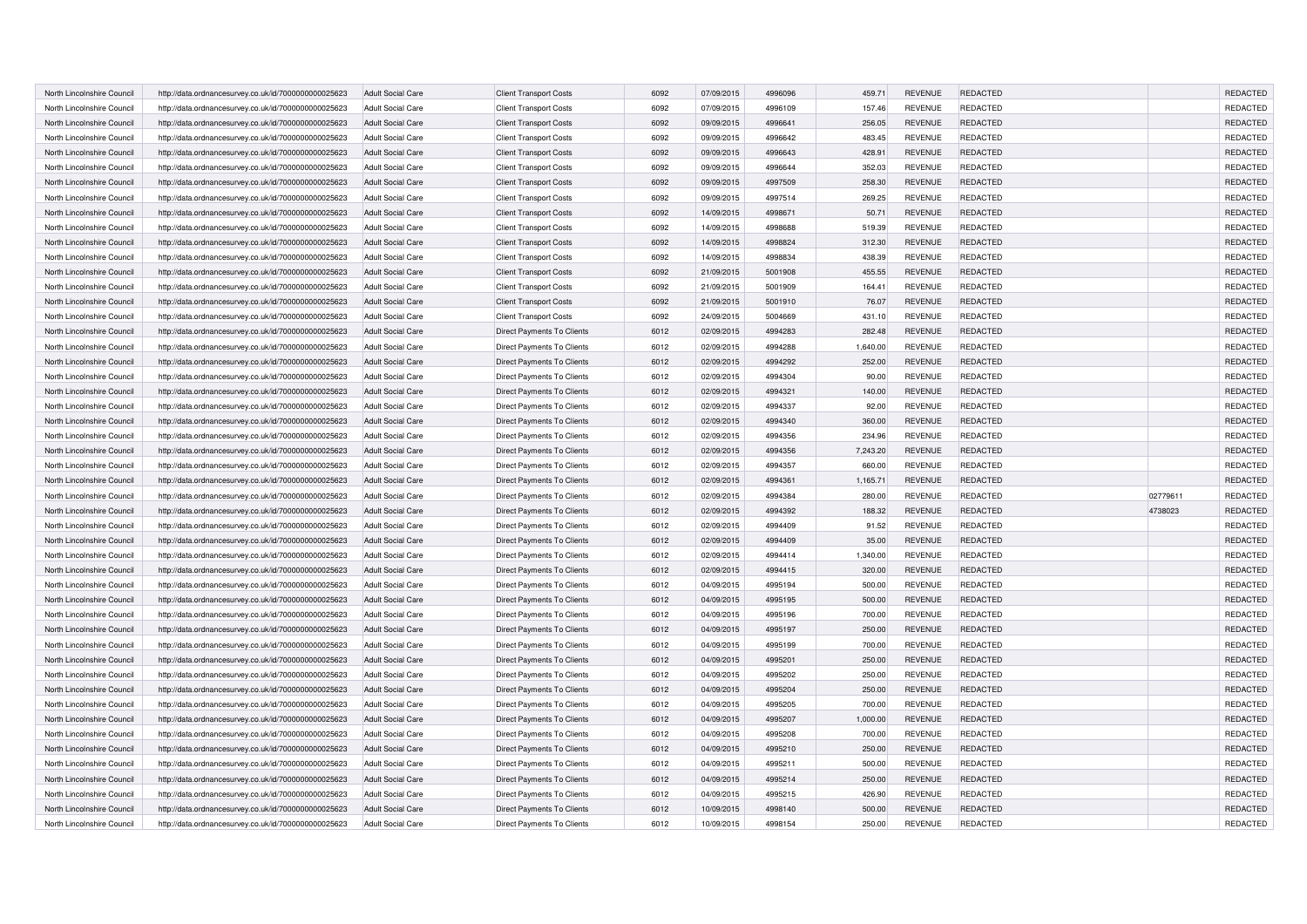| North Lincolnshire Council | http://data.ordnancesurvey.co.uk/id/7000000000025623 | <b>Adult Social Care</b> | <b>Client Transport Costs</b> | 6092 | 07/09/2015 | 4996096 | 459.71   | <b>REVENUE</b> | <b>REDACTED</b> |          | REDACTED        |
|----------------------------|------------------------------------------------------|--------------------------|-------------------------------|------|------------|---------|----------|----------------|-----------------|----------|-----------------|
| North Lincolnshire Council | http://data.ordnancesurvey.co.uk/id/7000000000025623 | <b>Adult Social Care</b> | <b>Client Transport Costs</b> | 6092 | 07/09/2015 | 4996109 | 157.46   | <b>REVENUE</b> | <b>REDACTED</b> |          | REDACTED        |
| North Lincolnshire Council | http://data.ordnancesurvey.co.uk/id/7000000000025623 | <b>Adult Social Care</b> | <b>Client Transport Costs</b> | 6092 | 09/09/2015 | 4996641 | 256.05   | <b>REVENUE</b> | <b>REDACTED</b> |          | REDACTED        |
| North Lincolnshire Council | http://data.ordnancesurvey.co.uk/id/7000000000025623 | <b>Adult Social Care</b> | <b>Client Transport Costs</b> | 6092 | 09/09/2015 | 4996642 | 483.45   | <b>REVENUE</b> | <b>REDACTED</b> |          | REDACTED        |
| North Lincolnshire Council | http://data.ordnancesurvey.co.uk/id/7000000000025623 | <b>Adult Social Care</b> | <b>Client Transport Costs</b> | 6092 | 09/09/2015 | 4996643 | 428.91   | <b>REVENUE</b> | <b>REDACTED</b> |          | REDACTED        |
| North Lincolnshire Council | http://data.ordnancesurvey.co.uk/id/7000000000025623 | Adult Social Care        | <b>Client Transport Costs</b> | 6092 | 09/09/2015 | 4996644 | 352.03   | <b>REVENUE</b> | <b>REDACTED</b> |          | REDACTED        |
| North Lincolnshire Council | http://data.ordnancesurvey.co.uk/id/7000000000025623 | <b>Adult Social Care</b> | <b>Client Transport Costs</b> | 6092 | 09/09/2015 | 4997509 | 258.30   | <b>REVENUE</b> | <b>REDACTED</b> |          | <b>REDACTED</b> |
| North Lincolnshire Council | http://data.ordnancesurvey.co.uk/id/7000000000025623 | <b>Adult Social Care</b> | <b>Client Transport Costs</b> | 6092 | 09/09/2015 | 4997514 | 269.25   | <b>REVENUE</b> | <b>REDACTED</b> |          | REDACTED        |
| North Lincolnshire Council | http://data.ordnancesurvey.co.uk/id/7000000000025623 | <b>Adult Social Care</b> | <b>Client Transport Costs</b> | 6092 | 14/09/2015 | 4998671 | 50.71    | <b>REVENUE</b> | <b>REDACTED</b> |          | REDACTED        |
| North Lincolnshire Council | http://data.ordnancesurvey.co.uk/id/7000000000025623 | Adult Social Care        | <b>Client Transport Costs</b> | 6092 | 14/09/2015 | 4998688 | 519.39   | <b>REVENUE</b> | <b>REDACTED</b> |          | REDACTED        |
| North Lincolnshire Council | http://data.ordnancesurvey.co.uk/id/7000000000025623 | <b>Adult Social Care</b> | <b>Client Transport Costs</b> | 6092 | 14/09/2015 | 4998824 | 312.30   | <b>REVENUE</b> | REDACTED        |          | REDACTED        |
| North Lincolnshire Council | http://data.ordnancesurvey.co.uk/id/7000000000025623 | <b>Adult Social Care</b> | <b>Client Transport Costs</b> | 6092 | 14/09/2015 | 4998834 | 438.39   | <b>REVENUE</b> | <b>REDACTED</b> |          | REDACTED        |
| North Lincolnshire Council | http://data.ordnancesurvey.co.uk/id/7000000000025623 | <b>Adult Social Care</b> | <b>Client Transport Costs</b> | 6092 | 21/09/2015 | 5001908 | 455.55   | <b>REVENUE</b> | REDACTED        |          | REDACTED        |
| North Lincolnshire Council | http://data.ordnancesurvey.co.uk/id/7000000000025623 | <b>Adult Social Care</b> | <b>Client Transport Costs</b> | 6092 | 21/09/2015 | 5001909 | 164.41   | <b>REVENUE</b> | <b>REDACTED</b> |          | REDACTED        |
| North Lincolnshire Council | http://data.ordnancesurvey.co.uk/id/7000000000025623 | <b>Adult Social Care</b> | <b>Client Transport Costs</b> | 6092 | 21/09/2015 | 5001910 | 76.07    | <b>REVENUE</b> | REDACTED        |          | REDACTED        |
| North Lincolnshire Council | http://data.ordnancesurvey.co.uk/id/7000000000025623 | Adult Social Care        | <b>Client Transport Costs</b> | 6092 | 24/09/2015 | 5004669 | 431.10   | <b>REVENUE</b> | <b>REDACTED</b> |          | REDACTED        |
| North Lincolnshire Council | http://data.ordnancesurvey.co.uk/id/7000000000025623 | Adult Social Care        | Direct Payments To Clients    | 6012 | 02/09/2015 | 4994283 | 282.48   | <b>REVENUE</b> | REDACTED        |          | REDACTED        |
| North Lincolnshire Council | http://data.ordnancesurvey.co.uk/id/7000000000025623 | <b>Adult Social Care</b> | Direct Payments To Clients    | 6012 | 02/09/2015 | 4994288 | 1,640.00 | <b>REVENUE</b> | <b>REDACTED</b> |          | REDACTED        |
| North Lincolnshire Council | http://data.ordnancesurvey.co.uk/id/7000000000025623 | Adult Social Care        | Direct Payments To Clients    | 6012 | 02/09/2015 | 4994292 | 252.00   | <b>REVENUE</b> | REDACTED        |          | REDACTED        |
| North Lincolnshire Council | http://data.ordnancesurvey.co.uk/id/7000000000025623 | Adult Social Care        | Direct Payments To Clients    | 6012 | 02/09/2015 | 4994304 | 90.00    | <b>REVENUE</b> | <b>REDACTED</b> |          | REDACTED        |
| North Lincolnshire Council | http://data.ordnancesurvey.co.uk/id/7000000000025623 | <b>Adult Social Care</b> | Direct Payments To Clients    | 6012 | 02/09/2015 | 4994321 | 140.00   | <b>REVENUE</b> | REDACTED        |          | REDACTED        |
| North Lincolnshire Council | http://data.ordnancesurvey.co.uk/id/7000000000025623 | <b>Adult Social Care</b> | Direct Payments To Clients    | 6012 | 02/09/2015 | 4994337 | 92.00    | <b>REVENUE</b> | <b>REDACTED</b> |          | REDACTED        |
| North Lincolnshire Council | http://data.ordnancesurvey.co.uk/id/7000000000025623 | <b>Adult Social Care</b> | Direct Payments To Clients    | 6012 | 02/09/2015 | 4994340 | 360.00   | <b>REVENUE</b> | REDACTED        |          | REDACTED        |
| North Lincolnshire Council | http://data.ordnancesurvey.co.uk/id/7000000000025623 | <b>Adult Social Care</b> | Direct Payments To Clients    | 6012 | 02/09/2015 | 4994356 | 234.96   | <b>REVENUE</b> | <b>REDACTED</b> |          | REDACTED        |
| North Lincolnshire Council | http://data.ordnancesurvey.co.uk/id/7000000000025623 | <b>Adult Social Care</b> | Direct Payments To Clients    | 6012 | 02/09/2015 | 4994356 | 7,243.20 | <b>REVENUE</b> | REDACTED        |          | REDACTED        |
| North Lincolnshire Council | http://data.ordnancesurvey.co.uk/id/7000000000025623 | <b>Adult Social Care</b> | Direct Payments To Clients    | 6012 | 02/09/2015 | 4994357 | 660.00   | <b>REVENUE</b> | <b>REDACTED</b> |          | REDACTED        |
| North Lincolnshire Council | http://data.ordnancesurvey.co.uk/id/7000000000025623 | Adult Social Care        | Direct Payments To Clients    | 6012 | 02/09/2015 | 4994361 | 1,165.71 | <b>REVENUE</b> | REDACTED        |          | REDACTED        |
| North Lincolnshire Council | http://data.ordnancesurvey.co.uk/id/7000000000025623 | <b>Adult Social Care</b> | Direct Payments To Clients    | 6012 | 02/09/2015 | 4994384 | 280.00   | <b>REVENUE</b> | <b>REDACTED</b> | 02779611 | REDACTED        |
| North Lincolnshire Council | http://data.ordnancesurvey.co.uk/id/7000000000025623 | <b>Adult Social Care</b> | Direct Payments To Clients    | 6012 | 02/09/2015 | 4994392 | 188.32   | <b>REVENUE</b> | REDACTED        | 4738023  | REDACTED        |
| North Lincolnshire Council | http://data.ordnancesurvey.co.uk/id/7000000000025623 | Adult Social Care        | Direct Payments To Clients    | 6012 | 02/09/2015 | 4994409 | 91.52    | <b>REVENUE</b> | <b>REDACTED</b> |          | REDACTED        |
| North Lincolnshire Council | http://data.ordnancesurvey.co.uk/id/7000000000025623 | <b>Adult Social Care</b> | Direct Payments To Clients    | 6012 | 02/09/2015 | 4994409 | 35.00    | <b>REVENUE</b> | REDACTED        |          | REDACTED        |
| North Lincolnshire Council | http://data.ordnancesurvey.co.uk/id/7000000000025623 | <b>Adult Social Care</b> | Direct Payments To Clients    | 6012 | 02/09/2015 | 4994414 | 1,340.00 | <b>REVENUE</b> | <b>REDACTED</b> |          | REDACTED        |
| North Lincolnshire Council | http://data.ordnancesurvey.co.uk/id/7000000000025623 | <b>Adult Social Care</b> | Direct Payments To Clients    | 6012 | 02/09/2015 | 4994415 | 320.00   | <b>REVENUE</b> | REDACTED        |          | REDACTED        |
| North Lincolnshire Council | http://data.ordnancesurvey.co.uk/id/7000000000025623 | <b>Adult Social Care</b> | Direct Payments To Clients    | 6012 | 04/09/2015 | 4995194 | 500.00   | <b>REVENUE</b> | <b>REDACTED</b> |          | REDACTED        |
| North Lincolnshire Council | http://data.ordnancesurvey.co.uk/id/7000000000025623 | <b>Adult Social Care</b> | Direct Payments To Clients    | 6012 | 04/09/2015 | 4995195 | 500.00   | <b>REVENUE</b> | REDACTED        |          | REDACTED        |
| North Lincolnshire Council | http://data.ordnancesurvey.co.uk/id/7000000000025623 | <b>Adult Social Care</b> | Direct Payments To Clients    | 6012 | 04/09/2015 | 4995196 | 700.00   | <b>REVENUE</b> | <b>REDACTED</b> |          | REDACTED        |
| North Lincolnshire Council | http://data.ordnancesurvey.co.uk/id/7000000000025623 | <b>Adult Social Care</b> | Direct Payments To Clients    | 6012 | 04/09/2015 | 4995197 | 250.00   | <b>REVENUE</b> | REDACTED        |          | REDACTED        |
| North Lincolnshire Council | http://data.ordnancesurvey.co.uk/id/7000000000025623 | <b>Adult Social Care</b> | Direct Payments To Clients    | 6012 | 04/09/2015 | 4995199 | 700.00   | <b>REVENUE</b> | <b>REDACTED</b> |          | REDACTED        |
| North Lincolnshire Council | http://data.ordnancesurvey.co.uk/id/7000000000025623 | <b>Adult Social Care</b> | Direct Payments To Clients    | 6012 | 04/09/2015 | 4995201 | 250.00   | <b>REVENUE</b> | REDACTED        |          | REDACTED        |
| North Lincolnshire Council | http://data.ordnancesurvey.co.uk/id/7000000000025623 | <b>Adult Social Care</b> | Direct Payments To Clients    | 6012 | 04/09/2015 | 4995202 | 250.00   | <b>REVENUE</b> | <b>REDACTED</b> |          | REDACTED        |
| North Lincolnshire Council | http://data.ordnancesurvey.co.uk/id/7000000000025623 | Adult Social Care        | Direct Payments To Clients    | 6012 | 04/09/2015 | 4995204 | 250.00   | <b>REVENUE</b> | <b>REDACTED</b> |          | REDACTED        |
| North Lincolnshire Council | http://data.ordnancesurvey.co.uk/id/7000000000025623 | <b>Adult Social Care</b> | Direct Payments To Clients    | 6012 | 04/09/2015 | 4995205 | 700.00   | <b>REVENUE</b> | <b>REDACTED</b> |          | REDACTED        |
| North Lincolnshire Council | http://data.ordnancesurvey.co.uk/id/7000000000025623 | <b>Adult Social Care</b> | Direct Payments To Clients    | 6012 | 04/09/2015 | 4995207 | 1,000.00 | <b>REVENUE</b> | REDACTED        |          | REDACTED        |
| North Lincolnshire Council | http://data.ordnancesurvey.co.uk/id/7000000000025623 | Adult Social Care        | Direct Payments To Clients    | 6012 | 04/09/2015 | 4995208 | 700.00   | <b>REVENUE</b> | <b>REDACTED</b> |          | REDACTED        |
| North Lincolnshire Council | http://data.ordnancesurvey.co.uk/id/7000000000025623 | <b>Adult Social Care</b> | Direct Payments To Clients    | 6012 | 04/09/2015 | 4995210 | 250.00   | <b>REVENUE</b> | <b>REDACTED</b> |          | <b>REDACTED</b> |
| North Lincolnshire Council | http://data.ordnancesurvey.co.uk/id/7000000000025623 | <b>Adult Social Care</b> | Direct Payments To Clients    | 6012 | 04/09/2015 | 4995211 | 500.00   | <b>REVENUE</b> | <b>REDACTED</b> |          | REDACTED        |
| North Lincolnshire Council | http://data.ordnancesurvey.co.uk/id/7000000000025623 | <b>Adult Social Care</b> | Direct Payments To Clients    | 6012 | 04/09/2015 | 4995214 | 250.00   | <b>REVENUE</b> | <b>REDACTED</b> |          | REDACTED        |
| North Lincolnshire Council | http://data.ordnancesurvey.co.uk/id/7000000000025623 | Adult Social Care        | Direct Payments To Clients    | 6012 | 04/09/2015 | 4995215 | 426.90   | <b>REVENUE</b> | <b>REDACTED</b> |          | REDACTED        |
| North Lincolnshire Council | http://data.ordnancesurvey.co.uk/id/7000000000025623 | <b>Adult Social Care</b> | Direct Payments To Clients    | 6012 | 10/09/2015 | 4998140 | 500.00   | <b>REVENUE</b> | REDACTED        |          | REDACTED        |
| North Lincolnshire Council | http://data.ordnancesurvey.co.uk/id/7000000000025623 | <b>Adult Social Care</b> | Direct Payments To Clients    | 6012 | 10/09/2015 | 4998154 | 250.00   | <b>REVENUE</b> | <b>REDACTED</b> |          | REDACTED        |
|                            |                                                      |                          |                               |      |            |         |          |                |                 |          |                 |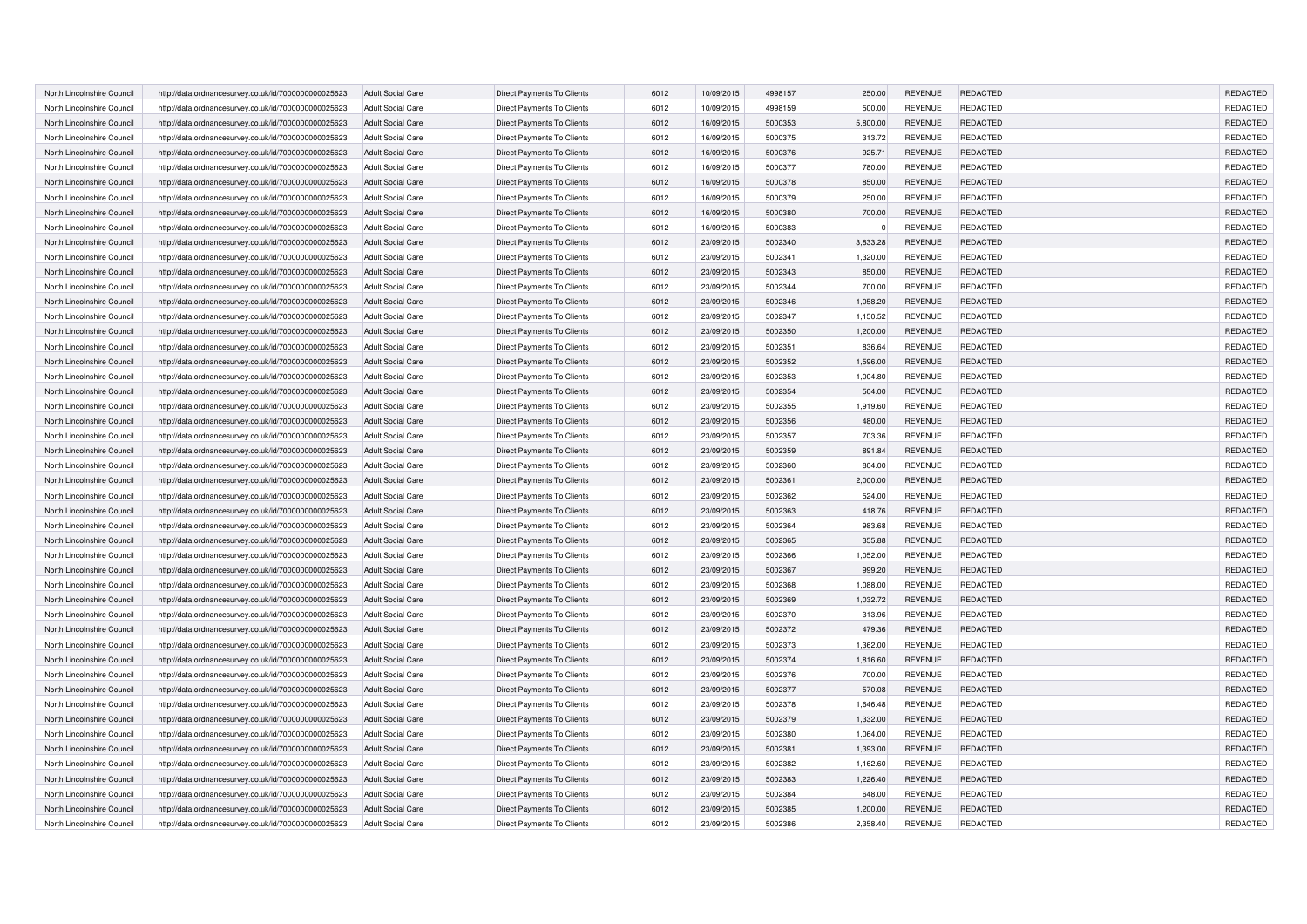| North Lincolnshire Council | http://data.ordnancesurvey.co.uk/id/7000000000025623 | <b>Adult Social Care</b> | Direct Payments To Clients        | 6012 | 10/09/2015 | 4998157 | 250.00   | <b>REVENUE</b> | <b>REDACTED</b> | REDACTED        |
|----------------------------|------------------------------------------------------|--------------------------|-----------------------------------|------|------------|---------|----------|----------------|-----------------|-----------------|
| North Lincolnshire Council | http://data.ordnancesurvey.co.uk/id/7000000000025623 | <b>Adult Social Care</b> | Direct Payments To Clients        | 6012 | 10/09/2015 | 4998159 | 500.00   | <b>REVENUE</b> | <b>REDACTED</b> | REDACTED        |
|                            |                                                      |                          |                                   | 6012 |            | 5000353 |          |                |                 |                 |
| North Lincolnshire Council | http://data.ordnancesurvey.co.uk/id/7000000000025623 | Adult Social Care        | Direct Payments To Clients        |      | 16/09/2015 |         | 5,800.00 | <b>REVENUE</b> | <b>REDACTED</b> | REDACTED        |
| North Lincolnshire Council | http://data.ordnancesurvey.co.uk/id/7000000000025623 | <b>Adult Social Care</b> | Direct Payments To Clients        | 6012 | 16/09/2015 | 5000375 | 313.72   | <b>REVENUE</b> | <b>REDACTED</b> | REDACTED        |
| North Lincolnshire Council | http://data.ordnancesurvey.co.uk/id/7000000000025623 | <b>Adult Social Care</b> | Direct Payments To Clients        | 6012 | 16/09/2015 | 5000376 | 925.71   | <b>REVENUE</b> | <b>REDACTED</b> | REDACTED        |
| North Lincolnshire Council | http://data.ordnancesurvey.co.uk/id/7000000000025623 | Adult Social Care        | Direct Payments To Clients        | 6012 | 16/09/2015 | 5000377 | 780.00   | <b>REVENUE</b> | <b>REDACTED</b> | REDACTED        |
| North Lincolnshire Council | http://data.ordnancesurvey.co.uk/id/7000000000025623 | <b>Adult Social Care</b> | Direct Payments To Clients        | 6012 | 16/09/2015 | 5000378 | 850.00   | <b>REVENUE</b> | <b>REDACTED</b> | <b>REDACTED</b> |
| North Lincolnshire Council | http://data.ordnancesurvey.co.uk/id/7000000000025623 | <b>Adult Social Care</b> | Direct Payments To Clients        | 6012 | 16/09/2015 | 5000379 | 250.00   | <b>REVENUE</b> | <b>REDACTED</b> | REDACTED        |
| North Lincolnshire Council | http://data.ordnancesurvey.co.uk/id/7000000000025623 | <b>Adult Social Care</b> | Direct Payments To Clients        | 6012 | 16/09/2015 | 5000380 | 700.00   | <b>REVENUE</b> | <b>REDACTED</b> | REDACTED        |
| North Lincolnshire Council | http://data.ordnancesurvey.co.uk/id/7000000000025623 | Adult Social Care        | Direct Payments To Clients        | 6012 | 16/09/2015 | 5000383 | $\Omega$ | <b>REVENUE</b> | <b>REDACTED</b> | REDACTED        |
| North Lincolnshire Council | http://data.ordnancesurvey.co.uk/id/7000000000025623 | <b>Adult Social Care</b> | Direct Payments To Clients        | 6012 | 23/09/2015 | 5002340 | 3,833.28 | <b>REVENUE</b> | REDACTED        | REDACTED        |
| North Lincolnshire Council | http://data.ordnancesurvey.co.uk/id/7000000000025623 | <b>Adult Social Care</b> | Direct Payments To Clients        | 6012 | 23/09/2015 | 5002341 | 1,320.00 | <b>REVENUE</b> | <b>REDACTED</b> | REDACTED        |
| North Lincolnshire Council | http://data.ordnancesurvey.co.uk/id/7000000000025623 | <b>Adult Social Care</b> | Direct Payments To Clients        | 6012 | 23/09/2015 | 5002343 | 850.00   | <b>REVENUE</b> | REDACTED        | REDACTED        |
| North Lincolnshire Council | http://data.ordnancesurvey.co.uk/id/7000000000025623 | <b>Adult Social Care</b> | Direct Payments To Clients        | 6012 | 23/09/2015 | 5002344 | 700.00   | <b>REVENUE</b> | <b>REDACTED</b> | REDACTED        |
| North Lincolnshire Council | http://data.ordnancesurvey.co.uk/id/7000000000025623 | <b>Adult Social Care</b> | Direct Payments To Clients        | 6012 | 23/09/2015 | 5002346 | 1,058.20 | <b>REVENUE</b> | REDACTED        | REDACTED        |
| North Lincolnshire Council | http://data.ordnancesurvey.co.uk/id/7000000000025623 | Adult Social Care        | Direct Payments To Clients        | 6012 | 23/09/2015 | 5002347 | 1,150.52 | <b>REVENUE</b> | <b>REDACTED</b> | REDACTED        |
| North Lincolnshire Council | http://data.ordnancesurvey.co.uk/id/7000000000025623 | <b>Adult Social Care</b> | Direct Payments To Clients        | 6012 | 23/09/2015 | 5002350 | 1,200.00 | <b>REVENUE</b> | REDACTED        | REDACTED        |
| North Lincolnshire Council | http://data.ordnancesurvey.co.uk/id/7000000000025623 | <b>Adult Social Care</b> | Direct Payments To Clients        | 6012 | 23/09/2015 | 5002351 | 836.64   | <b>REVENUE</b> | REDACTED        | REDACTED        |
| North Lincolnshire Council | http://data.ordnancesurvey.co.uk/id/7000000000025623 | <b>Adult Social Care</b> | Direct Payments To Clients        | 6012 | 23/09/2015 | 5002352 | 1,596.00 | <b>REVENUE</b> | REDACTED        | REDACTED        |
| North Lincolnshire Council | http://data.ordnancesurvey.co.uk/id/7000000000025623 | <b>Adult Social Care</b> | Direct Payments To Clients        | 6012 | 23/09/2015 | 5002353 | 1,004.80 | <b>REVENUE</b> | REDACTED        | REDACTED        |
| North Lincolnshire Council | http://data.ordnancesurvey.co.uk/id/7000000000025623 | <b>Adult Social Care</b> | Direct Payments To Clients        | 6012 | 23/09/2015 | 5002354 | 504.00   | <b>REVENUE</b> | REDACTED        | REDACTED        |
| North Lincolnshire Council | http://data.ordnancesurvey.co.uk/id/7000000000025623 | <b>Adult Social Care</b> | Direct Payments To Clients        | 6012 | 23/09/2015 | 5002355 | 1,919.60 | <b>REVENUE</b> | REDACTED        | REDACTED        |
| North Lincolnshire Council | http://data.ordnancesurvey.co.uk/id/7000000000025623 | <b>Adult Social Care</b> | Direct Payments To Clients        | 6012 | 23/09/2015 | 5002356 | 480.00   | <b>REVENUE</b> | REDACTED        | REDACTED        |
|                            |                                                      |                          |                                   |      |            | 5002357 |          |                |                 |                 |
| North Lincolnshire Council | http://data.ordnancesurvey.co.uk/id/7000000000025623 | <b>Adult Social Care</b> | Direct Payments To Clients        | 6012 | 23/09/2015 |         | 703.36   | <b>REVENUE</b> | REDACTED        | REDACTED        |
| North Lincolnshire Council | http://data.ordnancesurvey.co.uk/id/7000000000025623 | <b>Adult Social Care</b> | Direct Payments To Clients        | 6012 | 23/09/2015 | 5002359 | 891.84   | <b>REVENUE</b> | REDACTED        | REDACTED        |
| North Lincolnshire Council | http://data.ordnancesurvey.co.uk/id/7000000000025623 | <b>Adult Social Care</b> | Direct Payments To Clients        | 6012 | 23/09/2015 | 5002360 | 804.00   | <b>REVENUE</b> | REDACTED        | REDACTED        |
| North Lincolnshire Council | http://data.ordnancesurvey.co.uk/id/7000000000025623 | <b>Adult Social Care</b> | Direct Payments To Clients        | 6012 | 23/09/2015 | 5002361 | 2,000.00 | <b>REVENUE</b> | REDACTED        | REDACTED        |
| North Lincolnshire Council | http://data.ordnancesurvey.co.uk/id/7000000000025623 | <b>Adult Social Care</b> | Direct Payments To Clients        | 6012 | 23/09/2015 | 5002362 | 524.00   | <b>REVENUE</b> | <b>REDACTED</b> | REDACTED        |
| North Lincolnshire Council | http://data.ordnancesurvey.co.uk/id/7000000000025623 | <b>Adult Social Care</b> | Direct Payments To Clients        | 6012 | 23/09/2015 | 5002363 | 418.76   | <b>REVENUE</b> | REDACTED        | REDACTED        |
| North Lincolnshire Council | http://data.ordnancesurvey.co.uk/id/7000000000025623 | <b>Adult Social Care</b> | Direct Payments To Clients        | 6012 | 23/09/2015 | 5002364 | 983.68   | <b>REVENUE</b> | REDACTED        | REDACTED        |
| North Lincolnshire Council | http://data.ordnancesurvey.co.uk/id/7000000000025623 | <b>Adult Social Care</b> | Direct Payments To Clients        | 6012 | 23/09/2015 | 5002365 | 355.88   | <b>REVENUE</b> | REDACTED        | <b>REDACTED</b> |
| North Lincolnshire Council | http://data.ordnancesurvey.co.uk/id/7000000000025623 | <b>Adult Social Care</b> | Direct Payments To Clients        | 6012 | 23/09/2015 | 5002366 | 1,052.00 | <b>REVENUE</b> | <b>REDACTED</b> | REDACTED        |
| North Lincolnshire Council | http://data.ordnancesurvey.co.uk/id/7000000000025623 | <b>Adult Social Care</b> | Direct Payments To Clients        | 6012 | 23/09/2015 | 5002367 | 999.20   | <b>REVENUE</b> | REDACTED        | REDACTED        |
| North Lincolnshire Council | http://data.ordnancesurvey.co.uk/id/7000000000025623 | <b>Adult Social Care</b> | Direct Payments To Clients        | 6012 | 23/09/2015 | 5002368 | 1,088.00 | <b>REVENUE</b> | <b>REDACTED</b> | REDACTED        |
| North Lincolnshire Council | http://data.ordnancesurvey.co.uk/id/7000000000025623 | <b>Adult Social Care</b> | Direct Payments To Clients        | 6012 | 23/09/2015 | 5002369 | 1,032.72 | <b>REVENUE</b> | REDACTED        | REDACTED        |
| North Lincolnshire Council | http://data.ordnancesurvey.co.uk/id/7000000000025623 | <b>Adult Social Care</b> | Direct Payments To Clients        | 6012 | 23/09/2015 | 5002370 | 313.96   | <b>REVENUE</b> | <b>REDACTED</b> | REDACTED        |
| North Lincolnshire Council | http://data.ordnancesurvey.co.uk/id/7000000000025623 | <b>Adult Social Care</b> | Direct Payments To Clients        | 6012 | 23/09/2015 | 5002372 | 479.36   | <b>REVENUE</b> | REDACTED        | REDACTED        |
| North Lincolnshire Council | http://data.ordnancesurvey.co.uk/id/7000000000025623 | <b>Adult Social Care</b> | Direct Payments To Clients        | 6012 | 23/09/2015 | 5002373 | 1.362.00 | <b>REVENUE</b> | <b>REDACTED</b> | <b>REDACTED</b> |
| North Lincolnshire Council | http://data.ordnancesurvey.co.uk/id/7000000000025623 | <b>Adult Social Care</b> | Direct Payments To Clients        | 6012 | 23/09/2015 | 5002374 | 1,816.60 | <b>REVENUE</b> | REDACTED        | REDACTED        |
| North Lincolnshire Council | http://data.ordnancesurvey.co.uk/id/7000000000025623 | <b>Adult Social Care</b> | Direct Payments To Clients        | 6012 | 23/09/2015 | 5002376 | 700.00   | <b>REVENUE</b> | <b>REDACTED</b> | REDACTED        |
| North Lincolnshire Council | http://data.ordnancesurvey.co.uk/id/7000000000025623 | <b>Adult Social Care</b> | Direct Payments To Clients        | 6012 | 23/09/2015 | 5002377 | 570.08   | <b>REVENUE</b> | <b>REDACTED</b> | REDACTED        |
| North Lincolnshire Council | http://data.ordnancesurvey.co.uk/id/7000000000025623 | <b>Adult Social Care</b> | Direct Payments To Clients        | 6012 | 23/09/2015 | 5002378 | 1,646.48 | <b>REVENUE</b> | <b>REDACTED</b> | REDACTED        |
| North Lincolnshire Council | http://data.ordnancesurvey.co.uk/id/7000000000025623 | <b>Adult Social Care</b> | Direct Payments To Clients        | 6012 | 23/09/2015 | 5002379 | 1,332.00 | <b>REVENUE</b> | REDACTED        | REDACTED        |
| North Lincolnshire Council | http://data.ordnancesurvey.co.uk/id/7000000000025623 | <b>Adult Social Care</b> | Direct Payments To Clients        | 6012 | 23/09/2015 | 5002380 | 1,064.00 | <b>REVENUE</b> | <b>REDACTED</b> | REDACTED        |
|                            |                                                      |                          |                                   |      |            |         |          |                |                 |                 |
| North Lincolnshire Council | http://data.ordnancesurvey.co.uk/id/7000000000025623 | <b>Adult Social Care</b> | <b>Direct Payments To Clients</b> | 6012 | 23/09/2015 | 5002381 | 1,393.00 | <b>REVENUE</b> | <b>REDACTED</b> | <b>REDACTED</b> |
| North Lincolnshire Council | http://data.ordnancesurvey.co.uk/id/7000000000025623 | <b>Adult Social Care</b> | Direct Payments To Clients        | 6012 | 23/09/2015 | 5002382 | 1,162.60 | <b>REVENUE</b> | <b>REDACTED</b> | REDACTED        |
| North Lincolnshire Council | http://data.ordnancesurvey.co.uk/id/7000000000025623 | <b>Adult Social Care</b> | Direct Payments To Clients        | 6012 | 23/09/2015 | 5002383 | 1,226.40 | <b>REVENUE</b> | REDACTED        | REDACTED        |
| North Lincolnshire Council | http://data.ordnancesurvey.co.uk/id/7000000000025623 | <b>Adult Social Care</b> | Direct Payments To Clients        | 6012 | 23/09/2015 | 5002384 | 648.00   | <b>REVENUE</b> | <b>REDACTED</b> | REDACTED        |
| North Lincolnshire Council | http://data.ordnancesurvey.co.uk/id/7000000000025623 | <b>Adult Social Care</b> | Direct Payments To Clients        | 6012 | 23/09/2015 | 5002385 | 1,200.00 | <b>REVENUE</b> | REDACTED        | REDACTED        |
| North Lincolnshire Council | http://data.ordnancesurvey.co.uk/id/7000000000025623 | <b>Adult Social Care</b> | Direct Payments To Clients        | 6012 | 23/09/2015 | 5002386 | 2,358.40 | <b>REVENUE</b> | REDACTED        | REDACTED        |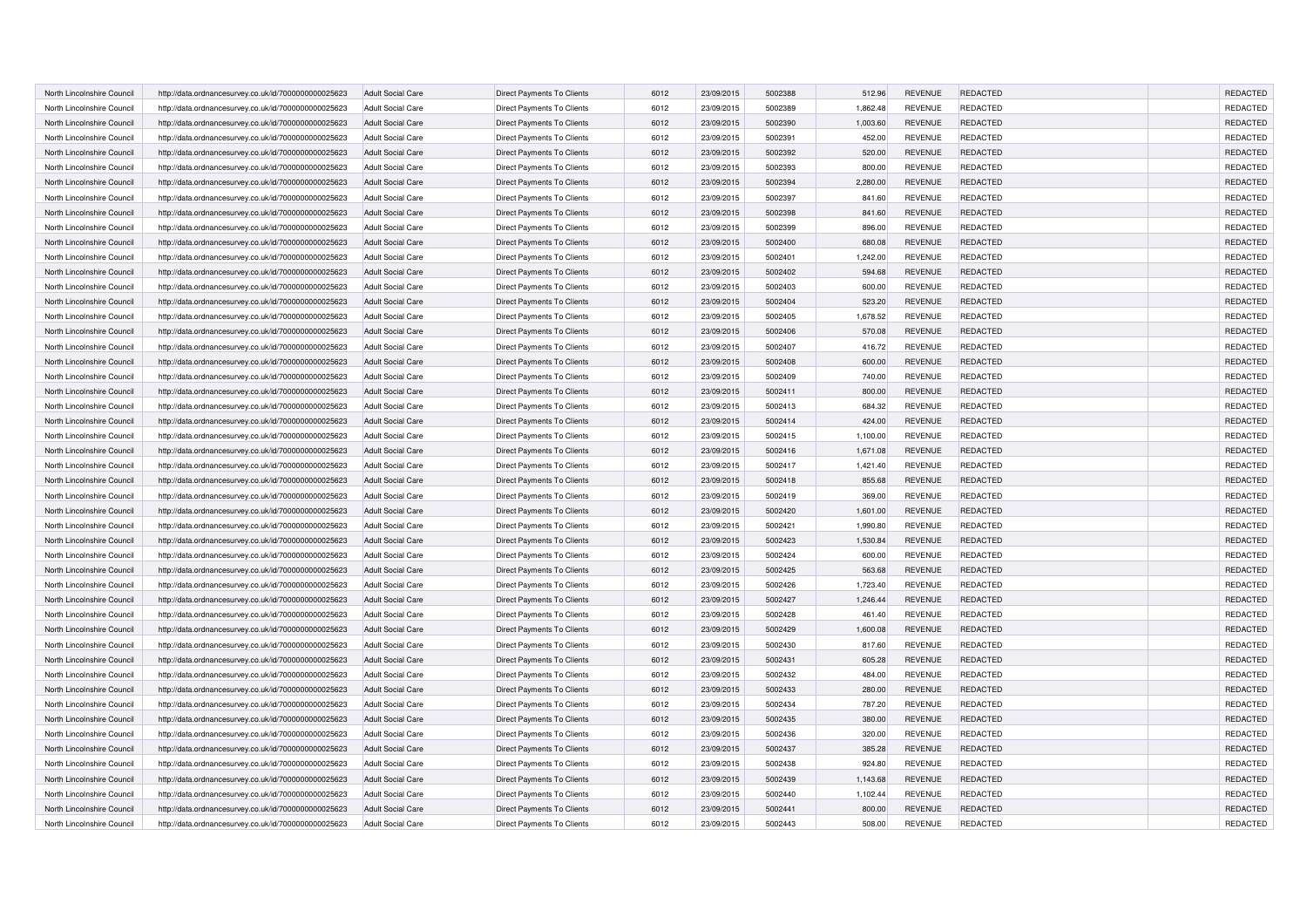| North Lincolnshire Council | http://data.ordnancesurvey.co.uk/id/7000000000025623 | <b>Adult Social Care</b> | Direct Payments To Clients        | 6012 | 23/09/2015 | 5002388 | 512.96   | <b>REVENUE</b> | <b>REDACTED</b> | REDACTED        |
|----------------------------|------------------------------------------------------|--------------------------|-----------------------------------|------|------------|---------|----------|----------------|-----------------|-----------------|
| North Lincolnshire Council | http://data.ordnancesurvey.co.uk/id/7000000000025623 | <b>Adult Social Care</b> | Direct Payments To Clients        | 6012 | 23/09/2015 | 5002389 | 1,862.48 | <b>REVENUE</b> | <b>REDACTED</b> | REDACTED        |
| North Lincolnshire Council | http://data.ordnancesurvey.co.uk/id/7000000000025623 | <b>Adult Social Care</b> | Direct Payments To Clients        | 6012 | 23/09/2015 | 5002390 | 1,003.60 | <b>REVENUE</b> | <b>REDACTED</b> | REDACTED        |
| North Lincolnshire Council | http://data.ordnancesurvey.co.uk/id/7000000000025623 | <b>Adult Social Care</b> | Direct Payments To Clients        | 6012 | 23/09/2015 | 5002391 | 452.00   | <b>REVENUE</b> | <b>REDACTED</b> | REDACTED        |
| North Lincolnshire Council | http://data.ordnancesurvey.co.uk/id/7000000000025623 | <b>Adult Social Care</b> | Direct Payments To Clients        | 6012 | 23/09/2015 | 5002392 | 520.00   | <b>REVENUE</b> | <b>REDACTED</b> | REDACTED        |
| North Lincolnshire Council | http://data.ordnancesurvey.co.uk/id/7000000000025623 | <b>Adult Social Care</b> | Direct Payments To Clients        | 6012 | 23/09/2015 | 5002393 | 800.00   | <b>REVENUE</b> | <b>REDACTED</b> | REDACTED        |
| North Lincolnshire Council | http://data.ordnancesurvey.co.uk/id/7000000000025623 | <b>Adult Social Care</b> | Direct Payments To Clients        | 6012 | 23/09/2015 | 5002394 | 2,280.00 | <b>REVENUE</b> | <b>REDACTED</b> | <b>REDACTED</b> |
| North Lincolnshire Council | http://data.ordnancesurvey.co.uk/id/7000000000025623 | <b>Adult Social Care</b> | Direct Payments To Clients        | 6012 | 23/09/2015 | 5002397 | 841.60   | <b>REVENUE</b> | <b>REDACTED</b> | REDACTED        |
| North Lincolnshire Council | http://data.ordnancesurvey.co.uk/id/7000000000025623 | <b>Adult Social Care</b> | Direct Payments To Clients        | 6012 | 23/09/2015 | 5002398 | 841.60   | <b>REVENUE</b> | <b>REDACTED</b> | REDACTED        |
| North Lincolnshire Council | http://data.ordnancesurvey.co.uk/id/7000000000025623 | <b>Adult Social Care</b> | Direct Payments To Clients        | 6012 | 23/09/2015 | 5002399 | 896.00   | <b>REVENUE</b> | <b>REDACTED</b> | REDACTED        |
| North Lincolnshire Council | http://data.ordnancesurvey.co.uk/id/7000000000025623 | <b>Adult Social Care</b> | Direct Payments To Clients        | 6012 | 23/09/2015 | 5002400 | 680.08   | <b>REVENUE</b> | REDACTED        | REDACTED        |
| North Lincolnshire Council | http://data.ordnancesurvey.co.uk/id/7000000000025623 | <b>Adult Social Care</b> | Direct Payments To Clients        | 6012 | 23/09/2015 | 5002401 | 1,242.00 | <b>REVENUE</b> | <b>REDACTED</b> | REDACTED        |
| North Lincolnshire Council | http://data.ordnancesurvey.co.uk/id/7000000000025623 |                          | Direct Payments To Clients        | 6012 | 23/09/2015 | 5002402 | 594.68   | <b>REVENUE</b> | <b>REDACTED</b> | REDACTED        |
|                            |                                                      | <b>Adult Social Care</b> |                                   |      |            |         |          |                |                 | REDACTED        |
| North Lincolnshire Council | http://data.ordnancesurvey.co.uk/id/7000000000025623 | <b>Adult Social Care</b> | Direct Payments To Clients        | 6012 | 23/09/2015 | 5002403 | 600.00   | <b>REVENUE</b> | <b>REDACTED</b> |                 |
| North Lincolnshire Council | http://data.ordnancesurvey.co.uk/id/7000000000025623 | <b>Adult Social Care</b> | Direct Payments To Clients        | 6012 | 23/09/2015 | 5002404 | 523.20   | <b>REVENUE</b> | REDACTED        | REDACTED        |
| North Lincolnshire Council | http://data.ordnancesurvey.co.uk/id/7000000000025623 | <b>Adult Social Care</b> | Direct Payments To Clients        | 6012 | 23/09/2015 | 5002405 | 1,678.52 | <b>REVENUE</b> | <b>REDACTED</b> | REDACTED        |
| North Lincolnshire Council | http://data.ordnancesurvey.co.uk/id/7000000000025623 | <b>Adult Social Care</b> | Direct Payments To Clients        | 6012 | 23/09/2015 | 5002406 | 570.08   | <b>REVENUE</b> | <b>REDACTED</b> | REDACTED        |
| North Lincolnshire Council | http://data.ordnancesurvey.co.uk/id/7000000000025623 | <b>Adult Social Care</b> | Direct Payments To Clients        | 6012 | 23/09/2015 | 5002407 | 416.72   | <b>REVENUE</b> | REDACTED        | REDACTED        |
| North Lincolnshire Council | http://data.ordnancesurvey.co.uk/id/7000000000025623 | <b>Adult Social Care</b> | Direct Payments To Clients        | 6012 | 23/09/2015 | 5002408 | 600.00   | <b>REVENUE</b> | REDACTED        | REDACTED        |
| North Lincolnshire Council | http://data.ordnancesurvey.co.uk/id/7000000000025623 | <b>Adult Social Care</b> | Direct Payments To Clients        | 6012 | 23/09/2015 | 5002409 | 740.00   | <b>REVENUE</b> | <b>REDACTED</b> | REDACTED        |
| North Lincolnshire Council | http://data.ordnancesurvey.co.uk/id/7000000000025623 | <b>Adult Social Care</b> | Direct Payments To Clients        | 6012 | 23/09/2015 | 5002411 | 800.00   | <b>REVENUE</b> | REDACTED        | REDACTED        |
| North Lincolnshire Council | http://data.ordnancesurvey.co.uk/id/7000000000025623 | <b>Adult Social Care</b> | Direct Payments To Clients        | 6012 | 23/09/2015 | 5002413 | 684.32   | <b>REVENUE</b> | REDACTED        | REDACTED        |
| North Lincolnshire Council | http://data.ordnancesurvey.co.uk/id/7000000000025623 | <b>Adult Social Care</b> | Direct Payments To Clients        | 6012 | 23/09/2015 | 5002414 | 424.00   | <b>REVENUE</b> | REDACTED        | REDACTED        |
| North Lincolnshire Council | http://data.ordnancesurvey.co.uk/id/7000000000025623 | <b>Adult Social Care</b> | <b>Direct Payments To Clients</b> | 6012 | 23/09/2015 | 5002415 | 1,100.00 | <b>REVENUE</b> | REDACTED        | REDACTED        |
| North Lincolnshire Council | http://data.ordnancesurvey.co.uk/id/7000000000025623 | <b>Adult Social Care</b> | Direct Payments To Clients        | 6012 | 23/09/2015 | 5002416 | 1,671.08 | <b>REVENUE</b> | REDACTED        | REDACTED        |
| North Lincolnshire Council | http://data.ordnancesurvey.co.uk/id/7000000000025623 | <b>Adult Social Care</b> | Direct Payments To Clients        | 6012 | 23/09/2015 | 5002417 | 1,421.40 | <b>REVENUE</b> | REDACTED        | REDACTED        |
| North Lincolnshire Council | http://data.ordnancesurvey.co.uk/id/7000000000025623 | <b>Adult Social Care</b> | Direct Payments To Clients        | 6012 | 23/09/2015 | 5002418 | 855.68   | <b>REVENUE</b> | REDACTED        | REDACTED        |
| North Lincolnshire Council | http://data.ordnancesurvey.co.uk/id/7000000000025623 | Adult Social Care        | Direct Payments To Clients        | 6012 | 23/09/2015 | 5002419 | 369.00   | <b>REVENUE</b> | REDACTED        | REDACTED        |
| North Lincolnshire Council | http://data.ordnancesurvey.co.uk/id/7000000000025623 | <b>Adult Social Care</b> | Direct Payments To Clients        | 6012 | 23/09/2015 | 5002420 | 1,601.00 | <b>REVENUE</b> | REDACTED        | REDACTED        |
| North Lincolnshire Council | http://data.ordnancesurvey.co.uk/id/7000000000025623 | <b>Adult Social Care</b> | Direct Payments To Clients        | 6012 | 23/09/2015 | 5002421 | 1,990.80 | <b>REVENUE</b> | REDACTED        | REDACTED        |
| North Lincolnshire Council | http://data.ordnancesurvey.co.uk/id/7000000000025623 | <b>Adult Social Care</b> | <b>Direct Payments To Clients</b> | 6012 | 23/09/2015 | 5002423 | 1,530.84 | <b>REVENUE</b> | <b>REDACTED</b> | REDACTED        |
| North Lincolnshire Council | http://data.ordnancesurvey.co.uk/id/7000000000025623 | <b>Adult Social Care</b> | Direct Payments To Clients        | 6012 | 23/09/2015 | 5002424 | 600.00   | <b>REVENUE</b> | REDACTED        | REDACTED        |
| North Lincolnshire Council | http://data.ordnancesurvey.co.uk/id/7000000000025623 | <b>Adult Social Care</b> | Direct Payments To Clients        | 6012 | 23/09/2015 | 5002425 | 563.68   | <b>REVENUE</b> | REDACTED        | REDACTED        |
| North Lincolnshire Council | http://data.ordnancesurvey.co.uk/id/7000000000025623 | <b>Adult Social Care</b> | Direct Payments To Clients        | 6012 | 23/09/2015 | 5002426 | 1,723.40 | <b>REVENUE</b> | <b>REDACTED</b> | REDACTED        |
| North Lincolnshire Council | http://data.ordnancesurvey.co.uk/id/7000000000025623 | <b>Adult Social Care</b> | Direct Payments To Clients        | 6012 | 23/09/2015 | 5002427 | 1,246.44 | <b>REVENUE</b> | REDACTED        | REDACTED        |
| North Lincolnshire Council | http://data.ordnancesurvey.co.uk/id/7000000000025623 | <b>Adult Social Care</b> | Direct Payments To Clients        | 6012 | 23/09/2015 | 5002428 | 461.40   | <b>REVENUE</b> | <b>REDACTED</b> | REDACTED        |
| North Lincolnshire Council | http://data.ordnancesurvey.co.uk/id/7000000000025623 | <b>Adult Social Care</b> | Direct Payments To Clients        | 6012 | 23/09/2015 | 5002429 | 1,600.08 | <b>REVENUE</b> | <b>REDACTED</b> | REDACTED        |
| North Lincolnshire Council | http://data.ordnancesurvey.co.uk/id/7000000000025623 | <b>Adult Social Care</b> | Direct Payments To Clients        | 6012 | 23/09/2015 | 5002430 | 817.60   | <b>REVENUE</b> | <b>REDACTED</b> | REDACTED        |
| North Lincolnshire Council | http://data.ordnancesurvey.co.uk/id/7000000000025623 | <b>Adult Social Care</b> | Direct Payments To Clients        | 6012 | 23/09/2015 | 5002431 | 605.28   | <b>REVENUE</b> | <b>REDACTED</b> | REDACTED        |
| North Lincolnshire Council | http://data.ordnancesurvey.co.uk/id/7000000000025623 | <b>Adult Social Care</b> | Direct Payments To Clients        | 6012 | 23/09/2015 | 5002432 | 484.00   | <b>REVENUE</b> | <b>REDACTED</b> | REDACTED        |
| North Lincolnshire Council | http://data.ordnancesurvey.co.uk/id/7000000000025623 | <b>Adult Social Care</b> | Direct Payments To Clients        | 6012 | 23/09/2015 | 5002433 | 280.00   | <b>REVENUE</b> | <b>REDACTED</b> | REDACTED        |
| North Lincolnshire Council | http://data.ordnancesurvey.co.uk/id/7000000000025623 | <b>Adult Social Care</b> | Direct Payments To Clients        | 6012 | 23/09/2015 | 5002434 | 787.20   | <b>REVENUE</b> | REDACTED        | REDACTED        |
| North Lincolnshire Council | http://data.ordnancesurvey.co.uk/id/7000000000025623 | <b>Adult Social Care</b> | Direct Payments To Clients        | 6012 | 23/09/2015 | 5002435 | 380.00   | <b>REVENUE</b> | <b>REDACTED</b> | REDACTED        |
| North Lincolnshire Council | http://data.ordnancesurvey.co.uk/id/7000000000025623 | <b>Adult Social Care</b> | Direct Payments To Clients        | 6012 | 23/09/2015 | 5002436 | 320.00   | <b>REVENUE</b> | <b>REDACTED</b> | <b>REDACTED</b> |
| North Lincolnshire Council | http://data.ordnancesurvey.co.uk/id/7000000000025623 | <b>Adult Social Care</b> | Direct Payments To Clients        | 6012 | 23/09/2015 | 5002437 | 385.28   | <b>REVENUE</b> | <b>REDACTED</b> | <b>REDACTED</b> |
| North Lincolnshire Council | http://data.ordnancesurvey.co.uk/id/7000000000025623 | <b>Adult Social Care</b> | Direct Payments To Clients        | 6012 | 23/09/2015 | 5002438 | 924.80   | <b>REVENUE</b> | REDACTED        | REDACTED        |
| North Lincolnshire Council | http://data.ordnancesurvey.co.uk/id/7000000000025623 | <b>Adult Social Care</b> | Direct Payments To Clients        | 6012 | 23/09/2015 | 5002439 | 1,143.68 | <b>REVENUE</b> | <b>REDACTED</b> | REDACTED        |
| North Lincolnshire Council | http://data.ordnancesurvey.co.uk/id/7000000000025623 | <b>Adult Social Care</b> | Direct Payments To Clients        | 6012 | 23/09/2015 | 5002440 | 1,102.44 | <b>REVENUE</b> | <b>REDACTED</b> | REDACTED        |
| North Lincolnshire Council | http://data.ordnancesurvey.co.uk/id/7000000000025623 | <b>Adult Social Care</b> | Direct Payments To Clients        | 6012 | 23/09/2015 | 5002441 | 800.00   | <b>REVENUE</b> | <b>REDACTED</b> | REDACTED        |
| North Lincolnshire Council | http://data.ordnancesurvey.co.uk/id/7000000000025623 | <b>Adult Social Care</b> | Direct Payments To Clients        | 6012 | 23/09/2015 | 5002443 | 508.00   | <b>REVENUE</b> | REDACTED        | REDACTED        |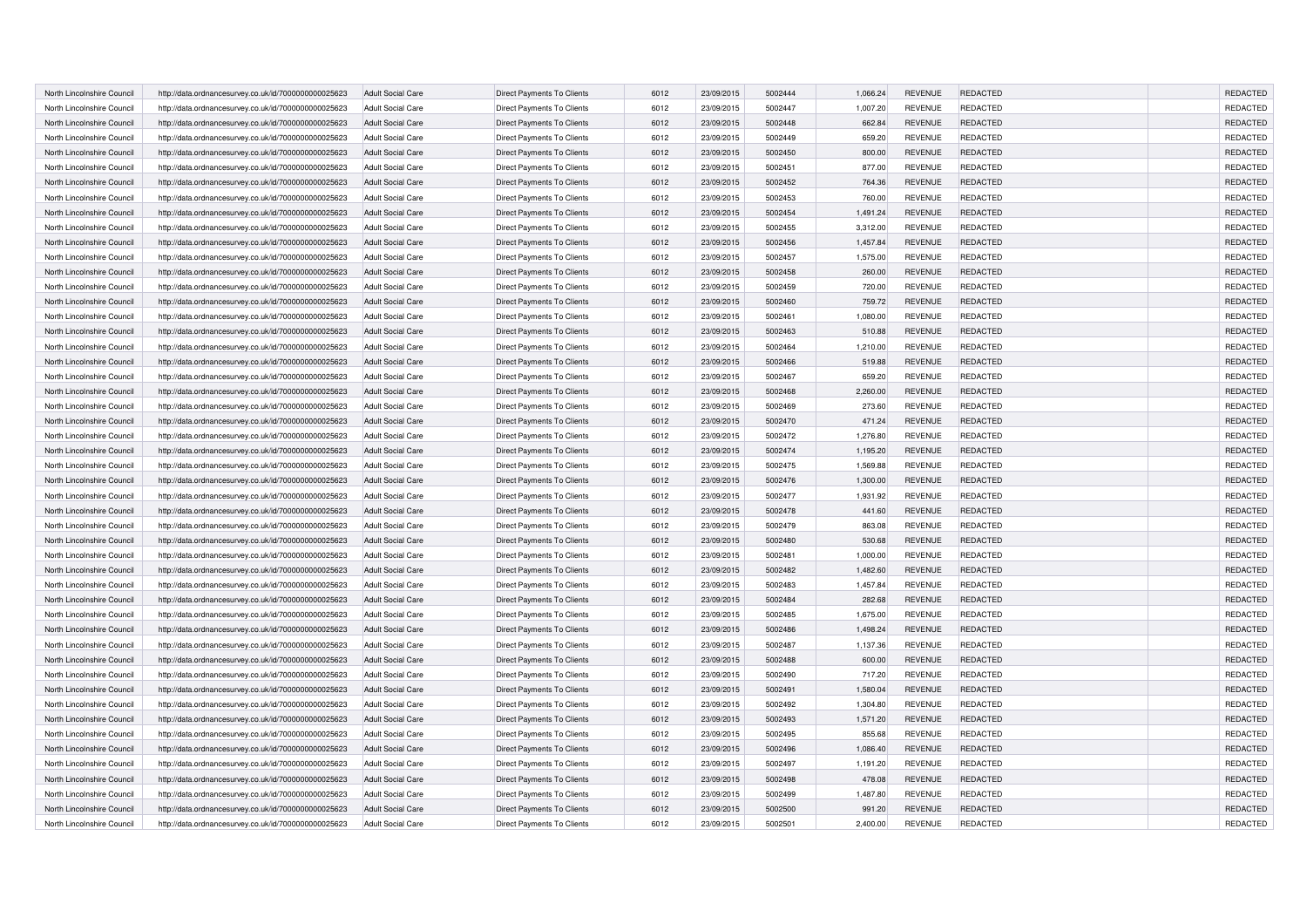| North Lincolnshire Council | http://data.ordnancesurvey.co.uk/id/7000000000025623 | <b>Adult Social Care</b> | Direct Payments To Clients        | 6012 | 23/09/2015 | 5002444 | 1,066.24 | <b>REVENUE</b> | <b>REDACTED</b> | REDACTED        |
|----------------------------|------------------------------------------------------|--------------------------|-----------------------------------|------|------------|---------|----------|----------------|-----------------|-----------------|
| North Lincolnshire Council | http://data.ordnancesurvey.co.uk/id/7000000000025623 | <b>Adult Social Care</b> | Direct Payments To Clients        | 6012 | 23/09/2015 | 5002447 | 1,007.20 | <b>REVENUE</b> | <b>REDACTED</b> | REDACTED        |
| North Lincolnshire Council | http://data.ordnancesurvey.co.uk/id/7000000000025623 | <b>Adult Social Care</b> | Direct Payments To Clients        | 6012 | 23/09/2015 | 5002448 | 662.84   | <b>REVENUE</b> | <b>REDACTED</b> | REDACTED        |
| North Lincolnshire Council | http://data.ordnancesurvey.co.uk/id/7000000000025623 | <b>Adult Social Care</b> | Direct Payments To Clients        | 6012 | 23/09/2015 | 5002449 | 659.20   | <b>REVENUE</b> | <b>REDACTED</b> | REDACTED        |
| North Lincolnshire Council | http://data.ordnancesurvey.co.uk/id/7000000000025623 | <b>Adult Social Care</b> | Direct Payments To Clients        | 6012 | 23/09/2015 | 5002450 | 800.00   | <b>REVENUE</b> | <b>REDACTED</b> | REDACTED        |
| North Lincolnshire Council | http://data.ordnancesurvey.co.uk/id/7000000000025623 | <b>Adult Social Care</b> | Direct Payments To Clients        | 6012 | 23/09/2015 | 5002451 | 877.00   | <b>REVENUE</b> | <b>REDACTED</b> | REDACTED        |
| North Lincolnshire Council | http://data.ordnancesurvey.co.uk/id/7000000000025623 | <b>Adult Social Care</b> | Direct Payments To Clients        | 6012 | 23/09/2015 | 5002452 | 764.36   | <b>REVENUE</b> | <b>REDACTED</b> | <b>REDACTED</b> |
| North Lincolnshire Council | http://data.ordnancesurvey.co.uk/id/7000000000025623 | <b>Adult Social Care</b> | Direct Payments To Clients        | 6012 | 23/09/2015 | 5002453 | 760.00   | <b>REVENUE</b> | <b>REDACTED</b> | REDACTED        |
| North Lincolnshire Council | http://data.ordnancesurvey.co.uk/id/7000000000025623 | <b>Adult Social Care</b> | Direct Payments To Clients        | 6012 | 23/09/2015 | 5002454 | 1,491.24 | <b>REVENUE</b> | <b>REDACTED</b> | REDACTED        |
| North Lincolnshire Council | http://data.ordnancesurvey.co.uk/id/7000000000025623 | <b>Adult Social Care</b> | Direct Payments To Clients        | 6012 | 23/09/2015 | 5002455 | 3,312.00 | <b>REVENUE</b> | <b>REDACTED</b> | REDACTED        |
| North Lincolnshire Council | http://data.ordnancesurvey.co.uk/id/7000000000025623 | <b>Adult Social Care</b> | Direct Payments To Clients        | 6012 | 23/09/2015 | 5002456 | 1,457.84 | <b>REVENUE</b> | REDACTED        | REDACTED        |
| North Lincolnshire Council | http://data.ordnancesurvey.co.uk/id/7000000000025623 | <b>Adult Social Care</b> | Direct Payments To Clients        | 6012 | 23/09/2015 | 5002457 | 1,575.00 | <b>REVENUE</b> | <b>REDACTED</b> | REDACTED        |
| North Lincolnshire Council | http://data.ordnancesurvey.co.uk/id/7000000000025623 |                          | Direct Payments To Clients        | 6012 | 23/09/2015 | 5002458 | 260.00   | <b>REVENUE</b> | <b>REDACTED</b> | REDACTED        |
|                            |                                                      | <b>Adult Social Care</b> |                                   |      |            |         |          |                |                 | REDACTED        |
| North Lincolnshire Council | http://data.ordnancesurvey.co.uk/id/7000000000025623 | <b>Adult Social Care</b> | Direct Payments To Clients        | 6012 | 23/09/2015 | 5002459 | 720.00   | <b>REVENUE</b> | <b>REDACTED</b> |                 |
| North Lincolnshire Council | http://data.ordnancesurvey.co.uk/id/7000000000025623 | <b>Adult Social Care</b> | Direct Payments To Clients        | 6012 | 23/09/2015 | 5002460 | 759.72   | <b>REVENUE</b> | REDACTED        | REDACTED        |
| North Lincolnshire Council | http://data.ordnancesurvey.co.uk/id/7000000000025623 | <b>Adult Social Care</b> | Direct Payments To Clients        | 6012 | 23/09/2015 | 5002461 | 1,080.00 | <b>REVENUE</b> | REDACTED        | REDACTED        |
| North Lincolnshire Council | http://data.ordnancesurvey.co.uk/id/7000000000025623 | <b>Adult Social Care</b> | Direct Payments To Clients        | 6012 | 23/09/2015 | 5002463 | 510.88   | <b>REVENUE</b> | <b>REDACTED</b> | REDACTED        |
| North Lincolnshire Council | http://data.ordnancesurvey.co.uk/id/7000000000025623 | <b>Adult Social Care</b> | Direct Payments To Clients        | 6012 | 23/09/2015 | 5002464 | 1,210.00 | <b>REVENUE</b> | REDACTED        | REDACTED        |
| North Lincolnshire Council | http://data.ordnancesurvey.co.uk/id/7000000000025623 | <b>Adult Social Care</b> | Direct Payments To Clients        | 6012 | 23/09/2015 | 5002466 | 519.88   | <b>REVENUE</b> | REDACTED        | REDACTED        |
| North Lincolnshire Council | http://data.ordnancesurvey.co.uk/id/7000000000025623 | <b>Adult Social Care</b> | Direct Payments To Clients        | 6012 | 23/09/2015 | 5002467 | 659.20   | <b>REVENUE</b> | REDACTED        | REDACTED        |
| North Lincolnshire Council | http://data.ordnancesurvey.co.uk/id/7000000000025623 | <b>Adult Social Care</b> | Direct Payments To Clients        | 6012 | 23/09/2015 | 5002468 | 2,260.00 | <b>REVENUE</b> | REDACTED        | REDACTED        |
| North Lincolnshire Council | http://data.ordnancesurvey.co.uk/id/7000000000025623 | <b>Adult Social Care</b> | Direct Payments To Clients        | 6012 | 23/09/2015 | 5002469 | 273.60   | <b>REVENUE</b> | REDACTED        | REDACTED        |
| North Lincolnshire Council | http://data.ordnancesurvey.co.uk/id/7000000000025623 | <b>Adult Social Care</b> | Direct Payments To Clients        | 6012 | 23/09/2015 | 5002470 | 471.24   | <b>REVENUE</b> | REDACTED        | REDACTED        |
| North Lincolnshire Council | http://data.ordnancesurvey.co.uk/id/7000000000025623 | <b>Adult Social Care</b> | <b>Direct Payments To Clients</b> | 6012 | 23/09/2015 | 5002472 | 1,276.80 | <b>REVENUE</b> | REDACTED        | REDACTED        |
| North Lincolnshire Council | http://data.ordnancesurvey.co.uk/id/7000000000025623 | <b>Adult Social Care</b> | Direct Payments To Clients        | 6012 | 23/09/2015 | 5002474 | 1,195.20 | <b>REVENUE</b> | REDACTED        | REDACTED        |
| North Lincolnshire Council | http://data.ordnancesurvey.co.uk/id/7000000000025623 | <b>Adult Social Care</b> | Direct Payments To Clients        | 6012 | 23/09/2015 | 5002475 | 1,569.88 | <b>REVENUE</b> | REDACTED        | REDACTED        |
| North Lincolnshire Council | http://data.ordnancesurvey.co.uk/id/7000000000025623 | <b>Adult Social Care</b> | Direct Payments To Clients        | 6012 | 23/09/2015 | 5002476 | 1,300.00 | <b>REVENUE</b> | <b>REDACTED</b> | REDACTED        |
| North Lincolnshire Council | http://data.ordnancesurvey.co.uk/id/7000000000025623 | Adult Social Care        | Direct Payments To Clients        | 6012 | 23/09/2015 | 5002477 | 1,931.92 | <b>REVENUE</b> | REDACTED        | REDACTED        |
| North Lincolnshire Council | http://data.ordnancesurvey.co.uk/id/7000000000025623 | <b>Adult Social Care</b> | Direct Payments To Clients        | 6012 | 23/09/2015 | 5002478 | 441.60   | <b>REVENUE</b> | <b>REDACTED</b> | REDACTED        |
| North Lincolnshire Council | http://data.ordnancesurvey.co.uk/id/7000000000025623 | <b>Adult Social Care</b> | Direct Payments To Clients        | 6012 | 23/09/2015 | 5002479 | 863.08   | <b>REVENUE</b> | REDACTED        | REDACTED        |
| North Lincolnshire Council | http://data.ordnancesurvey.co.uk/id/7000000000025623 | <b>Adult Social Care</b> | <b>Direct Payments To Clients</b> | 6012 | 23/09/2015 | 5002480 | 530.68   | <b>REVENUE</b> | <b>REDACTED</b> | <b>REDACTED</b> |
| North Lincolnshire Council | http://data.ordnancesurvey.co.uk/id/7000000000025623 | <b>Adult Social Care</b> | Direct Payments To Clients        | 6012 | 23/09/2015 | 5002481 | 1,000.00 | <b>REVENUE</b> | REDACTED        | REDACTED        |
| North Lincolnshire Council | http://data.ordnancesurvey.co.uk/id/7000000000025623 | <b>Adult Social Care</b> | Direct Payments To Clients        | 6012 | 23/09/2015 | 5002482 | 1,482.60 | <b>REVENUE</b> | <b>REDACTED</b> | REDACTED        |
| North Lincolnshire Council | http://data.ordnancesurvey.co.uk/id/7000000000025623 | <b>Adult Social Care</b> | Direct Payments To Clients        | 6012 | 23/09/2015 | 5002483 | 1,457.84 | <b>REVENUE</b> | <b>REDACTED</b> | REDACTED        |
| North Lincolnshire Council | http://data.ordnancesurvey.co.uk/id/7000000000025623 | <b>Adult Social Care</b> | Direct Payments To Clients        | 6012 | 23/09/2015 | 5002484 | 282.68   | <b>REVENUE</b> | REDACTED        | REDACTED        |
| North Lincolnshire Council | http://data.ordnancesurvey.co.uk/id/7000000000025623 | <b>Adult Social Care</b> | Direct Payments To Clients        | 6012 | 23/09/2015 | 5002485 | 1,675.00 | <b>REVENUE</b> | <b>REDACTED</b> | REDACTED        |
| North Lincolnshire Council | http://data.ordnancesurvey.co.uk/id/7000000000025623 | <b>Adult Social Care</b> | Direct Payments To Clients        | 6012 | 23/09/2015 | 5002486 | 1,498.24 | <b>REVENUE</b> | REDACTED        | REDACTED        |
| North Lincolnshire Council | http://data.ordnancesurvey.co.uk/id/7000000000025623 | <b>Adult Social Care</b> | Direct Payments To Clients        | 6012 | 23/09/2015 | 5002487 | 1,137.36 | <b>REVENUE</b> | <b>REDACTED</b> | REDACTED        |
| North Lincolnshire Council | http://data.ordnancesurvey.co.uk/id/7000000000025623 | <b>Adult Social Care</b> | Direct Payments To Clients        | 6012 | 23/09/2015 | 5002488 | 600.00   | <b>REVENUE</b> | REDACTED        | REDACTED        |
| North Lincolnshire Council | http://data.ordnancesurvey.co.uk/id/7000000000025623 | <b>Adult Social Care</b> | Direct Payments To Clients        | 6012 | 23/09/2015 | 5002490 | 717.20   | <b>REVENUE</b> | REDACTED        | REDACTED        |
| North Lincolnshire Council | http://data.ordnancesurvey.co.uk/id/7000000000025623 | <b>Adult Social Care</b> | Direct Payments To Clients        | 6012 | 23/09/2015 | 5002491 | 1,580.04 | <b>REVENUE</b> | <b>REDACTED</b> | REDACTED        |
| North Lincolnshire Council | http://data.ordnancesurvey.co.uk/id/7000000000025623 | <b>Adult Social Care</b> | Direct Payments To Clients        | 6012 | 23/09/2015 | 5002492 | 1,304.80 | <b>REVENUE</b> | REDACTED        | REDACTED        |
| North Lincolnshire Council | http://data.ordnancesurvey.co.uk/id/7000000000025623 | <b>Adult Social Care</b> | Direct Payments To Clients        | 6012 | 23/09/2015 | 5002493 | 1,571.20 | <b>REVENUE</b> | <b>REDACTED</b> | REDACTED        |
| North Lincolnshire Council | http://data.ordnancesurvey.co.uk/id/7000000000025623 | <b>Adult Social Care</b> | Direct Payments To Clients        | 6012 | 23/09/2015 | 5002495 | 855.68   | <b>REVENUE</b> | <b>REDACTED</b> | REDACTED        |
| North Lincolnshire Council | http://data.ordnancesurvey.co.uk/id/7000000000025623 | <b>Adult Social Care</b> | Direct Payments To Clients        | 6012 | 23/09/2015 | 5002496 | 1,086.40 | <b>REVENUE</b> | <b>REDACTED</b> | <b>REDACTED</b> |
| North Lincolnshire Council | http://data.ordnancesurvey.co.uk/id/7000000000025623 | <b>Adult Social Care</b> | Direct Payments To Clients        | 6012 | 23/09/2015 | 5002497 | 1,191.20 | <b>REVENUE</b> | REDACTED        | REDACTED        |
| North Lincolnshire Council | http://data.ordnancesurvey.co.uk/id/7000000000025623 | <b>Adult Social Care</b> | Direct Payments To Clients        | 6012 | 23/09/2015 | 5002498 | 478.08   | <b>REVENUE</b> | <b>REDACTED</b> | REDACTED        |
| North Lincolnshire Council | http://data.ordnancesurvey.co.uk/id/7000000000025623 | <b>Adult Social Care</b> | Direct Payments To Clients        | 6012 | 23/09/2015 | 5002499 | 1,487.80 | <b>REVENUE</b> | <b>REDACTED</b> | REDACTED        |
| North Lincolnshire Council | http://data.ordnancesurvey.co.uk/id/7000000000025623 | <b>Adult Social Care</b> | Direct Payments To Clients        | 6012 | 23/09/2015 | 5002500 | 991.20   | <b>REVENUE</b> | <b>REDACTED</b> | REDACTED        |
| North Lincolnshire Council | http://data.ordnancesurvey.co.uk/id/7000000000025623 | <b>Adult Social Care</b> | Direct Payments To Clients        | 6012 | 23/09/2015 | 5002501 | 2,400.00 | <b>REVENUE</b> | REDACTED        | REDACTED        |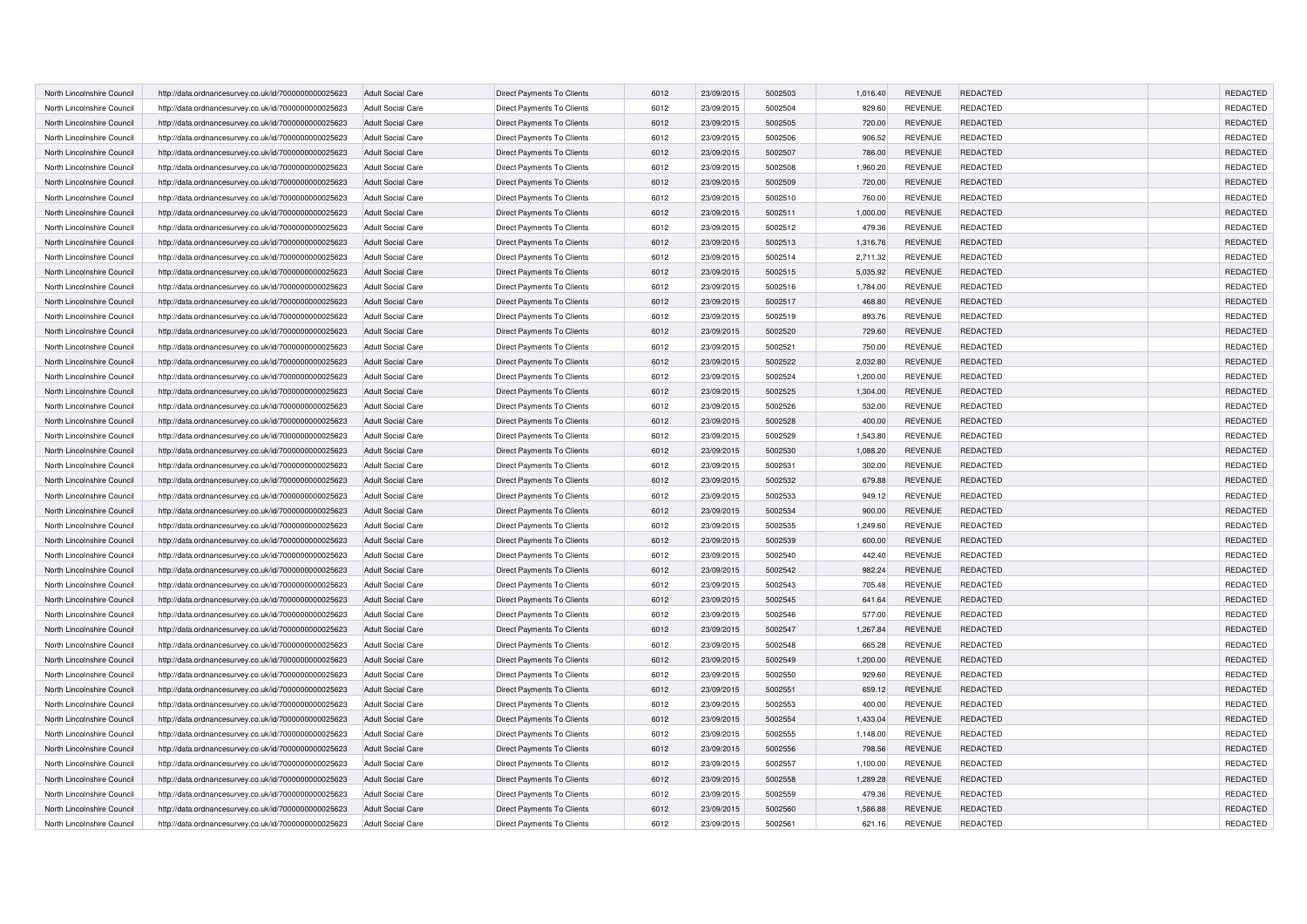| North Lincolnshire Council | http://data.ordnancesurvey.co.uk/id/7000000000025623 | <b>Adult Social Care</b> | Direct Payments To Clients        | 6012 | 23/09/2015 | 5002503 | 1,016.40 | <b>REVENUE</b> | REDACTED        | REDACTED        |
|----------------------------|------------------------------------------------------|--------------------------|-----------------------------------|------|------------|---------|----------|----------------|-----------------|-----------------|
| North Lincolnshire Council | http://data.ordnancesurvey.co.uk/id/7000000000025623 | <b>Adult Social Care</b> | Direct Payments To Clients        | 6012 | 23/09/2015 | 5002504 | 929.60   | <b>REVENUE</b> | <b>REDACTED</b> | REDACTED        |
| North Lincolnshire Council | http://data.ordnancesurvey.co.uk/id/7000000000025623 | <b>Adult Social Care</b> | Direct Payments To Clients        | 6012 | 23/09/2015 | 5002505 | 720.00   | <b>REVENUE</b> | <b>REDACTED</b> | REDACTED        |
| North Lincolnshire Council | http://data.ordnancesurvey.co.uk/id/7000000000025623 | <b>Adult Social Care</b> | Direct Payments To Clients        | 6012 | 23/09/2015 | 5002506 | 906.52   | <b>REVENUE</b> | <b>REDACTED</b> | REDACTED        |
| North Lincolnshire Council | http://data.ordnancesurvey.co.uk/id/7000000000025623 | <b>Adult Social Care</b> | Direct Payments To Clients        | 6012 | 23/09/2015 | 5002507 | 786.00   | <b>REVENUE</b> | <b>REDACTED</b> | REDACTED        |
| North Lincolnshire Council | http://data.ordnancesurvey.co.uk/id/7000000000025623 | <b>Adult Social Care</b> | Direct Payments To Clients        | 6012 | 23/09/2015 | 5002508 | 1,960.20 | <b>REVENUE</b> | <b>REDACTED</b> | REDACTED        |
| North Lincolnshire Council | http://data.ordnancesurvey.co.uk/id/7000000000025623 | <b>Adult Social Care</b> | Direct Payments To Clients        | 6012 | 23/09/2015 | 5002509 | 720.00   | <b>REVENUE</b> | <b>REDACTED</b> | <b>REDACTED</b> |
| North Lincolnshire Council | http://data.ordnancesurvey.co.uk/id/7000000000025623 | <b>Adult Social Care</b> | Direct Payments To Clients        | 6012 | 23/09/2015 | 5002510 | 760.00   | <b>REVENUE</b> | <b>REDACTED</b> | REDACTED        |
| North Lincolnshire Council | http://data.ordnancesurvey.co.uk/id/7000000000025623 | <b>Adult Social Care</b> | Direct Payments To Clients        | 6012 | 23/09/2015 | 5002511 | 1,000.00 | <b>REVENUE</b> | <b>REDACTED</b> | REDACTED        |
| North Lincolnshire Council | http://data.ordnancesurvey.co.uk/id/7000000000025623 | <b>Adult Social Care</b> | Direct Payments To Clients        | 6012 | 23/09/2015 | 5002512 | 479.36   | <b>REVENUE</b> | <b>REDACTED</b> | REDACTED        |
| North Lincolnshire Council | http://data.ordnancesurvey.co.uk/id/7000000000025623 | <b>Adult Social Care</b> | Direct Payments To Clients        | 6012 | 23/09/2015 | 5002513 | 1,316.76 | <b>REVENUE</b> | REDACTED        | REDACTED        |
| North Lincolnshire Council | http://data.ordnancesurvey.co.uk/id/7000000000025623 | <b>Adult Social Care</b> | Direct Payments To Clients        | 6012 | 23/09/2015 | 5002514 | 2,711.32 | <b>REVENUE</b> | <b>REDACTED</b> | REDACTED        |
| North Lincolnshire Council | http://data.ordnancesurvey.co.uk/id/7000000000025623 | <b>Adult Social Care</b> | Direct Payments To Clients        | 6012 | 23/09/2015 | 5002515 | 5,035.92 | <b>REVENUE</b> | <b>REDACTED</b> | REDACTED        |
| North Lincolnshire Council |                                                      |                          | Direct Payments To Clients        | 6012 | 23/09/2015 | 5002516 | 1,784.00 | <b>REVENUE</b> | <b>REDACTED</b> | REDACTED        |
|                            | http://data.ordnancesurvey.co.uk/id/7000000000025623 | <b>Adult Social Care</b> |                                   |      |            |         |          |                |                 |                 |
| North Lincolnshire Council | http://data.ordnancesurvey.co.uk/id/7000000000025623 | <b>Adult Social Care</b> | Direct Payments To Clients        | 6012 | 23/09/2015 | 5002517 | 468.80   | <b>REVENUE</b> | REDACTED        | REDACTED        |
| North Lincolnshire Council | http://data.ordnancesurvey.co.uk/id/7000000000025623 | <b>Adult Social Care</b> | Direct Payments To Clients        | 6012 | 23/09/2015 | 5002519 | 893.76   | <b>REVENUE</b> | <b>REDACTED</b> | REDACTED        |
| North Lincolnshire Council | http://data.ordnancesurvey.co.uk/id/7000000000025623 | <b>Adult Social Care</b> | Direct Payments To Clients        | 6012 | 23/09/2015 | 5002520 | 729.60   | <b>REVENUE</b> | <b>REDACTED</b> | REDACTED        |
| North Lincolnshire Council | http://data.ordnancesurvey.co.uk/id/7000000000025623 | <b>Adult Social Care</b> | Direct Payments To Clients        | 6012 | 23/09/2015 | 5002521 | 750.00   | <b>REVENUE</b> | REDACTED        | REDACTED        |
| North Lincolnshire Council | http://data.ordnancesurvey.co.uk/id/7000000000025623 | <b>Adult Social Care</b> | Direct Payments To Clients        | 6012 | 23/09/2015 | 5002522 | 2,032.80 | <b>REVENUE</b> | REDACTED        | REDACTED        |
| North Lincolnshire Council | http://data.ordnancesurvey.co.uk/id/7000000000025623 | <b>Adult Social Care</b> | Direct Payments To Clients        | 6012 | 23/09/2015 | 5002524 | 1,200.00 | <b>REVENUE</b> | REDACTED        | REDACTED        |
| North Lincolnshire Council | http://data.ordnancesurvey.co.uk/id/7000000000025623 | <b>Adult Social Care</b> | Direct Payments To Clients        | 6012 | 23/09/2015 | 5002525 | 1,304.00 | <b>REVENUE</b> | REDACTED        | REDACTED        |
| North Lincolnshire Council | http://data.ordnancesurvey.co.uk/id/7000000000025623 | <b>Adult Social Care</b> | Direct Payments To Clients        | 6012 | 23/09/2015 | 5002526 | 532.00   | <b>REVENUE</b> | REDACTED        | REDACTED        |
| North Lincolnshire Council | http://data.ordnancesurvey.co.uk/id/7000000000025623 | <b>Adult Social Care</b> | Direct Payments To Clients        | 6012 | 23/09/2015 | 5002528 | 400.00   | <b>REVENUE</b> | REDACTED        | REDACTED        |
| North Lincolnshire Council | http://data.ordnancesurvey.co.uk/id/7000000000025623 | <b>Adult Social Care</b> | Direct Payments To Clients        | 6012 | 23/09/2015 | 5002529 | 1,543.80 | <b>REVENUE</b> | REDACTED        | REDACTED        |
| North Lincolnshire Council | http://data.ordnancesurvey.co.uk/id/7000000000025623 | <b>Adult Social Care</b> | Direct Payments To Clients        | 6012 | 23/09/2015 | 5002530 | 1,088.20 | <b>REVENUE</b> | REDACTED        | REDACTED        |
| North Lincolnshire Council | http://data.ordnancesurvey.co.uk/id/7000000000025623 | <b>Adult Social Care</b> | Direct Payments To Clients        | 6012 | 23/09/2015 | 5002531 | 302.00   | <b>REVENUE</b> | REDACTED        | REDACTED        |
| North Lincolnshire Council | http://data.ordnancesurvey.co.uk/id/7000000000025623 | <b>Adult Social Care</b> | Direct Payments To Clients        | 6012 | 23/09/2015 | 5002532 | 679.88   | <b>REVENUE</b> | <b>REDACTED</b> | REDACTED        |
| North Lincolnshire Council | http://data.ordnancesurvey.co.uk/id/7000000000025623 | Adult Social Care        | Direct Payments To Clients        | 6012 | 23/09/2015 | 5002533 | 949.12   | <b>REVENUE</b> | REDACTED        | REDACTED        |
| North Lincolnshire Council | http://data.ordnancesurvey.co.uk/id/7000000000025623 | <b>Adult Social Care</b> | Direct Payments To Clients        | 6012 | 23/09/2015 | 5002534 | 900.00   | <b>REVENUE</b> | <b>REDACTED</b> | REDACTED        |
| North Lincolnshire Council | http://data.ordnancesurvey.co.uk/id/7000000000025623 | <b>Adult Social Care</b> | Direct Payments To Clients        | 6012 | 23/09/2015 | 5002535 | 1,249.60 | <b>REVENUE</b> | REDACTED        | REDACTED        |
| North Lincolnshire Council | http://data.ordnancesurvey.co.uk/id/7000000000025623 | <b>Adult Social Care</b> | <b>Direct Payments To Clients</b> | 6012 | 23/09/2015 | 5002539 | 600.00   | <b>REVENUE</b> | <b>REDACTED</b> | <b>REDACTED</b> |
| North Lincolnshire Council | http://data.ordnancesurvey.co.uk/id/7000000000025623 | <b>Adult Social Care</b> | Direct Payments To Clients        | 6012 | 23/09/2015 | 5002540 | 442.40   | <b>REVENUE</b> | REDACTED        | REDACTED        |
| North Lincolnshire Council | http://data.ordnancesurvey.co.uk/id/7000000000025623 | <b>Adult Social Care</b> | Direct Payments To Clients        | 6012 | 23/09/2015 | 5002542 | 982.24   | <b>REVENUE</b> | <b>REDACTED</b> | REDACTED        |
| North Lincolnshire Council | http://data.ordnancesurvey.co.uk/id/7000000000025623 | <b>Adult Social Care</b> | Direct Payments To Clients        | 6012 | 23/09/2015 | 5002543 | 705.48   | <b>REVENUE</b> | <b>REDACTED</b> | REDACTED        |
| North Lincolnshire Council | http://data.ordnancesurvey.co.uk/id/7000000000025623 | <b>Adult Social Care</b> | Direct Payments To Clients        | 6012 | 23/09/2015 | 5002545 | 641.64   | <b>REVENUE</b> | REDACTED        | REDACTED        |
| North Lincolnshire Council | http://data.ordnancesurvey.co.uk/id/7000000000025623 | <b>Adult Social Care</b> | Direct Payments To Clients        | 6012 | 23/09/2015 | 5002546 | 577.00   | <b>REVENUE</b> | <b>REDACTED</b> | REDACTED        |
| North Lincolnshire Council | http://data.ordnancesurvey.co.uk/id/7000000000025623 | <b>Adult Social Care</b> | Direct Payments To Clients        | 6012 | 23/09/2015 | 5002547 | 1,267.84 | <b>REVENUE</b> | <b>REDACTED</b> | REDACTED        |
| North Lincolnshire Council | http://data.ordnancesurvey.co.uk/id/7000000000025623 | <b>Adult Social Care</b> | Direct Payments To Clients        | 6012 | 23/09/2015 | 5002548 | 665.28   | <b>REVENUE</b> | <b>REDACTED</b> | <b>REDACTED</b> |
| North Lincolnshire Council | http://data.ordnancesurvey.co.uk/id/7000000000025623 | <b>Adult Social Care</b> | Direct Payments To Clients        | 6012 | 23/09/2015 | 5002549 | 1,200.00 | <b>REVENUE</b> | <b>REDACTED</b> | REDACTED        |
| North Lincolnshire Council | http://data.ordnancesurvey.co.uk/id/7000000000025623 | <b>Adult Social Care</b> | Direct Payments To Clients        | 6012 | 23/09/2015 | 5002550 | 929.60   | <b>REVENUE</b> | REDACTED        | REDACTED        |
| North Lincolnshire Council | http://data.ordnancesurvey.co.uk/id/7000000000025623 | <b>Adult Social Care</b> | Direct Payments To Clients        | 6012 | 23/09/2015 | 5002551 | 659.12   | <b>REVENUE</b> | <b>REDACTED</b> | REDACTED        |
| North Lincolnshire Council | http://data.ordnancesurvey.co.uk/id/7000000000025623 | <b>Adult Social Care</b> | Direct Payments To Clients        | 6012 | 23/09/2015 | 5002553 | 400.00   | <b>REVENUE</b> | REDACTED        | REDACTED        |
| North Lincolnshire Council | http://data.ordnancesurvey.co.uk/id/7000000000025623 | <b>Adult Social Care</b> | Direct Payments To Clients        | 6012 | 23/09/2015 | 5002554 | 1,433.04 | <b>REVENUE</b> | <b>REDACTED</b> | REDACTED        |
| North Lincolnshire Council | http://data.ordnancesurvey.co.uk/id/7000000000025623 | <b>Adult Social Care</b> | Direct Payments To Clients        | 6012 | 23/09/2015 | 5002555 | 1,148.00 | <b>REVENUE</b> | <b>REDACTED</b> | REDACTED        |
| North Lincolnshire Council | http://data.ordnancesurvey.co.uk/id/7000000000025623 | <b>Adult Social Care</b> | Direct Payments To Clients        | 6012 | 23/09/2015 | 5002556 | 798.56   | <b>REVENUE</b> | <b>REDACTED</b> | <b>REDACTED</b> |
| North Lincolnshire Council | http://data.ordnancesurvey.co.uk/id/7000000000025623 | <b>Adult Social Care</b> | Direct Payments To Clients        | 6012 | 23/09/2015 | 5002557 | 1,100.00 | <b>REVENUE</b> | <b>REDACTED</b> | REDACTED        |
| North Lincolnshire Council | http://data.ordnancesurvey.co.uk/id/7000000000025623 | <b>Adult Social Care</b> | Direct Payments To Clients        | 6012 | 23/09/2015 | 5002558 | 1,289.28 | <b>REVENUE</b> | <b>REDACTED</b> | REDACTED        |
| North Lincolnshire Council | http://data.ordnancesurvey.co.uk/id/7000000000025623 | <b>Adult Social Care</b> | Direct Payments To Clients        | 6012 | 23/09/2015 | 5002559 | 479.36   | <b>REVENUE</b> | <b>REDACTED</b> | REDACTED        |
| North Lincolnshire Council | http://data.ordnancesurvey.co.uk/id/7000000000025623 | <b>Adult Social Care</b> | Direct Payments To Clients        | 6012 | 23/09/2015 | 5002560 | 1,586.88 | <b>REVENUE</b> | <b>REDACTED</b> | REDACTED        |
| North Lincolnshire Council | http://data.ordnancesurvey.co.uk/id/7000000000025623 | <b>Adult Social Care</b> | Direct Payments To Clients        | 6012 | 23/09/2015 | 5002561 | 621.16   | <b>REVENUE</b> | REDACTED        | REDACTED        |
|                            |                                                      |                          |                                   |      |            |         |          |                |                 |                 |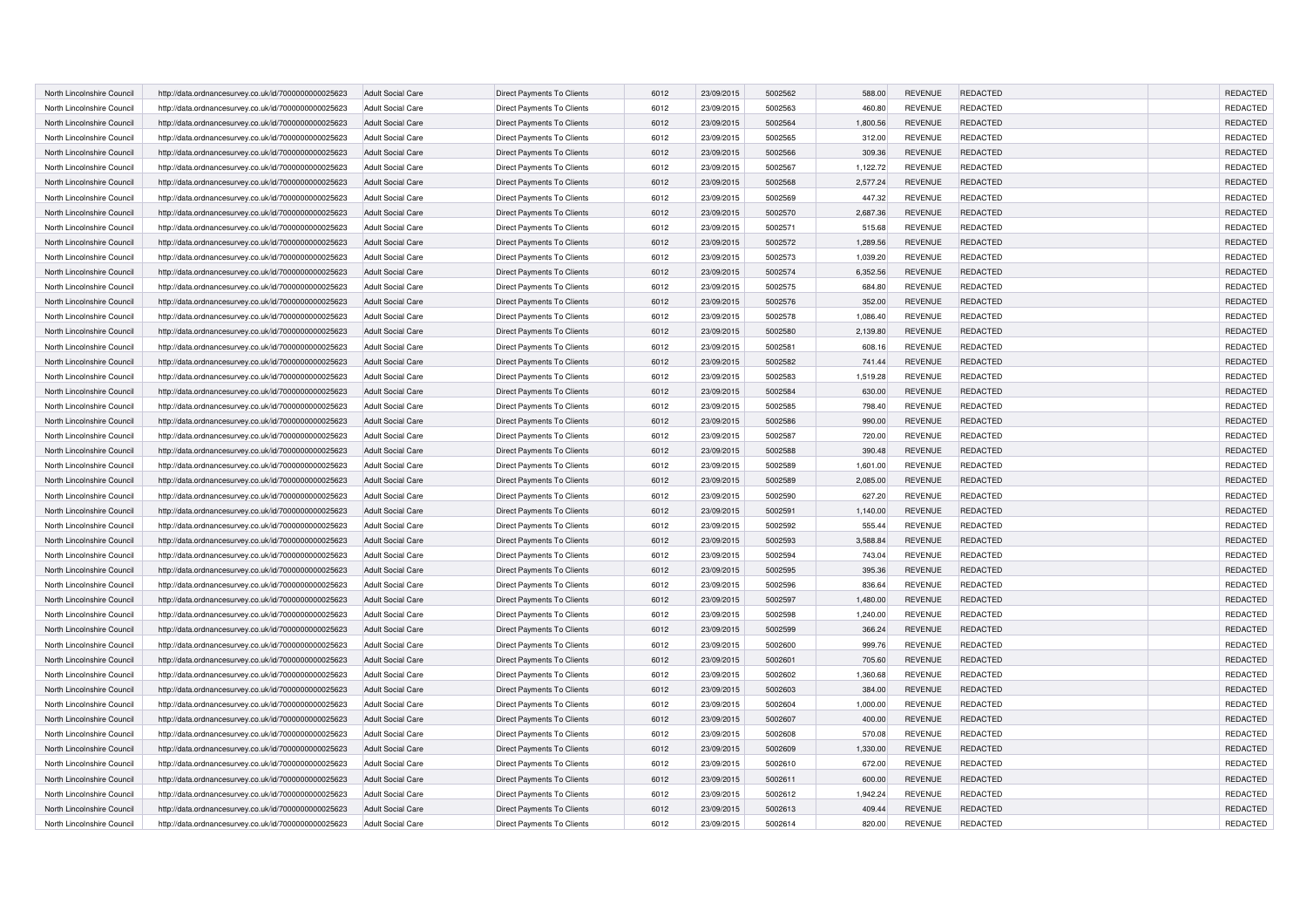| North Lincolnshire Council | http://data.ordnancesurvey.co.uk/id/7000000000025623 | <b>Adult Social Care</b> | Direct Payments To Clients        | 6012 | 23/09/2015 | 5002562 | 588.00   | <b>REVENUE</b> | <b>REDACTED</b> | REDACTED        |
|----------------------------|------------------------------------------------------|--------------------------|-----------------------------------|------|------------|---------|----------|----------------|-----------------|-----------------|
| North Lincolnshire Council | http://data.ordnancesurvey.co.uk/id/7000000000025623 | <b>Adult Social Care</b> | Direct Payments To Clients        | 6012 | 23/09/2015 | 5002563 | 460.80   | <b>REVENUE</b> | <b>REDACTED</b> | REDACTED        |
| North Lincolnshire Council | http://data.ordnancesurvey.co.uk/id/7000000000025623 | <b>Adult Social Care</b> | Direct Payments To Clients        | 6012 | 23/09/2015 | 5002564 | 1,800.56 | <b>REVENUE</b> | <b>REDACTED</b> | REDACTED        |
| North Lincolnshire Council | http://data.ordnancesurvey.co.uk/id/7000000000025623 | <b>Adult Social Care</b> | Direct Payments To Clients        | 6012 | 23/09/2015 | 5002565 | 312.00   | <b>REVENUE</b> | <b>REDACTED</b> | REDACTED        |
| North Lincolnshire Council | http://data.ordnancesurvey.co.uk/id/7000000000025623 | <b>Adult Social Care</b> | Direct Payments To Clients        | 6012 | 23/09/2015 | 5002566 | 309.36   | <b>REVENUE</b> | <b>REDACTED</b> | REDACTED        |
| North Lincolnshire Council | http://data.ordnancesurvey.co.uk/id/7000000000025623 | <b>Adult Social Care</b> | Direct Payments To Clients        | 6012 | 23/09/2015 | 5002567 | 1,122.72 | <b>REVENUE</b> | <b>REDACTED</b> | REDACTED        |
| North Lincolnshire Council | http://data.ordnancesurvey.co.uk/id/7000000000025623 | <b>Adult Social Care</b> | Direct Payments To Clients        | 6012 | 23/09/2015 | 5002568 | 2,577.24 | <b>REVENUE</b> | <b>REDACTED</b> | <b>REDACTED</b> |
| North Lincolnshire Council | http://data.ordnancesurvey.co.uk/id/7000000000025623 | <b>Adult Social Care</b> | Direct Payments To Clients        | 6012 | 23/09/2015 | 5002569 | 447.32   | <b>REVENUE</b> | <b>REDACTED</b> | REDACTED        |
| North Lincolnshire Council | http://data.ordnancesurvey.co.uk/id/7000000000025623 | <b>Adult Social Care</b> | Direct Payments To Clients        | 6012 | 23/09/2015 | 5002570 | 2,687.36 | <b>REVENUE</b> | <b>REDACTED</b> | REDACTED        |
| North Lincolnshire Council | http://data.ordnancesurvey.co.uk/id/7000000000025623 | <b>Adult Social Care</b> | Direct Payments To Clients        | 6012 | 23/09/2015 | 5002571 | 515.68   | <b>REVENUE</b> | <b>REDACTED</b> | REDACTED        |
| North Lincolnshire Council | http://data.ordnancesurvey.co.uk/id/7000000000025623 | <b>Adult Social Care</b> | Direct Payments To Clients        | 6012 | 23/09/2015 | 5002572 | 1,289.56 | <b>REVENUE</b> | REDACTED        | REDACTED        |
| North Lincolnshire Council | http://data.ordnancesurvey.co.uk/id/7000000000025623 | <b>Adult Social Care</b> | Direct Payments To Clients        | 6012 | 23/09/2015 | 5002573 | 1,039.20 | <b>REVENUE</b> | <b>REDACTED</b> | REDACTED        |
| North Lincolnshire Council | http://data.ordnancesurvey.co.uk/id/7000000000025623 |                          | Direct Payments To Clients        | 6012 | 23/09/2015 | 5002574 | 6,352.56 | <b>REVENUE</b> | <b>REDACTED</b> | REDACTED        |
|                            |                                                      | <b>Adult Social Care</b> |                                   |      |            | 5002575 |          |                |                 | REDACTED        |
| North Lincolnshire Council | http://data.ordnancesurvey.co.uk/id/7000000000025623 | <b>Adult Social Care</b> | Direct Payments To Clients        | 6012 | 23/09/2015 |         | 684.80   | <b>REVENUE</b> | <b>REDACTED</b> |                 |
| North Lincolnshire Council | http://data.ordnancesurvey.co.uk/id/7000000000025623 | <b>Adult Social Care</b> | Direct Payments To Clients        | 6012 | 23/09/2015 | 5002576 | 352.00   | <b>REVENUE</b> | REDACTED        | REDACTED        |
| North Lincolnshire Council | http://data.ordnancesurvey.co.uk/id/7000000000025623 | <b>Adult Social Care</b> | Direct Payments To Clients        | 6012 | 23/09/2015 | 5002578 | 1,086.40 | <b>REVENUE</b> | REDACTED        | REDACTED        |
| North Lincolnshire Council | http://data.ordnancesurvey.co.uk/id/7000000000025623 | <b>Adult Social Care</b> | Direct Payments To Clients        | 6012 | 23/09/2015 | 5002580 | 2,139.80 | <b>REVENUE</b> | <b>REDACTED</b> | REDACTED        |
| North Lincolnshire Council | http://data.ordnancesurvey.co.uk/id/7000000000025623 | <b>Adult Social Care</b> | Direct Payments To Clients        | 6012 | 23/09/2015 | 5002581 | 608.16   | <b>REVENUE</b> | REDACTED        | REDACTED        |
| North Lincolnshire Council | http://data.ordnancesurvey.co.uk/id/7000000000025623 | <b>Adult Social Care</b> | Direct Payments To Clients        | 6012 | 23/09/2015 | 5002582 | 741.44   | <b>REVENUE</b> | REDACTED        | REDACTED        |
| North Lincolnshire Council | http://data.ordnancesurvey.co.uk/id/7000000000025623 | <b>Adult Social Care</b> | Direct Payments To Clients        | 6012 | 23/09/2015 | 5002583 | 1,519.28 | <b>REVENUE</b> | REDACTED        | REDACTED        |
| North Lincolnshire Council | http://data.ordnancesurvey.co.uk/id/7000000000025623 | <b>Adult Social Care</b> | Direct Payments To Clients        | 6012 | 23/09/2015 | 5002584 | 630.00   | <b>REVENUE</b> | REDACTED        | REDACTED        |
| North Lincolnshire Council | http://data.ordnancesurvey.co.uk/id/7000000000025623 | <b>Adult Social Care</b> | Direct Payments To Clients        | 6012 | 23/09/2015 | 5002585 | 798.40   | <b>REVENUE</b> | REDACTED        | REDACTED        |
| North Lincolnshire Council | http://data.ordnancesurvey.co.uk/id/7000000000025623 | <b>Adult Social Care</b> | Direct Payments To Clients        | 6012 | 23/09/2015 | 5002586 | 990.00   | <b>REVENUE</b> | REDACTED        | REDACTED        |
| North Lincolnshire Council | http://data.ordnancesurvey.co.uk/id/7000000000025623 | <b>Adult Social Care</b> | Direct Payments To Clients        | 6012 | 23/09/2015 | 5002587 | 720.00   | <b>REVENUE</b> | REDACTED        | REDACTED        |
| North Lincolnshire Council | http://data.ordnancesurvey.co.uk/id/7000000000025623 | <b>Adult Social Care</b> | Direct Payments To Clients        | 6012 | 23/09/2015 | 5002588 | 390.48   | <b>REVENUE</b> | REDACTED        | REDACTED        |
| North Lincolnshire Council | http://data.ordnancesurvey.co.uk/id/7000000000025623 | <b>Adult Social Care</b> | Direct Payments To Clients        | 6012 | 23/09/2015 | 5002589 | 1,601.00 | <b>REVENUE</b> | REDACTED        | REDACTED        |
| North Lincolnshire Council | http://data.ordnancesurvey.co.uk/id/7000000000025623 | <b>Adult Social Care</b> | Direct Payments To Clients        | 6012 | 23/09/2015 | 5002589 | 2,085.00 | <b>REVENUE</b> | REDACTED        | REDACTED        |
| North Lincolnshire Council | http://data.ordnancesurvey.co.uk/id/7000000000025623 | Adult Social Care        | Direct Payments To Clients        | 6012 | 23/09/2015 | 5002590 | 627.20   | <b>REVENUE</b> | REDACTED        | REDACTED        |
| North Lincolnshire Council | http://data.ordnancesurvey.co.uk/id/7000000000025623 | <b>Adult Social Care</b> | Direct Payments To Clients        | 6012 | 23/09/2015 | 5002591 | 1,140.00 | <b>REVENUE</b> | REDACTED        | REDACTED        |
| North Lincolnshire Council | http://data.ordnancesurvey.co.uk/id/7000000000025623 | <b>Adult Social Care</b> | Direct Payments To Clients        | 6012 | 23/09/2015 | 5002592 | 555.44   | <b>REVENUE</b> | REDACTED        | REDACTED        |
| North Lincolnshire Council | http://data.ordnancesurvey.co.uk/id/7000000000025623 | <b>Adult Social Care</b> | <b>Direct Payments To Clients</b> | 6012 | 23/09/2015 | 5002593 | 3.588.84 | <b>REVENUE</b> | REDACTED        | <b>REDACTED</b> |
| North Lincolnshire Council | http://data.ordnancesurvey.co.uk/id/7000000000025623 | <b>Adult Social Care</b> | Direct Payments To Clients        | 6012 | 23/09/2015 | 5002594 | 743.04   | <b>REVENUE</b> | REDACTED        | REDACTED        |
| North Lincolnshire Council | http://data.ordnancesurvey.co.uk/id/7000000000025623 | <b>Adult Social Care</b> | Direct Payments To Clients        | 6012 | 23/09/2015 | 5002595 | 395.36   | <b>REVENUE</b> | REDACTED        | REDACTED        |
| North Lincolnshire Council | http://data.ordnancesurvey.co.uk/id/7000000000025623 | <b>Adult Social Care</b> | Direct Payments To Clients        | 6012 | 23/09/2015 | 5002596 | 836.64   | <b>REVENUE</b> | <b>REDACTED</b> | REDACTED        |
| North Lincolnshire Council | http://data.ordnancesurvey.co.uk/id/7000000000025623 | <b>Adult Social Care</b> | Direct Payments To Clients        | 6012 | 23/09/2015 | 5002597 | 1.480.00 | <b>REVENUE</b> | REDACTED        | REDACTED        |
| North Lincolnshire Council | http://data.ordnancesurvey.co.uk/id/7000000000025623 | <b>Adult Social Care</b> | Direct Payments To Clients        | 6012 | 23/09/2015 | 5002598 | 1,240.00 | <b>REVENUE</b> | <b>REDACTED</b> | REDACTED        |
| North Lincolnshire Council | http://data.ordnancesurvey.co.uk/id/7000000000025623 | <b>Adult Social Care</b> | Direct Payments To Clients        | 6012 | 23/09/2015 | 5002599 | 366.24   | <b>REVENUE</b> | REDACTED        | REDACTED        |
| North Lincolnshire Council | http://data.ordnancesurvey.co.uk/id/7000000000025623 | <b>Adult Social Care</b> | Direct Payments To Clients        | 6012 | 23/09/2015 | 5002600 | 999.76   | <b>REVENUE</b> | <b>REDACTED</b> | REDACTED        |
| North Lincolnshire Council | http://data.ordnancesurvey.co.uk/id/7000000000025623 | <b>Adult Social Care</b> | Direct Payments To Clients        | 6012 | 23/09/2015 | 5002601 | 705.60   | <b>REVENUE</b> | REDACTED        | REDACTED        |
| North Lincolnshire Council | http://data.ordnancesurvey.co.uk/id/7000000000025623 | <b>Adult Social Care</b> | Direct Payments To Clients        | 6012 | 23/09/2015 | 5002602 | 1,360.68 | <b>REVENUE</b> | REDACTED        | REDACTED        |
| North Lincolnshire Council | http://data.ordnancesurvey.co.uk/id/7000000000025623 | <b>Adult Social Care</b> | Direct Payments To Clients        | 6012 | 23/09/2015 | 5002603 | 384.00   | <b>REVENUE</b> | <b>REDACTED</b> | REDACTED        |
| North Lincolnshire Council | http://data.ordnancesurvey.co.uk/id/7000000000025623 | <b>Adult Social Care</b> | Direct Payments To Clients        | 6012 | 23/09/2015 | 5002604 | 1,000.00 | <b>REVENUE</b> | REDACTED        | REDACTED        |
| North Lincolnshire Council | http://data.ordnancesurvey.co.uk/id/7000000000025623 | <b>Adult Social Care</b> | Direct Payments To Clients        | 6012 | 23/09/2015 | 5002607 | 400.00   | <b>REVENUE</b> | <b>REDACTED</b> | REDACTED        |
| North Lincolnshire Council | http://data.ordnancesurvey.co.uk/id/7000000000025623 | <b>Adult Social Care</b> | Direct Payments To Clients        | 6012 | 23/09/2015 | 5002608 | 570.08   | <b>REVENUE</b> | <b>REDACTED</b> | REDACTED        |
| North Lincolnshire Council | http://data.ordnancesurvey.co.uk/id/7000000000025623 | <b>Adult Social Care</b> | Direct Payments To Clients        | 6012 | 23/09/2015 | 5002609 | 1,330.00 | <b>REVENUE</b> | <b>REDACTED</b> | <b>REDACTED</b> |
| North Lincolnshire Council | http://data.ordnancesurvey.co.uk/id/7000000000025623 | <b>Adult Social Care</b> | Direct Payments To Clients        | 6012 | 23/09/2015 | 5002610 | 672.00   | <b>REVENUE</b> | <b>REDACTED</b> | REDACTED        |
| North Lincolnshire Council | http://data.ordnancesurvey.co.uk/id/7000000000025623 | <b>Adult Social Care</b> | Direct Payments To Clients        | 6012 | 23/09/2015 | 5002611 | 600.00   | <b>REVENUE</b> | <b>REDACTED</b> | REDACTED        |
| North Lincolnshire Council | http://data.ordnancesurvey.co.uk/id/7000000000025623 | <b>Adult Social Care</b> | Direct Payments To Clients        | 6012 | 23/09/2015 | 5002612 | 1,942.24 | <b>REVENUE</b> | <b>REDACTED</b> | REDACTED        |
| North Lincolnshire Council | http://data.ordnancesurvey.co.uk/id/7000000000025623 | <b>Adult Social Care</b> | Direct Payments To Clients        | 6012 | 23/09/2015 | 5002613 | 409.44   | <b>REVENUE</b> | <b>REDACTED</b> | REDACTED        |
| North Lincolnshire Council | http://data.ordnancesurvey.co.uk/id/7000000000025623 | <b>Adult Social Care</b> | Direct Payments To Clients        | 6012 | 23/09/2015 | 5002614 | 820.00   | <b>REVENUE</b> | REDACTED        | REDACTED        |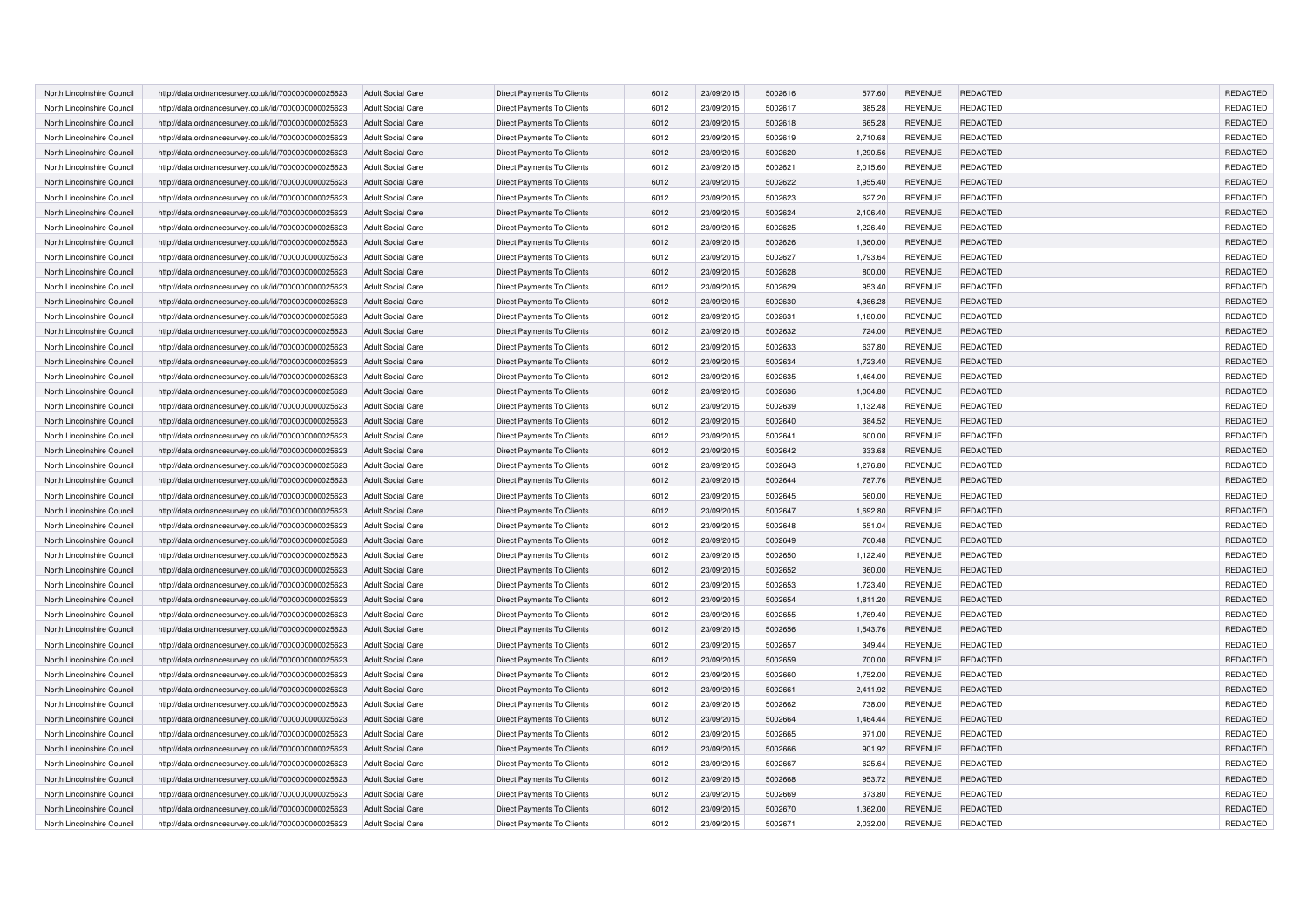| North Lincolnshire Council |                                                      | <b>Adult Social Care</b> | Direct Payments To Clients        | 6012 | 23/09/2015 | 5002616 | 577.60   | <b>REVENUE</b> | <b>REDACTED</b> | REDACTED        |
|----------------------------|------------------------------------------------------|--------------------------|-----------------------------------|------|------------|---------|----------|----------------|-----------------|-----------------|
|                            | http://data.ordnancesurvey.co.uk/id/7000000000025623 |                          |                                   |      |            |         |          |                |                 |                 |
| North Lincolnshire Council | http://data.ordnancesurvey.co.uk/id/7000000000025623 | <b>Adult Social Care</b> | Direct Payments To Clients        | 6012 | 23/09/2015 | 5002617 | 385.28   | <b>REVENUE</b> | <b>REDACTED</b> | REDACTED        |
| North Lincolnshire Council | http://data.ordnancesurvey.co.uk/id/7000000000025623 | <b>Adult Social Care</b> | Direct Payments To Clients        | 6012 | 23/09/2015 | 5002618 | 665.28   | <b>REVENUE</b> | <b>REDACTED</b> | REDACTED        |
| North Lincolnshire Council | http://data.ordnancesurvey.co.uk/id/7000000000025623 | <b>Adult Social Care</b> | Direct Payments To Clients        | 6012 | 23/09/2015 | 5002619 | 2,710.68 | <b>REVENUE</b> | <b>REDACTED</b> | REDACTED        |
| North Lincolnshire Council | http://data.ordnancesurvey.co.uk/id/7000000000025623 | <b>Adult Social Care</b> | Direct Payments To Clients        | 6012 | 23/09/2015 | 5002620 | 1,290.56 | <b>REVENUE</b> | <b>REDACTED</b> | REDACTED        |
| North Lincolnshire Council | http://data.ordnancesurvey.co.uk/id/7000000000025623 | Adult Social Care        | Direct Payments To Clients        | 6012 | 23/09/2015 | 5002621 | 2,015.60 | <b>REVENUE</b> | <b>REDACTED</b> | REDACTED        |
| North Lincolnshire Council | http://data.ordnancesurvey.co.uk/id/7000000000025623 | <b>Adult Social Care</b> | <b>Direct Payments To Clients</b> | 6012 | 23/09/2015 | 5002622 | 1,955.40 | <b>REVENUE</b> | <b>REDACTED</b> | <b>REDACTED</b> |
| North Lincolnshire Council | http://data.ordnancesurvey.co.uk/id/7000000000025623 | <b>Adult Social Care</b> | Direct Payments To Clients        | 6012 | 23/09/2015 | 5002623 | 627.20   | <b>REVENUE</b> | <b>REDACTED</b> | REDACTED        |
| North Lincolnshire Council | http://data.ordnancesurvey.co.uk/id/7000000000025623 | <b>Adult Social Care</b> | Direct Payments To Clients        | 6012 | 23/09/2015 | 5002624 | 2,106.40 | <b>REVENUE</b> | REDACTED        | REDACTED        |
| North Lincolnshire Council | http://data.ordnancesurvey.co.uk/id/7000000000025623 | Adult Social Care        | Direct Payments To Clients        | 6012 | 23/09/2015 | 5002625 | 1,226.40 | <b>REVENUE</b> | <b>REDACTED</b> | REDACTED        |
| North Lincolnshire Council | http://data.ordnancesurvey.co.uk/id/7000000000025623 | <b>Adult Social Care</b> | Direct Payments To Clients        | 6012 | 23/09/2015 | 5002626 | 1,360.00 | <b>REVENUE</b> | REDACTED        | REDACTED        |
| North Lincolnshire Council | http://data.ordnancesurvey.co.uk/id/7000000000025623 | <b>Adult Social Care</b> | Direct Payments To Clients        | 6012 | 23/09/2015 | 5002627 | 1,793.64 | <b>REVENUE</b> | <b>REDACTED</b> | REDACTED        |
| North Lincolnshire Council | http://data.ordnancesurvey.co.uk/id/7000000000025623 | <b>Adult Social Care</b> | Direct Payments To Clients        | 6012 | 23/09/2015 | 5002628 | 800.00   | <b>REVENUE</b> | REDACTED        | REDACTED        |
| North Lincolnshire Council | http://data.ordnancesurvey.co.uk/id/7000000000025623 | <b>Adult Social Care</b> | Direct Payments To Clients        | 6012 | 23/09/2015 | 5002629 | 953.40   | <b>REVENUE</b> | <b>REDACTED</b> | REDACTED        |
| North Lincolnshire Council | http://data.ordnancesurvey.co.uk/id/7000000000025623 | <b>Adult Social Care</b> | Direct Payments To Clients        | 6012 | 23/09/2015 | 5002630 | 4,366.28 | <b>REVENUE</b> | REDACTED        | REDACTED        |
| North Lincolnshire Council | http://data.ordnancesurvey.co.uk/id/7000000000025623 | Adult Social Care        | Direct Payments To Clients        | 6012 | 23/09/2015 | 5002631 | 1,180.00 | <b>REVENUE</b> | <b>REDACTED</b> | REDACTED        |
| North Lincolnshire Council | http://data.ordnancesurvey.co.uk/id/7000000000025623 | <b>Adult Social Care</b> | Direct Payments To Clients        | 6012 | 23/09/2015 | 5002632 | 724.00   | <b>REVENUE</b> | REDACTED        | REDACTED        |
| North Lincolnshire Council | http://data.ordnancesurvey.co.uk/id/7000000000025623 | <b>Adult Social Care</b> | Direct Payments To Clients        | 6012 | 23/09/2015 | 5002633 | 637.80   | <b>REVENUE</b> | REDACTED        | REDACTED        |
| North Lincolnshire Council | http://data.ordnancesurvey.co.uk/id/7000000000025623 | <b>Adult Social Care</b> | Direct Payments To Clients        | 6012 | 23/09/2015 | 5002634 | 1,723.40 | <b>REVENUE</b> | REDACTED        | REDACTED        |
| North Lincolnshire Council | http://data.ordnancesurvey.co.uk/id/7000000000025623 | Adult Social Care        | Direct Payments To Clients        | 6012 | 23/09/2015 | 5002635 | 1,464.00 | <b>REVENUE</b> | REDACTED        | REDACTED        |
| North Lincolnshire Council | http://data.ordnancesurvey.co.uk/id/7000000000025623 | <b>Adult Social Care</b> | Direct Payments To Clients        | 6012 | 23/09/2015 | 5002636 | 1,004.80 | <b>REVENUE</b> | REDACTED        | REDACTED        |
| North Lincolnshire Council | http://data.ordnancesurvey.co.uk/id/7000000000025623 | <b>Adult Social Care</b> | Direct Payments To Clients        | 6012 | 23/09/2015 | 5002639 | 1,132.48 | <b>REVENUE</b> | REDACTED        | REDACTED        |
| North Lincolnshire Council | http://data.ordnancesurvey.co.uk/id/7000000000025623 | <b>Adult Social Care</b> | Direct Payments To Clients        | 6012 | 23/09/2015 | 5002640 | 384.52   | <b>REVENUE</b> | REDACTED        | REDACTED        |
| North Lincolnshire Council | http://data.ordnancesurvey.co.uk/id/7000000000025623 | <b>Adult Social Care</b> | Direct Payments To Clients        | 6012 | 23/09/2015 | 5002641 | 600.00   | <b>REVENUE</b> | <b>REDACTED</b> | REDACTED        |
| North Lincolnshire Council | http://data.ordnancesurvey.co.uk/id/7000000000025623 | <b>Adult Social Care</b> | Direct Payments To Clients        | 6012 | 23/09/2015 | 5002642 | 333.68   | <b>REVENUE</b> | REDACTED        | REDACTED        |
| North Lincolnshire Council | http://data.ordnancesurvey.co.uk/id/7000000000025623 | <b>Adult Social Care</b> | Direct Payments To Clients        | 6012 | 23/09/2015 | 5002643 | 1,276.80 | <b>REVENUE</b> | REDACTED        | REDACTED        |
|                            |                                                      |                          |                                   |      |            |         |          |                |                 |                 |
| North Lincolnshire Council | http://data.ordnancesurvey.co.uk/id/7000000000025623 | <b>Adult Social Care</b> | Direct Payments To Clients        | 6012 | 23/09/2015 | 5002644 | 787.76   | <b>REVENUE</b> | REDACTED        | REDACTED        |
| North Lincolnshire Council | http://data.ordnancesurvey.co.uk/id/7000000000025623 | <b>Adult Social Care</b> | Direct Payments To Clients        | 6012 | 23/09/2015 | 5002645 | 560.00   | <b>REVENUE</b> | <b>REDACTED</b> | REDACTED        |
| North Lincolnshire Council | http://data.ordnancesurvey.co.uk/id/7000000000025623 | <b>Adult Social Care</b> | Direct Payments To Clients        | 6012 | 23/09/2015 | 5002647 | 1,692.80 | <b>REVENUE</b> | REDACTED        | REDACTED        |
| North Lincolnshire Council | http://data.ordnancesurvey.co.uk/id/7000000000025623 | <b>Adult Social Care</b> | Direct Payments To Clients        | 6012 | 23/09/2015 | 5002648 | 551.04   | <b>REVENUE</b> | REDACTED        | REDACTED        |
| North Lincolnshire Council | http://data.ordnancesurvey.co.uk/id/7000000000025623 | <b>Adult Social Care</b> | Direct Payments To Clients        | 6012 | 23/09/2015 | 5002649 | 760.48   | <b>REVENUE</b> | REDACTED        | REDACTED        |
| North Lincolnshire Council | http://data.ordnancesurvey.co.uk/id/7000000000025623 | <b>Adult Social Care</b> | Direct Payments To Clients        | 6012 | 23/09/2015 | 5002650 | 1,122.40 | <b>REVENUE</b> | <b>REDACTED</b> | REDACTED        |
| North Lincolnshire Council | http://data.ordnancesurvey.co.uk/id/7000000000025623 | <b>Adult Social Care</b> | Direct Payments To Clients        | 6012 | 23/09/2015 | 5002652 | 360.00   | <b>REVENUE</b> | REDACTED        | REDACTED        |
| North Lincolnshire Council | http://data.ordnancesurvey.co.uk/id/7000000000025623 | <b>Adult Social Care</b> | Direct Payments To Clients        | 6012 | 23/09/2015 | 5002653 | 1,723.40 | <b>REVENUE</b> | <b>REDACTED</b> | REDACTED        |
| North Lincolnshire Council | http://data.ordnancesurvey.co.uk/id/7000000000025623 | <b>Adult Social Care</b> | Direct Payments To Clients        | 6012 | 23/09/2015 | 5002654 | 1,811.20 | <b>REVENUE</b> | REDACTED        | REDACTED        |
| North Lincolnshire Council | http://data.ordnancesurvey.co.uk/id/7000000000025623 | <b>Adult Social Care</b> | Direct Payments To Clients        | 6012 | 23/09/2015 | 5002655 | 1,769.40 | <b>REVENUE</b> | <b>REDACTED</b> | REDACTED        |
| North Lincolnshire Council | http://data.ordnancesurvey.co.uk/id/7000000000025623 | <b>Adult Social Care</b> | Direct Payments To Clients        | 6012 | 23/09/2015 | 5002656 | 1,543.76 | <b>REVENUE</b> | REDACTED        | REDACTED        |
| North Lincolnshire Council | http://data.ordnancesurvey.co.uk/id/7000000000025623 | <b>Adult Social Care</b> | Direct Payments To Clients        | 6012 | 23/09/2015 | 5002657 | 349.44   | <b>REVENUE</b> | <b>REDACTED</b> | REDACTED        |
| North Lincolnshire Council | http://data.ordnancesurvey.co.uk/id/7000000000025623 | <b>Adult Social Care</b> | Direct Payments To Clients        | 6012 | 23/09/2015 | 5002659 | 700.00   | <b>REVENUE</b> | REDACTED        | REDACTED        |
| North Lincolnshire Council | http://data.ordnancesurvey.co.uk/id/7000000000025623 | <b>Adult Social Care</b> | Direct Payments To Clients        | 6012 | 23/09/2015 | 5002660 | 1,752.00 | <b>REVENUE</b> | <b>REDACTED</b> | REDACTED        |
| North Lincolnshire Council | http://data.ordnancesurvey.co.uk/id/7000000000025623 | <b>Adult Social Care</b> | Direct Payments To Clients        | 6012 | 23/09/2015 | 5002661 | 2,411.92 | <b>REVENUE</b> | <b>REDACTED</b> | REDACTED        |
| North Lincolnshire Council | http://data.ordnancesurvey.co.uk/id/7000000000025623 | <b>Adult Social Care</b> | Direct Payments To Clients        | 6012 | 23/09/2015 | 5002662 | 738.00   | <b>REVENUE</b> | <b>REDACTED</b> | REDACTED        |
| North Lincolnshire Council | http://data.ordnancesurvey.co.uk/id/7000000000025623 | <b>Adult Social Care</b> | Direct Payments To Clients        | 6012 | 23/09/2015 | 5002664 | 1,464.44 | <b>REVENUE</b> | REDACTED        | REDACTED        |
| North Lincolnshire Council | http://data.ordnancesurvey.co.uk/id/7000000000025623 | <b>Adult Social Care</b> | Direct Payments To Clients        | 6012 | 23/09/2015 | 5002665 | 971.00   | <b>REVENUE</b> | <b>REDACTED</b> | REDACTED        |
| North Lincolnshire Council | http://data.ordnancesurvey.co.uk/id/7000000000025623 | <b>Adult Social Care</b> | <b>Direct Payments To Clients</b> | 6012 | 23/09/2015 | 5002666 | 901.92   | <b>REVENUE</b> | <b>REDACTED</b> | <b>REDACTED</b> |
| North Lincolnshire Council | http://data.ordnancesurvey.co.uk/id/7000000000025623 | <b>Adult Social Care</b> | Direct Payments To Clients        | 6012 | 23/09/2015 | 5002667 | 625.64   | <b>REVENUE</b> | REDACTED        | REDACTED        |
| North Lincolnshire Council | http://data.ordnancesurvey.co.uk/id/7000000000025623 | <b>Adult Social Care</b> | Direct Payments To Clients        | 6012 | 23/09/2015 | 5002668 | 953.72   | <b>REVENUE</b> | REDACTED        | REDACTED        |
| North Lincolnshire Council | http://data.ordnancesurvey.co.uk/id/7000000000025623 | <b>Adult Social Care</b> | Direct Payments To Clients        | 6012 | 23/09/2015 | 5002669 | 373.80   | <b>REVENUE</b> | <b>REDACTED</b> | REDACTED        |
| North Lincolnshire Council | http://data.ordnancesurvey.co.uk/id/7000000000025623 | <b>Adult Social Care</b> | Direct Payments To Clients        | 6012 | 23/09/2015 | 5002670 | 1,362.00 | <b>REVENUE</b> | REDACTED        | REDACTED        |
| North Lincolnshire Council | http://data.ordnancesurvey.co.uk/id/7000000000025623 | <b>Adult Social Care</b> | Direct Payments To Clients        | 6012 | 23/09/2015 | 5002671 | 2,032.00 | <b>REVENUE</b> | REDACTED        | REDACTED        |
|                            |                                                      |                          |                                   |      |            |         |          |                |                 |                 |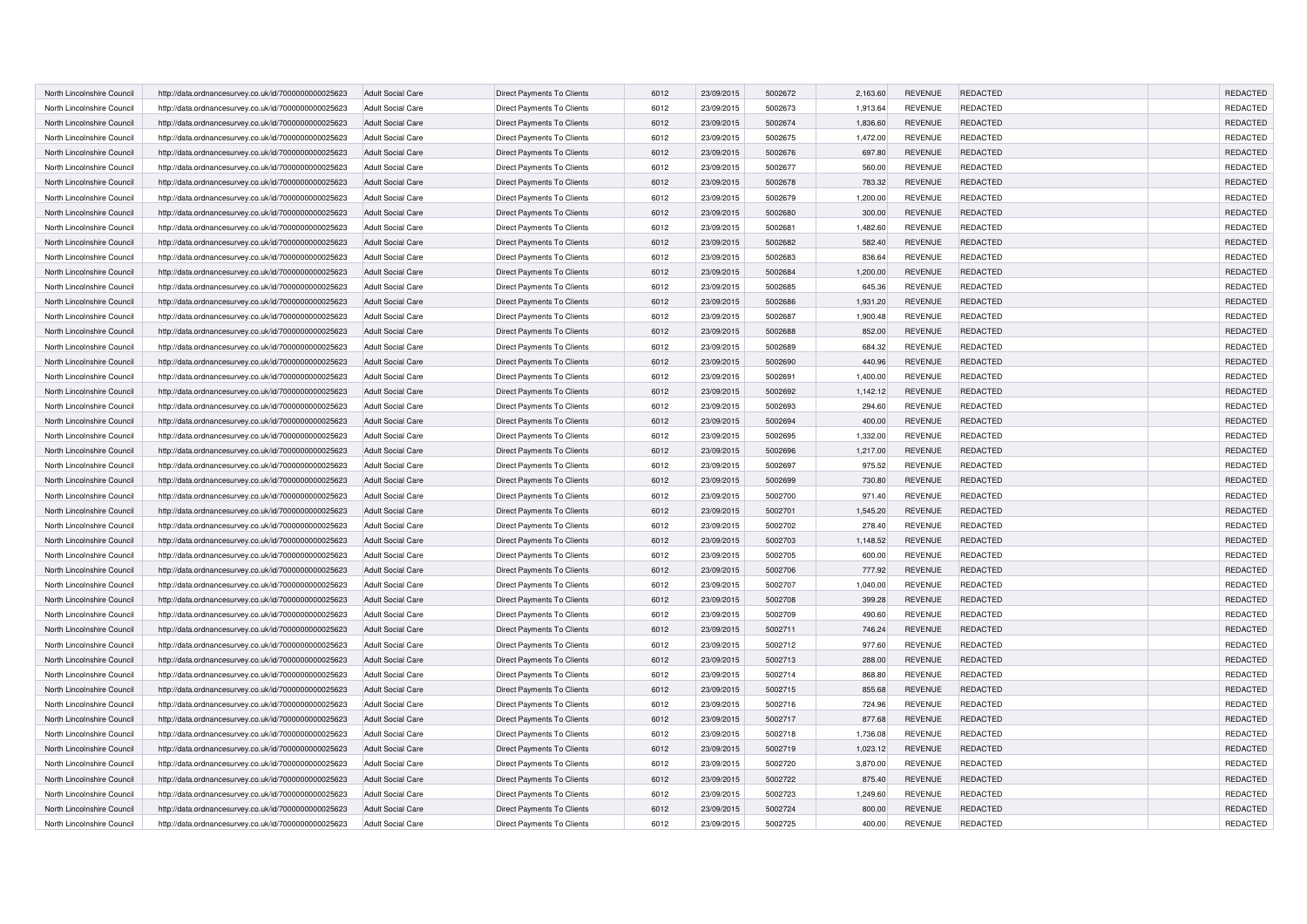| North Lincolnshire Council | http://data.ordnancesurvey.co.uk/id/7000000000025623 | <b>Adult Social Care</b> | Direct Payments To Clients        | 6012 | 23/09/2015 | 5002672 | 2,163.60 | <b>REVENUE</b> | REDACTED        | REDACTED        |
|----------------------------|------------------------------------------------------|--------------------------|-----------------------------------|------|------------|---------|----------|----------------|-----------------|-----------------|
| North Lincolnshire Council | http://data.ordnancesurvey.co.uk/id/7000000000025623 | <b>Adult Social Care</b> | Direct Payments To Clients        | 6012 | 23/09/2015 | 5002673 | 1,913.64 | <b>REVENUE</b> | <b>REDACTED</b> | REDACTED        |
| North Lincolnshire Council | http://data.ordnancesurvey.co.uk/id/7000000000025623 | <b>Adult Social Care</b> | Direct Payments To Clients        | 6012 | 23/09/2015 | 5002674 | 1,836.60 | <b>REVENUE</b> | <b>REDACTED</b> | REDACTED        |
| North Lincolnshire Council | http://data.ordnancesurvey.co.uk/id/7000000000025623 | <b>Adult Social Care</b> | Direct Payments To Clients        | 6012 | 23/09/2015 | 5002675 | 1,472.00 | <b>REVENUE</b> | <b>REDACTED</b> | REDACTED        |
| North Lincolnshire Council | http://data.ordnancesurvey.co.uk/id/7000000000025623 | <b>Adult Social Care</b> | Direct Payments To Clients        | 6012 | 23/09/2015 | 5002676 | 697.80   | <b>REVENUE</b> | <b>REDACTED</b> | REDACTED        |
| North Lincolnshire Council | http://data.ordnancesurvey.co.uk/id/7000000000025623 | <b>Adult Social Care</b> | Direct Payments To Clients        | 6012 | 23/09/2015 | 5002677 | 560.00   | <b>REVENUE</b> | <b>REDACTED</b> | REDACTED        |
| North Lincolnshire Council | http://data.ordnancesurvey.co.uk/id/7000000000025623 | <b>Adult Social Care</b> | Direct Payments To Clients        | 6012 | 23/09/2015 | 5002678 | 783.32   | <b>REVENUE</b> | <b>REDACTED</b> | <b>REDACTED</b> |
| North Lincolnshire Council | http://data.ordnancesurvey.co.uk/id/7000000000025623 | <b>Adult Social Care</b> | Direct Payments To Clients        | 6012 | 23/09/2015 | 5002679 | 1,200.00 | <b>REVENUE</b> | <b>REDACTED</b> | REDACTED        |
| North Lincolnshire Council | http://data.ordnancesurvey.co.uk/id/7000000000025623 | <b>Adult Social Care</b> | Direct Payments To Clients        | 6012 | 23/09/2015 | 5002680 | 300.00   | <b>REVENUE</b> | <b>REDACTED</b> | REDACTED        |
| North Lincolnshire Council | http://data.ordnancesurvey.co.uk/id/7000000000025623 | <b>Adult Social Care</b> | Direct Payments To Clients        | 6012 | 23/09/2015 | 5002681 | 1,482.60 | <b>REVENUE</b> | <b>REDACTED</b> | REDACTED        |
| North Lincolnshire Council | http://data.ordnancesurvey.co.uk/id/7000000000025623 | <b>Adult Social Care</b> | Direct Payments To Clients        | 6012 | 23/09/2015 | 5002682 | 582.40   | <b>REVENUE</b> | REDACTED        | REDACTED        |
| North Lincolnshire Council | http://data.ordnancesurvey.co.uk/id/7000000000025623 | <b>Adult Social Care</b> | Direct Payments To Clients        | 6012 | 23/09/2015 | 5002683 | 836.64   | <b>REVENUE</b> | <b>REDACTED</b> | REDACTED        |
| North Lincolnshire Council | http://data.ordnancesurvey.co.uk/id/7000000000025623 |                          | Direct Payments To Clients        | 6012 | 23/09/2015 | 5002684 | 1,200.00 | <b>REVENUE</b> | <b>REDACTED</b> | REDACTED        |
|                            |                                                      | <b>Adult Social Care</b> |                                   |      |            |         |          |                |                 | REDACTED        |
| North Lincolnshire Council | http://data.ordnancesurvey.co.uk/id/7000000000025623 | <b>Adult Social Care</b> | Direct Payments To Clients        | 6012 | 23/09/2015 | 5002685 | 645.36   | <b>REVENUE</b> | <b>REDACTED</b> |                 |
| North Lincolnshire Council | http://data.ordnancesurvey.co.uk/id/7000000000025623 | <b>Adult Social Care</b> | Direct Payments To Clients        | 6012 | 23/09/2015 | 5002686 | 1,931.20 | <b>REVENUE</b> | REDACTED        | REDACTED        |
| North Lincolnshire Council | http://data.ordnancesurvey.co.uk/id/7000000000025623 | <b>Adult Social Care</b> | Direct Payments To Clients        | 6012 | 23/09/2015 | 5002687 | 1,900.48 | <b>REVENUE</b> | REDACTED        | REDACTED        |
| North Lincolnshire Council | http://data.ordnancesurvey.co.uk/id/7000000000025623 | <b>Adult Social Care</b> | Direct Payments To Clients        | 6012 | 23/09/2015 | 5002688 | 852.00   | <b>REVENUE</b> | <b>REDACTED</b> | REDACTED        |
| North Lincolnshire Council | http://data.ordnancesurvey.co.uk/id/7000000000025623 | <b>Adult Social Care</b> | Direct Payments To Clients        | 6012 | 23/09/2015 | 5002689 | 684.32   | <b>REVENUE</b> | REDACTED        | REDACTED        |
| North Lincolnshire Council | http://data.ordnancesurvey.co.uk/id/7000000000025623 | <b>Adult Social Care</b> | Direct Payments To Clients        | 6012 | 23/09/2015 | 5002690 | 440.96   | <b>REVENUE</b> | REDACTED        | REDACTED        |
| North Lincolnshire Council | http://data.ordnancesurvey.co.uk/id/7000000000025623 | <b>Adult Social Care</b> | Direct Payments To Clients        | 6012 | 23/09/2015 | 5002691 | 1,400.00 | <b>REVENUE</b> | REDACTED        | REDACTED        |
| North Lincolnshire Council | http://data.ordnancesurvey.co.uk/id/7000000000025623 | <b>Adult Social Care</b> | Direct Payments To Clients        | 6012 | 23/09/2015 | 5002692 | 1,142.12 | <b>REVENUE</b> | REDACTED        | REDACTED        |
| North Lincolnshire Council | http://data.ordnancesurvey.co.uk/id/7000000000025623 | <b>Adult Social Care</b> | Direct Payments To Clients        | 6012 | 23/09/2015 | 5002693 | 294.60   | <b>REVENUE</b> | REDACTED        | REDACTED        |
| North Lincolnshire Council | http://data.ordnancesurvey.co.uk/id/7000000000025623 | <b>Adult Social Care</b> | Direct Payments To Clients        | 6012 | 23/09/2015 | 5002694 | 400.00   | <b>REVENUE</b> | REDACTED        | REDACTED        |
| North Lincolnshire Council | http://data.ordnancesurvey.co.uk/id/7000000000025623 | <b>Adult Social Care</b> | Direct Payments To Clients        | 6012 | 23/09/2015 | 5002695 | 1,332.00 | <b>REVENUE</b> | REDACTED        | REDACTED        |
| North Lincolnshire Council | http://data.ordnancesurvey.co.uk/id/7000000000025623 | <b>Adult Social Care</b> | Direct Payments To Clients        | 6012 | 23/09/2015 | 5002696 | 1,217.00 | <b>REVENUE</b> | REDACTED        | REDACTED        |
| North Lincolnshire Council | http://data.ordnancesurvey.co.uk/id/7000000000025623 | <b>Adult Social Care</b> | Direct Payments To Clients        | 6012 | 23/09/2015 | 5002697 | 975.52   | <b>REVENUE</b> | REDACTED        | REDACTED        |
| North Lincolnshire Council | http://data.ordnancesurvey.co.uk/id/7000000000025623 | <b>Adult Social Care</b> | Direct Payments To Clients        | 6012 | 23/09/2015 | 5002699 | 730.80   | <b>REVENUE</b> | <b>REDACTED</b> | REDACTED        |
| North Lincolnshire Council | http://data.ordnancesurvey.co.uk/id/7000000000025623 | Adult Social Care        | Direct Payments To Clients        | 6012 | 23/09/2015 | 5002700 | 971.40   | <b>REVENUE</b> | REDACTED        | REDACTED        |
| North Lincolnshire Council | http://data.ordnancesurvey.co.uk/id/7000000000025623 | <b>Adult Social Care</b> | Direct Payments To Clients        | 6012 | 23/09/2015 | 5002701 | 1,545.20 | <b>REVENUE</b> | <b>REDACTED</b> | REDACTED        |
| North Lincolnshire Council | http://data.ordnancesurvey.co.uk/id/7000000000025623 | <b>Adult Social Care</b> | Direct Payments To Clients        | 6012 | 23/09/2015 | 5002702 | 278.40   | <b>REVENUE</b> | REDACTED        | REDACTED        |
| North Lincolnshire Council | http://data.ordnancesurvey.co.uk/id/7000000000025623 | <b>Adult Social Care</b> | <b>Direct Payments To Clients</b> | 6012 | 23/09/2015 | 5002703 | 1.148.52 | <b>REVENUE</b> | <b>REDACTED</b> | <b>REDACTED</b> |
| North Lincolnshire Council | http://data.ordnancesurvey.co.uk/id/7000000000025623 | <b>Adult Social Care</b> | Direct Payments To Clients        | 6012 | 23/09/2015 | 5002705 | 600.00   | <b>REVENUE</b> | REDACTED        | REDACTED        |
| North Lincolnshire Council | http://data.ordnancesurvey.co.uk/id/7000000000025623 | <b>Adult Social Care</b> | Direct Payments To Clients        | 6012 | 23/09/2015 | 5002706 | 777.92   | <b>REVENUE</b> | <b>REDACTED</b> | REDACTED        |
| North Lincolnshire Council | http://data.ordnancesurvey.co.uk/id/7000000000025623 | <b>Adult Social Care</b> | Direct Payments To Clients        | 6012 | 23/09/2015 | 5002707 | 1,040.00 | <b>REVENUE</b> | <b>REDACTED</b> | REDACTED        |
| North Lincolnshire Council | http://data.ordnancesurvey.co.uk/id/7000000000025623 | <b>Adult Social Care</b> | Direct Payments To Clients        | 6012 | 23/09/2015 | 5002708 | 399.28   | <b>REVENUE</b> | REDACTED        | REDACTED        |
| North Lincolnshire Council | http://data.ordnancesurvey.co.uk/id/7000000000025623 | <b>Adult Social Care</b> | Direct Payments To Clients        | 6012 | 23/09/2015 | 5002709 | 490.60   | <b>REVENUE</b> | <b>REDACTED</b> | REDACTED        |
| North Lincolnshire Council | http://data.ordnancesurvey.co.uk/id/7000000000025623 | <b>Adult Social Care</b> | Direct Payments To Clients        | 6012 | 23/09/2015 | 5002711 | 746.24   | <b>REVENUE</b> | <b>REDACTED</b> | REDACTED        |
| North Lincolnshire Council | http://data.ordnancesurvey.co.uk/id/7000000000025623 | <b>Adult Social Care</b> | Direct Payments To Clients        | 6012 | 23/09/2015 | 5002712 | 977.60   | <b>REVENUE</b> | <b>REDACTED</b> | REDACTED        |
| North Lincolnshire Council | http://data.ordnancesurvey.co.uk/id/7000000000025623 | <b>Adult Social Care</b> | Direct Payments To Clients        | 6012 | 23/09/2015 | 5002713 | 288.00   | <b>REVENUE</b> | <b>REDACTED</b> | REDACTED        |
| North Lincolnshire Council | http://data.ordnancesurvey.co.uk/id/7000000000025623 | <b>Adult Social Care</b> | Direct Payments To Clients        | 6012 | 23/09/2015 | 5002714 | 868.80   | <b>REVENUE</b> | <b>REDACTED</b> | REDACTED        |
| North Lincolnshire Council | http://data.ordnancesurvey.co.uk/id/7000000000025623 | <b>Adult Social Care</b> | Direct Payments To Clients        | 6012 | 23/09/2015 | 5002715 | 855.68   | <b>REVENUE</b> | <b>REDACTED</b> | REDACTED        |
| North Lincolnshire Council | http://data.ordnancesurvey.co.uk/id/7000000000025623 | <b>Adult Social Care</b> | Direct Payments To Clients        | 6012 | 23/09/2015 | 5002716 | 724.96   | <b>REVENUE</b> | REDACTED        | REDACTED        |
| North Lincolnshire Council | http://data.ordnancesurvey.co.uk/id/7000000000025623 | <b>Adult Social Care</b> | Direct Payments To Clients        | 6012 | 23/09/2015 | 5002717 | 877.68   | <b>REVENUE</b> | <b>REDACTED</b> | REDACTED        |
| North Lincolnshire Council | http://data.ordnancesurvey.co.uk/id/7000000000025623 | <b>Adult Social Care</b> | Direct Payments To Clients        | 6012 | 23/09/2015 | 5002718 | 1,736.08 | <b>REVENUE</b> | <b>REDACTED</b> | REDACTED        |
| North Lincolnshire Council | http://data.ordnancesurvey.co.uk/id/7000000000025623 | <b>Adult Social Care</b> | Direct Payments To Clients        | 6012 | 23/09/2015 | 5002719 | 1,023.12 | <b>REVENUE</b> | <b>REDACTED</b> | <b>REDACTED</b> |
| North Lincolnshire Council | http://data.ordnancesurvey.co.uk/id/7000000000025623 | <b>Adult Social Care</b> | Direct Payments To Clients        | 6012 | 23/09/2015 | 5002720 | 3,870.00 | <b>REVENUE</b> | <b>REDACTED</b> | REDACTED        |
| North Lincolnshire Council | http://data.ordnancesurvey.co.uk/id/7000000000025623 | <b>Adult Social Care</b> | Direct Payments To Clients        | 6012 | 23/09/2015 | 5002722 | 875.40   | <b>REVENUE</b> | <b>REDACTED</b> | REDACTED        |
| North Lincolnshire Council | http://data.ordnancesurvey.co.uk/id/7000000000025623 | <b>Adult Social Care</b> | Direct Payments To Clients        | 6012 | 23/09/2015 | 5002723 | 1,249.60 | <b>REVENUE</b> | <b>REDACTED</b> | REDACTED        |
| North Lincolnshire Council | http://data.ordnancesurvey.co.uk/id/7000000000025623 | <b>Adult Social Care</b> | Direct Payments To Clients        | 6012 | 23/09/2015 | 5002724 | 800.00   | <b>REVENUE</b> | <b>REDACTED</b> | REDACTED        |
| North Lincolnshire Council | http://data.ordnancesurvey.co.uk/id/7000000000025623 | <b>Adult Social Care</b> | Direct Payments To Clients        | 6012 | 23/09/2015 | 5002725 | 400.00   | <b>REVENUE</b> | REDACTED        | REDACTED        |
|                            |                                                      |                          |                                   |      |            |         |          |                |                 |                 |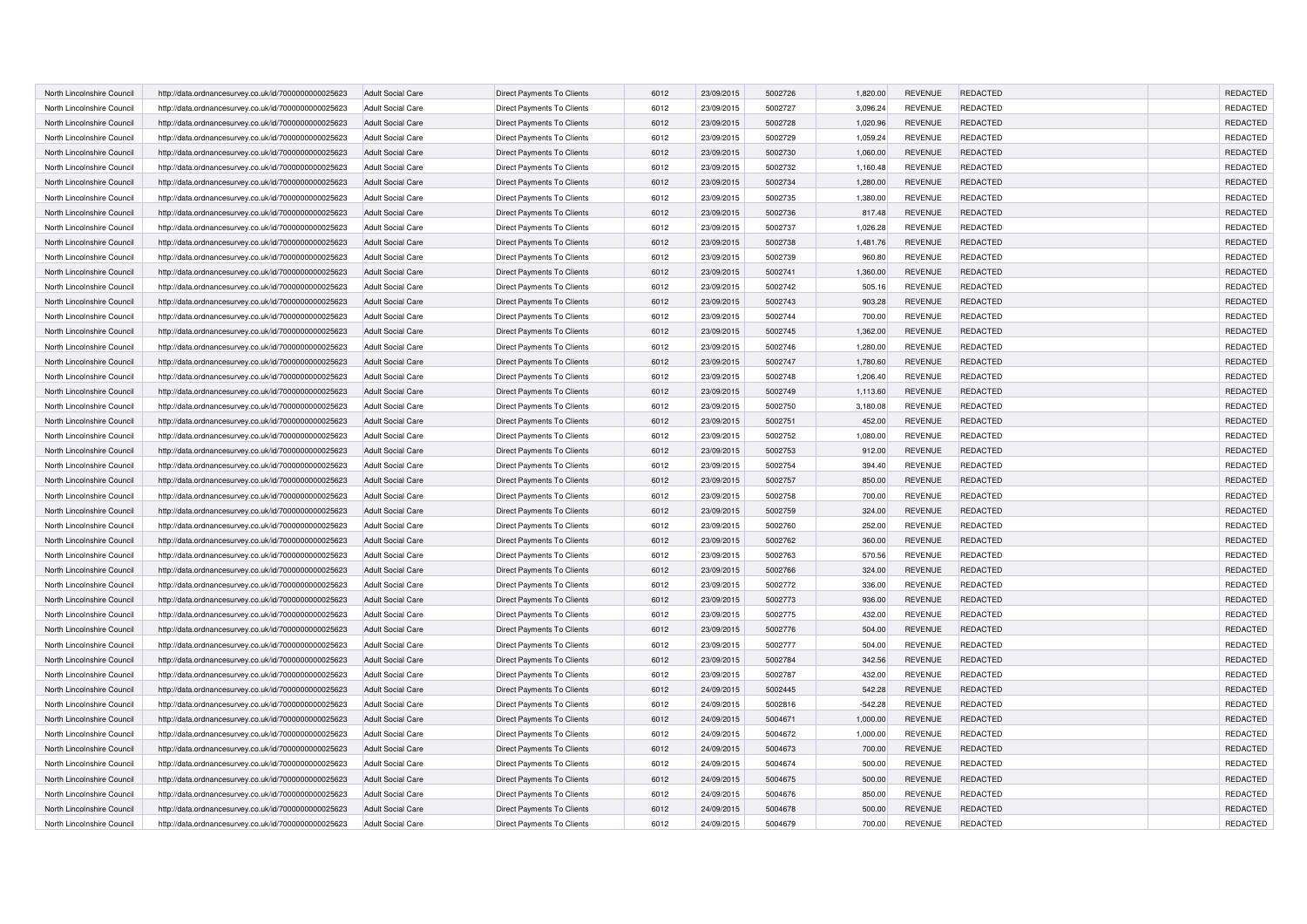| North Lincolnshire Council | http://data.ordnancesurvey.co.uk/id/7000000000025623 | <b>Adult Social Care</b> | Direct Payments To Clients        | 6012 | 23/09/2015 | 5002726 | 1,820.00  | <b>REVENUE</b> | <b>REDACTED</b> | REDACTED        |
|----------------------------|------------------------------------------------------|--------------------------|-----------------------------------|------|------------|---------|-----------|----------------|-----------------|-----------------|
| North Lincolnshire Council | http://data.ordnancesurvey.co.uk/id/7000000000025623 | <b>Adult Social Care</b> | Direct Payments To Clients        | 6012 | 23/09/2015 | 5002727 | 3,096.24  | <b>REVENUE</b> | <b>REDACTED</b> | REDACTED        |
| North Lincolnshire Council | http://data.ordnancesurvey.co.uk/id/7000000000025623 | <b>Adult Social Care</b> | Direct Payments To Clients        | 6012 | 23/09/2015 | 5002728 | 1,020.96  | <b>REVENUE</b> | <b>REDACTED</b> | REDACTED        |
| North Lincolnshire Council | http://data.ordnancesurvey.co.uk/id/7000000000025623 | <b>Adult Social Care</b> | Direct Payments To Clients        | 6012 | 23/09/2015 | 5002729 | 1,059.24  | <b>REVENUE</b> | <b>REDACTED</b> | REDACTED        |
| North Lincolnshire Council |                                                      | <b>Adult Social Care</b> | Direct Payments To Clients        | 6012 | 23/09/2015 | 5002730 | 1,060.00  | <b>REVENUE</b> | <b>REDACTED</b> | REDACTED        |
|                            | http://data.ordnancesurvey.co.uk/id/7000000000025623 |                          |                                   |      |            |         |           |                |                 |                 |
| North Lincolnshire Council | http://data.ordnancesurvey.co.uk/id/7000000000025623 | <b>Adult Social Care</b> | Direct Payments To Clients        | 6012 | 23/09/2015 | 5002732 | 1,160.48  | <b>REVENUE</b> | <b>REDACTED</b> | REDACTED        |
| North Lincolnshire Council | http://data.ordnancesurvey.co.uk/id/7000000000025623 | <b>Adult Social Care</b> | Direct Payments To Clients        | 6012 | 23/09/2015 | 5002734 | 1,280.00  | <b>REVENUE</b> | <b>REDACTED</b> | <b>REDACTED</b> |
| North Lincolnshire Council | http://data.ordnancesurvey.co.uk/id/7000000000025623 | <b>Adult Social Care</b> | Direct Payments To Clients        | 6012 | 23/09/2015 | 5002735 | 1,380.00  | <b>REVENUE</b> | <b>REDACTED</b> | REDACTED        |
| North Lincolnshire Council | http://data.ordnancesurvey.co.uk/id/7000000000025623 | <b>Adult Social Care</b> | Direct Payments To Clients        | 6012 | 23/09/2015 | 5002736 | 817.48    | <b>REVENUE</b> | <b>REDACTED</b> | REDACTED        |
| North Lincolnshire Council | http://data.ordnancesurvey.co.uk/id/7000000000025623 | <b>Adult Social Care</b> | Direct Payments To Clients        | 6012 | 23/09/2015 | 5002737 | 1,026.28  | <b>REVENUE</b> | <b>REDACTED</b> | REDACTED        |
| North Lincolnshire Council | http://data.ordnancesurvey.co.uk/id/7000000000025623 | <b>Adult Social Care</b> | Direct Payments To Clients        | 6012 | 23/09/2015 | 5002738 | 1,481.76  | <b>REVENUE</b> | REDACTED        | REDACTED        |
| North Lincolnshire Council | http://data.ordnancesurvey.co.uk/id/7000000000025623 | <b>Adult Social Care</b> | Direct Payments To Clients        | 6012 | 23/09/2015 | 5002739 | 960.80    | <b>REVENUE</b> | <b>REDACTED</b> | REDACTED        |
| North Lincolnshire Council | http://data.ordnancesurvey.co.uk/id/7000000000025623 | <b>Adult Social Care</b> | Direct Payments To Clients        | 6012 | 23/09/2015 | 5002741 | 1,360.00  | <b>REVENUE</b> | <b>REDACTED</b> | REDACTED        |
| North Lincolnshire Council | http://data.ordnancesurvey.co.uk/id/7000000000025623 | <b>Adult Social Care</b> | Direct Payments To Clients        | 6012 | 23/09/2015 | 5002742 | 505.16    | <b>REVENUE</b> | <b>REDACTED</b> | REDACTED        |
| North Lincolnshire Council | http://data.ordnancesurvey.co.uk/id/7000000000025623 | <b>Adult Social Care</b> | Direct Payments To Clients        | 6012 | 23/09/2015 | 5002743 | 903.28    | <b>REVENUE</b> | REDACTED        | REDACTED        |
| North Lincolnshire Council | http://data.ordnancesurvey.co.uk/id/7000000000025623 | <b>Adult Social Care</b> | Direct Payments To Clients        | 6012 | 23/09/2015 | 5002744 | 700.00    | <b>REVENUE</b> | REDACTED        | REDACTED        |
| North Lincolnshire Council | http://data.ordnancesurvey.co.uk/id/7000000000025623 | <b>Adult Social Care</b> | Direct Payments To Clients        | 6012 | 23/09/2015 | 5002745 | 1,362.00  | <b>REVENUE</b> | REDACTED        | REDACTED        |
| North Lincolnshire Council | http://data.ordnancesurvey.co.uk/id/7000000000025623 | <b>Adult Social Care</b> | Direct Payments To Clients        | 6012 | 23/09/2015 | 5002746 | 1,280.00  | <b>REVENUE</b> | REDACTED        | REDACTED        |
| North Lincolnshire Council | http://data.ordnancesurvey.co.uk/id/7000000000025623 | <b>Adult Social Care</b> | Direct Payments To Clients        | 6012 | 23/09/2015 | 5002747 | 1,780.60  | <b>REVENUE</b> | <b>REDACTED</b> | REDACTED        |
| North Lincolnshire Council | http://data.ordnancesurvey.co.uk/id/7000000000025623 | <b>Adult Social Care</b> | Direct Payments To Clients        | 6012 | 23/09/2015 | 5002748 | 1,206.40  | <b>REVENUE</b> | REDACTED        | REDACTED        |
| North Lincolnshire Council | http://data.ordnancesurvey.co.uk/id/7000000000025623 | <b>Adult Social Care</b> | Direct Payments To Clients        | 6012 | 23/09/2015 | 5002749 | 1,113.60  | <b>REVENUE</b> | REDACTED        | REDACTED        |
| North Lincolnshire Council | http://data.ordnancesurvey.co.uk/id/7000000000025623 | <b>Adult Social Care</b> | Direct Payments To Clients        | 6012 | 23/09/2015 | 5002750 | 3,180.08  | <b>REVENUE</b> | REDACTED        | REDACTED        |
| North Lincolnshire Council | http://data.ordnancesurvey.co.uk/id/7000000000025623 | <b>Adult Social Care</b> | Direct Payments To Clients        | 6012 | 23/09/2015 | 5002751 | 452.00    | <b>REVENUE</b> | REDACTED        | REDACTED        |
| North Lincolnshire Council |                                                      | <b>Adult Social Care</b> | Direct Payments To Clients        | 6012 | 23/09/2015 | 5002752 | 1,080.00  | <b>REVENUE</b> | REDACTED        | REDACTED        |
|                            | http://data.ordnancesurvey.co.uk/id/7000000000025623 |                          |                                   |      |            | 5002753 |           |                |                 |                 |
| North Lincolnshire Council | http://data.ordnancesurvey.co.uk/id/7000000000025623 | <b>Adult Social Care</b> | Direct Payments To Clients        | 6012 | 23/09/2015 |         | 912.00    | <b>REVENUE</b> | REDACTED        | REDACTED        |
| North Lincolnshire Council | http://data.ordnancesurvey.co.uk/id/7000000000025623 | <b>Adult Social Care</b> | Direct Payments To Clients        | 6012 | 23/09/2015 | 5002754 | 394.40    | <b>REVENUE</b> | REDACTED        | REDACTED        |
| North Lincolnshire Council | http://data.ordnancesurvey.co.uk/id/7000000000025623 | <b>Adult Social Care</b> | Direct Payments To Clients        | 6012 | 23/09/2015 | 5002757 | 850.00    | <b>REVENUE</b> | REDACTED        | REDACTED        |
| North Lincolnshire Council | http://data.ordnancesurvey.co.uk/id/7000000000025623 | Adult Social Care        | Direct Payments To Clients        | 6012 | 23/09/2015 | 5002758 | 700.00    | <b>REVENUE</b> | REDACTED        | REDACTED        |
| North Lincolnshire Council | http://data.ordnancesurvey.co.uk/id/7000000000025623 | <b>Adult Social Care</b> | Direct Payments To Clients        | 6012 | 23/09/2015 | 5002759 | 324.00    | <b>REVENUE</b> | REDACTED        | REDACTED        |
| North Lincolnshire Council | http://data.ordnancesurvey.co.uk/id/7000000000025623 | <b>Adult Social Care</b> | Direct Payments To Clients        | 6012 | 23/09/2015 | 5002760 | 252.00    | <b>REVENUE</b> | REDACTED        | REDACTED        |
| North Lincolnshire Council | http://data.ordnancesurvey.co.uk/id/7000000000025623 | <b>Adult Social Care</b> | <b>Direct Payments To Clients</b> | 6012 | 23/09/2015 | 5002762 | 360.00    | <b>REVENUE</b> | REDACTED        | REDACTED        |
| North Lincolnshire Council | http://data.ordnancesurvey.co.uk/id/7000000000025623 | <b>Adult Social Care</b> | Direct Payments To Clients        | 6012 | 23/09/2015 | 5002763 | 570.56    | <b>REVENUE</b> | REDACTED        | REDACTED        |
| North Lincolnshire Council | http://data.ordnancesurvey.co.uk/id/7000000000025623 | <b>Adult Social Care</b> | Direct Payments To Clients        | 6012 | 23/09/2015 | 5002766 | 324.00    | <b>REVENUE</b> | REDACTED        | REDACTED        |
| North Lincolnshire Council | http://data.ordnancesurvey.co.uk/id/7000000000025623 | <b>Adult Social Care</b> | Direct Payments To Clients        | 6012 | 23/09/2015 | 5002772 | 336.00    | <b>REVENUE</b> | <b>REDACTED</b> | REDACTED        |
| North Lincolnshire Council | http://data.ordnancesurvey.co.uk/id/7000000000025623 | <b>Adult Social Care</b> | Direct Payments To Clients        | 6012 | 23/09/2015 | 5002773 | 936.00    | <b>REVENUE</b> | REDACTED        | REDACTED        |
| North Lincolnshire Council | http://data.ordnancesurvey.co.uk/id/7000000000025623 | <b>Adult Social Care</b> | Direct Payments To Clients        | 6012 | 23/09/2015 | 5002775 | 432.00    | <b>REVENUE</b> | <b>REDACTED</b> | REDACTED        |
| North Lincolnshire Council | http://data.ordnancesurvey.co.uk/id/7000000000025623 | <b>Adult Social Care</b> | Direct Payments To Clients        | 6012 | 23/09/2015 | 5002776 | 504.00    | <b>REVENUE</b> | REDACTED        | REDACTED        |
| North Lincolnshire Council | http://data.ordnancesurvey.co.uk/id/7000000000025623 | <b>Adult Social Care</b> | Direct Payments To Clients        | 6012 | 23/09/2015 | 5002777 | 504.00    | <b>REVENUE</b> | <b>REDACTED</b> | REDACTED        |
| North Lincolnshire Council | http://data.ordnancesurvey.co.uk/id/7000000000025623 | <b>Adult Social Care</b> | Direct Payments To Clients        | 6012 | 23/09/2015 | 5002784 | 342.56    | <b>REVENUE</b> | REDACTED        | REDACTED        |
| North Lincolnshire Council | http://data.ordnancesurvey.co.uk/id/7000000000025623 | <b>Adult Social Care</b> | Direct Payments To Clients        | 6012 | 23/09/2015 | 5002787 | 432.00    | <b>REVENUE</b> | <b>REDACTED</b> | REDACTED        |
| North Lincolnshire Council | http://data.ordnancesurvey.co.uk/id/7000000000025623 | <b>Adult Social Care</b> | Direct Payments To Clients        | 6012 | 24/09/2015 | 5002445 | 542.28    | <b>REVENUE</b> | <b>REDACTED</b> | REDACTED        |
| North Lincolnshire Council | http://data.ordnancesurvey.co.uk/id/7000000000025623 | <b>Adult Social Care</b> | Direct Payments To Clients        | 6012 | 24/09/2015 | 5002816 | $-542.28$ | <b>REVENUE</b> | REDACTED        | REDACTED        |
| North Lincolnshire Council | http://data.ordnancesurvey.co.uk/id/7000000000025623 | <b>Adult Social Care</b> | Direct Payments To Clients        | 6012 | 24/09/2015 | 5004671 | 1,000.00  | <b>REVENUE</b> | <b>REDACTED</b> | REDACTED        |
| North Lincolnshire Council | http://data.ordnancesurvey.co.uk/id/7000000000025623 | <b>Adult Social Care</b> | Direct Payments To Clients        | 6012 | 24/09/2015 | 5004672 | 1,000.00  | <b>REVENUE</b> | <b>REDACTED</b> | REDACTED        |
| North Lincolnshire Council | http://data.ordnancesurvey.co.uk/id/7000000000025623 | <b>Adult Social Care</b> | Direct Payments To Clients        | 6012 | 24/09/2015 | 5004673 | 700.00    | <b>REVENUE</b> | <b>REDACTED</b> | <b>REDACTED</b> |
|                            |                                                      |                          |                                   |      |            | 5004674 |           |                | <b>REDACTED</b> | REDACTED        |
| North Lincolnshire Council | http://data.ordnancesurvey.co.uk/id/7000000000025623 | <b>Adult Social Care</b> | Direct Payments To Clients        | 6012 | 24/09/2015 |         | 500.00    | <b>REVENUE</b> |                 |                 |
| North Lincolnshire Council | http://data.ordnancesurvey.co.uk/id/7000000000025623 | <b>Adult Social Care</b> | Direct Payments To Clients        | 6012 | 24/09/2015 | 5004675 | 500.00    | <b>REVENUE</b> | <b>REDACTED</b> | REDACTED        |
| North Lincolnshire Council | http://data.ordnancesurvey.co.uk/id/7000000000025623 | <b>Adult Social Care</b> | Direct Payments To Clients        | 6012 | 24/09/2015 | 5004676 | 850.00    | <b>REVENUE</b> | <b>REDACTED</b> | REDACTED        |
| North Lincolnshire Council | http://data.ordnancesurvey.co.uk/id/7000000000025623 | <b>Adult Social Care</b> | Direct Payments To Clients        | 6012 | 24/09/2015 | 5004678 | 500.00    | <b>REVENUE</b> | <b>REDACTED</b> | REDACTED        |
| North Lincolnshire Council | http://data.ordnancesurvey.co.uk/id/7000000000025623 | <b>Adult Social Care</b> | Direct Payments To Clients        | 6012 | 24/09/2015 | 5004679 | 700.00    | <b>REVENUE</b> | REDACTED        | REDACTED        |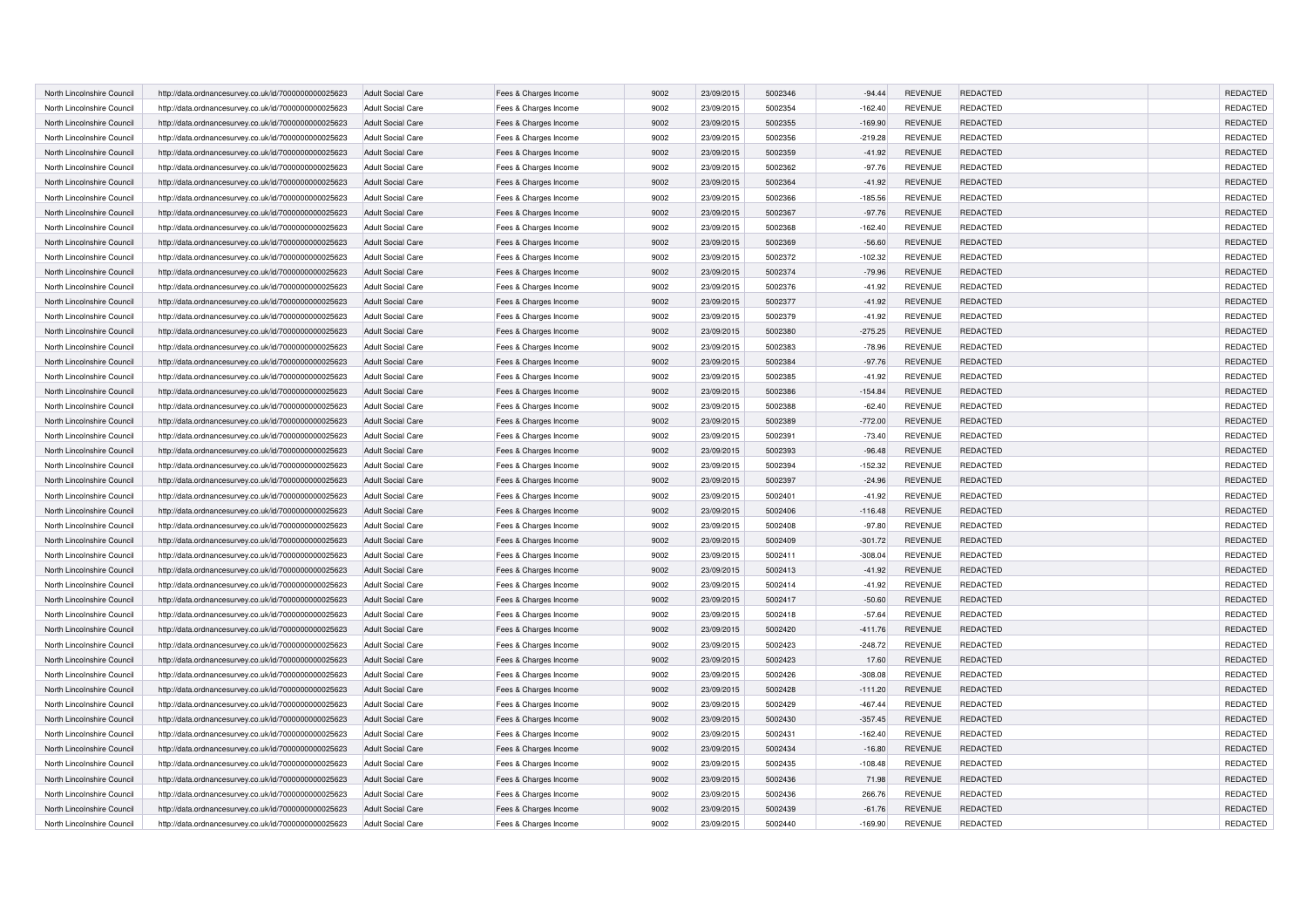| North Lincolnshire Council | http://data.ordnancesurvey.co.uk/id/7000000000025623 | <b>Adult Social Care</b> | Fees & Charges Income | 9002 | 23/09/2015 | 5002346 | $-94.44$  | <b>REVENUE</b> | <b>REDACTED</b> | REDACTED        |
|----------------------------|------------------------------------------------------|--------------------------|-----------------------|------|------------|---------|-----------|----------------|-----------------|-----------------|
| North Lincolnshire Council | http://data.ordnancesurvey.co.uk/id/7000000000025623 | <b>Adult Social Care</b> | Fees & Charges Income | 9002 | 23/09/2015 | 5002354 | $-162.40$ | <b>REVENUE</b> | <b>REDACTED</b> | REDACTED        |
| North Lincolnshire Council | http://data.ordnancesurvey.co.uk/id/7000000000025623 | Adult Social Care        | Fees & Charges Income | 9002 | 23/09/2015 | 5002355 | $-169.90$ | <b>REVENUE</b> | <b>REDACTED</b> | REDACTED        |
| North Lincolnshire Council | http://data.ordnancesurvey.co.uk/id/7000000000025623 | <b>Adult Social Care</b> | Fees & Charges Income | 9002 | 23/09/2015 | 5002356 | $-219.28$ | <b>REVENUE</b> | <b>REDACTED</b> | REDACTED        |
| North Lincolnshire Council | http://data.ordnancesurvey.co.uk/id/7000000000025623 | <b>Adult Social Care</b> | Fees & Charges Income | 9002 | 23/09/2015 | 5002359 | $-41.92$  | <b>REVENUE</b> | <b>REDACTED</b> | REDACTED        |
| North Lincolnshire Council | http://data.ordnancesurvey.co.uk/id/7000000000025623 | <b>Adult Social Care</b> | Fees & Charges Income | 9002 | 23/09/2015 | 5002362 | $-97.76$  | <b>REVENUE</b> | <b>REDACTED</b> | REDACTED        |
| North Lincolnshire Council | http://data.ordnancesurvey.co.uk/id/7000000000025623 | <b>Adult Social Care</b> | Fees & Charges Income | 9002 | 23/09/2015 | 5002364 | $-41.92$  | <b>REVENUE</b> | <b>REDACTED</b> | <b>REDACTED</b> |
| North Lincolnshire Council | http://data.ordnancesurvey.co.uk/id/7000000000025623 | <b>Adult Social Care</b> | Fees & Charges Income | 9002 | 23/09/2015 | 5002366 | $-185.56$ | <b>REVENUE</b> | <b>REDACTED</b> | REDACTED        |
| North Lincolnshire Council | http://data.ordnancesurvey.co.uk/id/7000000000025623 | <b>Adult Social Care</b> | Fees & Charges Income | 9002 | 23/09/2015 | 5002367 | $-97.76$  | <b>REVENUE</b> | <b>REDACTED</b> | REDACTED        |
| North Lincolnshire Council | http://data.ordnancesurvey.co.uk/id/7000000000025623 | Adult Social Care        | Fees & Charges Income | 9002 | 23/09/2015 | 5002368 | $-162.40$ | <b>REVENUE</b> | <b>REDACTED</b> | REDACTED        |
| North Lincolnshire Council | http://data.ordnancesurvey.co.uk/id/7000000000025623 | <b>Adult Social Care</b> | Fees & Charges Income | 9002 | 23/09/2015 | 5002369 | $-56.60$  | <b>REVENUE</b> | REDACTED        | REDACTED        |
| North Lincolnshire Council | http://data.ordnancesurvey.co.uk/id/7000000000025623 | <b>Adult Social Care</b> | Fees & Charges Income | 9002 | 23/09/2015 | 5002372 | $-102.32$ | <b>REVENUE</b> | <b>REDACTED</b> | REDACTED        |
| North Lincolnshire Council | http://data.ordnancesurvey.co.uk/id/7000000000025623 | <b>Adult Social Care</b> | Fees & Charges Income | 9002 | 23/09/2015 | 5002374 | $-79.96$  | REVENUE        | REDACTED        | REDACTED        |
| North Lincolnshire Council | http://data.ordnancesurvey.co.uk/id/7000000000025623 | <b>Adult Social Care</b> | Fees & Charges Income | 9002 | 23/09/2015 | 5002376 | $-41.92$  | <b>REVENUE</b> | <b>REDACTED</b> | REDACTED        |
| North Lincolnshire Council | http://data.ordnancesurvey.co.uk/id/7000000000025623 | <b>Adult Social Care</b> | Fees & Charges Income | 9002 | 23/09/2015 | 5002377 | $-41.92$  | <b>REVENUE</b> | REDACTED        | REDACTED        |
| North Lincolnshire Council | http://data.ordnancesurvey.co.uk/id/7000000000025623 | Adult Social Care        | Fees & Charges Income | 9002 | 23/09/2015 | 5002379 | $-41.92$  | <b>REVENUE</b> | <b>REDACTED</b> | REDACTED        |
| North Lincolnshire Council | http://data.ordnancesurvey.co.uk/id/7000000000025623 | <b>Adult Social Care</b> | Fees & Charges Income | 9002 | 23/09/2015 | 5002380 | $-275.25$ | REVENUE        | REDACTED        | REDACTED        |
| North Lincolnshire Council | http://data.ordnancesurvey.co.uk/id/7000000000025623 | <b>Adult Social Care</b> | Fees & Charges Income | 9002 | 23/09/2015 | 5002383 | $-78.96$  | <b>REVENUE</b> | <b>REDACTED</b> | REDACTED        |
| North Lincolnshire Council | http://data.ordnancesurvey.co.uk/id/7000000000025623 | <b>Adult Social Care</b> | Fees & Charges Income | 9002 | 23/09/2015 | 5002384 | $-97.76$  | <b>REVENUE</b> | REDACTED        | REDACTED        |
| North Lincolnshire Council | http://data.ordnancesurvey.co.uk/id/7000000000025623 | <b>Adult Social Care</b> | Fees & Charges Income | 9002 | 23/09/2015 | 5002385 | $-41.92$  | <b>REVENUE</b> | <b>REDACTED</b> | REDACTED        |
| North Lincolnshire Council | http://data.ordnancesurvey.co.uk/id/7000000000025623 | <b>Adult Social Care</b> | Fees & Charges Income | 9002 | 23/09/2015 | 5002386 | $-154.84$ | <b>REVENUE</b> | REDACTED        | REDACTED        |
| North Lincolnshire Council | http://data.ordnancesurvey.co.uk/id/7000000000025623 | <b>Adult Social Care</b> | Fees & Charges Income | 9002 | 23/09/2015 | 5002388 | $-62.40$  | <b>REVENUE</b> | <b>REDACTED</b> | REDACTED        |
| North Lincolnshire Council | http://data.ordnancesurvey.co.uk/id/7000000000025623 | <b>Adult Social Care</b> | Fees & Charges Income | 9002 | 23/09/2015 | 5002389 | $-772.00$ | <b>REVENUE</b> | REDACTED        | REDACTED        |
| North Lincolnshire Council | http://data.ordnancesurvey.co.uk/id/7000000000025623 | <b>Adult Social Care</b> | Fees & Charges Income | 9002 | 23/09/2015 | 5002391 | $-73.40$  | <b>REVENUE</b> | <b>REDACTED</b> | REDACTED        |
| North Lincolnshire Council | http://data.ordnancesurvey.co.uk/id/7000000000025623 | <b>Adult Social Care</b> | Fees & Charges Income | 9002 | 23/09/2015 | 5002393 | $-96.48$  | <b>REVENUE</b> | REDACTED        | REDACTED        |
| North Lincolnshire Council | http://data.ordnancesurvey.co.uk/id/7000000000025623 | <b>Adult Social Care</b> | Fees & Charges Income | 9002 | 23/09/2015 | 5002394 | $-152.32$ | <b>REVENUE</b> | <b>REDACTED</b> | REDACTED        |
| North Lincolnshire Council | http://data.ordnancesurvey.co.uk/id/7000000000025623 | <b>Adult Social Care</b> | Fees & Charges Income | 9002 | 23/09/2015 | 5002397 | $-24.96$  | <b>REVENUE</b> | REDACTED        | REDACTED        |
| North Lincolnshire Council | http://data.ordnancesurvey.co.uk/id/7000000000025623 | Adult Social Care        | Fees & Charges Income | 9002 | 23/09/2015 | 5002401 | $-41.92$  | <b>REVENUE</b> | <b>REDACTED</b> | REDACTED        |
| North Lincolnshire Council | http://data.ordnancesurvey.co.uk/id/7000000000025623 | <b>Adult Social Care</b> | Fees & Charges Income | 9002 | 23/09/2015 | 5002406 | $-116.48$ | <b>REVENUE</b> | REDACTED        | REDACTED        |
| North Lincolnshire Council | http://data.ordnancesurvey.co.uk/id/7000000000025623 | <b>Adult Social Care</b> | Fees & Charges Income | 9002 | 23/09/2015 | 5002408 | $-97.80$  | <b>REVENUE</b> | <b>REDACTED</b> | REDACTED        |
| North Lincolnshire Council | http://data.ordnancesurvey.co.uk/id/7000000000025623 | <b>Adult Social Care</b> | Fees & Charges Income | 9002 | 23/09/2015 | 5002409 | $-301.72$ | <b>REVENUE</b> | REDACTED        | REDACTED        |
| North Lincolnshire Council | http://data.ordnancesurvey.co.uk/id/7000000000025623 | <b>Adult Social Care</b> | Fees & Charges Income | 9002 | 23/09/2015 | 5002411 | $-308.04$ | <b>REVENUE</b> | <b>REDACTED</b> | REDACTED        |
| North Lincolnshire Council | http://data.ordnancesurvey.co.uk/id/7000000000025623 | <b>Adult Social Care</b> | Fees & Charges Income | 9002 | 23/09/2015 | 5002413 | $-41.92$  | <b>REVENUE</b> | REDACTED        | REDACTED        |
| North Lincolnshire Council | http://data.ordnancesurvey.co.uk/id/7000000000025623 | <b>Adult Social Care</b> | Fees & Charges Income | 9002 | 23/09/2015 | 5002414 | $-41.92$  | <b>REVENUE</b> | <b>REDACTED</b> | REDACTED        |
| North Lincolnshire Council | http://data.ordnancesurvey.co.uk/id/7000000000025623 | <b>Adult Social Care</b> | Fees & Charges Income | 9002 | 23/09/2015 | 5002417 | $-50.60$  | <b>REVENUE</b> | <b>REDACTED</b> | REDACTED        |
| North Lincolnshire Council | http://data.ordnancesurvey.co.uk/id/7000000000025623 | <b>Adult Social Care</b> | Fees & Charges Income | 9002 | 23/09/2015 | 5002418 | $-57.64$  | <b>REVENUE</b> | <b>REDACTED</b> | REDACTED        |
| North Lincolnshire Council | http://data.ordnancesurvey.co.uk/id/7000000000025623 | <b>Adult Social Care</b> | Fees & Charges Income | 9002 | 23/09/2015 | 5002420 | $-411.76$ | <b>REVENUE</b> | <b>REDACTED</b> | REDACTED        |
| North Lincolnshire Council | http://data.ordnancesurvey.co.uk/id/7000000000025623 | <b>Adult Social Care</b> | Fees & Charges Income | 9002 | 23/09/2015 | 5002423 | $-248.72$ | <b>REVENUE</b> | <b>REDACTED</b> | REDACTED        |
| North Lincolnshire Council | http://data.ordnancesurvey.co.uk/id/7000000000025623 | <b>Adult Social Care</b> | Fees & Charges Income | 9002 | 23/09/2015 | 5002423 | 17.60     | <b>REVENUE</b> | REDACTED        | REDACTED        |
| North Lincolnshire Council | http://data.ordnancesurvey.co.uk/id/7000000000025623 | <b>Adult Social Care</b> | Fees & Charges Income | 9002 | 23/09/2015 | 5002426 | $-308.08$ | <b>REVENUE</b> | <b>REDACTED</b> | REDACTED        |
| North Lincolnshire Council | http://data.ordnancesurvey.co.uk/id/7000000000025623 | <b>Adult Social Care</b> | Fees & Charges Income | 9002 | 23/09/2015 | 5002428 | $-111.20$ | <b>REVENUE</b> | <b>REDACTED</b> | REDACTED        |
| North Lincolnshire Council | http://data.ordnancesurvey.co.uk/id/7000000000025623 | <b>Adult Social Care</b> | Fees & Charges Income | 9002 | 23/09/2015 | 5002429 | $-467.44$ | <b>REVENUE</b> | <b>REDACTED</b> | REDACTED        |
| North Lincolnshire Council | http://data.ordnancesurvey.co.uk/id/7000000000025623 | <b>Adult Social Care</b> | Fees & Charges Income | 9002 | 23/09/2015 | 5002430 | $-357.45$ | <b>REVENUE</b> | <b>REDACTED</b> | REDACTED        |
| North Lincolnshire Council | http://data.ordnancesurvey.co.uk/id/7000000000025623 | <b>Adult Social Care</b> | Fees & Charges Income | 9002 | 23/09/2015 | 5002431 | $-162.40$ | <b>REVENUE</b> | <b>REDACTED</b> | REDACTED        |
| North Lincolnshire Council | http://data.ordnancesurvey.co.uk/id/7000000000025623 | <b>Adult Social Care</b> | Fees & Charges Income | 9002 | 23/09/2015 | 5002434 | $-16.80$  | <b>REVENUE</b> | <b>REDACTED</b> | <b>REDACTED</b> |
| North Lincolnshire Council | http://data.ordnancesurvey.co.uk/id/7000000000025623 | <b>Adult Social Care</b> | Fees & Charges Income | 9002 | 23/09/2015 | 5002435 | $-108.48$ | <b>REVENUE</b> | <b>REDACTED</b> | REDACTED        |
| North Lincolnshire Council | http://data.ordnancesurvey.co.uk/id/7000000000025623 | <b>Adult Social Care</b> | Fees & Charges Income | 9002 | 23/09/2015 | 5002436 | 71.98     | <b>REVENUE</b> | <b>REDACTED</b> | <b>REDACTED</b> |
| North Lincolnshire Council | http://data.ordnancesurvey.co.uk/id/7000000000025623 | <b>Adult Social Care</b> | Fees & Charges Income | 9002 | 23/09/2015 | 5002436 | 266.76    | <b>REVENUE</b> | REDACTED        | <b>REDACTED</b> |
| North Lincolnshire Council | http://data.ordnancesurvey.co.uk/id/7000000000025623 | <b>Adult Social Care</b> | Fees & Charges Income | 9002 | 23/09/2015 | 5002439 | $-61.76$  | <b>REVENUE</b> | <b>REDACTED</b> | REDACTED        |
| North Lincolnshire Council | http://data.ordnancesurvey.co.uk/id/7000000000025623 | <b>Adult Social Care</b> | Fees & Charges Income | 9002 | 23/09/2015 | 5002440 | $-169.90$ | <b>REVENUE</b> | REDACTED        | REDACTED        |
|                            |                                                      |                          |                       |      |            |         |           |                |                 |                 |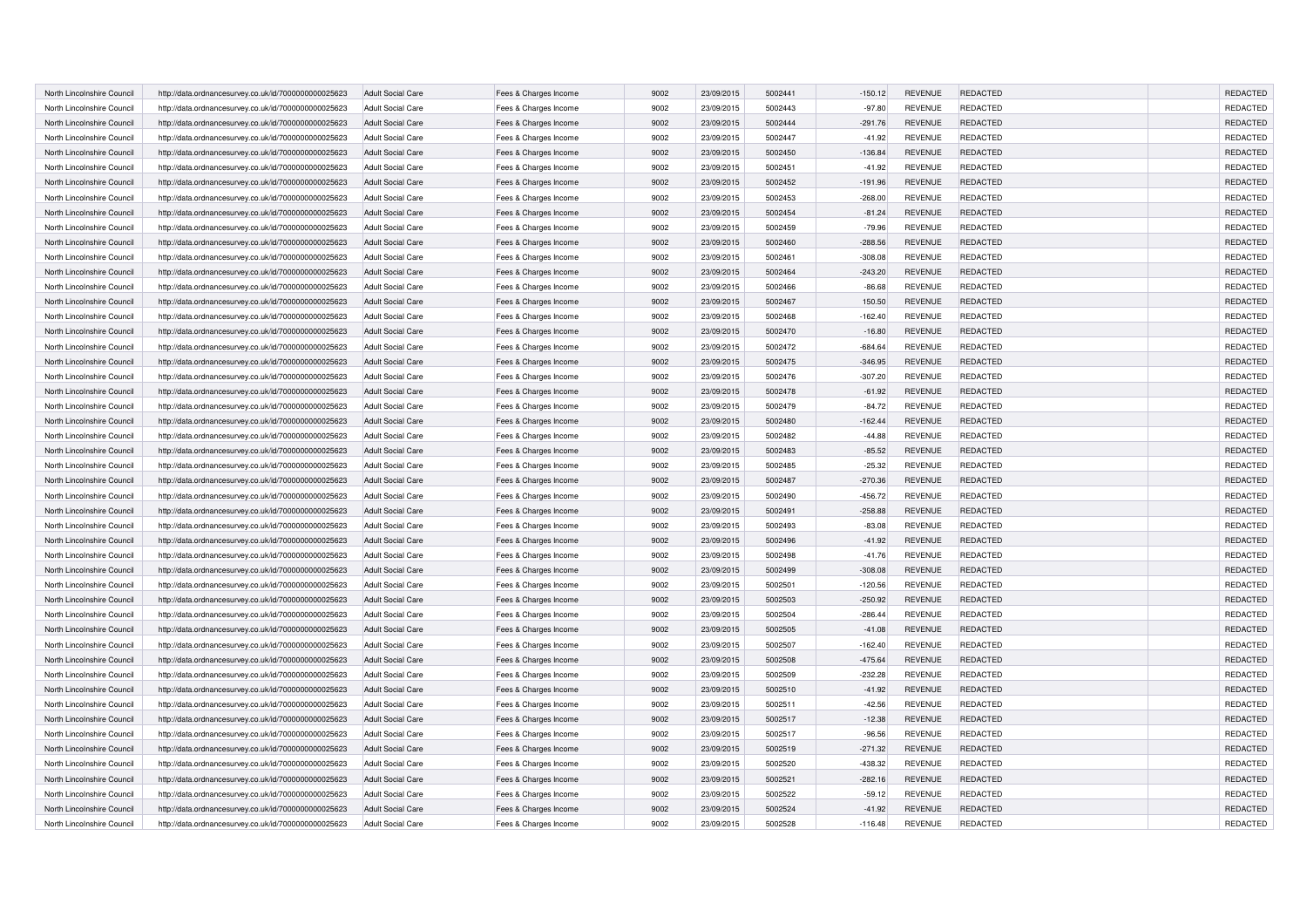| North Lincolnshire Council | http://data.ordnancesurvey.co.uk/id/7000000000025623 | <b>Adult Social Care</b> | Fees & Charges Income | 9002 | 23/09/2015 | 5002441 | $-150.12$ | <b>REVENUE</b> | REDACTED        | REDACTED        |
|----------------------------|------------------------------------------------------|--------------------------|-----------------------|------|------------|---------|-----------|----------------|-----------------|-----------------|
| North Lincolnshire Council | http://data.ordnancesurvey.co.uk/id/7000000000025623 | <b>Adult Social Care</b> | Fees & Charges Income | 9002 | 23/09/2015 | 5002443 | $-97.80$  | <b>REVENUE</b> | <b>REDACTED</b> | REDACTED        |
| North Lincolnshire Council | http://data.ordnancesurvey.co.uk/id/7000000000025623 | <b>Adult Social Care</b> | Fees & Charges Income | 9002 | 23/09/2015 | 5002444 | $-291.76$ | <b>REVENUE</b> | <b>REDACTED</b> | REDACTED        |
| North Lincolnshire Council | http://data.ordnancesurvey.co.uk/id/7000000000025623 | <b>Adult Social Care</b> | Fees & Charges Income | 9002 | 23/09/2015 | 5002447 | $-41.92$  | <b>REVENUE</b> | <b>REDACTED</b> | REDACTED        |
| North Lincolnshire Council | http://data.ordnancesurvey.co.uk/id/7000000000025623 | <b>Adult Social Care</b> | Fees & Charges Income | 9002 | 23/09/2015 | 5002450 | $-136.84$ | <b>REVENUE</b> | REDACTED        | REDACTED        |
| North Lincolnshire Council | http://data.ordnancesurvey.co.uk/id/7000000000025623 | <b>Adult Social Care</b> | Fees & Charges Income | 9002 | 23/09/2015 | 5002451 | $-41.92$  | <b>REVENUE</b> | <b>REDACTED</b> | REDACTED        |
| North Lincolnshire Council | http://data.ordnancesurvey.co.uk/id/7000000000025623 | <b>Adult Social Care</b> | Fees & Charges Income | 9002 | 23/09/2015 | 5002452 | $-191.96$ | <b>REVENUE</b> | <b>REDACTED</b> | <b>REDACTED</b> |
| North Lincolnshire Council | http://data.ordnancesurvey.co.uk/id/7000000000025623 | <b>Adult Social Care</b> | Fees & Charges Income | 9002 | 23/09/2015 | 5002453 | $-268.00$ | <b>REVENUE</b> | <b>REDACTED</b> | REDACTED        |
| North Lincolnshire Council | http://data.ordnancesurvey.co.uk/id/7000000000025623 | <b>Adult Social Care</b> | Fees & Charges Income | 9002 | 23/09/2015 | 5002454 | $-81.24$  | <b>REVENUE</b> | <b>REDACTED</b> | REDACTED        |
| North Lincolnshire Council | http://data.ordnancesurvey.co.uk/id/7000000000025623 | <b>Adult Social Care</b> | Fees & Charges Income | 9002 | 23/09/2015 | 5002459 | $-79.96$  | <b>REVENUE</b> | <b>REDACTED</b> | REDACTED        |
| North Lincolnshire Council | http://data.ordnancesurvey.co.uk/id/7000000000025623 | <b>Adult Social Care</b> | Fees & Charges Income | 9002 | 23/09/2015 | 5002460 | $-288.56$ | <b>REVENUE</b> | REDACTED        | REDACTED        |
| North Lincolnshire Council | http://data.ordnancesurvey.co.uk/id/7000000000025623 | <b>Adult Social Care</b> | Fees & Charges Income | 9002 | 23/09/2015 | 5002461 | $-308.08$ | <b>REVENUE</b> | <b>REDACTED</b> | REDACTED        |
| North Lincolnshire Council | http://data.ordnancesurvey.co.uk/id/7000000000025623 | <b>Adult Social Care</b> | Fees & Charges Income | 9002 | 23/09/2015 | 5002464 | $-243.20$ | <b>REVENUE</b> | <b>REDACTED</b> | REDACTED        |
| North Lincolnshire Council | http://data.ordnancesurvey.co.uk/id/7000000000025623 | <b>Adult Social Care</b> | Fees & Charges Income | 9002 | 23/09/2015 | 5002466 | $-86.68$  | <b>REVENUE</b> | <b>REDACTED</b> | REDACTED        |
| North Lincolnshire Council | http://data.ordnancesurvey.co.uk/id/7000000000025623 | <b>Adult Social Care</b> | Fees & Charges Income | 9002 | 23/09/2015 | 5002467 | 150.50    | <b>REVENUE</b> | REDACTED        | REDACTED        |
| North Lincolnshire Council | http://data.ordnancesurvey.co.uk/id/7000000000025623 | <b>Adult Social Care</b> | Fees & Charges Income | 9002 | 23/09/2015 | 5002468 | $-162.40$ | <b>REVENUE</b> | REDACTED        | REDACTED        |
| North Lincolnshire Council | http://data.ordnancesurvey.co.uk/id/7000000000025623 | <b>Adult Social Care</b> | Fees & Charges Income | 9002 | 23/09/2015 | 5002470 | $-16.80$  | <b>REVENUE</b> | <b>REDACTED</b> | REDACTED        |
| North Lincolnshire Council | http://data.ordnancesurvey.co.uk/id/7000000000025623 | <b>Adult Social Care</b> | Fees & Charges Income | 9002 | 23/09/2015 | 5002472 | $-684.64$ | <b>REVENUE</b> | REDACTED        | REDACTED        |
| North Lincolnshire Council | http://data.ordnancesurvey.co.uk/id/7000000000025623 | <b>Adult Social Care</b> | Fees & Charges Income | 9002 | 23/09/2015 | 5002475 | $-346.95$ | <b>REVENUE</b> | REDACTED        | REDACTED        |
| North Lincolnshire Council | http://data.ordnancesurvey.co.uk/id/7000000000025623 | <b>Adult Social Care</b> | Fees & Charges Income | 9002 | 23/09/2015 | 5002476 | $-307.20$ | <b>REVENUE</b> | REDACTED        | REDACTED        |
| North Lincolnshire Council | http://data.ordnancesurvey.co.uk/id/7000000000025623 | <b>Adult Social Care</b> | Fees & Charges Income | 9002 | 23/09/2015 | 5002478 | $-61.92$  | <b>REVENUE</b> | REDACTED        | REDACTED        |
| North Lincolnshire Council | http://data.ordnancesurvey.co.uk/id/7000000000025623 | <b>Adult Social Care</b> | Fees & Charges Income | 9002 | 23/09/2015 | 5002479 | $-84.72$  | <b>REVENUE</b> | REDACTED        | REDACTED        |
| North Lincolnshire Council | http://data.ordnancesurvey.co.uk/id/7000000000025623 | <b>Adult Social Care</b> | Fees & Charges Income | 9002 | 23/09/2015 | 5002480 | $-162.44$ | <b>REVENUE</b> | REDACTED        | REDACTED        |
| North Lincolnshire Council | http://data.ordnancesurvey.co.uk/id/7000000000025623 | <b>Adult Social Care</b> | Fees & Charges Income | 9002 | 23/09/2015 | 5002482 | $-44.88$  | <b>REVENUE</b> | REDACTED        | REDACTED        |
| North Lincolnshire Council | http://data.ordnancesurvey.co.uk/id/7000000000025623 | <b>Adult Social Care</b> | Fees & Charges Income | 9002 | 23/09/2015 | 5002483 | $-85.52$  | <b>REVENUE</b> | REDACTED        | REDACTED        |
| North Lincolnshire Council | http://data.ordnancesurvey.co.uk/id/7000000000025623 | <b>Adult Social Care</b> | Fees & Charges Income | 9002 | 23/09/2015 | 5002485 | $-25.32$  | <b>REVENUE</b> | REDACTED        | REDACTED        |
| North Lincolnshire Council | http://data.ordnancesurvey.co.uk/id/7000000000025623 | <b>Adult Social Care</b> | Fees & Charges Income | 9002 | 23/09/2015 | 5002487 | $-270.36$ | <b>REVENUE</b> | REDACTED        | REDACTED        |
| North Lincolnshire Council | http://data.ordnancesurvey.co.uk/id/7000000000025623 | Adult Social Care        | Fees & Charges Income | 9002 | 23/09/2015 | 5002490 | $-456.72$ | <b>REVENUE</b> | REDACTED        | REDACTED        |
| North Lincolnshire Council | http://data.ordnancesurvey.co.uk/id/7000000000025623 | <b>Adult Social Care</b> | Fees & Charges Income | 9002 | 23/09/2015 | 5002491 | $-258.88$ | <b>REVENUE</b> | REDACTED        | REDACTED        |
| North Lincolnshire Council | http://data.ordnancesurvey.co.uk/id/7000000000025623 | <b>Adult Social Care</b> | Fees & Charges Income | 9002 | 23/09/2015 | 5002493 | $-83.08$  | <b>REVENUE</b> | REDACTED        | REDACTED        |
| North Lincolnshire Council | http://data.ordnancesurvey.co.uk/id/7000000000025623 | <b>Adult Social Care</b> | Fees & Charges Income | 9002 | 23/09/2015 | 5002496 | $-41.92$  | <b>REVENUE</b> | <b>REDACTED</b> | REDACTED        |
| North Lincolnshire Council | http://data.ordnancesurvey.co.uk/id/7000000000025623 | <b>Adult Social Care</b> | Fees & Charges Income | 9002 | 23/09/2015 | 5002498 | $-41.76$  | <b>REVENUE</b> | REDACTED        | REDACTED        |
| North Lincolnshire Council | http://data.ordnancesurvey.co.uk/id/7000000000025623 | <b>Adult Social Care</b> | Fees & Charges Income | 9002 | 23/09/2015 | 5002499 | $-308.08$ | <b>REVENUE</b> | <b>REDACTED</b> | REDACTED        |
| North Lincolnshire Council | http://data.ordnancesurvey.co.uk/id/7000000000025623 | <b>Adult Social Care</b> | Fees & Charges Income | 9002 | 23/09/2015 | 5002501 | $-120.56$ | <b>REVENUE</b> | <b>REDACTED</b> | REDACTED        |
| North Lincolnshire Council | http://data.ordnancesurvey.co.uk/id/7000000000025623 | <b>Adult Social Care</b> | Fees & Charges Income | 9002 | 23/09/2015 | 5002503 | $-250.92$ | <b>REVENUE</b> | <b>REDACTED</b> | REDACTED        |
| North Lincolnshire Council | http://data.ordnancesurvey.co.uk/id/7000000000025623 | <b>Adult Social Care</b> | Fees & Charges Income | 9002 | 23/09/2015 | 5002504 | $-286.44$ | <b>REVENUE</b> | <b>REDACTED</b> | REDACTED        |
| North Lincolnshire Council | http://data.ordnancesurvey.co.uk/id/7000000000025623 | <b>Adult Social Care</b> | Fees & Charges Income | 9002 | 23/09/2015 | 5002505 | $-41.08$  | <b>REVENUE</b> | <b>REDACTED</b> | REDACTED        |
| North Lincolnshire Council | http://data.ordnancesurvey.co.uk/id/7000000000025623 | <b>Adult Social Care</b> | Fees & Charges Income | 9002 | 23/09/2015 | 5002507 | $-162.40$ | <b>REVENUE</b> | <b>REDACTED</b> | REDACTED        |
| North Lincolnshire Council | http://data.ordnancesurvey.co.uk/id/7000000000025623 | <b>Adult Social Care</b> | Fees & Charges Income | 9002 | 23/09/2015 | 5002508 | $-475.64$ | <b>REVENUE</b> | REDACTED        | REDACTED        |
| North Lincolnshire Council | http://data.ordnancesurvey.co.uk/id/7000000000025623 | <b>Adult Social Care</b> | Fees & Charges Income | 9002 | 23/09/2015 | 5002509 | $-232.28$ | <b>REVENUE</b> | <b>REDACTED</b> | REDACTED        |
| North Lincolnshire Council | http://data.ordnancesurvey.co.uk/id/7000000000025623 | <b>Adult Social Care</b> | Fees & Charges Income | 9002 | 23/09/2015 | 5002510 | $-41.92$  | <b>REVENUE</b> | <b>REDACTED</b> | REDACTED        |
| North Lincolnshire Council | http://data.ordnancesurvey.co.uk/id/7000000000025623 | <b>Adult Social Care</b> | Fees & Charges Income | 9002 | 23/09/2015 | 5002511 | $-42.56$  | <b>REVENUE</b> | REDACTED        | REDACTED        |
| North Lincolnshire Council | http://data.ordnancesurvey.co.uk/id/7000000000025623 | <b>Adult Social Care</b> | Fees & Charges Income | 9002 | 23/09/2015 | 5002517 | $-12.38$  | <b>REVENUE</b> | REDACTED        | REDACTED        |
| North Lincolnshire Council | http://data.ordnancesurvey.co.uk/id/7000000000025623 | <b>Adult Social Care</b> | Fees & Charges Income | 9002 | 23/09/2015 | 5002517 | $-96.56$  | <b>REVENUE</b> | <b>REDACTED</b> | <b>REDACTED</b> |
| North Lincolnshire Council | http://data.ordnancesurvey.co.uk/id/7000000000025623 | <b>Adult Social Care</b> | Fees & Charges Income | 9002 | 23/09/2015 | 5002519 | $-271.32$ | <b>REVENUE</b> | <b>REDACTED</b> | <b>REDACTED</b> |
| North Lincolnshire Council | http://data.ordnancesurvey.co.uk/id/7000000000025623 | <b>Adult Social Care</b> | Fees & Charges Income | 9002 | 23/09/2015 | 5002520 | $-438.32$ | <b>REVENUE</b> | REDACTED        | REDACTED        |
| North Lincolnshire Council | http://data.ordnancesurvey.co.uk/id/7000000000025623 | <b>Adult Social Care</b> | Fees & Charges Income | 9002 | 23/09/2015 | 5002521 | $-282.16$ | <b>REVENUE</b> | <b>REDACTED</b> | <b>REDACTED</b> |
| North Lincolnshire Council | http://data.ordnancesurvey.co.uk/id/7000000000025623 | <b>Adult Social Care</b> | Fees & Charges Income | 9002 | 23/09/2015 | 5002522 | $-59.12$  | <b>REVENUE</b> | <b>REDACTED</b> | <b>REDACTED</b> |
| North Lincolnshire Council | http://data.ordnancesurvey.co.uk/id/7000000000025623 | <b>Adult Social Care</b> | Fees & Charges Income | 9002 | 23/09/2015 | 5002524 | $-41.92$  | <b>REVENUE</b> | <b>REDACTED</b> | REDACTED        |
| North Lincolnshire Council | http://data.ordnancesurvey.co.uk/id/7000000000025623 | <b>Adult Social Care</b> | Fees & Charges Income | 9002 | 23/09/2015 | 5002528 | $-116.48$ | <b>REVENUE</b> | <b>REDACTED</b> | REDACTED        |
|                            |                                                      |                          |                       |      |            |         |           |                |                 |                 |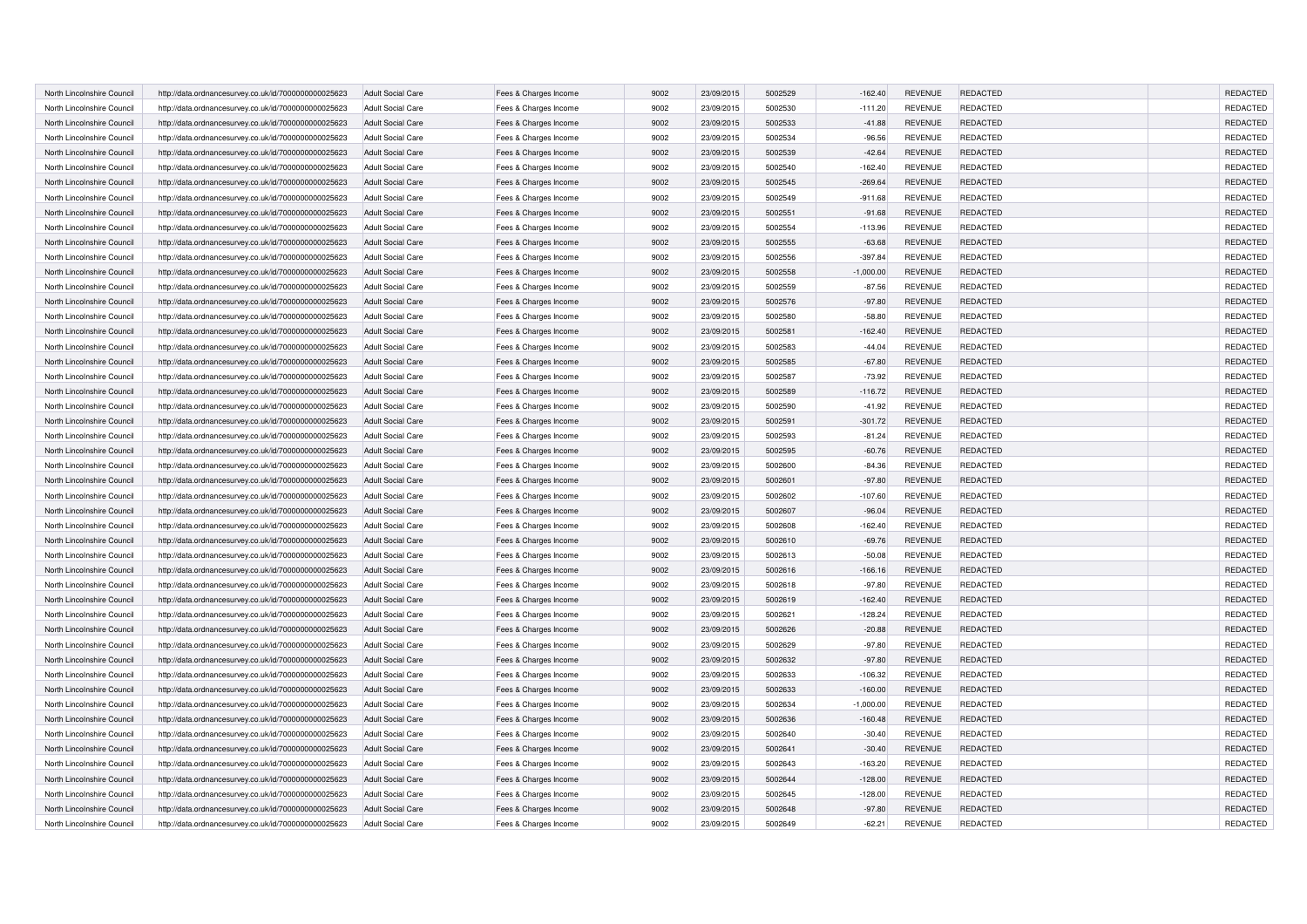| North Lincolnshire Council | http://data.ordnancesurvey.co.uk/id/7000000000025623 | <b>Adult Social Care</b> | Fees & Charges Income | 9002 | 23/09/2015 | 5002529 | $-162.40$   | <b>REVENUE</b> | <b>REDACTED</b> | REDACTED        |
|----------------------------|------------------------------------------------------|--------------------------|-----------------------|------|------------|---------|-------------|----------------|-----------------|-----------------|
| North Lincolnshire Council | http://data.ordnancesurvey.co.uk/id/7000000000025623 | <b>Adult Social Care</b> | Fees & Charges Income | 9002 | 23/09/2015 | 5002530 | $-111.20$   | <b>REVENUE</b> | <b>REDACTED</b> | REDACTED        |
| North Lincolnshire Council | http://data.ordnancesurvey.co.uk/id/7000000000025623 | <b>Adult Social Care</b> | Fees & Charges Income | 9002 | 23/09/2015 | 5002533 | $-41.88$    | <b>REVENUE</b> | <b>REDACTED</b> | REDACTED        |
| North Lincolnshire Council | http://data.ordnancesurvey.co.uk/id/7000000000025623 | <b>Adult Social Care</b> | Fees & Charges Income | 9002 | 23/09/2015 | 5002534 | $-96.56$    | <b>REVENUE</b> | <b>REDACTED</b> | REDACTED        |
| North Lincolnshire Council | http://data.ordnancesurvey.co.uk/id/7000000000025623 | <b>Adult Social Care</b> | Fees & Charges Income | 9002 | 23/09/2015 | 5002539 | $-42.64$    | <b>REVENUE</b> | <b>REDACTED</b> | REDACTED        |
| North Lincolnshire Council | http://data.ordnancesurvey.co.uk/id/7000000000025623 | <b>Adult Social Care</b> | Fees & Charges Income | 9002 | 23/09/2015 | 5002540 | $-162.40$   | <b>REVENUE</b> | <b>REDACTED</b> | REDACTED        |
| North Lincolnshire Council | http://data.ordnancesurvey.co.uk/id/7000000000025623 | <b>Adult Social Care</b> | Fees & Charges Income | 9002 | 23/09/2015 | 5002545 | $-269.64$   | <b>REVENUE</b> | <b>REDACTED</b> | <b>REDACTED</b> |
| North Lincolnshire Council | http://data.ordnancesurvey.co.uk/id/7000000000025623 | <b>Adult Social Care</b> | Fees & Charges Income | 9002 | 23/09/2015 | 5002549 | $-911.68$   | <b>REVENUE</b> | <b>REDACTED</b> | REDACTED        |
| North Lincolnshire Council | http://data.ordnancesurvey.co.uk/id/7000000000025623 | <b>Adult Social Care</b> | Fees & Charges Income | 9002 | 23/09/2015 | 5002551 | $-91.68$    | <b>REVENUE</b> | <b>REDACTED</b> | REDACTED        |
| North Lincolnshire Council | http://data.ordnancesurvey.co.uk/id/7000000000025623 | <b>Adult Social Care</b> | Fees & Charges Income | 9002 | 23/09/2015 | 5002554 | $-113.96$   | <b>REVENUE</b> | <b>REDACTED</b> | REDACTED        |
| North Lincolnshire Council | http://data.ordnancesurvey.co.uk/id/7000000000025623 | <b>Adult Social Care</b> | Fees & Charges Income | 9002 | 23/09/2015 | 5002555 | $-63.68$    | <b>REVENUE</b> | <b>REDACTED</b> | REDACTED        |
| North Lincolnshire Council | http://data.ordnancesurvey.co.uk/id/7000000000025623 | <b>Adult Social Care</b> | Fees & Charges Income | 9002 | 23/09/2015 | 5002556 | $-397.84$   | <b>REVENUE</b> | REDACTED        | REDACTED        |
| North Lincolnshire Council | http://data.ordnancesurvey.co.uk/id/7000000000025623 | <b>Adult Social Care</b> | Fees & Charges Income | 9002 | 23/09/2015 | 5002558 | $-1,000.00$ | <b>REVENUE</b> | <b>REDACTED</b> | REDACTED        |
| North Lincolnshire Council | http://data.ordnancesurvey.co.uk/id/7000000000025623 | <b>Adult Social Care</b> | Fees & Charges Income | 9002 | 23/09/2015 | 5002559 | $-87.56$    | <b>REVENUE</b> | <b>REDACTED</b> | REDACTED        |
| North Lincolnshire Council | http://data.ordnancesurvey.co.uk/id/7000000000025623 | <b>Adult Social Care</b> | Fees & Charges Income | 9002 | 23/09/2015 | 5002576 | $-97.80$    | <b>REVENUE</b> | <b>REDACTED</b> | REDACTED        |
| North Lincolnshire Council | http://data.ordnancesurvey.co.uk/id/7000000000025623 | <b>Adult Social Care</b> | Fees & Charges Income | 9002 | 23/09/2015 | 5002580 | $-58.80$    | <b>REVENUE</b> | REDACTED        | REDACTED        |
| North Lincolnshire Council | http://data.ordnancesurvey.co.uk/id/7000000000025623 | <b>Adult Social Care</b> | Fees & Charges Income | 9002 | 23/09/2015 | 5002581 | $-162.40$   | <b>REVENUE</b> | <b>REDACTED</b> | REDACTED        |
| North Lincolnshire Council | http://data.ordnancesurvey.co.uk/id/7000000000025623 | <b>Adult Social Care</b> | Fees & Charges Income | 9002 | 23/09/2015 | 5002583 | $-44.04$    | <b>REVENUE</b> | REDACTED        | REDACTED        |
| North Lincolnshire Council | http://data.ordnancesurvey.co.uk/id/7000000000025623 | <b>Adult Social Care</b> | Fees & Charges Income | 9002 | 23/09/2015 | 5002585 | $-67.80$    | <b>REVENUE</b> | <b>REDACTED</b> | REDACTED        |
| North Lincolnshire Council | http://data.ordnancesurvey.co.uk/id/7000000000025623 | <b>Adult Social Care</b> | Fees & Charges Income | 9002 | 23/09/2015 | 5002587 | $-73.92$    | <b>REVENUE</b> | REDACTED        | REDACTED        |
| North Lincolnshire Council | http://data.ordnancesurvey.co.uk/id/7000000000025623 | <b>Adult Social Care</b> | Fees & Charges Income | 9002 | 23/09/2015 | 5002589 | $-116.72$   | <b>REVENUE</b> | REDACTED        | REDACTED        |
| North Lincolnshire Council | http://data.ordnancesurvey.co.uk/id/7000000000025623 | <b>Adult Social Care</b> | Fees & Charges Income | 9002 | 23/09/2015 | 5002590 | $-41.92$    | <b>REVENUE</b> | REDACTED        | REDACTED        |
| North Lincolnshire Council | http://data.ordnancesurvey.co.uk/id/7000000000025623 | <b>Adult Social Care</b> | Fees & Charges Income | 9002 | 23/09/2015 | 5002591 | $-301.72$   | <b>REVENUE</b> | <b>REDACTED</b> | REDACTED        |
| North Lincolnshire Council | http://data.ordnancesurvey.co.uk/id/7000000000025623 | <b>Adult Social Care</b> | Fees & Charges Income | 9002 | 23/09/2015 | 5002593 | $-81.24$    | <b>REVENUE</b> | REDACTED        | REDACTED        |
| North Lincolnshire Council | http://data.ordnancesurvey.co.uk/id/7000000000025623 | <b>Adult Social Care</b> | Fees & Charges Income | 9002 | 23/09/2015 | 5002595 | $-60.76$    | <b>REVENUE</b> | REDACTED        | REDACTED        |
| North Lincolnshire Council | http://data.ordnancesurvey.co.uk/id/7000000000025623 | <b>Adult Social Care</b> | Fees & Charges Income | 9002 | 23/09/2015 | 5002600 | $-84.36$    | <b>REVENUE</b> | REDACTED        | REDACTED        |
| North Lincolnshire Council | http://data.ordnancesurvey.co.uk/id/7000000000025623 | <b>Adult Social Care</b> | Fees & Charges Income | 9002 | 23/09/2015 | 5002601 | $-97.80$    | <b>REVENUE</b> | <b>REDACTED</b> | REDACTED        |
| North Lincolnshire Council | http://data.ordnancesurvey.co.uk/id/7000000000025623 | Adult Social Care        | Fees & Charges Income | 9002 | 23/09/2015 | 5002602 | $-107.60$   | <b>REVENUE</b> | REDACTED        | REDACTED        |
| North Lincolnshire Council | http://data.ordnancesurvey.co.uk/id/7000000000025623 | <b>Adult Social Care</b> | Fees & Charges Income | 9002 | 23/09/2015 | 5002607 | $-96.04$    | <b>REVENUE</b> | <b>REDACTED</b> | REDACTED        |
| North Lincolnshire Council | http://data.ordnancesurvey.co.uk/id/7000000000025623 | <b>Adult Social Care</b> | Fees & Charges Income | 9002 | 23/09/2015 | 5002608 | $-162.40$   | <b>REVENUE</b> | REDACTED        | REDACTED        |
| North Lincolnshire Council | http://data.ordnancesurvey.co.uk/id/7000000000025623 | <b>Adult Social Care</b> | Fees & Charges Income | 9002 | 23/09/2015 | 5002610 | $-69.76$    | <b>REVENUE</b> | <b>REDACTED</b> | REDACTED        |
| North Lincolnshire Council | http://data.ordnancesurvey.co.uk/id/7000000000025623 | <b>Adult Social Care</b> | Fees & Charges Income | 9002 | 23/09/2015 | 5002613 | $-50.08$    | <b>REVENUE</b> | REDACTED        | REDACTED        |
| North Lincolnshire Council | http://data.ordnancesurvey.co.uk/id/7000000000025623 | <b>Adult Social Care</b> | Fees & Charges Income | 9002 | 23/09/2015 | 5002616 | $-166.16$   | <b>REVENUE</b> | <b>REDACTED</b> | REDACTED        |
| North Lincolnshire Council | http://data.ordnancesurvey.co.uk/id/7000000000025623 | <b>Adult Social Care</b> | Fees & Charges Income | 9002 | 23/09/2015 | 5002618 | $-97.80$    | <b>REVENUE</b> | <b>REDACTED</b> | REDACTED        |
| North Lincolnshire Council | http://data.ordnancesurvey.co.uk/id/7000000000025623 | <b>Adult Social Care</b> | Fees & Charges Income | 9002 | 23/09/2015 | 5002619 | $-162.40$   | <b>REVENUE</b> | <b>REDACTED</b> | REDACTED        |
| North Lincolnshire Council | http://data.ordnancesurvey.co.uk/id/7000000000025623 | <b>Adult Social Care</b> | Fees & Charges Income | 9002 | 23/09/2015 | 5002621 | $-128.24$   | <b>REVENUE</b> | <b>REDACTED</b> | REDACTED        |
| North Lincolnshire Council | http://data.ordnancesurvey.co.uk/id/7000000000025623 | <b>Adult Social Care</b> | Fees & Charges Income | 9002 | 23/09/2015 | 5002626 | $-20.88$    | <b>REVENUE</b> | <b>REDACTED</b> | REDACTED        |
| North Lincolnshire Council | http://data.ordnancesurvey.co.uk/id/7000000000025623 | <b>Adult Social Care</b> | Fees & Charges Income | 9002 | 23/09/2015 | 5002629 | $-97.80$    | <b>REVENUE</b> | <b>REDACTED</b> | REDACTED        |
| North Lincolnshire Council | http://data.ordnancesurvey.co.uk/id/7000000000025623 | <b>Adult Social Care</b> | Fees & Charges Income | 9002 | 23/09/2015 | 5002632 | $-97.80$    | <b>REVENUE</b> | <b>REDACTED</b> | REDACTED        |
| North Lincolnshire Council | http://data.ordnancesurvey.co.uk/id/7000000000025623 | <b>Adult Social Care</b> | Fees & Charges Income | 9002 | 23/09/2015 | 5002633 | $-106.32$   | <b>REVENUE</b> | <b>REDACTED</b> | REDACTED        |
| North Lincolnshire Council | http://data.ordnancesurvey.co.uk/id/7000000000025623 | <b>Adult Social Care</b> | Fees & Charges Income | 9002 | 23/09/2015 | 5002633 | $-160.00$   | <b>REVENUE</b> | <b>REDACTED</b> | REDACTED        |
| North Lincolnshire Council | http://data.ordnancesurvey.co.uk/id/7000000000025623 | <b>Adult Social Care</b> | Fees & Charges Income | 9002 | 23/09/2015 | 5002634 | $-1,000.00$ | <b>REVENUE</b> | REDACTED        | REDACTED        |
| North Lincolnshire Council | http://data.ordnancesurvey.co.uk/id/7000000000025623 | <b>Adult Social Care</b> | Fees & Charges Income | 9002 | 23/09/2015 | 5002636 | $-160.48$   | <b>REVENUE</b> | <b>REDACTED</b> | REDACTED        |
| North Lincolnshire Council | http://data.ordnancesurvey.co.uk/id/7000000000025623 | <b>Adult Social Care</b> | Fees & Charges Income | 9002 | 23/09/2015 | 5002640 | $-30.40$    | <b>REVENUE</b> | <b>REDACTED</b> | <b>REDACTED</b> |
| North Lincolnshire Council | http://data.ordnancesurvey.co.uk/id/7000000000025623 | <b>Adult Social Care</b> | Fees & Charges Income | 9002 | 23/09/2015 | 5002641 | $-30.40$    | <b>REVENUE</b> | <b>REDACTED</b> | <b>REDACTED</b> |
| North Lincolnshire Council | http://data.ordnancesurvey.co.uk/id/7000000000025623 | <b>Adult Social Care</b> | Fees & Charges Income | 9002 | 23/09/2015 | 5002643 | $-163.20$   | <b>REVENUE</b> | REDACTED        | REDACTED        |
| North Lincolnshire Council | http://data.ordnancesurvey.co.uk/id/7000000000025623 | <b>Adult Social Care</b> | Fees & Charges Income | 9002 | 23/09/2015 | 5002644 | $-128.00$   | <b>REVENUE</b> | <b>REDACTED</b> | <b>REDACTED</b> |
| North Lincolnshire Council | http://data.ordnancesurvey.co.uk/id/7000000000025623 | <b>Adult Social Care</b> | Fees & Charges Income | 9002 | 23/09/2015 | 5002645 | $-128.00$   | <b>REVENUE</b> | <b>REDACTED</b> | <b>REDACTED</b> |
| North Lincolnshire Council | http://data.ordnancesurvey.co.uk/id/7000000000025623 | <b>Adult Social Care</b> | Fees & Charges Income | 9002 | 23/09/2015 | 5002648 | $-97.80$    | <b>REVENUE</b> | REDACTED        | REDACTED        |
| North Lincolnshire Council | http://data.ordnancesurvey.co.uk/id/7000000000025623 | <b>Adult Social Care</b> | Fees & Charges Income | 9002 | 23/09/2015 | 5002649 | $-62.21$    | <b>REVENUE</b> | <b>REDACTED</b> | REDACTED        |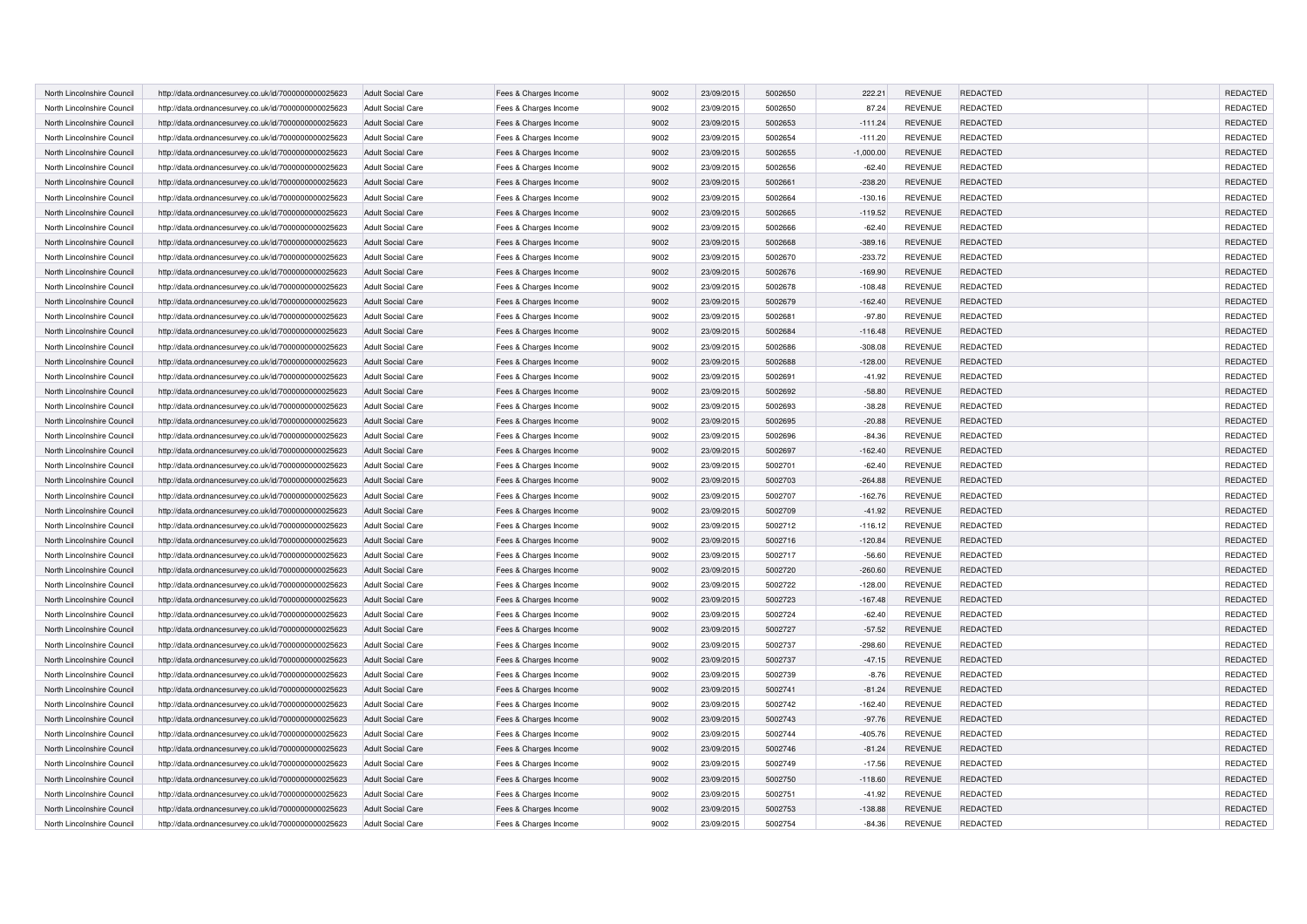| North Lincolnshire Council | http://data.ordnancesurvey.co.uk/id/7000000000025623 | <b>Adult Social Care</b> | Fees & Charges Income | 9002 | 23/09/2015 | 5002650 | 222.21      | <b>REVENUE</b> | <b>REDACTED</b> | REDACTED        |
|----------------------------|------------------------------------------------------|--------------------------|-----------------------|------|------------|---------|-------------|----------------|-----------------|-----------------|
| North Lincolnshire Council | http://data.ordnancesurvey.co.uk/id/7000000000025623 | <b>Adult Social Care</b> | Fees & Charges Income | 9002 | 23/09/2015 | 5002650 | 87.24       | <b>REVENUE</b> | <b>REDACTED</b> | REDACTED        |
| North Lincolnshire Council | http://data.ordnancesurvey.co.uk/id/7000000000025623 | <b>Adult Social Care</b> | Fees & Charges Income | 9002 | 23/09/2015 | 5002653 | $-111.24$   | <b>REVENUE</b> | <b>REDACTED</b> | REDACTED        |
| North Lincolnshire Council | http://data.ordnancesurvey.co.uk/id/7000000000025623 | <b>Adult Social Care</b> | Fees & Charges Income | 9002 | 23/09/2015 | 5002654 | $-111.20$   | <b>REVENUE</b> | <b>REDACTED</b> | REDACTED        |
| North Lincolnshire Council | http://data.ordnancesurvey.co.uk/id/7000000000025623 | <b>Adult Social Care</b> | Fees & Charges Income | 9002 | 23/09/2015 | 5002655 | $-1,000.00$ | <b>REVENUE</b> | <b>REDACTED</b> | REDACTED        |
| North Lincolnshire Council | http://data.ordnancesurvey.co.uk/id/7000000000025623 | <b>Adult Social Care</b> | Fees & Charges Income | 9002 | 23/09/2015 | 5002656 | $-62.40$    | <b>REVENUE</b> | <b>REDACTED</b> | REDACTED        |
| North Lincolnshire Council | http://data.ordnancesurvey.co.uk/id/7000000000025623 | <b>Adult Social Care</b> | Fees & Charges Income | 9002 | 23/09/2015 | 5002661 | $-238.20$   | <b>REVENUE</b> | <b>REDACTED</b> | <b>REDACTED</b> |
| North Lincolnshire Council | http://data.ordnancesurvey.co.uk/id/7000000000025623 | <b>Adult Social Care</b> | Fees & Charges Income | 9002 | 23/09/2015 | 5002664 | $-130.16$   | <b>REVENUE</b> | <b>REDACTED</b> | REDACTED        |
| North Lincolnshire Council | http://data.ordnancesurvey.co.uk/id/7000000000025623 | <b>Adult Social Care</b> | Fees & Charges Income | 9002 | 23/09/2015 | 5002665 | $-119.52$   | <b>REVENUE</b> | <b>REDACTED</b> | REDACTED        |
| North Lincolnshire Council | http://data.ordnancesurvey.co.uk/id/7000000000025623 | <b>Adult Social Care</b> | Fees & Charges Income | 9002 | 23/09/2015 | 5002666 | $-62.40$    | <b>REVENUE</b> | <b>REDACTED</b> | REDACTED        |
| North Lincolnshire Council | http://data.ordnancesurvey.co.uk/id/7000000000025623 | <b>Adult Social Care</b> | Fees & Charges Income | 9002 | 23/09/2015 | 5002668 | $-389.16$   | <b>REVENUE</b> | <b>REDACTED</b> | REDACTED        |
| North Lincolnshire Council | http://data.ordnancesurvey.co.uk/id/7000000000025623 | <b>Adult Social Care</b> | Fees & Charges Income | 9002 | 23/09/2015 | 5002670 | $-233.72$   | <b>REVENUE</b> | REDACTED        | REDACTED        |
| North Lincolnshire Council | http://data.ordnancesurvey.co.uk/id/7000000000025623 | <b>Adult Social Care</b> | Fees & Charges Income | 9002 | 23/09/2015 | 5002676 | $-169.90$   | <b>REVENUE</b> | <b>REDACTED</b> | REDACTED        |
| North Lincolnshire Council | http://data.ordnancesurvey.co.uk/id/7000000000025623 | <b>Adult Social Care</b> | Fees & Charges Income | 9002 | 23/09/2015 | 5002678 | $-108.48$   | <b>REVENUE</b> | <b>REDACTED</b> | REDACTED        |
| North Lincolnshire Council | http://data.ordnancesurvey.co.uk/id/7000000000025623 | <b>Adult Social Care</b> | Fees & Charges Income | 9002 | 23/09/2015 | 5002679 | $-162.40$   | <b>REVENUE</b> | <b>REDACTED</b> | REDACTED        |
| North Lincolnshire Council | http://data.ordnancesurvey.co.uk/id/7000000000025623 | <b>Adult Social Care</b> | Fees & Charges Income | 9002 | 23/09/2015 | 5002681 | $-97.80$    | <b>REVENUE</b> | REDACTED        | REDACTED        |
| North Lincolnshire Council | http://data.ordnancesurvey.co.uk/id/7000000000025623 | <b>Adult Social Care</b> | Fees & Charges Income | 9002 | 23/09/2015 | 5002684 | $-116.48$   | <b>REVENUE</b> | <b>REDACTED</b> | REDACTED        |
| North Lincolnshire Council | http://data.ordnancesurvey.co.uk/id/7000000000025623 | <b>Adult Social Care</b> | Fees & Charges Income | 9002 | 23/09/2015 | 5002686 | $-308.08$   | <b>REVENUE</b> | REDACTED        | REDACTED        |
| North Lincolnshire Council | http://data.ordnancesurvey.co.uk/id/7000000000025623 | <b>Adult Social Care</b> | Fees & Charges Income | 9002 | 23/09/2015 | 5002688 | $-128.00$   | <b>REVENUE</b> | <b>REDACTED</b> | REDACTED        |
| North Lincolnshire Council | http://data.ordnancesurvey.co.uk/id/7000000000025623 | <b>Adult Social Care</b> | Fees & Charges Income | 9002 | 23/09/2015 | 5002691 | $-41.92$    | REVENUE        | REDACTED        | REDACTED        |
| North Lincolnshire Council | http://data.ordnancesurvey.co.uk/id/7000000000025623 | <b>Adult Social Care</b> | Fees & Charges Income | 9002 | 23/09/2015 | 5002692 | $-58.80$    | <b>REVENUE</b> | REDACTED        | REDACTED        |
| North Lincolnshire Council | http://data.ordnancesurvey.co.uk/id/7000000000025623 | <b>Adult Social Care</b> | Fees & Charges Income | 9002 | 23/09/2015 | 5002693 | $-38.28$    | <b>REVENUE</b> | REDACTED        | REDACTED        |
| North Lincolnshire Council | http://data.ordnancesurvey.co.uk/id/7000000000025623 | <b>Adult Social Care</b> | Fees & Charges Income | 9002 | 23/09/2015 | 5002695 | $-20.88$    | <b>REVENUE</b> | <b>REDACTED</b> | REDACTED        |
| North Lincolnshire Council |                                                      | <b>Adult Social Care</b> |                       | 9002 | 23/09/2015 | 5002696 | $-84.36$    | <b>REVENUE</b> | REDACTED        | REDACTED        |
| North Lincolnshire Council | http://data.ordnancesurvey.co.uk/id/7000000000025623 | <b>Adult Social Care</b> | Fees & Charges Income | 9002 | 23/09/2015 | 5002697 | $-162.40$   | <b>REVENUE</b> | REDACTED        | REDACTED        |
|                            | http://data.ordnancesurvey.co.uk/id/7000000000025623 |                          | Fees & Charges Income | 9002 | 23/09/2015 | 5002701 |             | <b>REVENUE</b> | REDACTED        | REDACTED        |
| North Lincolnshire Council | http://data.ordnancesurvey.co.uk/id/7000000000025623 | <b>Adult Social Care</b> | Fees & Charges Income |      |            |         | $-62.40$    |                |                 |                 |
| North Lincolnshire Council | http://data.ordnancesurvey.co.uk/id/7000000000025623 | <b>Adult Social Care</b> | Fees & Charges Income | 9002 | 23/09/2015 | 5002703 | $-264.88$   | <b>REVENUE</b> | <b>REDACTED</b> | REDACTED        |
| North Lincolnshire Council | http://data.ordnancesurvey.co.uk/id/7000000000025623 | Adult Social Care        | Fees & Charges Income | 9002 | 23/09/2015 | 5002707 | $-162.76$   | <b>REVENUE</b> | REDACTED        | REDACTED        |
| North Lincolnshire Council | http://data.ordnancesurvey.co.uk/id/7000000000025623 | <b>Adult Social Care</b> | Fees & Charges Income | 9002 | 23/09/2015 | 5002709 | $-41.92$    | <b>REVENUE</b> | <b>REDACTED</b> | REDACTED        |
| North Lincolnshire Council | http://data.ordnancesurvey.co.uk/id/7000000000025623 | <b>Adult Social Care</b> | Fees & Charges Income | 9002 | 23/09/2015 | 5002712 | $-116.12$   | <b>REVENUE</b> | REDACTED        | REDACTED        |
| North Lincolnshire Council | http://data.ordnancesurvey.co.uk/id/7000000000025623 | <b>Adult Social Care</b> | Fees & Charges Income | 9002 | 23/09/2015 | 5002716 | $-120.84$   | <b>REVENUE</b> | <b>REDACTED</b> | REDACTED        |
| North Lincolnshire Council | http://data.ordnancesurvey.co.uk/id/7000000000025623 | <b>Adult Social Care</b> | Fees & Charges Income | 9002 | 23/09/2015 | 5002717 | $-56.60$    | <b>REVENUE</b> | REDACTED        | REDACTED        |
| North Lincolnshire Council | http://data.ordnancesurvey.co.uk/id/7000000000025623 | <b>Adult Social Care</b> | Fees & Charges Income | 9002 | 23/09/2015 | 5002720 | $-260.60$   | <b>REVENUE</b> | <b>REDACTED</b> | REDACTED        |
| North Lincolnshire Council | http://data.ordnancesurvey.co.uk/id/7000000000025623 | <b>Adult Social Care</b> | Fees & Charges Income | 9002 | 23/09/2015 | 5002722 | $-128.00$   | <b>REVENUE</b> | <b>REDACTED</b> | REDACTED        |
| North Lincolnshire Council | http://data.ordnancesurvey.co.uk/id/7000000000025623 | <b>Adult Social Care</b> | Fees & Charges Income | 9002 | 23/09/2015 | 5002723 | $-167.48$   | <b>REVENUE</b> | <b>REDACTED</b> | REDACTED        |
| North Lincolnshire Council | http://data.ordnancesurvey.co.uk/id/7000000000025623 | <b>Adult Social Care</b> | Fees & Charges Income | 9002 | 23/09/2015 | 5002724 | $-62.40$    | <b>REVENUE</b> | <b>REDACTED</b> | REDACTED        |
| North Lincolnshire Council | http://data.ordnancesurvey.co.uk/id/7000000000025623 | <b>Adult Social Care</b> | Fees & Charges Income | 9002 | 23/09/2015 | 5002727 | $-57.52$    | <b>REVENUE</b> | REDACTED        | REDACTED        |
| North Lincolnshire Council | http://data.ordnancesurvey.co.uk/id/7000000000025623 | <b>Adult Social Care</b> | Fees & Charges Income | 9002 | 23/09/2015 | 5002737 | $-298.60$   | <b>REVENUE</b> | <b>REDACTED</b> | REDACTED        |
| North Lincolnshire Council | http://data.ordnancesurvey.co.uk/id/7000000000025623 | <b>Adult Social Care</b> | Fees & Charges Income | 9002 | 23/09/2015 | 5002737 | $-47.15$    | <b>REVENUE</b> | REDACTED        | REDACTED        |
| North Lincolnshire Council | http://data.ordnancesurvey.co.uk/id/7000000000025623 | <b>Adult Social Care</b> | Fees & Charges Income | 9002 | 23/09/2015 | 5002739 | $-8.76$     | <b>REVENUE</b> | <b>REDACTED</b> | REDACTED        |
| North Lincolnshire Council | http://data.ordnancesurvey.co.uk/id/7000000000025623 | <b>Adult Social Care</b> | Fees & Charges Income | 9002 | 23/09/2015 | 5002741 | $-81.24$    | <b>REVENUE</b> | <b>REDACTED</b> | REDACTED        |
| North Lincolnshire Council | http://data.ordnancesurvey.co.uk/id/7000000000025623 | <b>Adult Social Care</b> | Fees & Charges Income | 9002 | 23/09/2015 | 5002742 | $-162.40$   | <b>REVENUE</b> | REDACTED        | REDACTED        |
| North Lincolnshire Council | http://data.ordnancesurvey.co.uk/id/7000000000025623 | <b>Adult Social Care</b> | Fees & Charges Income | 9002 | 23/09/2015 | 5002743 | $-97.76$    | <b>REVENUE</b> | REDACTED        | REDACTED        |
| North Lincolnshire Council | http://data.ordnancesurvey.co.uk/id/7000000000025623 | <b>Adult Social Care</b> | Fees & Charges Income | 9002 | 23/09/2015 | 5002744 | $-405.76$   | <b>REVENUE</b> | <b>REDACTED</b> | <b>REDACTED</b> |
| North Lincolnshire Council | http://data.ordnancesurvey.co.uk/id/7000000000025623 | <b>Adult Social Care</b> | Fees & Charges Income | 9002 | 23/09/2015 | 5002746 | $-81.24$    | <b>REVENUE</b> | <b>REDACTED</b> | <b>REDACTED</b> |
| North Lincolnshire Council | http://data.ordnancesurvey.co.uk/id/7000000000025623 | <b>Adult Social Care</b> | Fees & Charges Income | 9002 | 23/09/2015 | 5002749 | $-17.56$    | <b>REVENUE</b> | REDACTED        | REDACTED        |
| North Lincolnshire Council | http://data.ordnancesurvey.co.uk/id/7000000000025623 | <b>Adult Social Care</b> | Fees & Charges Income | 9002 | 23/09/2015 | 5002750 | $-118.60$   | <b>REVENUE</b> | <b>REDACTED</b> | <b>REDACTED</b> |
| North Lincolnshire Council | http://data.ordnancesurvey.co.uk/id/7000000000025623 | <b>Adult Social Care</b> | Fees & Charges Income | 9002 | 23/09/2015 | 5002751 | $-41.92$    | <b>REVENUE</b> | <b>REDACTED</b> | <b>REDACTED</b> |
| North Lincolnshire Council | http://data.ordnancesurvey.co.uk/id/7000000000025623 | <b>Adult Social Care</b> | Fees & Charges Income | 9002 | 23/09/2015 | 5002753 | $-138.88$   | <b>REVENUE</b> | REDACTED        | REDACTED        |
| North Lincolnshire Council | http://data.ordnancesurvey.co.uk/id/7000000000025623 | <b>Adult Social Care</b> | Fees & Charges Income | 9002 | 23/09/2015 | 5002754 | $-84.36$    | <b>REVENUE</b> | <b>REDACTED</b> | REDACTED        |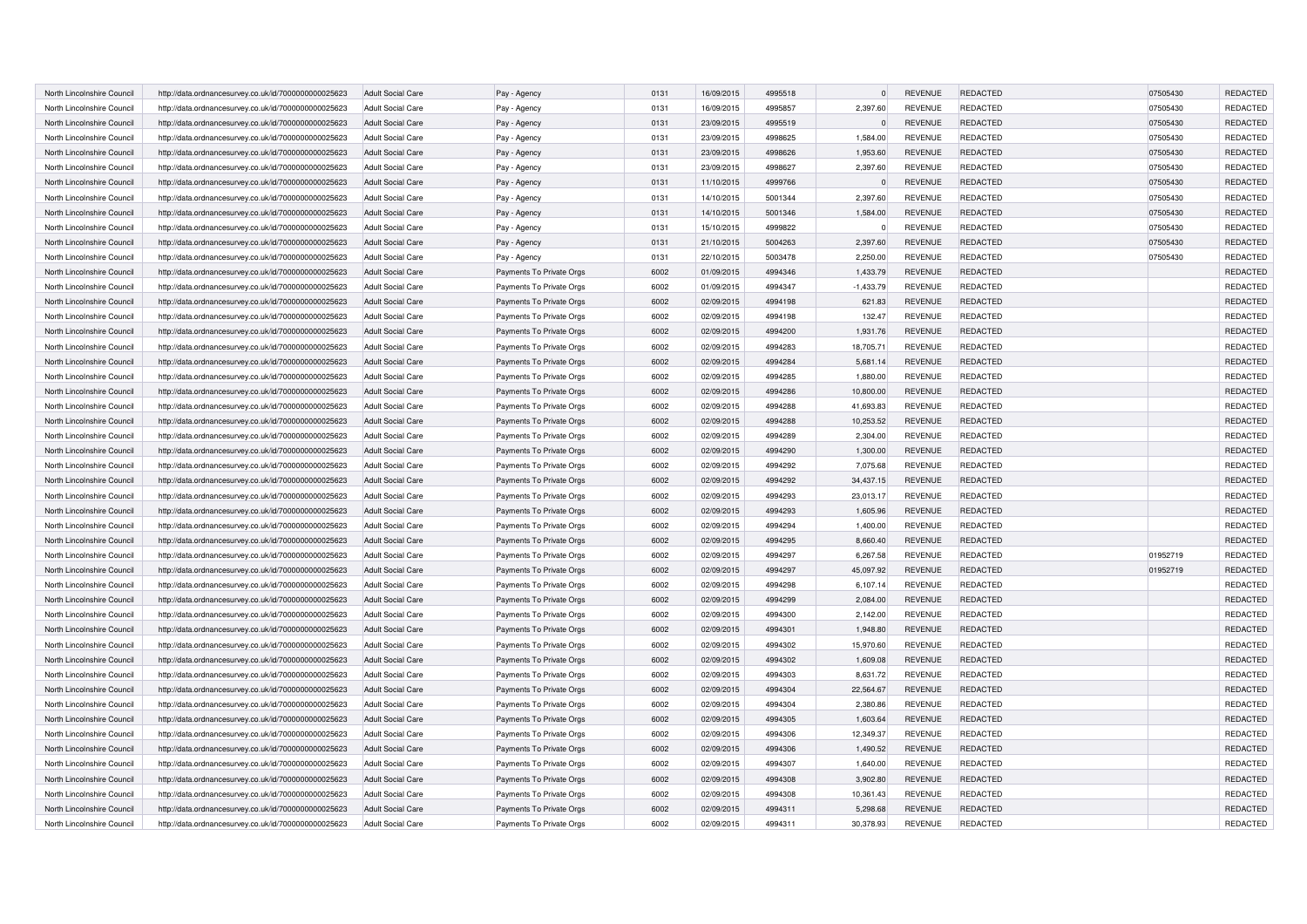| North Lincolnshire Council | http://data.ordnancesurvey.co.uk/id/7000000000025623                                                         | <b>Adult Social Care</b> | Pay - Agency                                         | 0131 | 16/09/2015 | 4995518 | $\Omega$              | <b>REVENUE</b>            | <b>REDACTED</b>                    | 07505430 | <b>REDACTED</b>             |
|----------------------------|--------------------------------------------------------------------------------------------------------------|--------------------------|------------------------------------------------------|------|------------|---------|-----------------------|---------------------------|------------------------------------|----------|-----------------------------|
| North Lincolnshire Council | http://data.ordnancesurvey.co.uk/id/7000000000025623                                                         | <b>Adult Social Care</b> | Pay - Agency                                         | 0131 | 16/09/2015 | 4995857 | 2,397.60              | <b>REVENUE</b>            | REDACTED                           | 07505430 | REDACTED                    |
| North Lincolnshire Council | http://data.ordnancesurvey.co.uk/id/7000000000025623                                                         | <b>Adult Social Care</b> | Pay - Agency                                         | 0131 | 23/09/2015 | 4995519 | $\Omega$              | <b>REVENUE</b>            | <b>REDACTED</b>                    | 07505430 | <b>REDACTED</b>             |
| North Lincolnshire Council | http://data.ordnancesurvey.co.uk/id/7000000000025623                                                         | <b>Adult Social Care</b> | Pay - Agency                                         | 0131 | 23/09/2015 | 4998625 | 1,584.00              | <b>REVENUE</b>            | REDACTED                           | 07505430 | REDACTED                    |
| North Lincolnshire Council | http://data.ordnancesurvey.co.uk/id/7000000000025623                                                         | <b>Adult Social Care</b> | Pay - Agency                                         | 0131 | 23/09/2015 | 4998626 | 1,953.60              | <b>REVENUE</b>            | <b>REDACTED</b>                    | 07505430 | <b>REDACTED</b>             |
| North Lincolnshire Council | http://data.ordnancesurvey.co.uk/id/7000000000025623                                                         | <b>Adult Social Care</b> | Pay - Agency                                         | 0131 | 23/09/2015 | 4998627 | 2,397.60              | <b>REVENUE</b>            | <b>REDACTED</b>                    | 07505430 | <b>REDACTED</b>             |
| North Lincolnshire Council | http://data.ordnancesurvey.co.uk/id/7000000000025623                                                         | <b>Adult Social Care</b> | Pay - Agency                                         | 0131 | 11/10/2015 | 4999766 | $\sqrt{ }$            | <b>REVENUE</b>            | <b>REDACTED</b>                    | 07505430 | <b>REDACTED</b>             |
| North Lincolnshire Council | http://data.ordnancesurvey.co.uk/id/7000000000025623                                                         | <b>Adult Social Care</b> | Pay - Agency                                         | 0131 | 14/10/2015 | 5001344 | 2,397.60              | <b>REVENUE</b>            | <b>REDACTED</b>                    | 07505430 | REDACTED                    |
| North Lincolnshire Council | http://data.ordnancesurvey.co.uk/id/7000000000025623                                                         | <b>Adult Social Care</b> | Pay - Agency                                         | 0131 | 14/10/2015 | 5001346 | 1,584.00              | <b>REVENUE</b>            | <b>REDACTED</b>                    | 07505430 | <b>REDACTED</b>             |
| North Lincolnshire Council |                                                                                                              | <b>Adult Social Care</b> |                                                      | 0131 |            | 4999822 | $\Omega$              |                           |                                    | 07505430 |                             |
|                            | http://data.ordnancesurvey.co.uk/id/7000000000025623                                                         |                          | Pay - Agency                                         | 0131 | 15/10/2015 | 5004263 | 2,397.60              | REVENUE<br><b>REVENUE</b> | <b>REDACTED</b><br><b>REDACTED</b> | 07505430 | REDACTED<br><b>REDACTED</b> |
| North Lincolnshire Council | http://data.ordnancesurvey.co.uk/id/7000000000025623                                                         | <b>Adult Social Care</b> | Pay - Agency                                         |      | 21/10/2015 |         |                       |                           |                                    |          |                             |
| North Lincolnshire Council | http://data.ordnancesurvey.co.uk/id/7000000000025623                                                         | <b>Adult Social Care</b> | Pay - Agency                                         | 0131 | 22/10/2015 | 5003478 | 2,250.00              | <b>REVENUE</b>            | <b>REDACTED</b>                    | 07505430 | REDACTED                    |
| North Lincolnshire Counci  | http://data.ordnancesurvey.co.uk/id/7000000000025623                                                         | <b>Adult Social Care</b> | Payments To Private Orgs                             | 6002 | 01/09/2015 | 4994346 | 1,433.79              | <b>REVENUE</b>            | <b>REDACTED</b>                    |          | REDACTED                    |
| North Lincolnshire Council | http://data.ordnancesurvey.co.uk/id/7000000000025623                                                         | <b>Adult Social Care</b> | Payments To Private Orgs                             | 6002 | 01/09/2015 | 4994347 | $-1,433.79$           | <b>REVENUE</b>            | <b>REDACTED</b>                    |          | REDACTED                    |
| North Lincolnshire Council | http://data.ordnancesurvey.co.uk/id/7000000000025623                                                         | <b>Adult Social Care</b> | Payments To Private Orgs                             | 6002 | 02/09/2015 | 4994198 | 621.83                | <b>REVENUE</b>            | REDACTED                           |          | REDACTED                    |
| North Lincolnshire Council | http://data.ordnancesurvey.co.uk/id/7000000000025623                                                         | <b>Adult Social Care</b> | Payments To Private Orgs                             | 6002 | 02/09/2015 | 4994198 | 132.47                | <b>REVENUE</b>            | REDACTED                           |          | REDACTED                    |
| North Lincolnshire Council | http://data.ordnancesurvey.co.uk/id/7000000000025623                                                         | <b>Adult Social Care</b> | Payments To Private Orgs                             | 6002 | 02/09/2015 | 4994200 | 1,931.76              | <b>REVENUE</b>            | REDACTED                           |          | REDACTED                    |
| North Lincolnshire Council | http://data.ordnancesurvey.co.uk/id/7000000000025623                                                         | <b>Adult Social Care</b> | Payments To Private Orgs                             | 6002 | 02/09/2015 | 4994283 | 18,705.71             | <b>REVENUE</b>            | REDACTED                           |          | REDACTED                    |
| North Lincolnshire Council | http://data.ordnancesurvey.co.uk/id/7000000000025623                                                         | <b>Adult Social Care</b> | Payments To Private Orgs                             | 6002 | 02/09/2015 | 4994284 | 5,681.14              | <b>REVENUE</b>            | <b>REDACTED</b>                    |          | REDACTED                    |
| North Lincolnshire Council | http://data.ordnancesurvey.co.uk/id/7000000000025623                                                         | <b>Adult Social Care</b> | Payments To Private Orgs                             | 6002 | 02/09/2015 | 4994285 | 1,880.00              | <b>REVENUE</b>            | REDACTED                           |          | REDACTED                    |
| North Lincolnshire Council | http://data.ordnancesurvey.co.uk/id/7000000000025623                                                         | <b>Adult Social Care</b> | Payments To Private Orgs                             | 6002 | 02/09/2015 | 4994286 | 10,800.00             | <b>REVENUE</b>            | REDACTED                           |          | REDACTED                    |
| North Lincolnshire Council | http://data.ordnancesurvey.co.uk/id/7000000000025623                                                         | <b>Adult Social Care</b> | Payments To Private Orgs                             | 6002 | 02/09/2015 | 4994288 | 41,693.83             | <b>REVENUE</b>            | REDACTED                           |          | REDACTED                    |
| North Lincolnshire Council | http://data.ordnancesurvey.co.uk/id/7000000000025623                                                         | <b>Adult Social Care</b> | Payments To Private Orgs                             | 6002 | 02/09/2015 | 4994288 | 10,253.52             | <b>REVENUE</b>            | <b>REDACTED</b>                    |          | REDACTED                    |
| North Lincolnshire Council | http://data.ordnancesurvey.co.uk/id/7000000000025623                                                         | <b>Adult Social Care</b> | Payments To Private Orgs                             | 6002 | 02/09/2015 | 4994289 | 2,304.00              | <b>REVENUE</b>            | REDACTED                           |          | REDACTED                    |
| North Lincolnshire Council | http://data.ordnancesurvey.co.uk/id/7000000000025623                                                         | <b>Adult Social Care</b> | Payments To Private Orgs                             | 6002 | 02/09/2015 | 4994290 | 1,300.00              | <b>REVENUE</b>            | REDACTED                           |          | REDACTED                    |
| North Lincolnshire Council | http://data.ordnancesurvey.co.uk/id/7000000000025623                                                         | <b>Adult Social Care</b> | Payments To Private Orgs                             | 6002 | 02/09/2015 | 4994292 | 7,075.68              | <b>REVENUE</b>            | REDACTED                           |          | REDACTED                    |
| North Lincolnshire Council | http://data.ordnancesurvey.co.uk/id/7000000000025623                                                         | <b>Adult Social Care</b> | Payments To Private Orgs                             | 6002 | 02/09/2015 | 4994292 | 34,437.15             | <b>REVENUE</b>            | <b>REDACTED</b>                    |          | REDACTED                    |
| North Lincolnshire Council | http://data.ordnancesurvey.co.uk/id/7000000000025623                                                         | <b>Adult Social Care</b> | Payments To Private Orgs                             | 6002 | 02/09/2015 | 4994293 | 23,013.17             | <b>REVENUE</b>            | REDACTED                           |          | REDACTED                    |
| North Lincolnshire Council | http://data.ordnancesurvey.co.uk/id/7000000000025623                                                         | <b>Adult Social Care</b> | Payments To Private Orgs                             | 6002 | 02/09/2015 | 4994293 | 1,605.96              | <b>REVENUE</b>            | <b>REDACTED</b>                    |          | REDACTED                    |
| North Lincolnshire Council | http://data.ordnancesurvey.co.uk/id/7000000000025623                                                         | <b>Adult Social Care</b> | Payments To Private Orgs                             | 6002 | 02/09/2015 | 4994294 | 1,400.00              | <b>REVENUE</b>            | REDACTED                           |          | REDACTED                    |
| North Lincolnshire Council | http://data.ordnancesurvey.co.uk/id/7000000000025623                                                         | <b>Adult Social Care</b> | Payments To Private Orgs                             | 6002 | 02/09/2015 | 4994295 | 8.660.40              | <b>REVENUE</b>            | <b>REDACTED</b>                    |          | <b>REDACTED</b>             |
| North Lincolnshire Council | http://data.ordnancesurvey.co.uk/id/7000000000025623                                                         | <b>Adult Social Care</b> | Payments To Private Orgs                             | 6002 | 02/09/2015 | 4994297 | 6,267.58              | <b>REVENUE</b>            | REDACTED                           | 01952719 | REDACTED                    |
| North Lincolnshire Council | http://data.ordnancesurvey.co.uk/id/7000000000025623                                                         | <b>Adult Social Care</b> | Payments To Private Orgs                             | 6002 | 02/09/2015 | 4994297 | 45,097.92             | <b>REVENUE</b>            | <b>REDACTED</b>                    | 01952719 | REDACTED                    |
| North Lincolnshire Council | http://data.ordnancesurvey.co.uk/id/7000000000025623                                                         | <b>Adult Social Care</b> | Payments To Private Orgs                             | 6002 | 02/09/2015 | 4994298 | 6,107.14              | <b>REVENUE</b>            | <b>REDACTED</b>                    |          | REDACTED                    |
| North Lincolnshire Council | http://data.ordnancesurvey.co.uk/id/7000000000025623                                                         | <b>Adult Social Care</b> | Payments To Private Orgs                             | 6002 | 02/09/2015 | 4994299 | 2.084.00              | <b>REVENUE</b>            | <b>REDACTED</b>                    |          | REDACTED                    |
| North Lincolnshire Council | http://data.ordnancesurvey.co.uk/id/7000000000025623                                                         | <b>Adult Social Care</b> | Payments To Private Orgs                             | 6002 | 02/09/2015 | 4994300 | 2,142.00              | <b>REVENUE</b>            | <b>REDACTED</b>                    |          | REDACTED                    |
| North Lincolnshire Council | http://data.ordnancesurvey.co.uk/id/7000000000025623                                                         | <b>Adult Social Care</b> | Payments To Private Orgs                             | 6002 | 02/09/2015 | 4994301 | 1,948.80              | <b>REVENUE</b>            | <b>REDACTED</b>                    |          | REDACTED                    |
| North Lincolnshire Council | http://data.ordnancesurvey.co.uk/id/7000000000025623                                                         | <b>Adult Social Care</b> | Payments To Private Orgs                             | 6002 | 02/09/2015 | 4994302 | 15.970.60             | <b>REVENUE</b>            | <b>REDACTED</b>                    |          | <b>REDACTED</b>             |
| North Lincolnshire Council | http://data.ordnancesurvey.co.uk/id/7000000000025623                                                         | <b>Adult Social Care</b> | Payments To Private Orgs                             | 6002 | 02/09/2015 | 4994302 | 1,609.08              | <b>REVENUE</b>            | <b>REDACTED</b>                    |          | REDACTED                    |
| North Lincolnshire Council | http://data.ordnancesurvey.co.uk/id/7000000000025623                                                         | <b>Adult Social Care</b> | Payments To Private Orgs                             | 6002 | 02/09/2015 | 4994303 | 8,631.72              | <b>REVENUE</b>            | <b>REDACTED</b>                    |          | REDACTED                    |
| North Lincolnshire Council | http://data.ordnancesurvey.co.uk/id/7000000000025623                                                         | <b>Adult Social Care</b> | Payments To Private Orgs                             | 6002 | 02/09/2015 | 4994304 | 22,564.67             | <b>REVENUE</b>            | <b>REDACTED</b>                    |          | <b>REDACTED</b>             |
| North Lincolnshire Council | http://data.ordnancesurvey.co.uk/id/7000000000025623                                                         | <b>Adult Social Care</b> | Payments To Private Orgs                             | 6002 | 02/09/2015 | 4994304 | 2,380.86              | <b>REVENUE</b>            | REDACTED                           |          | REDACTED                    |
| North Lincolnshire Council | http://data.ordnancesurvey.co.uk/id/7000000000025623                                                         | <b>Adult Social Care</b> | Payments To Private Orgs                             | 6002 | 02/09/2015 | 4994305 | 1,603.64              | <b>REVENUE</b>            | <b>REDACTED</b>                    |          | <b>REDACTED</b>             |
| North Lincolnshire Council | http://data.ordnancesurvey.co.uk/id/7000000000025623                                                         | <b>Adult Social Care</b> | Payments To Private Orgs                             | 6002 | 02/09/2015 | 4994306 | 12,349.37             | <b>REVENUE</b>            | <b>REDACTED</b>                    |          | <b>REDACTED</b>             |
| North Lincolnshire Council | http://data.ordnancesurvey.co.uk/id/7000000000025623                                                         | <b>Adult Social Care</b> | Payments To Private Orgs                             | 6002 | 02/09/2015 | 4994306 | 1,490.52              | <b>REVENUE</b>            | <b>REDACTED</b>                    |          | <b>REDACTED</b>             |
| North Lincolnshire Council | http://data.ordnancesurvey.co.uk/id/7000000000025623                                                         | <b>Adult Social Care</b> | Payments To Private Orgs                             | 6002 | 02/09/2015 | 4994307 | 1,640.00              | <b>REVENUE</b>            | <b>REDACTED</b>                    |          | REDACTED                    |
| North Lincolnshire Council | http://data.ordnancesurvey.co.uk/id/7000000000025623                                                         | <b>Adult Social Care</b> | Payments To Private Orgs                             | 6002 | 02/09/2015 | 4994308 | 3,902.80              | <b>REVENUE</b>            | <b>REDACTED</b>                    |          | <b>REDACTED</b>             |
| North Lincolnshire Council |                                                                                                              | <b>Adult Social Care</b> |                                                      | 6002 | 02/09/2015 | 4994308 |                       | <b>REVENUE</b>            | <b>REDACTED</b>                    |          | <b>REDACTED</b>             |
| North Lincolnshire Council | http://data.ordnancesurvey.co.uk/id/7000000000025623<br>http://data.ordnancesurvey.co.uk/id/7000000000025623 | <b>Adult Social Care</b> | Payments To Private Orgs<br>Payments To Private Orgs | 6002 | 02/09/2015 | 4994311 | 10,361.43<br>5,298.68 | <b>REVENUE</b>            | REDACTED                           |          | <b>REDACTED</b>             |
|                            |                                                                                                              |                          |                                                      |      |            |         |                       |                           |                                    |          | <b>REDACTED</b>             |
| North Lincolnshire Council | http://data.ordnancesurvey.co.uk/id/7000000000025623                                                         | <b>Adult Social Care</b> | Payments To Private Orgs                             | 6002 | 02/09/2015 | 4994311 | 30,378.93             | <b>REVENUE</b>            | REDACTED                           |          |                             |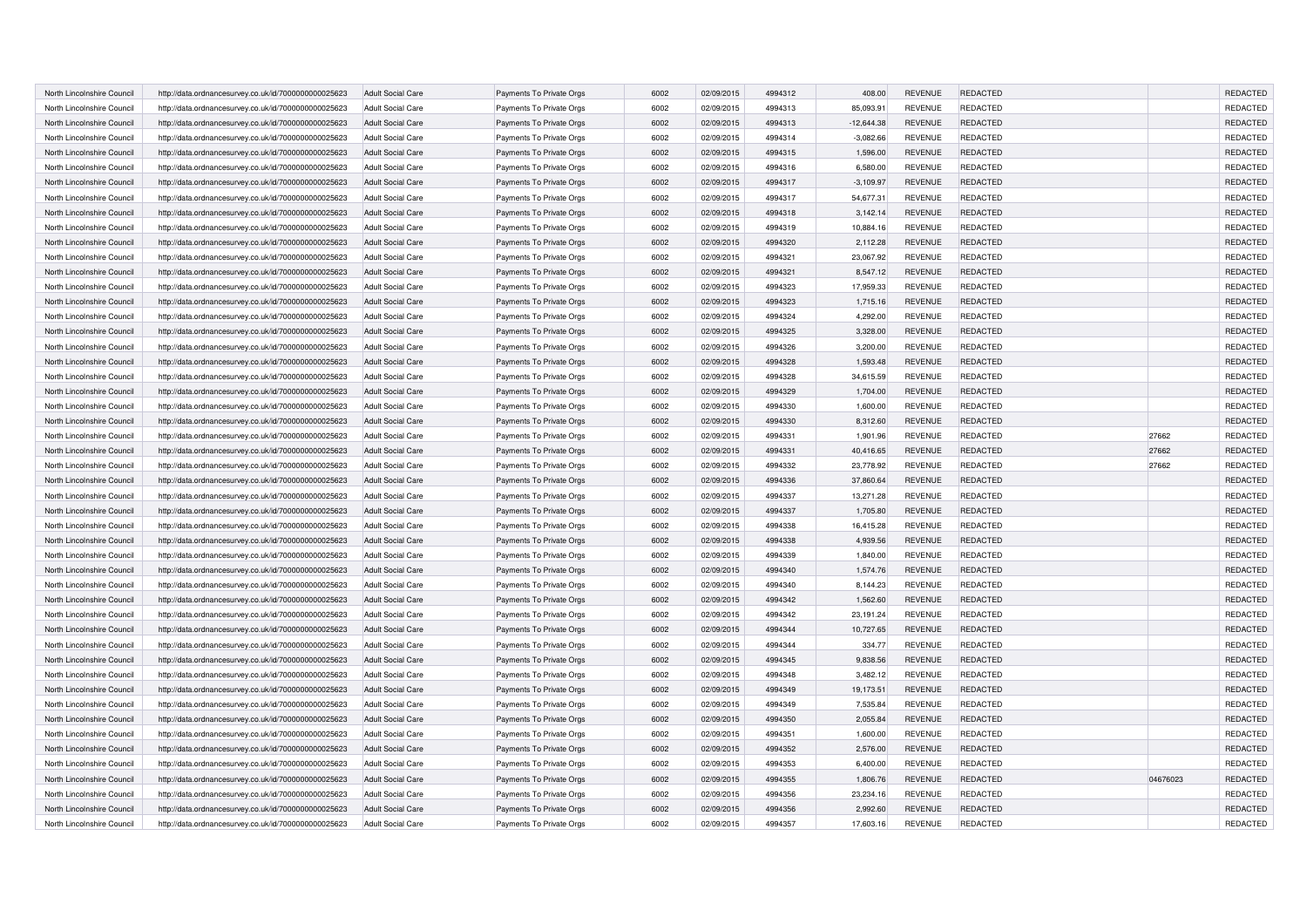| North Lincolnshire Council | http://data.ordnancesurvey.co.uk/id/7000000000025623 | <b>Adult Social Care</b> | Payments To Private Orgs | 6002 | 02/09/2015 | 4994312 | 408.00       | <b>REVENUE</b> | <b>REDACTED</b> |          | REDACTED        |
|----------------------------|------------------------------------------------------|--------------------------|--------------------------|------|------------|---------|--------------|----------------|-----------------|----------|-----------------|
| North Lincolnshire Council | http://data.ordnancesurvey.co.uk/id/7000000000025623 | <b>Adult Social Care</b> | Payments To Private Orgs | 6002 | 02/09/2015 | 4994313 | 85,093.91    | <b>REVENUE</b> | <b>REDACTED</b> |          | REDACTED        |
| North Lincolnshire Council | http://data.ordnancesurvey.co.uk/id/7000000000025623 | Adult Social Care        | Payments To Private Orgs | 6002 | 02/09/2015 | 4994313 | $-12,644.38$ | <b>REVENUE</b> | <b>REDACTED</b> |          | REDACTED        |
| North Lincolnshire Council | http://data.ordnancesurvey.co.uk/id/7000000000025623 | <b>Adult Social Care</b> | Payments To Private Orgs | 6002 | 02/09/2015 | 4994314 | $-3,082.66$  | <b>REVENUE</b> | REDACTED        |          | REDACTED        |
| North Lincolnshire Council | http://data.ordnancesurvey.co.uk/id/7000000000025623 | <b>Adult Social Care</b> | Payments To Private Orgs | 6002 | 02/09/2015 | 4994315 | 1,596.00     | <b>REVENUE</b> | REDACTED        |          | REDACTED        |
| North Lincolnshire Council | http://data.ordnancesurvey.co.uk/id/7000000000025623 | Adult Social Care        | Payments To Private Orgs | 6002 | 02/09/2015 | 4994316 | 6,580.00     | <b>REVENUE</b> | <b>REDACTED</b> |          | REDACTED        |
| North Lincolnshire Council | http://data.ordnancesurvey.co.uk/id/7000000000025623 | <b>Adult Social Care</b> | Payments To Private Orgs | 6002 | 02/09/2015 | 4994317 | $-3,109.97$  | <b>REVENUE</b> | <b>REDACTED</b> |          | <b>REDACTED</b> |
| North Lincolnshire Council | http://data.ordnancesurvey.co.uk/id/7000000000025623 | <b>Adult Social Care</b> | Payments To Private Orgs | 6002 | 02/09/2015 | 4994317 | 54,677.31    | <b>REVENUE</b> | <b>REDACTED</b> |          | REDACTED        |
| North Lincolnshire Council | http://data.ordnancesurvey.co.uk/id/7000000000025623 | <b>Adult Social Care</b> | Payments To Private Orgs | 6002 | 02/09/2015 | 4994318 | 3,142.14     | <b>REVENUE</b> | <b>REDACTED</b> |          | REDACTED        |
| North Lincolnshire Council | http://data.ordnancesurvey.co.uk/id/7000000000025623 | <b>Adult Social Care</b> | Payments To Private Orgs | 6002 | 02/09/2015 | 4994319 | 10,884.16    | <b>REVENUE</b> | <b>REDACTED</b> |          | REDACTED        |
| North Lincolnshire Council | http://data.ordnancesurvey.co.uk/id/7000000000025623 | <b>Adult Social Care</b> | Payments To Private Orgs | 6002 | 02/09/2015 | 4994320 | 2,112.28     | <b>REVENUE</b> | REDACTED        |          | REDACTED        |
| North Lincolnshire Council | http://data.ordnancesurvey.co.uk/id/7000000000025623 | <b>Adult Social Care</b> | Payments To Private Orgs | 6002 | 02/09/2015 | 4994321 | 23,067.92    | <b>REVENUE</b> | <b>REDACTED</b> |          | REDACTED        |
| North Lincolnshire Council | http://data.ordnancesurvey.co.uk/id/7000000000025623 | <b>Adult Social Care</b> | Payments To Private Orgs | 6002 | 02/09/2015 | 4994321 | 8,547.12     | <b>REVENUE</b> | <b>REDACTED</b> |          | REDACTED        |
| North Lincolnshire Council | http://data.ordnancesurvey.co.uk/id/7000000000025623 | <b>Adult Social Care</b> | Payments To Private Orgs | 6002 | 02/09/2015 | 4994323 | 17,959.33    | <b>REVENUE</b> | <b>REDACTED</b> |          | REDACTED        |
| North Lincolnshire Council | http://data.ordnancesurvey.co.uk/id/7000000000025623 | <b>Adult Social Care</b> | Payments To Private Orgs | 6002 | 02/09/2015 | 4994323 | 1,715.16     | <b>REVENUE</b> | REDACTED        |          | REDACTED        |
| North Lincolnshire Council | http://data.ordnancesurvey.co.uk/id/7000000000025623 | <b>Adult Social Care</b> | Payments To Private Orgs | 6002 | 02/09/2015 | 4994324 | 4,292.00     | <b>REVENUE</b> | REDACTED        |          | REDACTED        |
| North Lincolnshire Council | http://data.ordnancesurvey.co.uk/id/7000000000025623 | <b>Adult Social Care</b> | Payments To Private Orgs | 6002 | 02/09/2015 | 4994325 | 3,328.00     | <b>REVENUE</b> | <b>REDACTED</b> |          | REDACTED        |
| North Lincolnshire Council | http://data.ordnancesurvey.co.uk/id/7000000000025623 | <b>Adult Social Care</b> | Payments To Private Orgs | 6002 | 02/09/2015 | 4994326 | 3,200.00     | <b>REVENUE</b> | REDACTED        |          | REDACTED        |
| North Lincolnshire Council | http://data.ordnancesurvey.co.uk/id/7000000000025623 | <b>Adult Social Care</b> | Payments To Private Orgs | 6002 | 02/09/2015 | 4994328 | 1,593.48     | <b>REVENUE</b> | REDACTED        |          | REDACTED        |
| North Lincolnshire Council | http://data.ordnancesurvey.co.uk/id/7000000000025623 | <b>Adult Social Care</b> | Payments To Private Orgs | 6002 | 02/09/2015 | 4994328 | 34,615.59    | <b>REVENUE</b> | REDACTED        |          | REDACTED        |
| North Lincolnshire Council | http://data.ordnancesurvey.co.uk/id/7000000000025623 | <b>Adult Social Care</b> | Payments To Private Orgs | 6002 | 02/09/2015 | 4994329 | 1,704.00     | <b>REVENUE</b> | REDACTED        |          | REDACTED        |
| North Lincolnshire Council | http://data.ordnancesurvey.co.uk/id/7000000000025623 | <b>Adult Social Care</b> | Payments To Private Orgs | 6002 | 02/09/2015 | 4994330 | 1,600.00     | <b>REVENUE</b> | REDACTED        |          | REDACTED        |
| North Lincolnshire Council | http://data.ordnancesurvey.co.uk/id/7000000000025623 | <b>Adult Social Care</b> | Payments To Private Orgs | 6002 | 02/09/2015 | 4994330 | 8,312.60     | <b>REVENUE</b> | REDACTED        |          | REDACTED        |
| North Lincolnshire Council | http://data.ordnancesurvey.co.uk/id/7000000000025623 | <b>Adult Social Care</b> | Payments To Private Orgs | 6002 | 02/09/2015 | 4994331 | 1,901.96     | <b>REVENUE</b> | <b>REDACTED</b> | 27662    | REDACTED        |
|                            |                                                      |                          |                          | 6002 | 02/09/2015 | 4994331 | 40,416.65    | <b>REVENUE</b> | REDACTED        | 27662    | REDACTED        |
| North Lincolnshire Council | http://data.ordnancesurvey.co.uk/id/7000000000025623 | <b>Adult Social Care</b> | Payments To Private Orgs |      |            | 4994332 |              |                |                 |          |                 |
| North Lincolnshire Council | http://data.ordnancesurvey.co.uk/id/7000000000025623 | <b>Adult Social Care</b> | Payments To Private Orgs | 6002 | 02/09/2015 |         | 23,778.92    | <b>REVENUE</b> | REDACTED        | 27662    | REDACTED        |
| North Lincolnshire Counci  | http://data.ordnancesurvey.co.uk/id/7000000000025623 | <b>Adult Social Care</b> | Payments To Private Orgs | 6002 | 02/09/2015 | 4994336 | 37,860.64    | <b>REVENUE</b> | REDACTED        |          | REDACTED        |
| North Lincolnshire Council | http://data.ordnancesurvey.co.uk/id/7000000000025623 | <b>Adult Social Care</b> | Payments To Private Orgs | 6002 | 02/09/2015 | 4994337 | 13,271.28    | <b>REVENUE</b> | REDACTED        |          | REDACTED        |
| North Lincolnshire Counci  | http://data.ordnancesurvey.co.uk/id/7000000000025623 | <b>Adult Social Care</b> | Payments To Private Orgs | 6002 | 02/09/2015 | 4994337 | 1,705.80     | <b>REVENUE</b> | REDACTED        |          | REDACTED        |
| North Lincolnshire Council | http://data.ordnancesurvey.co.uk/id/7000000000025623 | <b>Adult Social Care</b> | Payments To Private Orgs | 6002 | 02/09/2015 | 4994338 | 16,415.28    | <b>REVENUE</b> | <b>REDACTED</b> |          | REDACTED        |
| North Lincolnshire Council | http://data.ordnancesurvey.co.uk/id/7000000000025623 | <b>Adult Social Care</b> | Payments To Private Orgs | 6002 | 02/09/2015 | 4994338 | 4.939.56     | <b>REVENUE</b> | <b>REDACTED</b> |          | <b>REDACTED</b> |
| North Lincolnshire Council | http://data.ordnancesurvey.co.uk/id/7000000000025623 | <b>Adult Social Care</b> | Payments To Private Orgs | 6002 | 02/09/2015 | 4994339 | 1,840.00     | <b>REVENUE</b> | REDACTED        |          | <b>REDACTED</b> |
| North Lincolnshire Council | http://data.ordnancesurvey.co.uk/id/7000000000025623 | <b>Adult Social Care</b> | Payments To Private Orgs | 6002 | 02/09/2015 | 4994340 | 1,574.76     | <b>REVENUE</b> | REDACTED        |          | REDACTED        |
| North Lincolnshire Council | http://data.ordnancesurvey.co.uk/id/7000000000025623 | <b>Adult Social Care</b> | Payments To Private Orgs | 6002 | 02/09/2015 | 4994340 | 8,144.23     | <b>REVENUE</b> | <b>REDACTED</b> |          | REDACTED        |
| North Lincolnshire Council | http://data.ordnancesurvey.co.uk/id/7000000000025623 | <b>Adult Social Care</b> | Payments To Private Orgs | 6002 | 02/09/2015 | 4994342 | 1.562.60     | <b>REVENUE</b> | REDACTED        |          | <b>REDACTED</b> |
| North Lincolnshire Council | http://data.ordnancesurvey.co.uk/id/7000000000025623 | <b>Adult Social Care</b> | Payments To Private Orgs | 6002 | 02/09/2015 | 4994342 | 23,191.24    | <b>REVENUE</b> | <b>REDACTED</b> |          | REDACTED        |
| North Lincolnshire Council | http://data.ordnancesurvey.co.uk/id/7000000000025623 | <b>Adult Social Care</b> | Payments To Private Orgs | 6002 | 02/09/2015 | 4994344 | 10,727.65    | <b>REVENUE</b> | REDACTED        |          | REDACTED        |
| North Lincolnshire Council | http://data.ordnancesurvey.co.uk/id/7000000000025623 | <b>Adult Social Care</b> | Payments To Private Orgs | 6002 | 02/09/2015 | 4994344 | 334.77       | <b>REVENUE</b> | <b>REDACTED</b> |          | <b>REDACTED</b> |
| North Lincolnshire Council | http://data.ordnancesurvey.co.uk/id/7000000000025623 | <b>Adult Social Care</b> | Payments To Private Orgs | 6002 | 02/09/2015 | 4994345 | 9,838.56     | <b>REVENUE</b> | REDACTED        |          | REDACTED        |
| North Lincolnshire Council | http://data.ordnancesurvey.co.uk/id/7000000000025623 | <b>Adult Social Care</b> | Payments To Private Orgs | 6002 | 02/09/2015 | 4994348 | 3,482.12     | <b>REVENUE</b> | <b>REDACTED</b> |          | REDACTED        |
| North Lincolnshire Council | http://data.ordnancesurvey.co.uk/id/7000000000025623 | <b>Adult Social Care</b> | Payments To Private Orgs | 6002 | 02/09/2015 | 4994349 | 19,173.51    | <b>REVENUE</b> | <b>REDACTED</b> |          | REDACTED        |
| North Lincolnshire Council | http://data.ordnancesurvey.co.uk/id/7000000000025623 | <b>Adult Social Care</b> | Payments To Private Orgs | 6002 | 02/09/2015 | 4994349 | 7,535.84     | <b>REVENUE</b> | <b>REDACTED</b> |          | REDACTED        |
| North Lincolnshire Council | http://data.ordnancesurvey.co.uk/id/7000000000025623 | <b>Adult Social Care</b> | Payments To Private Orgs | 6002 | 02/09/2015 | 4994350 | 2,055.84     | <b>REVENUE</b> | REDACTED        |          | REDACTED        |
| North Lincolnshire Council | http://data.ordnancesurvey.co.uk/id/7000000000025623 | <b>Adult Social Care</b> | Payments To Private Orgs | 6002 | 02/09/2015 | 4994351 | 1,600.00     | <b>REVENUE</b> | <b>REDACTED</b> |          | REDACTED        |
| North Lincolnshire Council | http://data.ordnancesurvey.co.uk/id/7000000000025623 | <b>Adult Social Care</b> | Payments To Private Orgs | 6002 | 02/09/2015 | 4994352 | 2,576.00     | <b>REVENUE</b> | <b>REDACTED</b> |          | <b>REDACTED</b> |
| North Lincolnshire Council | http://data.ordnancesurvey.co.uk/id/7000000000025623 | <b>Adult Social Care</b> | Payments To Private Orgs | 6002 | 02/09/2015 | 4994353 | 6,400.00     | <b>REVENUE</b> | <b>REDACTED</b> |          | REDACTED        |
| North Lincolnshire Council | http://data.ordnancesurvey.co.uk/id/7000000000025623 | <b>Adult Social Care</b> | Payments To Private Orgs | 6002 | 02/09/2015 | 4994355 | 1,806.76     | <b>REVENUE</b> | REDACTED        | 04676023 | REDACTED        |
| North Lincolnshire Council | http://data.ordnancesurvey.co.uk/id/7000000000025623 | <b>Adult Social Care</b> | Payments To Private Orgs | 6002 | 02/09/2015 | 4994356 | 23,234.16    | <b>REVENUE</b> | <b>REDACTED</b> |          | REDACTED        |
| North Lincolnshire Council | http://data.ordnancesurvey.co.uk/id/7000000000025623 | <b>Adult Social Care</b> | Payments To Private Orgs | 6002 | 02/09/2015 | 4994356 | 2,992.60     | <b>REVENUE</b> | REDACTED        |          | REDACTED        |
| North Lincolnshire Council | http://data.ordnancesurvey.co.uk/id/7000000000025623 | <b>Adult Social Care</b> | Payments To Private Orgs | 6002 | 02/09/2015 | 4994357 | 17,603.16    | <b>REVENUE</b> | <b>REDACTED</b> |          | REDACTED        |
|                            |                                                      |                          |                          |      |            |         |              |                |                 |          |                 |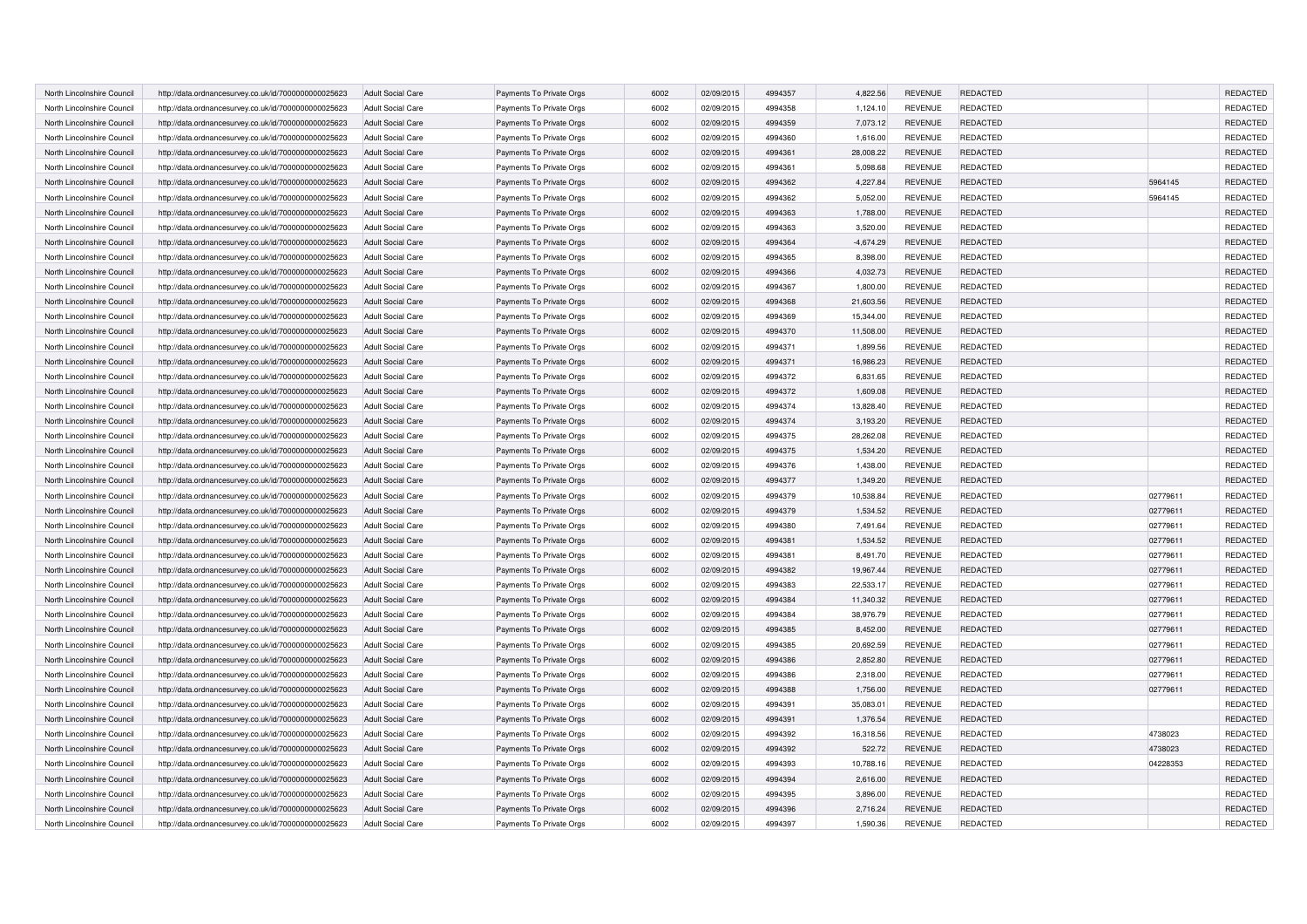| North Lincolnshire Council                               | http://data.ordnancesurvey.co.uk/id/7000000000025623                                                         | <b>Adult Social Care</b> | Payments To Private Orgs | 6002         | 02/09/2015 | 4994357            | 4,822.56    | <b>REVENUE</b>                   | REDACTED             |          | <b>REDACTED</b> |
|----------------------------------------------------------|--------------------------------------------------------------------------------------------------------------|--------------------------|--------------------------|--------------|------------|--------------------|-------------|----------------------------------|----------------------|----------|-----------------|
| North Lincolnshire Council                               | http://data.ordnancesurvey.co.uk/id/7000000000025623                                                         | <b>Adult Social Care</b> | Payments To Private Orgs | 6002         | 02/09/2015 | 4994358            | 1,124.10    | <b>REVENUE</b>                   | REDACTED             |          | REDACTED        |
| North Lincolnshire Council                               | http://data.ordnancesurvey.co.uk/id/7000000000025623                                                         | <b>Adult Social Care</b> | Payments To Private Orgs | 6002         | 02/09/2015 | 4994359            | 7,073.12    | <b>REVENUE</b>                   | <b>REDACTED</b>      |          | <b>REDACTED</b> |
| North Lincolnshire Council                               | http://data.ordnancesurvey.co.uk/id/7000000000025623                                                         | <b>Adult Social Care</b> | Payments To Private Orgs | 6002         | 02/09/2015 | 4994360            | 1,616.00    | <b>REVENUE</b>                   | REDACTED             |          | REDACTED        |
| North Lincolnshire Council                               | http://data.ordnancesurvey.co.uk/id/7000000000025623                                                         | <b>Adult Social Care</b> | Payments To Private Orgs | 6002         | 02/09/2015 | 4994361            | 28,008.22   | <b>REVENUE</b>                   | <b>REDACTED</b>      |          | <b>REDACTED</b> |
| North Lincolnshire Council                               | http://data.ordnancesurvey.co.uk/id/7000000000025623                                                         | <b>Adult Social Care</b> | Payments To Private Orgs | 6002         | 02/09/2015 | 4994361            | 5,098.68    | <b>REVENUE</b>                   | <b>REDACTED</b>      |          | REDACTED        |
| North Lincolnshire Council                               | http://data.ordnancesurvey.co.uk/id/7000000000025623                                                         | <b>Adult Social Care</b> | Payments To Private Orgs | 6002         | 02/09/2015 | 4994362            | 4,227.84    | <b>REVENUE</b>                   | <b>REDACTED</b>      | 5964145  | <b>REDACTED</b> |
| North Lincolnshire Council                               | http://data.ordnancesurvey.co.uk/id/7000000000025623                                                         | <b>Adult Social Care</b> | Payments To Private Orgs | 6002         | 02/09/2015 | 4994362            | 5,052.00    | <b>REVENUE</b>                   | <b>REDACTED</b>      | 5964145  | REDACTED        |
| North Lincolnshire Council                               | http://data.ordnancesurvey.co.uk/id/7000000000025623                                                         | <b>Adult Social Care</b> | Payments To Private Orgs | 6002         | 02/09/2015 | 4994363            | 1,788.00    | <b>REVENUE</b>                   | <b>REDACTED</b>      |          | REDACTED        |
| North Lincolnshire Council                               | http://data.ordnancesurvey.co.uk/id/7000000000025623                                                         | <b>Adult Social Care</b> | Payments To Private Orgs | 6002         | 02/09/2015 | 4994363            | 3,520.00    | <b>REVENUE</b>                   | <b>REDACTED</b>      |          | REDACTED        |
| North Lincolnshire Council                               | http://data.ordnancesurvey.co.uk/id/7000000000025623                                                         | <b>Adult Social Care</b> | Payments To Private Orgs | 6002         | 02/09/2015 | 4994364            | $-4,674.29$ | <b>REVENUE</b>                   | <b>REDACTED</b>      |          | REDACTED        |
| North Lincolnshire Council                               | http://data.ordnancesurvey.co.uk/id/7000000000025623                                                         | <b>Adult Social Care</b> | Payments To Private Orgs | 6002         | 02/09/2015 | 4994365            | 8,398.00    | <b>REVENUE</b>                   | REDACTED             |          | REDACTED        |
| North Lincolnshire Council                               | http://data.ordnancesurvey.co.uk/id/7000000000025623                                                         | <b>Adult Social Care</b> | Payments To Private Orgs | 6002         | 02/09/2015 | 4994366            | 4,032.73    | <b>REVENUE</b>                   | <b>REDACTED</b>      |          | REDACTED        |
| North Lincolnshire Council                               | http://data.ordnancesurvey.co.uk/id/7000000000025623                                                         | <b>Adult Social Care</b> | Payments To Private Orgs | 6002         | 02/09/2015 | 4994367            | 1,800.00    | <b>REVENUE</b>                   | <b>REDACTED</b>      |          | REDACTED        |
| North Lincolnshire Council                               | http://data.ordnancesurvey.co.uk/id/7000000000025623                                                         | <b>Adult Social Care</b> | Payments To Private Orgs | 6002         | 02/09/2015 | 4994368            | 21,603.56   | <b>REVENUE</b>                   | REDACTED             |          | REDACTED        |
| North Lincolnshire Council                               | http://data.ordnancesurvey.co.uk/id/7000000000025623                                                         | <b>Adult Social Care</b> | Payments To Private Orgs | 6002         | 02/09/2015 | 4994369            | 15,344.00   | <b>REVENUE</b>                   | REDACTED             |          | REDACTED        |
| North Lincolnshire Council                               |                                                                                                              | <b>Adult Social Care</b> | Payments To Private Orgs | 6002         | 02/09/2015 | 4994370            | 11,508.00   | <b>REVENUE</b>                   | REDACTED             |          | REDACTED        |
| North Lincolnshire Council                               | http://data.ordnancesurvey.co.uk/id/7000000000025623<br>http://data.ordnancesurvey.co.uk/id/7000000000025623 | <b>Adult Social Care</b> | Payments To Private Orgs | 6002         | 02/09/2015 | 4994371            | 1,899.56    | <b>REVENUE</b>                   | REDACTED             |          | <b>REDACTED</b> |
| North Lincolnshire Council                               |                                                                                                              |                          |                          | 6002         | 02/09/2015 | 4994371            | 16,986.23   | <b>REVENUE</b>                   | REDACTED             |          | REDACTED        |
|                                                          | http://data.ordnancesurvey.co.uk/id/7000000000025623                                                         | <b>Adult Social Care</b> | Payments To Private Orgs |              |            |                    |             |                                  |                      |          | REDACTED        |
| North Lincolnshire Council<br>North Lincolnshire Council | http://data.ordnancesurvey.co.uk/id/7000000000025623                                                         | <b>Adult Social Care</b> | Payments To Private Orgs | 6002<br>6002 | 02/09/2015 | 4994372<br>4994372 | 6,831.65    | <b>REVENUE</b><br><b>REVENUE</b> | REDACTED<br>REDACTED |          | REDACTED        |
|                                                          | http://data.ordnancesurvey.co.uk/id/7000000000025623                                                         | <b>Adult Social Care</b> | Payments To Private Orgs |              | 02/09/2015 |                    | 1,609.08    |                                  |                      |          |                 |
| North Lincolnshire Council                               | http://data.ordnancesurvey.co.uk/id/7000000000025623                                                         | <b>Adult Social Care</b> | Payments To Private Orgs | 6002         | 02/09/2015 | 4994374            | 13,828.40   | <b>REVENUE</b>                   | REDACTED             |          | REDACTED        |
| North Lincolnshire Council                               | http://data.ordnancesurvey.co.uk/id/7000000000025623                                                         | <b>Adult Social Care</b> | Payments To Private Orgs | 6002         | 02/09/2015 | 4994374            | 3,193.20    | <b>REVENUE</b>                   | REDACTED             |          | REDACTED        |
| North Lincolnshire Council                               | http://data.ordnancesurvey.co.uk/id/7000000000025623                                                         | <b>Adult Social Care</b> | Payments To Private Orgs | 6002         | 02/09/2015 | 4994375            | 28,262.08   | <b>REVENUE</b>                   | REDACTED             |          | <b>REDACTED</b> |
| North Lincolnshire Council                               | http://data.ordnancesurvey.co.uk/id/7000000000025623                                                         | <b>Adult Social Care</b> | Payments To Private Orgs | 6002         | 02/09/2015 | 4994375            | 1,534.20    | <b>REVENUE</b>                   | REDACTED             |          | <b>REDACTED</b> |
| North Lincolnshire Council                               | http://data.ordnancesurvey.co.uk/id/7000000000025623                                                         | <b>Adult Social Care</b> | Payments To Private Orgs | 6002         | 02/09/2015 | 4994376            | 1,438.00    | <b>REVENUE</b>                   | REDACTED             |          | <b>REDACTED</b> |
| North Lincolnshire Council                               | http://data.ordnancesurvey.co.uk/id/7000000000025623                                                         | <b>Adult Social Care</b> | Payments To Private Orgs | 6002         | 02/09/2015 | 4994377            | 1,349.20    | <b>REVENUE</b>                   | REDACTED             |          | REDACTED        |
| North Lincolnshire Council                               | http://data.ordnancesurvey.co.uk/id/7000000000025623                                                         | <b>Adult Social Care</b> | Payments To Private Orgs | 6002         | 02/09/2015 | 4994379            | 10,538.84   | <b>REVENUE</b>                   | REDACTED             | 02779611 | REDACTED        |
| North Lincolnshire Counci                                | http://data.ordnancesurvey.co.uk/id/7000000000025623                                                         | <b>Adult Social Care</b> | Payments To Private Orgs | 6002         | 02/09/2015 | 4994379            | 1,534.52    | <b>REVENUE</b>                   | REDACTED             | 02779611 | REDACTED        |
| North Lincolnshire Council                               | http://data.ordnancesurvey.co.uk/id/7000000000025623                                                         | <b>Adult Social Care</b> | Payments To Private Orgs | 6002         | 02/09/2015 | 4994380            | 7,491.64    | <b>REVENUE</b>                   | REDACTED             | 02779611 | REDACTED        |
| North Lincolnshire Council                               | http://data.ordnancesurvey.co.uk/id/7000000000025623                                                         | <b>Adult Social Care</b> | Payments To Private Orgs | 6002         | 02/09/2015 | 4994381            | 1.534.52    | <b>REVENUE</b>                   | <b>REDACTED</b>      | 02779611 | <b>REDACTED</b> |
| North Lincolnshire Council                               | http://data.ordnancesurvey.co.uk/id/7000000000025623                                                         | <b>Adult Social Care</b> | Payments To Private Orgs | 6002         | 02/09/2015 | 4994381            | 8,491.70    | <b>REVENUE</b>                   | REDACTED             | 02779611 | REDACTED        |
| North Lincolnshire Counci                                | http://data.ordnancesurvey.co.uk/id/7000000000025623                                                         | <b>Adult Social Care</b> | Payments To Private Orgs | 6002         | 02/09/2015 | 4994382            | 19,967.44   | <b>REVENUE</b>                   | REDACTED             | 02779611 | REDACTED        |
| North Lincolnshire Council                               | http://data.ordnancesurvey.co.uk/id/7000000000025623                                                         | <b>Adult Social Care</b> | Payments To Private Orgs | 6002         | 02/09/2015 | 4994383            | 22,533.17   | <b>REVENUE</b>                   | <b>REDACTED</b>      | 02779611 | REDACTED        |
| North Lincolnshire Council                               | http://data.ordnancesurvey.co.uk/id/7000000000025623                                                         | <b>Adult Social Care</b> | Payments To Private Orgs | 6002         | 02/09/2015 | 4994384            | 11,340.32   | <b>REVENUE</b>                   | <b>REDACTED</b>      | 02779611 | REDACTED        |
| North Lincolnshire Council                               | http://data.ordnancesurvey.co.uk/id/7000000000025623                                                         | <b>Adult Social Care</b> | Payments To Private Orgs | 6002         | 02/09/2015 | 4994384            | 38,976.79   | <b>REVENUE</b>                   | <b>REDACTED</b>      | 02779611 | REDACTED        |
| North Lincolnshire Council                               | http://data.ordnancesurvey.co.uk/id/7000000000025623                                                         | <b>Adult Social Care</b> | Payments To Private Orgs | 6002         | 02/09/2015 | 4994385            | 8,452.00    | <b>REVENUE</b>                   | REDACTED             | 02779611 | <b>REDACTED</b> |
| North Lincolnshire Council                               | http://data.ordnancesurvey.co.uk/id/7000000000025623                                                         | <b>Adult Social Care</b> | Payments To Private Orgs | 6002         | 02/09/2015 | 4994385            | 20.692.59   | <b>REVENUE</b>                   | <b>REDACTED</b>      | 02779611 | REDACTED        |
| North Lincolnshire Council                               | http://data.ordnancesurvey.co.uk/id/7000000000025623                                                         | <b>Adult Social Care</b> | Payments To Private Orgs | 6002         | 02/09/2015 | 4994386            | 2,852.80    | <b>REVENUE</b>                   | REDACTED             | 02779611 | REDACTED        |
| North Lincolnshire Council                               | http://data.ordnancesurvey.co.uk/id/7000000000025623                                                         | <b>Adult Social Care</b> | Payments To Private Orgs | 6002         | 02/09/2015 | 4994386            | 2,318.00    | <b>REVENUE</b>                   | <b>REDACTED</b>      | 02779611 | REDACTED        |
| North Lincolnshire Council                               | http://data.ordnancesurvey.co.uk/id/7000000000025623                                                         | <b>Adult Social Care</b> | Payments To Private Orgs | 6002         | 02/09/2015 | 4994388            | 1,756.00    | <b>REVENUE</b>                   | <b>REDACTED</b>      | 02779611 | REDACTED        |
| North Lincolnshire Council                               | http://data.ordnancesurvey.co.uk/id/7000000000025623                                                         | <b>Adult Social Care</b> | Payments To Private Orgs | 6002         | 02/09/2015 | 4994391            | 35,083.01   | <b>REVENUE</b>                   | REDACTED             |          | <b>REDACTED</b> |
| North Lincolnshire Council                               | http://data.ordnancesurvey.co.uk/id/7000000000025623                                                         | <b>Adult Social Care</b> | Payments To Private Orgs | 6002         | 02/09/2015 | 4994391            | 1,376.54    | <b>REVENUE</b>                   | REDACTED             |          | <b>REDACTED</b> |
| North Lincolnshire Council                               | http://data.ordnancesurvey.co.uk/id/7000000000025623                                                         | <b>Adult Social Care</b> | Payments To Private Orgs | 6002         | 02/09/2015 | 4994392            | 16,318.56   | <b>REVENUE</b>                   | <b>REDACTED</b>      | 4738023  | <b>REDACTED</b> |
| North Lincolnshire Council                               | http://data.ordnancesurvey.co.uk/id/7000000000025623                                                         | <b>Adult Social Care</b> | Payments To Private Orgs | 6002         | 02/09/2015 | 4994392            | 522.72      | <b>REVENUE</b>                   | <b>REDACTED</b>      | 4738023  | <b>REDACTED</b> |
| North Lincolnshire Council                               | http://data.ordnancesurvey.co.uk/id/7000000000025623                                                         | <b>Adult Social Care</b> | Payments To Private Orgs | 6002         | 02/09/2015 | 4994393            | 10,788.16   | <b>REVENUE</b>                   | REDACTED             | 04228353 | <b>REDACTED</b> |
| North Lincolnshire Council                               | http://data.ordnancesurvey.co.uk/id/7000000000025623                                                         | <b>Adult Social Care</b> | Payments To Private Orgs | 6002         | 02/09/2015 | 4994394            | 2,616.00    | <b>REVENUE</b>                   | <b>REDACTED</b>      |          | <b>REDACTED</b> |
| North Lincolnshire Council                               | http://data.ordnancesurvey.co.uk/id/7000000000025623                                                         | <b>Adult Social Care</b> | Payments To Private Orgs | 6002         | 02/09/2015 | 4994395            | 3,896.00    | <b>REVENUE</b>                   | <b>REDACTED</b>      |          | <b>REDACTED</b> |
| North Lincolnshire Council                               | http://data.ordnancesurvey.co.uk/id/7000000000025623                                                         | <b>Adult Social Care</b> | Payments To Private Orgs | 6002         | 02/09/2015 | 4994396            | 2,716.24    | <b>REVENUE</b>                   | <b>REDACTED</b>      |          | <b>REDACTED</b> |
| North Lincolnshire Council                               | http://data.ordnancesurvey.co.uk/id/7000000000025623                                                         | <b>Adult Social Care</b> | Payments To Private Orgs | 6002         | 02/09/2015 | 4994397            | 1,590.36    | <b>REVENUE</b>                   | REDACTED             |          | <b>REDACTED</b> |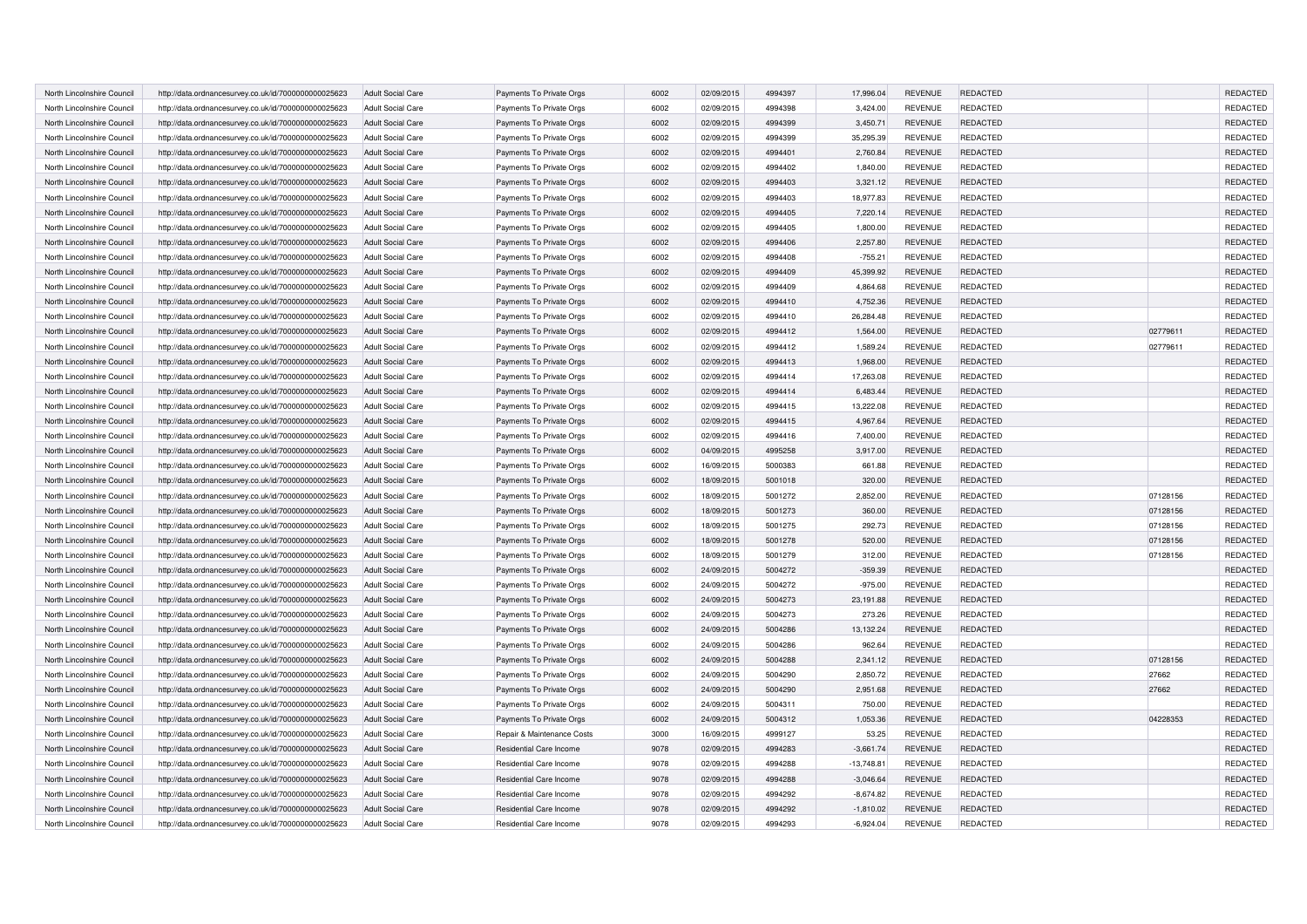| North Lincolnshire Council | http://data.ordnancesurvey.co.uk/id/7000000000025623 | <b>Adult Social Care</b> | Payments To Private Orgs   | 6002 | 02/09/2015 | 4994397 | 17,996.04    | <b>REVENUE</b> | <b>REDACTED</b> |          | REDACTED             |
|----------------------------|------------------------------------------------------|--------------------------|----------------------------|------|------------|---------|--------------|----------------|-----------------|----------|----------------------|
| North Lincolnshire Council | http://data.ordnancesurvey.co.uk/id/7000000000025623 | <b>Adult Social Care</b> | Payments To Private Orgs   | 6002 | 02/09/2015 | 4994398 | 3,424.00     | <b>REVENUE</b> | <b>REDACTED</b> |          | REDACTED             |
| North Lincolnshire Council | http://data.ordnancesurvey.co.uk/id/7000000000025623 | Adult Social Care        | Payments To Private Orgs   | 6002 | 02/09/2015 | 4994399 | 3,450.71     | <b>REVENUE</b> | <b>REDACTED</b> |          | REDACTED             |
| North Lincolnshire Council | http://data.ordnancesurvey.co.uk/id/7000000000025623 | <b>Adult Social Care</b> | Payments To Private Orgs   | 6002 | 02/09/2015 | 4994399 | 35,295.39    | <b>REVENUE</b> | <b>REDACTED</b> |          | REDACTED             |
| North Lincolnshire Council | http://data.ordnancesurvey.co.uk/id/7000000000025623 | <b>Adult Social Care</b> | Payments To Private Orgs   | 6002 | 02/09/2015 | 4994401 | 2,760.84     | <b>REVENUE</b> | REDACTED        |          | REDACTED             |
| North Lincolnshire Council | http://data.ordnancesurvey.co.uk/id/7000000000025623 | Adult Social Care        | Payments To Private Orgs   | 6002 | 02/09/2015 | 4994402 | 1,840.00     | <b>REVENUE</b> | <b>REDACTED</b> |          | REDACTED             |
| North Lincolnshire Council | http://data.ordnancesurvey.co.uk/id/7000000000025623 | <b>Adult Social Care</b> | Payments To Private Orgs   | 6002 | 02/09/2015 | 4994403 | 3,321.12     | <b>REVENUE</b> | <b>REDACTED</b> |          | <b>REDACTED</b>      |
| North Lincolnshire Council | http://data.ordnancesurvey.co.uk/id/7000000000025623 | <b>Adult Social Care</b> | Payments To Private Orgs   | 6002 | 02/09/2015 | 4994403 | 18,977.83    | <b>REVENUE</b> | <b>REDACTED</b> |          | REDACTED             |
| North Lincolnshire Council | http://data.ordnancesurvey.co.uk/id/7000000000025623 | <b>Adult Social Care</b> | Payments To Private Orgs   | 6002 | 02/09/2015 | 4994405 | 7,220.14     | <b>REVENUE</b> | <b>REDACTED</b> |          | REDACTED             |
| North Lincolnshire Council | http://data.ordnancesurvey.co.uk/id/7000000000025623 | Adult Social Care        | Payments To Private Orgs   | 6002 | 02/09/2015 | 4994405 | 1,800.00     | <b>REVENUE</b> | <b>REDACTED</b> |          | REDACTED             |
| North Lincolnshire Council | http://data.ordnancesurvey.co.uk/id/7000000000025623 | <b>Adult Social Care</b> | Payments To Private Orgs   | 6002 | 02/09/2015 | 4994406 | 2,257.80     | <b>REVENUE</b> | REDACTED        |          | REDACTED             |
| North Lincolnshire Council | http://data.ordnancesurvey.co.uk/id/7000000000025623 | <b>Adult Social Care</b> | Payments To Private Orgs   | 6002 | 02/09/2015 | 4994408 | $-755.21$    | <b>REVENUE</b> | <b>REDACTED</b> |          | REDACTED             |
| North Lincolnshire Council | http://data.ordnancesurvey.co.uk/id/7000000000025623 | <b>Adult Social Care</b> | Payments To Private Orgs   | 6002 | 02/09/2015 | 4994409 | 45,399.92    | <b>REVENUE</b> | <b>REDACTED</b> |          | REDACTED             |
| North Lincolnshire Council | http://data.ordnancesurvey.co.uk/id/7000000000025623 | <b>Adult Social Care</b> | Payments To Private Orgs   | 6002 | 02/09/2015 | 4994409 | 4,864.68     | <b>REVENUE</b> | <b>REDACTED</b> |          | REDACTED             |
| North Lincolnshire Council | http://data.ordnancesurvey.co.uk/id/7000000000025623 | <b>Adult Social Care</b> | Payments To Private Orgs   | 6002 | 02/09/2015 | 4994410 | 4,752.36     | <b>REVENUE</b> | REDACTED        |          | REDACTED             |
| North Lincolnshire Council | http://data.ordnancesurvey.co.uk/id/7000000000025623 | Adult Social Care        | Payments To Private Orgs   | 6002 | 02/09/2015 | 4994410 | 26,284.48    | <b>REVENUE</b> | REDACTED        |          | REDACTED             |
| North Lincolnshire Council | http://data.ordnancesurvey.co.uk/id/7000000000025623 | <b>Adult Social Care</b> | Payments To Private Orgs   | 6002 | 02/09/2015 | 4994412 | 1,564.00     | <b>REVENUE</b> | REDACTED        | 02779611 | REDACTED             |
| North Lincolnshire Council | http://data.ordnancesurvey.co.uk/id/7000000000025623 | <b>Adult Social Care</b> | Payments To Private Orgs   | 6002 | 02/09/2015 | 4994412 | 1,589.24     | <b>REVENUE</b> | REDACTED        | 02779611 | REDACTED             |
| North Lincolnshire Council | http://data.ordnancesurvey.co.uk/id/7000000000025623 | <b>Adult Social Care</b> | Payments To Private Orgs   | 6002 | 02/09/2015 | 4994413 | 1,968.00     | <b>REVENUE</b> | REDACTED        |          | REDACTED             |
| North Lincolnshire Council | http://data.ordnancesurvey.co.uk/id/7000000000025623 | <b>Adult Social Care</b> | Payments To Private Orgs   | 6002 | 02/09/2015 | 4994414 | 17,263.08    | <b>REVENUE</b> | REDACTED        |          | REDACTED             |
| North Lincolnshire Council | http://data.ordnancesurvey.co.uk/id/7000000000025623 | <b>Adult Social Care</b> | Payments To Private Orgs   | 6002 | 02/09/2015 | 4994414 | 6,483.44     | <b>REVENUE</b> | REDACTED        |          | REDACTED             |
| North Lincolnshire Council | http://data.ordnancesurvey.co.uk/id/7000000000025623 | <b>Adult Social Care</b> | Payments To Private Orgs   | 6002 | 02/09/2015 | 4994415 | 13,222.08    | <b>REVENUE</b> | REDACTED        |          | REDACTED             |
| North Lincolnshire Council | http://data.ordnancesurvey.co.uk/id/7000000000025623 | <b>Adult Social Care</b> | Payments To Private Orgs   | 6002 | 02/09/2015 | 4994415 | 4,967.64     | <b>REVENUE</b> | REDACTED        |          | REDACTED             |
| North Lincolnshire Council | http://data.ordnancesurvey.co.uk/id/7000000000025623 | <b>Adult Social Care</b> | Payments To Private Orgs   | 6002 | 02/09/2015 | 4994416 | 7,400.00     | <b>REVENUE</b> | REDACTED        |          | REDACTED             |
| North Lincolnshire Council | http://data.ordnancesurvey.co.uk/id/7000000000025623 | <b>Adult Social Care</b> | Payments To Private Orgs   | 6002 | 04/09/2015 | 4995258 | 3,917.00     | <b>REVENUE</b> | REDACTED        |          | REDACTED             |
| North Lincolnshire Council | http://data.ordnancesurvey.co.uk/id/7000000000025623 | <b>Adult Social Care</b> | Payments To Private Orgs   | 6002 | 16/09/2015 | 5000383 | 661.88       | <b>REVENUE</b> | REDACTED        |          | REDACTED             |
|                            |                                                      |                          |                            |      |            |         |              |                |                 |          |                      |
| North Lincolnshire Counci  | http://data.ordnancesurvey.co.uk/id/7000000000025623 | <b>Adult Social Care</b> | Payments To Private Orgs   | 6002 | 18/09/2015 | 5001018 | 320.00       | <b>REVENUE</b> | REDACTED        |          | REDACTED<br>REDACTED |
| North Lincolnshire Council | http://data.ordnancesurvey.co.uk/id/7000000000025623 | <b>Adult Social Care</b> | Payments To Private Orgs   | 6002 | 18/09/2015 | 5001272 | 2.852.00     | <b>REVENUE</b> | REDACTED        | 07128156 |                      |
| North Lincolnshire Counci  | http://data.ordnancesurvey.co.uk/id/7000000000025623 | <b>Adult Social Care</b> | Payments To Private Orgs   | 6002 | 18/09/2015 | 5001273 | 360.00       | <b>REVENUE</b> | REDACTED        | 07128156 | REDACTED             |
| North Lincolnshire Council | http://data.ordnancesurvey.co.uk/id/7000000000025623 | <b>Adult Social Care</b> | Payments To Private Orgs   | 6002 | 18/09/2015 | 5001275 | 292.73       | <b>REVENUE</b> | REDACTED        | 07128156 | REDACTED             |
| North Lincolnshire Council | http://data.ordnancesurvey.co.uk/id/7000000000025623 | <b>Adult Social Care</b> | Payments To Private Orgs   | 6002 | 18/09/2015 | 5001278 | 520.00       | <b>REVENUE</b> | <b>REDACTED</b> | 07128156 | <b>REDACTED</b>      |
| North Lincolnshire Council | http://data.ordnancesurvey.co.uk/id/7000000000025623 | <b>Adult Social Care</b> | Payments To Private Orgs   | 6002 | 18/09/2015 | 5001279 | 312.00       | <b>REVENUE</b> | REDACTED        | 07128156 | <b>REDACTED</b>      |
| North Lincolnshire Council | http://data.ordnancesurvey.co.uk/id/7000000000025623 | <b>Adult Social Care</b> | Payments To Private Orgs   | 6002 | 24/09/2015 | 5004272 | $-359.39$    | <b>REVENUE</b> | REDACTED        |          | REDACTED             |
| North Lincolnshire Council | http://data.ordnancesurvey.co.uk/id/7000000000025623 | <b>Adult Social Care</b> | Payments To Private Orgs   | 6002 | 24/09/2015 | 5004272 | $-975.00$    | <b>REVENUE</b> | <b>REDACTED</b> |          | REDACTED             |
| North Lincolnshire Council | http://data.ordnancesurvey.co.uk/id/7000000000025623 | <b>Adult Social Care</b> | Payments To Private Orgs   | 6002 | 24/09/2015 | 5004273 | 23,191.88    | <b>REVENUE</b> | REDACTED        |          | <b>REDACTED</b>      |
| North Lincolnshire Council | http://data.ordnancesurvey.co.uk/id/7000000000025623 | <b>Adult Social Care</b> | Payments To Private Orgs   | 6002 | 24/09/2015 | 5004273 | 273.26       | <b>REVENUE</b> | <b>REDACTED</b> |          | REDACTED             |
| North Lincolnshire Council | http://data.ordnancesurvey.co.uk/id/7000000000025623 | <b>Adult Social Care</b> | Payments To Private Orgs   | 6002 | 24/09/2015 | 5004286 | 13,132.24    | <b>REVENUE</b> | REDACTED        |          | REDACTED             |
| North Lincolnshire Council | http://data.ordnancesurvey.co.uk/id/7000000000025623 | <b>Adult Social Care</b> | Payments To Private Orgs   | 6002 | 24/09/2015 | 5004286 | 962.64       | <b>REVENUE</b> | <b>REDACTED</b> |          | <b>REDACTED</b>      |
| North Lincolnshire Council | http://data.ordnancesurvey.co.uk/id/7000000000025623 | <b>Adult Social Care</b> | Payments To Private Orgs   | 6002 | 24/09/2015 | 5004288 | 2,341.12     | <b>REVENUE</b> | REDACTED        | 07128156 | REDACTED             |
| North Lincolnshire Council | http://data.ordnancesurvey.co.uk/id/7000000000025623 | <b>Adult Social Care</b> | Payments To Private Orgs   | 6002 | 24/09/2015 | 5004290 | 2,850.72     | <b>REVENUE</b> | <b>REDACTED</b> | 27662    | REDACTED             |
| North Lincolnshire Council | http://data.ordnancesurvey.co.uk/id/7000000000025623 | <b>Adult Social Care</b> | Payments To Private Orgs   | 6002 | 24/09/2015 | 5004290 | 2,951.68     | <b>REVENUE</b> | <b>REDACTED</b> | 27662    | REDACTED             |
| North Lincolnshire Council | http://data.ordnancesurvey.co.uk/id/7000000000025623 | <b>Adult Social Care</b> | Payments To Private Orgs   | 6002 | 24/09/2015 | 5004311 | 750.00       | <b>REVENUE</b> | <b>REDACTED</b> |          | REDACTED             |
| North Lincolnshire Council | http://data.ordnancesurvey.co.uk/id/7000000000025623 | <b>Adult Social Care</b> | Payments To Private Orgs   | 6002 | 24/09/2015 | 5004312 | 1,053.36     | <b>REVENUE</b> | REDACTED        | 04228353 | REDACTED             |
| North Lincolnshire Council | http://data.ordnancesurvey.co.uk/id/7000000000025623 | <b>Adult Social Care</b> | Repair & Maintenance Costs | 3000 | 16/09/2015 | 4999127 | 53.25        | <b>REVENUE</b> | <b>REDACTED</b> |          | REDACTED             |
| North Lincolnshire Council | http://data.ordnancesurvey.co.uk/id/7000000000025623 | <b>Adult Social Care</b> | Residential Care Income    | 9078 | 02/09/2015 | 4994283 | $-3,661.74$  | <b>REVENUE</b> | <b>REDACTED</b> |          | <b>REDACTED</b>      |
| North Lincolnshire Council | http://data.ordnancesurvey.co.uk/id/7000000000025623 | <b>Adult Social Care</b> | Residential Care Income    | 9078 | 02/09/2015 | 4994288 | $-13,748.81$ | <b>REVENUE</b> | <b>REDACTED</b> |          | REDACTED             |
| North Lincolnshire Council | http://data.ordnancesurvey.co.uk/id/7000000000025623 | <b>Adult Social Care</b> | Residential Care Income    | 9078 | 02/09/2015 | 4994288 | $-3,046.64$  | <b>REVENUE</b> | REDACTED        |          | REDACTED             |
| North Lincolnshire Council | http://data.ordnancesurvey.co.uk/id/7000000000025623 | <b>Adult Social Care</b> | Residential Care Income    | 9078 | 02/09/2015 | 4994292 | $-8,674.82$  | <b>REVENUE</b> | <b>REDACTED</b> |          | <b>REDACTED</b>      |
| North Lincolnshire Council | http://data.ordnancesurvey.co.uk/id/7000000000025623 | <b>Adult Social Care</b> | Residential Care Income    | 9078 | 02/09/2015 | 4994292 | $-1,810.02$  | <b>REVENUE</b> | REDACTED        |          | REDACTED             |
| North Lincolnshire Council | http://data.ordnancesurvey.co.uk/id/7000000000025623 | <b>Adult Social Care</b> | Residential Care Income    | 9078 | 02/09/2015 | 4994293 | $-6,924.04$  | <b>REVENUE</b> | <b>REDACTED</b> |          | REDACTED             |
|                            |                                                      |                          |                            |      |            |         |              |                |                 |          |                      |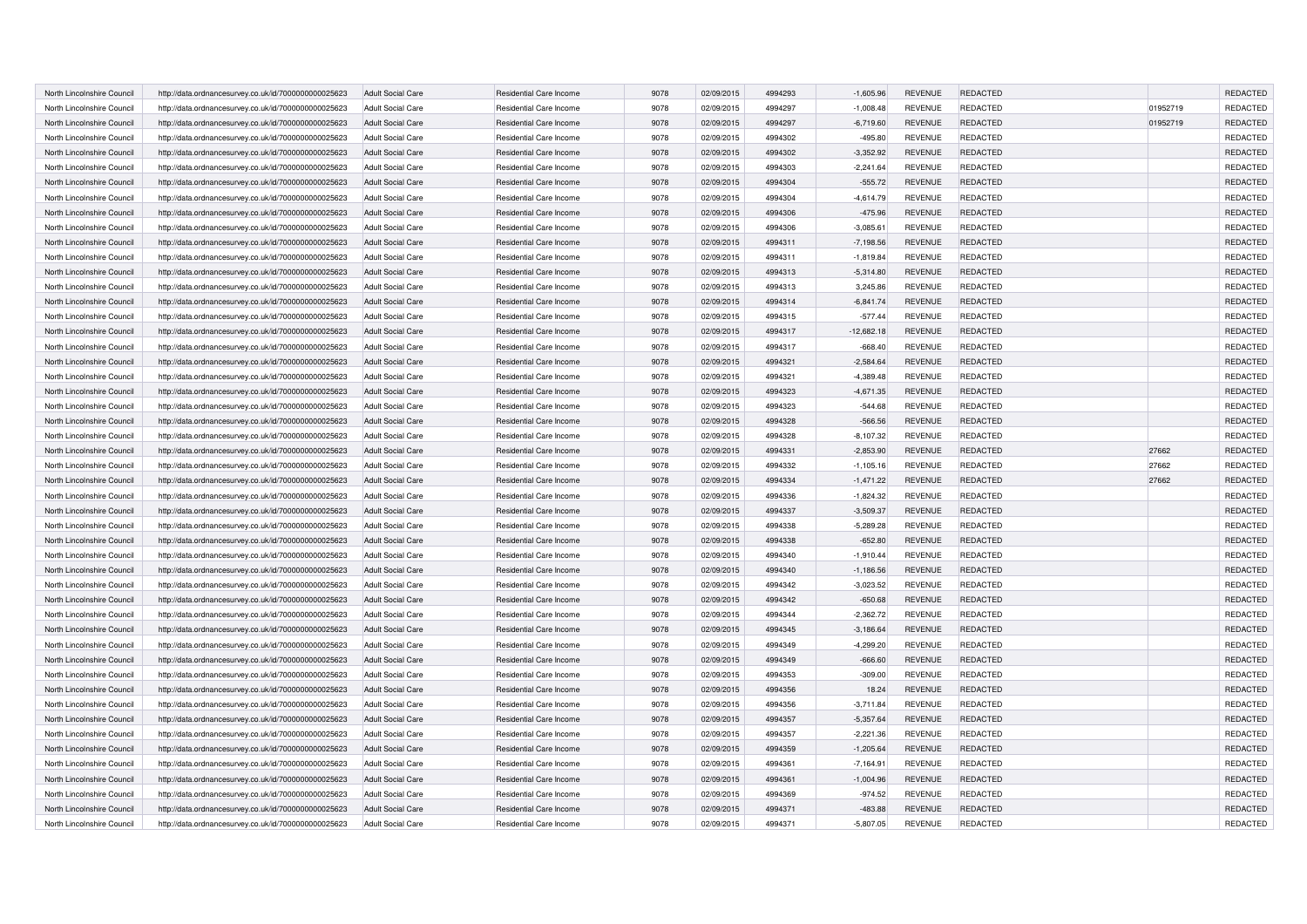| North Lincolnshire Council | http://data.ordnancesurvey.co.uk/id/7000000000025623 | <b>Adult Social Care</b> | Residential Care Income        | 9078 | 02/09/2015 | 4994293 | $-1,605.96$  | <b>REVENUE</b> | REDACTED        |          | <b>REDACTED</b> |
|----------------------------|------------------------------------------------------|--------------------------|--------------------------------|------|------------|---------|--------------|----------------|-----------------|----------|-----------------|
| North Lincolnshire Council | http://data.ordnancesurvey.co.uk/id/7000000000025623 | <b>Adult Social Care</b> | Residential Care Income        | 9078 | 02/09/2015 | 4994297 | $-1,008.48$  | <b>REVENUE</b> | REDACTED        | 01952719 | REDACTED        |
| North Lincolnshire Council | http://data.ordnancesurvey.co.uk/id/7000000000025623 | <b>Adult Social Care</b> | Residential Care Income        | 9078 | 02/09/2015 | 4994297 | $-6,719.60$  | <b>REVENUE</b> | <b>REDACTED</b> | 01952719 | <b>REDACTED</b> |
| North Lincolnshire Council | http://data.ordnancesurvey.co.uk/id/7000000000025623 | <b>Adult Social Care</b> | Residential Care Income        | 9078 | 02/09/2015 | 4994302 | $-495.80$    | <b>REVENUE</b> | REDACTED        |          | REDACTED        |
| North Lincolnshire Council | http://data.ordnancesurvey.co.uk/id/7000000000025623 | <b>Adult Social Care</b> | Residential Care Income        | 9078 | 02/09/2015 | 4994302 | $-3,352.92$  | <b>REVENUE</b> | REDACTED        |          | <b>REDACTED</b> |
| North Lincolnshire Council | http://data.ordnancesurvey.co.uk/id/7000000000025623 | <b>Adult Social Care</b> | Residential Care Income        | 9078 | 02/09/2015 | 4994303 | $-2,241.64$  | <b>REVENUE</b> | <b>REDACTED</b> |          | REDACTED        |
| North Lincolnshire Council | http://data.ordnancesurvey.co.uk/id/7000000000025623 | <b>Adult Social Care</b> | Residential Care Income        | 9078 | 02/09/2015 | 4994304 | $-555.72$    | <b>REVENUE</b> | <b>REDACTED</b> |          | <b>REDACTED</b> |
| North Lincolnshire Council | http://data.ordnancesurvey.co.uk/id/7000000000025623 | <b>Adult Social Care</b> | Residential Care Income        | 9078 | 02/09/2015 | 4994304 | $-4,614.79$  | <b>REVENUE</b> | <b>REDACTED</b> |          | REDACTED        |
| North Lincolnshire Council | http://data.ordnancesurvey.co.uk/id/7000000000025623 | <b>Adult Social Care</b> | Residential Care Income        | 9078 | 02/09/2015 | 4994306 | $-475.96$    | <b>REVENUE</b> | <b>REDACTED</b> |          | REDACTED        |
| North Lincolnshire Council | http://data.ordnancesurvey.co.uk/id/7000000000025623 | <b>Adult Social Care</b> | Residential Care Income        | 9078 | 02/09/2015 | 4994306 | $-3,085.61$  | <b>REVENUE</b> | REDACTED        |          | REDACTED        |
| North Lincolnshire Council | http://data.ordnancesurvey.co.uk/id/7000000000025623 | <b>Adult Social Care</b> | Residential Care Income        | 9078 | 02/09/2015 | 4994311 | $-7,198.56$  | <b>REVENUE</b> | REDACTED        |          | REDACTED        |
| North Lincolnshire Council | http://data.ordnancesurvey.co.uk/id/7000000000025623 | <b>Adult Social Care</b> | Residential Care Income        | 9078 | 02/09/2015 | 4994311 | $-1,819.84$  | <b>REVENUE</b> | <b>REDACTED</b> |          | REDACTED        |
| North Lincolnshire Council | http://data.ordnancesurvey.co.uk/id/7000000000025623 | <b>Adult Social Care</b> | Residential Care Income        | 9078 | 02/09/2015 | 4994313 | $-5,314.80$  | <b>REVENUE</b> | <b>REDACTED</b> |          | REDACTED        |
| North Lincolnshire Council | http://data.ordnancesurvey.co.uk/id/7000000000025623 | <b>Adult Social Care</b> | Residential Care Income        | 9078 | 02/09/2015 | 4994313 | 3,245.86     | <b>REVENUE</b> | <b>REDACTED</b> |          | REDACTED        |
| North Lincolnshire Council | http://data.ordnancesurvey.co.uk/id/7000000000025623 | <b>Adult Social Care</b> | Residential Care Income        | 9078 | 02/09/2015 | 4994314 | $-6,841.74$  | <b>REVENUE</b> | REDACTED        |          | REDACTED        |
| North Lincolnshire Council | http://data.ordnancesurvey.co.uk/id/7000000000025623 | <b>Adult Social Care</b> | Residential Care Income        | 9078 | 02/09/2015 | 4994315 | $-577.44$    | <b>REVENUE</b> | REDACTED        |          | REDACTED        |
| North Lincolnshire Council | http://data.ordnancesurvey.co.uk/id/7000000000025623 | <b>Adult Social Care</b> | Residential Care Income        | 9078 | 02/09/2015 | 4994317 | $-12,682.18$ | <b>REVENUE</b> | REDACTED        |          | REDACTED        |
| North Lincolnshire Council | http://data.ordnancesurvey.co.uk/id/7000000000025623 | <b>Adult Social Care</b> | Residential Care Income        | 9078 | 02/09/2015 | 4994317 | $-668.40$    | <b>REVENUE</b> | REDACTED        |          | REDACTED        |
| North Lincolnshire Council | http://data.ordnancesurvey.co.uk/id/7000000000025623 | <b>Adult Social Care</b> | Residential Care Income        | 9078 | 02/09/2015 | 4994321 | $-2,584.64$  | <b>REVENUE</b> | REDACTED        |          | <b>REDACTED</b> |
| North Lincolnshire Council | http://data.ordnancesurvey.co.uk/id/7000000000025623 | <b>Adult Social Care</b> | Residential Care Income        | 9078 | 02/09/2015 | 4994321 | $-4,389.48$  | <b>REVENUE</b> | REDACTED        |          | REDACTED        |
| North Lincolnshire Council | http://data.ordnancesurvey.co.uk/id/7000000000025623 | <b>Adult Social Care</b> | Residential Care Income        | 9078 | 02/09/2015 | 4994323 | $-4,671.35$  | <b>REVENUE</b> | REDACTED        |          | REDACTED        |
| North Lincolnshire Council | http://data.ordnancesurvey.co.uk/id/7000000000025623 | <b>Adult Social Care</b> | Residential Care Income        | 9078 | 02/09/2015 | 4994323 | $-544.68$    | <b>REVENUE</b> | REDACTED        |          | REDACTED        |
| North Lincolnshire Council | http://data.ordnancesurvey.co.uk/id/7000000000025623 | <b>Adult Social Care</b> | Residential Care Income        | 9078 | 02/09/2015 | 4994328 | $-566.56$    | <b>REVENUE</b> | REDACTED        |          | REDACTED        |
| North Lincolnshire Council | http://data.ordnancesurvey.co.uk/id/7000000000025623 | <b>Adult Social Care</b> | Residential Care Income        | 9078 | 02/09/2015 | 4994328 | $-8,107.32$  | <b>REVENUE</b> | REDACTED        |          | REDACTED        |
| North Lincolnshire Council | http://data.ordnancesurvey.co.uk/id/7000000000025623 | <b>Adult Social Care</b> | Residential Care Income        | 9078 | 02/09/2015 | 4994331 | $-2,853.90$  | <b>REVENUE</b> | REDACTED        | 27662    | <b>REDACTED</b> |
| North Lincolnshire Counci  | http://data.ordnancesurvey.co.uk/id/7000000000025623 | <b>Adult Social Care</b> | Residential Care Income        | 9078 | 02/09/2015 | 4994332 | $-1,105.16$  | <b>REVENUE</b> | REDACTED        | 27662    | REDACTED        |
| North Lincolnshire Council | http://data.ordnancesurvey.co.uk/id/7000000000025623 | <b>Adult Social Care</b> | Residential Care Income        | 9078 | 02/09/2015 | 4994334 | $-1,471.22$  | <b>REVENUE</b> | REDACTED        | 27662    | REDACTED        |
| North Lincolnshire Council | http://data.ordnancesurvey.co.uk/id/7000000000025623 | Adult Social Care        | Residential Care Income        | 9078 | 02/09/2015 | 4994336 | $-1,824.32$  | <b>REVENUE</b> | REDACTED        |          | REDACTED        |
| North Lincolnshire Council | http://data.ordnancesurvey.co.uk/id/7000000000025623 | <b>Adult Social Care</b> | Residential Care Income        | 9078 | 02/09/2015 | 4994337 | $-3,509.37$  | <b>REVENUE</b> | REDACTED        |          | REDACTED        |
| North Lincolnshire Council | http://data.ordnancesurvey.co.uk/id/7000000000025623 | <b>Adult Social Care</b> | Residential Care Income        | 9078 | 02/09/2015 | 4994338 | $-5,289.28$  | <b>REVENUE</b> | REDACTED        |          | REDACTED        |
| North Lincolnshire Council | http://data.ordnancesurvey.co.uk/id/7000000000025623 | <b>Adult Social Care</b> | Residential Care Income        | 9078 | 02/09/2015 | 4994338 | $-652.80$    | <b>REVENUE</b> | <b>REDACTED</b> |          | REDACTED        |
| North Lincolnshire Council | http://data.ordnancesurvey.co.uk/id/7000000000025623 | Adult Social Care        | Residential Care Income        | 9078 | 02/09/2015 | 4994340 | $-1,910.44$  | <b>REVENUE</b> | REDACTED        |          | REDACTED        |
| North Lincolnshire Counci  | http://data.ordnancesurvey.co.uk/id/7000000000025623 | <b>Adult Social Care</b> | Residential Care Income        | 9078 | 02/09/2015 | 4994340 | $-1,186.56$  | <b>REVENUE</b> | REDACTED        |          | REDACTED        |
| North Lincolnshire Council | http://data.ordnancesurvey.co.uk/id/7000000000025623 | <b>Adult Social Care</b> | Residential Care Income        | 9078 | 02/09/2015 | 4994342 | $-3,023.52$  | <b>REVENUE</b> | <b>REDACTED</b> |          | REDACTED        |
| North Lincolnshire Council | http://data.ordnancesurvey.co.uk/id/7000000000025623 | <b>Adult Social Care</b> | Residential Care Income        | 9078 | 02/09/2015 | 4994342 | $-650.68$    | <b>REVENUE</b> | <b>REDACTED</b> |          | REDACTED        |
| North Lincolnshire Council | http://data.ordnancesurvey.co.uk/id/7000000000025623 | <b>Adult Social Care</b> | Residential Care Income        | 9078 | 02/09/2015 | 4994344 | $-2,362.72$  | <b>REVENUE</b> | <b>REDACTED</b> |          | REDACTED        |
| North Lincolnshire Council | http://data.ordnancesurvey.co.uk/id/7000000000025623 | <b>Adult Social Care</b> | Residential Care Income        | 9078 | 02/09/2015 | 4994345 | $-3,186.64$  | <b>REVENUE</b> | REDACTED        |          | REDACTED        |
| North Lincolnshire Council | http://data.ordnancesurvey.co.uk/id/7000000000025623 | <b>Adult Social Care</b> | Residential Care Income        | 9078 | 02/09/2015 | 4994349 | $-4.299.20$  | <b>REVENUE</b> | <b>REDACTED</b> |          | <b>REDACTED</b> |
| North Lincolnshire Council | http://data.ordnancesurvey.co.uk/id/7000000000025623 | <b>Adult Social Care</b> | Residential Care Income        | 9078 | 02/09/2015 | 4994349 | $-666.60$    | <b>REVENUE</b> | REDACTED        |          | REDACTED        |
| North Lincolnshire Council | http://data.ordnancesurvey.co.uk/id/7000000000025623 | <b>Adult Social Care</b> | Residential Care Income        | 9078 | 02/09/2015 | 4994353 | $-309.00$    | <b>REVENUE</b> | <b>REDACTED</b> |          | REDACTED        |
| North Lincolnshire Council | http://data.ordnancesurvey.co.uk/id/7000000000025623 | <b>Adult Social Care</b> | Residential Care Income        | 9078 | 02/09/2015 | 4994356 | 18.24        | <b>REVENUE</b> | <b>REDACTED</b> |          | REDACTED        |
| North Lincolnshire Council | http://data.ordnancesurvey.co.uk/id/7000000000025623 | <b>Adult Social Care</b> | Residential Care Income        | 9078 | 02/09/2015 | 4994356 | $-3,711.84$  | <b>REVENUE</b> | REDACTED        |          | REDACTED        |
| North Lincolnshire Council | http://data.ordnancesurvey.co.uk/id/7000000000025623 | <b>Adult Social Care</b> | Residential Care Income        | 9078 | 02/09/2015 | 4994357 | $-5,357.64$  | <b>REVENUE</b> | REDACTED        |          | <b>REDACTED</b> |
| North Lincolnshire Council | http://data.ordnancesurvey.co.uk/id/7000000000025623 | <b>Adult Social Care</b> | Residential Care Income        | 9078 | 02/09/2015 | 4994357 | $-2,221.36$  | <b>REVENUE</b> | <b>REDACTED</b> |          | <b>REDACTED</b> |
| North Lincolnshire Council | http://data.ordnancesurvey.co.uk/id/7000000000025623 | <b>Adult Social Care</b> | Residential Care Income        | 9078 | 02/09/2015 | 4994359 | $-1.205.64$  | <b>REVENUE</b> | <b>REDACTED</b> |          | <b>REDACTED</b> |
| North Lincolnshire Council | http://data.ordnancesurvey.co.uk/id/7000000000025623 | <b>Adult Social Care</b> | Residential Care Income        | 9078 | 02/09/2015 | 4994361 | $-7,164.91$  | <b>REVENUE</b> | <b>REDACTED</b> |          | REDACTED        |
| North Lincolnshire Council | http://data.ordnancesurvey.co.uk/id/7000000000025623 | <b>Adult Social Care</b> | Residential Care Income        | 9078 | 02/09/2015 | 4994361 | $-1,004.96$  | <b>REVENUE</b> | <b>REDACTED</b> |          | <b>REDACTED</b> |
| North Lincolnshire Council | http://data.ordnancesurvey.co.uk/id/7000000000025623 | <b>Adult Social Care</b> | Residential Care Income        | 9078 | 02/09/2015 | 4994369 | $-974.52$    | <b>REVENUE</b> | <b>REDACTED</b> |          | REDACTED        |
| North Lincolnshire Council | http://data.ordnancesurvey.co.uk/id/7000000000025623 | <b>Adult Social Care</b> | <b>Residential Care Income</b> | 9078 | 02/09/2015 | 4994371 | $-483.88$    | <b>REVENUE</b> | <b>REDACTED</b> |          | REDACTED        |
| North Lincolnshire Council | http://data.ordnancesurvey.co.uk/id/7000000000025623 | <b>Adult Social Care</b> | Residential Care Income        | 9078 | 02/09/2015 | 4994371 | $-5,807.05$  | <b>REVENUE</b> | REDACTED        |          | <b>REDACTED</b> |
|                            |                                                      |                          |                                |      |            |         |              |                |                 |          |                 |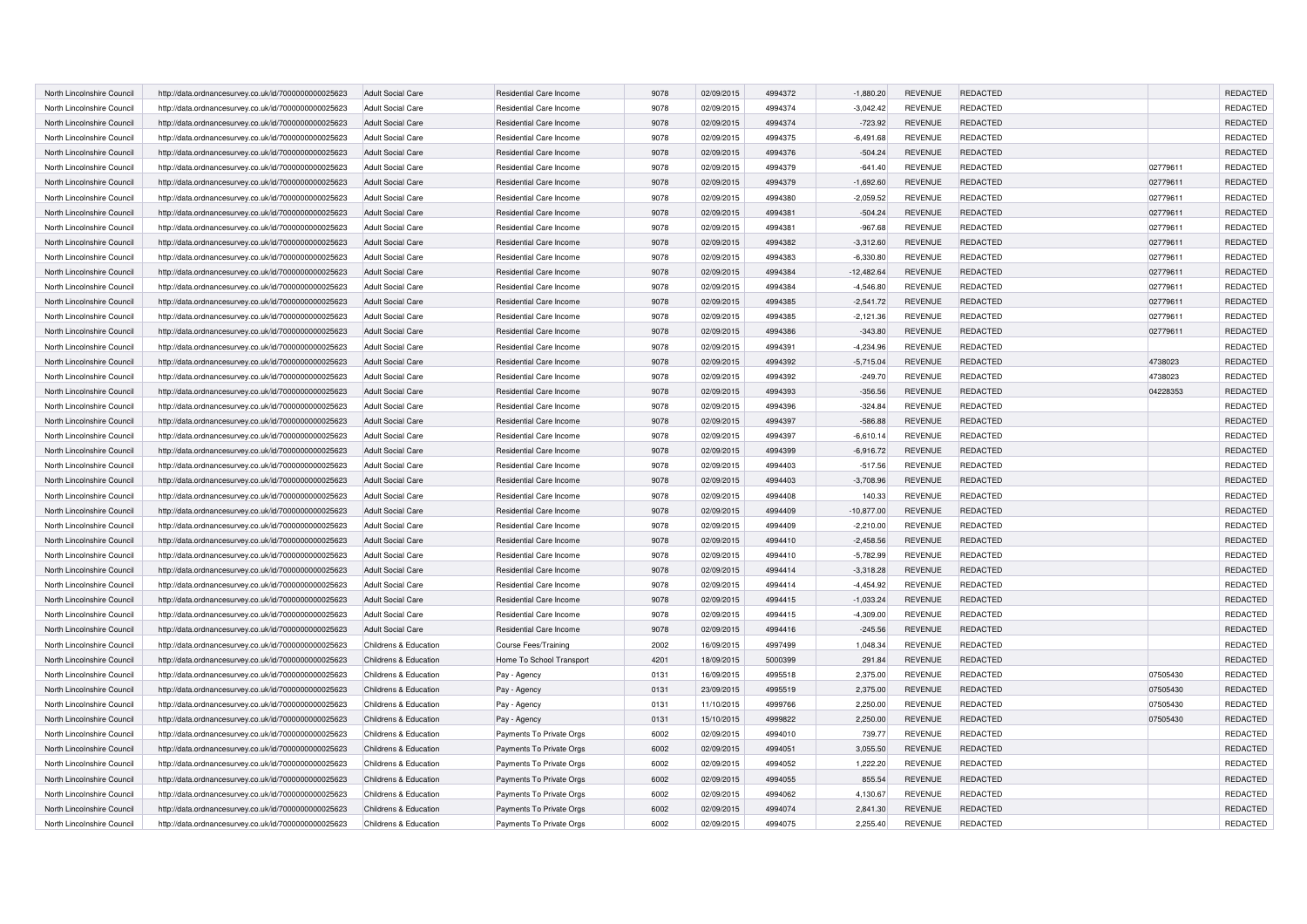| North Lincolnshire Council                               | http://data.ordnancesurvey.co.uk/id/7000000000025623                                                         | <b>Adult Social Care</b>                             | Residential Care Income                            | 9078         | 02/09/2015               | 4994372            | $-1,880.20$              | <b>REVENUE</b>                   | <b>REDACTED</b>             |                     | <b>REDACTED</b>             |
|----------------------------------------------------------|--------------------------------------------------------------------------------------------------------------|------------------------------------------------------|----------------------------------------------------|--------------|--------------------------|--------------------|--------------------------|----------------------------------|-----------------------------|---------------------|-----------------------------|
| North Lincolnshire Council                               | http://data.ordnancesurvey.co.uk/id/7000000000025623                                                         | <b>Adult Social Care</b>                             | Residential Care Income                            | 9078         | 02/09/2015               | 4994374            | $-3,042.42$              | <b>REVENUE</b>                   | REDACTED                    |                     | REDACTED                    |
| North Lincolnshire Council                               | http://data.ordnancesurvey.co.uk/id/7000000000025623                                                         | <b>Adult Social Care</b>                             | Residential Care Income                            | 9078         | 02/09/2015               | 4994374            | $-723.92$                | <b>REVENUE</b>                   | <b>REDACTED</b>             |                     | <b>REDACTED</b>             |
| North Lincolnshire Council                               | http://data.ordnancesurvey.co.uk/id/7000000000025623                                                         | <b>Adult Social Care</b>                             | Residential Care Income                            | 9078         | 02/09/2015               | 4994375            | $-6,491.68$              | <b>REVENUE</b>                   | REDACTED                    |                     | REDACTED                    |
| North Lincolnshire Council                               | http://data.ordnancesurvey.co.uk/id/7000000000025623                                                         | <b>Adult Social Care</b>                             | Residential Care Income                            | 9078         | 02/09/2015               | 4994376            | $-504.24$                | <b>REVENUE</b>                   | <b>REDACTED</b>             |                     | <b>REDACTED</b>             |
| North Lincolnshire Council                               | http://data.ordnancesurvey.co.uk/id/7000000000025623                                                         | <b>Adult Social Care</b>                             | Residential Care Income                            | 9078         | 02/09/2015               | 4994379            | $-641.40$                | <b>REVENUE</b>                   | <b>REDACTED</b>             | 02779611            | REDACTED                    |
| North Lincolnshire Council                               | http://data.ordnancesurvey.co.uk/id/7000000000025623                                                         | <b>Adult Social Care</b>                             | Residential Care Income                            | 9078         | 02/09/2015               | 4994379            | $-1,692.60$              | <b>REVENUE</b>                   | <b>REDACTED</b>             | 02779611            | <b>REDACTED</b>             |
| North Lincolnshire Council                               | http://data.ordnancesurvey.co.uk/id/7000000000025623                                                         | <b>Adult Social Care</b>                             | Residential Care Income                            | 9078         | 02/09/2015               | 4994380            | $-2,059.52$              | <b>REVENUE</b>                   | <b>REDACTED</b>             | 02779611            | REDACTED                    |
| North Lincolnshire Council                               | http://data.ordnancesurvey.co.uk/id/7000000000025623                                                         | <b>Adult Social Care</b>                             | Residential Care Income                            | 9078         | 02/09/2015               | 4994381            | $-504.24$                | <b>REVENUE</b>                   | <b>REDACTED</b>             | 02779611            | REDACTED                    |
| North Lincolnshire Council                               | http://data.ordnancesurvey.co.uk/id/7000000000025623                                                         | <b>Adult Social Care</b>                             | Residential Care Income                            | 9078         | 02/09/2015               | 4994381            | $-967.68$                | <b>REVENUE</b>                   | <b>REDACTED</b>             | 02779611            | REDACTED                    |
| North Lincolnshire Council                               | http://data.ordnancesurvey.co.uk/id/7000000000025623                                                         | <b>Adult Social Care</b>                             | Residential Care Income                            | 9078         | 02/09/2015               | 4994382            | $-3,312.60$              | <b>REVENUE</b>                   | <b>REDACTED</b>             | 02779611            | <b>REDACTED</b>             |
| North Lincolnshire Council                               | http://data.ordnancesurvey.co.uk/id/7000000000025623                                                         | <b>Adult Social Care</b>                             | Residential Care Income                            | 9078         | 02/09/2015               | 4994383            | $-6,330.80$              | <b>REVENUE</b>                   | <b>REDACTED</b>             | 02779611            | REDACTED                    |
| North Lincolnshire Counci                                | http://data.ordnancesurvey.co.uk/id/7000000000025623                                                         | <b>Adult Social Care</b>                             | Residential Care Income                            | 9078         | 02/09/2015               | 4994384            | $-12,482.64$             | <b>REVENUE</b>                   | <b>REDACTED</b>             | 02779611            | REDACTED                    |
| North Lincolnshire Council                               | http://data.ordnancesurvey.co.uk/id/7000000000025623                                                         | <b>Adult Social Care</b>                             | Residential Care Income                            | 9078         | 02/09/2015               | 4994384            | $-4,546.80$              | <b>REVENUE</b>                   | <b>REDACTED</b>             | 02779611            | REDACTED                    |
| North Lincolnshire Council                               | http://data.ordnancesurvey.co.uk/id/7000000000025623                                                         | <b>Adult Social Care</b>                             | Residential Care Income                            | 9078         | 02/09/2015               | 4994385            | $-2,541.72$              | <b>REVENUE</b>                   | <b>REDACTED</b>             | 02779611            | REDACTED                    |
| North Lincolnshire Council                               | http://data.ordnancesurvey.co.uk/id/7000000000025623                                                         | <b>Adult Social Care</b>                             | Residential Care Income                            | 9078         | 02/09/2015               | 4994385            | $-2,121.36$              | <b>REVENUE</b>                   | REDACTED                    | 02779611            | REDACTED                    |
| North Lincolnshire Council                               |                                                                                                              |                                                      | Residential Care Income                            | 9078         |                          | 4994386            |                          | <b>REVENUE</b>                   |                             |                     | REDACTED                    |
| North Lincolnshire Council                               | http://data.ordnancesurvey.co.uk/id/7000000000025623<br>http://data.ordnancesurvey.co.uk/id/7000000000025623 | <b>Adult Social Care</b><br><b>Adult Social Care</b> | Residential Care Income                            | 9078         | 02/09/2015<br>02/09/2015 | 4994391            | $-343.80$<br>$-4,234.96$ | <b>REVENUE</b>                   | <b>REDACTED</b><br>REDACTED | 02779611            | REDACTED                    |
|                                                          |                                                                                                              |                                                      |                                                    | 9078         |                          | 4994392            |                          | <b>REVENUE</b>                   | <b>REDACTED</b>             | 4738023             |                             |
| North Lincolnshire Council                               | http://data.ordnancesurvey.co.uk/id/7000000000025623                                                         | <b>Adult Social Care</b>                             | Residential Care Income                            |              | 02/09/2015               |                    | $-5,715.04$              |                                  |                             |                     | <b>REDACTED</b><br>REDACTED |
| North Lincolnshire Council<br>North Lincolnshire Council | http://data.ordnancesurvey.co.uk/id/7000000000025623                                                         | <b>Adult Social Care</b><br><b>Adult Social Care</b> | Residential Care Income<br>Residential Care Income | 9078<br>9078 | 02/09/2015<br>02/09/2015 | 4994392<br>4994393 | $-249.70$<br>$-356.56$   | <b>REVENUE</b><br><b>REVENUE</b> | REDACTED<br>REDACTED        | 4738023<br>04228353 | REDACTED                    |
|                                                          | http://data.ordnancesurvey.co.uk/id/7000000000025623                                                         |                                                      | Residential Care Income                            |              |                          | 4994396            |                          |                                  |                             |                     | REDACTED                    |
| North Lincolnshire Council                               | http://data.ordnancesurvey.co.uk/id/7000000000025623                                                         | <b>Adult Social Care</b>                             |                                                    | 9078         | 02/09/2015               |                    | $-324.84$                | <b>REVENUE</b>                   | REDACTED                    |                     |                             |
| North Lincolnshire Council                               | http://data.ordnancesurvey.co.uk/id/7000000000025623                                                         | <b>Adult Social Care</b>                             | Residential Care Income                            | 9078         | 02/09/2015               | 4994397            | $-586.88$                | <b>REVENUE</b>                   | <b>REDACTED</b>             |                     | REDACTED                    |
| North Lincolnshire Council                               | http://data.ordnancesurvey.co.uk/id/7000000000025623                                                         | <b>Adult Social Care</b>                             | Residential Care Income                            | 9078         | 02/09/2015               | 4994397            | $-6,610.14$              | <b>REVENUE</b>                   | REDACTED                    |                     | REDACTED                    |
| North Lincolnshire Council                               | http://data.ordnancesurvey.co.uk/id/7000000000025623                                                         | <b>Adult Social Care</b>                             | Residential Care Income                            | 9078         | 02/09/2015               | 4994399            | $-6,916.72$              | <b>REVENUE</b>                   | REDACTED                    |                     | REDACTED                    |
| North Lincolnshire Council                               | http://data.ordnancesurvey.co.uk/id/7000000000025623                                                         | <b>Adult Social Care</b>                             | Residential Care Income                            | 9078         | 02/09/2015               | 4994403            | $-517.56$                | <b>REVENUE</b>                   | REDACTED                    |                     | REDACTED                    |
| North Lincolnshire Council                               | http://data.ordnancesurvey.co.uk/id/7000000000025623                                                         | <b>Adult Social Care</b>                             | Residential Care Income                            | 9078         | 02/09/2015               | 4994403            | $-3,708.96$              | <b>REVENUE</b>                   | <b>REDACTED</b>             |                     | REDACTED                    |
| North Lincolnshire Council                               | http://data.ordnancesurvey.co.uk/id/7000000000025623                                                         | <b>Adult Social Care</b>                             | Residential Care Income                            | 9078         | 02/09/2015               | 4994408            | 140.33                   | <b>REVENUE</b>                   | REDACTED                    |                     | REDACTED                    |
| North Lincolnshire Council                               | http://data.ordnancesurvey.co.uk/id/7000000000025623                                                         | <b>Adult Social Care</b>                             | Residential Care Income                            | 9078         | 02/09/2015               | 4994409            | $-10,877.00$             | <b>REVENUE</b>                   | <b>REDACTED</b>             |                     | REDACTED                    |
| North Lincolnshire Council                               | http://data.ordnancesurvey.co.uk/id/7000000000025623                                                         | <b>Adult Social Care</b>                             | Residential Care Income                            | 9078         | 02/09/2015               | 4994409            | $-2,210.00$              | <b>REVENUE</b>                   | REDACTED                    |                     | REDACTED                    |
| North Lincolnshire Council                               | http://data.ordnancesurvey.co.uk/id/7000000000025623                                                         | <b>Adult Social Care</b>                             | Residential Care Income                            | 9078         | 02/09/2015               | 4994410            | $-2.458.56$              | <b>REVENUE</b>                   | <b>REDACTED</b>             |                     | REDACTED                    |
| North Lincolnshire Council                               | http://data.ordnancesurvey.co.uk/id/7000000000025623                                                         | <b>Adult Social Care</b>                             | Residential Care Income                            | 9078         | 02/09/2015               | 4994410            | $-5,782.99$              | <b>REVENUE</b>                   | REDACTED                    |                     | REDACTED                    |
| North Lincolnshire Council                               | http://data.ordnancesurvey.co.uk/id/7000000000025623                                                         | <b>Adult Social Care</b>                             | Residential Care Income                            | 9078         | 02/09/2015               | 4994414            | $-3,318.28$              | <b>REVENUE</b>                   | <b>REDACTED</b>             |                     | REDACTED                    |
| North Lincolnshire Council                               | http://data.ordnancesurvey.co.uk/id/7000000000025623                                                         | <b>Adult Social Care</b>                             | Residential Care Income                            | 9078         | 02/09/2015               | 4994414            | $-4,454.92$              | <b>REVENUE</b>                   | <b>REDACTED</b>             |                     | REDACTED                    |
| North Lincolnshire Council                               | http://data.ordnancesurvey.co.uk/id/7000000000025623                                                         | <b>Adult Social Care</b>                             | Residential Care Income                            | 9078         | 02/09/2015               | 4994415            | $-1.033.24$              | <b>REVENUE</b>                   | <b>REDACTED</b>             |                     | REDACTED                    |
| North Lincolnshire Council                               | http://data.ordnancesurvey.co.uk/id/7000000000025623                                                         | <b>Adult Social Care</b>                             | Residential Care Income                            | 9078         | 02/09/2015               | 4994415            | $-4,309.00$              | <b>REVENUE</b>                   | <b>REDACTED</b>             |                     | REDACTED                    |
| North Lincolnshire Council                               | http://data.ordnancesurvey.co.uk/id/7000000000025623                                                         | <b>Adult Social Care</b>                             | Residential Care Income                            | 9078         | 02/09/2015               | 4994416            | $-245.56$                | <b>REVENUE</b>                   | <b>REDACTED</b>             |                     | REDACTED                    |
| North Lincolnshire Council                               | http://data.ordnancesurvey.co.uk/id/7000000000025623                                                         | Childrens & Education                                | <b>Course Fees/Training</b>                        | 2002         | 16/09/2015               | 4997499            | 1.048.34                 | <b>REVENUE</b>                   | <b>REDACTED</b>             |                     | REDACTED                    |
| North Lincolnshire Council                               | http://data.ordnancesurvey.co.uk/id/7000000000025623                                                         | Childrens & Education                                | Home To School Transport                           | 4201         | 18/09/2015               | 5000399            | 291.84                   | <b>REVENUE</b>                   | <b>REDACTED</b>             |                     | REDACTED                    |
| North Lincolnshire Council                               | http://data.ordnancesurvey.co.uk/id/7000000000025623                                                         | Childrens & Education                                | Pay - Agency                                       | 0131         | 16/09/2015               | 4995518            | 2,375.00                 | <b>REVENUE</b>                   | <b>REDACTED</b>             | 07505430            | REDACTED                    |
| North Lincolnshire Council                               | http://data.ordnancesurvey.co.uk/id/7000000000025623                                                         | Childrens & Education                                | Pay - Agency                                       | 0131         | 23/09/2015               | 4995519            | 2,375.00                 | <b>REVENUE</b>                   | <b>REDACTED</b>             | 07505430            | REDACTED                    |
| North Lincolnshire Council                               | http://data.ordnancesurvey.co.uk/id/7000000000025623                                                         | Childrens & Education                                | Pay - Agency                                       | 0131         | 11/10/2015               | 4999766            | 2,250.00                 | <b>REVENUE</b>                   | REDACTED                    | 07505430            | REDACTED                    |
| North Lincolnshire Council                               | http://data.ordnancesurvey.co.uk/id/7000000000025623                                                         | Childrens & Education                                | Pay - Agency                                       | 0131         | 15/10/2015               | 4999822            | 2,250.00                 | <b>REVENUE</b>                   | <b>REDACTED</b>             | 07505430            | REDACTED                    |
| North Lincolnshire Council                               | http://data.ordnancesurvey.co.uk/id/7000000000025623                                                         | Childrens & Education                                | Payments To Private Orgs                           | 6002         | 02/09/2015               | 4994010            | 739.77                   | <b>REVENUE</b>                   | <b>REDACTED</b>             |                     | <b>REDACTED</b>             |
| North Lincolnshire Council                               | http://data.ordnancesurvey.co.uk/id/7000000000025623                                                         | Childrens & Education                                | Payments To Private Orgs                           | 6002         | 02/09/2015               | 4994051            | 3.055.50                 | <b>REVENUE</b>                   | <b>REDACTED</b>             |                     | <b>REDACTED</b>             |
| North Lincolnshire Council                               | http://data.ordnancesurvey.co.uk/id/7000000000025623                                                         | Childrens & Education                                | Payments To Private Orgs                           | 6002         | 02/09/2015               | 4994052            | 1,222.20                 | <b>REVENUE</b>                   | <b>REDACTED</b>             |                     | REDACTED                    |
| North Lincolnshire Council                               | http://data.ordnancesurvey.co.uk/id/7000000000025623                                                         | Childrens & Education                                | Payments To Private Orgs                           | 6002         | 02/09/2015               | 4994055            | 855.54                   | <b>REVENUE</b>                   | <b>REDACTED</b>             |                     | <b>REDACTED</b>             |
| North Lincolnshire Council                               | http://data.ordnancesurvey.co.uk/id/7000000000025623                                                         | Childrens & Education                                | Payments To Private Orgs                           | 6002         | 02/09/2015               | 4994062            | 4,130.67                 | <b>REVENUE</b>                   | <b>REDACTED</b>             |                     | <b>REDACTED</b>             |
| North Lincolnshire Council                               | http://data.ordnancesurvey.co.uk/id/7000000000025623                                                         | Childrens & Education                                | Payments To Private Orgs                           | 6002         | 02/09/2015               | 4994074            | 2,841.30                 | <b>REVENUE</b>                   | <b>REDACTED</b>             |                     | <b>REDACTED</b>             |
| North Lincolnshire Council                               | http://data.ordnancesurvey.co.uk/id/7000000000025623                                                         | Childrens & Education                                | Payments To Private Orgs                           | 6002         | 02/09/2015               | 4994075            | 2,255.40                 | <b>REVENUE</b>                   | REDACTED                    |                     | <b>REDACTED</b>             |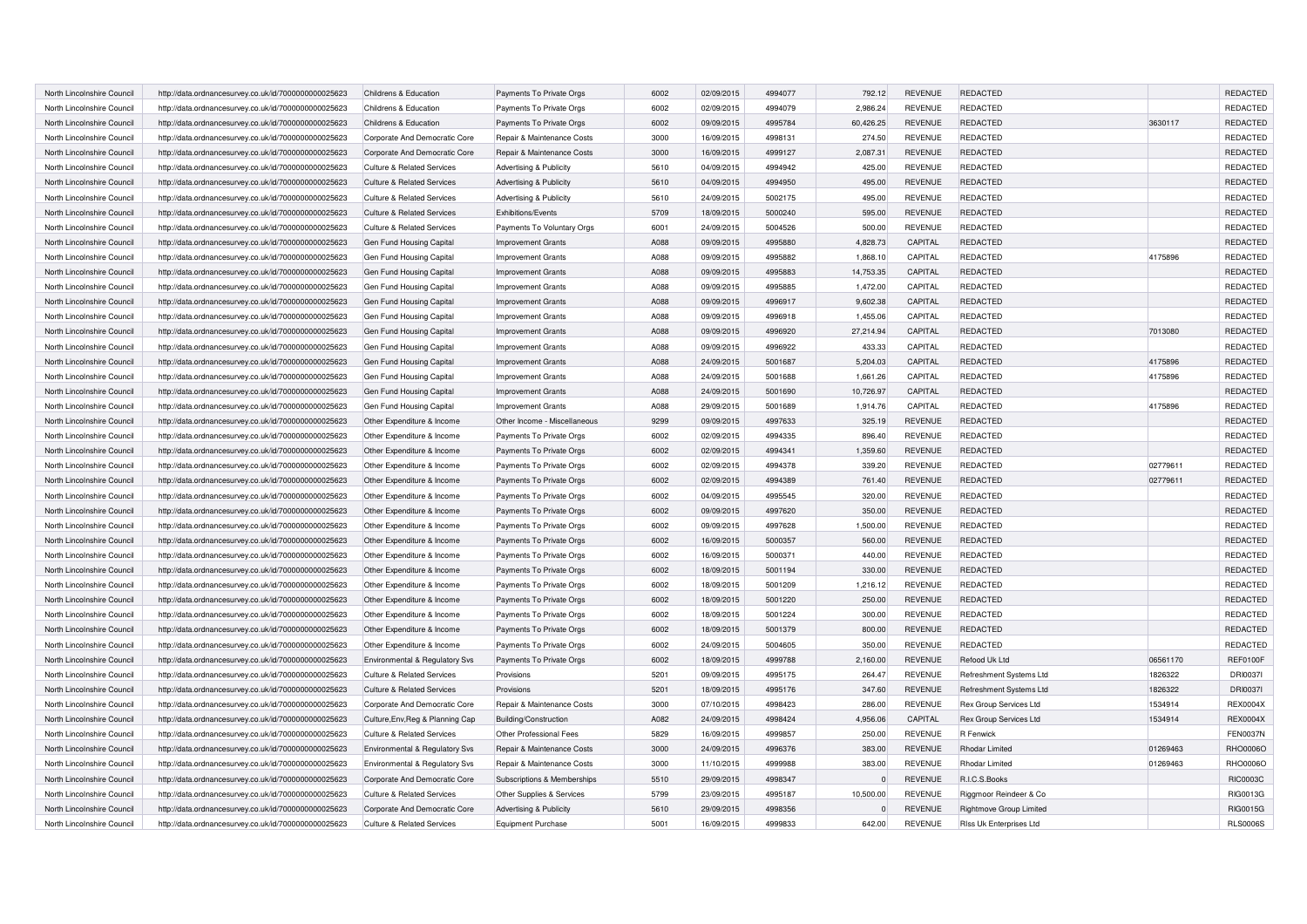| North Lincolnshire Council | http://data.ordnancesurvey.co.uk/id/7000000000025623 | Childrens & Education                 | Payments To Private Orgs     | 6002 | 02/09/2015 | 4994077 | 792.12    | <b>REVENUE</b> | <b>REDACTED</b>         |          | <b>REDACTED</b> |
|----------------------------|------------------------------------------------------|---------------------------------------|------------------------------|------|------------|---------|-----------|----------------|-------------------------|----------|-----------------|
| North Lincolnshire Council | http://data.ordnancesurvey.co.uk/id/7000000000025623 | Childrens & Education                 | Payments To Private Orgs     | 6002 | 02/09/2015 | 4994079 | 2,986.24  | <b>REVENUE</b> | <b>REDACTED</b>         |          | REDACTED        |
| North Lincolnshire Council | http://data.ordnancesurvey.co.uk/id/7000000000025623 | Childrens & Education                 | Payments To Private Orgs     | 6002 | 09/09/2015 | 4995784 | 60.426.25 | <b>REVENUE</b> | <b>REDACTED</b>         | 3630117  | <b>REDACTED</b> |
| North Lincolnshire Council | http://data.ordnancesurvey.co.uk/id/7000000000025623 | Corporate And Democratic Core         | Repair & Maintenance Costs   | 3000 | 16/09/2015 | 4998131 | 274.50    | <b>REVENUE</b> | <b>REDACTED</b>         |          | REDACTED        |
| North Lincolnshire Council | http://data.ordnancesurvey.co.uk/id/7000000000025623 | Corporate And Democratic Core         | Repair & Maintenance Costs   | 3000 | 16/09/2015 | 4999127 | 2,087.31  | <b>REVENUE</b> | <b>REDACTED</b>         |          | REDACTED        |
| North Lincolnshire Council | http://data.ordnancesurvey.co.uk/id/7000000000025623 | <b>Culture &amp; Related Services</b> | Advertising & Publicity      | 5610 | 04/09/2015 | 4994942 | 425.00    | <b>REVENUE</b> | <b>REDACTED</b>         |          | REDACTED        |
| North Lincolnshire Council | http://data.ordnancesurvey.co.uk/id/7000000000025623 | <b>Culture &amp; Related Services</b> | Advertising & Publicity      | 5610 | 04/09/2015 | 4994950 | 495.00    | <b>REVENUE</b> | <b>REDACTED</b>         |          | <b>REDACTED</b> |
| North Lincolnshire Council | http://data.ordnancesurvey.co.uk/id/7000000000025623 | <b>Culture &amp; Related Services</b> | Advertising & Publicity      | 5610 | 24/09/2015 | 5002175 | 495.00    | <b>REVENUE</b> | <b>REDACTED</b>         |          | REDACTED        |
| North Lincolnshire Council | http://data.ordnancesurvey.co.uk/id/7000000000025623 | <b>Culture &amp; Related Services</b> | Exhibitions/Events           | 5709 | 18/09/2015 | 5000240 | 595.00    | <b>REVENUE</b> | <b>REDACTED</b>         |          | REDACTED        |
| North Lincolnshire Council | http://data.ordnancesurvey.co.uk/id/7000000000025623 | <b>Culture &amp; Related Services</b> | Payments To Voluntary Orgs   | 6001 | 24/09/2015 | 5004526 | 500.00    | <b>REVENUE</b> | <b>REDACTED</b>         |          | REDACTED        |
| North Lincolnshire Council | http://data.ordnancesurvey.co.uk/id/7000000000025623 | Gen Fund Housing Capital              | <b>Improvement Grants</b>    | A088 | 09/09/2015 | 4995880 | 4,828.73  | CAPITAL        | <b>REDACTED</b>         |          | REDACTED        |
| North Lincolnshire Council | http://data.ordnancesurvey.co.uk/id/7000000000025623 | Gen Fund Housing Capital              | <b>Improvement Grants</b>    | A088 | 09/09/2015 | 4995882 | 1,868.10  | CAPITAL        | <b>REDACTED</b>         | 4175896  | REDACTED        |
| North Lincolnshire Council | http://data.ordnancesurvey.co.uk/id/7000000000025623 | Gen Fund Housing Capital              | <b>Improvement Grants</b>    | A088 | 09/09/2015 | 4995883 | 14,753.35 | CAPITAL        | <b>REDACTED</b>         |          | <b>REDACTED</b> |
| North Lincolnshire Council | http://data.ordnancesurvey.co.uk/id/7000000000025623 | Gen Fund Housing Capital              | <b>Improvement Grants</b>    | A088 | 09/09/2015 | 4995885 | 1,472.00  | CAPITAL        | <b>REDACTED</b>         |          | REDACTED        |
| North Lincolnshire Council | http://data.ordnancesurvey.co.uk/id/7000000000025623 | Gen Fund Housing Capital              | <b>Improvement Grants</b>    | A088 | 09/09/2015 | 4996917 | 9,602.38  | CAPITAL        | <b>REDACTED</b>         |          | REDACTED        |
| North Lincolnshire Council | http://data.ordnancesurvey.co.uk/id/7000000000025623 | Gen Fund Housing Capital              | Improvement Grants           | A088 | 09/09/2015 | 4996918 | 1,455.06  | CAPITAL        | <b>REDACTED</b>         |          | REDACTED        |
| North Lincolnshire Council | http://data.ordnancesurvey.co.uk/id/7000000000025623 | Gen Fund Housing Capital              | <b>Improvement Grants</b>    | A088 | 09/09/2015 | 4996920 | 27,214.94 | CAPITAL        | <b>REDACTED</b>         | 7013080  | REDACTED        |
| North Lincolnshire Council | http://data.ordnancesurvey.co.uk/id/7000000000025623 | Gen Fund Housing Capital              | Improvement Grants           | A088 | 09/09/2015 | 4996922 | 433.33    | CAPITAL        | <b>REDACTED</b>         |          | REDACTED        |
| North Lincolnshire Council | http://data.ordnancesurvey.co.uk/id/7000000000025623 | Gen Fund Housing Capital              | <b>Improvement Grants</b>    | A088 | 24/09/2015 | 5001687 | 5,204.03  | CAPITAL        | <b>REDACTED</b>         | 4175896  | <b>REDACTED</b> |
| North Lincolnshire Council | http://data.ordnancesurvey.co.uk/id/7000000000025623 | Gen Fund Housing Capital              | <b>Improvement Grants</b>    | A088 | 24/09/2015 | 5001688 | 1,661.26  | CAPITAL        | <b>REDACTED</b>         | 4175896  | REDACTED        |
| North Lincolnshire Council | http://data.ordnancesurvey.co.uk/id/7000000000025623 | Gen Fund Housing Capital              | <b>Improvement Grants</b>    | A088 | 24/09/2015 | 5001690 | 10,726.97 | CAPITAL        | <b>REDACTED</b>         |          | REDACTED        |
| North Lincolnshire Council | http://data.ordnancesurvey.co.uk/id/7000000000025623 | Gen Fund Housing Capital              | Improvement Grants           | A088 | 29/09/2015 | 5001689 | 1,914.76  | CAPITAL        | <b>REDACTED</b>         | 4175896  | REDACTED        |
| North Lincolnshire Council | http://data.ordnancesurvey.co.uk/id/7000000000025623 | Other Expenditure & Income            | Other Income - Miscellaneous | 9299 | 09/09/2015 | 4997633 | 325.19    | <b>REVENUE</b> | <b>REDACTED</b>         |          | REDACTED        |
| North Lincolnshire Council | http://data.ordnancesurvey.co.uk/id/7000000000025623 | Other Expenditure & Income            | Payments To Private Orgs     | 6002 | 02/09/2015 | 4994335 | 896.40    | <b>REVENUE</b> | <b>REDACTED</b>         |          | REDACTED        |
| North Lincolnshire Council | http://data.ordnancesurvey.co.uk/id/7000000000025623 | Other Expenditure & Income            | Payments To Private Orgs     | 6002 | 02/09/2015 | 4994341 | 1,359.60  | <b>REVENUE</b> | <b>REDACTED</b>         |          | REDACTED        |
| North Lincolnshire Council | http://data.ordnancesurvey.co.uk/id/7000000000025623 | Other Expenditure & Income            | Payments To Private Orgs     | 6002 | 02/09/2015 | 4994378 | 339.20    | <b>REVENUE</b> | <b>REDACTED</b>         | 02779611 | REDACTED        |
| North Lincolnshire Council | http://data.ordnancesurvey.co.uk/id/7000000000025623 | Other Expenditure & Income            | Payments To Private Orgs     | 6002 | 02/09/2015 | 4994389 | 761.40    | <b>REVENUE</b> | REDACTED                | 02779611 | REDACTED        |
| North Lincolnshire Council | http://data.ordnancesurvey.co.uk/id/7000000000025623 | Other Expenditure & Income            | Payments To Private Orgs     | 6002 | 04/09/2015 | 4995545 | 320.00    | <b>REVENUE</b> | <b>REDACTED</b>         |          | REDACTED        |
| North Lincolnshire Council | http://data.ordnancesurvey.co.uk/id/7000000000025623 | Other Expenditure & Income            | Payments To Private Orgs     | 6002 | 09/09/2015 | 4997620 | 350.00    | <b>REVENUE</b> | REDACTED                |          | REDACTED        |
| North Lincolnshire Council | http://data.ordnancesurvey.co.uk/id/7000000000025623 | Other Expenditure & Income            | Payments To Private Orgs     | 6002 | 09/09/2015 | 4997628 | 1,500.00  | <b>REVENUE</b> | <b>REDACTED</b>         |          | REDACTED        |
| North Lincolnshire Council | http://data.ordnancesurvey.co.uk/id/7000000000025623 | Other Expenditure & Income            | Payments To Private Orgs     | 6002 | 16/09/2015 | 5000357 | 560.00    | <b>REVENUE</b> | REDACTED                |          | REDACTED        |
| North Lincolnshire Council | http://data.ordnancesurvey.co.uk/id/7000000000025623 | Other Expenditure & Income            | Payments To Private Orgs     | 6002 | 16/09/2015 | 5000371 | 440.00    | <b>REVENUE</b> | REDACTED                |          | REDACTED        |
| North Lincolnshire Council | http://data.ordnancesurvey.co.uk/id/7000000000025623 | Other Expenditure & Income            | Payments To Private Orgs     | 6002 | 18/09/2015 | 5001194 | 330.00    | <b>REVENUE</b> | <b>REDACTED</b>         |          | REDACTED        |
| North Lincolnshire Council | http://data.ordnancesurvey.co.uk/id/7000000000025623 | Other Expenditure & Income            | Payments To Private Orgs     | 6002 | 18/09/2015 | 5001209 | 1,216.12  | <b>REVENUE</b> | <b>REDACTED</b>         |          | REDACTED        |
| North Lincolnshire Council | http://data.ordnancesurvey.co.uk/id/7000000000025623 | Other Expenditure & Income            | Payments To Private Orgs     | 6002 | 18/09/2015 | 5001220 | 250.00    | <b>REVENUE</b> | REDACTED                |          | REDACTED        |
| North Lincolnshire Council | http://data.ordnancesurvey.co.uk/id/7000000000025623 | Other Expenditure & Income            | Payments To Private Orgs     | 6002 | 18/09/2015 | 5001224 | 300.00    | <b>REVENUE</b> | REDACTED                |          | REDACTED        |
| North Lincolnshire Council | http://data.ordnancesurvey.co.uk/id/7000000000025623 | Other Expenditure & Income            | Payments To Private Orgs     | 6002 | 18/09/2015 | 5001379 | 800.00    | <b>REVENUE</b> | REDACTED                |          | REDACTED        |
| North Lincolnshire Council | http://data.ordnancesurvey.co.uk/id/7000000000025623 | Other Expenditure & Income            | Payments To Private Orgs     | 6002 | 24/09/2015 | 5004605 | 350.00    | <b>REVENUE</b> | <b>REDACTED</b>         |          | REDACTED        |
| North Lincolnshire Council | http://data.ordnancesurvey.co.uk/id/7000000000025623 | Environmental & Regulatory Svs        | Payments To Private Orgs     | 6002 | 18/09/2015 | 4999788 | 2,160.00  | REVENUE        | Refood Uk Ltd           | 06561170 | <b>REF0100F</b> |
| North Lincolnshire Council | http://data.ordnancesurvey.co.uk/id/7000000000025623 | <b>Culture &amp; Related Services</b> | Provisions                   | 5201 | 09/09/2015 | 4995175 | 264.47    | <b>REVENUE</b> | Refreshment Systems Ltd | 1826322  | DRI00371        |
| North Lincolnshire Council | http://data.ordnancesurvey.co.uk/id/7000000000025623 | <b>Culture &amp; Related Services</b> | Provisions                   | 5201 | 18/09/2015 | 4995176 | 347.60    | <b>REVENUE</b> | Refreshment Systems Ltd | 1826322  | DRI00371        |
| North Lincolnshire Council | http://data.ordnancesurvey.co.uk/id/7000000000025623 | Corporate And Democratic Core         | Repair & Maintenance Costs   | 3000 | 07/10/2015 | 4998423 | 286.00    | <b>REVENUE</b> | Rex Group Services Ltd  | 1534914  | <b>REX0004X</b> |
| North Lincolnshire Council | http://data.ordnancesurvey.co.uk/id/7000000000025623 | Culture, Env, Reg & Planning Cap      | Building/Construction        | A082 | 24/09/2015 | 4998424 | 4,956.06  | CAPITAL        | Rex Group Services Ltd  | 1534914  | <b>REX0004X</b> |
| North Lincolnshire Council | http://data.ordnancesurvey.co.uk/id/7000000000025623 | <b>Culture &amp; Related Services</b> | Other Professional Fees      | 5829 | 16/09/2015 | 4999857 | 250.00    | <b>REVENUE</b> | R Fenwick               |          | <b>FEN0037N</b> |
| North Lincolnshire Council | http://data.ordnancesurvey.co.uk/id/7000000000025623 | Environmental & Regulatory Svs        | Repair & Maintenance Costs   | 3000 | 24/09/2015 | 4996376 | 383.00    | <b>REVENUE</b> | <b>Rhodar Limited</b>   | 01269463 | RHO0006O        |
| North Lincolnshire Council | http://data.ordnancesurvey.co.uk/id/7000000000025623 | Environmental & Regulatory Svs        | Repair & Maintenance Costs   | 3000 | 11/10/2015 | 4999988 | 383.00    | <b>REVENUE</b> | Rhodar Limited          | 01269463 | RHO0006O        |
| North Lincolnshire Council | http://data.ordnancesurvey.co.uk/id/7000000000025623 | Corporate And Democratic Core         | Subscriptions & Memberships  | 5510 | 29/09/2015 | 4998347 | $\Omega$  | <b>REVENUE</b> | R.I.C.S.Books           |          | <b>RIC0003C</b> |
| North Lincolnshire Council | http://data.ordnancesurvey.co.uk/id/7000000000025623 | <b>Culture &amp; Related Services</b> | Other Supplies & Services    | 5799 | 23/09/2015 | 4995187 | 10,500.00 | <b>REVENUE</b> | Riggmoor Reindeer & Co  |          | RIG0013G        |
| North Lincolnshire Council | http://data.ordnancesurvey.co.uk/id/7000000000025623 | Corporate And Democratic Core         | Advertising & Publicity      | 5610 | 29/09/2015 | 4998356 | $\Omega$  | <b>REVENUE</b> | Rightmove Group Limited |          | RIG0015G        |
| North Lincolnshire Council | http://data.ordnancesurvey.co.uk/id/7000000000025623 | <b>Culture &amp; Related Services</b> | Equipment Purchase           | 5001 | 16/09/2015 | 4999833 | 642.00    | <b>REVENUE</b> | Riss Uk Enterprises Ltd |          | <b>RLS0006S</b> |
|                            |                                                      |                                       |                              |      |            |         |           |                |                         |          |                 |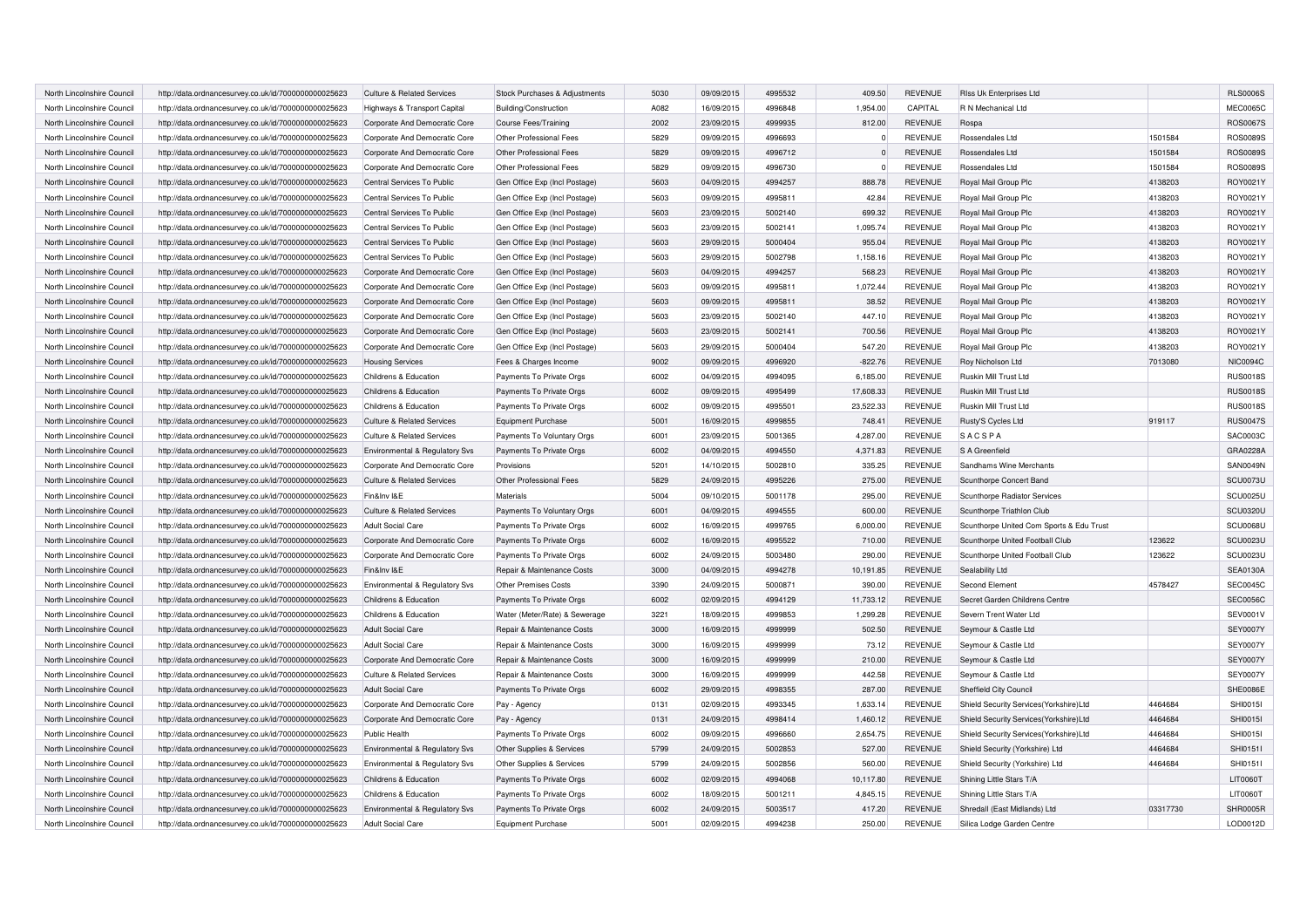| North Lincolnshire Council | http://data.ordnancesurvey.co.uk/id/7000000000025623 | <b>Culture &amp; Related Services</b> | Stock Purchases & Adjustments | 5030 | 09/09/2015 | 4995532 | 409.50    | <b>REVENUE</b> | Riss Uk Enterprises Ltd                  |          | <b>RLS0006S</b> |
|----------------------------|------------------------------------------------------|---------------------------------------|-------------------------------|------|------------|---------|-----------|----------------|------------------------------------------|----------|-----------------|
| North Lincolnshire Council | http://data.ordnancesurvey.co.uk/id/7000000000025623 | Highways & Transport Capital          | Building/Construction         | A082 | 16/09/2015 | 4996848 | 1,954.00  | CAPITAL        | R N Mechanical Ltd                       |          | <b>MEC0065C</b> |
| North Lincolnshire Council | http://data.ordnancesurvey.co.uk/id/7000000000025623 | Corporate And Democratic Core         | Course Fees/Training          | 2002 | 23/09/2015 | 4999935 | 812.00    | <b>REVENUE</b> | Rospa                                    |          | ROS0067S        |
| North Lincolnshire Council | http://data.ordnancesurvey.co.uk/id/7000000000025623 | Corporate And Democratic Core         | Other Professional Fees       | 5829 | 09/09/2015 | 4996693 | $\Omega$  | <b>REVENUE</b> | Rossendales Ltd                          | 1501584  | <b>ROS0089S</b> |
| North Lincolnshire Counci  | http://data.ordnancesurvey.co.uk/id/7000000000025623 | Corporate And Democratic Core         | Other Professional Fees       | 5829 | 09/09/2015 | 4996712 | $\Omega$  | <b>REVENUE</b> | Rossendales Ltd                          | 1501584  | <b>ROS0089S</b> |
| North Lincolnshire Council | http://data.ordnancesurvey.co.uk/id/7000000000025623 | Corporate And Democratic Core         | Other Professional Fees       | 5829 | 09/09/2015 | 4996730 | $\Omega$  | <b>REVENUE</b> | Rossendales Ltd                          | 1501584  | <b>ROS0089S</b> |
| North Lincolnshire Council | http://data.ordnancesurvey.co.uk/id/7000000000025623 | Central Services To Public            | Gen Office Exp (Incl Postage) | 5603 | 04/09/2015 | 4994257 | 888.78    | <b>REVENUE</b> | Royal Mail Group Plc                     | 4138203  | ROY0021Y        |
| North Lincolnshire Council | http://data.ordnancesurvey.co.uk/id/7000000000025623 | Central Services To Public            | Gen Office Exp (Incl Postage) | 5603 | 09/09/2015 | 4995811 | 42.84     | <b>REVENUE</b> | Royal Mail Group Plc                     | 4138203  | ROY0021Y        |
| North Lincolnshire Council | http://data.ordnancesurvey.co.uk/id/7000000000025623 | Central Services To Public            | Gen Office Exp (Incl Postage) | 5603 | 23/09/2015 | 5002140 | 699.32    | <b>REVENUE</b> | Royal Mail Group Plc                     | 4138203  | ROY0021Y        |
| North Lincolnshire Council | http://data.ordnancesurvey.co.uk/id/7000000000025623 | Central Services To Public            | Gen Office Exp (Incl Postage) | 5603 | 23/09/2015 | 5002141 | 1.095.74  | <b>REVENUE</b> | Royal Mail Group Plc                     | 4138203  | ROY0021Y        |
| North Lincolnshire Council | http://data.ordnancesurvey.co.uk/id/7000000000025623 | Central Services To Public            | Gen Office Exp (Incl Postage) | 5603 | 29/09/2015 | 5000404 | 955.04    | <b>REVENUE</b> | Royal Mail Group Plc                     | 4138203  | ROY0021Y        |
| North Lincolnshire Council | http://data.ordnancesurvey.co.uk/id/7000000000025623 | Central Services To Public            | Gen Office Exp (Incl Postage) | 5603 | 29/09/2015 | 5002798 | 1,158.16  | <b>REVENUE</b> | Royal Mail Group Plc                     | 4138203  | ROY0021Y        |
| North Lincolnshire Council | http://data.ordnancesurvey.co.uk/id/7000000000025623 | Corporate And Democratic Core         | Gen Office Exp (Incl Postage) | 5603 | 04/09/2015 | 4994257 | 568.23    | <b>REVENUE</b> | Royal Mail Group Plc                     | 4138203  | ROY0021Y        |
| North Lincolnshire Council | http://data.ordnancesurvey.co.uk/id/7000000000025623 | Corporate And Democratic Core         | Gen Office Exp (Incl Postage) | 5603 | 09/09/2015 | 499581  | 1,072.44  | <b>REVENUE</b> | Royal Mail Group Plc                     | 4138203  | ROY0021Y        |
| North Lincolnshire Council | http://data.ordnancesurvey.co.uk/id/7000000000025623 | Corporate And Democratic Core         | Gen Office Exp (Incl Postage) | 5603 | 09/09/2015 | 4995811 | 38.52     | <b>REVENUE</b> | Royal Mail Group Plc                     | 4138203  | ROY0021Y        |
| North Lincolnshire Council | http://data.ordnancesurvey.co.uk/id/7000000000025623 | Corporate And Democratic Core         | Gen Office Exp (Incl Postage) | 5603 | 23/09/2015 | 5002140 | 447.10    | <b>REVENUE</b> | Royal Mail Group Plc                     | 4138203  | ROY0021Y        |
| North Lincolnshire Council | http://data.ordnancesurvey.co.uk/id/7000000000025623 | Corporate And Democratic Core         | Gen Office Exp (Incl Postage) | 5603 | 23/09/2015 | 5002141 | 700.56    | <b>REVENUE</b> | Royal Mail Group Plc                     | 4138203  | ROY0021Y        |
| North Lincolnshire Council | http://data.ordnancesurvey.co.uk/id/7000000000025623 | Corporate And Democratic Core         | Gen Office Exp (Incl Postage) | 5603 | 29/09/2015 | 5000404 | 547.20    | <b>REVENUE</b> | Royal Mail Group Plc                     | 4138203  | ROY0021Y        |
| North Lincolnshire Council | http://data.ordnancesurvey.co.uk/id/7000000000025623 | <b>Housing Services</b>               | Fees & Charges Income         | 9002 | 09/09/2015 | 4996920 | $-822.76$ | <b>REVENUE</b> | Roy Nicholson Ltd                        | 7013080  | <b>NIC0094C</b> |
| North Lincolnshire Council | http://data.ordnancesurvey.co.uk/id/7000000000025623 | Childrens & Education                 | Payments To Private Orgs      | 6002 | 04/09/2015 | 4994095 | 6,185.00  | <b>REVENUE</b> | Ruskin Mill Trust Ltd                    |          | <b>RUS0018S</b> |
| North Lincolnshire Council | http://data.ordnancesurvey.co.uk/id/7000000000025623 | Childrens & Education                 | Payments To Private Orgs      | 6002 | 09/09/2015 | 4995499 | 17,608.33 | <b>REVENUE</b> | Ruskin Mill Trust Ltd                    |          | <b>RUS0018S</b> |
| North Lincolnshire Council | http://data.ordnancesurvey.co.uk/id/7000000000025623 | Childrens & Education                 | Payments To Private Orgs      | 6002 | 09/09/2015 | 4995501 | 23,522.33 | <b>REVENUE</b> | Ruskin Mill Trust Ltd                    |          | <b>RUS0018S</b> |
| North Lincolnshire Council | http://data.ordnancesurvey.co.uk/id/7000000000025623 | <b>Culture &amp; Related Services</b> | <b>Equipment Purchase</b>     | 5001 | 16/09/2015 | 4999855 | 748.41    | <b>REVENUE</b> | Rusty'S Cycles Ltd                       | 919117   | <b>RUS0047S</b> |
| North Lincolnshire Council | http://data.ordnancesurvey.co.uk/id/7000000000025623 | <b>Culture &amp; Related Services</b> | Payments To Voluntary Orgs    | 6001 | 23/09/2015 | 5001365 | 4,287.00  | <b>REVENUE</b> | <b>SACSPA</b>                            |          | SAC0003C        |
| North Lincolnshire Council | http://data.ordnancesurvey.co.uk/id/7000000000025623 | Environmental & Regulatory Svs        | Payments To Private Orgs      | 6002 | 04/09/2015 | 4994550 | 4,371.83  | <b>REVENUE</b> | S A Greenfield                           |          | GRA0228A        |
| North Lincolnshire Council | http://data.ordnancesurvey.co.uk/id/7000000000025623 | Corporate And Democratic Core         | Provisions                    | 5201 | 14/10/2015 | 5002810 | 335.25    | <b>REVENUE</b> | Sandhams Wine Merchants                  |          | <b>SAN0049N</b> |
| North Lincolnshire Council | http://data.ordnancesurvey.co.uk/id/7000000000025623 | <b>Culture &amp; Related Services</b> | Other Professional Fees       | 5829 | 24/09/2015 | 4995226 | 275.00    | <b>REVENUE</b> | Scunthorpe Concert Band                  |          | SCU0073U        |
| North Lincolnshire Council | http://data.ordnancesurvey.co.uk/id/7000000000025623 | Fin&Inv I&E                           | Materials                     | 5004 | 09/10/2015 | 5001178 | 295.00    | <b>REVENUE</b> | Scunthorpe Radiator Services             |          | <b>SCU0025U</b> |
| North Lincolnshire Council | http://data.ordnancesurvey.co.uk/id/7000000000025623 | <b>Culture &amp; Related Services</b> | Payments To Voluntary Orgs    | 6001 | 04/09/2015 | 4994555 | 600.00    | <b>REVENUE</b> | Scunthorpe Triathlon Club                |          | <b>SCU0320U</b> |
| North Lincolnshire Council | http://data.ordnancesurvey.co.uk/id/7000000000025623 | <b>Adult Social Care</b>              | Payments To Private Orgs      | 6002 | 16/09/2015 | 4999765 | 6,000.00  | <b>REVENUE</b> | Scunthorpe United Com Sports & Edu Trust |          | SCU0068U        |
| North Lincolnshire Council | http://data.ordnancesurvey.co.uk/id/7000000000025623 | Corporate And Democratic Core         | Payments To Private Orgs      | 6002 | 16/09/2015 | 4995522 | 710.00    | <b>REVENUE</b> | Scunthorpe United Football Club          | 123622   | <b>SCU0023U</b> |
| North Lincolnshire Council | http://data.ordnancesurvey.co.uk/id/7000000000025623 | Corporate And Democratic Core         | Payments To Private Orgs      | 6002 | 24/09/2015 | 5003480 | 290.00    | <b>REVENUE</b> | Scunthorpe United Football Club          | 123622   | <b>SCU0023U</b> |
| North Lincolnshire Council | http://data.ordnancesurvey.co.uk/id/7000000000025623 | Fin&Inv I&E                           | Repair & Maintenance Costs    | 3000 | 04/09/2015 | 4994278 | 10,191.85 | <b>REVENUE</b> | Sealability Ltd                          |          | <b>SEA0130A</b> |
| North Lincolnshire Council | http://data.ordnancesurvey.co.uk/id/7000000000025623 | Environmental & Regulatory Svs        | <b>Other Premises Costs</b>   | 3390 | 24/09/2015 | 5000871 | 390.00    | <b>REVENUE</b> | Second Element                           | 4578427  | <b>SEC0045C</b> |
| North Lincolnshire Council | http://data.ordnancesurvey.co.uk/id/7000000000025623 | Childrens & Education                 | Payments To Private Orgs      | 6002 | 02/09/2015 | 4994129 | 11,733.12 | <b>REVENUE</b> | Secret Garden Childrens Centre           |          | <b>SEC0056C</b> |
| North Lincolnshire Council | http://data.ordnancesurvey.co.uk/id/7000000000025623 | Childrens & Education                 | Water (Meter/Rate) & Sewerage | 3221 | 18/09/2015 | 4999853 | 1,299.28  | <b>REVENUE</b> | Severn Trent Water Ltd                   |          | SEV0001V        |
| North Lincolnshire Council | http://data.ordnancesurvey.co.uk/id/7000000000025623 | <b>Adult Social Care</b>              | Repair & Maintenance Costs    | 3000 | 16/09/2015 | 4999999 | 502.50    | <b>REVENUE</b> | Seymour & Castle Ltd                     |          | <b>SEY0007Y</b> |
| North Lincolnshire Council | http://data.ordnancesurvey.co.uk/id/7000000000025623 | <b>Adult Social Care</b>              | Repair & Maintenance Costs    | 3000 | 16/09/2015 | 4999999 | 73.12     | <b>REVENUE</b> | Seymour & Castle Ltd                     |          | <b>SEY0007Y</b> |
| North Lincolnshire Council | http://data.ordnancesurvey.co.uk/id/7000000000025623 | Corporate And Democratic Core         | Repair & Maintenance Costs    | 3000 | 16/09/2015 | 4999999 | 210.00    | <b>REVENUE</b> | Seymour & Castle Ltd                     |          | <b>SEY0007Y</b> |
| North Lincolnshire Council | http://data.ordnancesurvey.co.uk/id/7000000000025623 | <b>Culture &amp; Related Services</b> | Repair & Maintenance Costs    | 3000 | 16/09/2015 | 4999999 | 442.58    | <b>REVENUE</b> | Seymour & Castle Ltd                     |          | <b>SEY0007Y</b> |
| North Lincolnshire Council | http://data.ordnancesurvey.co.uk/id/7000000000025623 | <b>Adult Social Care</b>              | Payments To Private Orgs      | 6002 | 29/09/2015 | 4998355 | 287.00    | <b>REVENUE</b> | Sheffield City Council                   |          | SHE0086E        |
| North Lincolnshire Council | http://data.ordnancesurvey.co.uk/id/7000000000025623 | Corporate And Democratic Core         | Pay - Agency                  | 0131 | 02/09/2015 | 4993345 | 1,633.14  | <b>REVENUE</b> | Shield Security Services(Yorkshire)Ltd   | 4464684  | SHI00151        |
| North Lincolnshire Council | http://data.ordnancesurvey.co.uk/id/7000000000025623 | Corporate And Democratic Core         | Pay - Agency                  | 0131 | 24/09/2015 | 4998414 | 1,460.12  | <b>REVENUE</b> | Shield Security Services(Yorkshire)Ltd   | 4464684  | SHI00151        |
| North Lincolnshire Council | http://data.ordnancesurvey.co.uk/id/7000000000025623 | Public Health                         | Payments To Private Orgs      | 6002 | 09/09/2015 | 4996660 | 2,654.75  | <b>REVENUE</b> | Shield Security Services(Yorkshire)Ltd   | 4464684  | SHI0015I        |
| North Lincolnshire Council | http://data.ordnancesurvey.co.uk/id/7000000000025623 | Environmental & Regulatory Svs        | Other Supplies & Services     | 5799 | 24/09/2015 | 5002853 | 527.00    | <b>REVENUE</b> | Shield Security (Yorkshire) Ltd          | 4464684  | SHI01511        |
| North Lincolnshire Council | http://data.ordnancesurvey.co.uk/id/7000000000025623 | Environmental & Regulatory Svs        | Other Supplies & Services     | 5799 | 24/09/2015 | 5002856 | 560.00    | <b>REVENUE</b> | Shield Security (Yorkshire) Ltd          | 4464684  | SHI01511        |
| North Lincolnshire Council | http://data.ordnancesurvey.co.uk/id/7000000000025623 | Childrens & Education                 | Payments To Private Orgs      | 6002 | 02/09/2015 | 4994068 | 10,117.80 | <b>REVENUE</b> | Shining Little Stars T/A                 |          | <b>LIT0060T</b> |
| North Lincolnshire Council | http://data.ordnancesurvey.co.uk/id/7000000000025623 | Childrens & Education                 | Payments To Private Orgs      | 6002 | 18/09/2015 | 5001211 | 4,845.15  | <b>REVENUE</b> | Shining Little Stars T/A                 |          | <b>LIT0060T</b> |
| North Lincolnshire Council | http://data.ordnancesurvey.co.uk/id/7000000000025623 | Environmental & Regulatory Svs        | Payments To Private Orgs      | 6002 | 24/09/2015 | 5003517 | 417.20    | <b>REVENUE</b> | Shredall (East Midlands) Ltd             | 03317730 | SHR0005R        |
| North Lincolnshire Council | http://data.ordnancesurvey.co.uk/id/7000000000025623 | Adult Social Care                     | Equipment Purchase            | 5001 | 02/09/2015 | 4994238 | 250.00    | <b>REVENUE</b> | Silica Lodge Garden Centre               |          | LOD0012D        |
|                            |                                                      |                                       |                               |      |            |         |           |                |                                          |          |                 |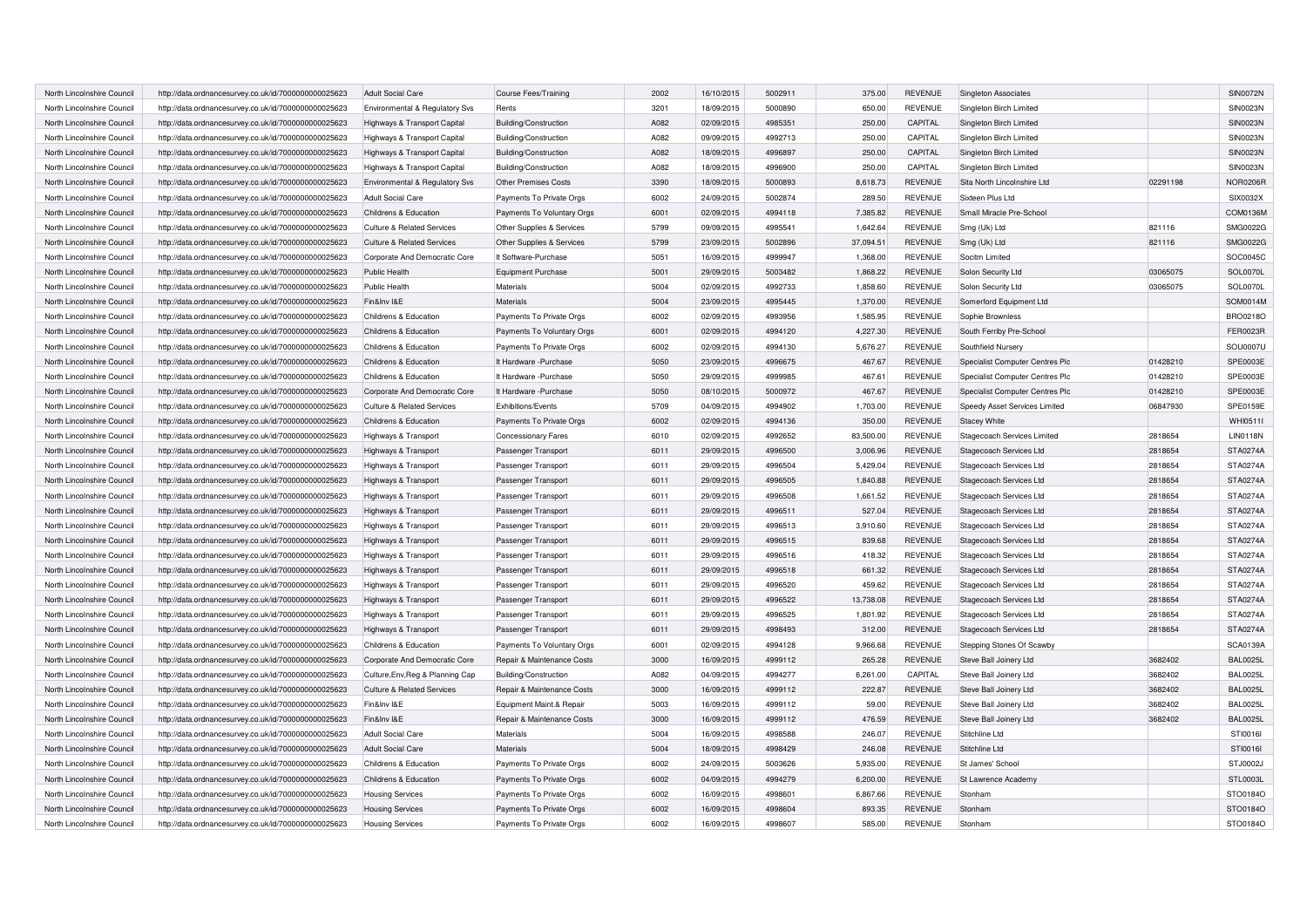| North Lincolnshire Council | http://data.ordnancesurvey.co.uk/id/7000000000025623 | Adult Social Care                     | <b>Course Fees/Training</b> | 2002 | 16/10/2015 | 5002911 | 375.00    | <b>REVENUE</b> | <b>Singleton Associates</b>     |          | <b>SIN0072N</b> |
|----------------------------|------------------------------------------------------|---------------------------------------|-----------------------------|------|------------|---------|-----------|----------------|---------------------------------|----------|-----------------|
| North Lincolnshire Council | http://data.ordnancesurvey.co.uk/id/7000000000025623 | Environmental & Regulatory Svs        | Rents                       | 3201 | 18/09/2015 | 5000890 | 650.00    | <b>REVENUE</b> | Singleton Birch Limited         |          | <b>SIN0023N</b> |
| North Lincolnshire Council | http://data.ordnancesurvey.co.uk/id/7000000000025623 | Highways & Transport Capital          | Building/Construction       | A082 | 02/09/2015 | 4985351 | 250.00    | CAPITAL        | Singleton Birch Limited         |          | <b>SIN0023N</b> |
| North Lincolnshire Council | http://data.ordnancesurvey.co.uk/id/7000000000025623 | Highways & Transport Capital          | Building/Construction       | A082 | 09/09/2015 | 4992713 | 250.00    | CAPITAL        | Singleton Birch Limited         |          | <b>SIN0023N</b> |
| North Lincolnshire Council | http://data.ordnancesurvey.co.uk/id/7000000000025623 | Highways & Transport Capital          | Building/Construction       | A082 | 18/09/2015 | 4996897 | 250.00    | CAPITAL        | Singleton Birch Limited         |          | <b>SIN0023N</b> |
| North Lincolnshire Council | http://data.ordnancesurvey.co.uk/id/7000000000025623 | Highways & Transport Capital          | Building/Construction       | A082 | 18/09/2015 | 4996900 | 250.00    | CAPITAL        | Singleton Birch Limited         |          | <b>SIN0023N</b> |
| North Lincolnshire Council | http://data.ordnancesurvey.co.uk/id/7000000000025623 | Environmental & Regulatory Svs        | <b>Other Premises Costs</b> | 3390 | 18/09/2015 | 5000893 | 8,618.73  | <b>REVENUE</b> | Sita North Lincolnshire Ltd     | 02291198 | <b>NOR0206R</b> |
| North Lincolnshire Council | http://data.ordnancesurvey.co.uk/id/7000000000025623 | Adult Social Care                     | Payments To Private Orgs    | 6002 | 24/09/2015 | 5002874 | 289.50    | <b>REVENUE</b> | Sixteen Plus Ltd                |          | SIX0032X        |
| North Lincolnshire Council | http://data.ordnancesurvey.co.uk/id/7000000000025623 | Childrens & Education                 | Payments To Voluntary Orgs  | 6001 | 02/09/2015 | 4994118 | 7,385.82  | <b>REVENUE</b> | Small Miracle Pre-School        |          | COM0136M        |
| North Lincolnshire Council | http://data.ordnancesurvey.co.uk/id/7000000000025623 | <b>Culture &amp; Related Services</b> | Other Supplies & Services   | 5799 | 09/09/2015 | 4995541 | 1,642.64  | <b>REVENUE</b> | Smg (Uk) Ltd                    | 821116   | SMG0022G        |
| North Lincolnshire Council | http://data.ordnancesurvey.co.uk/id/7000000000025623 | <b>Culture &amp; Related Services</b> | Other Supplies & Services   | 5799 | 23/09/2015 | 5002896 | 37,094.51 | <b>REVENUE</b> | Smg (Uk) Ltd                    | 821116   | SMG0022G        |
| North Lincolnshire Council | http://data.ordnancesurvey.co.uk/id/7000000000025623 | Corporate And Democratic Core         | It Software-Purchase        | 5051 | 16/09/2015 | 4999947 | 1,368.00  | <b>REVENUE</b> | Socitm Limited                  |          | SOC0045C        |
| North Lincolnshire Council | http://data.ordnancesurvey.co.uk/id/7000000000025623 | <b>Public Health</b>                  | <b>Equipment Purchase</b>   | 5001 | 29/09/2015 | 5003482 | 1,868.22  | <b>REVENUE</b> | Solon Security Ltd              | 03065075 | SOL0070L        |
| North Lincolnshire Council | http://data.ordnancesurvey.co.uk/id/7000000000025623 | Public Health                         | Materials                   | 5004 | 02/09/2015 | 4992733 | 1,858.60  | <b>REVENUE</b> | Solon Security Ltd              | 03065075 | SOL0070L        |
| North Lincolnshire Council | http://data.ordnancesurvey.co.uk/id/7000000000025623 | Fin&Inv I&E                           | Materials                   | 5004 | 23/09/2015 | 4995445 | 1,370.00  | <b>REVENUE</b> | Somerford Equipment Ltd         |          | SOM0014M        |
| North Lincolnshire Council | http://data.ordnancesurvey.co.uk/id/7000000000025623 | Childrens & Education                 | Payments To Private Orgs    | 6002 | 02/09/2015 | 4993956 | 1,585.95  | <b>REVENUE</b> | Sophie Brownless                |          | BRO0218O        |
| North Lincolnshire Council | http://data.ordnancesurvey.co.uk/id/7000000000025623 | Childrens & Education                 | Payments To Voluntary Orgs  | 6001 | 02/09/2015 | 4994120 | 4,227.30  | <b>REVENUE</b> | South Ferriby Pre-School        |          | FER0023R        |
| North Lincolnshire Council | http://data.ordnancesurvey.co.uk/id/7000000000025623 | Childrens & Education                 | Payments To Private Orgs    | 6002 | 02/09/2015 | 4994130 | 5,676.27  | <b>REVENUE</b> | Southfield Nursery              |          | SOU0007U        |
| North Lincolnshire Council | http://data.ordnancesurvey.co.uk/id/7000000000025623 | Childrens & Education                 | It Hardware -Purchase       | 5050 | 23/09/2015 | 4996675 | 467.67    | <b>REVENUE</b> | Specialist Computer Centres Plc | 01428210 | SPE0003E        |
| North Lincolnshire Council | http://data.ordnancesurvey.co.uk/id/7000000000025623 | Childrens & Education                 | It Hardware - Purchase      | 5050 | 29/09/2015 | 4999985 | 467.61    | <b>REVENUE</b> | Specialist Computer Centres Plc | 01428210 | SPE0003E        |
| North Lincolnshire Council | http://data.ordnancesurvey.co.uk/id/7000000000025623 | Corporate And Democratic Core         | It Hardware - Purchase      | 5050 | 08/10/2015 | 5000972 | 467.67    | <b>REVENUE</b> | Specialist Computer Centres Plo | 01428210 | SPE0003E        |
| North Lincolnshire Council | http://data.ordnancesurvey.co.uk/id/7000000000025623 | <b>Culture &amp; Related Services</b> | Exhibitions/Events          | 5709 | 04/09/2015 | 4994902 | 1,703.00  | <b>REVENUE</b> | Speedy Asset Services Limited   | 06847930 | SPE0159E        |
| North Lincolnshire Council | http://data.ordnancesurvey.co.uk/id/7000000000025623 | Childrens & Education                 | Payments To Private Orgs    | 6002 | 02/09/2015 | 4994136 | 350.00    | <b>REVENUE</b> | <b>Stacey White</b>             |          | WHI0511I        |
| North Lincolnshire Council | http://data.ordnancesurvey.co.uk/id/7000000000025623 | Highways & Transport                  | <b>Concessionary Fares</b>  | 6010 | 02/09/2015 | 4992652 | 83,500.00 | <b>REVENUE</b> | Stagecoach Services Limited     | 2818654  | <b>LIN0118N</b> |
| North Lincolnshire Council | http://data.ordnancesurvey.co.uk/id/7000000000025623 | Highways & Transport                  | Passenger Transport         | 6011 | 29/09/2015 | 4996500 | 3,006.96  | <b>REVENUE</b> | Stagecoach Services Ltd         | 2818654  | <b>STA0274A</b> |
| North Lincolnshire Council | http://data.ordnancesurvey.co.uk/id/7000000000025623 | Highways & Transport                  | Passenger Transport         | 6011 | 29/09/2015 | 4996504 | 5.429.04  | <b>REVENUE</b> | Stagecoach Services Ltd         | 2818654  | <b>STA0274A</b> |
| North Lincolnshire Council | http://data.ordnancesurvey.co.uk/id/7000000000025623 | Highways & Transport                  | Passenger Transport         | 6011 | 29/09/2015 | 4996505 | 1.840.88  | <b>REVENUE</b> | Stagecoach Services Ltd         | 2818654  | <b>STA0274A</b> |
| North Lincolnshire Council | http://data.ordnancesurvey.co.uk/id/7000000000025623 | Highways & Transport                  | Passenger Transport         | 6011 | 29/09/2015 | 4996508 | 1,661.52  | <b>REVENUE</b> | Stagecoach Services Ltd         | 2818654  | <b>STA0274A</b> |
| North Lincolnshire Council | http://data.ordnancesurvey.co.uk/id/7000000000025623 | Highways & Transport                  | Passenger Transport         | 6011 | 29/09/2015 | 4996511 | 527.04    | <b>REVENUE</b> | Stagecoach Services Ltd         | 2818654  | <b>STA0274A</b> |
| North Lincolnshire Council | http://data.ordnancesurvey.co.uk/id/7000000000025623 | Highways & Transport                  | Passenger Transport         | 6011 | 29/09/2015 | 4996513 | 3.910.60  | <b>REVENUE</b> | Stagecoach Services Ltd         | 2818654  | <b>STA0274A</b> |
| North Lincolnshire Council | http://data.ordnancesurvey.co.uk/id/7000000000025623 | Highways & Transport                  | Passenger Transport         | 6011 | 29/09/2015 | 4996515 | 839.68    | <b>REVENUE</b> | Stagecoach Services Ltd         | 2818654  | <b>STA0274A</b> |
| North Lincolnshire Council | http://data.ordnancesurvey.co.uk/id/7000000000025623 | Highways & Transport                  | Passenger Transport         | 6011 | 29/09/2015 | 4996516 | 418.32    | <b>REVENUE</b> | Stagecoach Services Ltd         | 2818654  | <b>STA0274A</b> |
| North Lincolnshire Council | http://data.ordnancesurvey.co.uk/id/7000000000025623 | Highways & Transport                  | Passenger Transport         | 6011 | 29/09/2015 | 4996518 | 661.32    | <b>REVENUE</b> | Stagecoach Services Ltd         | 2818654  | <b>STA0274A</b> |
| North Lincolnshire Council | http://data.ordnancesurvey.co.uk/id/7000000000025623 | Highways & Transport                  | Passenger Transport         | 6011 | 29/09/2015 | 4996520 | 459.62    | <b>REVENUE</b> | Stagecoach Services Ltd         | 2818654  | STA0274A        |
| North Lincolnshire Council | http://data.ordnancesurvey.co.uk/id/7000000000025623 | Highways & Transport                  | Passenger Transport         | 6011 | 29/09/2015 | 4996522 | 13,738.08 | <b>REVENUE</b> | Stagecoach Services Ltd         | 2818654  | <b>STA0274A</b> |
| North Lincolnshire Council | http://data.ordnancesurvey.co.uk/id/7000000000025623 | Highways & Transport                  | Passenger Transport         | 6011 | 29/09/2015 | 4996525 | 1,801.92  | <b>REVENUE</b> | Stagecoach Services Ltd         | 2818654  | <b>STA0274A</b> |
| North Lincolnshire Council | http://data.ordnancesurvey.co.uk/id/7000000000025623 | Highways & Transport                  | Passenger Transport         | 6011 | 29/09/2015 | 4998493 | 312.00    | <b>REVENUE</b> | Stagecoach Services Ltd         | 2818654  | <b>STA0274A</b> |
| North Lincolnshire Council | http://data.ordnancesurvey.co.uk/id/7000000000025623 | Childrens & Education                 | Payments To Voluntary Orgs  | 6001 | 02/09/2015 | 4994128 | 9,966.68  | <b>REVENUE</b> | Stepping Stones Of Scawby       |          | SCA0139A        |
| North Lincolnshire Council | http://data.ordnancesurvey.co.uk/id/7000000000025623 | Corporate And Democratic Core         | Repair & Maintenance Costs  | 3000 | 16/09/2015 | 4999112 | 265.28    | <b>REVENUE</b> | Steve Ball Joinery Ltd          | 3682402  | <b>BAL0025L</b> |
| North Lincolnshire Council | http://data.ordnancesurvey.co.uk/id/7000000000025623 | Culture, Env, Reg & Planning Cap      | Building/Construction       | A082 | 04/09/2015 | 4994277 | 6,261.00  | CAPITAL        | Steve Ball Joinery Ltd          | 3682402  | <b>BAL0025L</b> |
| North Lincolnshire Council | http://data.ordnancesurvey.co.uk/id/7000000000025623 | Culture & Related Services            | Repair & Maintenance Costs  | 3000 | 16/09/2015 | 4999112 | 222.87    | <b>REVENUE</b> | Steve Ball Joinery Ltd          | 3682402  | <b>BAL0025L</b> |
| North Lincolnshire Counci  | http://data.ordnancesurvey.co.uk/id/7000000000025623 | Fin&Inv I&E                           | Equipment Maint.& Repair    | 5003 | 16/09/2015 | 4999112 | 59.00     | <b>REVENUE</b> | Steve Ball Joinery Ltd          | 3682402  | <b>BAL0025L</b> |
| North Lincolnshire Council | http://data.ordnancesurvey.co.uk/id/7000000000025623 | Fin&Inv I&E                           | Repair & Maintenance Costs  | 3000 | 16/09/2015 | 4999112 | 476.59    | <b>REVENUE</b> | Steve Ball Joinery Ltd          | 3682402  | <b>BAL0025L</b> |
| North Lincolnshire Council | http://data.ordnancesurvey.co.uk/id/7000000000025623 | <b>Adult Social Care</b>              | <b>Materials</b>            | 5004 | 16/09/2015 | 4998588 | 246.07    | <b>REVENUE</b> | Stitchline Ltd                  |          | STI0016I        |
| North Lincolnshire Council | http://data.ordnancesurvey.co.uk/id/7000000000025623 | <b>Adult Social Care</b>              | <b>Materials</b>            | 5004 | 18/09/2015 | 4998429 | 246.08    | <b>REVENUE</b> | Stitchline Ltd                  |          | STI0016I        |
| North Lincolnshire Council | http://data.ordnancesurvey.co.uk/id/7000000000025623 | Childrens & Education                 | Payments To Private Orgs    | 6002 | 24/09/2015 | 5003626 | 5,935.00  | <b>REVENUE</b> | St James' School                |          | STJ0002J        |
| North Lincolnshire Council | http://data.ordnancesurvey.co.uk/id/7000000000025623 | Childrens & Education                 | Payments To Private Orgs    | 6002 | 04/09/2015 | 4994279 | 6,200.00  | <b>REVENUE</b> | St Lawrence Academy             |          | STL0003L        |
| North Lincolnshire Council | http://data.ordnancesurvey.co.uk/id/7000000000025623 | <b>Housing Services</b>               | Payments To Private Orgs    | 6002 | 16/09/2015 | 4998601 | 6,867.66  | <b>REVENUE</b> | Stonham                         |          | STO0184C        |
| North Lincolnshire Council | http://data.ordnancesurvey.co.uk/id/7000000000025623 | <b>Housing Services</b>               | Payments To Private Orgs    | 6002 | 16/09/2015 | 4998604 | 893.35    | <b>REVENUE</b> | Stonham                         |          | STO0184O        |
| North Lincolnshire Council | http://data.ordnancesurvey.co.uk/id/7000000000025623 | <b>Housing Services</b>               | Payments To Private Orgs    | 6002 | 16/09/2015 | 4998607 | 585.00    | <b>REVENUE</b> | Stonham                         |          | STO0184O        |
|                            |                                                      |                                       |                             |      |            |         |           |                |                                 |          |                 |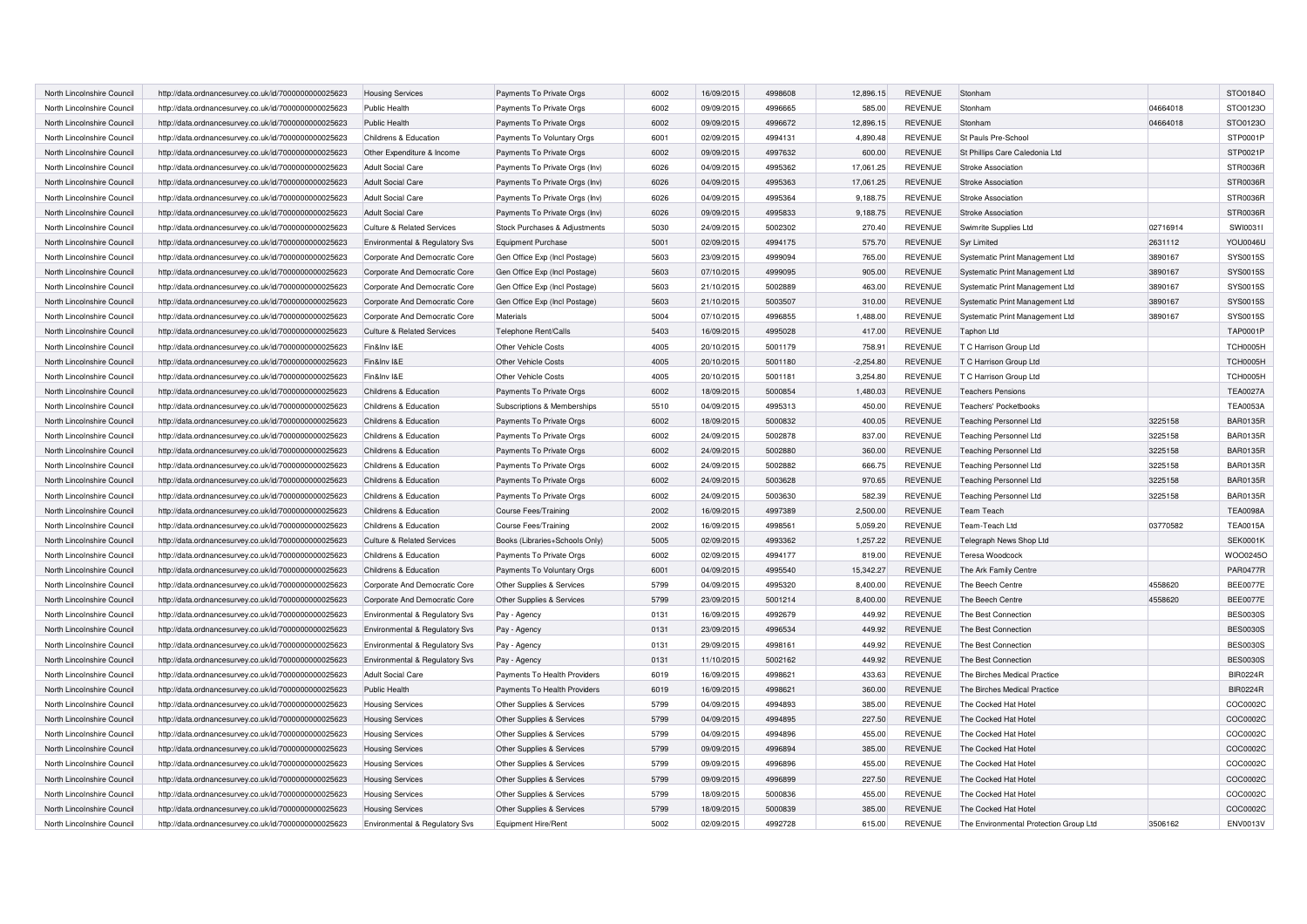| North Lincolnshire Council | http://data.ordnancesurvey.co.uk/id/7000000000025623 | <b>Housing Services</b>               | Payments To Private Orgs       | 6002 | 16/09/2015 | 4998608 | 12,896.15   | <b>REVENUE</b> | Stonham                                |          | STO0184O        |
|----------------------------|------------------------------------------------------|---------------------------------------|--------------------------------|------|------------|---------|-------------|----------------|----------------------------------------|----------|-----------------|
| North Lincolnshire Council | http://data.ordnancesurvey.co.uk/id/7000000000025623 | Public Health                         | Payments To Private Orgs       | 6002 | 09/09/2015 | 4996665 | 585.00      | <b>REVENUE</b> | Stonham                                | 04664018 | STO0123O        |
| North Lincolnshire Counci  | http://data.ordnancesurvey.co.uk/id/7000000000025623 | Public Health                         | Payments To Private Orgs       | 6002 | 09/09/2015 | 4996672 | 12,896.15   | <b>REVENUE</b> | Stonham                                | 04664018 | STO0123O        |
| North Lincolnshire Council | http://data.ordnancesurvey.co.uk/id/7000000000025623 | Childrens & Education                 | Payments To Voluntary Orgs     | 6001 | 02/09/2015 | 4994131 | 4.890.48    | <b>REVENUE</b> | St Pauls Pre-School                    |          | STP0001P        |
| North Lincolnshire Council | http://data.ordnancesurvey.co.uk/id/7000000000025623 | Other Expenditure & Income            | Payments To Private Orgs       | 6002 | 09/09/2015 | 4997632 | 600.00      | <b>REVENUE</b> | St Phillips Care Caledonia Ltd         |          | STP0021P        |
| North Lincolnshire Council | http://data.ordnancesurvey.co.uk/id/7000000000025623 | <b>Adult Social Care</b>              | Payments To Private Orgs (Inv) | 6026 | 04/09/2015 | 4995362 | 17,061.25   | <b>REVENUE</b> | Stroke Association                     |          | STR0036R        |
| North Lincolnshire Council | http://data.ordnancesurvey.co.uk/id/7000000000025623 | <b>Adult Social Care</b>              | Payments To Private Orgs (Inv) | 6026 | 04/09/2015 | 4995363 | 17,061.25   | <b>REVENUE</b> | Stroke Association                     |          | STR0036R        |
| North Lincolnshire Council | http://data.ordnancesurvey.co.uk/id/7000000000025623 | <b>Adult Social Care</b>              | Payments To Private Orgs (Inv) | 6026 | 04/09/2015 | 4995364 | 9,188.75    | <b>REVENUE</b> | Stroke Association                     |          | STR0036R        |
| North Lincolnshire Council | http://data.ordnancesurvey.co.uk/id/7000000000025623 | <b>Adult Social Care</b>              | Payments To Private Orgs (Inv) | 6026 | 09/09/2015 | 4995833 | 9,188.75    | <b>REVENUE</b> | Stroke Association                     |          | STR0036R        |
| North Lincolnshire Council | http://data.ordnancesurvey.co.uk/id/7000000000025623 | <b>Culture &amp; Related Services</b> | Stock Purchases & Adjustments  | 5030 | 24/09/2015 | 5002302 | 270.40      | <b>REVENUE</b> | Swimrite Supplies Ltd                  | 02716914 | SWI00311        |
| North Lincolnshire Council | http://data.ordnancesurvey.co.uk/id/7000000000025623 | Environmental & Regulatory Svs        | <b>Equipment Purchase</b>      | 5001 | 02/09/2015 | 4994175 | 575.70      | <b>REVENUE</b> | <b>Syr Limited</b>                     | 2631112  | <b>YOU0046U</b> |
| North Lincolnshire Council | http://data.ordnancesurvey.co.uk/id/7000000000025623 | Corporate And Democratic Core         | Gen Office Exp (Incl Postage)  | 5603 | 23/09/2015 | 4999094 | 765.00      | <b>REVENUE</b> | Systematic Print Management Ltd        | 3890167  | <b>SYS0015S</b> |
| North Lincolnshire Council | http://data.ordnancesurvey.co.uk/id/7000000000025623 | Corporate And Democratic Core         | Gen Office Exp (Incl Postage)  | 5603 | 07/10/2015 | 4999095 | 905.00      | <b>REVENUE</b> | Systematic Print Management Ltd        | 3890167  | SYS0015S        |
| North Lincolnshire Council | http://data.ordnancesurvey.co.uk/id/7000000000025623 | Corporate And Democratic Core         | Gen Office Exp (Incl Postage)  | 5603 | 21/10/2015 | 5002889 | 463.00      | <b>REVENUE</b> | Systematic Print Management Ltd        | 3890167  | <b>SYS0015S</b> |
| North Lincolnshire Council | http://data.ordnancesurvey.co.uk/id/7000000000025623 | Corporate And Democratic Core         | Gen Office Exp (Incl Postage)  | 5603 | 21/10/2015 | 5003507 | 310.00      | <b>REVENUE</b> | Systematic Print Management Ltd        | 3890167  | <b>SYS0015S</b> |
| North Lincolnshire Council | http://data.ordnancesurvey.co.uk/id/7000000000025623 | Corporate And Democratic Core         | Materials                      | 5004 | 07/10/2015 | 4996855 | 1,488.00    | <b>REVENUE</b> | Systematic Print Management Ltd        | 3890167  | SYS0015S        |
| North Lincolnshire Council | http://data.ordnancesurvey.co.uk/id/7000000000025623 | <b>Culture &amp; Related Services</b> | Telephone Rent/Calls           | 5403 | 16/09/2015 | 4995028 | 417.00      | <b>REVENUE</b> | <b>Taphon Ltd</b>                      |          | <b>TAP0001P</b> |
| North Lincolnshire Council | http://data.ordnancesurvey.co.uk/id/7000000000025623 | Fin&Inv I&E                           | Other Vehicle Costs            | 4005 | 20/10/2015 | 5001179 | 758.91      | <b>REVENUE</b> | T C Harrison Group Ltd                 |          | <b>TCH0005H</b> |
| North Lincolnshire Council | http://data.ordnancesurvey.co.uk/id/7000000000025623 | Fin&Inv I&E                           | <b>Other Vehicle Costs</b>     | 4005 | 20/10/2015 | 5001180 | $-2,254.80$ | <b>REVENUE</b> | T C Harrison Group Ltd                 |          | <b>TCH0005H</b> |
| North Lincolnshire Council | http://data.ordnancesurvey.co.uk/id/7000000000025623 | Fin&Inv I&E                           | Other Vehicle Costs            | 4005 | 20/10/2015 | 5001181 | 3.254.80    | <b>REVENUE</b> | T C Harrison Group Ltd                 |          | TCH0005H        |
| North Lincolnshire Council | http://data.ordnancesurvey.co.uk/id/7000000000025623 | Childrens & Education                 | Payments To Private Orgs       | 6002 | 18/09/2015 | 5000854 | 1,480.03    | <b>REVENUE</b> | <b>Teachers Pensions</b>               |          | <b>TEA0027A</b> |
| North Lincolnshire Council | http://data.ordnancesurvey.co.uk/id/7000000000025623 | Childrens & Education                 | Subscriptions & Memberships    | 5510 | 04/09/2015 | 4995313 | 450.00      | <b>REVENUE</b> | <b>Teachers' Pocketbooks</b>           |          | <b>TEA0053A</b> |
| North Lincolnshire Council | http://data.ordnancesurvey.co.uk/id/7000000000025623 | Childrens & Education                 | Payments To Private Orgs       | 6002 | 18/09/2015 | 5000832 | 400.05      | <b>REVENUE</b> | <b>Teaching Personnel Ltd</b>          | 3225158  | <b>BAR0135R</b> |
| North Lincolnshire Council | http://data.ordnancesurvey.co.uk/id/7000000000025623 | Childrens & Education                 | Payments To Private Orgs       | 6002 | 24/09/2015 | 5002878 | 837.00      | <b>REVENUE</b> | <b>Teaching Personnel Ltd</b>          | 3225158  | <b>BAR0135R</b> |
| North Lincolnshire Council | http://data.ordnancesurvey.co.uk/id/7000000000025623 | Childrens & Education                 | Payments To Private Orgs       | 6002 | 24/09/2015 | 5002880 | 360.00      | <b>REVENUE</b> | Teaching Personnel Ltd                 | 3225158  | <b>BAR0135R</b> |
| North Lincolnshire Council | http://data.ordnancesurvey.co.uk/id/7000000000025623 | Childrens & Education                 | Payments To Private Orgs       | 6002 | 24/09/2015 | 5002882 | 666.75      | <b>REVENUE</b> | <b>Teaching Personnel Ltd</b>          | 3225158  | <b>BAR0135R</b> |
| North Lincolnshire Council | http://data.ordnancesurvey.co.uk/id/7000000000025623 | Childrens & Education                 | Payments To Private Orgs       | 6002 | 24/09/2015 | 5003628 | 970.65      | <b>REVENUE</b> | <b>Teaching Personnel Ltd</b>          | 3225158  | <b>BAR0135R</b> |
| North Lincolnshire Council | http://data.ordnancesurvey.co.uk/id/7000000000025623 | Childrens & Education                 | Payments To Private Orgs       | 6002 | 24/09/2015 | 5003630 | 582.39      | <b>REVENUE</b> | <b>Teaching Personnel Ltd</b>          | 3225158  | <b>BAR0135R</b> |
| North Lincolnshire Council | http://data.ordnancesurvey.co.uk/id/7000000000025623 | Childrens & Education                 | <b>Course Fees/Training</b>    | 2002 | 16/09/2015 | 4997389 | 2,500.00    | <b>REVENUE</b> | <b>Team Teach</b>                      |          | <b>TEA0098A</b> |
| North Lincolnshire Council | http://data.ordnancesurvey.co.uk/id/7000000000025623 | Childrens & Education                 | <b>Course Fees/Training</b>    | 2002 | 16/09/2015 | 499856  | 5,059.20    | <b>REVENUE</b> | Team-Teach Ltd                         | 03770582 | <b>TEA0015A</b> |
| North Lincolnshire Council | http://data.ordnancesurvey.co.uk/id/7000000000025623 | <b>Culture &amp; Related Services</b> | Books (Libraries+Schools Only) | 5005 | 02/09/2015 | 4993362 | 1,257.22    | <b>REVENUE</b> | Telegraph News Shop Ltd                |          | <b>SEK0001K</b> |
| North Lincolnshire Council | http://data.ordnancesurvey.co.uk/id/7000000000025623 | Childrens & Education                 | Payments To Private Orgs       | 6002 | 02/09/2015 | 4994177 | 819.00      | <b>REVENUE</b> | Teresa Woodcock                        |          | WOO0245O        |
| North Lincolnshire Council | http://data.ordnancesurvey.co.uk/id/7000000000025623 | Childrens & Education                 | Payments To Voluntary Orgs     | 6001 | 04/09/2015 | 4995540 | 15,342.27   | <b>REVENUE</b> | The Ark Family Centre                  |          | <b>PAR0477R</b> |
| North Lincolnshire Council | http://data.ordnancesurvey.co.uk/id/7000000000025623 | Corporate And Democratic Core         | Other Supplies & Services      | 5799 | 04/09/2015 | 4995320 | 8,400.00    | <b>REVENUE</b> | The Beech Centre                       | 4558620  | <b>BEE0077E</b> |
| North Lincolnshire Council | http://data.ordnancesurvey.co.uk/id/7000000000025623 | Corporate And Democratic Core         | Other Supplies & Services      | 5799 | 23/09/2015 | 5001214 | 8,400.00    | <b>REVENUE</b> | The Beech Centre                       | 4558620  | <b>BEE0077E</b> |
| North Lincolnshire Council | http://data.ordnancesurvey.co.uk/id/7000000000025623 | Environmental & Regulatory Svs        | Pay - Agency                   | 0131 | 16/09/2015 | 4992679 | 449.92      | <b>REVENUE</b> | The Best Connection                    |          | <b>BES0030S</b> |
| North Lincolnshire Council | http://data.ordnancesurvey.co.uk/id/7000000000025623 | Environmental & Regulatory Svs        | Pay - Agency                   | 0131 | 23/09/2015 | 4996534 | 449.92      | <b>REVENUE</b> | The Best Connection                    |          | <b>BES0030S</b> |
| North Lincolnshire Council | http://data.ordnancesurvey.co.uk/id/7000000000025623 | Environmental & Regulatory Svs        | Pay - Agency                   | 0131 | 29/09/2015 | 4998161 | 449.92      | <b>REVENUE</b> | The Best Connection                    |          | <b>BES0030S</b> |
| North Lincolnshire Council | http://data.ordnancesurvey.co.uk/id/7000000000025623 | Environmental & Regulatory Svs        | Pay - Agency                   | 0131 | 11/10/2015 | 5002162 | 449.92      | <b>REVENUE</b> | The Best Connection                    |          | <b>BES0030S</b> |
| North Lincolnshire Council | http://data.ordnancesurvey.co.uk/id/7000000000025623 | <b>Adult Social Care</b>              | Payments To Health Providers   | 6019 | 16/09/2015 | 4998621 | 433.63      | <b>REVENUE</b> | The Birches Medical Practice           |          | <b>BIR0224R</b> |
| North Lincolnshire Council | http://data.ordnancesurvey.co.uk/id/7000000000025623 | Public Health                         | Payments To Health Providers   | 6019 | 16/09/2015 | 4998621 | 360.00      | <b>REVENUE</b> | The Birches Medical Practice           |          | <b>BIR0224R</b> |
| North Lincolnshire Council | http://data.ordnancesurvey.co.uk/id/7000000000025623 | <b>Housing Services</b>               | Other Supplies & Services      | 5799 | 04/09/2015 | 4994893 | 385.00      | REVENUE        | The Cocked Hat Hotel                   |          | COC0002C        |
| North Lincolnshire Council | http://data.ordnancesurvey.co.uk/id/7000000000025623 | <b>Housing Services</b>               | Other Supplies & Services      | 5799 | 04/09/2015 | 4994895 | 227.50      | <b>REVENUE</b> | The Cocked Hat Hote                    |          | COC0002C        |
| North Lincolnshire Council | http://data.ordnancesurvey.co.uk/id/7000000000025623 | <b>Housing Services</b>               | Other Supplies & Services      | 5799 | 04/09/2015 | 4994896 | 455.00      | <b>REVENUE</b> | The Cocked Hat Hotel                   |          | COC0002C        |
| North Lincolnshire Council | http://data.ordnancesurvey.co.uk/id/7000000000025623 | <b>Housing Services</b>               | Other Supplies & Services      | 5799 | 09/09/2015 | 4996894 | 385.00      | <b>REVENUE</b> | The Cocked Hat Hotel                   |          | COC0002C        |
| North Lincolnshire Council | http://data.ordnancesurvey.co.uk/id/7000000000025623 | <b>Housing Services</b>               | Other Supplies & Services      | 5799 | 09/09/2015 | 4996896 | 455.00      | <b>REVENUE</b> | The Cocked Hat Hotel                   |          | COC0002C        |
| North Lincolnshire Council | http://data.ordnancesurvey.co.uk/id/7000000000025623 | <b>Housing Services</b>               | Other Supplies & Services      | 5799 | 09/09/2015 | 4996899 | 227.50      | <b>REVENUE</b> | The Cocked Hat Hotel                   |          | COC0002C        |
| North Lincolnshire Council | http://data.ordnancesurvey.co.uk/id/7000000000025623 | <b>Housing Services</b>               | Other Supplies & Services      | 5799 | 18/09/2015 | 5000836 | 455.00      | <b>REVENUE</b> | The Cocked Hat Hotel                   |          | COC0002C        |
| North Lincolnshire Council | http://data.ordnancesurvey.co.uk/id/7000000000025623 | <b>Housing Services</b>               | Other Supplies & Services      | 5799 | 18/09/2015 | 5000839 | 385.00      | <b>REVENUE</b> | The Cocked Hat Hotel                   |          | COC0002C        |
| North Lincolnshire Council | http://data.ordnancesurvey.co.uk/id/7000000000025623 | Environmental & Regulatory Svs        | Equipment Hire/Rent            | 5002 | 02/09/2015 | 4992728 | 615.00      | <b>REVENUE</b> | The Environmental Protection Group Ltd | 3506162  | <b>ENV0013V</b> |
|                            |                                                      |                                       |                                |      |            |         |             |                |                                        |          |                 |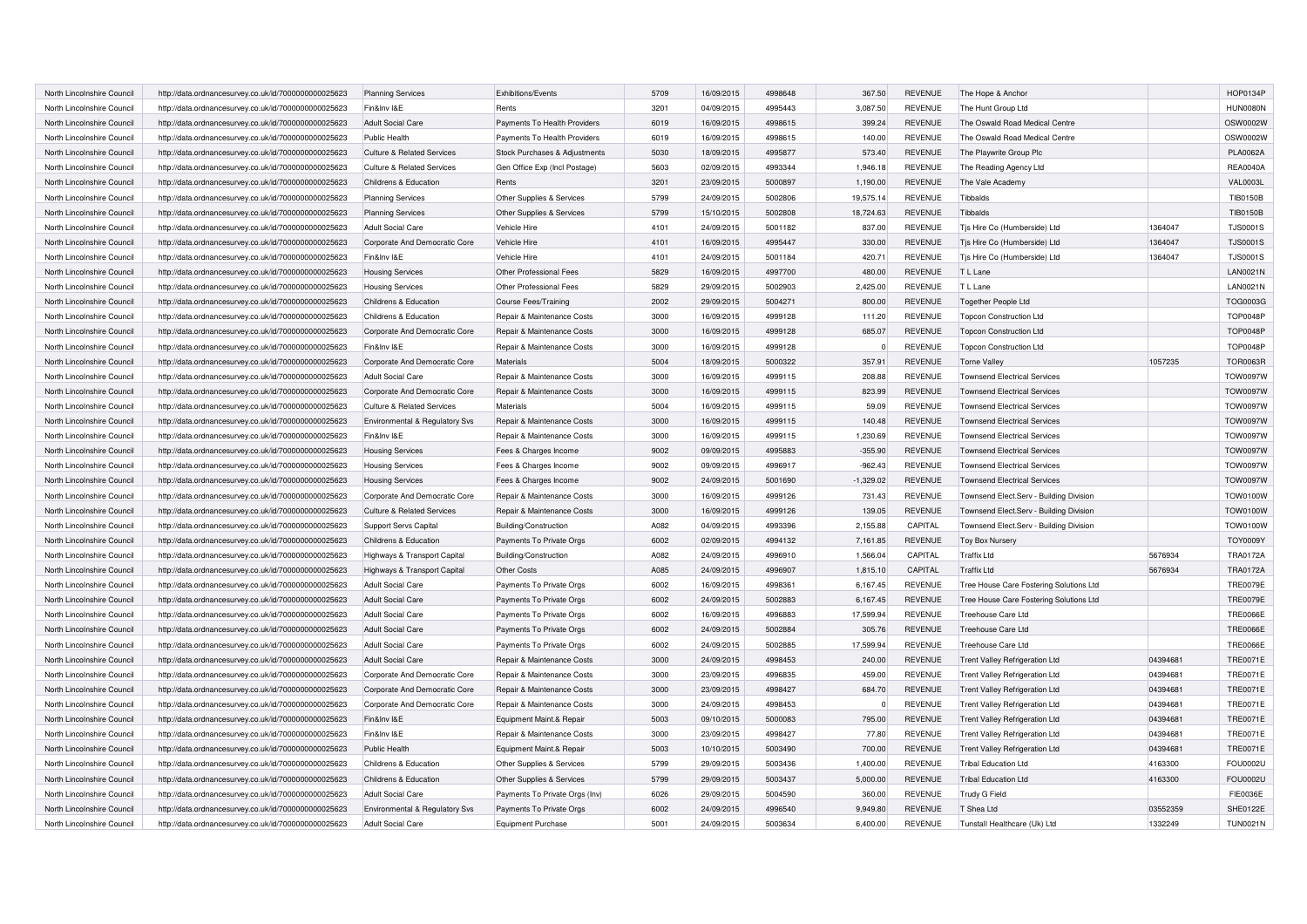| North Lincolnshire Council | http://data.ordnancesurvey.co.uk/id/7000000000025623 | <b>Planning Services</b>              | Exhibitions/Events             | 5709 | 16/09/2015 | 4998648 | 367.50      | <b>REVENUE</b> | The Hope & Anchor                       |          | HOP0134P        |
|----------------------------|------------------------------------------------------|---------------------------------------|--------------------------------|------|------------|---------|-------------|----------------|-----------------------------------------|----------|-----------------|
| North Lincolnshire Council | http://data.ordnancesurvey.co.uk/id/7000000000025623 | Fin&Inv I&E                           | Rents                          | 3201 | 04/09/2015 | 4995443 | 3,087.50    | <b>REVENUE</b> | The Hunt Group Ltd                      |          | <b>HUN0080N</b> |
| North Lincolnshire Council | http://data.ordnancesurvey.co.uk/id/7000000000025623 | <b>Adult Social Care</b>              | Payments To Health Providers   | 6019 | 16/09/2015 | 4998615 | 399.24      | <b>REVENUE</b> | The Oswald Road Medical Centre          |          | OSW0002W        |
| North Lincolnshire Council | http://data.ordnancesurvey.co.uk/id/7000000000025623 | <b>Public Health</b>                  | Payments To Health Providers   | 6019 | 16/09/2015 | 4998615 | 140.00      | <b>REVENUE</b> | The Oswald Road Medical Centre          |          | OSW0002W        |
| North Lincolnshire Council | http://data.ordnancesurvey.co.uk/id/7000000000025623 | <b>Culture &amp; Related Services</b> | Stock Purchases & Adjustments  | 5030 | 18/09/2015 | 4995877 | 573.40      | <b>REVENUE</b> | The Playwrite Group Plc                 |          | <b>PLA0062A</b> |
| North Lincolnshire Council | http://data.ordnancesurvey.co.uk/id/7000000000025623 | <b>Culture &amp; Related Services</b> | Gen Office Exp (Incl Postage)  | 5603 | 02/09/2015 | 4993344 | 1,946.18    | <b>REVENUE</b> | The Reading Agency Ltd                  |          | <b>REA0040A</b> |
| North Lincolnshire Council | http://data.ordnancesurvey.co.uk/id/7000000000025623 | Childrens & Education                 | Rents                          | 3201 | 23/09/2015 | 5000897 | 1,190.00    | <b>REVENUE</b> | The Vale Academy                        |          | <b>VAL0003L</b> |
| North Lincolnshire Council | http://data.ordnancesurvey.co.uk/id/7000000000025623 | <b>Planning Services</b>              | Other Supplies & Services      | 5799 | 24/09/2015 | 5002806 | 19,575.14   | <b>REVENUE</b> | Tibbalds                                |          | TIB0150B        |
| North Lincolnshire Council | http://data.ordnancesurvey.co.uk/id/7000000000025623 | <b>Planning Services</b>              | Other Supplies & Services      | 5799 | 15/10/2015 | 5002808 | 18,724.63   | <b>REVENUE</b> | Tibbalds                                |          | TIB0150B        |
| North Lincolnshire Council | http://data.ordnancesurvey.co.uk/id/7000000000025623 | <b>Adult Social Care</b>              | Vehicle Hire                   | 4101 | 24/09/2015 | 5001182 | 837.00      | <b>REVENUE</b> | Tjs Hire Co (Humberside) Ltd            | 1364047  | <b>TJS0001S</b> |
| North Lincolnshire Council | http://data.ordnancesurvey.co.uk/id/7000000000025623 | Corporate And Democratic Core         | Vehicle Hire                   | 4101 | 16/09/2015 | 4995447 | 330.00      | <b>REVENUE</b> | Tjs Hire Co (Humberside) Ltd            | 1364047  | <b>TJS0001S</b> |
| North Lincolnshire Council | http://data.ordnancesurvey.co.uk/id/7000000000025623 | Fin&Inv I&E                           | Vehicle Hire                   | 4101 | 24/09/2015 | 5001184 | 420.71      | <b>REVENUE</b> | Tis Hire Co (Humberside) Ltd            | 1364047  | <b>TJS0001S</b> |
| North Lincolnshire Council | http://data.ordnancesurvey.co.uk/id/7000000000025623 | <b>Housing Services</b>               | Other Professional Fees        | 5829 | 16/09/2015 | 4997700 | 480.00      | <b>REVENUE</b> | T L Lane                                |          | <b>LAN0021N</b> |
| North Lincolnshire Council | http://data.ordnancesurvey.co.uk/id/7000000000025623 | <b>Housing Services</b>               | Other Professional Fees        | 5829 | 29/09/2015 | 5002903 | 2.425.00    | <b>REVENUE</b> | T L Lane                                |          | <b>LAN0021N</b> |
| North Lincolnshire Council | http://data.ordnancesurvey.co.uk/id/7000000000025623 | Childrens & Education                 | Course Fees/Training           | 2002 | 29/09/2015 | 5004271 | 800.00      | <b>REVENUE</b> | <b>Together People Ltd</b>              |          | TOG0003G        |
| North Lincolnshire Council | http://data.ordnancesurvey.co.uk/id/7000000000025623 | Childrens & Education                 | Repair & Maintenance Costs     | 3000 | 16/09/2015 | 4999128 | 111.20      | <b>REVENUE</b> | <b>Topcon Construction Ltd</b>          |          | <b>TOP0048P</b> |
| North Lincolnshire Council | http://data.ordnancesurvey.co.uk/id/7000000000025623 | Corporate And Democratic Core         | Repair & Maintenance Costs     | 3000 | 16/09/2015 | 4999128 | 685.07      | <b>REVENUE</b> | <b>Topcon Construction Ltd</b>          |          | <b>TOP0048P</b> |
| North Lincolnshire Council | http://data.ordnancesurvey.co.uk/id/7000000000025623 | Fin&Inv I&E                           | Repair & Maintenance Costs     | 3000 | 16/09/2015 | 4999128 | $\Omega$    | <b>REVENUE</b> | <b>Topcon Construction Ltd</b>          |          | <b>TOP0048P</b> |
| North Lincolnshire Council | http://data.ordnancesurvey.co.uk/id/7000000000025623 | Corporate And Democratic Core         | Materials                      | 5004 | 18/09/2015 | 5000322 | 357.91      | <b>REVENUE</b> | <b>Torne Valley</b>                     | 1057235  | <b>TOR0063R</b> |
| North Lincolnshire Council | http://data.ordnancesurvey.co.uk/id/7000000000025623 | <b>Adult Social Care</b>              | Repair & Maintenance Costs     | 3000 | 16/09/2015 | 4999115 | 208.88      | <b>REVENUE</b> | <b>Townsend Electrical Services</b>     |          | <b>TOW0097W</b> |
| North Lincolnshire Council | http://data.ordnancesurvey.co.uk/id/7000000000025623 | Corporate And Democratic Core         | Repair & Maintenance Costs     | 3000 | 16/09/2015 | 4999115 | 823.99      | <b>REVENUE</b> | <b>Townsend Electrical Services</b>     |          | <b>TOW0097W</b> |
| North Lincolnshire Council | http://data.ordnancesurvey.co.uk/id/7000000000025623 | <b>Culture &amp; Related Services</b> | Materials                      | 5004 | 16/09/2015 | 4999115 | 59.09       | <b>REVENUE</b> | <b>Townsend Electrical Services</b>     |          | TOW0097W        |
| North Lincolnshire Council | http://data.ordnancesurvey.co.uk/id/7000000000025623 | Environmental & Regulatory Svs        | Repair & Maintenance Costs     | 3000 | 16/09/2015 | 4999115 | 140.48      | <b>REVENUE</b> | <b>Townsend Electrical Services</b>     |          | <b>TOW0097W</b> |
| North Lincolnshire Council | http://data.ordnancesurvey.co.uk/id/7000000000025623 | Fin&Inv I&E                           | Repair & Maintenance Costs     | 3000 | 16/09/2015 | 4999115 | 1,230.69    | <b>REVENUE</b> | <b>Townsend Electrical Services</b>     |          | TOW0097W        |
| North Lincolnshire Council | http://data.ordnancesurvey.co.uk/id/7000000000025623 | <b>Housing Services</b>               | Fees & Charges Income          | 9002 | 09/09/2015 | 4995883 | $-355.90$   | <b>REVENUE</b> | <b>Townsend Electrical Services</b>     |          | <b>TOW0097W</b> |
| North Lincolnshire Council | http://data.ordnancesurvey.co.uk/id/7000000000025623 | <b>Housing Services</b>               | Fees & Charges Income          | 9002 | 09/09/2015 | 4996917 | $-962.43$   | <b>REVENUE</b> | <b>Townsend Electrical Services</b>     |          | <b>TOW0097W</b> |
| North Lincolnshire Council | http://data.ordnancesurvey.co.uk/id/7000000000025623 | <b>Housing Services</b>               | Fees & Charges Income          | 9002 | 24/09/2015 | 5001690 | $-1,329.02$ | <b>REVENUE</b> | <b>Townsend Electrical Services</b>     |          | <b>TOW0097W</b> |
| North Lincolnshire Council | http://data.ordnancesurvey.co.uk/id/7000000000025623 | Corporate And Democratic Core         | Repair & Maintenance Costs     | 3000 | 16/09/2015 | 4999126 | 731.43      | <b>REVENUE</b> | Townsend Elect.Serv - Building Division |          | <b>TOW0100W</b> |
| North Lincolnshire Council | http://data.ordnancesurvey.co.uk/id/7000000000025623 | <b>Culture &amp; Related Services</b> | Repair & Maintenance Costs     | 3000 | 16/09/2015 | 4999126 | 139.05      | <b>REVENUE</b> | Townsend Elect.Serv - Building Division |          | <b>TOW0100W</b> |
| North Lincolnshire Council | http://data.ordnancesurvey.co.uk/id/7000000000025623 | Support Servs Capital                 | Building/Construction          | A082 | 04/09/2015 | 4993396 | 2,155.88    | CAPITAL        | Townsend Elect.Serv - Building Division |          | <b>TOW0100W</b> |
| North Lincolnshire Council | http://data.ordnancesurvey.co.uk/id/7000000000025623 | Childrens & Education                 | Payments To Private Orgs       | 6002 | 02/09/2015 | 4994132 | 7,161.85    | REVENUE        | Toy Box Nursery                         |          | <b>TOY0009Y</b> |
| North Lincolnshire Council | http://data.ordnancesurvey.co.uk/id/7000000000025623 | Highways & Transport Capital          | Building/Construction          | A082 | 24/09/2015 | 4996910 | 1,566.04    | CAPITAL        | <b>Traffix Ltd</b>                      | 5676934  | <b>TRA0172A</b> |
| North Lincolnshire Council | http://data.ordnancesurvey.co.uk/id/7000000000025623 | Highways & Transport Capital          | Other Costs                    | A085 | 24/09/2015 | 4996907 | 1,815.10    | CAPITAL        | <b>Traffix Ltd</b>                      | 5676934  | <b>TRA0172A</b> |
| North Lincolnshire Council | http://data.ordnancesurvey.co.uk/id/7000000000025623 | <b>Adult Social Care</b>              | Payments To Private Orgs       | 6002 | 16/09/2015 | 4998361 | 6,167.45    | <b>REVENUE</b> | Tree House Care Fostering Solutions Ltd |          | <b>TRE0079E</b> |
| North Lincolnshire Council | http://data.ordnancesurvey.co.uk/id/7000000000025623 | <b>Adult Social Care</b>              | Payments To Private Orgs       | 6002 | 24/09/2015 | 5002883 | 6,167.45    | <b>REVENUE</b> | Tree House Care Fostering Solutions Ltd |          | <b>TRE0079E</b> |
| North Lincolnshire Council | http://data.ordnancesurvey.co.uk/id/7000000000025623 | <b>Adult Social Care</b>              | Payments To Private Orgs       | 6002 | 16/09/2015 | 4996883 | 17,599.94   | <b>REVENUE</b> | Treehouse Care Ltd                      |          | <b>TRE0066E</b> |
| North Lincolnshire Council | http://data.ordnancesurvey.co.uk/id/7000000000025623 | <b>Adult Social Care</b>              | Payments To Private Orgs       | 6002 | 24/09/2015 | 5002884 | 305.76      | <b>REVENUE</b> | Treehouse Care Ltd                      |          | <b>TRE0066E</b> |
| North Lincolnshire Council | http://data.ordnancesurvey.co.uk/id/7000000000025623 | <b>Adult Social Care</b>              | Payments To Private Orgs       | 6002 | 24/09/2015 | 5002885 | 17,599.94   | <b>REVENUE</b> | Treehouse Care Ltd                      |          | <b>TRE0066E</b> |
| North Lincolnshire Council | http://data.ordnancesurvey.co.uk/id/7000000000025623 | <b>Adult Social Care</b>              | Repair & Maintenance Costs     | 3000 | 24/09/2015 | 4998453 | 240.00      | <b>REVENUE</b> | <b>Trent Valley Refrigeration Ltd</b>   | 04394681 | <b>TRE0071E</b> |
| North Lincolnshire Council | http://data.ordnancesurvey.co.uk/id/7000000000025623 | Corporate And Democratic Core         | Repair & Maintenance Costs     | 3000 | 23/09/2015 | 4996835 | 459.00      | <b>REVENUE</b> | Trent Valley Refrigeration Ltd          | 04394681 | <b>TRE0071E</b> |
| North Lincolnshire Council | http://data.ordnancesurvey.co.uk/id/7000000000025623 | Corporate And Democratic Core         | Repair & Maintenance Costs     | 3000 | 23/09/2015 | 4998427 | 684.70      | <b>REVENUE</b> | Trent Valley Refrigeration Ltd          | 04394681 | <b>TRE0071E</b> |
| North Lincolnshire Council | http://data.ordnancesurvey.co.uk/id/7000000000025623 | Corporate And Democratic Core         | Repair & Maintenance Costs     | 3000 | 24/09/2015 | 4998453 | $\Omega$    | <b>REVENUE</b> | Trent Valley Refrigeration Ltd          | 04394681 | <b>TRE0071E</b> |
| North Lincolnshire Council | http://data.ordnancesurvey.co.uk/id/7000000000025623 | Fin&Inv I&E                           | Equipment Maint.& Repair       | 5003 | 09/10/2015 | 5000083 | 795.00      | <b>REVENUE</b> | Trent Valley Refrigeration Ltd          | 04394681 | <b>TRE0071E</b> |
| North Lincolnshire Council | http://data.ordnancesurvey.co.uk/id/7000000000025623 | Fin&Inv I&E                           | Repair & Maintenance Costs     | 3000 | 23/09/2015 | 4998427 | 77.80       | <b>REVENUE</b> | Trent Valley Refrigeration Ltd          | 04394681 | <b>TRE0071E</b> |
| North Lincolnshire Council | http://data.ordnancesurvey.co.uk/id/7000000000025623 | Public Health                         | Equipment Maint.& Repair       | 5003 | 10/10/2015 | 5003490 | 700.00      | <b>REVENUE</b> | Trent Valley Refrigeration Ltd          | 04394681 | <b>TRE0071E</b> |
| North Lincolnshire Council | http://data.ordnancesurvey.co.uk/id/7000000000025623 | Childrens & Education                 | Other Supplies & Services      | 5799 | 29/09/2015 | 5003436 | 1.400.00    | <b>REVENUE</b> | <b>Tribal Education Ltd</b>             | 4163300  | <b>FOU0002U</b> |
| North Lincolnshire Council | http://data.ordnancesurvey.co.uk/id/7000000000025623 | Childrens & Education                 | Other Supplies & Services      | 5799 | 29/09/2015 | 5003437 | 5,000.00    | <b>REVENUE</b> | <b>Tribal Education Ltd</b>             | 4163300  | FOU0002U        |
| North Lincolnshire Council | http://data.ordnancesurvey.co.uk/id/7000000000025623 | <b>Adult Social Care</b>              | Payments To Private Orgs (Inv) | 6026 | 29/09/2015 | 5004590 | 360.00      | <b>REVENUE</b> | Trudy G Field                           |          | FIE0036E        |
| North Lincolnshire Council | http://data.ordnancesurvey.co.uk/id/7000000000025623 | Environmental & Regulatory Svs        | Payments To Private Orgs       | 6002 | 24/09/2015 | 4996540 | 9.949.80    | <b>REVENUE</b> | T Shea Ltd                              | 03552359 | SHE0122E        |
| North Lincolnshire Council | http://data.ordnancesurvey.co.uk/id/7000000000025623 | <b>Adult Social Care</b>              | Equipment Purchase             | 5001 | 24/09/2015 | 5003634 | 6.400.00    | <b>REVENUE</b> | Tunstall Healthcare (Uk) Ltd            | 1332249  | <b>TUN0021N</b> |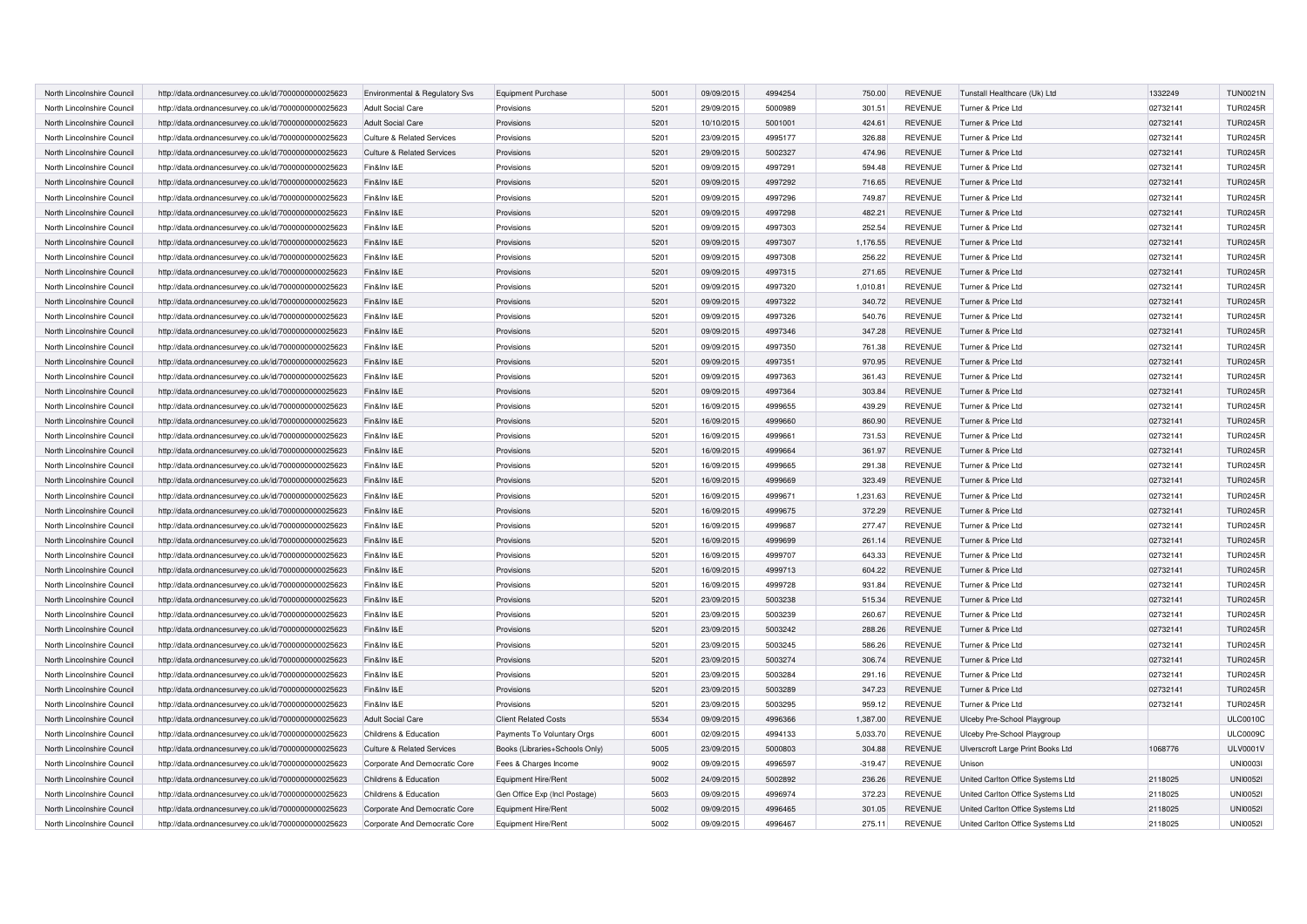| North Lincolnshire Council | http://data.ordnancesurvey.co.uk/id/7000000000025623 | Environmental & Regulatory Svs        | <b>Equipment Purchase</b>      | 5001 | 09/09/2015 | 4994254            | 750.00    | <b>REVENUE</b> | Tunstall Healthcare (Uk) Ltd      | 1332249  | <b>TUN0021N</b> |
|----------------------------|------------------------------------------------------|---------------------------------------|--------------------------------|------|------------|--------------------|-----------|----------------|-----------------------------------|----------|-----------------|
| North Lincolnshire Council | http://data.ordnancesurvey.co.uk/id/7000000000025623 | <b>Adult Social Care</b>              | Provisions                     | 5201 | 29/09/2015 | 5000989            | 301.51    | <b>REVENUE</b> | Turner & Price Ltd                | 02732141 | <b>TUR0245R</b> |
| North Lincolnshire Council | http://data.ordnancesurvey.co.uk/id/7000000000025623 | <b>Adult Social Care</b>              | Provisions                     | 5201 | 10/10/2015 | 5001001            | 424.61    | <b>REVENUE</b> | Turner & Price Ltd                | 02732141 | <b>TUR0245R</b> |
| North Lincolnshire Council | http://data.ordnancesurvey.co.uk/id/7000000000025623 | <b>Culture &amp; Related Services</b> | Provisions                     | 5201 | 23/09/2015 | 4995177            | 326.88    | <b>REVENUE</b> | Turner & Price Ltd                | 02732141 | <b>TUR0245R</b> |
| North Lincolnshire Council | http://data.ordnancesurvey.co.uk/id/7000000000025623 | <b>Culture &amp; Related Services</b> | Provisions                     | 5201 | 29/09/2015 | 5002327            | 474.96    | <b>REVENUE</b> | Turner & Price Ltd                | 02732141 | <b>TUR0245R</b> |
| North Lincolnshire Council | http://data.ordnancesurvey.co.uk/id/7000000000025623 | Fin&Inv I&E                           | Provisions                     | 5201 | 09/09/2015 | 4997291            | 594.48    | <b>REVENUE</b> | Turner & Price Ltd                | 02732141 | <b>TUR0245R</b> |
| North Lincolnshire Council | http://data.ordnancesurvey.co.uk/id/7000000000025623 | Fin&Inv I&E                           | Provisions                     | 5201 | 09/09/2015 | 4997292            | 716.65    | <b>REVENUE</b> | Turner & Price Ltd                | 02732141 | <b>TUR0245R</b> |
| North Lincolnshire Council | http://data.ordnancesurvey.co.uk/id/7000000000025623 | Fin&Inv I&E                           | Provisions                     | 5201 | 09/09/2015 | 4997296            | 749.87    | <b>REVENUE</b> | Turner & Price Ltd                | 02732141 | <b>TUR0245R</b> |
| North Lincolnshire Council | http://data.ordnancesurvey.co.uk/id/7000000000025623 | Fin&Inv I&E                           | Provisions                     | 5201 | 09/09/2015 | 4997298            | 482.21    | <b>REVENUE</b> | Turner & Price Ltd                | 02732141 | <b>TUR0245R</b> |
| North Lincolnshire Council | http://data.ordnancesurvey.co.uk/id/7000000000025623 | Fin&Inv I&E                           | Provisions                     | 5201 | 09/09/2015 | 4997303            | 252.54    | <b>REVENUE</b> | Turner & Price Ltd                | 02732141 | <b>TUR0245R</b> |
| North Lincolnshire Council | http://data.ordnancesurvey.co.uk/id/7000000000025623 | Fin&Inv I&E                           | Provisions                     | 5201 | 09/09/2015 | 4997307            | 1,176.55  | <b>REVENUE</b> | Turner & Price Ltd                | 02732141 | <b>TUR0245R</b> |
| North Lincolnshire Council | http://data.ordnancesurvey.co.uk/id/7000000000025623 | Fin&Inv I&E                           | Provisions                     | 5201 | 09/09/2015 | 4997308            | 256.22    | <b>REVENUE</b> | Turner & Price Ltd                | 02732141 | <b>TUR0245R</b> |
| North Lincolnshire Council | http://data.ordnancesurvey.co.uk/id/7000000000025623 | Fin&Inv I&E                           | Provisions                     | 5201 | 09/09/2015 | 4997315            | 271.65    | <b>REVENUE</b> | Turner & Price Ltd                | 02732141 | <b>TUR0245R</b> |
| North Lincolnshire Council | http://data.ordnancesurvey.co.uk/id/7000000000025623 | Fin&Inv I&E                           | Provisions                     | 5201 | 09/09/2015 | 4997320            | 1,010.81  | <b>REVENUE</b> | Turner & Price Ltd                | 02732141 | <b>TUR0245R</b> |
| North Lincolnshire Council | http://data.ordnancesurvey.co.uk/id/7000000000025623 | Fin&Inv I&E                           | Provisions                     | 5201 | 09/09/2015 | 4997322            | 340.72    | <b>REVENUE</b> | Turner & Price Ltd                | 02732141 | <b>TUR0245R</b> |
| North Lincolnshire Council | http://data.ordnancesurvey.co.uk/id/7000000000025623 | Fin&Inv I&E                           | Provisions                     | 5201 | 09/09/2015 | 4997326            | 540.76    | <b>REVENUE</b> | Turner & Price Ltd                | 02732141 | <b>TUR0245R</b> |
| North Lincolnshire Council | http://data.ordnancesurvey.co.uk/id/7000000000025623 | Fin&Inv I&E                           | Provisions                     | 5201 | 09/09/2015 | 4997346            | 347.28    | <b>REVENUE</b> | Turner & Price Ltd                | 02732141 | <b>TUR0245R</b> |
| North Lincolnshire Council | http://data.ordnancesurvey.co.uk/id/7000000000025623 | Fin&Inv I&E                           | Provisions                     | 5201 | 09/09/2015 | 4997350            | 761.38    | <b>REVENUE</b> | Turner & Price Ltd                | 02732141 | <b>TUR0245R</b> |
| North Lincolnshire Council |                                                      | Fin&Inv I&E                           | Provisions                     | 5201 | 09/09/2015 | 4997351            | 970.95    | <b>REVENUE</b> | Turner & Price Ltd                | 02732141 | <b>TUR0245R</b> |
|                            | http://data.ordnancesurvey.co.uk/id/7000000000025623 |                                       |                                |      |            |                    |           |                |                                   |          |                 |
| North Lincolnshire Council | http://data.ordnancesurvey.co.uk/id/7000000000025623 | Fin&Inv I&E                           | Provisions                     | 5201 | 09/09/2015 | 4997363<br>4997364 | 361.43    | <b>REVENUE</b> | Turner & Price Ltd                | 02732141 | <b>TUR0245R</b> |
| North Lincolnshire Council | http://data.ordnancesurvey.co.uk/id/7000000000025623 | Fin&Inv I&E                           | Provisions                     | 5201 | 09/09/2015 |                    | 303.84    | <b>REVENUE</b> | Turner & Price Ltd                | 02732141 | <b>TUR0245R</b> |
| North Lincolnshire Council | http://data.ordnancesurvey.co.uk/id/7000000000025623 | Fin&Inv I&E                           | Provisions                     | 5201 | 16/09/2015 | 4999655            | 439.29    | <b>REVENUE</b> | Turner & Price Ltd                | 02732141 | <b>TUR0245R</b> |
| North Lincolnshire Council | http://data.ordnancesurvey.co.uk/id/7000000000025623 | Fin&Inv I&E                           | Provisions                     | 5201 | 16/09/2015 | 4999660            | 860.90    | <b>REVENUE</b> | Turner & Price Ltd                | 02732141 | <b>TUR0245R</b> |
| North Lincolnshire Council | http://data.ordnancesurvey.co.uk/id/7000000000025623 | Fin&Inv I&E                           | Provisions                     | 5201 | 16/09/2015 | 4999661            | 731.53    | <b>REVENUE</b> | Turner & Price Ltd                | 02732141 | <b>TUR0245R</b> |
| North Lincolnshire Council | http://data.ordnancesurvey.co.uk/id/7000000000025623 | Fin&Inv I&E                           | Provisions                     | 5201 | 16/09/2015 | 4999664            | 361.97    | <b>REVENUE</b> | Turner & Price Ltd                | 02732141 | <b>TUR0245R</b> |
| North Lincolnshire Council | http://data.ordnancesurvey.co.uk/id/7000000000025623 | Fin&Inv I&E                           | Provisions                     | 5201 | 16/09/2015 | 4999665            | 291.38    | <b>REVENUE</b> | Turner & Price Ltd                | 02732141 | <b>TUR0245R</b> |
| North Lincolnshire Council | http://data.ordnancesurvey.co.uk/id/7000000000025623 | Fin&Inv I&E                           | Provisions                     | 5201 | 16/09/2015 | 4999669            | 323.49    | <b>REVENUE</b> | Turner & Price Ltd                | 02732141 | <b>TUR0245R</b> |
| North Lincolnshire Council | http://data.ordnancesurvey.co.uk/id/7000000000025623 | Fin&Inv I&E                           | Provisions                     | 5201 | 16/09/2015 | 4999671            | 1,231.63  | <b>REVENUE</b> | Turner & Price Ltd                | 02732141 | <b>TUR0245R</b> |
| North Lincolnshire Council | http://data.ordnancesurvey.co.uk/id/7000000000025623 | Fin&Inv I&E                           | Provisions                     | 5201 | 16/09/2015 | 4999675            | 372.29    | <b>REVENUE</b> | Turner & Price Ltd                | 02732141 | <b>TUR0245R</b> |
| North Lincolnshire Council | http://data.ordnancesurvey.co.uk/id/7000000000025623 | Fin&Inv I&E                           | Provisions                     | 5201 | 16/09/2015 | 4999687            | 277.47    | <b>REVENUE</b> | Turner & Price Ltd                | 02732141 | <b>TUR0245R</b> |
| North Lincolnshire Council | http://data.ordnancesurvey.co.uk/id/7000000000025623 | Fin&Inv I&E                           | Provisions                     | 5201 | 16/09/2015 | 4999699            | 261.14    | <b>REVENUE</b> | Turner & Price Ltd                | 02732141 | <b>TUR0245R</b> |
| North Lincolnshire Council | http://data.ordnancesurvey.co.uk/id/7000000000025623 | Fin&Inv I&E                           | Provisions                     | 5201 | 16/09/2015 | 4999707            | 643.33    | <b>REVENUE</b> | Turner & Price Ltd                | 02732141 | <b>TUR0245R</b> |
| North Lincolnshire Council | http://data.ordnancesurvey.co.uk/id/7000000000025623 | Fin&Inv I&E                           | Provisions                     | 5201 | 16/09/2015 | 4999713            | 604.22    | <b>REVENUE</b> | Turner & Price Ltd                | 02732141 | <b>TUR0245R</b> |
| North Lincolnshire Council | http://data.ordnancesurvey.co.uk/id/7000000000025623 | Fin&Inv I&E                           | Provisions                     | 5201 | 16/09/2015 | 4999728            | 931.84    | <b>REVENUE</b> | Turner & Price Ltd                | 02732141 | <b>TUR0245R</b> |
| North Lincolnshire Council | http://data.ordnancesurvey.co.uk/id/7000000000025623 | Fin&Inv I&E                           | Provisions                     | 5201 | 23/09/2015 | 5003238            | 515.34    | <b>REVENUE</b> | Turner & Price Ltd                | 02732141 | <b>TUR0245R</b> |
| North Lincolnshire Council | http://data.ordnancesurvey.co.uk/id/7000000000025623 | Fin&Inv I&E                           | Provisions                     | 5201 | 23/09/2015 | 5003239            | 260.67    | <b>REVENUE</b> | Turner & Price Ltd                | 02732141 | <b>TUR0245R</b> |
| North Lincolnshire Council | http://data.ordnancesurvey.co.uk/id/7000000000025623 | Fin&Inv I&E                           | Provisions                     | 5201 | 23/09/2015 | 5003242            | 288.26    | <b>REVENUE</b> | Turner & Price Ltd                | 02732141 | <b>TUR0245R</b> |
| North Lincolnshire Council | http://data.ordnancesurvey.co.uk/id/7000000000025623 | Fin&Inv I&E                           | Provisions                     | 5201 | 23/09/2015 | 5003245            | 586.26    | <b>REVENUE</b> | Turner & Price Ltd                | 02732141 | <b>TUR0245R</b> |
| North Lincolnshire Council | http://data.ordnancesurvey.co.uk/id/7000000000025623 | Fin&Inv I&E                           | Provisions                     | 5201 | 23/09/2015 | 5003274            | 306.74    | <b>REVENUE</b> | Turner & Price Ltd                | 02732141 | <b>TUR0245R</b> |
| North Lincolnshire Council | http://data.ordnancesurvey.co.uk/id/7000000000025623 | Fin&Inv I&E                           | Provisions                     | 5201 | 23/09/2015 | 5003284            | 291.16    | <b>REVENUE</b> | Turner & Price Ltd                | 02732141 | <b>TUR0245R</b> |
| North Lincolnshire Council | http://data.ordnancesurvey.co.uk/id/7000000000025623 | Fin&Inv I&E                           | Provisions                     | 5201 | 23/09/2015 | 5003289            | 347.23    | <b>REVENUE</b> | Turner & Price Ltd                | 02732141 | <b>TUR0245R</b> |
| North Lincolnshire Council | http://data.ordnancesurvey.co.uk/id/7000000000025623 | Fin&Inv I&E                           | Provisions                     | 5201 | 23/09/2015 | 5003295            | 959.12    | <b>REVENUE</b> | Turner & Price Ltd                | 02732141 | <b>TUR0245R</b> |
| North Lincolnshire Council | http://data.ordnancesurvey.co.uk/id/7000000000025623 | <b>Adult Social Care</b>              | <b>Client Related Costs</b>    | 5534 | 09/09/2015 | 4996366            | 1,387.00  | <b>REVENUE</b> | Ulceby Pre-School Playgroup       |          | <b>ULC0010C</b> |
| North Lincolnshire Council | http://data.ordnancesurvey.co.uk/id/7000000000025623 | Childrens & Education                 | Payments To Voluntary Orgs     | 6001 | 02/09/2015 | 4994133            | 5,033.70  | <b>REVENUE</b> | Ulceby Pre-School Playgroup       |          | <b>ULC0009C</b> |
| North Lincolnshire Council | http://data.ordnancesurvey.co.uk/id/7000000000025623 | <b>Culture &amp; Related Services</b> | Books (Libraries+Schools Only) | 5005 | 23/09/2015 | 5000803            | 304.88    | <b>REVENUE</b> | Ulverscroft Large Print Books Ltd | 1068776  | <b>ULV0001V</b> |
| North Lincolnshire Council | http://data.ordnancesurvey.co.uk/id/7000000000025623 | Corporate And Democratic Core         | Fees & Charges Income          | 9002 | 09/09/2015 | 4996597            | $-319.47$ | <b>REVENUE</b> | Unisor                            |          | <b>UNI00031</b> |
| North Lincolnshire Council | http://data.ordnancesurvey.co.uk/id/7000000000025623 | Childrens & Education                 | Equipment Hire/Rent            | 5002 | 24/09/2015 | 5002892            | 236.26    | <b>REVENUE</b> | United Carlton Office Systems Ltd | 2118025  | <b>UNI00521</b> |
| North Lincolnshire Council | http://data.ordnancesurvey.co.uk/id/7000000000025623 | Childrens & Education                 | Gen Office Exp (Incl Postage)  | 5603 | 09/09/2015 | 4996974            | 372.23    | <b>REVENUE</b> | United Carlton Office Systems Ltd | 2118025  | <b>UNI00521</b> |
| North Lincolnshire Council | http://data.ordnancesurvey.co.uk/id/7000000000025623 | Corporate And Democratic Core         | Equipment Hire/Rent            | 5002 | 09/09/2015 | 4996465            | 301.05    | <b>REVENUE</b> | United Carlton Office Systems Ltd | 2118025  | <b>UNI00521</b> |
| North Lincolnshire Council | http://data.ordnancesurvey.co.uk/id/7000000000025623 | Corporate And Democratic Core         | Equipment Hire/Rent            | 5002 | 09/09/2015 | 4996467            | 275.11    | <b>REVENUE</b> | United Carlton Office Systems Ltd | 2118025  | <b>UNI00521</b> |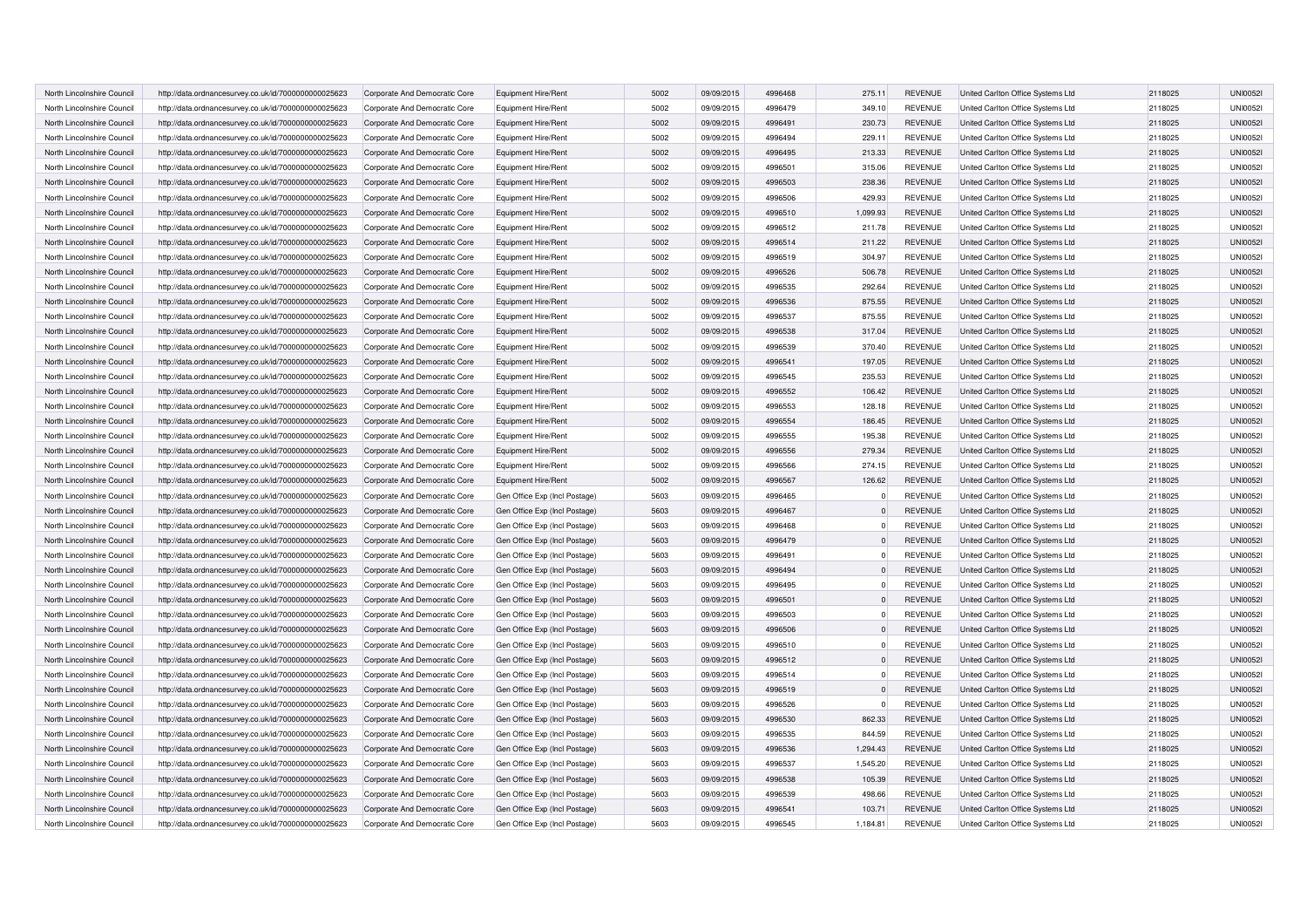| North Lincolnshire Council | http://data.ordnancesurvey.co.uk/id/7000000000025623 | Corporate And Democratic Core | Equipment Hire/Rent           | 5002 | 09/09/2015 | 4996468 | 275.11   | <b>REVENUE</b> | United Carlton Office Systems Ltd | 2118025 | <b>UNI00521</b> |
|----------------------------|------------------------------------------------------|-------------------------------|-------------------------------|------|------------|---------|----------|----------------|-----------------------------------|---------|-----------------|
| North Lincolnshire Council | http://data.ordnancesurvey.co.uk/id/7000000000025623 | Corporate And Democratic Core | Equipment Hire/Rent           | 5002 | 09/09/2015 | 4996479 | 349.10   | <b>REVENUE</b> | United Carlton Office Systems Ltd | 2118025 | <b>UNI00521</b> |
| North Lincolnshire Council | http://data.ordnancesurvey.co.uk/id/7000000000025623 | Corporate And Democratic Core | Equipment Hire/Rent           | 5002 | 09/09/2015 | 4996491 | 230.73   | <b>REVENUE</b> | United Carlton Office Systems Ltd | 2118025 | <b>UNI00521</b> |
| North Lincolnshire Council | http://data.ordnancesurvey.co.uk/id/7000000000025623 | Corporate And Democratic Core | Equipment Hire/Rent           | 5002 | 09/09/2015 | 4996494 | 229.11   | <b>REVENUE</b> | United Carlton Office Systems Ltd | 2118025 | <b>UNI00521</b> |
| North Lincolnshire Council | http://data.ordnancesurvey.co.uk/id/7000000000025623 | Corporate And Democratic Core | Equipment Hire/Rent           | 5002 | 09/09/2015 | 4996495 | 213.33   | <b>REVENUE</b> | United Carlton Office Systems Ltd | 2118025 | <b>UNI00521</b> |
| North Lincolnshire Council | http://data.ordnancesurvey.co.uk/id/7000000000025623 | Corporate And Democratic Core | Equipment Hire/Rent           | 5002 | 09/09/2015 | 4996501 | 315.06   | <b>REVENUE</b> | United Carlton Office Systems Ltd | 2118025 | <b>UNI00521</b> |
| North Lincolnshire Council | http://data.ordnancesurvey.co.uk/id/7000000000025623 | Corporate And Democratic Core | Equipment Hire/Rent           | 5002 | 09/09/2015 | 4996503 | 238.36   | <b>REVENUE</b> | United Carlton Office Systems Ltd | 2118025 | <b>UNI00521</b> |
| North Lincolnshire Council | http://data.ordnancesurvey.co.uk/id/7000000000025623 | Corporate And Democratic Core | Equipment Hire/Rent           | 5002 | 09/09/2015 | 4996506 | 429.93   | <b>REVENUE</b> | United Carlton Office Systems Ltd | 2118025 | <b>UNI00521</b> |
| North Lincolnshire Council | http://data.ordnancesurvey.co.uk/id/7000000000025623 | Corporate And Democratic Core | Equipment Hire/Rent           | 5002 | 09/09/2015 | 4996510 | 1,099.93 | <b>REVENUE</b> | United Carlton Office Systems Ltd | 2118025 | <b>UNI00521</b> |
| North Lincolnshire Council | http://data.ordnancesurvey.co.uk/id/7000000000025623 | Corporate And Democratic Core | Equipment Hire/Rent           | 5002 | 09/09/2015 | 4996512 | 211.78   | <b>REVENUE</b> | United Carlton Office Systems Ltd | 2118025 | <b>UNI00521</b> |
| North Lincolnshire Council | http://data.ordnancesurvey.co.uk/id/7000000000025623 | Corporate And Democratic Core | Equipment Hire/Rent           | 5002 | 09/09/2015 | 4996514 | 211.22   | <b>REVENUE</b> | United Carlton Office Systems Ltd | 2118025 | <b>UNI00521</b> |
| North Lincolnshire Council | http://data.ordnancesurvey.co.uk/id/7000000000025623 | Corporate And Democratic Core | Equipment Hire/Rent           | 5002 | 09/09/2015 | 4996519 | 304.97   | <b>REVENUE</b> | United Carlton Office Systems Ltd | 2118025 | <b>UNI00521</b> |
| North Lincolnshire Council | http://data.ordnancesurvey.co.uk/id/7000000000025623 | Corporate And Democratic Core | Equipment Hire/Rent           | 5002 | 09/09/2015 | 4996526 | 506.78   | <b>REVENUE</b> | United Carlton Office Systems Ltd | 2118025 | <b>UNI00521</b> |
| North Lincolnshire Council | http://data.ordnancesurvey.co.uk/id/7000000000025623 | Corporate And Democratic Core | Equipment Hire/Rent           | 5002 | 09/09/2015 | 4996535 | 292.64   | <b>REVENUE</b> | United Carlton Office Systems Ltd | 2118025 | <b>UNI00521</b> |
| North Lincolnshire Council | http://data.ordnancesurvey.co.uk/id/7000000000025623 | Corporate And Democratic Core | Equipment Hire/Rent           | 5002 | 09/09/2015 | 4996536 | 875.55   | <b>REVENUE</b> | United Carlton Office Systems Ltd | 2118025 | <b>UNI00521</b> |
| North Lincolnshire Council | http://data.ordnancesurvey.co.uk/id/7000000000025623 | Corporate And Democratic Core | Equipment Hire/Rent           | 5002 | 09/09/2015 | 4996537 | 875.55   | <b>REVENUE</b> | United Carlton Office Systems Ltd | 2118025 | <b>UNI00521</b> |
| North Lincolnshire Council | http://data.ordnancesurvey.co.uk/id/7000000000025623 | Corporate And Democratic Core | Equipment Hire/Rent           | 5002 | 09/09/2015 | 4996538 | 317.04   | <b>REVENUE</b> | United Carlton Office Systems Ltd | 2118025 | <b>UNI00521</b> |
| North Lincolnshire Council | http://data.ordnancesurvey.co.uk/id/7000000000025623 | Corporate And Democratic Core | Equipment Hire/Rent           | 5002 | 09/09/2015 | 4996539 | 370.40   | <b>REVENUE</b> | United Carlton Office Systems Ltd | 2118025 | <b>UNI00521</b> |
| North Lincolnshire Council | http://data.ordnancesurvey.co.uk/id/7000000000025623 | Corporate And Democratic Core | Equipment Hire/Rent           | 5002 | 09/09/2015 | 4996541 | 197.05   | <b>REVENUE</b> | United Carlton Office Systems Ltd | 2118025 | <b>UNI00521</b> |
| North Lincolnshire Council | http://data.ordnancesurvey.co.uk/id/7000000000025623 | Corporate And Democratic Core | Equipment Hire/Rent           | 5002 | 09/09/2015 | 4996545 | 235.53   | <b>REVENUE</b> | United Carlton Office Systems Ltd | 2118025 | <b>UNI00521</b> |
| North Lincolnshire Council | http://data.ordnancesurvey.co.uk/id/7000000000025623 | Corporate And Democratic Core | Equipment Hire/Rent           | 5002 | 09/09/2015 | 4996552 | 106.42   | <b>REVENUE</b> | United Carlton Office Systems Ltd | 2118025 | <b>UNI00521</b> |
| North Lincolnshire Council | http://data.ordnancesurvey.co.uk/id/7000000000025623 | Corporate And Democratic Core | Equipment Hire/Rent           | 5002 | 09/09/2015 | 4996553 | 128.18   | <b>REVENUE</b> | United Carlton Office Systems Ltd | 2118025 | <b>UNI00521</b> |
| North Lincolnshire Council | http://data.ordnancesurvey.co.uk/id/7000000000025623 | Corporate And Democratic Core | Equipment Hire/Rent           | 5002 | 09/09/2015 | 4996554 | 186.45   | <b>REVENUE</b> | United Carlton Office Systems Ltd | 2118025 | <b>UNI00521</b> |
| North Lincolnshire Council | http://data.ordnancesurvey.co.uk/id/7000000000025623 | Corporate And Democratic Core | Equipment Hire/Rent           | 5002 | 09/09/2015 | 4996555 | 195.38   | <b>REVENUE</b> | United Carlton Office Systems Ltd | 2118025 | <b>UNI00521</b> |
| North Lincolnshire Council | http://data.ordnancesurvey.co.uk/id/7000000000025623 | Corporate And Democratic Core | Equipment Hire/Rent           | 5002 | 09/09/2015 | 4996556 | 279.34   | <b>REVENUE</b> | United Carlton Office Systems Ltd | 2118025 | <b>UNI00521</b> |
| North Lincolnshire Council | http://data.ordnancesurvey.co.uk/id/7000000000025623 | Corporate And Democratic Core | Equipment Hire/Rent           | 5002 | 09/09/2015 | 4996566 | 274.15   | <b>REVENUE</b> | United Carlton Office Systems Ltd | 2118025 | <b>UNI00521</b> |
| North Lincolnshire Council | http://data.ordnancesurvey.co.uk/id/7000000000025623 | Corporate And Democratic Core | Equipment Hire/Rent           | 5002 | 09/09/2015 | 4996567 | 126.62   | <b>REVENUE</b> | United Carlton Office Systems Ltd | 2118025 | <b>UNI00521</b> |
| North Lincolnshire Council | http://data.ordnancesurvey.co.uk/id/7000000000025623 | Corporate And Democratic Core | Gen Office Exp (Incl Postage) | 5603 | 09/09/2015 | 4996465 |          | <b>REVENUE</b> | United Carlton Office Systems Ltd | 2118025 | <b>UNI00521</b> |
| North Lincolnshire Council | http://data.ordnancesurvey.co.uk/id/7000000000025623 | Corporate And Democratic Core | Gen Office Exp (Incl Postage) | 5603 | 09/09/2015 | 4996467 |          | <b>REVENUE</b> | United Carlton Office Systems Ltd | 2118025 | <b>UNI00521</b> |
| North Lincolnshire Council | http://data.ordnancesurvey.co.uk/id/7000000000025623 | Corporate And Democratic Core | Gen Office Exp (Incl Postage) | 5603 | 09/09/2015 | 4996468 |          | <b>REVENUE</b> | United Carlton Office Systems Ltd | 2118025 | <b>UNI00521</b> |
| North Lincolnshire Council | http://data.ordnancesurvey.co.uk/id/7000000000025623 | Corporate And Democratic Core | Gen Office Exp (Incl Postage) | 5603 | 09/09/2015 | 4996479 |          | <b>REVENUE</b> | United Carlton Office Systems Ltd | 2118025 | <b>UNI00521</b> |
| North Lincolnshire Council | http://data.ordnancesurvey.co.uk/id/7000000000025623 | Corporate And Democratic Core | Gen Office Exp (Incl Postage) | 5603 | 09/09/2015 | 4996491 |          | <b>REVENUE</b> | United Carlton Office Systems Ltd | 2118025 | <b>UNI00521</b> |
| North Lincolnshire Council | http://data.ordnancesurvey.co.uk/id/7000000000025623 | Corporate And Democratic Core | Gen Office Exp (Incl Postage) | 5603 | 09/09/2015 | 4996494 |          | <b>REVENUE</b> | United Carlton Office Systems Ltd | 2118025 | <b>UNI00521</b> |
| North Lincolnshire Council | http://data.ordnancesurvey.co.uk/id/7000000000025623 | Corporate And Democratic Core | Gen Office Exp (Incl Postage) | 5603 | 09/09/2015 | 4996495 |          | <b>REVENUE</b> | United Carlton Office Systems Ltd | 2118025 | <b>UNI00521</b> |
| North Lincolnshire Council | http://data.ordnancesurvey.co.uk/id/7000000000025623 | Corporate And Democratic Core | Gen Office Exp (Incl Postage) | 5603 | 09/09/2015 | 4996501 |          | <b>REVENUE</b> | United Carlton Office Systems Ltd | 2118025 | <b>UNI00521</b> |
| North Lincolnshire Council | http://data.ordnancesurvey.co.uk/id/7000000000025623 | Corporate And Democratic Core | Gen Office Exp (Incl Postage) | 5603 | 09/09/2015 | 4996503 |          | <b>REVENUE</b> | United Carlton Office Systems Ltd | 2118025 | <b>UNI00521</b> |
| North Lincolnshire Council | http://data.ordnancesurvey.co.uk/id/7000000000025623 | Corporate And Democratic Core | Gen Office Exp (Incl Postage) | 5603 | 09/09/2015 | 4996506 |          | <b>REVENUE</b> | United Carlton Office Systems Ltd | 2118025 | <b>UNI00521</b> |
| North Lincolnshire Council | http://data.ordnancesurvey.co.uk/id/7000000000025623 | Corporate And Democratic Core | Gen Office Exp (Incl Postage) | 5603 | 09/09/2015 | 4996510 |          | <b>REVENUE</b> | United Carlton Office Systems Ltd | 2118025 | <b>UNI00521</b> |
| North Lincolnshire Council | http://data.ordnancesurvey.co.uk/id/7000000000025623 | Corporate And Democratic Core | Gen Office Exp (Incl Postage) | 5603 | 09/09/2015 | 4996512 |          | <b>REVENUE</b> | United Carlton Office Systems Ltd | 2118025 | <b>UNI00521</b> |
| North Lincolnshire Council | http://data.ordnancesurvey.co.uk/id/7000000000025623 | Corporate And Democratic Core | Gen Office Exp (Incl Postage) | 5603 | 09/09/2015 | 4996514 |          | <b>REVENUE</b> | United Carlton Office Systems Ltd | 2118025 | <b>UNI00521</b> |
| North Lincolnshire Council | http://data.ordnancesurvey.co.uk/id/7000000000025623 | Corporate And Democratic Core | Gen Office Exp (Incl Postage) | 5603 | 09/09/2015 | 4996519 |          | <b>REVENUE</b> | United Carlton Office Systems Ltd | 2118025 | <b>UNI00521</b> |
| North Lincolnshire Council | http://data.ordnancesurvey.co.uk/id/7000000000025623 | Corporate And Democratic Core | Gen Office Exp (Incl Postage) | 5603 | 09/09/2015 | 4996526 |          | <b>REVENUE</b> | United Carlton Office Systems Ltd | 2118025 | <b>UNI00521</b> |
| North Lincolnshire Council | http://data.ordnancesurvey.co.uk/id/7000000000025623 | Corporate And Democratic Core | Gen Office Exp (Incl Postage) | 5603 | 09/09/2015 | 4996530 | 862.33   | <b>REVENUE</b> | United Carlton Office Systems Ltd | 2118025 | <b>UNI00521</b> |
| North Lincolnshire Council | http://data.ordnancesurvey.co.uk/id/7000000000025623 | Corporate And Democratic Core | Gen Office Exp (Incl Postage) | 5603 | 09/09/2015 | 4996535 | 844.59   | <b>REVENUE</b> | United Carlton Office Systems Ltd | 2118025 | <b>UNI00521</b> |
| North Lincolnshire Council | http://data.ordnancesurvey.co.uk/id/7000000000025623 | Corporate And Democratic Core | Gen Office Exp (Incl Postage) | 5603 | 09/09/2015 | 4996536 | 1,294.43 | <b>REVENUE</b> | United Carlton Office Systems Ltd | 2118025 | <b>UNI00521</b> |
| North Lincolnshire Council | http://data.ordnancesurvey.co.uk/id/7000000000025623 | Corporate And Democratic Core | Gen Office Exp (Incl Postage) | 5603 | 09/09/2015 | 4996537 | 1,545.20 | <b>REVENUE</b> | United Carlton Office Systems Ltd | 2118025 | <b>UNI00521</b> |
| North Lincolnshire Council | http://data.ordnancesurvey.co.uk/id/7000000000025623 | Corporate And Democratic Core | Gen Office Exp (Incl Postage) | 5603 | 09/09/2015 | 4996538 | 105.39   | <b>REVENUE</b> | United Carlton Office Systems Ltd | 2118025 | <b>UNI00521</b> |
| North Lincolnshire Council | http://data.ordnancesurvey.co.uk/id/7000000000025623 | Corporate And Democratic Core | Gen Office Exp (Incl Postage) | 5603 | 09/09/2015 | 4996539 | 498.66   | <b>REVENUE</b> | United Carlton Office Systems Ltd | 2118025 | <b>UNI00521</b> |
| North Lincolnshire Council | http://data.ordnancesurvey.co.uk/id/7000000000025623 | Corporate And Democratic Core | Gen Office Exp (Incl Postage) | 5603 | 09/09/2015 | 4996541 | 103.71   | <b>REVENUE</b> | United Carlton Office Systems Ltd | 2118025 | <b>UNI00521</b> |
| North Lincolnshire Council | http://data.ordnancesurvey.co.uk/id/7000000000025623 | Corporate And Democratic Core | Gen Office Exp (Incl Postage) | 5603 | 09/09/2015 | 4996545 | 1,184.81 | <b>REVENUE</b> | United Carlton Office Systems Ltd | 2118025 | <b>UNI00521</b> |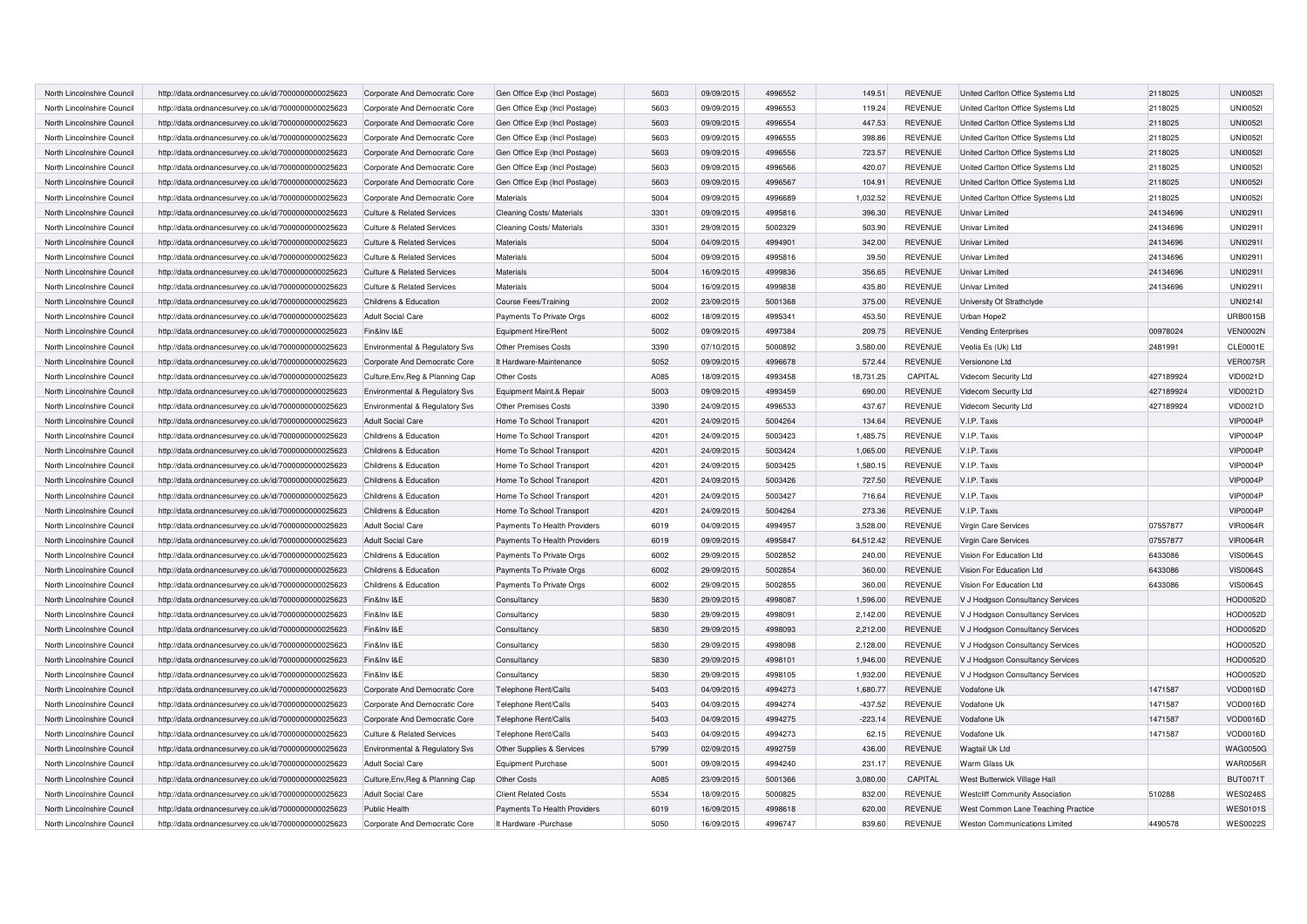| North Lincolnshire Council | http://data.ordnancesurvey.co.uk/id/7000000000025623 | Corporate And Democratic Core         | Gen Office Exp (Incl Postage) | 5603 | 09/09/2015 | 4996552 | 149.51    | <b>REVENUE</b> | United Carlton Office Systems Ltd      | 2118025   | <b>UNI00521</b> |
|----------------------------|------------------------------------------------------|---------------------------------------|-------------------------------|------|------------|---------|-----------|----------------|----------------------------------------|-----------|-----------------|
| North Lincolnshire Council | http://data.ordnancesurvey.co.uk/id/7000000000025623 | Corporate And Democratic Core         | Gen Office Exp (Incl Postage) | 5603 | 09/09/2015 | 4996553 | 119.24    | <b>REVENUE</b> | United Carlton Office Systems Ltd      | 2118025   | <b>UNI00521</b> |
| North Lincolnshire Council | http://data.ordnancesurvey.co.uk/id/7000000000025623 | Corporate And Democratic Core         | Gen Office Exp (Incl Postage) | 5603 | 09/09/2015 | 4996554 | 447.53    | <b>REVENUE</b> | United Carlton Office Systems Ltd      | 2118025   | <b>UNI00521</b> |
| North Lincolnshire Council | http://data.ordnancesurvey.co.uk/id/7000000000025623 | Corporate And Democratic Core         | Gen Office Exp (Incl Postage) | 5603 | 09/09/2015 | 4996555 | 398.86    | <b>REVENUE</b> | United Carlton Office Systems Ltd      | 2118025   | <b>UNI00521</b> |
| North Lincolnshire Council | http://data.ordnancesurvey.co.uk/id/7000000000025623 | Corporate And Democratic Core         | Gen Office Exp (Incl Postage) | 5603 | 09/09/2015 | 4996556 | 723.57    | <b>REVENUE</b> | United Carlton Office Systems Ltd      | 2118025   | <b>UNI00521</b> |
| North Lincolnshire Council | http://data.ordnancesurvey.co.uk/id/7000000000025623 | Corporate And Democratic Core         | Gen Office Exp (Incl Postage) | 5603 | 09/09/2015 | 4996566 | 420.07    | <b>REVENUE</b> | United Carlton Office Systems Ltd      | 2118025   | <b>UNI00521</b> |
| North Lincolnshire Counci  | http://data.ordnancesurvey.co.uk/id/7000000000025623 | Corporate And Democratic Core         | Gen Office Exp (Incl Postage) | 5603 | 09/09/2015 | 4996567 | 104.91    | <b>REVENUE</b> | United Carlton Office Systems Ltd      | 2118025   | <b>UNI00521</b> |
| North Lincolnshire Council | http://data.ordnancesurvey.co.uk/id/7000000000025623 | Corporate And Democratic Core         | Materials                     | 5004 | 09/09/2015 | 4996689 | 1,032.52  | <b>REVENUE</b> | United Carlton Office Systems Ltd      | 2118025   | <b>UNI00521</b> |
| North Lincolnshire Council | http://data.ordnancesurvey.co.uk/id/7000000000025623 | <b>Culture &amp; Related Services</b> | Cleaning Costs/ Materials     | 3301 | 09/09/2015 | 4995816 | 396.30    | <b>REVENUE</b> | <b>Univar Limited</b>                  | 24134696  | UNI0291I        |
| North Lincolnshire Council | http://data.ordnancesurvey.co.uk/id/7000000000025623 | <b>Culture &amp; Related Services</b> | Cleaning Costs/ Materials     | 3301 | 29/09/2015 | 5002329 | 503.90    | <b>REVENUE</b> | Univar Limited                         | 24134696  | UNI0291I        |
| North Lincolnshire Council | http://data.ordnancesurvey.co.uk/id/7000000000025623 | <b>Culture &amp; Related Services</b> | Materials                     | 5004 | 04/09/2015 | 4994901 | 342.00    | <b>REVENUE</b> | Univar Limited                         | 24134696  | UNI0291I        |
| North Lincolnshire Council | http://data.ordnancesurvey.co.uk/id/7000000000025623 | <b>Culture &amp; Related Services</b> | Materials                     | 5004 | 09/09/2015 | 4995816 | 39.50     | <b>REVENUE</b> | Univar Limited                         | 24134696  | UNI02911        |
| North Lincolnshire Council | http://data.ordnancesurvey.co.uk/id/7000000000025623 | <b>Culture &amp; Related Services</b> | Materials                     | 5004 | 16/09/2015 | 4999836 | 356.65    | <b>REVENUE</b> | Univar Limited                         | 24134696  | UNI0291I        |
| North Lincolnshire Council | http://data.ordnancesurvey.co.uk/id/7000000000025623 | <b>Culture &amp; Related Services</b> | Materials                     | 5004 | 16/09/2015 | 4999838 | 435.80    | <b>REVENUE</b> | Univar Limited                         | 24134696  | UNI02911        |
| North Lincolnshire Council | http://data.ordnancesurvey.co.uk/id/7000000000025623 | Childrens & Education                 | <b>Course Fees/Training</b>   | 2002 | 23/09/2015 | 5001368 | 375.00    | <b>REVENUE</b> | University Of Strathclyde              |           | UNI0214I        |
| North Lincolnshire Council | http://data.ordnancesurvey.co.uk/id/7000000000025623 | <b>Adult Social Care</b>              | Payments To Private Orgs      | 6002 | 18/09/2015 | 4995341 | 453.50    | <b>REVENUE</b> | Urban Hope2                            |           | <b>URB0015B</b> |
| North Lincolnshire Council | http://data.ordnancesurvey.co.uk/id/7000000000025623 | Fin&Inv I&E                           | Equipment Hire/Rent           | 5002 | 09/09/2015 | 4997384 | 209.75    | <b>REVENUE</b> | <b>Vending Enterprises</b>             | 00978024  | <b>VEN0002N</b> |
| North Lincolnshire Council | http://data.ordnancesurvey.co.uk/id/7000000000025623 | Environmental & Regulatory Svs        | <b>Other Premises Costs</b>   | 3390 | 07/10/2015 | 5000892 | 3,580.00  | <b>REVENUE</b> | Veolia Es (Uk) Ltd                     | 2481991   | CLE0001E        |
| North Lincolnshire Council | http://data.ordnancesurvey.co.uk/id/7000000000025623 | Corporate And Democratic Core         | It Hardware-Maintenance       | 5052 | 09/09/2015 | 4996678 | 572.44    | <b>REVENUE</b> | Versionone Ltd                         |           | <b>VER0075R</b> |
| North Lincolnshire Council | http://data.ordnancesurvey.co.uk/id/7000000000025623 | Culture, Env, Reg & Planning Cap      | Other Costs                   | A085 | 18/09/2015 | 4993458 | 18,731.25 | CAPITAL        | Videcom Security Ltd                   | 427189924 | <b>VID0021D</b> |
| North Lincolnshire Council | http://data.ordnancesurvey.co.uk/id/7000000000025623 | Environmental & Regulatory Svs        | Equipment Maint.& Repair      | 5003 | 09/09/2015 | 4993459 | 690.00    | <b>REVENUE</b> | Videcom Security Ltd                   | 427189924 | <b>VID0021D</b> |
| North Lincolnshire Council | http://data.ordnancesurvey.co.uk/id/7000000000025623 | Environmental & Regulatory Svs        | <b>Other Premises Costs</b>   | 3390 | 24/09/2015 | 4996533 | 437.67    | <b>REVENUE</b> | Videcom Security Ltd                   | 427189924 | <b>VID0021D</b> |
| North Lincolnshire Council | http://data.ordnancesurvey.co.uk/id/7000000000025623 | <b>Adult Social Care</b>              | Home To School Transport      | 4201 | 24/09/2015 | 5004264 | 134.64    | <b>REVENUE</b> | V.I.P. Taxis                           |           | <b>VIP0004P</b> |
| North Lincolnshire Council | http://data.ordnancesurvey.co.uk/id/7000000000025623 | Childrens & Education                 | Home To School Transport      | 4201 | 24/09/2015 | 5003423 | 1,485.75  | <b>REVENUE</b> | V.I.P. Taxis                           |           | <b>VIP0004P</b> |
| North Lincolnshire Council | http://data.ordnancesurvey.co.uk/id/7000000000025623 | Childrens & Education                 | Home To School Transport      | 4201 | 24/09/2015 | 5003424 | 1,065.00  | <b>REVENUE</b> | V.I.P. Taxis                           |           | <b>VIP0004P</b> |
| North Lincolnshire Council | http://data.ordnancesurvey.co.uk/id/7000000000025623 | Childrens & Education                 | Home To School Transport      | 4201 | 24/09/2015 | 5003425 | 1,580.15  | <b>REVENUE</b> | V.I.P. Taxis                           |           | <b>VIP0004P</b> |
| North Lincolnshire Council | http://data.ordnancesurvey.co.uk/id/7000000000025623 | Childrens & Education                 | Home To School Transport      | 4201 | 24/09/2015 | 5003426 | 727.50    | <b>REVENUE</b> | V.I.P. Taxis                           |           | <b>VIP0004P</b> |
| North Lincolnshire Council | http://data.ordnancesurvey.co.uk/id/7000000000025623 | Childrens & Education                 | Home To School Transport      | 4201 | 24/09/2015 | 5003427 | 716.64    | <b>REVENUE</b> | V.I.P. Taxis                           |           | <b>VIP0004P</b> |
| North Lincolnshire Council | http://data.ordnancesurvey.co.uk/id/7000000000025623 | Childrens & Education                 | Home To School Transport      | 4201 | 24/09/2015 | 5004264 | 273.36    | <b>REVENUE</b> | V.I.P. Taxis                           |           | <b>VIP0004P</b> |
| North Lincolnshire Council | http://data.ordnancesurvey.co.uk/id/7000000000025623 | <b>Adult Social Care</b>              | Payments To Health Providers  | 6019 | 04/09/2015 | 4994957 | 3,528.00  | <b>REVENUE</b> | Virgin Care Services                   | 07557877  | <b>VIR0064R</b> |
| North Lincolnshire Council | http://data.ordnancesurvey.co.uk/id/7000000000025623 | <b>Adult Social Care</b>              | Payments To Health Providers  | 6019 | 09/09/2015 | 4995847 | 64,512.42 | <b>REVENUE</b> | Virgin Care Services                   | 07557877  | <b>VIR0064R</b> |
| North Lincolnshire Council | http://data.ordnancesurvey.co.uk/id/7000000000025623 | Childrens & Education                 | Payments To Private Orgs      | 6002 | 29/09/2015 | 5002852 | 240.00    | <b>REVENUE</b> | Vision For Education Ltd               | 6433086   | <b>VIS0064S</b> |
| North Lincolnshire Council | http://data.ordnancesurvey.co.uk/id/7000000000025623 | Childrens & Education                 | Payments To Private Orgs      | 6002 | 29/09/2015 | 5002854 | 360.00    | <b>REVENUE</b> | Vision For Education Ltd               | 6433086   | <b>VIS0064S</b> |
| North Lincolnshire Council | http://data.ordnancesurvey.co.uk/id/7000000000025623 | Childrens & Education                 | Payments To Private Orgs      | 6002 | 29/09/2015 | 5002855 | 360.00    | <b>REVENUE</b> | Vision For Education Ltd               | 6433086   | <b>VIS0064S</b> |
| North Lincolnshire Council | http://data.ordnancesurvey.co.uk/id/7000000000025623 | Fin&Inv I&E                           | Consultancy                   | 5830 | 29/09/2015 | 4998087 | 1,596.00  | <b>REVENUE</b> | V J Hodgson Consultancy Services       |           | HOD0052D        |
| North Lincolnshire Council | http://data.ordnancesurvey.co.uk/id/7000000000025623 | Fin&Inv I&E                           | Consultancy                   | 5830 | 29/09/2015 | 4998091 | 2,142.00  | <b>REVENUE</b> | V J Hodgson Consultancy Services       |           | HOD0052D        |
| North Lincolnshire Council | http://data.ordnancesurvey.co.uk/id/7000000000025623 | Fin&Inv I&E                           | Consultancy                   | 5830 | 29/09/2015 | 4998093 | 2,212.00  | <b>REVENUE</b> | V J Hodgson Consultancy Services       |           | HOD0052D        |
| North Lincolnshire Council | http://data.ordnancesurvey.co.uk/id/7000000000025623 | Fin&Inv I&E                           | Consultancy                   | 5830 | 29/09/2015 | 4998098 | 2,128.00  | <b>REVENUE</b> | V J Hodgson Consultancy Services       |           | HOD0052D        |
| North Lincolnshire Council | http://data.ordnancesurvey.co.uk/id/7000000000025623 | Fin&Inv I&E                           | Consultancy                   | 5830 | 29/09/2015 | 4998101 | 1,946.00  | <b>REVENUE</b> | V J Hodgson Consultancy Services       |           | HOD0052D        |
| North Lincolnshire Council | http://data.ordnancesurvey.co.uk/id/7000000000025623 | Fin&Inv I&E                           | Consultancy                   | 5830 | 29/09/2015 | 4998105 | 1,932.00  | <b>REVENUE</b> | V J Hodgson Consultancy Services       |           | HOD0052D        |
| North Lincolnshire Council | http://data.ordnancesurvey.co.uk/id/7000000000025623 | Corporate And Democratic Core         | Telephone Rent/Calls          | 5403 | 04/09/2015 | 4994273 | 1,680.77  | <b>REVENUE</b> | Vodafone Uk                            | 1471587   | VOD0016D        |
| North Lincolnshire Council | http://data.ordnancesurvey.co.uk/id/7000000000025623 | Corporate And Democratic Core         | Telephone Rent/Calls          | 5403 | 04/09/2015 | 4994274 | $-437.52$ | <b>REVENUE</b> | Vodafone Uk                            | 1471587   | VOD0016D        |
| North Lincolnshire Council | http://data.ordnancesurvey.co.uk/id/7000000000025623 | Corporate And Democratic Core         | Telephone Rent/Calls          | 5403 | 04/09/2015 | 4994275 | $-223.14$ | <b>REVENUE</b> | Vodafone Uk                            | 1471587   | VOD0016D        |
| North Lincolnshire Council | http://data.ordnancesurvey.co.uk/id/7000000000025623 | <b>Culture &amp; Related Services</b> | Telephone Rent/Calls          | 5403 | 04/09/2015 | 4994273 | 62.15     | <b>REVENUE</b> | Vodafone Uk                            | 1471587   | VOD0016D        |
| North Lincolnshire Council | http://data.ordnancesurvey.co.uk/id/7000000000025623 | Environmental & Regulatory Svs        | Other Supplies & Services     | 5799 | 02/09/2015 | 4992759 | 436.00    | <b>REVENUE</b> | Wagtail Uk Ltd                         |           | <b>WAG0050G</b> |
| North Lincolnshire Council | http://data.ordnancesurvey.co.uk/id/7000000000025623 | <b>Adult Social Care</b>              | <b>Equipment Purchase</b>     | 5001 | 09/09/2015 | 4994240 | 231.17    | <b>REVENUE</b> | Warm Glass Uk                          |           | <b>WAR0056R</b> |
| North Lincolnshire Council | http://data.ordnancesurvey.co.uk/id/7000000000025623 | Culture, Env, Reg & Planning Cap      | Other Costs                   | A085 | 23/09/2015 | 5001366 | 3,080.00  | CAPITAL        | West Butterwick Village Hall           |           | <b>BUT0071T</b> |
| North Lincolnshire Council | http://data.ordnancesurvey.co.uk/id/7000000000025623 | <b>Adult Social Care</b>              | <b>Client Related Costs</b>   | 5534 | 18/09/2015 | 5000825 | 832.00    | <b>REVENUE</b> | <b>Westcliff Community Association</b> | 510288    | <b>WES0246S</b> |
| North Lincolnshire Council | http://data.ordnancesurvey.co.uk/id/7000000000025623 | Public Health                         | Payments To Health Providers  | 6019 | 16/09/2015 | 4998618 | 620.00    | <b>REVENUE</b> | West Common Lane Teaching Practice     |           | <b>WES0101S</b> |
| North Lincolnshire Council | http://data.ordnancesurvey.co.uk/id/7000000000025623 | Corporate And Democratic Core         | It Hardware -Purchase         | 5050 | 16/09/2015 | 4996747 | 839.60    | <b>REVENUE</b> | <b>Weston Communications Limited</b>   | 4490578   | <b>WES0022S</b> |
|                            |                                                      |                                       |                               |      |            |         |           |                |                                        |           |                 |